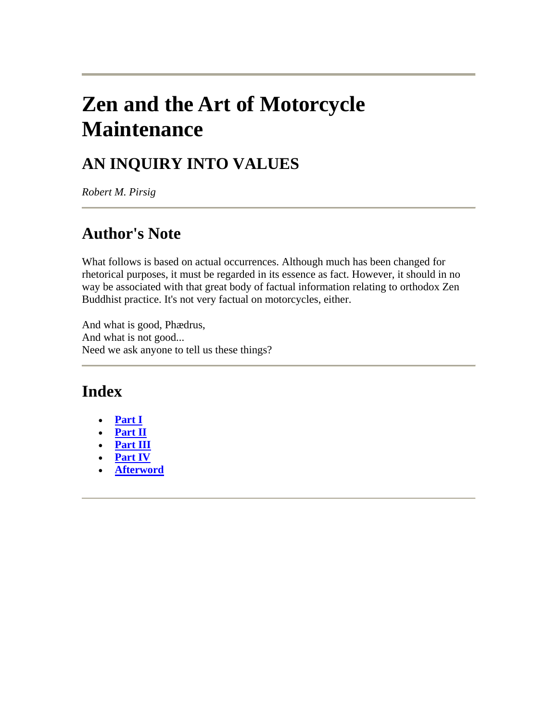# **Zen and the Art of Motorcycle Maintenance**

### **AN INQUIRY INTO VALUES**

*Robert M. Pirsig* 

# **Author's Note**

What follows is based on actual occurrences. Although much has been changed for rhetorical purposes, it must be regarded in its essence as fact. However, it should in no way be associated with that great body of factual information relating to orthodox Zen Buddhist practice. It's not very factual on motorcycles, either.

And what is good, Phædrus, And what is not good... Need we ask anyone to tell us these things?

### **Index**

- **Part I**
- **Part II**
- **Part III**
- **Part IV**
- **Afterword**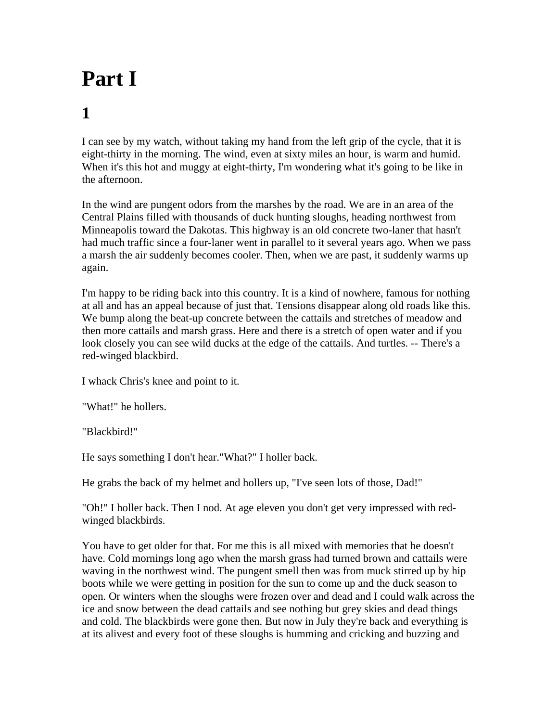# **Part I**

# **1**

I can see by my watch, without taking my hand from the left grip of the cycle, that it is eight-thirty in the morning. The wind, even at sixty miles an hour, is warm and humid. When it's this hot and muggy at eight-thirty, I'm wondering what it's going to be like in the afternoon.

In the wind are pungent odors from the marshes by the road. We are in an area of the Central Plains filled with thousands of duck hunting sloughs, heading northwest from Minneapolis toward the Dakotas. This highway is an old concrete two-laner that hasn't had much traffic since a four-laner went in parallel to it several years ago. When we pass a marsh the air suddenly becomes cooler. Then, when we are past, it suddenly warms up again.

I'm happy to be riding back into this country. It is a kind of nowhere, famous for nothing at all and has an appeal because of just that. Tensions disappear along old roads like this. We bump along the beat-up concrete between the cattails and stretches of meadow and then more cattails and marsh grass. Here and there is a stretch of open water and if you look closely you can see wild ducks at the edge of the cattails. And turtles. -- There's a red-winged blackbird.

I whack Chris's knee and point to it.

"What!" he hollers.

"Blackbird!"

He says something I don't hear."What?" I holler back.

He grabs the back of my helmet and hollers up, "I've seen lots of those, Dad!"

"Oh!" I holler back. Then I nod. At age eleven you don't get very impressed with redwinged blackbirds.

You have to get older for that. For me this is all mixed with memories that he doesn't have. Cold mornings long ago when the marsh grass had turned brown and cattails were waving in the northwest wind. The pungent smell then was from muck stirred up by hip boots while we were getting in position for the sun to come up and the duck season to open. Or winters when the sloughs were frozen over and dead and I could walk across the ice and snow between the dead cattails and see nothing but grey skies and dead things and cold. The blackbirds were gone then. But now in July they're back and everything is at its alivest and every foot of these sloughs is humming and cricking and buzzing and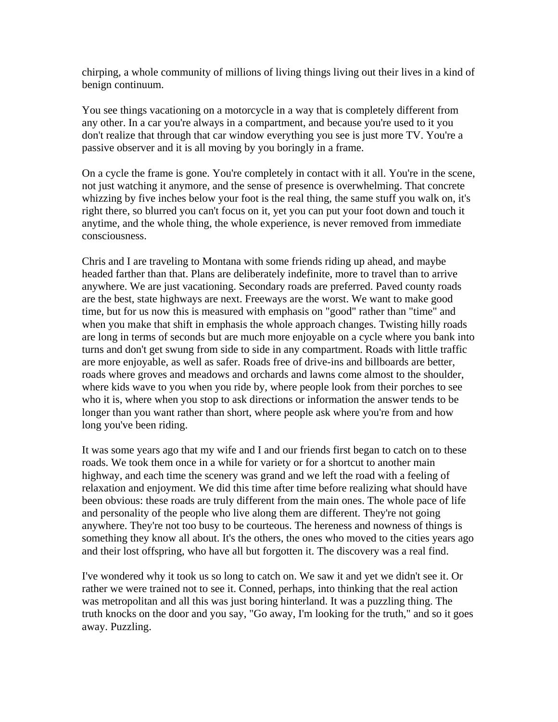chirping, a whole community of millions of living things living out their lives in a kind of benign continuum.

You see things vacationing on a motorcycle in a way that is completely different from any other. In a car you're always in a compartment, and because you're used to it you don't realize that through that car window everything you see is just more TV. You're a passive observer and it is all moving by you boringly in a frame.

On a cycle the frame is gone. You're completely in contact with it all. You're in the scene, not just watching it anymore, and the sense of presence is overwhelming. That concrete whizzing by five inches below your foot is the real thing, the same stuff you walk on, it's right there, so blurred you can't focus on it, yet you can put your foot down and touch it anytime, and the whole thing, the whole experience, is never removed from immediate consciousness.

Chris and I are traveling to Montana with some friends riding up ahead, and maybe headed farther than that. Plans are deliberately indefinite, more to travel than to arrive anywhere. We are just vacationing. Secondary roads are preferred. Paved county roads are the best, state highways are next. Freeways are the worst. We want to make good time, but for us now this is measured with emphasis on "good" rather than "time" and when you make that shift in emphasis the whole approach changes. Twisting hilly roads are long in terms of seconds but are much more enjoyable on a cycle where you bank into turns and don't get swung from side to side in any compartment. Roads with little traffic are more enjoyable, as well as safer. Roads free of drive-ins and billboards are better, roads where groves and meadows and orchards and lawns come almost to the shoulder, where kids wave to you when you ride by, where people look from their porches to see who it is, where when you stop to ask directions or information the answer tends to be longer than you want rather than short, where people ask where you're from and how long you've been riding.

It was some years ago that my wife and I and our friends first began to catch on to these roads. We took them once in a while for variety or for a shortcut to another main highway, and each time the scenery was grand and we left the road with a feeling of relaxation and enjoyment. We did this time after time before realizing what should have been obvious: these roads are truly different from the main ones. The whole pace of life and personality of the people who live along them are different. They're not going anywhere. They're not too busy to be courteous. The hereness and nowness of things is something they know all about. It's the others, the ones who moved to the cities years ago and their lost offspring, who have all but forgotten it. The discovery was a real find.

I've wondered why it took us so long to catch on. We saw it and yet we didn't see it. Or rather we were trained not to see it. Conned, perhaps, into thinking that the real action was metropolitan and all this was just boring hinterland. It was a puzzling thing. The truth knocks on the door and you say, "Go away, I'm looking for the truth," and so it goes away. Puzzling.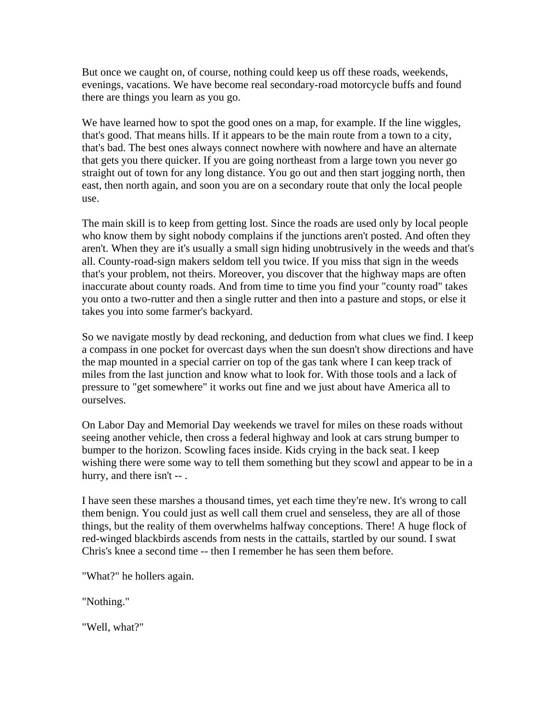But once we caught on, of course, nothing could keep us off these roads, weekends, evenings, vacations. We have become real secondary-road motorcycle buffs and found there are things you learn as you go.

We have learned how to spot the good ones on a map, for example. If the line wiggles, that's good. That means hills. If it appears to be the main route from a town to a city, that's bad. The best ones always connect nowhere with nowhere and have an alternate that gets you there quicker. If you are going northeast from a large town you never go straight out of town for any long distance. You go out and then start jogging north, then east, then north again, and soon you are on a secondary route that only the local people use.

The main skill is to keep from getting lost. Since the roads are used only by local people who know them by sight nobody complains if the junctions aren't posted. And often they aren't. When they are it's usually a small sign hiding unobtrusively in the weeds and that's all. County-road-sign makers seldom tell you twice. If you miss that sign in the weeds that's your problem, not theirs. Moreover, you discover that the highway maps are often inaccurate about county roads. And from time to time you find your "county road" takes you onto a two-rutter and then a single rutter and then into a pasture and stops, or else it takes you into some farmer's backyard.

So we navigate mostly by dead reckoning, and deduction from what clues we find. I keep a compass in one pocket for overcast days when the sun doesn't show directions and have the map mounted in a special carrier on top of the gas tank where I can keep track of miles from the last junction and know what to look for. With those tools and a lack of pressure to "get somewhere" it works out fine and we just about have America all to ourselves.

On Labor Day and Memorial Day weekends we travel for miles on these roads without seeing another vehicle, then cross a federal highway and look at cars strung bumper to bumper to the horizon. Scowling faces inside. Kids crying in the back seat. I keep wishing there were some way to tell them something but they scowl and appear to be in a hurry, and there isn't -- .

I have seen these marshes a thousand times, yet each time they're new. It's wrong to call them benign. You could just as well call them cruel and senseless, they are all of those things, but the reality of them overwhelms halfway conceptions. There! A huge flock of red-winged blackbirds ascends from nests in the cattails, startled by our sound. I swat Chris's knee a second time -- then I remember he has seen them before.

"What?" he hollers again.

"Nothing."

"Well, what?"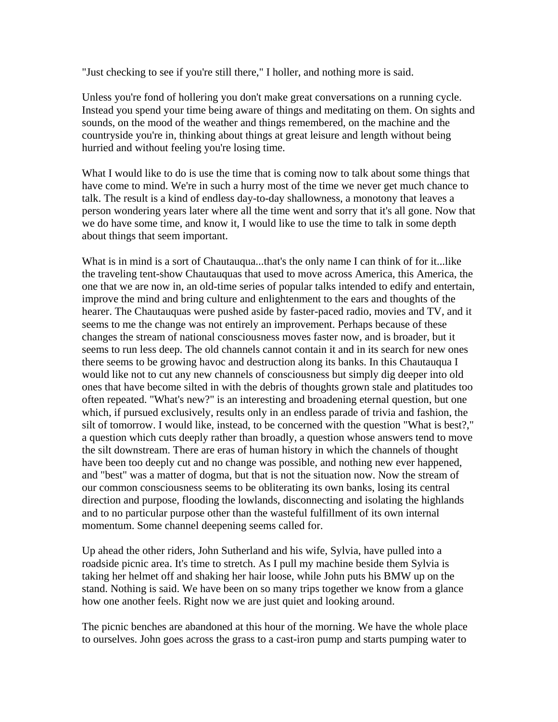"Just checking to see if you're still there," I holler, and nothing more is said.

Unless you're fond of hollering you don't make great conversations on a running cycle. Instead you spend your time being aware of things and meditating on them. On sights and sounds, on the mood of the weather and things remembered, on the machine and the countryside you're in, thinking about things at great leisure and length without being hurried and without feeling you're losing time.

What I would like to do is use the time that is coming now to talk about some things that have come to mind. We're in such a hurry most of the time we never get much chance to talk. The result is a kind of endless day-to-day shallowness, a monotony that leaves a person wondering years later where all the time went and sorry that it's all gone. Now that we do have some time, and know it, I would like to use the time to talk in some depth about things that seem important.

What is in mind is a sort of Chautauqua...that's the only name I can think of for it...like the traveling tent-show Chautauquas that used to move across America, this America, the one that we are now in, an old-time series of popular talks intended to edify and entertain, improve the mind and bring culture and enlightenment to the ears and thoughts of the hearer. The Chautauquas were pushed aside by faster-paced radio, movies and TV, and it seems to me the change was not entirely an improvement. Perhaps because of these changes the stream of national consciousness moves faster now, and is broader, but it seems to run less deep. The old channels cannot contain it and in its search for new ones there seems to be growing havoc and destruction along its banks. In this Chautauqua I would like not to cut any new channels of consciousness but simply dig deeper into old ones that have become silted in with the debris of thoughts grown stale and platitudes too often repeated. "What's new?" is an interesting and broadening eternal question, but one which, if pursued exclusively, results only in an endless parade of trivia and fashion, the silt of tomorrow. I would like, instead, to be concerned with the question "What is best?," a question which cuts deeply rather than broadly, a question whose answers tend to move the silt downstream. There are eras of human history in which the channels of thought have been too deeply cut and no change was possible, and nothing new ever happened, and "best" was a matter of dogma, but that is not the situation now. Now the stream of our common consciousness seems to be obliterating its own banks, losing its central direction and purpose, flooding the lowlands, disconnecting and isolating the highlands and to no particular purpose other than the wasteful fulfillment of its own internal momentum. Some channel deepening seems called for.

Up ahead the other riders, John Sutherland and his wife, Sylvia, have pulled into a roadside picnic area. It's time to stretch. As I pull my machine beside them Sylvia is taking her helmet off and shaking her hair loose, while John puts his BMW up on the stand. Nothing is said. We have been on so many trips together we know from a glance how one another feels. Right now we are just quiet and looking around.

The picnic benches are abandoned at this hour of the morning. We have the whole place to ourselves. John goes across the grass to a cast-iron pump and starts pumping water to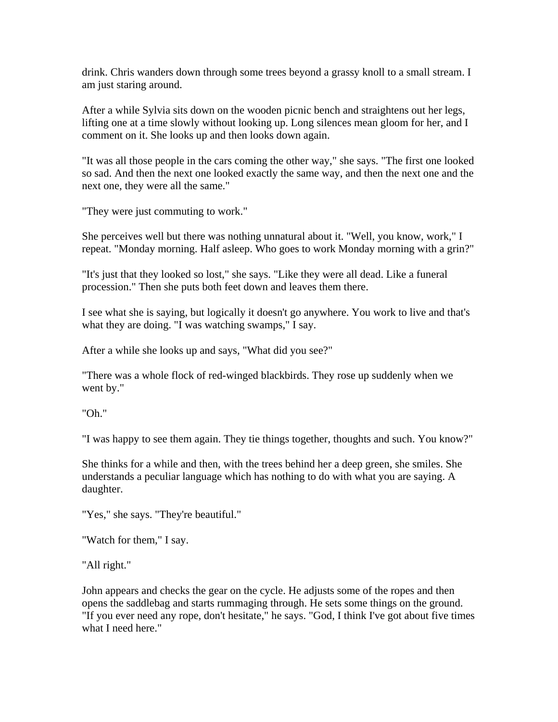drink. Chris wanders down through some trees beyond a grassy knoll to a small stream. I am just staring around.

After a while Sylvia sits down on the wooden picnic bench and straightens out her legs, lifting one at a time slowly without looking up. Long silences mean gloom for her, and I comment on it. She looks up and then looks down again.

"It was all those people in the cars coming the other way," she says. "The first one looked so sad. And then the next one looked exactly the same way, and then the next one and the next one, they were all the same."

"They were just commuting to work."

She perceives well but there was nothing unnatural about it. "Well, you know, work," I repeat. "Monday morning. Half asleep. Who goes to work Monday morning with a grin?"

"It's just that they looked so lost," she says. "Like they were all dead. Like a funeral procession." Then she puts both feet down and leaves them there.

I see what she is saying, but logically it doesn't go anywhere. You work to live and that's what they are doing. "I was watching swamps," I say.

After a while she looks up and says, "What did you see?"

"There was a whole flock of red-winged blackbirds. They rose up suddenly when we went by."

"Oh."

"I was happy to see them again. They tie things together, thoughts and such. You know?"

She thinks for a while and then, with the trees behind her a deep green, she smiles. She understands a peculiar language which has nothing to do with what you are saying. A daughter.

"Yes," she says. "They're beautiful."

"Watch for them," I say.

"All right."

John appears and checks the gear on the cycle. He adjusts some of the ropes and then opens the saddlebag and starts rummaging through. He sets some things on the ground. "If you ever need any rope, don't hesitate," he says. "God, I think I've got about five times what I need here."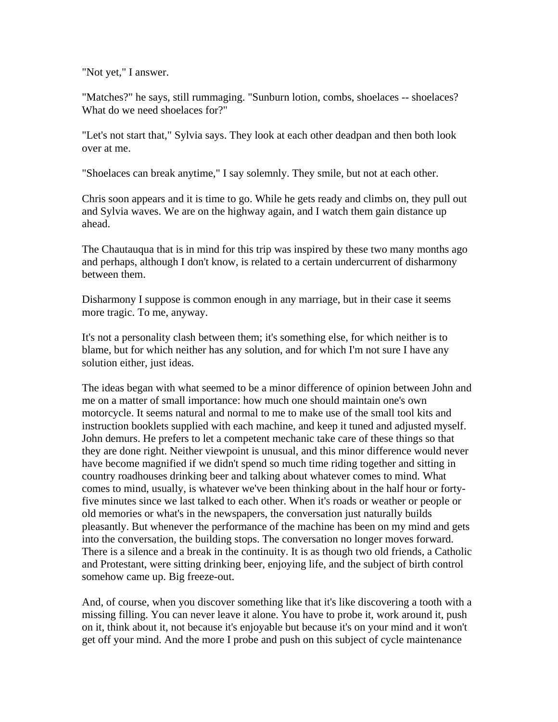"Not yet," I answer.

"Matches?" he says, still rummaging. "Sunburn lotion, combs, shoelaces -- shoelaces? What do we need shoelaces for?"

"Let's not start that," Sylvia says. They look at each other deadpan and then both look over at me.

"Shoelaces can break anytime," I say solemnly. They smile, but not at each other.

Chris soon appears and it is time to go. While he gets ready and climbs on, they pull out and Sylvia waves. We are on the highway again, and I watch them gain distance up ahead.

The Chautauqua that is in mind for this trip was inspired by these two many months ago and perhaps, although I don't know, is related to a certain undercurrent of disharmony between them.

Disharmony I suppose is common enough in any marriage, but in their case it seems more tragic. To me, anyway.

It's not a personality clash between them; it's something else, for which neither is to blame, but for which neither has any solution, and for which I'm not sure I have any solution either, just ideas.

The ideas began with what seemed to be a minor difference of opinion between John and me on a matter of small importance: how much one should maintain one's own motorcycle. It seems natural and normal to me to make use of the small tool kits and instruction booklets supplied with each machine, and keep it tuned and adjusted myself. John demurs. He prefers to let a competent mechanic take care of these things so that they are done right. Neither viewpoint is unusual, and this minor difference would never have become magnified if we didn't spend so much time riding together and sitting in country roadhouses drinking beer and talking about whatever comes to mind. What comes to mind, usually, is whatever we've been thinking about in the half hour or fortyfive minutes since we last talked to each other. When it's roads or weather or people or old memories or what's in the newspapers, the conversation just naturally builds pleasantly. But whenever the performance of the machine has been on my mind and gets into the conversation, the building stops. The conversation no longer moves forward. There is a silence and a break in the continuity. It is as though two old friends, a Catholic and Protestant, were sitting drinking beer, enjoying life, and the subject of birth control somehow came up. Big freeze-out.

And, of course, when you discover something like that it's like discovering a tooth with a missing filling. You can never leave it alone. You have to probe it, work around it, push on it, think about it, not because it's enjoyable but because it's on your mind and it won't get off your mind. And the more I probe and push on this subject of cycle maintenance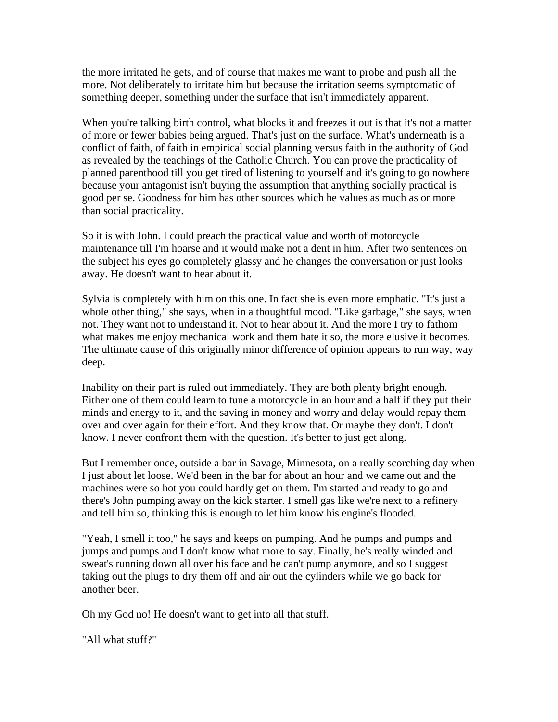the more irritated he gets, and of course that makes me want to probe and push all the more. Not deliberately to irritate him but because the irritation seems symptomatic of something deeper, something under the surface that isn't immediately apparent.

When you're talking birth control, what blocks it and freezes it out is that it's not a matter of more or fewer babies being argued. That's just on the surface. What's underneath is a conflict of faith, of faith in empirical social planning versus faith in the authority of God as revealed by the teachings of the Catholic Church. You can prove the practicality of planned parenthood till you get tired of listening to yourself and it's going to go nowhere because your antagonist isn't buying the assumption that anything socially practical is good per se. Goodness for him has other sources which he values as much as or more than social practicality.

So it is with John. I could preach the practical value and worth of motorcycle maintenance till I'm hoarse and it would make not a dent in him. After two sentences on the subject his eyes go completely glassy and he changes the conversation or just looks away. He doesn't want to hear about it.

Sylvia is completely with him on this one. In fact she is even more emphatic. "It's just a whole other thing," she says, when in a thoughtful mood. "Like garbage," she says, when not. They want not to understand it. Not to hear about it. And the more I try to fathom what makes me enjoy mechanical work and them hate it so, the more elusive it becomes. The ultimate cause of this originally minor difference of opinion appears to run way, way deep.

Inability on their part is ruled out immediately. They are both plenty bright enough. Either one of them could learn to tune a motorcycle in an hour and a half if they put their minds and energy to it, and the saving in money and worry and delay would repay them over and over again for their effort. And they know that. Or maybe they don't. I don't know. I never confront them with the question. It's better to just get along.

But I remember once, outside a bar in Savage, Minnesota, on a really scorching day when I just about let loose. We'd been in the bar for about an hour and we came out and the machines were so hot you could hardly get on them. I'm started and ready to go and there's John pumping away on the kick starter. I smell gas like we're next to a refinery and tell him so, thinking this is enough to let him know his engine's flooded.

"Yeah, I smell it too," he says and keeps on pumping. And he pumps and pumps and jumps and pumps and I don't know what more to say. Finally, he's really winded and sweat's running down all over his face and he can't pump anymore, and so I suggest taking out the plugs to dry them off and air out the cylinders while we go back for another beer.

Oh my God no! He doesn't want to get into all that stuff.

"All what stuff?"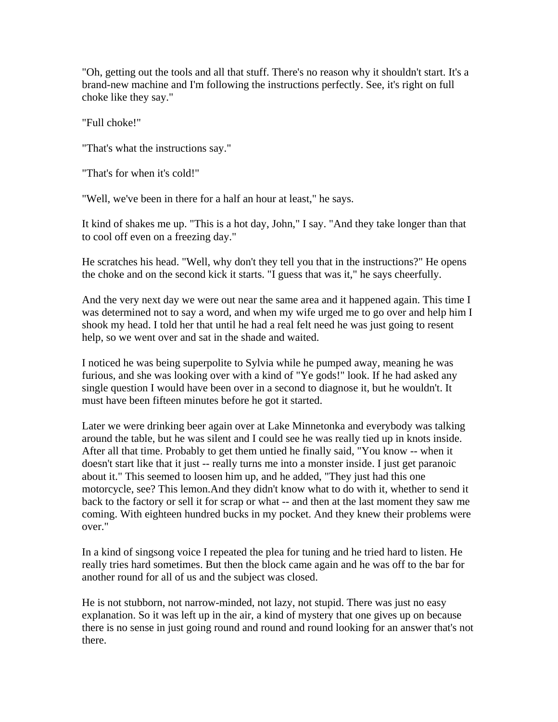"Oh, getting out the tools and all that stuff. There's no reason why it shouldn't start. It's a brand-new machine and I'm following the instructions perfectly. See, it's right on full choke like they say."

"Full choke!"

"That's what the instructions say."

"That's for when it's cold!"

"Well, we've been in there for a half an hour at least," he says.

It kind of shakes me up. "This is a hot day, John," I say. "And they take longer than that to cool off even on a freezing day."

He scratches his head. "Well, why don't they tell you that in the instructions?" He opens the choke and on the second kick it starts. "I guess that was it," he says cheerfully.

And the very next day we were out near the same area and it happened again. This time I was determined not to say a word, and when my wife urged me to go over and help him I shook my head. I told her that until he had a real felt need he was just going to resent help, so we went over and sat in the shade and waited.

I noticed he was being superpolite to Sylvia while he pumped away, meaning he was furious, and she was looking over with a kind of "Ye gods!" look. If he had asked any single question I would have been over in a second to diagnose it, but he wouldn't. It must have been fifteen minutes before he got it started.

Later we were drinking beer again over at Lake Minnetonka and everybody was talking around the table, but he was silent and I could see he was really tied up in knots inside. After all that time. Probably to get them untied he finally said, "You know -- when it doesn't start like that it just -- really turns me into a monster inside. I just get paranoic about it." This seemed to loosen him up, and he added, "They just had this one motorcycle, see? This lemon.And they didn't know what to do with it, whether to send it back to the factory or sell it for scrap or what -- and then at the last moment they saw me coming. With eighteen hundred bucks in my pocket. And they knew their problems were over."

In a kind of singsong voice I repeated the plea for tuning and he tried hard to listen. He really tries hard sometimes. But then the block came again and he was off to the bar for another round for all of us and the subject was closed.

He is not stubborn, not narrow-minded, not lazy, not stupid. There was just no easy explanation. So it was left up in the air, a kind of mystery that one gives up on because there is no sense in just going round and round and round looking for an answer that's not there.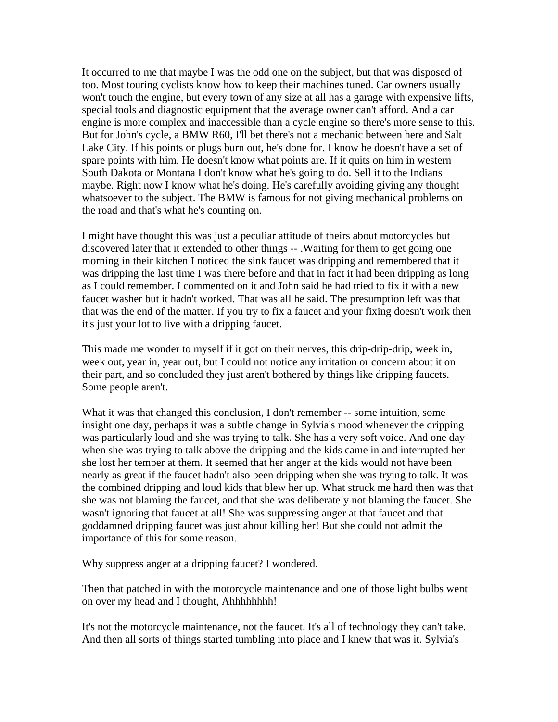It occurred to me that maybe I was the odd one on the subject, but that was disposed of too. Most touring cyclists know how to keep their machines tuned. Car owners usually won't touch the engine, but every town of any size at all has a garage with expensive lifts, special tools and diagnostic equipment that the average owner can't afford. And a car engine is more complex and inaccessible than a cycle engine so there's more sense to this. But for John's cycle, a BMW R60, I'll bet there's not a mechanic between here and Salt Lake City. If his points or plugs burn out, he's done for. I know he doesn't have a set of spare points with him. He doesn't know what points are. If it quits on him in western South Dakota or Montana I don't know what he's going to do. Sell it to the Indians maybe. Right now I know what he's doing. He's carefully avoiding giving any thought whatsoever to the subject. The BMW is famous for not giving mechanical problems on the road and that's what he's counting on.

I might have thought this was just a peculiar attitude of theirs about motorcycles but discovered later that it extended to other things -- .Waiting for them to get going one morning in their kitchen I noticed the sink faucet was dripping and remembered that it was dripping the last time I was there before and that in fact it had been dripping as long as I could remember. I commented on it and John said he had tried to fix it with a new faucet washer but it hadn't worked. That was all he said. The presumption left was that that was the end of the matter. If you try to fix a faucet and your fixing doesn't work then it's just your lot to live with a dripping faucet.

This made me wonder to myself if it got on their nerves, this drip-drip-drip, week in, week out, year in, year out, but I could not notice any irritation or concern about it on their part, and so concluded they just aren't bothered by things like dripping faucets. Some people aren't.

What it was that changed this conclusion, I don't remember -- some intuition, some insight one day, perhaps it was a subtle change in Sylvia's mood whenever the dripping was particularly loud and she was trying to talk. She has a very soft voice. And one day when she was trying to talk above the dripping and the kids came in and interrupted her she lost her temper at them. It seemed that her anger at the kids would not have been nearly as great if the faucet hadn't also been dripping when she was trying to talk. It was the combined dripping and loud kids that blew her up. What struck me hard then was that she was not blaming the faucet, and that she was deliberately not blaming the faucet. She wasn't ignoring that faucet at all! She was suppressing anger at that faucet and that goddamned dripping faucet was just about killing her! But she could not admit the importance of this for some reason.

Why suppress anger at a dripping faucet? I wondered.

Then that patched in with the motorcycle maintenance and one of those light bulbs went on over my head and I thought, Ahhhhhhhh!

It's not the motorcycle maintenance, not the faucet. It's all of technology they can't take. And then all sorts of things started tumbling into place and I knew that was it. Sylvia's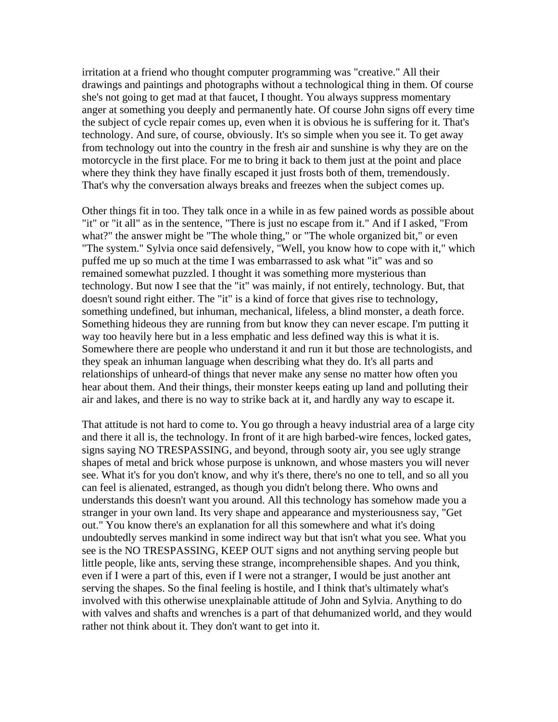irritation at a friend who thought computer programming was "creative." All their drawings and paintings and photographs without a technological thing in them. Of course she's not going to get mad at that faucet, I thought. You always suppress momentary anger at something you deeply and permanently hate. Of course John signs off every time the subject of cycle repair comes up, even when it is obvious he is suffering for it. That's technology. And sure, of course, obviously. It's so simple when you see it. To get away from technology out into the country in the fresh air and sunshine is why they are on the motorcycle in the first place. For me to bring it back to them just at the point and place where they think they have finally escaped it just frosts both of them, tremendously. That's why the conversation always breaks and freezes when the subject comes up.

Other things fit in too. They talk once in a while in as few pained words as possible about "it" or "it all" as in the sentence, "There is just no escape from it." And if I asked, "From what?" the answer might be "The whole thing," or "The whole organized bit," or even "The system." Sylvia once said defensively, "Well, you know how to cope with it," which puffed me up so much at the time I was embarrassed to ask what "it" was and so remained somewhat puzzled. I thought it was something more mysterious than technology. But now I see that the "it" was mainly, if not entirely, technology. But, that doesn't sound right either. The "it" is a kind of force that gives rise to technology, something undefined, but inhuman, mechanical, lifeless, a blind monster, a death force. Something hideous they are running from but know they can never escape. I'm putting it way too heavily here but in a less emphatic and less defined way this is what it is. Somewhere there are people who understand it and run it but those are technologists, and they speak an inhuman language when describing what they do. It's all parts and relationships of unheard-of things that never make any sense no matter how often you hear about them. And their things, their monster keeps eating up land and polluting their air and lakes, and there is no way to strike back at it, and hardly any way to escape it.

That attitude is not hard to come to. You go through a heavy industrial area of a large city and there it all is, the technology. In front of it are high barbed-wire fences, locked gates, signs saying NO TRESPASSING, and beyond, through sooty air, you see ugly strange shapes of metal and brick whose purpose is unknown, and whose masters you will never see. What it's for you don't know, and why it's there, there's no one to tell, and so all you can feel is alienated, estranged, as though you didn't belong there. Who owns and understands this doesn't want you around. All this technology has somehow made you a stranger in your own land. Its very shape and appearance and mysteriousness say, "Get out." You know there's an explanation for all this somewhere and what it's doing undoubtedly serves mankind in some indirect way but that isn't what you see. What you see is the NO TRESPASSING, KEEP OUT signs and not anything serving people but little people, like ants, serving these strange, incomprehensible shapes. And you think, even if I were a part of this, even if I were not a stranger, I would be just another ant serving the shapes. So the final feeling is hostile, and I think that's ultimately what's involved with this otherwise unexplainable attitude of John and Sylvia. Anything to do with valves and shafts and wrenches is a part of that dehumanized world, and they would rather not think about it. They don't want to get into it.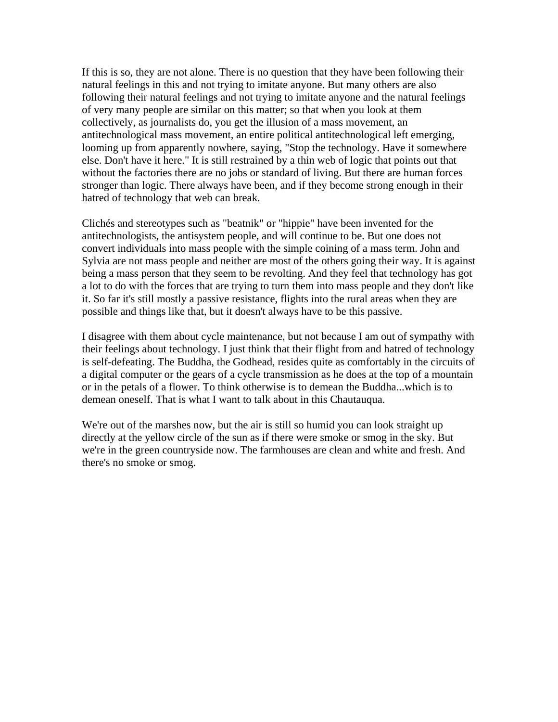If this is so, they are not alone. There is no question that they have been following their natural feelings in this and not trying to imitate anyone. But many others are also following their natural feelings and not trying to imitate anyone and the natural feelings of very many people are similar on this matter; so that when you look at them collectively, as journalists do, you get the illusion of a mass movement, an antitechnological mass movement, an entire political antitechnological left emerging, looming up from apparently nowhere, saying, "Stop the technology. Have it somewhere else. Don't have it here." It is still restrained by a thin web of logic that points out that without the factories there are no jobs or standard of living. But there are human forces stronger than logic. There always have been, and if they become strong enough in their hatred of technology that web can break.

Clichés and stereotypes such as "beatnik" or "hippie" have been invented for the antitechnologists, the antisystem people, and will continue to be. But one does not convert individuals into mass people with the simple coining of a mass term. John and Sylvia are not mass people and neither are most of the others going their way. It is against being a mass person that they seem to be revolting. And they feel that technology has got a lot to do with the forces that are trying to turn them into mass people and they don't like it. So far it's still mostly a passive resistance, flights into the rural areas when they are possible and things like that, but it doesn't always have to be this passive.

I disagree with them about cycle maintenance, but not because I am out of sympathy with their feelings about technology. I just think that their flight from and hatred of technology is self-defeating. The Buddha, the Godhead, resides quite as comfortably in the circuits of a digital computer or the gears of a cycle transmission as he does at the top of a mountain or in the petals of a flower. To think otherwise is to demean the Buddha...which is to demean oneself. That is what I want to talk about in this Chautauqua.

We're out of the marshes now, but the air is still so humid you can look straight up directly at the yellow circle of the sun as if there were smoke or smog in the sky. But we're in the green countryside now. The farmhouses are clean and white and fresh. And there's no smoke or smog.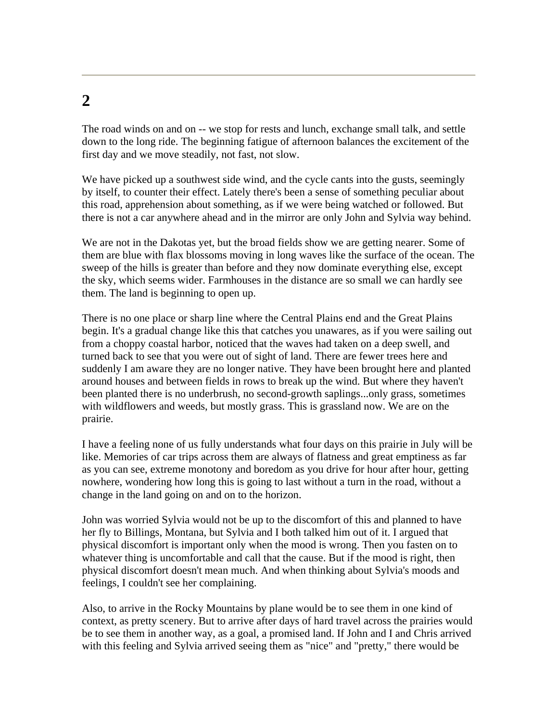#### **2**

The road winds on and on -- we stop for rests and lunch, exchange small talk, and settle down to the long ride. The beginning fatigue of afternoon balances the excitement of the first day and we move steadily, not fast, not slow.

We have picked up a southwest side wind, and the cycle cants into the gusts, seemingly by itself, to counter their effect. Lately there's been a sense of something peculiar about this road, apprehension about something, as if we were being watched or followed. But there is not a car anywhere ahead and in the mirror are only John and Sylvia way behind.

We are not in the Dakotas yet, but the broad fields show we are getting nearer. Some of them are blue with flax blossoms moving in long waves like the surface of the ocean. The sweep of the hills is greater than before and they now dominate everything else, except the sky, which seems wider. Farmhouses in the distance are so small we can hardly see them. The land is beginning to open up.

There is no one place or sharp line where the Central Plains end and the Great Plains begin. It's a gradual change like this that catches you unawares, as if you were sailing out from a choppy coastal harbor, noticed that the waves had taken on a deep swell, and turned back to see that you were out of sight of land. There are fewer trees here and suddenly I am aware they are no longer native. They have been brought here and planted around houses and between fields in rows to break up the wind. But where they haven't been planted there is no underbrush, no second-growth saplings...only grass, sometimes with wildflowers and weeds, but mostly grass. This is grassland now. We are on the prairie.

I have a feeling none of us fully understands what four days on this prairie in July will be like. Memories of car trips across them are always of flatness and great emptiness as far as you can see, extreme monotony and boredom as you drive for hour after hour, getting nowhere, wondering how long this is going to last without a turn in the road, without a change in the land going on and on to the horizon.

John was worried Sylvia would not be up to the discomfort of this and planned to have her fly to Billings, Montana, but Sylvia and I both talked him out of it. I argued that physical discomfort is important only when the mood is wrong. Then you fasten on to whatever thing is uncomfortable and call that the cause. But if the mood is right, then physical discomfort doesn't mean much. And when thinking about Sylvia's moods and feelings, I couldn't see her complaining.

Also, to arrive in the Rocky Mountains by plane would be to see them in one kind of context, as pretty scenery. But to arrive after days of hard travel across the prairies would be to see them in another way, as a goal, a promised land. If John and I and Chris arrived with this feeling and Sylvia arrived seeing them as "nice" and "pretty," there would be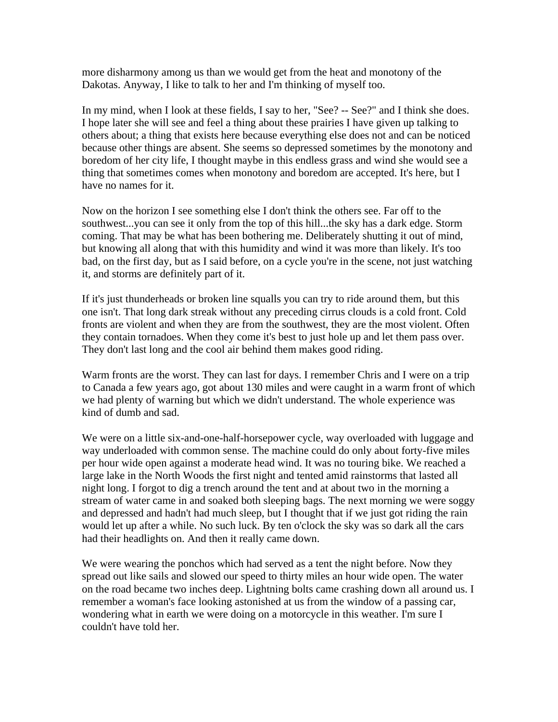more disharmony among us than we would get from the heat and monotony of the Dakotas. Anyway, I like to talk to her and I'm thinking of myself too.

In my mind, when I look at these fields, I say to her, "See? -- See?" and I think she does. I hope later she will see and feel a thing about these prairies I have given up talking to others about; a thing that exists here because everything else does not and can be noticed because other things are absent. She seems so depressed sometimes by the monotony and boredom of her city life, I thought maybe in this endless grass and wind she would see a thing that sometimes comes when monotony and boredom are accepted. It's here, but I have no names for it.

Now on the horizon I see something else I don't think the others see. Far off to the southwest...you can see it only from the top of this hill...the sky has a dark edge. Storm coming. That may be what has been bothering me. Deliberately shutting it out of mind, but knowing all along that with this humidity and wind it was more than likely. It's too bad, on the first day, but as I said before, on a cycle you're in the scene, not just watching it, and storms are definitely part of it.

If it's just thunderheads or broken line squalls you can try to ride around them, but this one isn't. That long dark streak without any preceding cirrus clouds is a cold front. Cold fronts are violent and when they are from the southwest, they are the most violent. Often they contain tornadoes. When they come it's best to just hole up and let them pass over. They don't last long and the cool air behind them makes good riding.

Warm fronts are the worst. They can last for days. I remember Chris and I were on a trip to Canada a few years ago, got about 130 miles and were caught in a warm front of which we had plenty of warning but which we didn't understand. The whole experience was kind of dumb and sad.

We were on a little six-and-one-half-horsepower cycle, way overloaded with luggage and way underloaded with common sense. The machine could do only about forty-five miles per hour wide open against a moderate head wind. It was no touring bike. We reached a large lake in the North Woods the first night and tented amid rainstorms that lasted all night long. I forgot to dig a trench around the tent and at about two in the morning a stream of water came in and soaked both sleeping bags. The next morning we were soggy and depressed and hadn't had much sleep, but I thought that if we just got riding the rain would let up after a while. No such luck. By ten o'clock the sky was so dark all the cars had their headlights on. And then it really came down.

We were wearing the ponchos which had served as a tent the night before. Now they spread out like sails and slowed our speed to thirty miles an hour wide open. The water on the road became two inches deep. Lightning bolts came crashing down all around us. I remember a woman's face looking astonished at us from the window of a passing car, wondering what in earth we were doing on a motorcycle in this weather. I'm sure I couldn't have told her.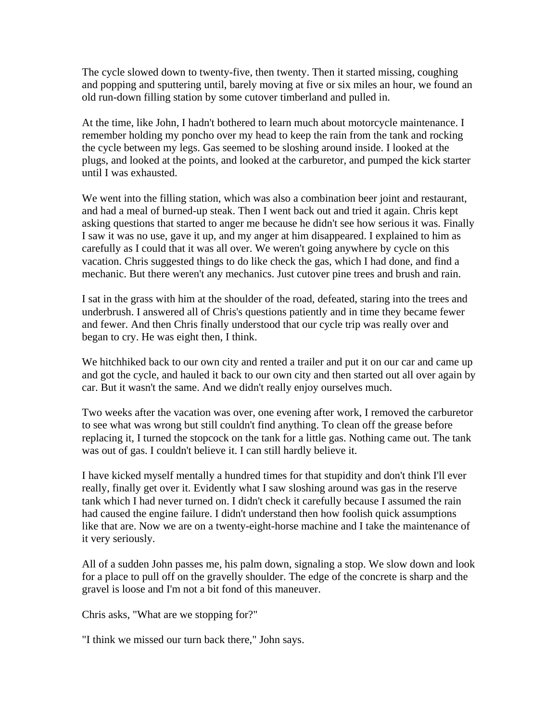The cycle slowed down to twenty-five, then twenty. Then it started missing, coughing and popping and sputtering until, barely moving at five or six miles an hour, we found an old run-down filling station by some cutover timberland and pulled in.

At the time, like John, I hadn't bothered to learn much about motorcycle maintenance. I remember holding my poncho over my head to keep the rain from the tank and rocking the cycle between my legs. Gas seemed to be sloshing around inside. I looked at the plugs, and looked at the points, and looked at the carburetor, and pumped the kick starter until I was exhausted.

We went into the filling station, which was also a combination beer joint and restaurant, and had a meal of burned-up steak. Then I went back out and tried it again. Chris kept asking questions that started to anger me because he didn't see how serious it was. Finally I saw it was no use, gave it up, and my anger at him disappeared. I explained to him as carefully as I could that it was all over. We weren't going anywhere by cycle on this vacation. Chris suggested things to do like check the gas, which I had done, and find a mechanic. But there weren't any mechanics. Just cutover pine trees and brush and rain.

I sat in the grass with him at the shoulder of the road, defeated, staring into the trees and underbrush. I answered all of Chris's questions patiently and in time they became fewer and fewer. And then Chris finally understood that our cycle trip was really over and began to cry. He was eight then, I think.

We hitchhiked back to our own city and rented a trailer and put it on our car and came up and got the cycle, and hauled it back to our own city and then started out all over again by car. But it wasn't the same. And we didn't really enjoy ourselves much.

Two weeks after the vacation was over, one evening after work, I removed the carburetor to see what was wrong but still couldn't find anything. To clean off the grease before replacing it, I turned the stopcock on the tank for a little gas. Nothing came out. The tank was out of gas. I couldn't believe it. I can still hardly believe it.

I have kicked myself mentally a hundred times for that stupidity and don't think I'll ever really, finally get over it. Evidently what I saw sloshing around was gas in the reserve tank which I had never turned on. I didn't check it carefully because I assumed the rain had caused the engine failure. I didn't understand then how foolish quick assumptions like that are. Now we are on a twenty-eight-horse machine and I take the maintenance of it very seriously.

All of a sudden John passes me, his palm down, signaling a stop. We slow down and look for a place to pull off on the gravelly shoulder. The edge of the concrete is sharp and the gravel is loose and I'm not a bit fond of this maneuver.

Chris asks, "What are we stopping for?"

"I think we missed our turn back there," John says.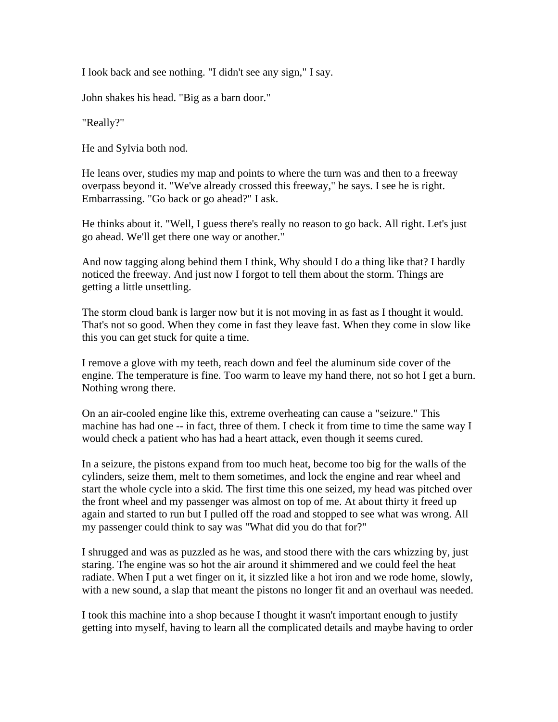I look back and see nothing. "I didn't see any sign," I say.

John shakes his head. "Big as a barn door."

"Really?"

He and Sylvia both nod.

He leans over, studies my map and points to where the turn was and then to a freeway overpass beyond it. "We've already crossed this freeway," he says. I see he is right. Embarrassing. "Go back or go ahead?" I ask.

He thinks about it. "Well, I guess there's really no reason to go back. All right. Let's just go ahead. We'll get there one way or another."

And now tagging along behind them I think, Why should I do a thing like that? I hardly noticed the freeway. And just now I forgot to tell them about the storm. Things are getting a little unsettling.

The storm cloud bank is larger now but it is not moving in as fast as I thought it would. That's not so good. When they come in fast they leave fast. When they come in slow like this you can get stuck for quite a time.

I remove a glove with my teeth, reach down and feel the aluminum side cover of the engine. The temperature is fine. Too warm to leave my hand there, not so hot I get a burn. Nothing wrong there.

On an air-cooled engine like this, extreme overheating can cause a "seizure." This machine has had one -- in fact, three of them. I check it from time to time the same way I would check a patient who has had a heart attack, even though it seems cured.

In a seizure, the pistons expand from too much heat, become too big for the walls of the cylinders, seize them, melt to them sometimes, and lock the engine and rear wheel and start the whole cycle into a skid. The first time this one seized, my head was pitched over the front wheel and my passenger was almost on top of me. At about thirty it freed up again and started to run but I pulled off the road and stopped to see what was wrong. All my passenger could think to say was "What did you do that for?"

I shrugged and was as puzzled as he was, and stood there with the cars whizzing by, just staring. The engine was so hot the air around it shimmered and we could feel the heat radiate. When I put a wet finger on it, it sizzled like a hot iron and we rode home, slowly, with a new sound, a slap that meant the pistons no longer fit and an overhaul was needed.

I took this machine into a shop because I thought it wasn't important enough to justify getting into myself, having to learn all the complicated details and maybe having to order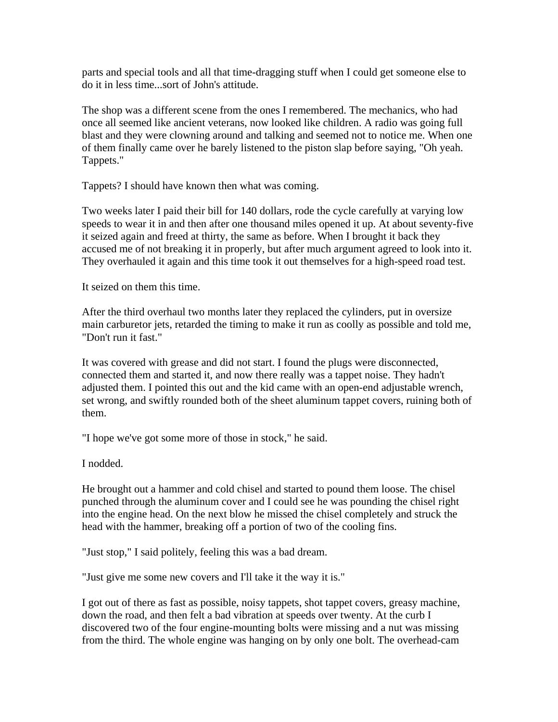parts and special tools and all that time-dragging stuff when I could get someone else to do it in less time...sort of John's attitude.

The shop was a different scene from the ones I remembered. The mechanics, who had once all seemed like ancient veterans, now looked like children. A radio was going full blast and they were clowning around and talking and seemed not to notice me. When one of them finally came over he barely listened to the piston slap before saying, "Oh yeah. Tappets."

Tappets? I should have known then what was coming.

Two weeks later I paid their bill for 140 dollars, rode the cycle carefully at varying low speeds to wear it in and then after one thousand miles opened it up. At about seventy-five it seized again and freed at thirty, the same as before. When I brought it back they accused me of not breaking it in properly, but after much argument agreed to look into it. They overhauled it again and this time took it out themselves for a high-speed road test.

It seized on them this time.

After the third overhaul two months later they replaced the cylinders, put in oversize main carburetor jets, retarded the timing to make it run as coolly as possible and told me, "Don't run it fast."

It was covered with grease and did not start. I found the plugs were disconnected, connected them and started it, and now there really was a tappet noise. They hadn't adjusted them. I pointed this out and the kid came with an open-end adjustable wrench, set wrong, and swiftly rounded both of the sheet aluminum tappet covers, ruining both of them.

"I hope we've got some more of those in stock," he said.

I nodded.

He brought out a hammer and cold chisel and started to pound them loose. The chisel punched through the aluminum cover and I could see he was pounding the chisel right into the engine head. On the next blow he missed the chisel completely and struck the head with the hammer, breaking off a portion of two of the cooling fins.

"Just stop," I said politely, feeling this was a bad dream.

"Just give me some new covers and I'll take it the way it is."

I got out of there as fast as possible, noisy tappets, shot tappet covers, greasy machine, down the road, and then felt a bad vibration at speeds over twenty. At the curb I discovered two of the four engine-mounting bolts were missing and a nut was missing from the third. The whole engine was hanging on by only one bolt. The overhead-cam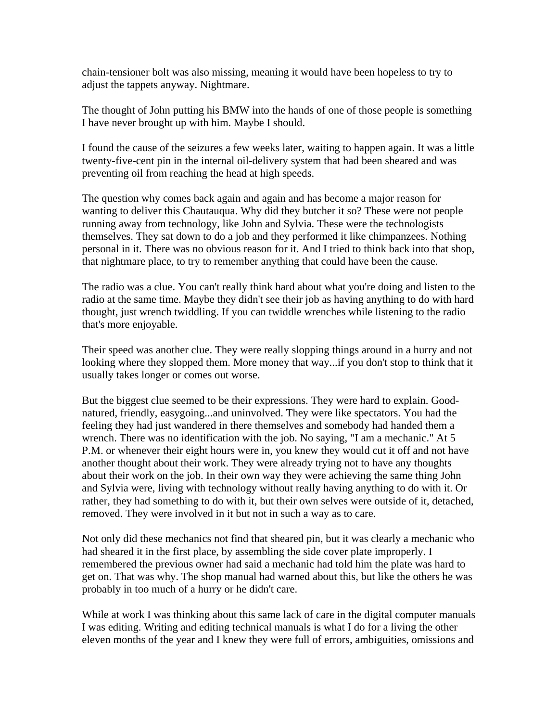chain-tensioner bolt was also missing, meaning it would have been hopeless to try to adjust the tappets anyway. Nightmare.

The thought of John putting his BMW into the hands of one of those people is something I have never brought up with him. Maybe I should.

I found the cause of the seizures a few weeks later, waiting to happen again. It was a little twenty-five-cent pin in the internal oil-delivery system that had been sheared and was preventing oil from reaching the head at high speeds.

The question why comes back again and again and has become a major reason for wanting to deliver this Chautauqua. Why did they butcher it so? These were not people running away from technology, like John and Sylvia. These were the technologists themselves. They sat down to do a job and they performed it like chimpanzees. Nothing personal in it. There was no obvious reason for it. And I tried to think back into that shop, that nightmare place, to try to remember anything that could have been the cause.

The radio was a clue. You can't really think hard about what you're doing and listen to the radio at the same time. Maybe they didn't see their job as having anything to do with hard thought, just wrench twiddling. If you can twiddle wrenches while listening to the radio that's more enjoyable.

Their speed was another clue. They were really slopping things around in a hurry and not looking where they slopped them. More money that way...if you don't stop to think that it usually takes longer or comes out worse.

But the biggest clue seemed to be their expressions. They were hard to explain. Goodnatured, friendly, easygoing...and uninvolved. They were like spectators. You had the feeling they had just wandered in there themselves and somebody had handed them a wrench. There was no identification with the job. No saying, "I am a mechanic." At 5 P.M. or whenever their eight hours were in, you knew they would cut it off and not have another thought about their work. They were already trying not to have any thoughts about their work on the job. In their own way they were achieving the same thing John and Sylvia were, living with technology without really having anything to do with it. Or rather, they had something to do with it, but their own selves were outside of it, detached, removed. They were involved in it but not in such a way as to care.

Not only did these mechanics not find that sheared pin, but it was clearly a mechanic who had sheared it in the first place, by assembling the side cover plate improperly. I remembered the previous owner had said a mechanic had told him the plate was hard to get on. That was why. The shop manual had warned about this, but like the others he was probably in too much of a hurry or he didn't care.

While at work I was thinking about this same lack of care in the digital computer manuals I was editing. Writing and editing technical manuals is what I do for a living the other eleven months of the year and I knew they were full of errors, ambiguities, omissions and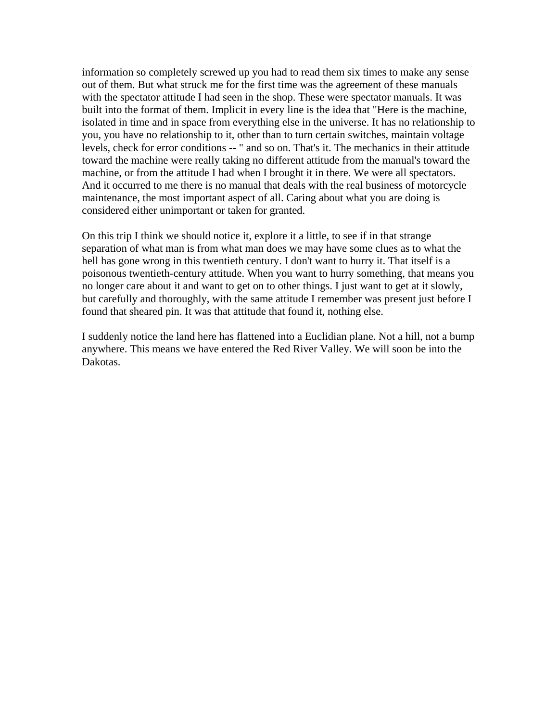information so completely screwed up you had to read them six times to make any sense out of them. But what struck me for the first time was the agreement of these manuals with the spectator attitude I had seen in the shop. These were spectator manuals. It was built into the format of them. Implicit in every line is the idea that "Here is the machine, isolated in time and in space from everything else in the universe. It has no relationship to you, you have no relationship to it, other than to turn certain switches, maintain voltage levels, check for error conditions -- " and so on. That's it. The mechanics in their attitude toward the machine were really taking no different attitude from the manual's toward the machine, or from the attitude I had when I brought it in there. We were all spectators. And it occurred to me there is no manual that deals with the real business of motorcycle maintenance, the most important aspect of all. Caring about what you are doing is considered either unimportant or taken for granted.

On this trip I think we should notice it, explore it a little, to see if in that strange separation of what man is from what man does we may have some clues as to what the hell has gone wrong in this twentieth century. I don't want to hurry it. That itself is a poisonous twentieth-century attitude. When you want to hurry something, that means you no longer care about it and want to get on to other things. I just want to get at it slowly, but carefully and thoroughly, with the same attitude I remember was present just before I found that sheared pin. It was that attitude that found it, nothing else.

I suddenly notice the land here has flattened into a Euclidian plane. Not a hill, not a bump anywhere. This means we have entered the Red River Valley. We will soon be into the Dakotas.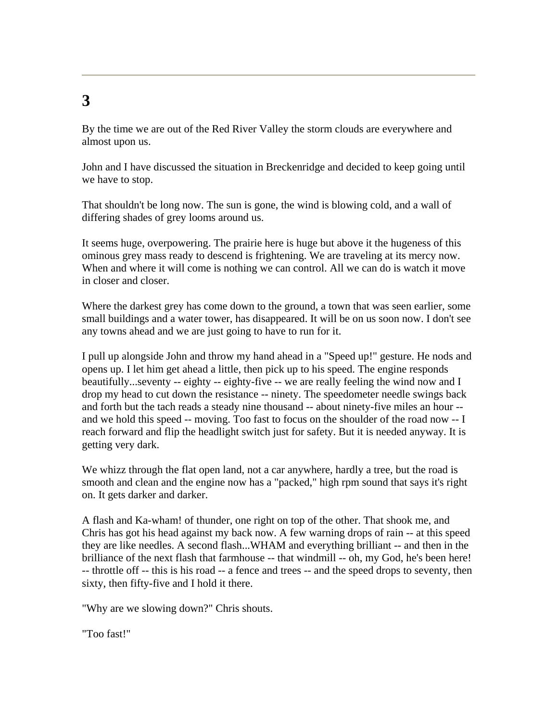## **3**

By the time we are out of the Red River Valley the storm clouds are everywhere and almost upon us.

John and I have discussed the situation in Breckenridge and decided to keep going until we have to stop.

That shouldn't be long now. The sun is gone, the wind is blowing cold, and a wall of differing shades of grey looms around us.

It seems huge, overpowering. The prairie here is huge but above it the hugeness of this ominous grey mass ready to descend is frightening. We are traveling at its mercy now. When and where it will come is nothing we can control. All we can do is watch it move in closer and closer.

Where the darkest grey has come down to the ground, a town that was seen earlier, some small buildings and a water tower, has disappeared. It will be on us soon now. I don't see any towns ahead and we are just going to have to run for it.

I pull up alongside John and throw my hand ahead in a "Speed up!" gesture. He nods and opens up. I let him get ahead a little, then pick up to his speed. The engine responds beautifully...seventy -- eighty -- eighty-five -- we are really feeling the wind now and I drop my head to cut down the resistance -- ninety. The speedometer needle swings back and forth but the tach reads a steady nine thousand -- about ninety-five miles an hour - and we hold this speed -- moving. Too fast to focus on the shoulder of the road now -- I reach forward and flip the headlight switch just for safety. But it is needed anyway. It is getting very dark.

We whizz through the flat open land, not a car anywhere, hardly a tree, but the road is smooth and clean and the engine now has a "packed," high rpm sound that says it's right on. It gets darker and darker.

A flash and Ka-wham! of thunder, one right on top of the other. That shook me, and Chris has got his head against my back now. A few warning drops of rain -- at this speed they are like needles. A second flash...WHAM and everything brilliant -- and then in the brilliance of the next flash that farmhouse -- that windmill -- oh, my God, he's been here! -- throttle off -- this is his road -- a fence and trees -- and the speed drops to seventy, then sixty, then fifty-five and I hold it there.

"Why are we slowing down?" Chris shouts.

"Too fast!"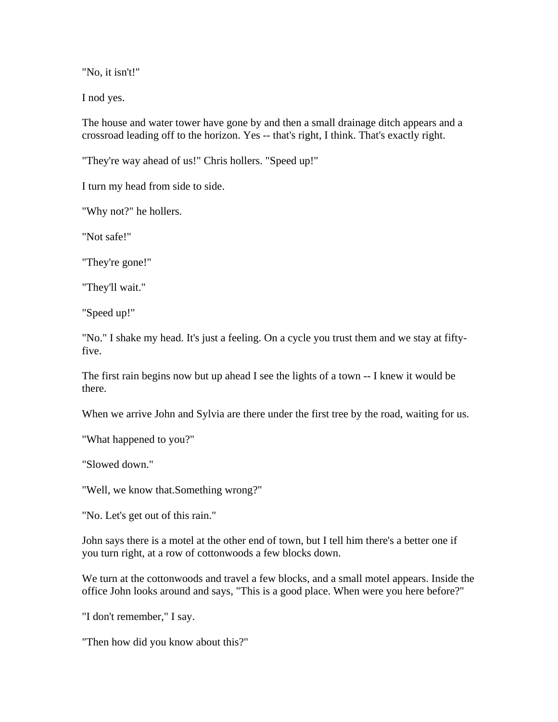"No, it isn't!"

I nod yes.

The house and water tower have gone by and then a small drainage ditch appears and a crossroad leading off to the horizon. Yes -- that's right, I think. That's exactly right.

"They're way ahead of us!" Chris hollers. "Speed up!"

I turn my head from side to side.

"Why not?" he hollers.

"Not safe!"

"They're gone!"

"They'll wait."

"Speed up!"

"No." I shake my head. It's just a feeling. On a cycle you trust them and we stay at fiftyfive.

The first rain begins now but up ahead I see the lights of a town -- I knew it would be there.

When we arrive John and Sylvia are there under the first tree by the road, waiting for us.

"What happened to you?"

"Slowed down."

"Well, we know that.Something wrong?"

"No. Let's get out of this rain."

John says there is a motel at the other end of town, but I tell him there's a better one if you turn right, at a row of cottonwoods a few blocks down.

We turn at the cottonwoods and travel a few blocks, and a small motel appears. Inside the office John looks around and says, "This is a good place. When were you here before?"

"I don't remember," I say.

"Then how did you know about this?"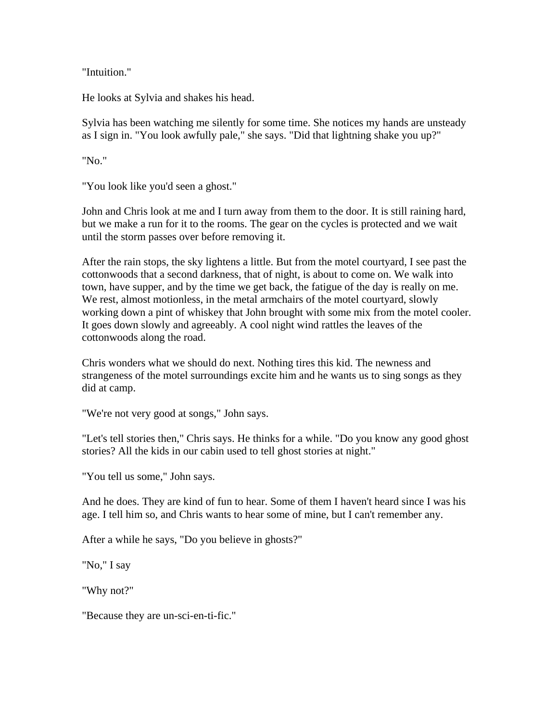"Intuition."

He looks at Sylvia and shakes his head.

Sylvia has been watching me silently for some time. She notices my hands are unsteady as I sign in. "You look awfully pale," she says. "Did that lightning shake you up?"

"No."

"You look like you'd seen a ghost."

John and Chris look at me and I turn away from them to the door. It is still raining hard, but we make a run for it to the rooms. The gear on the cycles is protected and we wait until the storm passes over before removing it.

After the rain stops, the sky lightens a little. But from the motel courtyard, I see past the cottonwoods that a second darkness, that of night, is about to come on. We walk into town, have supper, and by the time we get back, the fatigue of the day is really on me. We rest, almost motionless, in the metal armchairs of the motel courtyard, slowly working down a pint of whiskey that John brought with some mix from the motel cooler. It goes down slowly and agreeably. A cool night wind rattles the leaves of the cottonwoods along the road.

Chris wonders what we should do next. Nothing tires this kid. The newness and strangeness of the motel surroundings excite him and he wants us to sing songs as they did at camp.

"We're not very good at songs," John says.

"Let's tell stories then," Chris says. He thinks for a while. "Do you know any good ghost stories? All the kids in our cabin used to tell ghost stories at night."

"You tell us some," John says.

And he does. They are kind of fun to hear. Some of them I haven't heard since I was his age. I tell him so, and Chris wants to hear some of mine, but I can't remember any.

After a while he says, "Do you believe in ghosts?"

"No," I say

"Why not?"

"Because they are un-sci-en-ti-fic."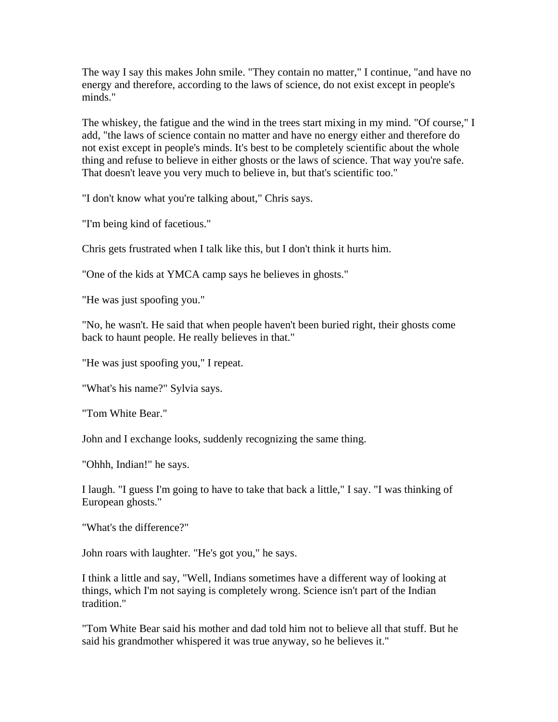The way I say this makes John smile. "They contain no matter," I continue, "and have no energy and therefore, according to the laws of science, do not exist except in people's minds."

The whiskey, the fatigue and the wind in the trees start mixing in my mind. "Of course," I add, "the laws of science contain no matter and have no energy either and therefore do not exist except in people's minds. It's best to be completely scientific about the whole thing and refuse to believe in either ghosts or the laws of science. That way you're safe. That doesn't leave you very much to believe in, but that's scientific too."

"I don't know what you're talking about," Chris says.

"I'm being kind of facetious."

Chris gets frustrated when I talk like this, but I don't think it hurts him.

"One of the kids at YMCA camp says he believes in ghosts."

"He was just spoofing you."

"No, he wasn't. He said that when people haven't been buried right, their ghosts come back to haunt people. He really believes in that."

"He was just spoofing you," I repeat.

"What's his name?" Sylvia says.

"Tom White Bear."

John and I exchange looks, suddenly recognizing the same thing.

"Ohhh, Indian!" he says.

I laugh. "I guess I'm going to have to take that back a little," I say. "I was thinking of European ghosts."

"What's the difference?"

John roars with laughter. "He's got you," he says.

I think a little and say, "Well, Indians sometimes have a different way of looking at things, which I'm not saying is completely wrong. Science isn't part of the Indian tradition."

"Tom White Bear said his mother and dad told him not to believe all that stuff. But he said his grandmother whispered it was true anyway, so he believes it."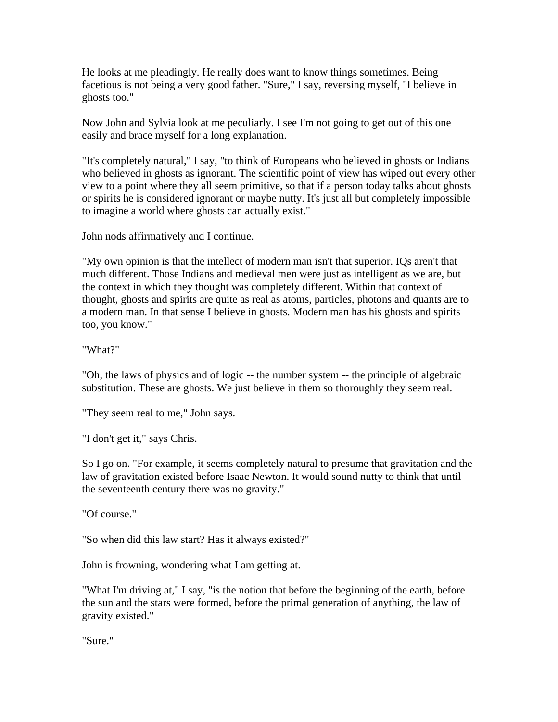He looks at me pleadingly. He really does want to know things sometimes. Being facetious is not being a very good father. "Sure," I say, reversing myself, "I believe in ghosts too."

Now John and Sylvia look at me peculiarly. I see I'm not going to get out of this one easily and brace myself for a long explanation.

"It's completely natural," I say, "to think of Europeans who believed in ghosts or Indians who believed in ghosts as ignorant. The scientific point of view has wiped out every other view to a point where they all seem primitive, so that if a person today talks about ghosts or spirits he is considered ignorant or maybe nutty. It's just all but completely impossible to imagine a world where ghosts can actually exist."

John nods affirmatively and I continue.

"My own opinion is that the intellect of modern man isn't that superior. IQs aren't that much different. Those Indians and medieval men were just as intelligent as we are, but the context in which they thought was completely different. Within that context of thought, ghosts and spirits are quite as real as atoms, particles, photons and quants are to a modern man. In that sense I believe in ghosts. Modern man has his ghosts and spirits too, you know."

"What?"

"Oh, the laws of physics and of logic -- the number system -- the principle of algebraic substitution. These are ghosts. We just believe in them so thoroughly they seem real.

"They seem real to me," John says.

"I don't get it," says Chris.

So I go on. "For example, it seems completely natural to presume that gravitation and the law of gravitation existed before Isaac Newton. It would sound nutty to think that until the seventeenth century there was no gravity."

"Of course."

"So when did this law start? Has it always existed?"

John is frowning, wondering what I am getting at.

"What I'm driving at," I say, "is the notion that before the beginning of the earth, before the sun and the stars were formed, before the primal generation of anything, the law of gravity existed."

"Sure."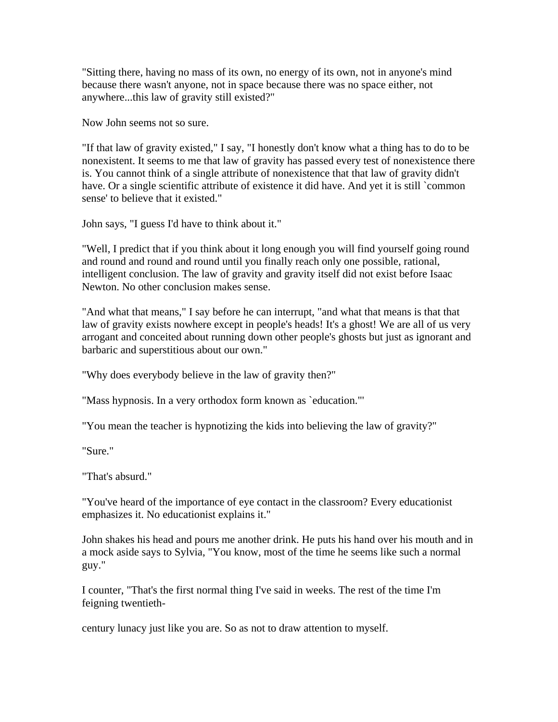"Sitting there, having no mass of its own, no energy of its own, not in anyone's mind because there wasn't anyone, not in space because there was no space either, not anywhere...this law of gravity still existed?"

Now John seems not so sure.

"If that law of gravity existed," I say, "I honestly don't know what a thing has to do to be nonexistent. It seems to me that law of gravity has passed every test of nonexistence there is. You cannot think of a single attribute of nonexistence that that law of gravity didn't have. Or a single scientific attribute of existence it did have. And yet it is still `common sense' to believe that it existed."

John says, "I guess I'd have to think about it."

"Well, I predict that if you think about it long enough you will find yourself going round and round and round and round until you finally reach only one possible, rational, intelligent conclusion. The law of gravity and gravity itself did not exist before Isaac Newton. No other conclusion makes sense.

"And what that means," I say before he can interrupt, "and what that means is that that law of gravity exists nowhere except in people's heads! It's a ghost! We are all of us very arrogant and conceited about running down other people's ghosts but just as ignorant and barbaric and superstitious about our own."

"Why does everybody believe in the law of gravity then?"

"Mass hypnosis. In a very orthodox form known as `education."'

"You mean the teacher is hypnotizing the kids into believing the law of gravity?"

"Sure."

"That's absurd."

"You've heard of the importance of eye contact in the classroom? Every educationist emphasizes it. No educationist explains it."

John shakes his head and pours me another drink. He puts his hand over his mouth and in a mock aside says to Sylvia, "You know, most of the time he seems like such a normal guy."

I counter, "That's the first normal thing I've said in weeks. The rest of the time I'm feigning twentieth-

century lunacy just like you are. So as not to draw attention to myself.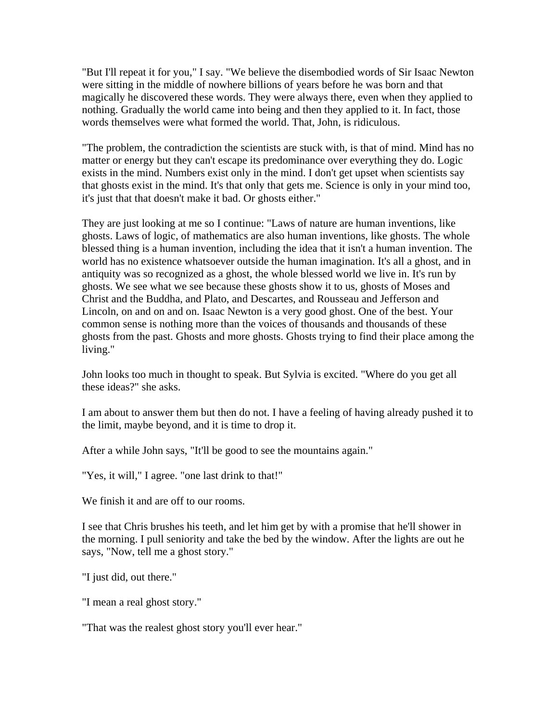"But I'll repeat it for you," I say. "We believe the disembodied words of Sir Isaac Newton were sitting in the middle of nowhere billions of years before he was born and that magically he discovered these words. They were always there, even when they applied to nothing. Gradually the world came into being and then they applied to it. In fact, those words themselves were what formed the world. That, John, is ridiculous.

"The problem, the contradiction the scientists are stuck with, is that of mind. Mind has no matter or energy but they can't escape its predominance over everything they do. Logic exists in the mind. Numbers exist only in the mind. I don't get upset when scientists say that ghosts exist in the mind. It's that only that gets me. Science is only in your mind too, it's just that that doesn't make it bad. Or ghosts either."

They are just looking at me so I continue: "Laws of nature are human inventions, like ghosts. Laws of logic, of mathematics are also human inventions, like ghosts. The whole blessed thing is a human invention, including the idea that it isn't a human invention. The world has no existence whatsoever outside the human imagination. It's all a ghost, and in antiquity was so recognized as a ghost, the whole blessed world we live in. It's run by ghosts. We see what we see because these ghosts show it to us, ghosts of Moses and Christ and the Buddha, and Plato, and Descartes, and Rousseau and Jefferson and Lincoln, on and on and on. Isaac Newton is a very good ghost. One of the best. Your common sense is nothing more than the voices of thousands and thousands of these ghosts from the past. Ghosts and more ghosts. Ghosts trying to find their place among the living."

John looks too much in thought to speak. But Sylvia is excited. "Where do you get all these ideas?" she asks.

I am about to answer them but then do not. I have a feeling of having already pushed it to the limit, maybe beyond, and it is time to drop it.

After a while John says, "It'll be good to see the mountains again."

"Yes, it will," I agree. "one last drink to that!"

We finish it and are off to our rooms.

I see that Chris brushes his teeth, and let him get by with a promise that he'll shower in the morning. I pull seniority and take the bed by the window. After the lights are out he says, "Now, tell me a ghost story."

"I just did, out there."

"I mean a real ghost story."

"That was the realest ghost story you'll ever hear."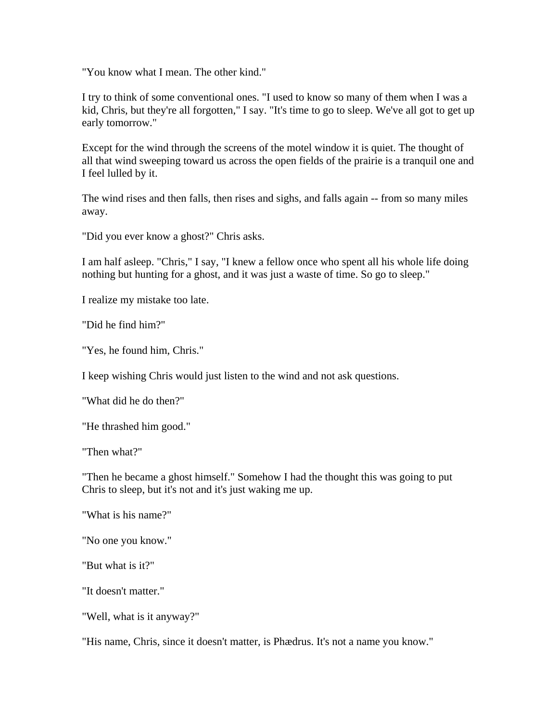"You know what I mean. The other kind."

I try to think of some conventional ones. "I used to know so many of them when I was a kid, Chris, but they're all forgotten," I say. "It's time to go to sleep. We've all got to get up early tomorrow."

Except for the wind through the screens of the motel window it is quiet. The thought of all that wind sweeping toward us across the open fields of the prairie is a tranquil one and I feel lulled by it.

The wind rises and then falls, then rises and sighs, and falls again -- from so many miles away.

"Did you ever know a ghost?" Chris asks.

I am half asleep. "Chris," I say, "I knew a fellow once who spent all his whole life doing nothing but hunting for a ghost, and it was just a waste of time. So go to sleep."

I realize my mistake too late.

"Did he find him?"

"Yes, he found him, Chris."

I keep wishing Chris would just listen to the wind and not ask questions.

"What did he do then?"

"He thrashed him good."

"Then what?"

"Then he became a ghost himself." Somehow I had the thought this was going to put Chris to sleep, but it's not and it's just waking me up.

"What is his name?"

"No one you know."

"But what is it?"

"It doesn't matter."

"Well, what is it anyway?"

"His name, Chris, since it doesn't matter, is Phædrus. It's not a name you know."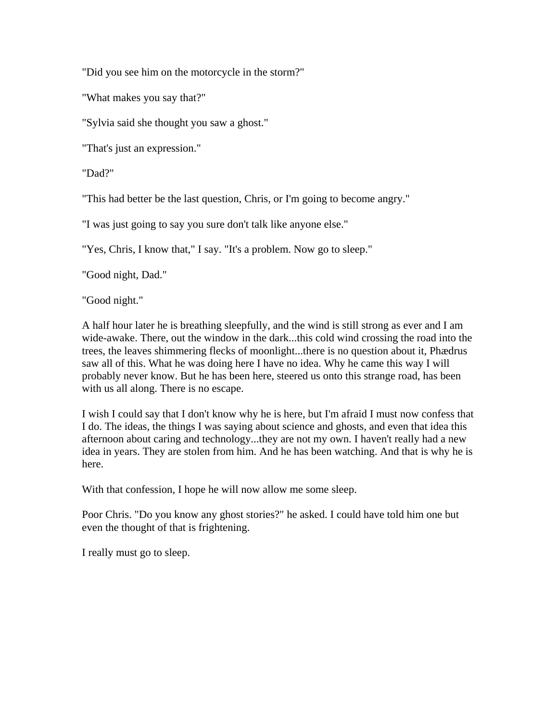"Did you see him on the motorcycle in the storm?"

"What makes you say that?"

"Sylvia said she thought you saw a ghost."

"That's just an expression."

"Dad?"

"This had better be the last question, Chris, or I'm going to become angry."

"I was just going to say you sure don't talk like anyone else."

"Yes, Chris, I know that," I say. "It's a problem. Now go to sleep."

"Good night, Dad."

"Good night."

A half hour later he is breathing sleepfully, and the wind is still strong as ever and I am wide-awake. There, out the window in the dark...this cold wind crossing the road into the trees, the leaves shimmering flecks of moonlight...there is no question about it, Phædrus saw all of this. What he was doing here I have no idea. Why he came this way I will probably never know. But he has been here, steered us onto this strange road, has been with us all along. There is no escape.

I wish I could say that I don't know why he is here, but I'm afraid I must now confess that I do. The ideas, the things I was saying about science and ghosts, and even that idea this afternoon about caring and technology...they are not my own. I haven't really had a new idea in years. They are stolen from him. And he has been watching. And that is why he is here.

With that confession, I hope he will now allow me some sleep.

Poor Chris. "Do you know any ghost stories?" he asked. I could have told him one but even the thought of that is frightening.

I really must go to sleep.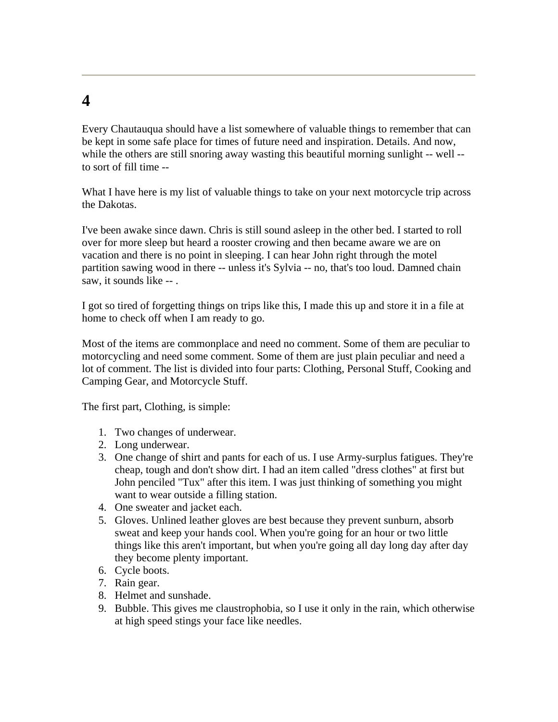## **4**

Every Chautauqua should have a list somewhere of valuable things to remember that can be kept in some safe place for times of future need and inspiration. Details. And now, while the others are still snoring away wasting this beautiful morning sunlight -- well -to sort of fill time --

What I have here is my list of valuable things to take on your next motorcycle trip across the Dakotas.

I've been awake since dawn. Chris is still sound asleep in the other bed. I started to roll over for more sleep but heard a rooster crowing and then became aware we are on vacation and there is no point in sleeping. I can hear John right through the motel partition sawing wood in there -- unless it's Sylvia -- no, that's too loud. Damned chain saw, it sounds like -- .

I got so tired of forgetting things on trips like this, I made this up and store it in a file at home to check off when I am ready to go.

Most of the items are commonplace and need no comment. Some of them are peculiar to motorcycling and need some comment. Some of them are just plain peculiar and need a lot of comment. The list is divided into four parts: Clothing, Personal Stuff, Cooking and Camping Gear, and Motorcycle Stuff.

The first part, Clothing, is simple:

- 1. Two changes of underwear.
- 2. Long underwear.
- 3. One change of shirt and pants for each of us. I use Army-surplus fatigues. They're cheap, tough and don't show dirt. I had an item called "dress clothes" at first but John penciled "Tux" after this item. I was just thinking of something you might want to wear outside a filling station.
- 4. One sweater and jacket each.
- 5. Gloves. Unlined leather gloves are best because they prevent sunburn, absorb sweat and keep your hands cool. When you're going for an hour or two little things like this aren't important, but when you're going all day long day after day they become plenty important.
- 6. Cycle boots.
- 7. Rain gear.
- 8. Helmet and sunshade.
- 9. Bubble. This gives me claustrophobia, so I use it only in the rain, which otherwise at high speed stings your face like needles.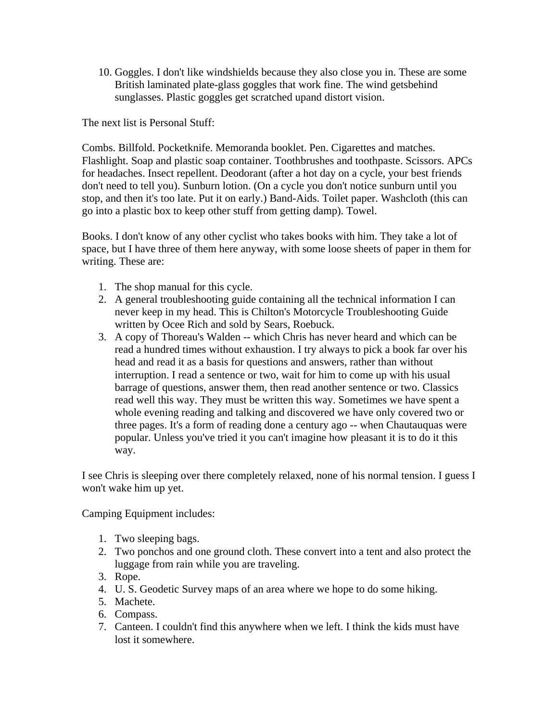10. Goggles. I don't like windshields because they also close you in. These are some British laminated plate-glass goggles that work fine. The wind getsbehind sunglasses. Plastic goggles get scratched upand distort vision.

The next list is Personal Stuff:

Combs. Billfold. Pocketknife. Memoranda booklet. Pen. Cigarettes and matches. Flashlight. Soap and plastic soap container. Toothbrushes and toothpaste. Scissors. APCs for headaches. Insect repellent. Deodorant (after a hot day on a cycle, your best friends don't need to tell you). Sunburn lotion. (On a cycle you don't notice sunburn until you stop, and then it's too late. Put it on early.) Band-Aids. Toilet paper. Washcloth (this can go into a plastic box to keep other stuff from getting damp). Towel.

Books. I don't know of any other cyclist who takes books with him. They take a lot of space, but I have three of them here anyway, with some loose sheets of paper in them for writing. These are:

- 1. The shop manual for this cycle.
- 2. A general troubleshooting guide containing all the technical information I can never keep in my head. This is Chilton's Motorcycle Troubleshooting Guide written by Ocee Rich and sold by Sears, Roebuck.
- 3. A copy of Thoreau's Walden -- which Chris has never heard and which can be read a hundred times without exhaustion. I try always to pick a book far over his head and read it as a basis for questions and answers, rather than without interruption. I read a sentence or two, wait for him to come up with his usual barrage of questions, answer them, then read another sentence or two. Classics read well this way. They must be written this way. Sometimes we have spent a whole evening reading and talking and discovered we have only covered two or three pages. It's a form of reading done a century ago -- when Chautauquas were popular. Unless you've tried it you can't imagine how pleasant it is to do it this way.

I see Chris is sleeping over there completely relaxed, none of his normal tension. I guess I won't wake him up yet.

Camping Equipment includes:

- 1. Two sleeping bags.
- 2. Two ponchos and one ground cloth. These convert into a tent and also protect the luggage from rain while you are traveling.
- 3. Rope.
- 4. U. S. Geodetic Survey maps of an area where we hope to do some hiking.
- 5. Machete.
- 6. Compass.
- 7. Canteen. I couldn't find this anywhere when we left. I think the kids must have lost it somewhere.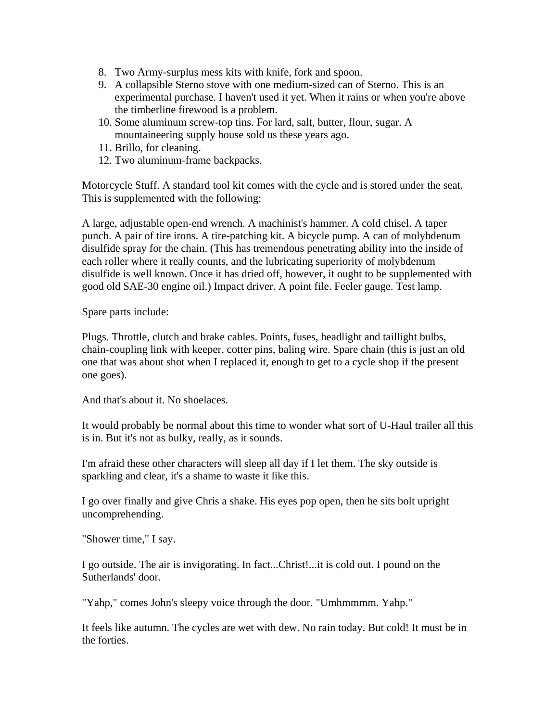- 8. Two Army-surplus mess kits with knife, fork and spoon.
- 9. A collapsible Sterno stove with one medium-sized can of Sterno. This is an experimental purchase. I haven't used it yet. When it rains or when you're above the timberline firewood is a problem.
- 10. Some aluminum screw-top tins. For lard, salt, butter, flour, sugar. A mountaineering supply house sold us these years ago.
- 11. Brillo, for cleaning.
- 12. Two aluminum-frame backpacks.

Motorcycle Stuff. A standard tool kit comes with the cycle and is stored under the seat. This is supplemented with the following:

A large, adjustable open-end wrench. A machinist's hammer. A cold chisel. A taper punch. A pair of tire irons. A tire-patching kit. A bicycle pump. A can of molybdenum disulfide spray for the chain. (This has tremendous penetrating ability into the inside of each roller where it really counts, and the lubricating superiority of molybdenum disulfide is well known. Once it has dried off, however, it ought to be supplemented with good old SAE-30 engine oil.) Impact driver. A point file. Feeler gauge. Test lamp.

Spare parts include:

Plugs. Throttle, clutch and brake cables. Points, fuses, headlight and taillight bulbs, chain-coupling link with keeper, cotter pins, baling wire. Spare chain (this is just an old one that was about shot when I replaced it, enough to get to a cycle shop if the present one goes).

And that's about it. No shoelaces.

It would probably be normal about this time to wonder what sort of U-Haul trailer all this is in. But it's not as bulky, really, as it sounds.

I'm afraid these other characters will sleep all day if I let them. The sky outside is sparkling and clear, it's a shame to waste it like this.

I go over finally and give Chris a shake. His eyes pop open, then he sits bolt upright uncomprehending.

"Shower time," I say.

I go outside. The air is invigorating. In fact...Christ!...it is cold out. I pound on the Sutherlands' door.

"Yahp," comes John's sleepy voice through the door. "Umhmmmm. Yahp."

It feels like autumn. The cycles are wet with dew. No rain today. But cold! It must be in the forties.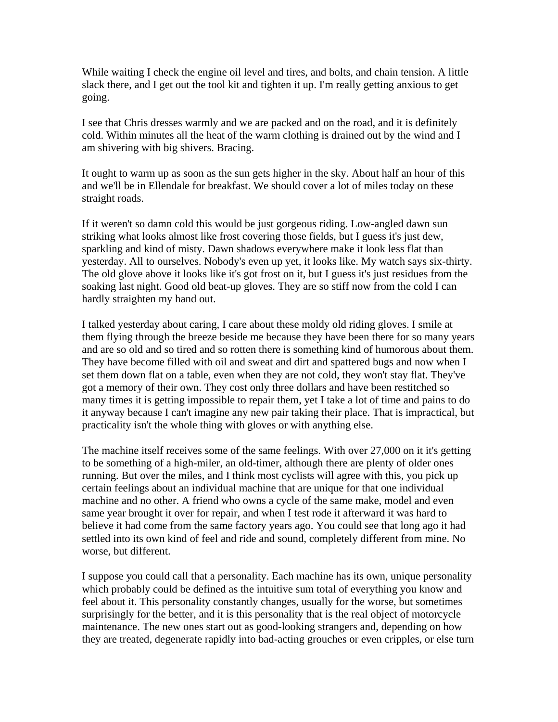While waiting I check the engine oil level and tires, and bolts, and chain tension. A little slack there, and I get out the tool kit and tighten it up. I'm really getting anxious to get going.

I see that Chris dresses warmly and we are packed and on the road, and it is definitely cold. Within minutes all the heat of the warm clothing is drained out by the wind and I am shivering with big shivers. Bracing.

It ought to warm up as soon as the sun gets higher in the sky. About half an hour of this and we'll be in Ellendale for breakfast. We should cover a lot of miles today on these straight roads.

If it weren't so damn cold this would be just gorgeous riding. Low-angled dawn sun striking what looks almost like frost covering those fields, but I guess it's just dew, sparkling and kind of misty. Dawn shadows everywhere make it look less flat than yesterday. All to ourselves. Nobody's even up yet, it looks like. My watch says six-thirty. The old glove above it looks like it's got frost on it, but I guess it's just residues from the soaking last night. Good old beat-up gloves. They are so stiff now from the cold I can hardly straighten my hand out.

I talked yesterday about caring, I care about these moldy old riding gloves. I smile at them flying through the breeze beside me because they have been there for so many years and are so old and so tired and so rotten there is something kind of humorous about them. They have become filled with oil and sweat and dirt and spattered bugs and now when I set them down flat on a table, even when they are not cold, they won't stay flat. They've got a memory of their own. They cost only three dollars and have been restitched so many times it is getting impossible to repair them, yet I take a lot of time and pains to do it anyway because I can't imagine any new pair taking their place. That is impractical, but practicality isn't the whole thing with gloves or with anything else.

The machine itself receives some of the same feelings. With over 27,000 on it it's getting to be something of a high-miler, an old-timer, although there are plenty of older ones running. But over the miles, and I think most cyclists will agree with this, you pick up certain feelings about an individual machine that are unique for that one individual machine and no other. A friend who owns a cycle of the same make, model and even same year brought it over for repair, and when I test rode it afterward it was hard to believe it had come from the same factory years ago. You could see that long ago it had settled into its own kind of feel and ride and sound, completely different from mine. No worse, but different.

I suppose you could call that a personality. Each machine has its own, unique personality which probably could be defined as the intuitive sum total of everything you know and feel about it. This personality constantly changes, usually for the worse, but sometimes surprisingly for the better, and it is this personality that is the real object of motorcycle maintenance. The new ones start out as good-looking strangers and, depending on how they are treated, degenerate rapidly into bad-acting grouches or even cripples, or else turn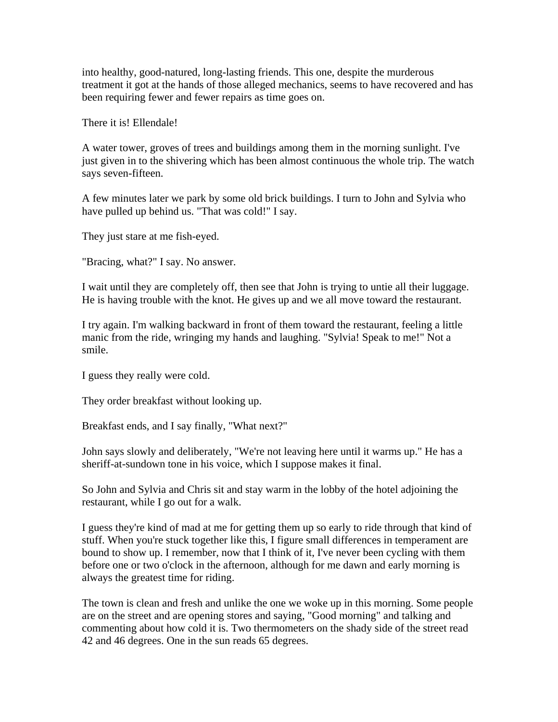into healthy, good-natured, long-lasting friends. This one, despite the murderous treatment it got at the hands of those alleged mechanics, seems to have recovered and has been requiring fewer and fewer repairs as time goes on.

There it is! Ellendale!

A water tower, groves of trees and buildings among them in the morning sunlight. I've just given in to the shivering which has been almost continuous the whole trip. The watch says seven-fifteen.

A few minutes later we park by some old brick buildings. I turn to John and Sylvia who have pulled up behind us. "That was cold!" I say.

They just stare at me fish-eyed.

"Bracing, what?" I say. No answer.

I wait until they are completely off, then see that John is trying to untie all their luggage. He is having trouble with the knot. He gives up and we all move toward the restaurant.

I try again. I'm walking backward in front of them toward the restaurant, feeling a little manic from the ride, wringing my hands and laughing. "Sylvia! Speak to me!" Not a smile.

I guess they really were cold.

They order breakfast without looking up.

Breakfast ends, and I say finally, "What next?"

John says slowly and deliberately, "We're not leaving here until it warms up." He has a sheriff-at-sundown tone in his voice, which I suppose makes it final.

So John and Sylvia and Chris sit and stay warm in the lobby of the hotel adjoining the restaurant, while I go out for a walk.

I guess they're kind of mad at me for getting them up so early to ride through that kind of stuff. When you're stuck together like this, I figure small differences in temperament are bound to show up. I remember, now that I think of it, I've never been cycling with them before one or two o'clock in the afternoon, although for me dawn and early morning is always the greatest time for riding.

The town is clean and fresh and unlike the one we woke up in this morning. Some people are on the street and are opening stores and saying, "Good morning" and talking and commenting about how cold it is. Two thermometers on the shady side of the street read 42 and 46 degrees. One in the sun reads 65 degrees.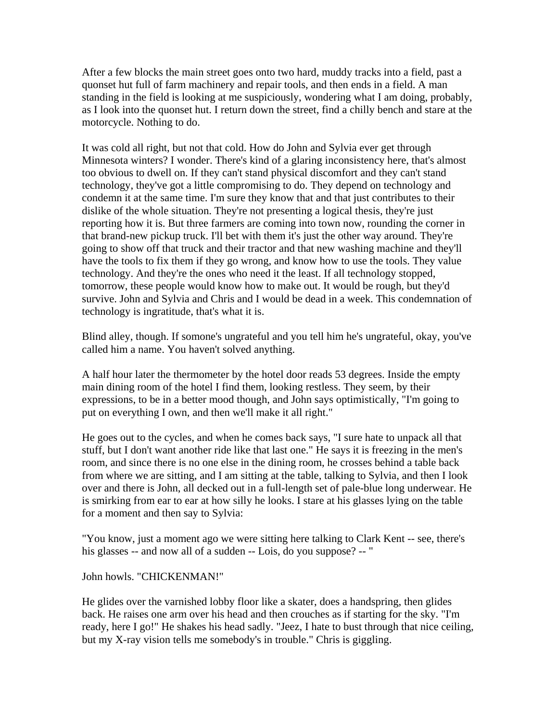After a few blocks the main street goes onto two hard, muddy tracks into a field, past a quonset hut full of farm machinery and repair tools, and then ends in a field. A man standing in the field is looking at me suspiciously, wondering what I am doing, probably, as I look into the quonset hut. I return down the street, find a chilly bench and stare at the motorcycle. Nothing to do.

It was cold all right, but not that cold. How do John and Sylvia ever get through Minnesota winters? I wonder. There's kind of a glaring inconsistency here, that's almost too obvious to dwell on. If they can't stand physical discomfort and they can't stand technology, they've got a little compromising to do. They depend on technology and condemn it at the same time. I'm sure they know that and that just contributes to their dislike of the whole situation. They're not presenting a logical thesis, they're just reporting how it is. But three farmers are coming into town now, rounding the corner in that brand-new pickup truck. I'll bet with them it's just the other way around. They're going to show off that truck and their tractor and that new washing machine and they'll have the tools to fix them if they go wrong, and know how to use the tools. They value technology. And they're the ones who need it the least. If all technology stopped, tomorrow, these people would know how to make out. It would be rough, but they'd survive. John and Sylvia and Chris and I would be dead in a week. This condemnation of technology is ingratitude, that's what it is.

Blind alley, though. If somone's ungrateful and you tell him he's ungrateful, okay, you've called him a name. You haven't solved anything.

A half hour later the thermometer by the hotel door reads 53 degrees. Inside the empty main dining room of the hotel I find them, looking restless. They seem, by their expressions, to be in a better mood though, and John says optimistically, "I'm going to put on everything I own, and then we'll make it all right."

He goes out to the cycles, and when he comes back says, "I sure hate to unpack all that stuff, but I don't want another ride like that last one." He says it is freezing in the men's room, and since there is no one else in the dining room, he crosses behind a table back from where we are sitting, and I am sitting at the table, talking to Sylvia, and then I look over and there is John, all decked out in a full-length set of pale-blue long underwear. He is smirking from ear to ear at how silly he looks. I stare at his glasses lying on the table for a moment and then say to Sylvia:

"You know, just a moment ago we were sitting here talking to Clark Kent -- see, there's his glasses -- and now all of a sudden -- Lois, do you suppose? -- "

John howls. "CHICKENMAN!"

He glides over the varnished lobby floor like a skater, does a handspring, then glides back. He raises one arm over his head and then crouches as if starting for the sky. "I'm ready, here I go!" He shakes his head sadly. "Jeez, I hate to bust through that nice ceiling, but my X-ray vision tells me somebody's in trouble." Chris is giggling.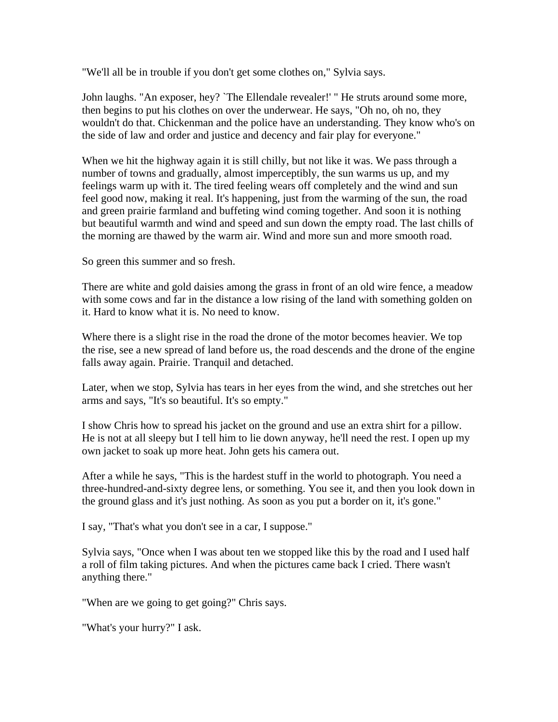"We'll all be in trouble if you don't get some clothes on," Sylvia says.

John laughs. "An exposer, hey? `The Ellendale revealer!' " He struts around some more, then begins to put his clothes on over the underwear. He says, "Oh no, oh no, they wouldn't do that. Chickenman and the police have an understanding. They know who's on the side of law and order and justice and decency and fair play for everyone."

When we hit the highway again it is still chilly, but not like it was. We pass through a number of towns and gradually, almost imperceptibly, the sun warms us up, and my feelings warm up with it. The tired feeling wears off completely and the wind and sun feel good now, making it real. It's happening, just from the warming of the sun, the road and green prairie farmland and buffeting wind coming together. And soon it is nothing but beautiful warmth and wind and speed and sun down the empty road. The last chills of the morning are thawed by the warm air. Wind and more sun and more smooth road.

So green this summer and so fresh.

There are white and gold daisies among the grass in front of an old wire fence, a meadow with some cows and far in the distance a low rising of the land with something golden on it. Hard to know what it is. No need to know.

Where there is a slight rise in the road the drone of the motor becomes heavier. We top the rise, see a new spread of land before us, the road descends and the drone of the engine falls away again. Prairie. Tranquil and detached.

Later, when we stop, Sylvia has tears in her eyes from the wind, and she stretches out her arms and says, "It's so beautiful. It's so empty."

I show Chris how to spread his jacket on the ground and use an extra shirt for a pillow. He is not at all sleepy but I tell him to lie down anyway, he'll need the rest. I open up my own jacket to soak up more heat. John gets his camera out.

After a while he says, "This is the hardest stuff in the world to photograph. You need a three-hundred-and-sixty degree lens, or something. You see it, and then you look down in the ground glass and it's just nothing. As soon as you put a border on it, it's gone."

I say, "That's what you don't see in a car, I suppose."

Sylvia says, "Once when I was about ten we stopped like this by the road and I used half a roll of film taking pictures. And when the pictures came back I cried. There wasn't anything there."

"When are we going to get going?" Chris says.

"What's your hurry?" I ask.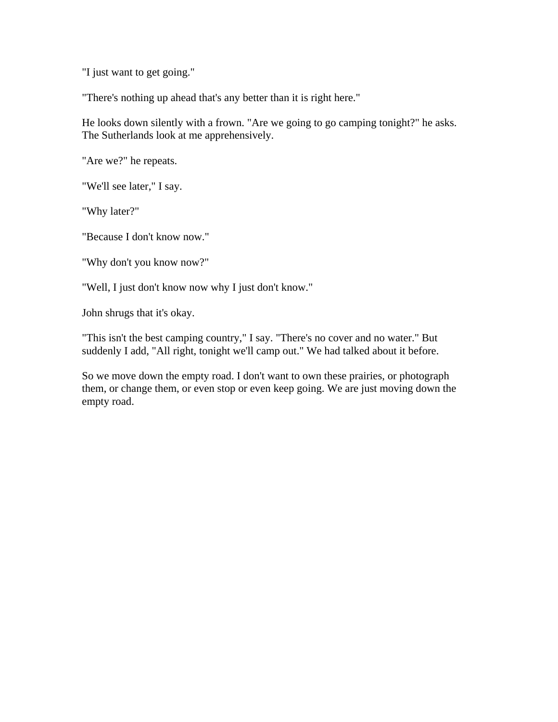"I just want to get going."

"There's nothing up ahead that's any better than it is right here."

He looks down silently with a frown. "Are we going to go camping tonight?" he asks. The Sutherlands look at me apprehensively.

"Are we?" he repeats.

"We'll see later," I say.

"Why later?"

"Because I don't know now."

"Why don't you know now?"

"Well, I just don't know now why I just don't know."

John shrugs that it's okay.

"This isn't the best camping country," I say. "There's no cover and no water." But suddenly I add, "All right, tonight we'll camp out." We had talked about it before.

So we move down the empty road. I don't want to own these prairies, or photograph them, or change them, or even stop or even keep going. We are just moving down the empty road.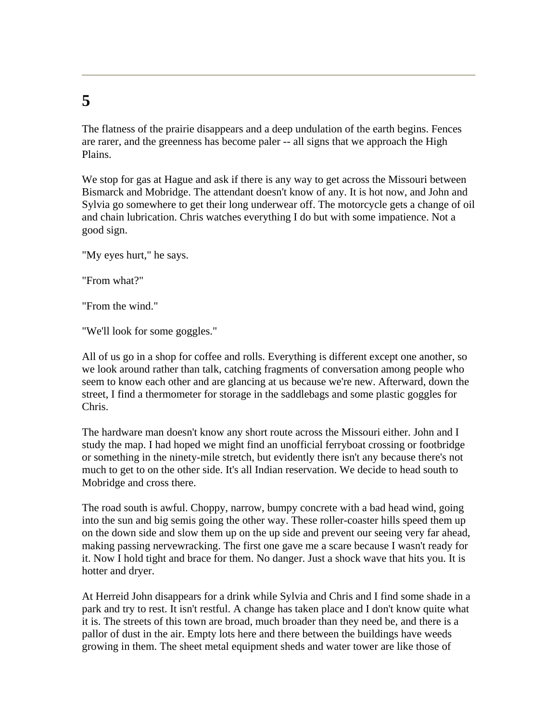## **5**

The flatness of the prairie disappears and a deep undulation of the earth begins. Fences are rarer, and the greenness has become paler -- all signs that we approach the High Plains.

We stop for gas at Hague and ask if there is any way to get across the Missouri between Bismarck and Mobridge. The attendant doesn't know of any. It is hot now, and John and Sylvia go somewhere to get their long underwear off. The motorcycle gets a change of oil and chain lubrication. Chris watches everything I do but with some impatience. Not a good sign.

"My eyes hurt," he says.

"From what?"

"From the wind."

"We'll look for some goggles."

All of us go in a shop for coffee and rolls. Everything is different except one another, so we look around rather than talk, catching fragments of conversation among people who seem to know each other and are glancing at us because we're new. Afterward, down the street, I find a thermometer for storage in the saddlebags and some plastic goggles for Chris.

The hardware man doesn't know any short route across the Missouri either. John and I study the map. I had hoped we might find an unofficial ferryboat crossing or footbridge or something in the ninety-mile stretch, but evidently there isn't any because there's not much to get to on the other side. It's all Indian reservation. We decide to head south to Mobridge and cross there.

The road south is awful. Choppy, narrow, bumpy concrete with a bad head wind, going into the sun and big semis going the other way. These roller-coaster hills speed them up on the down side and slow them up on the up side and prevent our seeing very far ahead, making passing nervewracking. The first one gave me a scare because I wasn't ready for it. Now I hold tight and brace for them. No danger. Just a shock wave that hits you. It is hotter and dryer.

At Herreid John disappears for a drink while Sylvia and Chris and I find some shade in a park and try to rest. It isn't restful. A change has taken place and I don't know quite what it is. The streets of this town are broad, much broader than they need be, and there is a pallor of dust in the air. Empty lots here and there between the buildings have weeds growing in them. The sheet metal equipment sheds and water tower are like those of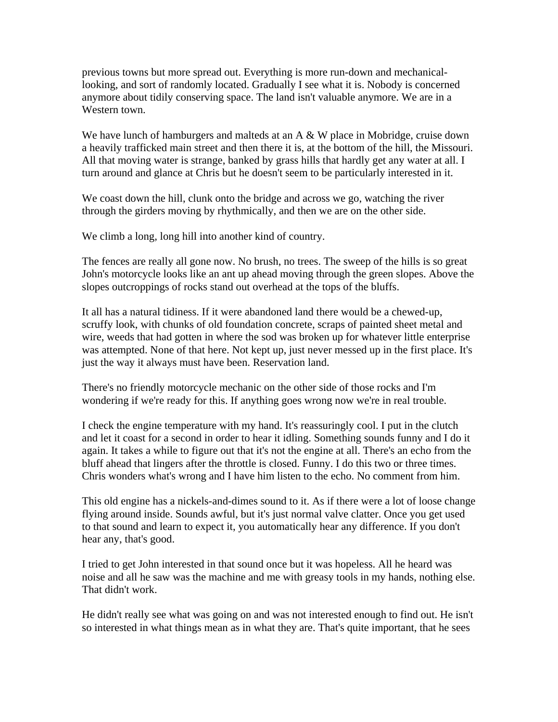previous towns but more spread out. Everything is more run-down and mechanicallooking, and sort of randomly located. Gradually I see what it is. Nobody is concerned anymore about tidily conserving space. The land isn't valuable anymore. We are in a Western town.

We have lunch of hamburgers and malteds at an A & W place in Mobridge, cruise down a heavily trafficked main street and then there it is, at the bottom of the hill, the Missouri. All that moving water is strange, banked by grass hills that hardly get any water at all. I turn around and glance at Chris but he doesn't seem to be particularly interested in it.

We coast down the hill, clunk onto the bridge and across we go, watching the river through the girders moving by rhythmically, and then we are on the other side.

We climb a long, long hill into another kind of country.

The fences are really all gone now. No brush, no trees. The sweep of the hills is so great John's motorcycle looks like an ant up ahead moving through the green slopes. Above the slopes outcroppings of rocks stand out overhead at the tops of the bluffs.

It all has a natural tidiness. If it were abandoned land there would be a chewed-up, scruffy look, with chunks of old foundation concrete, scraps of painted sheet metal and wire, weeds that had gotten in where the sod was broken up for whatever little enterprise was attempted. None of that here. Not kept up, just never messed up in the first place. It's just the way it always must have been. Reservation land.

There's no friendly motorcycle mechanic on the other side of those rocks and I'm wondering if we're ready for this. If anything goes wrong now we're in real trouble.

I check the engine temperature with my hand. It's reassuringly cool. I put in the clutch and let it coast for a second in order to hear it idling. Something sounds funny and I do it again. It takes a while to figure out that it's not the engine at all. There's an echo from the bluff ahead that lingers after the throttle is closed. Funny. I do this two or three times. Chris wonders what's wrong and I have him listen to the echo. No comment from him.

This old engine has a nickels-and-dimes sound to it. As if there were a lot of loose change flying around inside. Sounds awful, but it's just normal valve clatter. Once you get used to that sound and learn to expect it, you automatically hear any difference. If you don't hear any, that's good.

I tried to get John interested in that sound once but it was hopeless. All he heard was noise and all he saw was the machine and me with greasy tools in my hands, nothing else. That didn't work.

He didn't really see what was going on and was not interested enough to find out. He isn't so interested in what things mean as in what they are. That's quite important, that he sees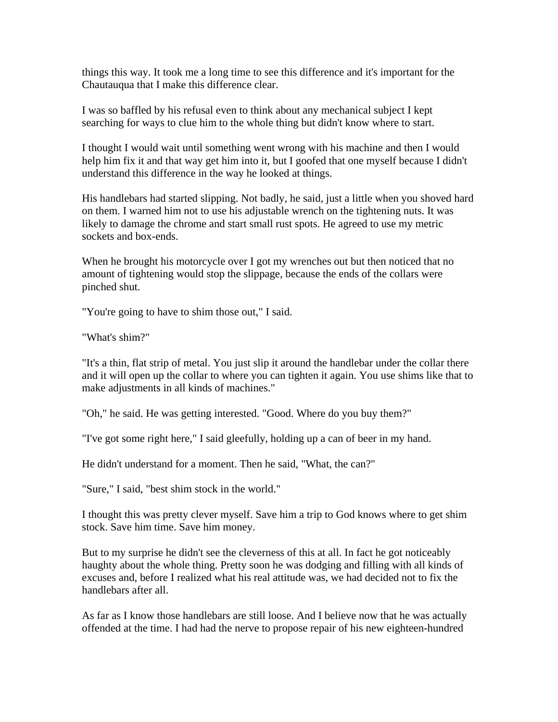things this way. It took me a long time to see this difference and it's important for the Chautauqua that I make this difference clear.

I was so baffled by his refusal even to think about any mechanical subject I kept searching for ways to clue him to the whole thing but didn't know where to start.

I thought I would wait until something went wrong with his machine and then I would help him fix it and that way get him into it, but I goofed that one myself because I didn't understand this difference in the way he looked at things.

His handlebars had started slipping. Not badly, he said, just a little when you shoved hard on them. I warned him not to use his adjustable wrench on the tightening nuts. It was likely to damage the chrome and start small rust spots. He agreed to use my metric sockets and box-ends.

When he brought his motorcycle over I got my wrenches out but then noticed that no amount of tightening would stop the slippage, because the ends of the collars were pinched shut.

"You're going to have to shim those out," I said.

"What's shim?"

"It's a thin, flat strip of metal. You just slip it around the handlebar under the collar there and it will open up the collar to where you can tighten it again. You use shims like that to make adjustments in all kinds of machines."

"Oh," he said. He was getting interested. "Good. Where do you buy them?"

"I've got some right here," I said gleefully, holding up a can of beer in my hand.

He didn't understand for a moment. Then he said, "What, the can?"

"Sure," I said, "best shim stock in the world."

I thought this was pretty clever myself. Save him a trip to God knows where to get shim stock. Save him time. Save him money.

But to my surprise he didn't see the cleverness of this at all. In fact he got noticeably haughty about the whole thing. Pretty soon he was dodging and filling with all kinds of excuses and, before I realized what his real attitude was, we had decided not to fix the handlebars after all.

As far as I know those handlebars are still loose. And I believe now that he was actually offended at the time. I had had the nerve to propose repair of his new eighteen-hundred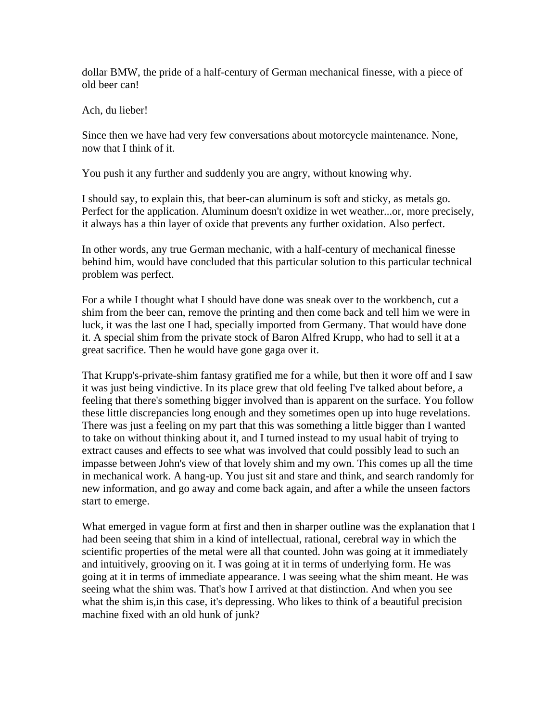dollar BMW, the pride of a half-century of German mechanical finesse, with a piece of old beer can!

Ach, du lieber!

Since then we have had very few conversations about motorcycle maintenance. None, now that I think of it.

You push it any further and suddenly you are angry, without knowing why.

I should say, to explain this, that beer-can aluminum is soft and sticky, as metals go. Perfect for the application. Aluminum doesn't oxidize in wet weather...or, more precisely, it always has a thin layer of oxide that prevents any further oxidation. Also perfect.

In other words, any true German mechanic, with a half-century of mechanical finesse behind him, would have concluded that this particular solution to this particular technical problem was perfect.

For a while I thought what I should have done was sneak over to the workbench, cut a shim from the beer can, remove the printing and then come back and tell him we were in luck, it was the last one I had, specially imported from Germany. That would have done it. A special shim from the private stock of Baron Alfred Krupp, who had to sell it at a great sacrifice. Then he would have gone gaga over it.

That Krupp's-private-shim fantasy gratified me for a while, but then it wore off and I saw it was just being vindictive. In its place grew that old feeling I've talked about before, a feeling that there's something bigger involved than is apparent on the surface. You follow these little discrepancies long enough and they sometimes open up into huge revelations. There was just a feeling on my part that this was something a little bigger than I wanted to take on without thinking about it, and I turned instead to my usual habit of trying to extract causes and effects to see what was involved that could possibly lead to such an impasse between John's view of that lovely shim and my own. This comes up all the time in mechanical work. A hang-up. You just sit and stare and think, and search randomly for new information, and go away and come back again, and after a while the unseen factors start to emerge.

What emerged in vague form at first and then in sharper outline was the explanation that I had been seeing that shim in a kind of intellectual, rational, cerebral way in which the scientific properties of the metal were all that counted. John was going at it immediately and intuitively, grooving on it. I was going at it in terms of underlying form. He was going at it in terms of immediate appearance. I was seeing what the shim meant. He was seeing what the shim was. That's how I arrived at that distinction. And when you see what the shim is,in this case, it's depressing. Who likes to think of a beautiful precision machine fixed with an old hunk of junk?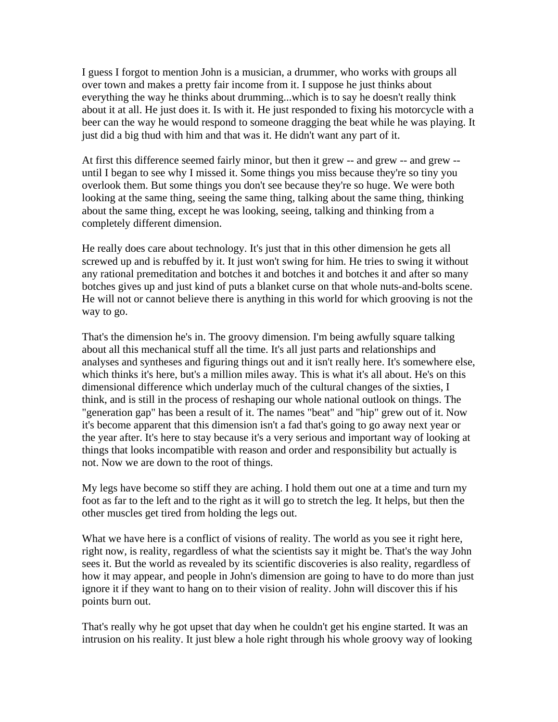I guess I forgot to mention John is a musician, a drummer, who works with groups all over town and makes a pretty fair income from it. I suppose he just thinks about everything the way he thinks about drumming...which is to say he doesn't really think about it at all. He just does it. Is with it. He just responded to fixing his motorcycle with a beer can the way he would respond to someone dragging the beat while he was playing. It just did a big thud with him and that was it. He didn't want any part of it.

At first this difference seemed fairly minor, but then it grew -- and grew -- and grew - until I began to see why I missed it. Some things you miss because they're so tiny you overlook them. But some things you don't see because they're so huge. We were both looking at the same thing, seeing the same thing, talking about the same thing, thinking about the same thing, except he was looking, seeing, talking and thinking from a completely different dimension.

He really does care about technology. It's just that in this other dimension he gets all screwed up and is rebuffed by it. It just won't swing for him. He tries to swing it without any rational premeditation and botches it and botches it and botches it and after so many botches gives up and just kind of puts a blanket curse on that whole nuts-and-bolts scene. He will not or cannot believe there is anything in this world for which grooving is not the way to go.

That's the dimension he's in. The groovy dimension. I'm being awfully square talking about all this mechanical stuff all the time. It's all just parts and relationships and analyses and syntheses and figuring things out and it isn't really here. It's somewhere else, which thinks it's here, but's a million miles away. This is what it's all about. He's on this dimensional difference which underlay much of the cultural changes of the sixties, I think, and is still in the process of reshaping our whole national outlook on things. The "generation gap" has been a result of it. The names "beat" and "hip" grew out of it. Now it's become apparent that this dimension isn't a fad that's going to go away next year or the year after. It's here to stay because it's a very serious and important way of looking at things that looks incompatible with reason and order and responsibility but actually is not. Now we are down to the root of things.

My legs have become so stiff they are aching. I hold them out one at a time and turn my foot as far to the left and to the right as it will go to stretch the leg. It helps, but then the other muscles get tired from holding the legs out.

What we have here is a conflict of visions of reality. The world as you see it right here, right now, is reality, regardless of what the scientists say it might be. That's the way John sees it. But the world as revealed by its scientific discoveries is also reality, regardless of how it may appear, and people in John's dimension are going to have to do more than just ignore it if they want to hang on to their vision of reality. John will discover this if his points burn out.

That's really why he got upset that day when he couldn't get his engine started. It was an intrusion on his reality. It just blew a hole right through his whole groovy way of looking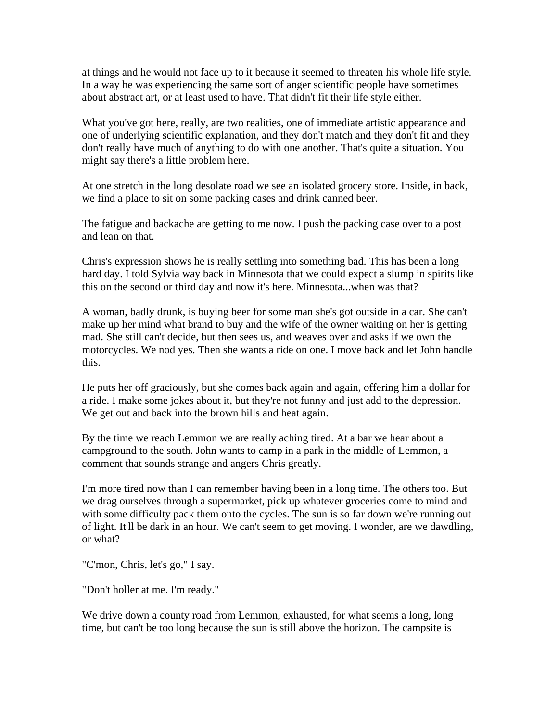at things and he would not face up to it because it seemed to threaten his whole life style. In a way he was experiencing the same sort of anger scientific people have sometimes about abstract art, or at least used to have. That didn't fit their life style either.

What you've got here, really, are two realities, one of immediate artistic appearance and one of underlying scientific explanation, and they don't match and they don't fit and they don't really have much of anything to do with one another. That's quite a situation. You might say there's a little problem here.

At one stretch in the long desolate road we see an isolated grocery store. Inside, in back, we find a place to sit on some packing cases and drink canned beer.

The fatigue and backache are getting to me now. I push the packing case over to a post and lean on that.

Chris's expression shows he is really settling into something bad. This has been a long hard day. I told Sylvia way back in Minnesota that we could expect a slump in spirits like this on the second or third day and now it's here. Minnesota...when was that?

A woman, badly drunk, is buying beer for some man she's got outside in a car. She can't make up her mind what brand to buy and the wife of the owner waiting on her is getting mad. She still can't decide, but then sees us, and weaves over and asks if we own the motorcycles. We nod yes. Then she wants a ride on one. I move back and let John handle this.

He puts her off graciously, but she comes back again and again, offering him a dollar for a ride. I make some jokes about it, but they're not funny and just add to the depression. We get out and back into the brown hills and heat again.

By the time we reach Lemmon we are really aching tired. At a bar we hear about a campground to the south. John wants to camp in a park in the middle of Lemmon, a comment that sounds strange and angers Chris greatly.

I'm more tired now than I can remember having been in a long time. The others too. But we drag ourselves through a supermarket, pick up whatever groceries come to mind and with some difficulty pack them onto the cycles. The sun is so far down we're running out of light. It'll be dark in an hour. We can't seem to get moving. I wonder, are we dawdling, or what?

"C'mon, Chris, let's go," I say.

"Don't holler at me. I'm ready."

We drive down a county road from Lemmon, exhausted, for what seems a long, long time, but can't be too long because the sun is still above the horizon. The campsite is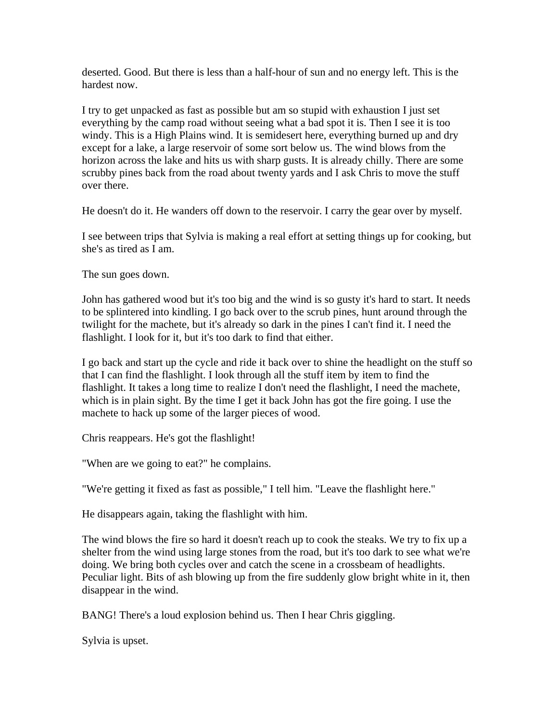deserted. Good. But there is less than a half-hour of sun and no energy left. This is the hardest now.

I try to get unpacked as fast as possible but am so stupid with exhaustion I just set everything by the camp road without seeing what a bad spot it is. Then I see it is too windy. This is a High Plains wind. It is semidesert here, everything burned up and dry except for a lake, a large reservoir of some sort below us. The wind blows from the horizon across the lake and hits us with sharp gusts. It is already chilly. There are some scrubby pines back from the road about twenty yards and I ask Chris to move the stuff over there.

He doesn't do it. He wanders off down to the reservoir. I carry the gear over by myself.

I see between trips that Sylvia is making a real effort at setting things up for cooking, but she's as tired as I am.

The sun goes down.

John has gathered wood but it's too big and the wind is so gusty it's hard to start. It needs to be splintered into kindling. I go back over to the scrub pines, hunt around through the twilight for the machete, but it's already so dark in the pines I can't find it. I need the flashlight. I look for it, but it's too dark to find that either.

I go back and start up the cycle and ride it back over to shine the headlight on the stuff so that I can find the flashlight. I look through all the stuff item by item to find the flashlight. It takes a long time to realize I don't need the flashlight, I need the machete, which is in plain sight. By the time I get it back John has got the fire going. I use the machete to hack up some of the larger pieces of wood.

Chris reappears. He's got the flashlight!

"When are we going to eat?" he complains.

"We're getting it fixed as fast as possible," I tell him. "Leave the flashlight here."

He disappears again, taking the flashlight with him.

The wind blows the fire so hard it doesn't reach up to cook the steaks. We try to fix up a shelter from the wind using large stones from the road, but it's too dark to see what we're doing. We bring both cycles over and catch the scene in a crossbeam of headlights. Peculiar light. Bits of ash blowing up from the fire suddenly glow bright white in it, then disappear in the wind.

BANG! There's a loud explosion behind us. Then I hear Chris giggling.

Sylvia is upset.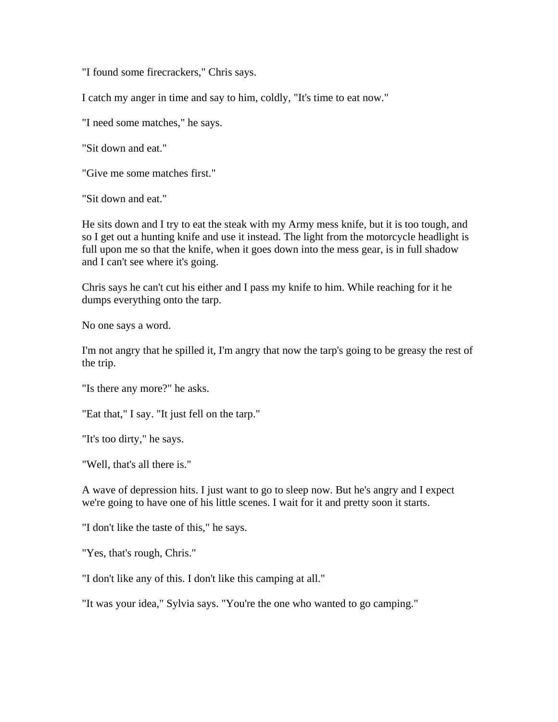"I found some firecrackers," Chris says.

I catch my anger in time and say to him, coldly, "It's time to eat now."

"I need some matches," he says.

"Sit down and eat."

"Give me some matches first."

"Sit down and eat."

He sits down and I try to eat the steak with my Army mess knife, but it is too tough, and so I get out a hunting knife and use it instead. The light from the motorcycle headlight is full upon me so that the knife, when it goes down into the mess gear, is in full shadow and I can't see where it's going.

Chris says he can't cut his either and I pass my knife to him. While reaching for it he dumps everything onto the tarp.

No one says a word.

I'm not angry that he spilled it, I'm angry that now the tarp's going to be greasy the rest of the trip.

"Is there any more?" he asks.

"Eat that," I say. "It just fell on the tarp."

"It's too dirty," he says.

"Well, that's all there is."

A wave of depression hits. I just want to go to sleep now. But he's angry and I expect we're going to have one of his little scenes. I wait for it and pretty soon it starts.

"I don't like the taste of this," he says.

"Yes, that's rough, Chris."

"I don't like any of this. I don't like this camping at all."

"It was your idea," Sylvia says. "You're the one who wanted to go camping."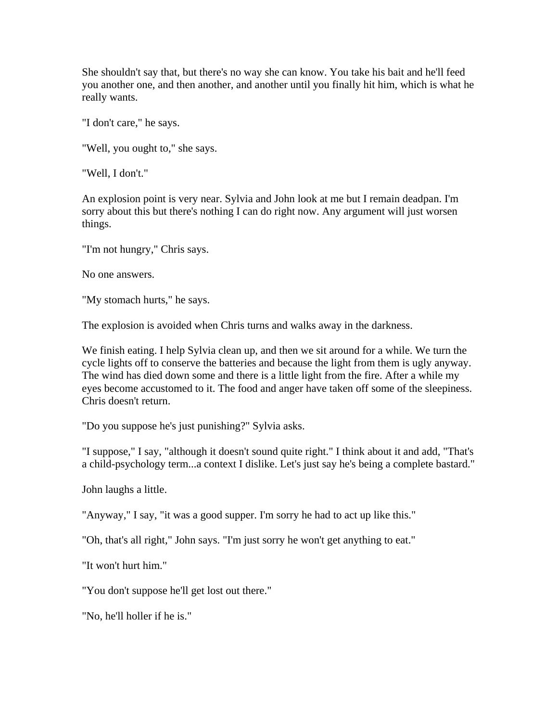She shouldn't say that, but there's no way she can know. You take his bait and he'll feed you another one, and then another, and another until you finally hit him, which is what he really wants.

"I don't care," he says.

"Well, you ought to," she says.

"Well, I don't."

An explosion point is very near. Sylvia and John look at me but I remain deadpan. I'm sorry about this but there's nothing I can do right now. Any argument will just worsen things.

"I'm not hungry," Chris says.

No one answers.

"My stomach hurts," he says.

The explosion is avoided when Chris turns and walks away in the darkness.

We finish eating. I help Sylvia clean up, and then we sit around for a while. We turn the cycle lights off to conserve the batteries and because the light from them is ugly anyway. The wind has died down some and there is a little light from the fire. After a while my eyes become accustomed to it. The food and anger have taken off some of the sleepiness. Chris doesn't return.

"Do you suppose he's just punishing?" Sylvia asks.

"I suppose," I say, "although it doesn't sound quite right." I think about it and add, "That's a child-psychology term...a context I dislike. Let's just say he's being a complete bastard."

John laughs a little.

"Anyway," I say, "it was a good supper. I'm sorry he had to act up like this."

"Oh, that's all right," John says. "I'm just sorry he won't get anything to eat."

"It won't hurt him."

"You don't suppose he'll get lost out there."

"No, he'll holler if he is."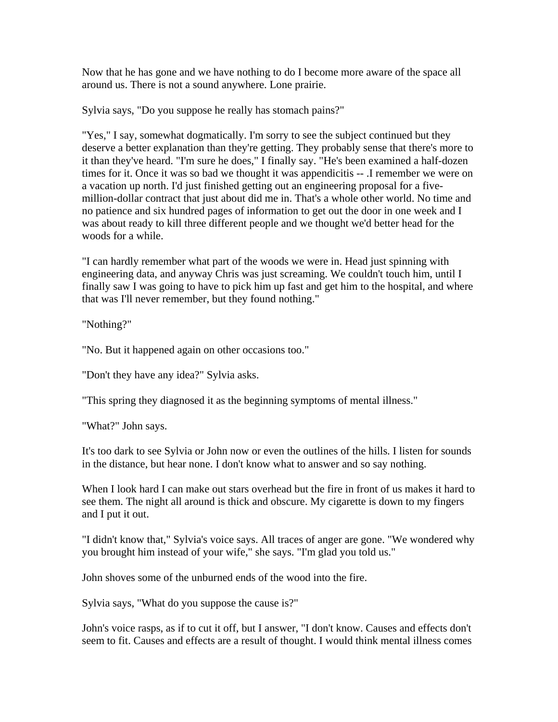Now that he has gone and we have nothing to do I become more aware of the space all around us. There is not a sound anywhere. Lone prairie.

Sylvia says, "Do you suppose he really has stomach pains?"

"Yes," I say, somewhat dogmatically. I'm sorry to see the subject continued but they deserve a better explanation than they're getting. They probably sense that there's more to it than they've heard. "I'm sure he does," I finally say. "He's been examined a half-dozen times for it. Once it was so bad we thought it was appendicitis -- .I remember we were on a vacation up north. I'd just finished getting out an engineering proposal for a fivemillion-dollar contract that just about did me in. That's a whole other world. No time and no patience and six hundred pages of information to get out the door in one week and I was about ready to kill three different people and we thought we'd better head for the woods for a while.

"I can hardly remember what part of the woods we were in. Head just spinning with engineering data, and anyway Chris was just screaming. We couldn't touch him, until I finally saw I was going to have to pick him up fast and get him to the hospital, and where that was I'll never remember, but they found nothing."

"Nothing?"

"No. But it happened again on other occasions too."

"Don't they have any idea?" Sylvia asks.

"This spring they diagnosed it as the beginning symptoms of mental illness."

"What?" John says.

It's too dark to see Sylvia or John now or even the outlines of the hills. I listen for sounds in the distance, but hear none. I don't know what to answer and so say nothing.

When I look hard I can make out stars overhead but the fire in front of us makes it hard to see them. The night all around is thick and obscure. My cigarette is down to my fingers and I put it out.

"I didn't know that," Sylvia's voice says. All traces of anger are gone. "We wondered why you brought him instead of your wife," she says. "I'm glad you told us."

John shoves some of the unburned ends of the wood into the fire.

Sylvia says, "What do you suppose the cause is?"

John's voice rasps, as if to cut it off, but I answer, "I don't know. Causes and effects don't seem to fit. Causes and effects are a result of thought. I would think mental illness comes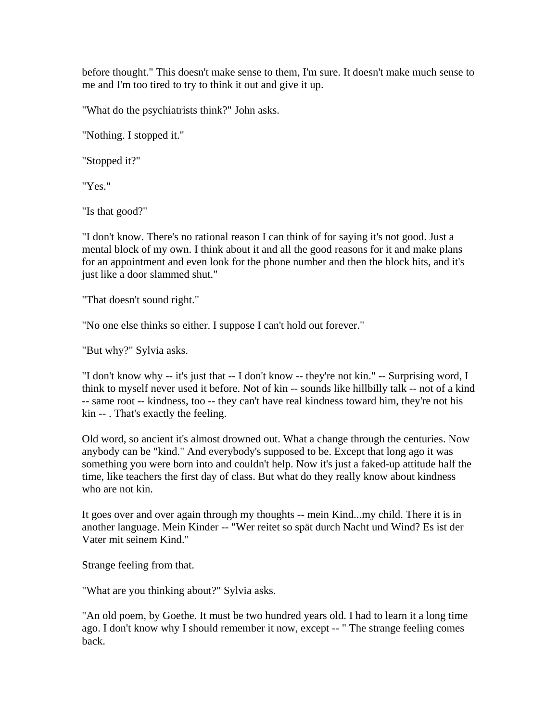before thought." This doesn't make sense to them, I'm sure. It doesn't make much sense to me and I'm too tired to try to think it out and give it up.

"What do the psychiatrists think?" John asks.

"Nothing. I stopped it."

"Stopped it?"

"Yes."

"Is that good?"

"I don't know. There's no rational reason I can think of for saying it's not good. Just a mental block of my own. I think about it and all the good reasons for it and make plans for an appointment and even look for the phone number and then the block hits, and it's just like a door slammed shut."

"That doesn't sound right."

"No one else thinks so either. I suppose I can't hold out forever."

"But why?" Sylvia asks.

"I don't know why -- it's just that -- I don't know -- they're not kin." -- Surprising word, I think to myself never used it before. Not of kin -- sounds like hillbilly talk -- not of a kind -- same root -- kindness, too -- they can't have real kindness toward him, they're not his kin -- . That's exactly the feeling.

Old word, so ancient it's almost drowned out. What a change through the centuries. Now anybody can be "kind." And everybody's supposed to be. Except that long ago it was something you were born into and couldn't help. Now it's just a faked-up attitude half the time, like teachers the first day of class. But what do they really know about kindness who are not kin.

It goes over and over again through my thoughts -- mein Kind...my child. There it is in another language. Mein Kinder -- "Wer reitet so spät durch Nacht und Wind? Es ist der Vater mit seinem Kind."

Strange feeling from that.

"What are you thinking about?" Sylvia asks.

"An old poem, by Goethe. It must be two hundred years old. I had to learn it a long time ago. I don't know why I should remember it now, except -- " The strange feeling comes back.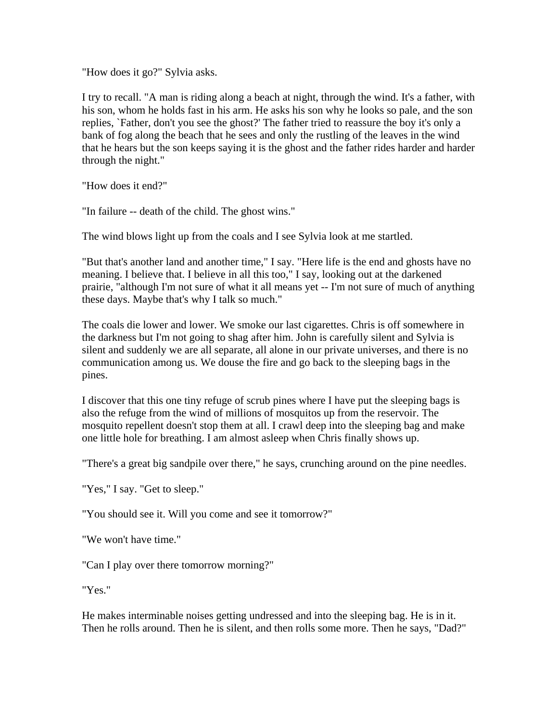"How does it go?" Sylvia asks.

I try to recall. "A man is riding along a beach at night, through the wind. It's a father, with his son, whom he holds fast in his arm. He asks his son why he looks so pale, and the son replies, `Father, don't you see the ghost?' The father tried to reassure the boy it's only a bank of fog along the beach that he sees and only the rustling of the leaves in the wind that he hears but the son keeps saying it is the ghost and the father rides harder and harder through the night."

"How does it end?"

"In failure -- death of the child. The ghost wins."

The wind blows light up from the coals and I see Sylvia look at me startled.

"But that's another land and another time," I say. "Here life is the end and ghosts have no meaning. I believe that. I believe in all this too," I say, looking out at the darkened prairie, "although I'm not sure of what it all means yet -- I'm not sure of much of anything these days. Maybe that's why I talk so much."

The coals die lower and lower. We smoke our last cigarettes. Chris is off somewhere in the darkness but I'm not going to shag after him. John is carefully silent and Sylvia is silent and suddenly we are all separate, all alone in our private universes, and there is no communication among us. We douse the fire and go back to the sleeping bags in the pines.

I discover that this one tiny refuge of scrub pines where I have put the sleeping bags is also the refuge from the wind of millions of mosquitos up from the reservoir. The mosquito repellent doesn't stop them at all. I crawl deep into the sleeping bag and make one little hole for breathing. I am almost asleep when Chris finally shows up.

"There's a great big sandpile over there," he says, crunching around on the pine needles.

"Yes," I say. "Get to sleep."

"You should see it. Will you come and see it tomorrow?"

"We won't have time."

"Can I play over there tomorrow morning?"

"Yes."

He makes interminable noises getting undressed and into the sleeping bag. He is in it. Then he rolls around. Then he is silent, and then rolls some more. Then he says, "Dad?"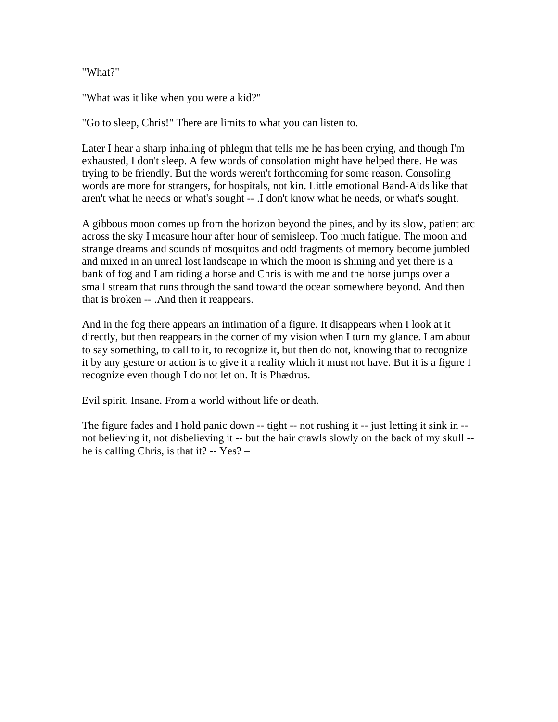"What?"

"What was it like when you were a kid?"

"Go to sleep, Chris!" There are limits to what you can listen to.

Later I hear a sharp inhaling of phlegm that tells me he has been crying, and though I'm exhausted, I don't sleep. A few words of consolation might have helped there. He was trying to be friendly. But the words weren't forthcoming for some reason. Consoling words are more for strangers, for hospitals, not kin. Little emotional Band-Aids like that aren't what he needs or what's sought -- .I don't know what he needs, or what's sought.

A gibbous moon comes up from the horizon beyond the pines, and by its slow, patient arc across the sky I measure hour after hour of semisleep. Too much fatigue. The moon and strange dreams and sounds of mosquitos and odd fragments of memory become jumbled and mixed in an unreal lost landscape in which the moon is shining and yet there is a bank of fog and I am riding a horse and Chris is with me and the horse jumps over a small stream that runs through the sand toward the ocean somewhere beyond. And then that is broken -- .And then it reappears.

And in the fog there appears an intimation of a figure. It disappears when I look at it directly, but then reappears in the corner of my vision when I turn my glance. I am about to say something, to call to it, to recognize it, but then do not, knowing that to recognize it by any gesture or action is to give it a reality which it must not have. But it is a figure I recognize even though I do not let on. It is Phædrus.

Evil spirit. Insane. From a world without life or death.

The figure fades and I hold panic down -- tight -- not rushing it -- just letting it sink in -not believing it, not disbelieving it -- but the hair crawls slowly on the back of my skull - he is calling Chris, is that it? -- Yes? –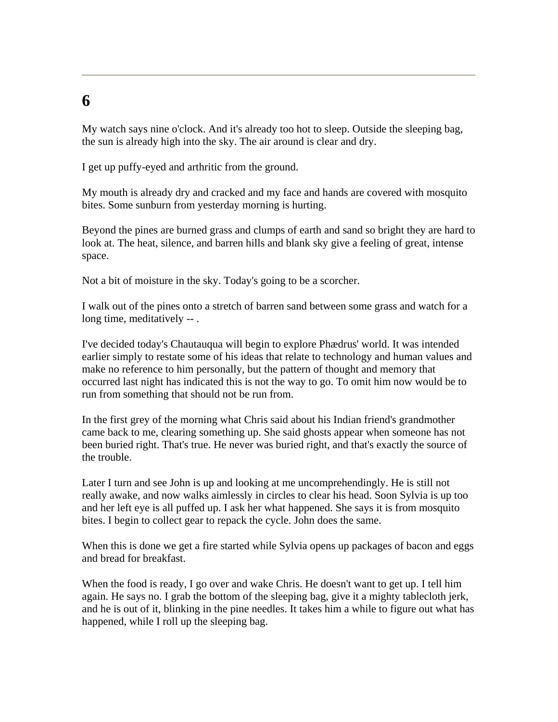### **6**

My watch says nine o'clock. And it's already too hot to sleep. Outside the sleeping bag, the sun is already high into the sky. The air around is clear and dry.

I get up puffy-eyed and arthritic from the ground.

My mouth is already dry and cracked and my face and hands are covered with mosquito bites. Some sunburn from yesterday morning is hurting.

Beyond the pines are burned grass and clumps of earth and sand so bright they are hard to look at. The heat, silence, and barren hills and blank sky give a feeling of great, intense space.

Not a bit of moisture in the sky. Today's going to be a scorcher.

I walk out of the pines onto a stretch of barren sand between some grass and watch for a long time, meditatively -- .

I've decided today's Chautauqua will begin to explore Phædrus' world. It was intended earlier simply to restate some of his ideas that relate to technology and human values and make no reference to him personally, but the pattern of thought and memory that occurred last night has indicated this is not the way to go. To omit him now would be to run from something that should not be run from.

In the first grey of the morning what Chris said about his Indian friend's grandmother came back to me, clearing something up. She said ghosts appear when someone has not been buried right. That's true. He never was buried right, and that's exactly the source of the trouble.

Later I turn and see John is up and looking at me uncomprehendingly. He is still not really awake, and now walks aimlessly in circles to clear his head. Soon Sylvia is up too and her left eye is all puffed up. I ask her what happened. She says it is from mosquito bites. I begin to collect gear to repack the cycle. John does the same.

When this is done we get a fire started while Sylvia opens up packages of bacon and eggs and bread for breakfast.

When the food is ready, I go over and wake Chris. He doesn't want to get up. I tell him again. He says no. I grab the bottom of the sleeping bag, give it a mighty tablecloth jerk, and he is out of it, blinking in the pine needles. It takes him a while to figure out what has happened, while I roll up the sleeping bag.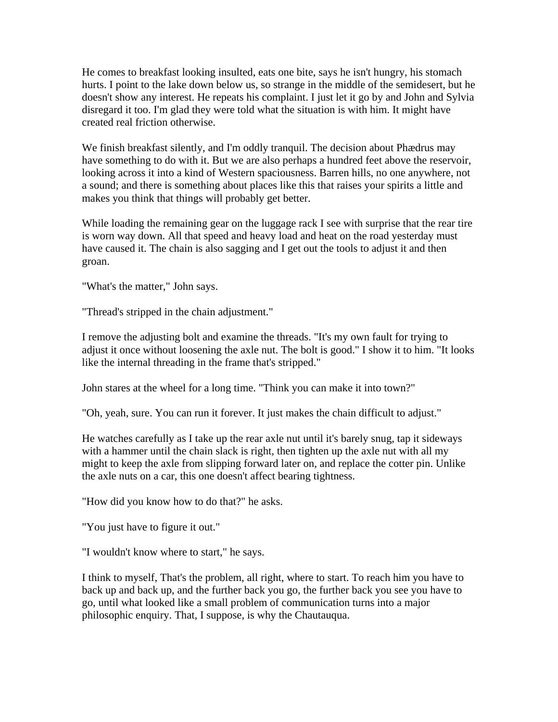He comes to breakfast looking insulted, eats one bite, says he isn't hungry, his stomach hurts. I point to the lake down below us, so strange in the middle of the semidesert, but he doesn't show any interest. He repeats his complaint. I just let it go by and John and Sylvia disregard it too. I'm glad they were told what the situation is with him. It might have created real friction otherwise.

We finish breakfast silently, and I'm oddly tranquil. The decision about Phædrus may have something to do with it. But we are also perhaps a hundred feet above the reservoir, looking across it into a kind of Western spaciousness. Barren hills, no one anywhere, not a sound; and there is something about places like this that raises your spirits a little and makes you think that things will probably get better.

While loading the remaining gear on the luggage rack I see with surprise that the rear tire is worn way down. All that speed and heavy load and heat on the road yesterday must have caused it. The chain is also sagging and I get out the tools to adjust it and then groan.

"What's the matter," John says.

"Thread's stripped in the chain adjustment."

I remove the adjusting bolt and examine the threads. "It's my own fault for trying to adjust it once without loosening the axle nut. The bolt is good." I show it to him. "It looks like the internal threading in the frame that's stripped."

John stares at the wheel for a long time. "Think you can make it into town?"

"Oh, yeah, sure. You can run it forever. It just makes the chain difficult to adjust."

He watches carefully as I take up the rear axle nut until it's barely snug, tap it sideways with a hammer until the chain slack is right, then tighten up the axle nut with all my might to keep the axle from slipping forward later on, and replace the cotter pin. Unlike the axle nuts on a car, this one doesn't affect bearing tightness.

"How did you know how to do that?" he asks.

"You just have to figure it out."

"I wouldn't know where to start," he says.

I think to myself, That's the problem, all right, where to start. To reach him you have to back up and back up, and the further back you go, the further back you see you have to go, until what looked like a small problem of communication turns into a major philosophic enquiry. That, I suppose, is why the Chautauqua.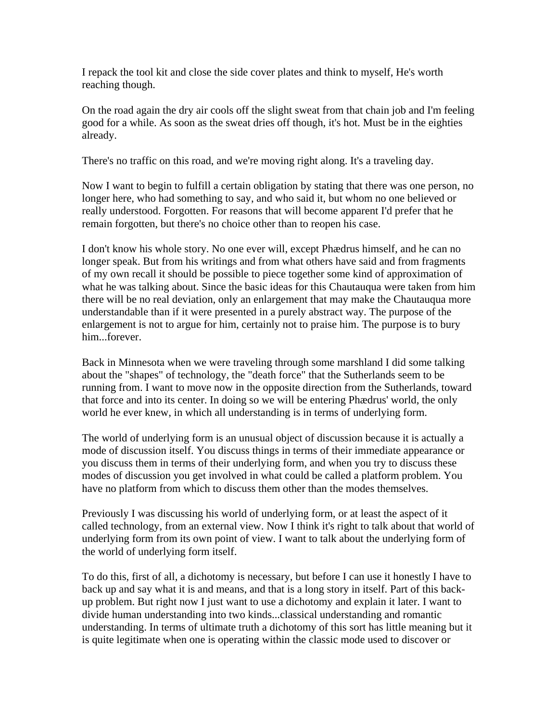I repack the tool kit and close the side cover plates and think to myself, He's worth reaching though.

On the road again the dry air cools off the slight sweat from that chain job and I'm feeling good for a while. As soon as the sweat dries off though, it's hot. Must be in the eighties already.

There's no traffic on this road, and we're moving right along. It's a traveling day.

Now I want to begin to fulfill a certain obligation by stating that there was one person, no longer here, who had something to say, and who said it, but whom no one believed or really understood. Forgotten. For reasons that will become apparent I'd prefer that he remain forgotten, but there's no choice other than to reopen his case.

I don't know his whole story. No one ever will, except Phædrus himself, and he can no longer speak. But from his writings and from what others have said and from fragments of my own recall it should be possible to piece together some kind of approximation of what he was talking about. Since the basic ideas for this Chautauqua were taken from him there will be no real deviation, only an enlargement that may make the Chautauqua more understandable than if it were presented in a purely abstract way. The purpose of the enlargement is not to argue for him, certainly not to praise him. The purpose is to bury him...forever.

Back in Minnesota when we were traveling through some marshland I did some talking about the "shapes" of technology, the "death force" that the Sutherlands seem to be running from. I want to move now in the opposite direction from the Sutherlands, toward that force and into its center. In doing so we will be entering Phædrus' world, the only world he ever knew, in which all understanding is in terms of underlying form.

The world of underlying form is an unusual object of discussion because it is actually a mode of discussion itself. You discuss things in terms of their immediate appearance or you discuss them in terms of their underlying form, and when you try to discuss these modes of discussion you get involved in what could be called a platform problem. You have no platform from which to discuss them other than the modes themselves.

Previously I was discussing his world of underlying form, or at least the aspect of it called technology, from an external view. Now I think it's right to talk about that world of underlying form from its own point of view. I want to talk about the underlying form of the world of underlying form itself.

To do this, first of all, a dichotomy is necessary, but before I can use it honestly I have to back up and say what it is and means, and that is a long story in itself. Part of this backup problem. But right now I just want to use a dichotomy and explain it later. I want to divide human understanding into two kinds...classical understanding and romantic understanding. In terms of ultimate truth a dichotomy of this sort has little meaning but it is quite legitimate when one is operating within the classic mode used to discover or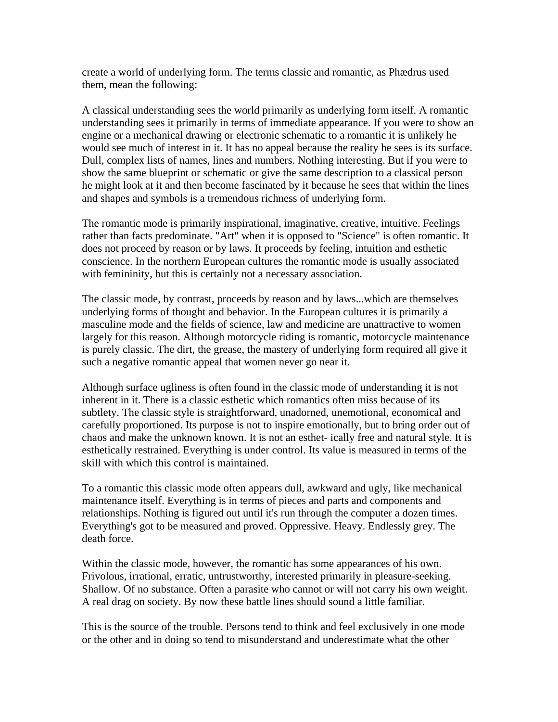create a world of underlying form. The terms classic and romantic, as Phædrus used them, mean the following:

A classical understanding sees the world primarily as underlying form itself. A romantic understanding sees it primarily in terms of immediate appearance. If you were to show an engine or a mechanical drawing or electronic schematic to a romantic it is unlikely he would see much of interest in it. It has no appeal because the reality he sees is its surface. Dull, complex lists of names, lines and numbers. Nothing interesting. But if you were to show the same blueprint or schematic or give the same description to a classical person he might look at it and then become fascinated by it because he sees that within the lines and shapes and symbols is a tremendous richness of underlying form.

The romantic mode is primarily inspirational, imaginative, creative, intuitive. Feelings rather than facts predominate. "Art" when it is opposed to "Science" is often romantic. It does not proceed by reason or by laws. It proceeds by feeling, intuition and esthetic conscience. In the northern European cultures the romantic mode is usually associated with femininity, but this is certainly not a necessary association.

The classic mode, by contrast, proceeds by reason and by laws...which are themselves underlying forms of thought and behavior. In the European cultures it is primarily a masculine mode and the fields of science, law and medicine are unattractive to women largely for this reason. Although motorcycle riding is romantic, motorcycle maintenance is purely classic. The dirt, the grease, the mastery of underlying form required all give it such a negative romantic appeal that women never go near it.

Although surface ugliness is often found in the classic mode of understanding it is not inherent in it. There is a classic esthetic which romantics often miss because of its subtlety. The classic style is straightforward, unadorned, unemotional, economical and carefully proportioned. Its purpose is not to inspire emotionally, but to bring order out of chaos and make the unknown known. It is not an esthet- ically free and natural style. It is esthetically restrained. Everything is under control. Its value is measured in terms of the skill with which this control is maintained.

To a romantic this classic mode often appears dull, awkward and ugly, like mechanical maintenance itself. Everything is in terms of pieces and parts and components and relationships. Nothing is figured out until it's run through the computer a dozen times. Everything's got to be measured and proved. Oppressive. Heavy. Endlessly grey. The death force.

Within the classic mode, however, the romantic has some appearances of his own. Frivolous, irrational, erratic, untrustworthy, interested primarily in pleasure-seeking. Shallow. Of no substance. Often a parasite who cannot or will not carry his own weight. A real drag on society. By now these battle lines should sound a little familiar.

This is the source of the trouble. Persons tend to think and feel exclusively in one mode or the other and in doing so tend to misunderstand and underestimate what the other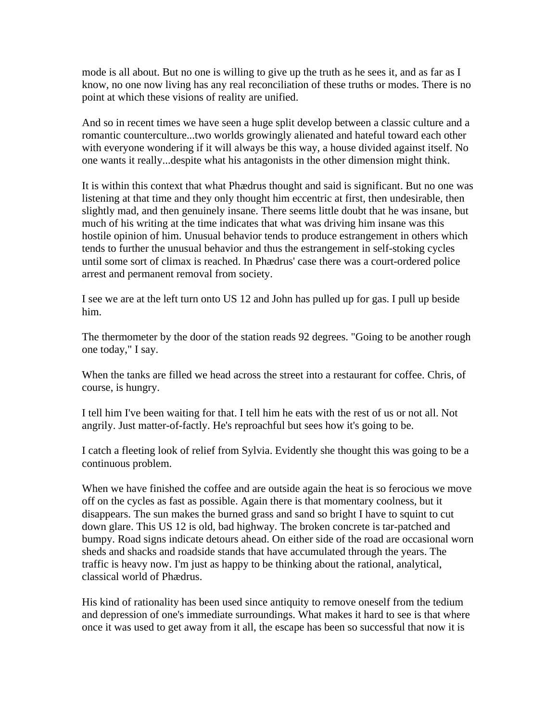mode is all about. But no one is willing to give up the truth as he sees it, and as far as I know, no one now living has any real reconciliation of these truths or modes. There is no point at which these visions of reality are unified.

And so in recent times we have seen a huge split develop between a classic culture and a romantic counterculture...two worlds growingly alienated and hateful toward each other with everyone wondering if it will always be this way, a house divided against itself. No one wants it really...despite what his antagonists in the other dimension might think.

It is within this context that what Phædrus thought and said is significant. But no one was listening at that time and they only thought him eccentric at first, then undesirable, then slightly mad, and then genuinely insane. There seems little doubt that he was insane, but much of his writing at the time indicates that what was driving him insane was this hostile opinion of him. Unusual behavior tends to produce estrangement in others which tends to further the unusual behavior and thus the estrangement in self-stoking cycles until some sort of climax is reached. In Phædrus' case there was a court-ordered police arrest and permanent removal from society.

I see we are at the left turn onto US 12 and John has pulled up for gas. I pull up beside him.

The thermometer by the door of the station reads 92 degrees. "Going to be another rough one today," I say.

When the tanks are filled we head across the street into a restaurant for coffee. Chris, of course, is hungry.

I tell him I've been waiting for that. I tell him he eats with the rest of us or not all. Not angrily. Just matter-of-factly. He's reproachful but sees how it's going to be.

I catch a fleeting look of relief from Sylvia. Evidently she thought this was going to be a continuous problem.

When we have finished the coffee and are outside again the heat is so ferocious we move off on the cycles as fast as possible. Again there is that momentary coolness, but it disappears. The sun makes the burned grass and sand so bright I have to squint to cut down glare. This US 12 is old, bad highway. The broken concrete is tar-patched and bumpy. Road signs indicate detours ahead. On either side of the road are occasional worn sheds and shacks and roadside stands that have accumulated through the years. The traffic is heavy now. I'm just as happy to be thinking about the rational, analytical, classical world of Phædrus.

His kind of rationality has been used since antiquity to remove oneself from the tedium and depression of one's immediate surroundings. What makes it hard to see is that where once it was used to get away from it all, the escape has been so successful that now it is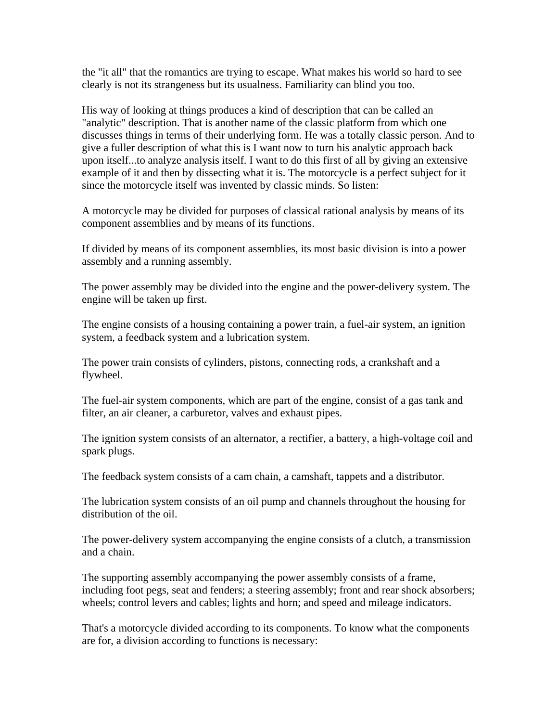the "it all" that the romantics are trying to escape. What makes his world so hard to see clearly is not its strangeness but its usualness. Familiarity can blind you too.

His way of looking at things produces a kind of description that can be called an "analytic" description. That is another name of the classic platform from which one discusses things in terms of their underlying form. He was a totally classic person. And to give a fuller description of what this is I want now to turn his analytic approach back upon itself...to analyze analysis itself. I want to do this first of all by giving an extensive example of it and then by dissecting what it is. The motorcycle is a perfect subject for it since the motorcycle itself was invented by classic minds. So listen:

A motorcycle may be divided for purposes of classical rational analysis by means of its component assemblies and by means of its functions.

If divided by means of its component assemblies, its most basic division is into a power assembly and a running assembly.

The power assembly may be divided into the engine and the power-delivery system. The engine will be taken up first.

The engine consists of a housing containing a power train, a fuel-air system, an ignition system, a feedback system and a lubrication system.

The power train consists of cylinders, pistons, connecting rods, a crankshaft and a flywheel.

The fuel-air system components, which are part of the engine, consist of a gas tank and filter, an air cleaner, a carburetor, valves and exhaust pipes.

The ignition system consists of an alternator, a rectifier, a battery, a high-voltage coil and spark plugs.

The feedback system consists of a cam chain, a camshaft, tappets and a distributor.

The lubrication system consists of an oil pump and channels throughout the housing for distribution of the oil.

The power-delivery system accompanying the engine consists of a clutch, a transmission and a chain.

The supporting assembly accompanying the power assembly consists of a frame, including foot pegs, seat and fenders; a steering assembly; front and rear shock absorbers; wheels; control levers and cables; lights and horn; and speed and mileage indicators.

That's a motorcycle divided according to its components. To know what the components are for, a division according to functions is necessary: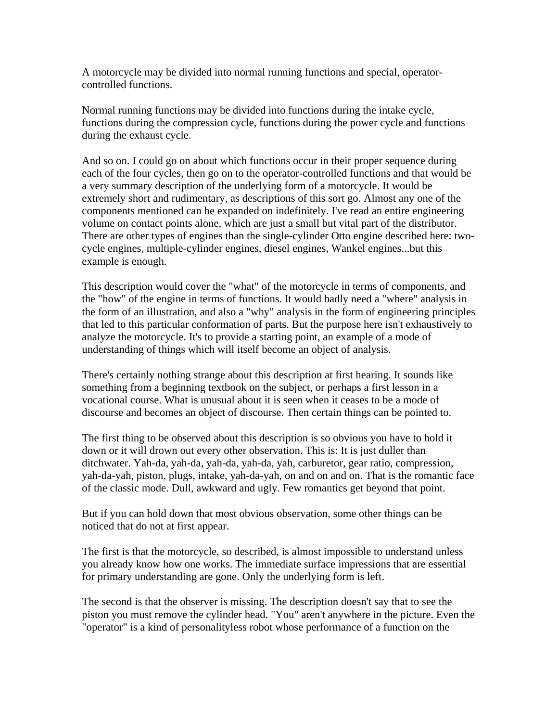A motorcycle may be divided into normal running functions and special, operatorcontrolled functions.

Normal running functions may be divided into functions during the intake cycle, functions during the compression cycle, functions during the power cycle and functions during the exhaust cycle.

And so on. I could go on about which functions occur in their proper sequence during each of the four cycles, then go on to the operator-controlled functions and that would be a very summary description of the underlying form of a motorcycle. It would be extremely short and rudimentary, as descriptions of this sort go. Almost any one of the components mentioned can be expanded on indefinitely. I've read an entire engineering volume on contact points alone, which are just a small but vital part of the distributor. There are other types of engines than the single-cylinder Otto engine described here: twocycle engines, multiple-cylinder engines, diesel engines, Wankel engines...but this example is enough.

This description would cover the "what" of the motorcycle in terms of components, and the "how" of the engine in terms of functions. It would badly need a "where" analysis in the form of an illustration, and also a "why" analysis in the form of engineering principles that led to this particular conformation of parts. But the purpose here isn't exhaustively to analyze the motorcycle. It's to provide a starting point, an example of a mode of understanding of things which will itself become an object of analysis.

There's certainly nothing strange about this description at first hearing. It sounds like something from a beginning textbook on the subject, or perhaps a first lesson in a vocational course. What is unusual about it is seen when it ceases to be a mode of discourse and becomes an object of discourse. Then certain things can be pointed to.

The first thing to be observed about this description is so obvious you have to hold it down or it will drown out every other observation. This is: It is just duller than ditchwater. Yah-da, yah-da, yah-da, yah-da, yah, carburetor, gear ratio, compression, yah-da-yah, piston, plugs, intake, yah-da-yah, on and on and on. That is the romantic face of the classic mode. Dull, awkward and ugly. Few romantics get beyond that point.

But if you can hold down that most obvious observation, some other things can be noticed that do not at first appear.

The first is that the motorcycle, so described, is almost impossible to understand unless you already know how one works. The immediate surface impressions that are essential for primary understanding are gone. Only the underlying form is left.

The second is that the observer is missing. The description doesn't say that to see the piston you must remove the cylinder head. "You" aren't anywhere in the picture. Even the "operator" is a kind of personalityless robot whose performance of a function on the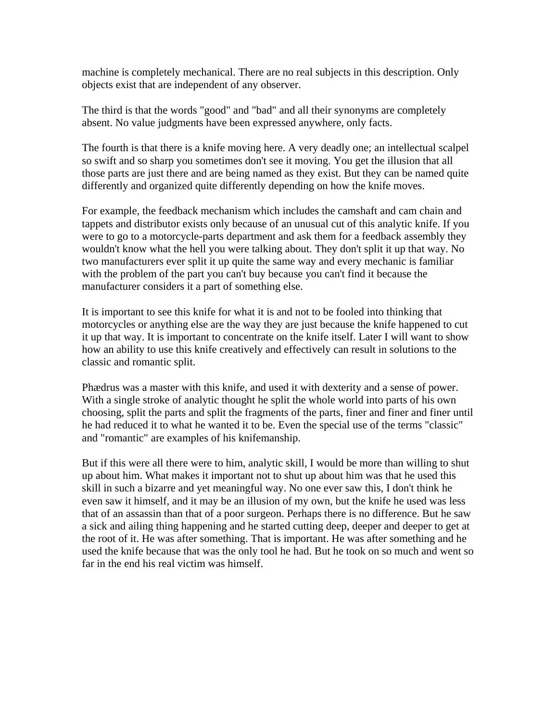machine is completely mechanical. There are no real subjects in this description. Only objects exist that are independent of any observer.

The third is that the words "good" and "bad" and all their synonyms are completely absent. No value judgments have been expressed anywhere, only facts.

The fourth is that there is a knife moving here. A very deadly one; an intellectual scalpel so swift and so sharp you sometimes don't see it moving. You get the illusion that all those parts are just there and are being named as they exist. But they can be named quite differently and organized quite differently depending on how the knife moves.

For example, the feedback mechanism which includes the camshaft and cam chain and tappets and distributor exists only because of an unusual cut of this analytic knife. If you were to go to a motorcycle-parts department and ask them for a feedback assembly they wouldn't know what the hell you were talking about. They don't split it up that way. No two manufacturers ever split it up quite the same way and every mechanic is familiar with the problem of the part you can't buy because you can't find it because the manufacturer considers it a part of something else.

It is important to see this knife for what it is and not to be fooled into thinking that motorcycles or anything else are the way they are just because the knife happened to cut it up that way. It is important to concentrate on the knife itself. Later I will want to show how an ability to use this knife creatively and effectively can result in solutions to the classic and romantic split.

Phædrus was a master with this knife, and used it with dexterity and a sense of power. With a single stroke of analytic thought he split the whole world into parts of his own choosing, split the parts and split the fragments of the parts, finer and finer and finer until he had reduced it to what he wanted it to be. Even the special use of the terms "classic" and "romantic" are examples of his knifemanship.

But if this were all there were to him, analytic skill, I would be more than willing to shut up about him. What makes it important not to shut up about him was that he used this skill in such a bizarre and yet meaningful way. No one ever saw this, I don't think he even saw it himself, and it may be an illusion of my own, but the knife he used was less that of an assassin than that of a poor surgeon. Perhaps there is no difference. But he saw a sick and ailing thing happening and he started cutting deep, deeper and deeper to get at the root of it. He was after something. That is important. He was after something and he used the knife because that was the only tool he had. But he took on so much and went so far in the end his real victim was himself.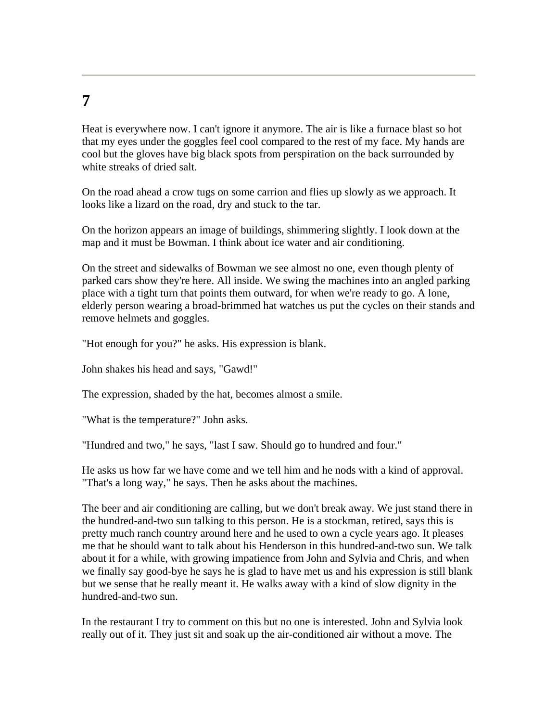### **7**

Heat is everywhere now. I can't ignore it anymore. The air is like a furnace blast so hot that my eyes under the goggles feel cool compared to the rest of my face. My hands are cool but the gloves have big black spots from perspiration on the back surrounded by white streaks of dried salt.

On the road ahead a crow tugs on some carrion and flies up slowly as we approach. It looks like a lizard on the road, dry and stuck to the tar.

On the horizon appears an image of buildings, shimmering slightly. I look down at the map and it must be Bowman. I think about ice water and air conditioning.

On the street and sidewalks of Bowman we see almost no one, even though plenty of parked cars show they're here. All inside. We swing the machines into an angled parking place with a tight turn that points them outward, for when we're ready to go. A lone, elderly person wearing a broad-brimmed hat watches us put the cycles on their stands and remove helmets and goggles.

"Hot enough for you?" he asks. His expression is blank.

John shakes his head and says, "Gawd!"

The expression, shaded by the hat, becomes almost a smile.

"What is the temperature?" John asks.

"Hundred and two," he says, "last I saw. Should go to hundred and four."

He asks us how far we have come and we tell him and he nods with a kind of approval. "That's a long way," he says. Then he asks about the machines.

The beer and air conditioning are calling, but we don't break away. We just stand there in the hundred-and-two sun talking to this person. He is a stockman, retired, says this is pretty much ranch country around here and he used to own a cycle years ago. It pleases me that he should want to talk about his Henderson in this hundred-and-two sun. We talk about it for a while, with growing impatience from John and Sylvia and Chris, and when we finally say good-bye he says he is glad to have met us and his expression is still blank but we sense that he really meant it. He walks away with a kind of slow dignity in the hundred-and-two sun.

In the restaurant I try to comment on this but no one is interested. John and Sylvia look really out of it. They just sit and soak up the air-conditioned air without a move. The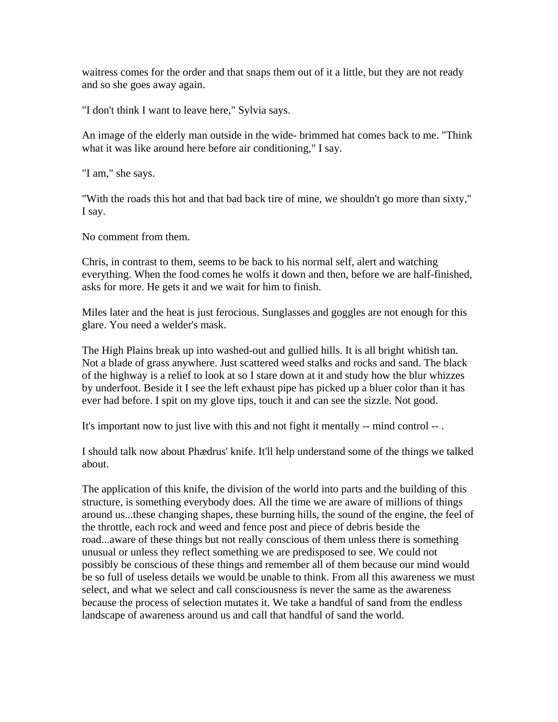waitress comes for the order and that snaps them out of it a little, but they are not ready and so she goes away again.

"I don't think I want to leave here," Sylvia says.

An image of the elderly man outside in the wide- brimmed hat comes back to me. "Think what it was like around here before air conditioning," I say.

"I am," she says.

"With the roads this hot and that bad back tire of mine, we shouldn't go more than sixty," I say.

No comment from them.

Chris, in contrast to them, seems to be back to his normal self, alert and watching everything. When the food comes he wolfs it down and then, before we are half-finished, asks for more. He gets it and we wait for him to finish.

Miles later and the heat is just ferocious. Sunglasses and goggles are not enough for this glare. You need a welder's mask.

The High Plains break up into washed-out and gullied hills. It is all bright whitish tan. Not a blade of grass anywhere. Just scattered weed stalks and rocks and sand. The black of the highway is a relief to look at so I stare down at it and study how the blur whizzes by underfoot. Beside it I see the left exhaust pipe has picked up a bluer color than it has ever had before. I spit on my glove tips, touch it and can see the sizzle. Not good.

It's important now to just live with this and not fight it mentally -- mind control -- .

I should talk now about Phædrus' knife. It'll help understand some of the things we talked about.

The application of this knife, the division of the world into parts and the building of this structure, is something everybody does. All the time we are aware of millions of things around us...these changing shapes, these burning hills, the sound of the engine, the feel of the throttle, each rock and weed and fence post and piece of debris beside the road...aware of these things but not really conscious of them unless there is something unusual or unless they reflect something we are predisposed to see. We could not possibly be conscious of these things and remember all of them because our mind would be so full of useless details we would be unable to think. From all this awareness we must select, and what we select and call consciousness is never the same as the awareness because the process of selection mutates it. We take a handful of sand from the endless landscape of awareness around us and call that handful of sand the world.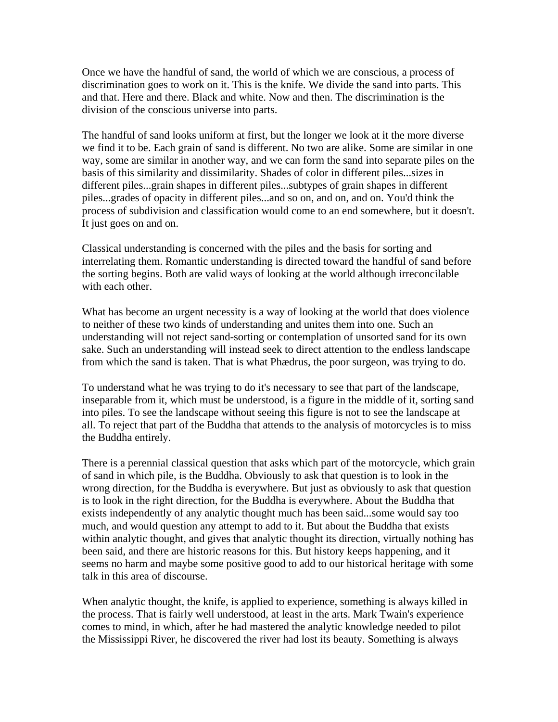Once we have the handful of sand, the world of which we are conscious, a process of discrimination goes to work on it. This is the knife. We divide the sand into parts. This and that. Here and there. Black and white. Now and then. The discrimination is the division of the conscious universe into parts.

The handful of sand looks uniform at first, but the longer we look at it the more diverse we find it to be. Each grain of sand is different. No two are alike. Some are similar in one way, some are similar in another way, and we can form the sand into separate piles on the basis of this similarity and dissimilarity. Shades of color in different piles...sizes in different piles...grain shapes in different piles...subtypes of grain shapes in different piles...grades of opacity in different piles...and so on, and on, and on. You'd think the process of subdivision and classification would come to an end somewhere, but it doesn't. It just goes on and on.

Classical understanding is concerned with the piles and the basis for sorting and interrelating them. Romantic understanding is directed toward the handful of sand before the sorting begins. Both are valid ways of looking at the world although irreconcilable with each other.

What has become an urgent necessity is a way of looking at the world that does violence to neither of these two kinds of understanding and unites them into one. Such an understanding will not reject sand-sorting or contemplation of unsorted sand for its own sake. Such an understanding will instead seek to direct attention to the endless landscape from which the sand is taken. That is what Phædrus, the poor surgeon, was trying to do.

To understand what he was trying to do it's necessary to see that part of the landscape, inseparable from it, which must be understood, is a figure in the middle of it, sorting sand into piles. To see the landscape without seeing this figure is not to see the landscape at all. To reject that part of the Buddha that attends to the analysis of motorcycles is to miss the Buddha entirely.

There is a perennial classical question that asks which part of the motorcycle, which grain of sand in which pile, is the Buddha. Obviously to ask that question is to look in the wrong direction, for the Buddha is everywhere. But just as obviously to ask that question is to look in the right direction, for the Buddha is everywhere. About the Buddha that exists independently of any analytic thought much has been said...some would say too much, and would question any attempt to add to it. But about the Buddha that exists within analytic thought, and gives that analytic thought its direction, virtually nothing has been said, and there are historic reasons for this. But history keeps happening, and it seems no harm and maybe some positive good to add to our historical heritage with some talk in this area of discourse.

When analytic thought, the knife, is applied to experience, something is always killed in the process. That is fairly well understood, at least in the arts. Mark Twain's experience comes to mind, in which, after he had mastered the analytic knowledge needed to pilot the Mississippi River, he discovered the river had lost its beauty. Something is always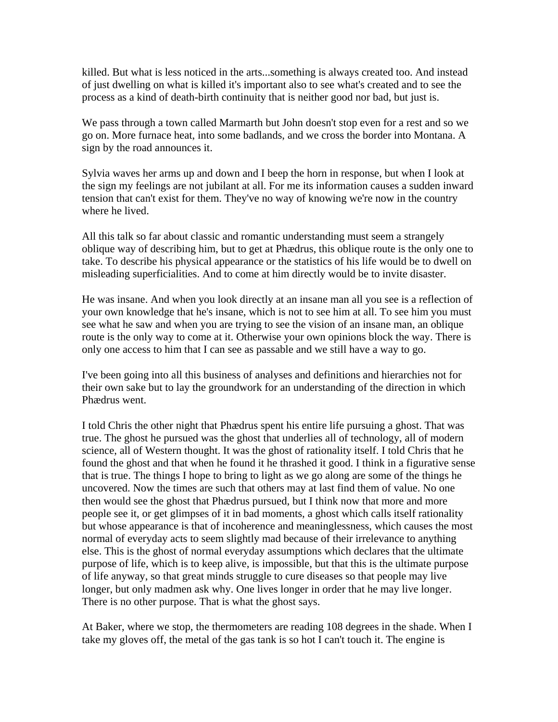killed. But what is less noticed in the arts...something is always created too. And instead of just dwelling on what is killed it's important also to see what's created and to see the process as a kind of death-birth continuity that is neither good nor bad, but just is.

We pass through a town called Marmarth but John doesn't stop even for a rest and so we go on. More furnace heat, into some badlands, and we cross the border into Montana. A sign by the road announces it.

Sylvia waves her arms up and down and I beep the horn in response, but when I look at the sign my feelings are not jubilant at all. For me its information causes a sudden inward tension that can't exist for them. They've no way of knowing we're now in the country where he lived.

All this talk so far about classic and romantic understanding must seem a strangely oblique way of describing him, but to get at Phædrus, this oblique route is the only one to take. To describe his physical appearance or the statistics of his life would be to dwell on misleading superficialities. And to come at him directly would be to invite disaster.

He was insane. And when you look directly at an insane man all you see is a reflection of your own knowledge that he's insane, which is not to see him at all. To see him you must see what he saw and when you are trying to see the vision of an insane man, an oblique route is the only way to come at it. Otherwise your own opinions block the way. There is only one access to him that I can see as passable and we still have a way to go.

I've been going into all this business of analyses and definitions and hierarchies not for their own sake but to lay the groundwork for an understanding of the direction in which Phædrus went.

I told Chris the other night that Phædrus spent his entire life pursuing a ghost. That was true. The ghost he pursued was the ghost that underlies all of technology, all of modern science, all of Western thought. It was the ghost of rationality itself. I told Chris that he found the ghost and that when he found it he thrashed it good. I think in a figurative sense that is true. The things I hope to bring to light as we go along are some of the things he uncovered. Now the times are such that others may at last find them of value. No one then would see the ghost that Phædrus pursued, but I think now that more and more people see it, or get glimpses of it in bad moments, a ghost which calls itself rationality but whose appearance is that of incoherence and meaninglessness, which causes the most normal of everyday acts to seem slightly mad because of their irrelevance to anything else. This is the ghost of normal everyday assumptions which declares that the ultimate purpose of life, which is to keep alive, is impossible, but that this is the ultimate purpose of life anyway, so that great minds struggle to cure diseases so that people may live longer, but only madmen ask why. One lives longer in order that he may live longer. There is no other purpose. That is what the ghost says.

At Baker, where we stop, the thermometers are reading 108 degrees in the shade. When I take my gloves off, the metal of the gas tank is so hot I can't touch it. The engine is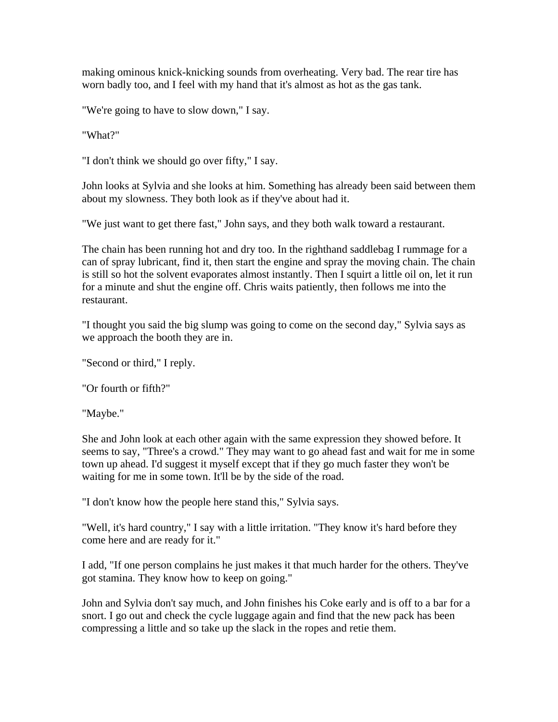making ominous knick-knicking sounds from overheating. Very bad. The rear tire has worn badly too, and I feel with my hand that it's almost as hot as the gas tank.

"We're going to have to slow down," I say.

"What?"

"I don't think we should go over fifty," I say.

John looks at Sylvia and she looks at him. Something has already been said between them about my slowness. They both look as if they've about had it.

"We just want to get there fast," John says, and they both walk toward a restaurant.

The chain has been running hot and dry too. In the righthand saddlebag I rummage for a can of spray lubricant, find it, then start the engine and spray the moving chain. The chain is still so hot the solvent evaporates almost instantly. Then I squirt a little oil on, let it run for a minute and shut the engine off. Chris waits patiently, then follows me into the restaurant.

"I thought you said the big slump was going to come on the second day," Sylvia says as we approach the booth they are in.

"Second or third," I reply.

"Or fourth or fifth?"

"Maybe."

She and John look at each other again with the same expression they showed before. It seems to say, "Three's a crowd." They may want to go ahead fast and wait for me in some town up ahead. I'd suggest it myself except that if they go much faster they won't be waiting for me in some town. It'll be by the side of the road.

"I don't know how the people here stand this," Sylvia says.

"Well, it's hard country," I say with a little irritation. "They know it's hard before they come here and are ready for it."

I add, "If one person complains he just makes it that much harder for the others. They've got stamina. They know how to keep on going."

John and Sylvia don't say much, and John finishes his Coke early and is off to a bar for a snort. I go out and check the cycle luggage again and find that the new pack has been compressing a little and so take up the slack in the ropes and retie them.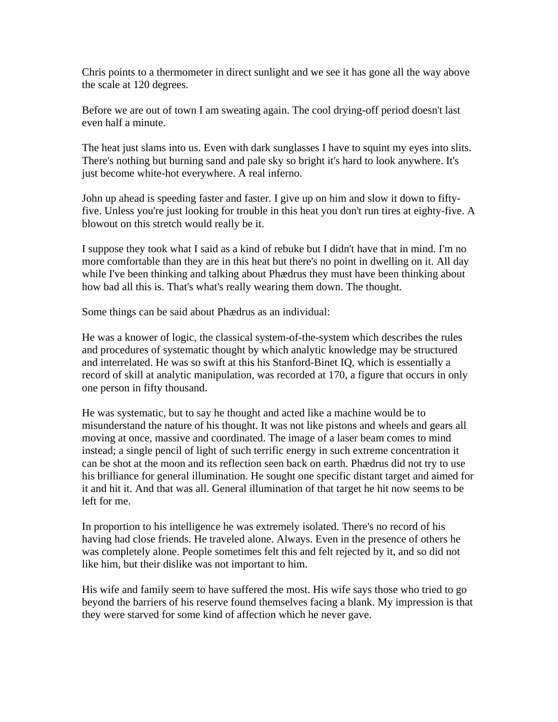Chris points to a thermometer in direct sunlight and we see it has gone all the way above the scale at 120 degrees.

Before we are out of town I am sweating again. The cool drying-off period doesn't last even half a minute.

The heat just slams into us. Even with dark sunglasses I have to squint my eyes into slits. There's nothing but burning sand and pale sky so bright it's hard to look anywhere. It's just become white-hot everywhere. A real inferno.

John up ahead is speeding faster and faster. I give up on him and slow it down to fiftyfive. Unless you're just looking for trouble in this heat you don't run tires at eighty-five. A blowout on this stretch would really be it.

I suppose they took what I said as a kind of rebuke but I didn't have that in mind. I'm no more comfortable than they are in this heat but there's no point in dwelling on it. All day while I've been thinking and talking about Phædrus they must have been thinking about how bad all this is. That's what's really wearing them down. The thought.

Some things can be said about Phædrus as an individual:

He was a knower of logic, the classical system-of-the-system which describes the rules and procedures of systematic thought by which analytic knowledge may be structured and interrelated. He was so swift at this his Stanford-Binet IQ, which is essentially a record of skill at analytic manipulation, was recorded at 170, a figure that occurs in only one person in fifty thousand.

He was systematic, but to say he thought and acted like a machine would be to misunderstand the nature of his thought. It was not like pistons and wheels and gears all moving at once, massive and coordinated. The image of a laser beam comes to mind instead; a single pencil of light of such terrific energy in such extreme concentration it can be shot at the moon and its reflection seen back on earth. Phædrus did not try to use his brilliance for general illumination. He sought one specific distant target and aimed for it and hit it. And that was all. General illumination of that target he hit now seems to be left for me.

In proportion to his intelligence he was extremely isolated. There's no record of his having had close friends. He traveled alone. Always. Even in the presence of others he was completely alone. People sometimes felt this and felt rejected by it, and so did not like him, but their dislike was not important to him.

His wife and family seem to have suffered the most. His wife says those who tried to go beyond the barriers of his reserve found themselves facing a blank. My impression is that they were starved for some kind of affection which he never gave.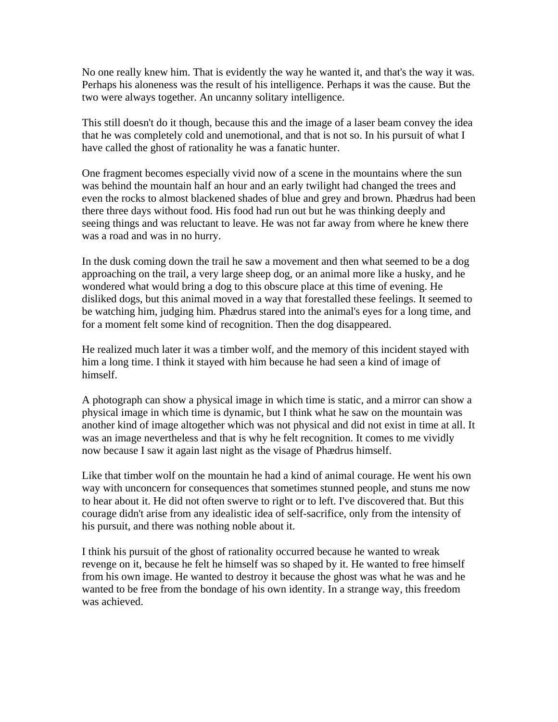No one really knew him. That is evidently the way he wanted it, and that's the way it was. Perhaps his aloneness was the result of his intelligence. Perhaps it was the cause. But the two were always together. An uncanny solitary intelligence.

This still doesn't do it though, because this and the image of a laser beam convey the idea that he was completely cold and unemotional, and that is not so. In his pursuit of what I have called the ghost of rationality he was a fanatic hunter.

One fragment becomes especially vivid now of a scene in the mountains where the sun was behind the mountain half an hour and an early twilight had changed the trees and even the rocks to almost blackened shades of blue and grey and brown. Phædrus had been there three days without food. His food had run out but he was thinking deeply and seeing things and was reluctant to leave. He was not far away from where he knew there was a road and was in no hurry.

In the dusk coming down the trail he saw a movement and then what seemed to be a dog approaching on the trail, a very large sheep dog, or an animal more like a husky, and he wondered what would bring a dog to this obscure place at this time of evening. He disliked dogs, but this animal moved in a way that forestalled these feelings. It seemed to be watching him, judging him. Phædrus stared into the animal's eyes for a long time, and for a moment felt some kind of recognition. Then the dog disappeared.

He realized much later it was a timber wolf, and the memory of this incident stayed with him a long time. I think it stayed with him because he had seen a kind of image of himself.

A photograph can show a physical image in which time is static, and a mirror can show a physical image in which time is dynamic, but I think what he saw on the mountain was another kind of image altogether which was not physical and did not exist in time at all. It was an image nevertheless and that is why he felt recognition. It comes to me vividly now because I saw it again last night as the visage of Phædrus himself.

Like that timber wolf on the mountain he had a kind of animal courage. He went his own way with unconcern for consequences that sometimes stunned people, and stuns me now to hear about it. He did not often swerve to right or to left. I've discovered that. But this courage didn't arise from any idealistic idea of self-sacrifice, only from the intensity of his pursuit, and there was nothing noble about it.

I think his pursuit of the ghost of rationality occurred because he wanted to wreak revenge on it, because he felt he himself was so shaped by it. He wanted to free himself from his own image. He wanted to destroy it because the ghost was what he was and he wanted to be free from the bondage of his own identity. In a strange way, this freedom was achieved.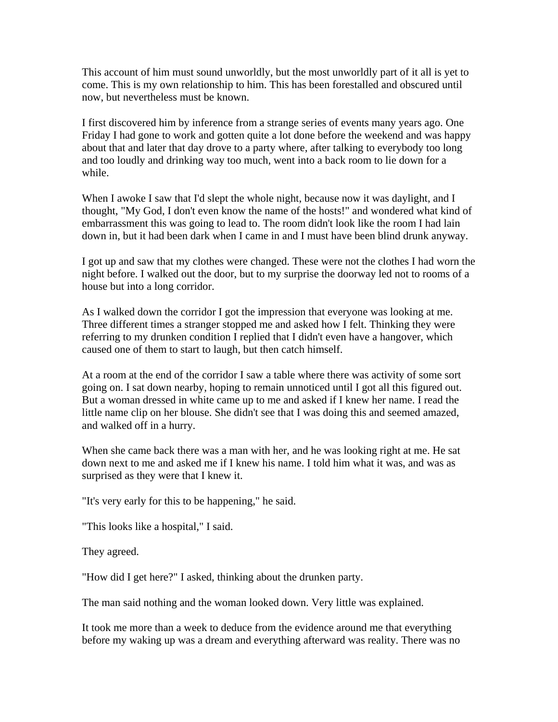This account of him must sound unworldly, but the most unworldly part of it all is yet to come. This is my own relationship to him. This has been forestalled and obscured until now, but nevertheless must be known.

I first discovered him by inference from a strange series of events many years ago. One Friday I had gone to work and gotten quite a lot done before the weekend and was happy about that and later that day drove to a party where, after talking to everybody too long and too loudly and drinking way too much, went into a back room to lie down for a while.

When I awoke I saw that I'd slept the whole night, because now it was daylight, and I thought, "My God, I don't even know the name of the hosts!" and wondered what kind of embarrassment this was going to lead to. The room didn't look like the room I had lain down in, but it had been dark when I came in and I must have been blind drunk anyway.

I got up and saw that my clothes were changed. These were not the clothes I had worn the night before. I walked out the door, but to my surprise the doorway led not to rooms of a house but into a long corridor.

As I walked down the corridor I got the impression that everyone was looking at me. Three different times a stranger stopped me and asked how I felt. Thinking they were referring to my drunken condition I replied that I didn't even have a hangover, which caused one of them to start to laugh, but then catch himself.

At a room at the end of the corridor I saw a table where there was activity of some sort going on. I sat down nearby, hoping to remain unnoticed until I got all this figured out. But a woman dressed in white came up to me and asked if I knew her name. I read the little name clip on her blouse. She didn't see that I was doing this and seemed amazed, and walked off in a hurry.

When she came back there was a man with her, and he was looking right at me. He sat down next to me and asked me if I knew his name. I told him what it was, and was as surprised as they were that I knew it.

"It's very early for this to be happening," he said.

"This looks like a hospital," I said.

They agreed.

"How did I get here?" I asked, thinking about the drunken party.

The man said nothing and the woman looked down. Very little was explained.

It took me more than a week to deduce from the evidence around me that everything before my waking up was a dream and everything afterward was reality. There was no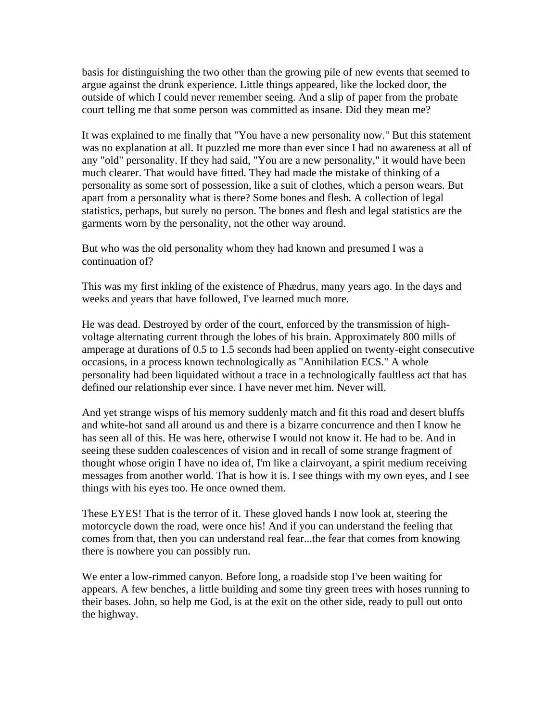basis for distinguishing the two other than the growing pile of new events that seemed to argue against the drunk experience. Little things appeared, like the locked door, the outside of which I could never remember seeing. And a slip of paper from the probate court telling me that some person was committed as insane. Did they mean me?

It was explained to me finally that "You have a new personality now." But this statement was no explanation at all. It puzzled me more than ever since I had no awareness at all of any "old" personality. If they had said, "You are a new personality," it would have been much clearer. That would have fitted. They had made the mistake of thinking of a personality as some sort of possession, like a suit of clothes, which a person wears. But apart from a personality what is there? Some bones and flesh. A collection of legal statistics, perhaps, but surely no person. The bones and flesh and legal statistics are the garments worn by the personality, not the other way around.

But who was the old personality whom they had known and presumed I was a continuation of?

This was my first inkling of the existence of Phædrus, many years ago. In the days and weeks and years that have followed, I've learned much more.

He was dead. Destroyed by order of the court, enforced by the transmission of highvoltage alternating current through the lobes of his brain. Approximately 800 mills of amperage at durations of 0.5 to 1.5 seconds had been applied on twenty-eight consecutive occasions, in a process known technologically as "Annihilation ECS." A whole personality had been liquidated without a trace in a technologically faultless act that has defined our relationship ever since. I have never met him. Never will.

And yet strange wisps of his memory suddenly match and fit this road and desert bluffs and white-hot sand all around us and there is a bizarre concurrence and then I know he has seen all of this. He was here, otherwise I would not know it. He had to be. And in seeing these sudden coalescences of vision and in recall of some strange fragment of thought whose origin I have no idea of, I'm like a clairvoyant, a spirit medium receiving messages from another world. That is how it is. I see things with my own eyes, and I see things with his eyes too. He once owned them.

These EYES! That is the terror of it. These gloved hands I now look at, steering the motorcycle down the road, were once his! And if you can understand the feeling that comes from that, then you can understand real fear...the fear that comes from knowing there is nowhere you can possibly run.

We enter a low-rimmed canyon. Before long, a roadside stop I've been waiting for appears. A few benches, a little building and some tiny green trees with hoses running to their bases. John, so help me God, is at the exit on the other side, ready to pull out onto the highway.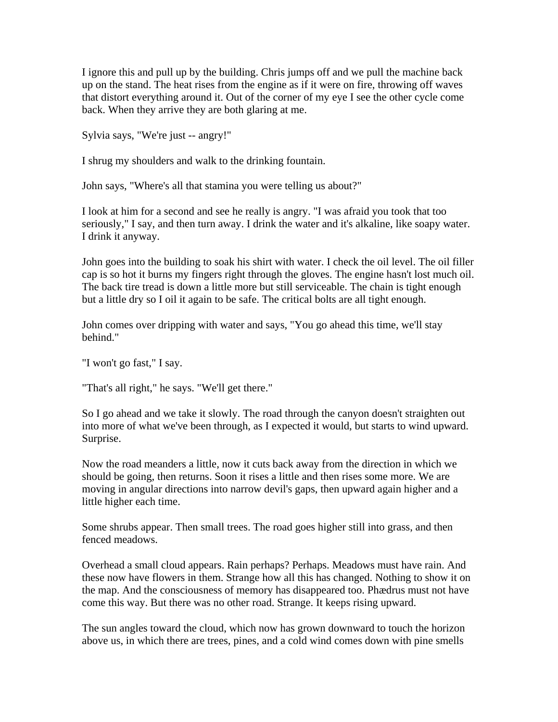I ignore this and pull up by the building. Chris jumps off and we pull the machine back up on the stand. The heat rises from the engine as if it were on fire, throwing off waves that distort everything around it. Out of the corner of my eye I see the other cycle come back. When they arrive they are both glaring at me.

Sylvia says, "We're just -- angry!"

I shrug my shoulders and walk to the drinking fountain.

John says, "Where's all that stamina you were telling us about?"

I look at him for a second and see he really is angry. "I was afraid you took that too seriously," I say, and then turn away. I drink the water and it's alkaline, like soapy water. I drink it anyway.

John goes into the building to soak his shirt with water. I check the oil level. The oil filler cap is so hot it burns my fingers right through the gloves. The engine hasn't lost much oil. The back tire tread is down a little more but still serviceable. The chain is tight enough but a little dry so I oil it again to be safe. The critical bolts are all tight enough.

John comes over dripping with water and says, "You go ahead this time, we'll stay behind."

"I won't go fast," I say.

"That's all right," he says. "We'll get there."

So I go ahead and we take it slowly. The road through the canyon doesn't straighten out into more of what we've been through, as I expected it would, but starts to wind upward. Surprise.

Now the road meanders a little, now it cuts back away from the direction in which we should be going, then returns. Soon it rises a little and then rises some more. We are moving in angular directions into narrow devil's gaps, then upward again higher and a little higher each time.

Some shrubs appear. Then small trees. The road goes higher still into grass, and then fenced meadows.

Overhead a small cloud appears. Rain perhaps? Perhaps. Meadows must have rain. And these now have flowers in them. Strange how all this has changed. Nothing to show it on the map. And the consciousness of memory has disappeared too. Phædrus must not have come this way. But there was no other road. Strange. It keeps rising upward.

The sun angles toward the cloud, which now has grown downward to touch the horizon above us, in which there are trees, pines, and a cold wind comes down with pine smells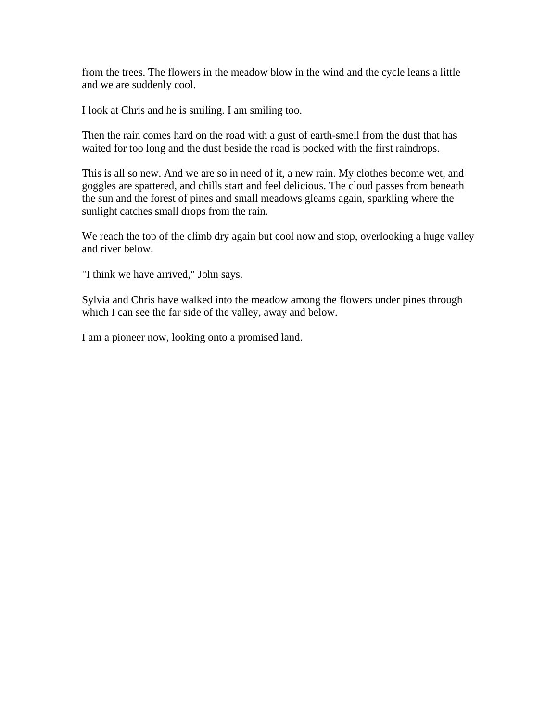from the trees. The flowers in the meadow blow in the wind and the cycle leans a little and we are suddenly cool.

I look at Chris and he is smiling. I am smiling too.

Then the rain comes hard on the road with a gust of earth-smell from the dust that has waited for too long and the dust beside the road is pocked with the first raindrops.

This is all so new. And we are so in need of it, a new rain. My clothes become wet, and goggles are spattered, and chills start and feel delicious. The cloud passes from beneath the sun and the forest of pines and small meadows gleams again, sparkling where the sunlight catches small drops from the rain.

We reach the top of the climb dry again but cool now and stop, overlooking a huge valley and river below.

"I think we have arrived," John says.

Sylvia and Chris have walked into the meadow among the flowers under pines through which I can see the far side of the valley, away and below.

I am a pioneer now, looking onto a promised land.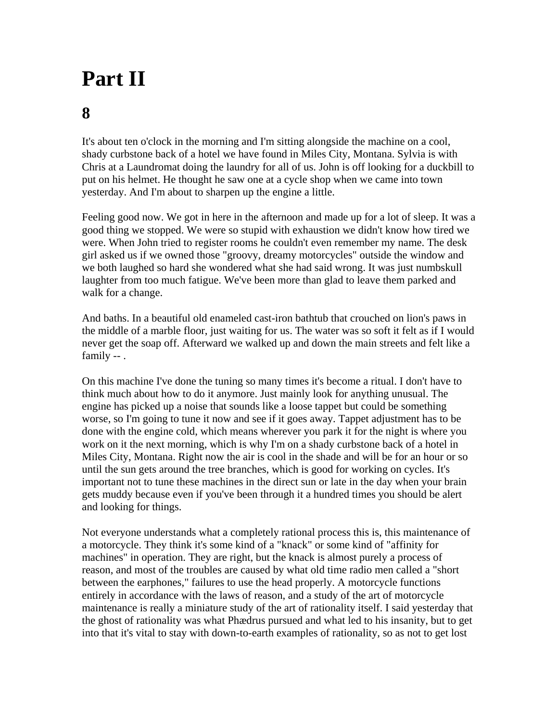# **Part II**

### **8**

It's about ten o'clock in the morning and I'm sitting alongside the machine on a cool, shady curbstone back of a hotel we have found in Miles City, Montana. Sylvia is with Chris at a Laundromat doing the laundry for all of us. John is off looking for a duckbill to put on his helmet. He thought he saw one at a cycle shop when we came into town yesterday. And I'm about to sharpen up the engine a little.

Feeling good now. We got in here in the afternoon and made up for a lot of sleep. It was a good thing we stopped. We were so stupid with exhaustion we didn't know how tired we were. When John tried to register rooms he couldn't even remember my name. The desk girl asked us if we owned those "groovy, dreamy motorcycles" outside the window and we both laughed so hard she wondered what she had said wrong. It was just numbskull laughter from too much fatigue. We've been more than glad to leave them parked and walk for a change.

And baths. In a beautiful old enameled cast-iron bathtub that crouched on lion's paws in the middle of a marble floor, just waiting for us. The water was so soft it felt as if I would never get the soap off. Afterward we walked up and down the main streets and felt like a family -- .

On this machine I've done the tuning so many times it's become a ritual. I don't have to think much about how to do it anymore. Just mainly look for anything unusual. The engine has picked up a noise that sounds like a loose tappet but could be something worse, so I'm going to tune it now and see if it goes away. Tappet adjustment has to be done with the engine cold, which means wherever you park it for the night is where you work on it the next morning, which is why I'm on a shady curbstone back of a hotel in Miles City, Montana. Right now the air is cool in the shade and will be for an hour or so until the sun gets around the tree branches, which is good for working on cycles. It's important not to tune these machines in the direct sun or late in the day when your brain gets muddy because even if you've been through it a hundred times you should be alert and looking for things.

Not everyone understands what a completely rational process this is, this maintenance of a motorcycle. They think it's some kind of a "knack" or some kind of "affinity for machines" in operation. They are right, but the knack is almost purely a process of reason, and most of the troubles are caused by what old time radio men called a "short between the earphones," failures to use the head properly. A motorcycle functions entirely in accordance with the laws of reason, and a study of the art of motorcycle maintenance is really a miniature study of the art of rationality itself. I said yesterday that the ghost of rationality was what Phædrus pursued and what led to his insanity, but to get into that it's vital to stay with down-to-earth examples of rationality, so as not to get lost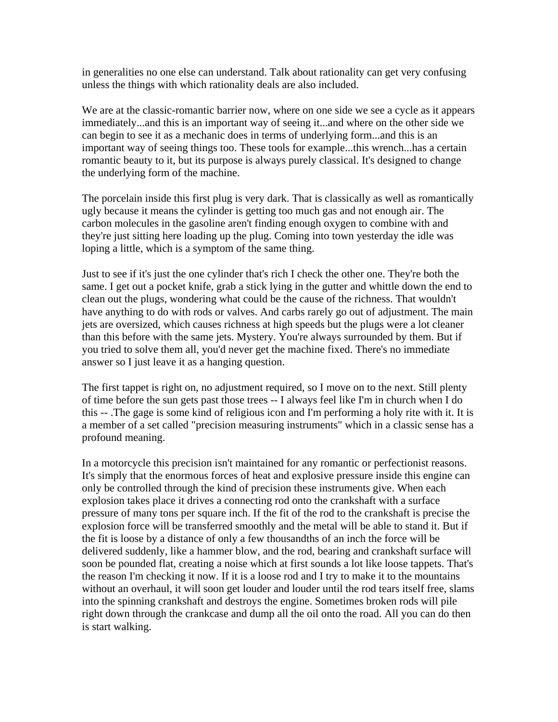in generalities no one else can understand. Talk about rationality can get very confusing unless the things with which rationality deals are also included.

We are at the classic-romantic barrier now, where on one side we see a cycle as it appears immediately...and this is an important way of seeing it...and where on the other side we can begin to see it as a mechanic does in terms of underlying form...and this is an important way of seeing things too. These tools for example...this wrench...has a certain romantic beauty to it, but its purpose is always purely classical. It's designed to change the underlying form of the machine.

The porcelain inside this first plug is very dark. That is classically as well as romantically ugly because it means the cylinder is getting too much gas and not enough air. The carbon molecules in the gasoline aren't finding enough oxygen to combine with and they're just sitting here loading up the plug. Coming into town yesterday the idle was loping a little, which is a symptom of the same thing.

Just to see if it's just the one cylinder that's rich I check the other one. They're both the same. I get out a pocket knife, grab a stick lying in the gutter and whittle down the end to clean out the plugs, wondering what could be the cause of the richness. That wouldn't have anything to do with rods or valves. And carbs rarely go out of adjustment. The main jets are oversized, which causes richness at high speeds but the plugs were a lot cleaner than this before with the same jets. Mystery. You're always surrounded by them. But if you tried to solve them all, you'd never get the machine fixed. There's no immediate answer so I just leave it as a hanging question.

The first tappet is right on, no adjustment required, so I move on to the next. Still plenty of time before the sun gets past those trees -- I always feel like I'm in church when I do this -- .The gage is some kind of religious icon and I'm performing a holy rite with it. It is a member of a set called "precision measuring instruments" which in a classic sense has a profound meaning.

In a motorcycle this precision isn't maintained for any romantic or perfectionist reasons. It's simply that the enormous forces of heat and explosive pressure inside this engine can only be controlled through the kind of precision these instruments give. When each explosion takes place it drives a connecting rod onto the crankshaft with a surface pressure of many tons per square inch. If the fit of the rod to the crankshaft is precise the explosion force will be transferred smoothly and the metal will be able to stand it. But if the fit is loose by a distance of only a few thousandths of an inch the force will be delivered suddenly, like a hammer blow, and the rod, bearing and crankshaft surface will soon be pounded flat, creating a noise which at first sounds a lot like loose tappets. That's the reason I'm checking it now. If it is a loose rod and I try to make it to the mountains without an overhaul, it will soon get louder and louder until the rod tears itself free, slams into the spinning crankshaft and destroys the engine. Sometimes broken rods will pile right down through the crankcase and dump all the oil onto the road. All you can do then is start walking.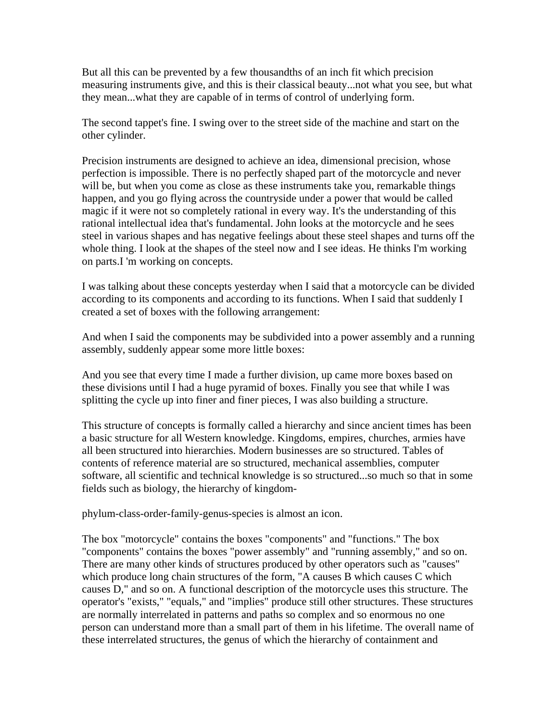But all this can be prevented by a few thousandths of an inch fit which precision measuring instruments give, and this is their classical beauty...not what you see, but what they mean...what they are capable of in terms of control of underlying form.

The second tappet's fine. I swing over to the street side of the machine and start on the other cylinder.

Precision instruments are designed to achieve an idea, dimensional precision, whose perfection is impossible. There is no perfectly shaped part of the motorcycle and never will be, but when you come as close as these instruments take you, remarkable things happen, and you go flying across the countryside under a power that would be called magic if it were not so completely rational in every way. It's the understanding of this rational intellectual idea that's fundamental. John looks at the motorcycle and he sees steel in various shapes and has negative feelings about these steel shapes and turns off the whole thing. I look at the shapes of the steel now and I see ideas. He thinks I'm working on parts.I 'm working on concepts.

I was talking about these concepts yesterday when I said that a motorcycle can be divided according to its components and according to its functions. When I said that suddenly I created a set of boxes with the following arrangement:

And when I said the components may be subdivided into a power assembly and a running assembly, suddenly appear some more little boxes:

And you see that every time I made a further division, up came more boxes based on these divisions until I had a huge pyramid of boxes. Finally you see that while I was splitting the cycle up into finer and finer pieces, I was also building a structure.

This structure of concepts is formally called a hierarchy and since ancient times has been a basic structure for all Western knowledge. Kingdoms, empires, churches, armies have all been structured into hierarchies. Modern businesses are so structured. Tables of contents of reference material are so structured, mechanical assemblies, computer software, all scientific and technical knowledge is so structured...so much so that in some fields such as biology, the hierarchy of kingdom-

phylum-class-order-family-genus-species is almost an icon.

The box "motorcycle" contains the boxes "components" and "functions." The box "components" contains the boxes "power assembly" and "running assembly," and so on. There are many other kinds of structures produced by other operators such as "causes" which produce long chain structures of the form, "A causes B which causes C which causes D," and so on. A functional description of the motorcycle uses this structure. The operator's "exists," "equals," and "implies" produce still other structures. These structures are normally interrelated in patterns and paths so complex and so enormous no one person can understand more than a small part of them in his lifetime. The overall name of these interrelated structures, the genus of which the hierarchy of containment and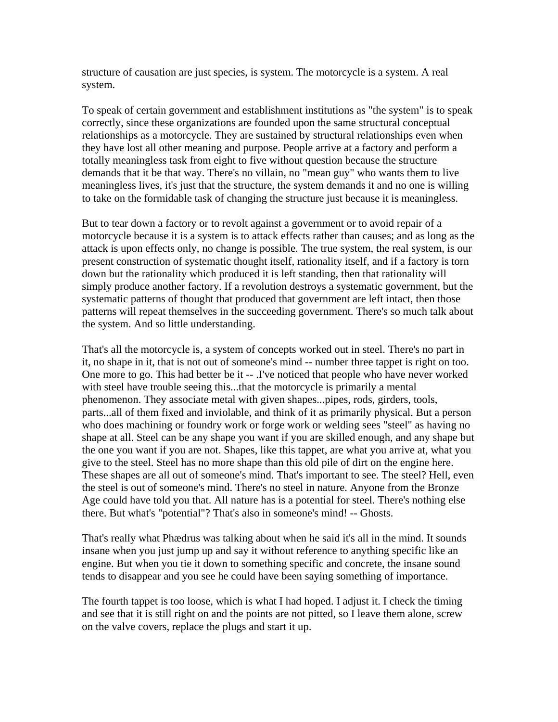structure of causation are just species, is system. The motorcycle is a system. A real system.

To speak of certain government and establishment institutions as "the system" is to speak correctly, since these organizations are founded upon the same structural conceptual relationships as a motorcycle. They are sustained by structural relationships even when they have lost all other meaning and purpose. People arrive at a factory and perform a totally meaningless task from eight to five without question because the structure demands that it be that way. There's no villain, no "mean guy" who wants them to live meaningless lives, it's just that the structure, the system demands it and no one is willing to take on the formidable task of changing the structure just because it is meaningless.

But to tear down a factory or to revolt against a government or to avoid repair of a motorcycle because it is a system is to attack effects rather than causes; and as long as the attack is upon effects only, no change is possible. The true system, the real system, is our present construction of systematic thought itself, rationality itself, and if a factory is torn down but the rationality which produced it is left standing, then that rationality will simply produce another factory. If a revolution destroys a systematic government, but the systematic patterns of thought that produced that government are left intact, then those patterns will repeat themselves in the succeeding government. There's so much talk about the system. And so little understanding.

That's all the motorcycle is, a system of concepts worked out in steel. There's no part in it, no shape in it, that is not out of someone's mind -- number three tappet is right on too. One more to go. This had better be it -- .I've noticed that people who have never worked with steel have trouble seeing this...that the motorcycle is primarily a mental phenomenon. They associate metal with given shapes...pipes, rods, girders, tools, parts...all of them fixed and inviolable, and think of it as primarily physical. But a person who does machining or foundry work or forge work or welding sees "steel" as having no shape at all. Steel can be any shape you want if you are skilled enough, and any shape but the one you want if you are not. Shapes, like this tappet, are what you arrive at, what you give to the steel. Steel has no more shape than this old pile of dirt on the engine here. These shapes are all out of someone's mind. That's important to see. The steel? Hell, even the steel is out of someone's mind. There's no steel in nature. Anyone from the Bronze Age could have told you that. All nature has is a potential for steel. There's nothing else there. But what's "potential"? That's also in someone's mind! -- Ghosts.

That's really what Phædrus was talking about when he said it's all in the mind. It sounds insane when you just jump up and say it without reference to anything specific like an engine. But when you tie it down to something specific and concrete, the insane sound tends to disappear and you see he could have been saying something of importance.

The fourth tappet is too loose, which is what I had hoped. I adjust it. I check the timing and see that it is still right on and the points are not pitted, so I leave them alone, screw on the valve covers, replace the plugs and start it up.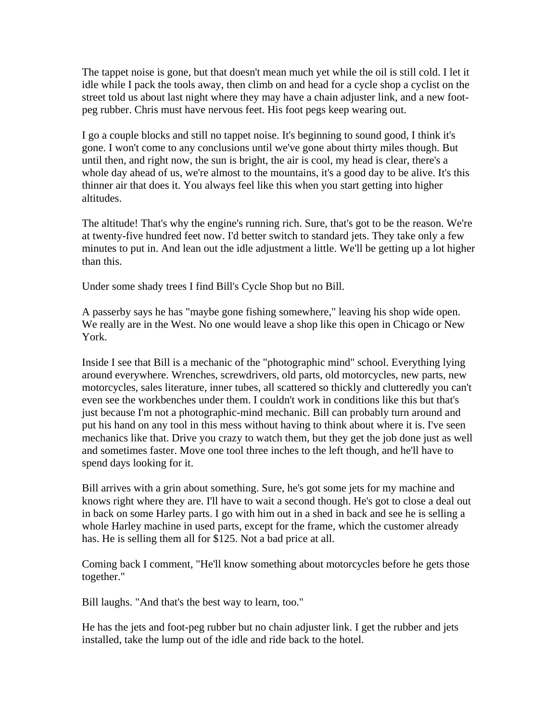The tappet noise is gone, but that doesn't mean much yet while the oil is still cold. I let it idle while I pack the tools away, then climb on and head for a cycle shop a cyclist on the street told us about last night where they may have a chain adjuster link, and a new footpeg rubber. Chris must have nervous feet. His foot pegs keep wearing out.

I go a couple blocks and still no tappet noise. It's beginning to sound good, I think it's gone. I won't come to any conclusions until we've gone about thirty miles though. But until then, and right now, the sun is bright, the air is cool, my head is clear, there's a whole day ahead of us, we're almost to the mountains, it's a good day to be alive. It's this thinner air that does it. You always feel like this when you start getting into higher altitudes.

The altitude! That's why the engine's running rich. Sure, that's got to be the reason. We're at twenty-five hundred feet now. I'd better switch to standard jets. They take only a few minutes to put in. And lean out the idle adjustment a little. We'll be getting up a lot higher than this.

Under some shady trees I find Bill's Cycle Shop but no Bill.

A passerby says he has "maybe gone fishing somewhere," leaving his shop wide open. We really are in the West. No one would leave a shop like this open in Chicago or New York.

Inside I see that Bill is a mechanic of the "photographic mind" school. Everything lying around everywhere. Wrenches, screwdrivers, old parts, old motorcycles, new parts, new motorcycles, sales literature, inner tubes, all scattered so thickly and clutteredly you can't even see the workbenches under them. I couldn't work in conditions like this but that's just because I'm not a photographic-mind mechanic. Bill can probably turn around and put his hand on any tool in this mess without having to think about where it is. I've seen mechanics like that. Drive you crazy to watch them, but they get the job done just as well and sometimes faster. Move one tool three inches to the left though, and he'll have to spend days looking for it.

Bill arrives with a grin about something. Sure, he's got some jets for my machine and knows right where they are. I'll have to wait a second though. He's got to close a deal out in back on some Harley parts. I go with him out in a shed in back and see he is selling a whole Harley machine in used parts, except for the frame, which the customer already has. He is selling them all for \$125. Not a bad price at all.

Coming back I comment, "He'll know something about motorcycles before he gets those together."

Bill laughs. "And that's the best way to learn, too."

He has the jets and foot-peg rubber but no chain adjuster link. I get the rubber and jets installed, take the lump out of the idle and ride back to the hotel.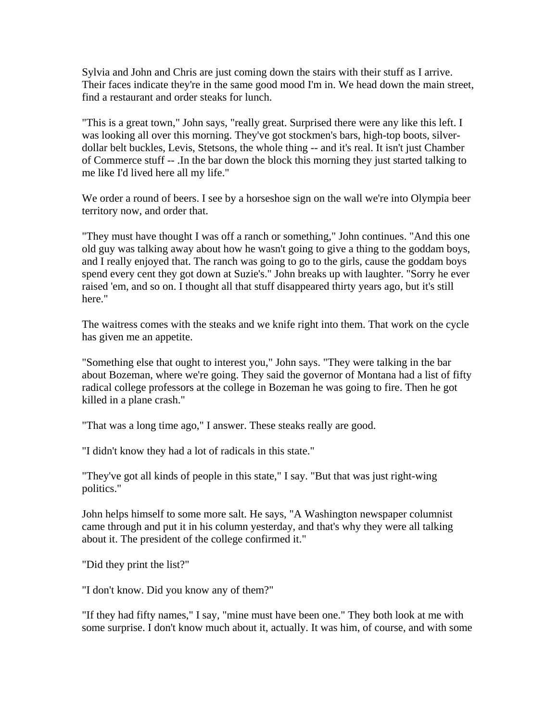Sylvia and John and Chris are just coming down the stairs with their stuff as I arrive. Their faces indicate they're in the same good mood I'm in. We head down the main street, find a restaurant and order steaks for lunch.

"This is a great town," John says, "really great. Surprised there were any like this left. I was looking all over this morning. They've got stockmen's bars, high-top boots, silverdollar belt buckles, Levis, Stetsons, the whole thing -- and it's real. It isn't just Chamber of Commerce stuff -- .In the bar down the block this morning they just started talking to me like I'd lived here all my life."

We order a round of beers. I see by a horseshoe sign on the wall we're into Olympia beer territory now, and order that.

"They must have thought I was off a ranch or something," John continues. "And this one old guy was talking away about how he wasn't going to give a thing to the goddam boys, and I really enjoyed that. The ranch was going to go to the girls, cause the goddam boys spend every cent they got down at Suzie's." John breaks up with laughter. "Sorry he ever raised 'em, and so on. I thought all that stuff disappeared thirty years ago, but it's still here."

The waitress comes with the steaks and we knife right into them. That work on the cycle has given me an appetite.

"Something else that ought to interest you," John says. "They were talking in the bar about Bozeman, where we're going. They said the governor of Montana had a list of fifty radical college professors at the college in Bozeman he was going to fire. Then he got killed in a plane crash."

"That was a long time ago," I answer. These steaks really are good.

"I didn't know they had a lot of radicals in this state."

"They've got all kinds of people in this state," I say. "But that was just right-wing politics."

John helps himself to some more salt. He says, "A Washington newspaper columnist came through and put it in his column yesterday, and that's why they were all talking about it. The president of the college confirmed it."

"Did they print the list?"

"I don't know. Did you know any of them?"

"If they had fifty names," I say, "mine must have been one." They both look at me with some surprise. I don't know much about it, actually. It was him, of course, and with some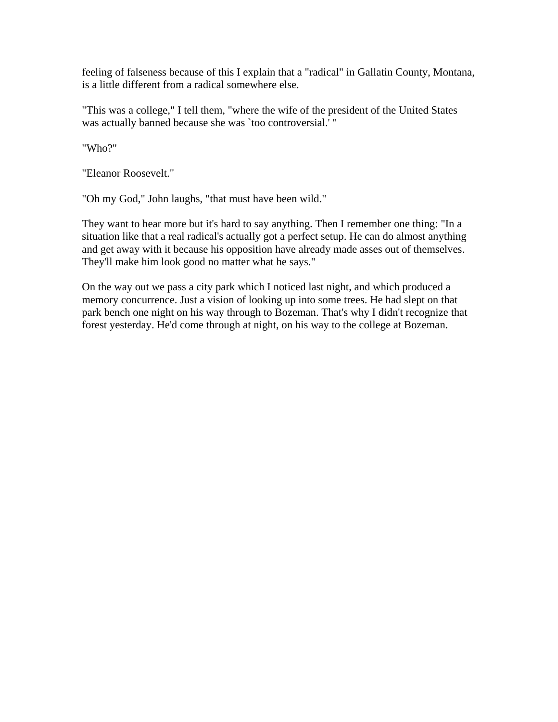feeling of falseness because of this I explain that a "radical" in Gallatin County, Montana, is a little different from a radical somewhere else.

"This was a college," I tell them, "where the wife of the president of the United States was actually banned because she was `too controversial.' "

"Who?"

"Eleanor Roosevelt."

"Oh my God," John laughs, "that must have been wild."

They want to hear more but it's hard to say anything. Then I remember one thing: "In a situation like that a real radical's actually got a perfect setup. He can do almost anything and get away with it because his opposition have already made asses out of themselves. They'll make him look good no matter what he says."

On the way out we pass a city park which I noticed last night, and which produced a memory concurrence. Just a vision of looking up into some trees. He had slept on that park bench one night on his way through to Bozeman. That's why I didn't recognize that forest yesterday. He'd come through at night, on his way to the college at Bozeman.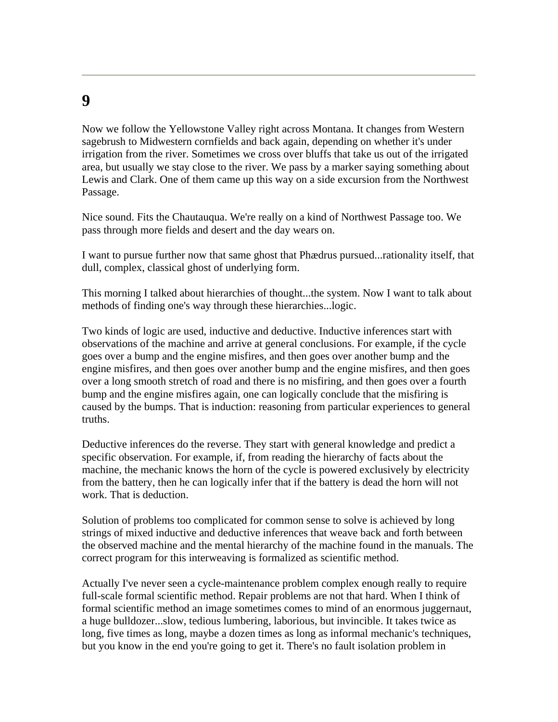#### **9**

Now we follow the Yellowstone Valley right across Montana. It changes from Western sagebrush to Midwestern cornfields and back again, depending on whether it's under irrigation from the river. Sometimes we cross over bluffs that take us out of the irrigated area, but usually we stay close to the river. We pass by a marker saying something about Lewis and Clark. One of them came up this way on a side excursion from the Northwest Passage.

Nice sound. Fits the Chautauqua. We're really on a kind of Northwest Passage too. We pass through more fields and desert and the day wears on.

I want to pursue further now that same ghost that Phædrus pursued...rationality itself, that dull, complex, classical ghost of underlying form.

This morning I talked about hierarchies of thought...the system. Now I want to talk about methods of finding one's way through these hierarchies...logic.

Two kinds of logic are used, inductive and deductive. Inductive inferences start with observations of the machine and arrive at general conclusions. For example, if the cycle goes over a bump and the engine misfires, and then goes over another bump and the engine misfires, and then goes over another bump and the engine misfires, and then goes over a long smooth stretch of road and there is no misfiring, and then goes over a fourth bump and the engine misfires again, one can logically conclude that the misfiring is caused by the bumps. That is induction: reasoning from particular experiences to general truths.

Deductive inferences do the reverse. They start with general knowledge and predict a specific observation. For example, if, from reading the hierarchy of facts about the machine, the mechanic knows the horn of the cycle is powered exclusively by electricity from the battery, then he can logically infer that if the battery is dead the horn will not work. That is deduction.

Solution of problems too complicated for common sense to solve is achieved by long strings of mixed inductive and deductive inferences that weave back and forth between the observed machine and the mental hierarchy of the machine found in the manuals. The correct program for this interweaving is formalized as scientific method.

Actually I've never seen a cycle-maintenance problem complex enough really to require full-scale formal scientific method. Repair problems are not that hard. When I think of formal scientific method an image sometimes comes to mind of an enormous juggernaut, a huge bulldozer...slow, tedious lumbering, laborious, but invincible. It takes twice as long, five times as long, maybe a dozen times as long as informal mechanic's techniques, but you know in the end you're going to get it. There's no fault isolation problem in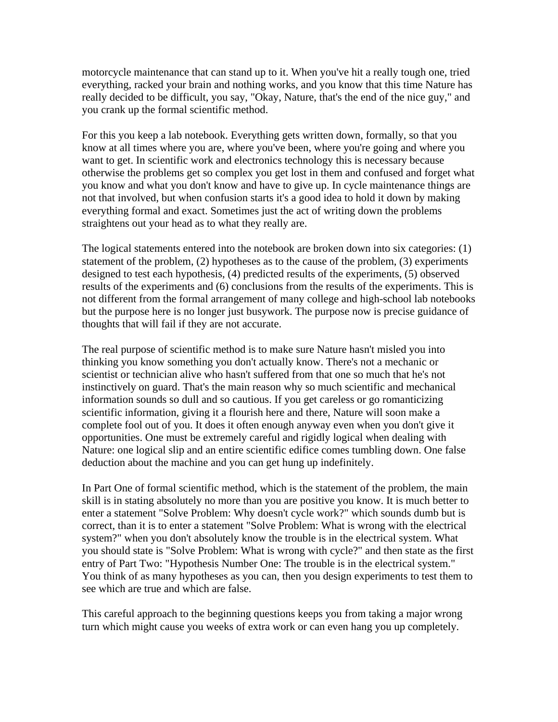motorcycle maintenance that can stand up to it. When you've hit a really tough one, tried everything, racked your brain and nothing works, and you know that this time Nature has really decided to be difficult, you say, "Okay, Nature, that's the end of the nice guy," and you crank up the formal scientific method.

For this you keep a lab notebook. Everything gets written down, formally, so that you know at all times where you are, where you've been, where you're going and where you want to get. In scientific work and electronics technology this is necessary because otherwise the problems get so complex you get lost in them and confused and forget what you know and what you don't know and have to give up. In cycle maintenance things are not that involved, but when confusion starts it's a good idea to hold it down by making everything formal and exact. Sometimes just the act of writing down the problems straightens out your head as to what they really are.

The logical statements entered into the notebook are broken down into six categories: (1) statement of the problem, (2) hypotheses as to the cause of the problem, (3) experiments designed to test each hypothesis, (4) predicted results of the experiments, (5) observed results of the experiments and (6) conclusions from the results of the experiments. This is not different from the formal arrangement of many college and high-school lab notebooks but the purpose here is no longer just busywork. The purpose now is precise guidance of thoughts that will fail if they are not accurate.

The real purpose of scientific method is to make sure Nature hasn't misled you into thinking you know something you don't actually know. There's not a mechanic or scientist or technician alive who hasn't suffered from that one so much that he's not instinctively on guard. That's the main reason why so much scientific and mechanical information sounds so dull and so cautious. If you get careless or go romanticizing scientific information, giving it a flourish here and there, Nature will soon make a complete fool out of you. It does it often enough anyway even when you don't give it opportunities. One must be extremely careful and rigidly logical when dealing with Nature: one logical slip and an entire scientific edifice comes tumbling down. One false deduction about the machine and you can get hung up indefinitely.

In Part One of formal scientific method, which is the statement of the problem, the main skill is in stating absolutely no more than you are positive you know. It is much better to enter a statement "Solve Problem: Why doesn't cycle work?" which sounds dumb but is correct, than it is to enter a statement "Solve Problem: What is wrong with the electrical system?" when you don't absolutely know the trouble is in the electrical system. What you should state is "Solve Problem: What is wrong with cycle?" and then state as the first entry of Part Two: "Hypothesis Number One: The trouble is in the electrical system." You think of as many hypotheses as you can, then you design experiments to test them to see which are true and which are false.

This careful approach to the beginning questions keeps you from taking a major wrong turn which might cause you weeks of extra work or can even hang you up completely.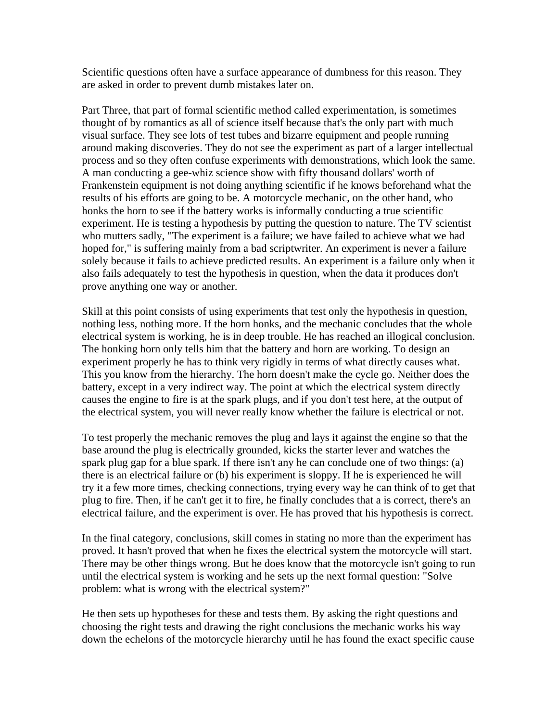Scientific questions often have a surface appearance of dumbness for this reason. They are asked in order to prevent dumb mistakes later on.

Part Three, that part of formal scientific method called experimentation, is sometimes thought of by romantics as all of science itself because that's the only part with much visual surface. They see lots of test tubes and bizarre equipment and people running around making discoveries. They do not see the experiment as part of a larger intellectual process and so they often confuse experiments with demonstrations, which look the same. A man conducting a gee-whiz science show with fifty thousand dollars' worth of Frankenstein equipment is not doing anything scientific if he knows beforehand what the results of his efforts are going to be. A motorcycle mechanic, on the other hand, who honks the horn to see if the battery works is informally conducting a true scientific experiment. He is testing a hypothesis by putting the question to nature. The TV scientist who mutters sadly, "The experiment is a failure; we have failed to achieve what we had hoped for," is suffering mainly from a bad scriptwriter. An experiment is never a failure solely because it fails to achieve predicted results. An experiment is a failure only when it also fails adequately to test the hypothesis in question, when the data it produces don't prove anything one way or another.

Skill at this point consists of using experiments that test only the hypothesis in question, nothing less, nothing more. If the horn honks, and the mechanic concludes that the whole electrical system is working, he is in deep trouble. He has reached an illogical conclusion. The honking horn only tells him that the battery and horn are working. To design an experiment properly he has to think very rigidly in terms of what directly causes what. This you know from the hierarchy. The horn doesn't make the cycle go. Neither does the battery, except in a very indirect way. The point at which the electrical system directly causes the engine to fire is at the spark plugs, and if you don't test here, at the output of the electrical system, you will never really know whether the failure is electrical or not.

To test properly the mechanic removes the plug and lays it against the engine so that the base around the plug is electrically grounded, kicks the starter lever and watches the spark plug gap for a blue spark. If there isn't any he can conclude one of two things: (a) there is an electrical failure or (b) his experiment is sloppy. If he is experienced he will try it a few more times, checking connections, trying every way he can think of to get that plug to fire. Then, if he can't get it to fire, he finally concludes that a is correct, there's an electrical failure, and the experiment is over. He has proved that his hypothesis is correct.

In the final category, conclusions, skill comes in stating no more than the experiment has proved. It hasn't proved that when he fixes the electrical system the motorcycle will start. There may be other things wrong. But he does know that the motorcycle isn't going to run until the electrical system is working and he sets up the next formal question: "Solve problem: what is wrong with the electrical system?"

He then sets up hypotheses for these and tests them. By asking the right questions and choosing the right tests and drawing the right conclusions the mechanic works his way down the echelons of the motorcycle hierarchy until he has found the exact specific cause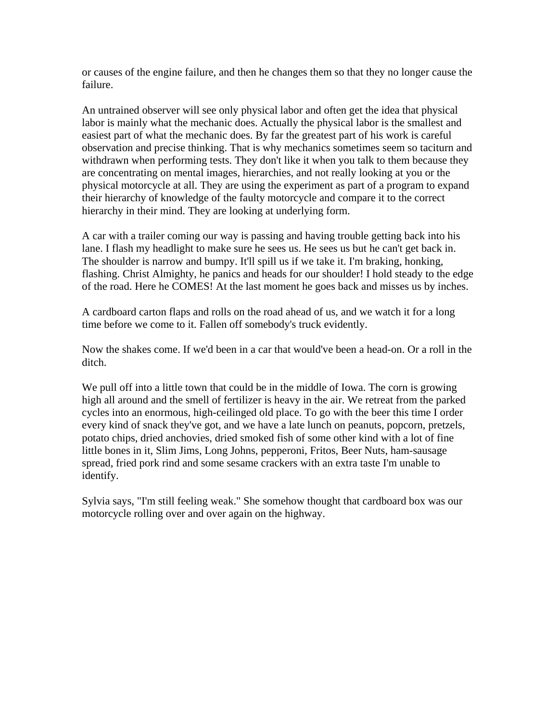or causes of the engine failure, and then he changes them so that they no longer cause the failure.

An untrained observer will see only physical labor and often get the idea that physical labor is mainly what the mechanic does. Actually the physical labor is the smallest and easiest part of what the mechanic does. By far the greatest part of his work is careful observation and precise thinking. That is why mechanics sometimes seem so taciturn and withdrawn when performing tests. They don't like it when you talk to them because they are concentrating on mental images, hierarchies, and not really looking at you or the physical motorcycle at all. They are using the experiment as part of a program to expand their hierarchy of knowledge of the faulty motorcycle and compare it to the correct hierarchy in their mind. They are looking at underlying form.

A car with a trailer coming our way is passing and having trouble getting back into his lane. I flash my headlight to make sure he sees us. He sees us but he can't get back in. The shoulder is narrow and bumpy. It'll spill us if we take it. I'm braking, honking, flashing. Christ Almighty, he panics and heads for our shoulder! I hold steady to the edge of the road. Here he COMES! At the last moment he goes back and misses us by inches.

A cardboard carton flaps and rolls on the road ahead of us, and we watch it for a long time before we come to it. Fallen off somebody's truck evidently.

Now the shakes come. If we'd been in a car that would've been a head-on. Or a roll in the ditch.

We pull off into a little town that could be in the middle of Iowa. The corn is growing high all around and the smell of fertilizer is heavy in the air. We retreat from the parked cycles into an enormous, high-ceilinged old place. To go with the beer this time I order every kind of snack they've got, and we have a late lunch on peanuts, popcorn, pretzels, potato chips, dried anchovies, dried smoked fish of some other kind with a lot of fine little bones in it, Slim Jims, Long Johns, pepperoni, Fritos, Beer Nuts, ham-sausage spread, fried pork rind and some sesame crackers with an extra taste I'm unable to identify.

Sylvia says, "I'm still feeling weak." She somehow thought that cardboard box was our motorcycle rolling over and over again on the highway.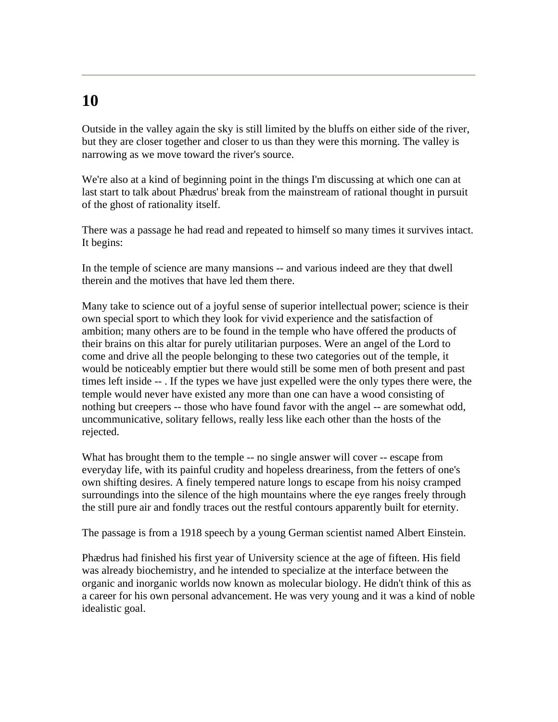### **10**

Outside in the valley again the sky is still limited by the bluffs on either side of the river, but they are closer together and closer to us than they were this morning. The valley is narrowing as we move toward the river's source.

We're also at a kind of beginning point in the things I'm discussing at which one can at last start to talk about Phædrus' break from the mainstream of rational thought in pursuit of the ghost of rationality itself.

There was a passage he had read and repeated to himself so many times it survives intact. It begins:

In the temple of science are many mansions -- and various indeed are they that dwell therein and the motives that have led them there.

Many take to science out of a joyful sense of superior intellectual power; science is their own special sport to which they look for vivid experience and the satisfaction of ambition; many others are to be found in the temple who have offered the products of their brains on this altar for purely utilitarian purposes. Were an angel of the Lord to come and drive all the people belonging to these two categories out of the temple, it would be noticeably emptier but there would still be some men of both present and past times left inside -- . If the types we have just expelled were the only types there were, the temple would never have existed any more than one can have a wood consisting of nothing but creepers -- those who have found favor with the angel -- are somewhat odd, uncommunicative, solitary fellows, really less like each other than the hosts of the rejected.

What has brought them to the temple -- no single answer will cover -- escape from everyday life, with its painful crudity and hopeless dreariness, from the fetters of one's own shifting desires. A finely tempered nature longs to escape from his noisy cramped surroundings into the silence of the high mountains where the eye ranges freely through the still pure air and fondly traces out the restful contours apparently built for eternity.

The passage is from a 1918 speech by a young German scientist named Albert Einstein.

Phædrus had finished his first year of University science at the age of fifteen. His field was already biochemistry, and he intended to specialize at the interface between the organic and inorganic worlds now known as molecular biology. He didn't think of this as a career for his own personal advancement. He was very young and it was a kind of noble idealistic goal.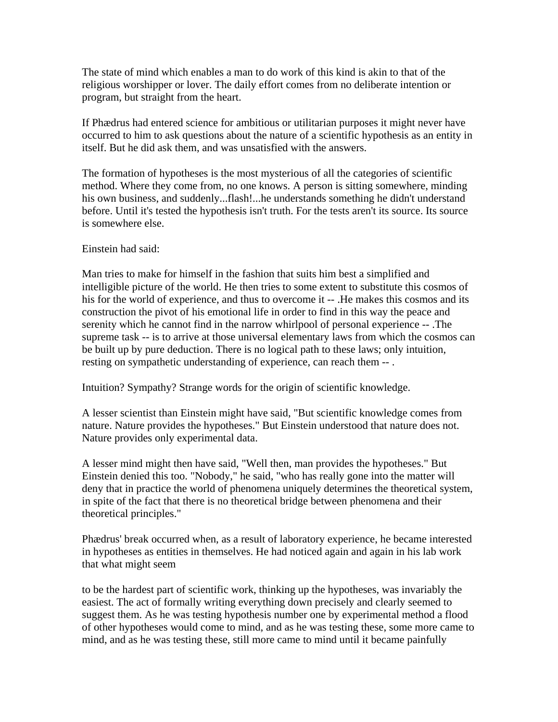The state of mind which enables a man to do work of this kind is akin to that of the religious worshipper or lover. The daily effort comes from no deliberate intention or program, but straight from the heart.

If Phædrus had entered science for ambitious or utilitarian purposes it might never have occurred to him to ask questions about the nature of a scientific hypothesis as an entity in itself. But he did ask them, and was unsatisfied with the answers.

The formation of hypotheses is the most mysterious of all the categories of scientific method. Where they come from, no one knows. A person is sitting somewhere, minding his own business, and suddenly...flash!...he understands something he didn't understand before. Until it's tested the hypothesis isn't truth. For the tests aren't its source. Its source is somewhere else.

Einstein had said:

Man tries to make for himself in the fashion that suits him best a simplified and intelligible picture of the world. He then tries to some extent to substitute this cosmos of his for the world of experience, and thus to overcome it -- .He makes this cosmos and its construction the pivot of his emotional life in order to find in this way the peace and serenity which he cannot find in the narrow whirlpool of personal experience -- .The supreme task -- is to arrive at those universal elementary laws from which the cosmos can be built up by pure deduction. There is no logical path to these laws; only intuition, resting on sympathetic understanding of experience, can reach them -- .

Intuition? Sympathy? Strange words for the origin of scientific knowledge.

A lesser scientist than Einstein might have said, "But scientific knowledge comes from nature. Nature provides the hypotheses." But Einstein understood that nature does not. Nature provides only experimental data.

A lesser mind might then have said, "Well then, man provides the hypotheses." But Einstein denied this too. "Nobody," he said, "who has really gone into the matter will deny that in practice the world of phenomena uniquely determines the theoretical system, in spite of the fact that there is no theoretical bridge between phenomena and their theoretical principles."

Phædrus' break occurred when, as a result of laboratory experience, he became interested in hypotheses as entities in themselves. He had noticed again and again in his lab work that what might seem

to be the hardest part of scientific work, thinking up the hypotheses, was invariably the easiest. The act of formally writing everything down precisely and clearly seemed to suggest them. As he was testing hypothesis number one by experimental method a flood of other hypotheses would come to mind, and as he was testing these, some more came to mind, and as he was testing these, still more came to mind until it became painfully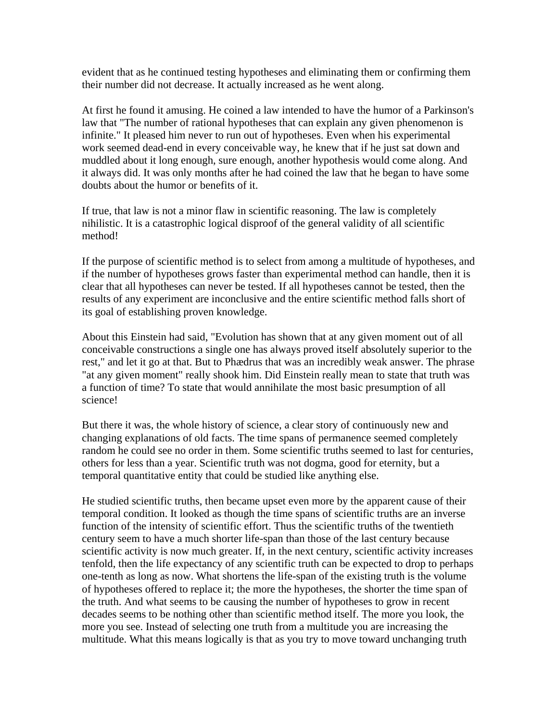evident that as he continued testing hypotheses and eliminating them or confirming them their number did not decrease. It actually increased as he went along.

At first he found it amusing. He coined a law intended to have the humor of a Parkinson's law that "The number of rational hypotheses that can explain any given phenomenon is infinite." It pleased him never to run out of hypotheses. Even when his experimental work seemed dead-end in every conceivable way, he knew that if he just sat down and muddled about it long enough, sure enough, another hypothesis would come along. And it always did. It was only months after he had coined the law that he began to have some doubts about the humor or benefits of it.

If true, that law is not a minor flaw in scientific reasoning. The law is completely nihilistic. It is a catastrophic logical disproof of the general validity of all scientific method!

If the purpose of scientific method is to select from among a multitude of hypotheses, and if the number of hypotheses grows faster than experimental method can handle, then it is clear that all hypotheses can never be tested. If all hypotheses cannot be tested, then the results of any experiment are inconclusive and the entire scientific method falls short of its goal of establishing proven knowledge.

About this Einstein had said, "Evolution has shown that at any given moment out of all conceivable constructions a single one has always proved itself absolutely superior to the rest," and let it go at that. But to Phædrus that was an incredibly weak answer. The phrase "at any given moment" really shook him. Did Einstein really mean to state that truth was a function of time? To state that would annihilate the most basic presumption of all science!

But there it was, the whole history of science, a clear story of continuously new and changing explanations of old facts. The time spans of permanence seemed completely random he could see no order in them. Some scientific truths seemed to last for centuries, others for less than a year. Scientific truth was not dogma, good for eternity, but a temporal quantitative entity that could be studied like anything else.

He studied scientific truths, then became upset even more by the apparent cause of their temporal condition. It looked as though the time spans of scientific truths are an inverse function of the intensity of scientific effort. Thus the scientific truths of the twentieth century seem to have a much shorter life-span than those of the last century because scientific activity is now much greater. If, in the next century, scientific activity increases tenfold, then the life expectancy of any scientific truth can be expected to drop to perhaps one-tenth as long as now. What shortens the life-span of the existing truth is the volume of hypotheses offered to replace it; the more the hypotheses, the shorter the time span of the truth. And what seems to be causing the number of hypotheses to grow in recent decades seems to be nothing other than scientific method itself. The more you look, the more you see. Instead of selecting one truth from a multitude you are increasing the multitude. What this means logically is that as you try to move toward unchanging truth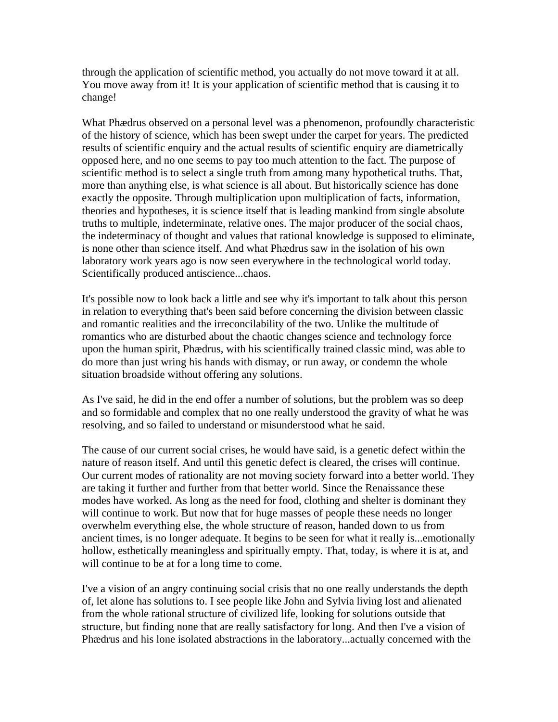through the application of scientific method, you actually do not move toward it at all. You move away from it! It is your application of scientific method that is causing it to change!

What Phædrus observed on a personal level was a phenomenon, profoundly characteristic of the history of science, which has been swept under the carpet for years. The predicted results of scientific enquiry and the actual results of scientific enquiry are diametrically opposed here, and no one seems to pay too much attention to the fact. The purpose of scientific method is to select a single truth from among many hypothetical truths. That, more than anything else, is what science is all about. But historically science has done exactly the opposite. Through multiplication upon multiplication of facts, information, theories and hypotheses, it is science itself that is leading mankind from single absolute truths to multiple, indeterminate, relative ones. The major producer of the social chaos, the indeterminacy of thought and values that rational knowledge is supposed to eliminate, is none other than science itself. And what Phædrus saw in the isolation of his own laboratory work years ago is now seen everywhere in the technological world today. Scientifically produced antiscience...chaos.

It's possible now to look back a little and see why it's important to talk about this person in relation to everything that's been said before concerning the division between classic and romantic realities and the irreconcilability of the two. Unlike the multitude of romantics who are disturbed about the chaotic changes science and technology force upon the human spirit, Phædrus, with his scientifically trained classic mind, was able to do more than just wring his hands with dismay, or run away, or condemn the whole situation broadside without offering any solutions.

As I've said, he did in the end offer a number of solutions, but the problem was so deep and so formidable and complex that no one really understood the gravity of what he was resolving, and so failed to understand or misunderstood what he said.

The cause of our current social crises, he would have said, is a genetic defect within the nature of reason itself. And until this genetic defect is cleared, the crises will continue. Our current modes of rationality are not moving society forward into a better world. They are taking it further and further from that better world. Since the Renaissance these modes have worked. As long as the need for food, clothing and shelter is dominant they will continue to work. But now that for huge masses of people these needs no longer overwhelm everything else, the whole structure of reason, handed down to us from ancient times, is no longer adequate. It begins to be seen for what it really is...emotionally hollow, esthetically meaningless and spiritually empty. That, today, is where it is at, and will continue to be at for a long time to come.

I've a vision of an angry continuing social crisis that no one really understands the depth of, let alone has solutions to. I see people like John and Sylvia living lost and alienated from the whole rational structure of civilized life, looking for solutions outside that structure, but finding none that are really satisfactory for long. And then I've a vision of Phædrus and his lone isolated abstractions in the laboratory...actually concerned with the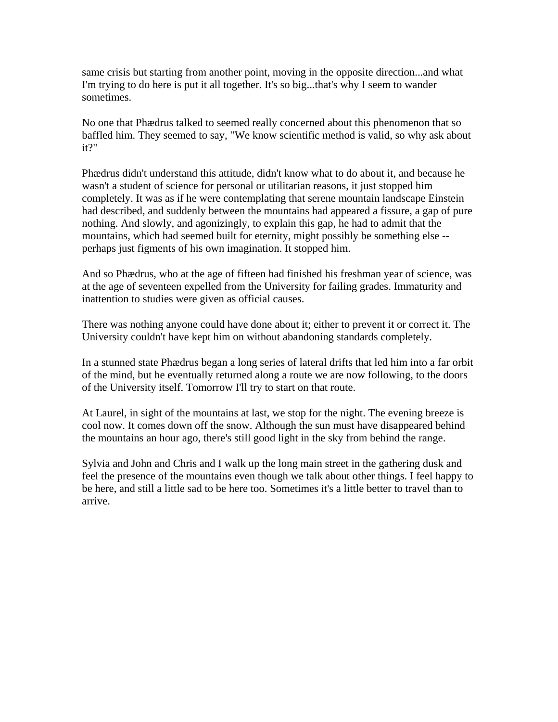same crisis but starting from another point, moving in the opposite direction...and what I'm trying to do here is put it all together. It's so big...that's why I seem to wander sometimes.

No one that Phædrus talked to seemed really concerned about this phenomenon that so baffled him. They seemed to say, "We know scientific method is valid, so why ask about it?"

Phædrus didn't understand this attitude, didn't know what to do about it, and because he wasn't a student of science for personal or utilitarian reasons, it just stopped him completely. It was as if he were contemplating that serene mountain landscape Einstein had described, and suddenly between the mountains had appeared a fissure, a gap of pure nothing. And slowly, and agonizingly, to explain this gap, he had to admit that the mountains, which had seemed built for eternity, might possibly be something else - perhaps just figments of his own imagination. It stopped him.

And so Phædrus, who at the age of fifteen had finished his freshman year of science, was at the age of seventeen expelled from the University for failing grades. Immaturity and inattention to studies were given as official causes.

There was nothing anyone could have done about it; either to prevent it or correct it. The University couldn't have kept him on without abandoning standards completely.

In a stunned state Phædrus began a long series of lateral drifts that led him into a far orbit of the mind, but he eventually returned along a route we are now following, to the doors of the University itself. Tomorrow I'll try to start on that route.

At Laurel, in sight of the mountains at last, we stop for the night. The evening breeze is cool now. It comes down off the snow. Although the sun must have disappeared behind the mountains an hour ago, there's still good light in the sky from behind the range.

Sylvia and John and Chris and I walk up the long main street in the gathering dusk and feel the presence of the mountains even though we talk about other things. I feel happy to be here, and still a little sad to be here too. Sometimes it's a little better to travel than to arrive.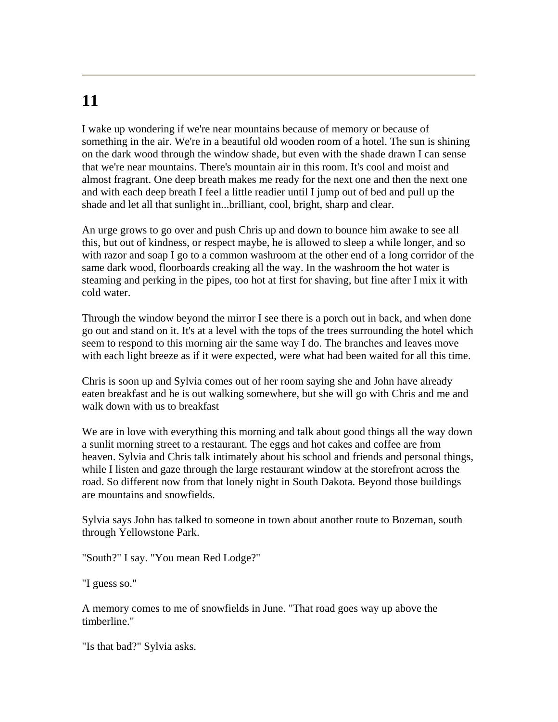# **11**

I wake up wondering if we're near mountains because of memory or because of something in the air. We're in a beautiful old wooden room of a hotel. The sun is shining on the dark wood through the window shade, but even with the shade drawn I can sense that we're near mountains. There's mountain air in this room. It's cool and moist and almost fragrant. One deep breath makes me ready for the next one and then the next one and with each deep breath I feel a little readier until I jump out of bed and pull up the shade and let all that sunlight in...brilliant, cool, bright, sharp and clear.

An urge grows to go over and push Chris up and down to bounce him awake to see all this, but out of kindness, or respect maybe, he is allowed to sleep a while longer, and so with razor and soap I go to a common washroom at the other end of a long corridor of the same dark wood, floorboards creaking all the way. In the washroom the hot water is steaming and perking in the pipes, too hot at first for shaving, but fine after I mix it with cold water.

Through the window beyond the mirror I see there is a porch out in back, and when done go out and stand on it. It's at a level with the tops of the trees surrounding the hotel which seem to respond to this morning air the same way I do. The branches and leaves move with each light breeze as if it were expected, were what had been waited for all this time.

Chris is soon up and Sylvia comes out of her room saying she and John have already eaten breakfast and he is out walking somewhere, but she will go with Chris and me and walk down with us to breakfast

We are in love with everything this morning and talk about good things all the way down a sunlit morning street to a restaurant. The eggs and hot cakes and coffee are from heaven. Sylvia and Chris talk intimately about his school and friends and personal things, while I listen and gaze through the large restaurant window at the storefront across the road. So different now from that lonely night in South Dakota. Beyond those buildings are mountains and snowfields.

Sylvia says John has talked to someone in town about another route to Bozeman, south through Yellowstone Park.

"South?" I say. "You mean Red Lodge?"

"I guess so."

A memory comes to me of snowfields in June. "That road goes way up above the timberline."

"Is that bad?" Sylvia asks.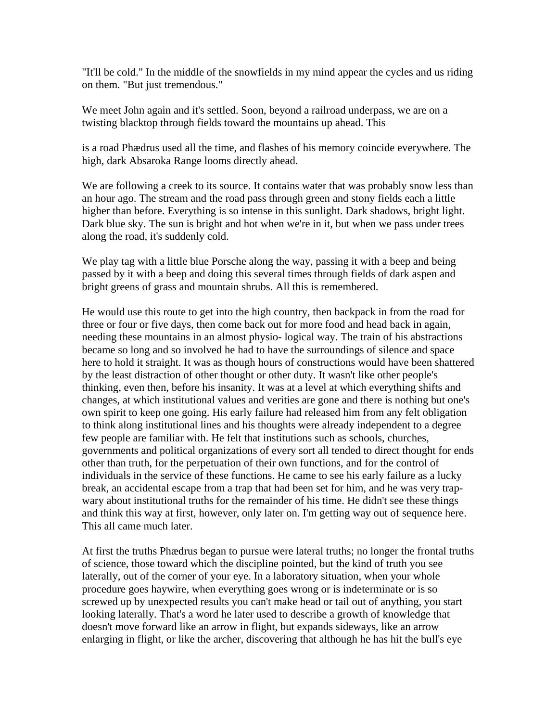"It'll be cold." In the middle of the snowfields in my mind appear the cycles and us riding on them. "But just tremendous."

We meet John again and it's settled. Soon, beyond a railroad underpass, we are on a twisting blacktop through fields toward the mountains up ahead. This

is a road Phædrus used all the time, and flashes of his memory coincide everywhere. The high, dark Absaroka Range looms directly ahead.

We are following a creek to its source. It contains water that was probably snow less than an hour ago. The stream and the road pass through green and stony fields each a little higher than before. Everything is so intense in this sunlight. Dark shadows, bright light. Dark blue sky. The sun is bright and hot when we're in it, but when we pass under trees along the road, it's suddenly cold.

We play tag with a little blue Porsche along the way, passing it with a beep and being passed by it with a beep and doing this several times through fields of dark aspen and bright greens of grass and mountain shrubs. All this is remembered.

He would use this route to get into the high country, then backpack in from the road for three or four or five days, then come back out for more food and head back in again, needing these mountains in an almost physio- logical way. The train of his abstractions became so long and so involved he had to have the surroundings of silence and space here to hold it straight. It was as though hours of constructions would have been shattered by the least distraction of other thought or other duty. It wasn't like other people's thinking, even then, before his insanity. It was at a level at which everything shifts and changes, at which institutional values and verities are gone and there is nothing but one's own spirit to keep one going. His early failure had released him from any felt obligation to think along institutional lines and his thoughts were already independent to a degree few people are familiar with. He felt that institutions such as schools, churches, governments and political organizations of every sort all tended to direct thought for ends other than truth, for the perpetuation of their own functions, and for the control of individuals in the service of these functions. He came to see his early failure as a lucky break, an accidental escape from a trap that had been set for him, and he was very trapwary about institutional truths for the remainder of his time. He didn't see these things and think this way at first, however, only later on. I'm getting way out of sequence here. This all came much later.

At first the truths Phædrus began to pursue were lateral truths; no longer the frontal truths of science, those toward which the discipline pointed, but the kind of truth you see laterally, out of the corner of your eye. In a laboratory situation, when your whole procedure goes haywire, when everything goes wrong or is indeterminate or is so screwed up by unexpected results you can't make head or tail out of anything, you start looking laterally. That's a word he later used to describe a growth of knowledge that doesn't move forward like an arrow in flight, but expands sideways, like an arrow enlarging in flight, or like the archer, discovering that although he has hit the bull's eye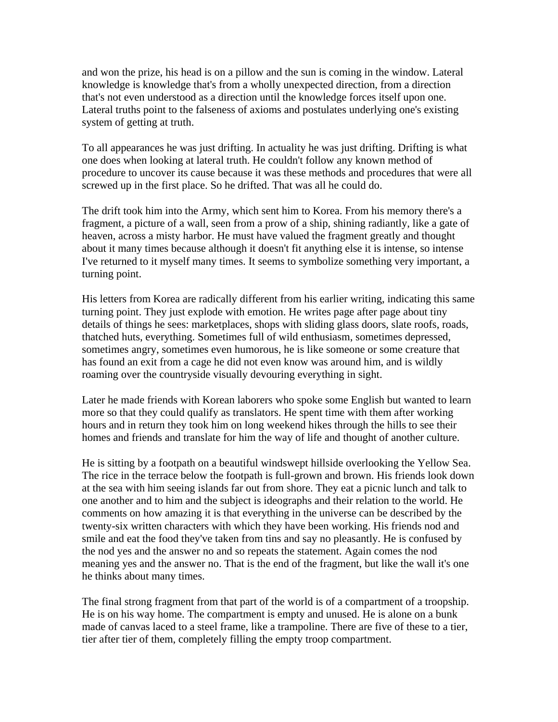and won the prize, his head is on a pillow and the sun is coming in the window. Lateral knowledge is knowledge that's from a wholly unexpected direction, from a direction that's not even understood as a direction until the knowledge forces itself upon one. Lateral truths point to the falseness of axioms and postulates underlying one's existing system of getting at truth.

To all appearances he was just drifting. In actuality he was just drifting. Drifting is what one does when looking at lateral truth. He couldn't follow any known method of procedure to uncover its cause because it was these methods and procedures that were all screwed up in the first place. So he drifted. That was all he could do.

The drift took him into the Army, which sent him to Korea. From his memory there's a fragment, a picture of a wall, seen from a prow of a ship, shining radiantly, like a gate of heaven, across a misty harbor. He must have valued the fragment greatly and thought about it many times because although it doesn't fit anything else it is intense, so intense I've returned to it myself many times. It seems to symbolize something very important, a turning point.

His letters from Korea are radically different from his earlier writing, indicating this same turning point. They just explode with emotion. He writes page after page about tiny details of things he sees: marketplaces, shops with sliding glass doors, slate roofs, roads, thatched huts, everything. Sometimes full of wild enthusiasm, sometimes depressed, sometimes angry, sometimes even humorous, he is like someone or some creature that has found an exit from a cage he did not even know was around him, and is wildly roaming over the countryside visually devouring everything in sight.

Later he made friends with Korean laborers who spoke some English but wanted to learn more so that they could qualify as translators. He spent time with them after working hours and in return they took him on long weekend hikes through the hills to see their homes and friends and translate for him the way of life and thought of another culture.

He is sitting by a footpath on a beautiful windswept hillside overlooking the Yellow Sea. The rice in the terrace below the footpath is full-grown and brown. His friends look down at the sea with him seeing islands far out from shore. They eat a picnic lunch and talk to one another and to him and the subject is ideographs and their relation to the world. He comments on how amazing it is that everything in the universe can be described by the twenty-six written characters with which they have been working. His friends nod and smile and eat the food they've taken from tins and say no pleasantly. He is confused by the nod yes and the answer no and so repeats the statement. Again comes the nod meaning yes and the answer no. That is the end of the fragment, but like the wall it's one he thinks about many times.

The final strong fragment from that part of the world is of a compartment of a troopship. He is on his way home. The compartment is empty and unused. He is alone on a bunk made of canvas laced to a steel frame, like a trampoline. There are five of these to a tier, tier after tier of them, completely filling the empty troop compartment.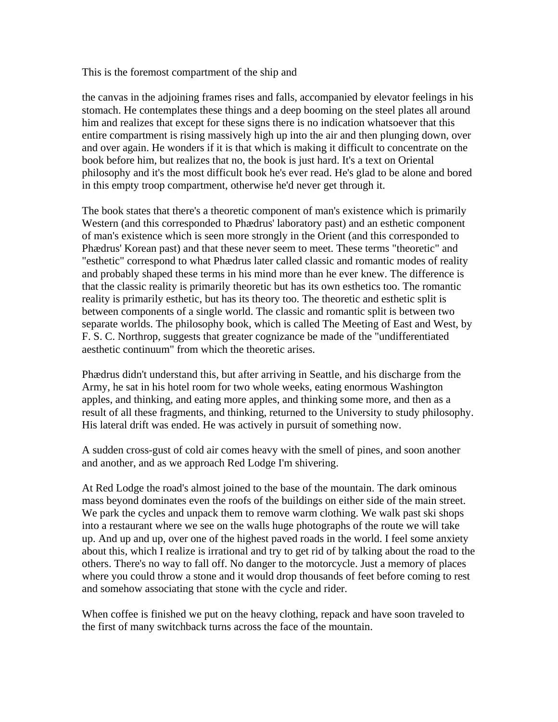This is the foremost compartment of the ship and

the canvas in the adjoining frames rises and falls, accompanied by elevator feelings in his stomach. He contemplates these things and a deep booming on the steel plates all around him and realizes that except for these signs there is no indication whatsoever that this entire compartment is rising massively high up into the air and then plunging down, over and over again. He wonders if it is that which is making it difficult to concentrate on the book before him, but realizes that no, the book is just hard. It's a text on Oriental philosophy and it's the most difficult book he's ever read. He's glad to be alone and bored in this empty troop compartment, otherwise he'd never get through it.

The book states that there's a theoretic component of man's existence which is primarily Western (and this corresponded to Phædrus' laboratory past) and an esthetic component of man's existence which is seen more strongly in the Orient (and this corresponded to Phædrus' Korean past) and that these never seem to meet. These terms "theoretic" and "esthetic" correspond to what Phædrus later called classic and romantic modes of reality and probably shaped these terms in his mind more than he ever knew. The difference is that the classic reality is primarily theoretic but has its own esthetics too. The romantic reality is primarily esthetic, but has its theory too. The theoretic and esthetic split is between components of a single world. The classic and romantic split is between two separate worlds. The philosophy book, which is called The Meeting of East and West, by F. S. C. Northrop, suggests that greater cognizance be made of the "undifferentiated aesthetic continuum" from which the theoretic arises.

Phædrus didn't understand this, but after arriving in Seattle, and his discharge from the Army, he sat in his hotel room for two whole weeks, eating enormous Washington apples, and thinking, and eating more apples, and thinking some more, and then as a result of all these fragments, and thinking, returned to the University to study philosophy. His lateral drift was ended. He was actively in pursuit of something now.

A sudden cross-gust of cold air comes heavy with the smell of pines, and soon another and another, and as we approach Red Lodge I'm shivering.

At Red Lodge the road's almost joined to the base of the mountain. The dark ominous mass beyond dominates even the roofs of the buildings on either side of the main street. We park the cycles and unpack them to remove warm clothing. We walk past ski shops into a restaurant where we see on the walls huge photographs of the route we will take up. And up and up, over one of the highest paved roads in the world. I feel some anxiety about this, which I realize is irrational and try to get rid of by talking about the road to the others. There's no way to fall off. No danger to the motorcycle. Just a memory of places where you could throw a stone and it would drop thousands of feet before coming to rest and somehow associating that stone with the cycle and rider.

When coffee is finished we put on the heavy clothing, repack and have soon traveled to the first of many switchback turns across the face of the mountain.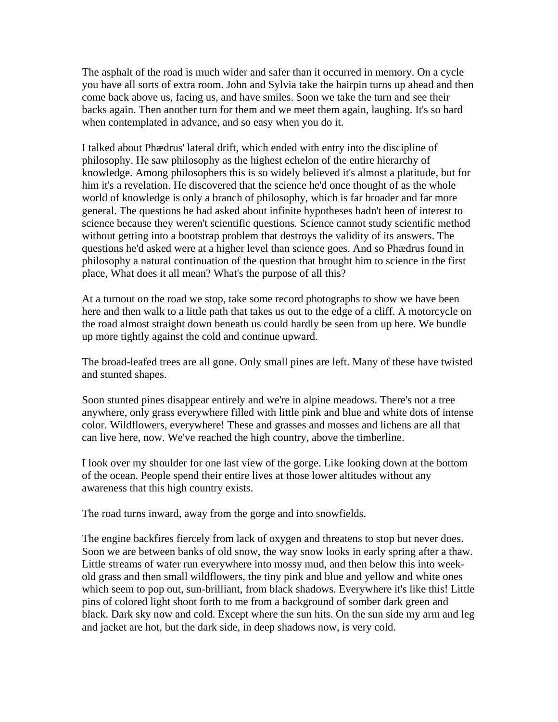The asphalt of the road is much wider and safer than it occurred in memory. On a cycle you have all sorts of extra room. John and Sylvia take the hairpin turns up ahead and then come back above us, facing us, and have smiles. Soon we take the turn and see their backs again. Then another turn for them and we meet them again, laughing. It's so hard when contemplated in advance, and so easy when you do it.

I talked about Phædrus' lateral drift, which ended with entry into the discipline of philosophy. He saw philosophy as the highest echelon of the entire hierarchy of knowledge. Among philosophers this is so widely believed it's almost a platitude, but for him it's a revelation. He discovered that the science he'd once thought of as the whole world of knowledge is only a branch of philosophy, which is far broader and far more general. The questions he had asked about infinite hypotheses hadn't been of interest to science because they weren't scientific questions. Science cannot study scientific method without getting into a bootstrap problem that destroys the validity of its answers. The questions he'd asked were at a higher level than science goes. And so Phædrus found in philosophy a natural continuation of the question that brought him to science in the first place, What does it all mean? What's the purpose of all this?

At a turnout on the road we stop, take some record photographs to show we have been here and then walk to a little path that takes us out to the edge of a cliff. A motorcycle on the road almost straight down beneath us could hardly be seen from up here. We bundle up more tightly against the cold and continue upward.

The broad-leafed trees are all gone. Only small pines are left. Many of these have twisted and stunted shapes.

Soon stunted pines disappear entirely and we're in alpine meadows. There's not a tree anywhere, only grass everywhere filled with little pink and blue and white dots of intense color. Wildflowers, everywhere! These and grasses and mosses and lichens are all that can live here, now. We've reached the high country, above the timberline.

I look over my shoulder for one last view of the gorge. Like looking down at the bottom of the ocean. People spend their entire lives at those lower altitudes without any awareness that this high country exists.

The road turns inward, away from the gorge and into snowfields.

The engine backfires fiercely from lack of oxygen and threatens to stop but never does. Soon we are between banks of old snow, the way snow looks in early spring after a thaw. Little streams of water run everywhere into mossy mud, and then below this into weekold grass and then small wildflowers, the tiny pink and blue and yellow and white ones which seem to pop out, sun-brilliant, from black shadows. Everywhere it's like this! Little pins of colored light shoot forth to me from a background of somber dark green and black. Dark sky now and cold. Except where the sun hits. On the sun side my arm and leg and jacket are hot, but the dark side, in deep shadows now, is very cold.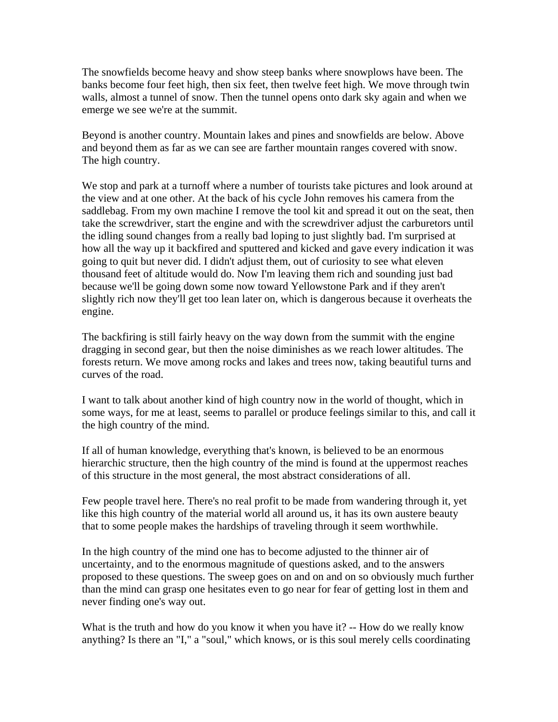The snowfields become heavy and show steep banks where snowplows have been. The banks become four feet high, then six feet, then twelve feet high. We move through twin walls, almost a tunnel of snow. Then the tunnel opens onto dark sky again and when we emerge we see we're at the summit.

Beyond is another country. Mountain lakes and pines and snowfields are below. Above and beyond them as far as we can see are farther mountain ranges covered with snow. The high country.

We stop and park at a turnoff where a number of tourists take pictures and look around at the view and at one other. At the back of his cycle John removes his camera from the saddlebag. From my own machine I remove the tool kit and spread it out on the seat, then take the screwdriver, start the engine and with the screwdriver adjust the carburetors until the idling sound changes from a really bad loping to just slightly bad. I'm surprised at how all the way up it backfired and sputtered and kicked and gave every indication it was going to quit but never did. I didn't adjust them, out of curiosity to see what eleven thousand feet of altitude would do. Now I'm leaving them rich and sounding just bad because we'll be going down some now toward Yellowstone Park and if they aren't slightly rich now they'll get too lean later on, which is dangerous because it overheats the engine.

The backfiring is still fairly heavy on the way down from the summit with the engine dragging in second gear, but then the noise diminishes as we reach lower altitudes. The forests return. We move among rocks and lakes and trees now, taking beautiful turns and curves of the road.

I want to talk about another kind of high country now in the world of thought, which in some ways, for me at least, seems to parallel or produce feelings similar to this, and call it the high country of the mind.

If all of human knowledge, everything that's known, is believed to be an enormous hierarchic structure, then the high country of the mind is found at the uppermost reaches of this structure in the most general, the most abstract considerations of all.

Few people travel here. There's no real profit to be made from wandering through it, yet like this high country of the material world all around us, it has its own austere beauty that to some people makes the hardships of traveling through it seem worthwhile.

In the high country of the mind one has to become adjusted to the thinner air of uncertainty, and to the enormous magnitude of questions asked, and to the answers proposed to these questions. The sweep goes on and on and on so obviously much further than the mind can grasp one hesitates even to go near for fear of getting lost in them and never finding one's way out.

What is the truth and how do you know it when you have it? -- How do we really know anything? Is there an "I," a "soul," which knows, or is this soul merely cells coordinating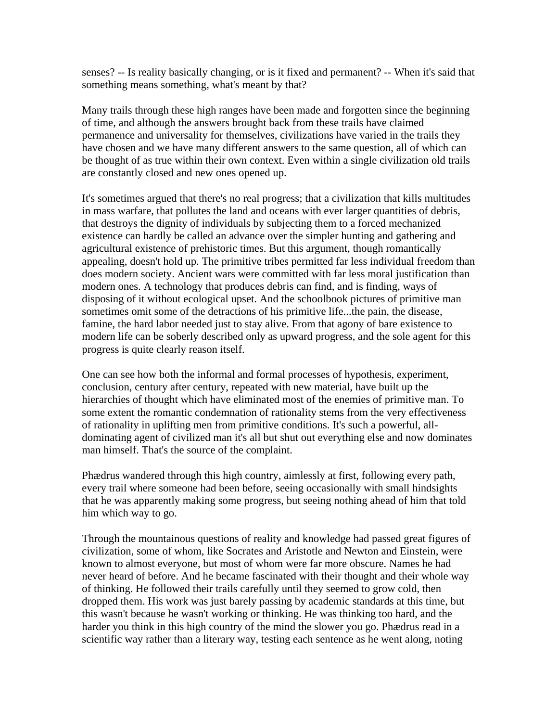senses? -- Is reality basically changing, or is it fixed and permanent? -- When it's said that something means something, what's meant by that?

Many trails through these high ranges have been made and forgotten since the beginning of time, and although the answers brought back from these trails have claimed permanence and universality for themselves, civilizations have varied in the trails they have chosen and we have many different answers to the same question, all of which can be thought of as true within their own context. Even within a single civilization old trails are constantly closed and new ones opened up.

It's sometimes argued that there's no real progress; that a civilization that kills multitudes in mass warfare, that pollutes the land and oceans with ever larger quantities of debris, that destroys the dignity of individuals by subjecting them to a forced mechanized existence can hardly be called an advance over the simpler hunting and gathering and agricultural existence of prehistoric times. But this argument, though romantically appealing, doesn't hold up. The primitive tribes permitted far less individual freedom than does modern society. Ancient wars were committed with far less moral justification than modern ones. A technology that produces debris can find, and is finding, ways of disposing of it without ecological upset. And the schoolbook pictures of primitive man sometimes omit some of the detractions of his primitive life...the pain, the disease, famine, the hard labor needed just to stay alive. From that agony of bare existence to modern life can be soberly described only as upward progress, and the sole agent for this progress is quite clearly reason itself.

One can see how both the informal and formal processes of hypothesis, experiment, conclusion, century after century, repeated with new material, have built up the hierarchies of thought which have eliminated most of the enemies of primitive man. To some extent the romantic condemnation of rationality stems from the very effectiveness of rationality in uplifting men from primitive conditions. It's such a powerful, alldominating agent of civilized man it's all but shut out everything else and now dominates man himself. That's the source of the complaint.

Phædrus wandered through this high country, aimlessly at first, following every path, every trail where someone had been before, seeing occasionally with small hindsights that he was apparently making some progress, but seeing nothing ahead of him that told him which way to go.

Through the mountainous questions of reality and knowledge had passed great figures of civilization, some of whom, like Socrates and Aristotle and Newton and Einstein, were known to almost everyone, but most of whom were far more obscure. Names he had never heard of before. And he became fascinated with their thought and their whole way of thinking. He followed their trails carefully until they seemed to grow cold, then dropped them. His work was just barely passing by academic standards at this time, but this wasn't because he wasn't working or thinking. He was thinking too hard, and the harder you think in this high country of the mind the slower you go. Phædrus read in a scientific way rather than a literary way, testing each sentence as he went along, noting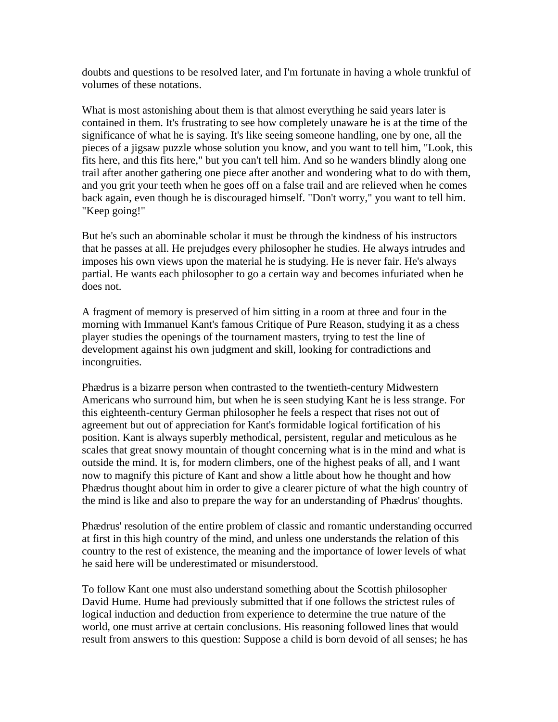doubts and questions to be resolved later, and I'm fortunate in having a whole trunkful of volumes of these notations.

What is most astonishing about them is that almost everything he said years later is contained in them. It's frustrating to see how completely unaware he is at the time of the significance of what he is saying. It's like seeing someone handling, one by one, all the pieces of a jigsaw puzzle whose solution you know, and you want to tell him, "Look, this fits here, and this fits here," but you can't tell him. And so he wanders blindly along one trail after another gathering one piece after another and wondering what to do with them, and you grit your teeth when he goes off on a false trail and are relieved when he comes back again, even though he is discouraged himself. "Don't worry," you want to tell him. "Keep going!"

But he's such an abominable scholar it must be through the kindness of his instructors that he passes at all. He prejudges every philosopher he studies. He always intrudes and imposes his own views upon the material he is studying. He is never fair. He's always partial. He wants each philosopher to go a certain way and becomes infuriated when he does not.

A fragment of memory is preserved of him sitting in a room at three and four in the morning with Immanuel Kant's famous Critique of Pure Reason, studying it as a chess player studies the openings of the tournament masters, trying to test the line of development against his own judgment and skill, looking for contradictions and incongruities.

Phædrus is a bizarre person when contrasted to the twentieth-century Midwestern Americans who surround him, but when he is seen studying Kant he is less strange. For this eighteenth-century German philosopher he feels a respect that rises not out of agreement but out of appreciation for Kant's formidable logical fortification of his position. Kant is always superbly methodical, persistent, regular and meticulous as he scales that great snowy mountain of thought concerning what is in the mind and what is outside the mind. It is, for modern climbers, one of the highest peaks of all, and I want now to magnify this picture of Kant and show a little about how he thought and how Phædrus thought about him in order to give a clearer picture of what the high country of the mind is like and also to prepare the way for an understanding of Phædrus' thoughts.

Phædrus' resolution of the entire problem of classic and romantic understanding occurred at first in this high country of the mind, and unless one understands the relation of this country to the rest of existence, the meaning and the importance of lower levels of what he said here will be underestimated or misunderstood.

To follow Kant one must also understand something about the Scottish philosopher David Hume. Hume had previously submitted that if one follows the strictest rules of logical induction and deduction from experience to determine the true nature of the world, one must arrive at certain conclusions. His reasoning followed lines that would result from answers to this question: Suppose a child is born devoid of all senses; he has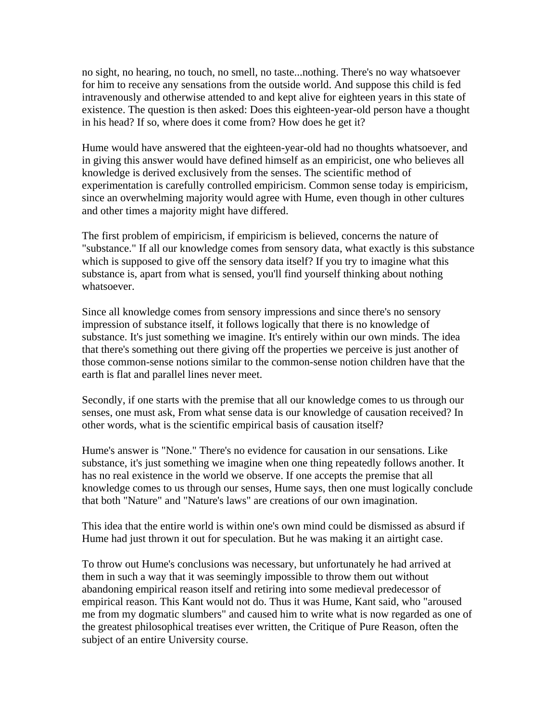no sight, no hearing, no touch, no smell, no taste...nothing. There's no way whatsoever for him to receive any sensations from the outside world. And suppose this child is fed intravenously and otherwise attended to and kept alive for eighteen years in this state of existence. The question is then asked: Does this eighteen-year-old person have a thought in his head? If so, where does it come from? How does he get it?

Hume would have answered that the eighteen-year-old had no thoughts whatsoever, and in giving this answer would have defined himself as an empiricist, one who believes all knowledge is derived exclusively from the senses. The scientific method of experimentation is carefully controlled empiricism. Common sense today is empiricism, since an overwhelming majority would agree with Hume, even though in other cultures and other times a majority might have differed.

The first problem of empiricism, if empiricism is believed, concerns the nature of "substance." If all our knowledge comes from sensory data, what exactly is this substance which is supposed to give off the sensory data itself? If you try to imagine what this substance is, apart from what is sensed, you'll find yourself thinking about nothing whatsoever.

Since all knowledge comes from sensory impressions and since there's no sensory impression of substance itself, it follows logically that there is no knowledge of substance. It's just something we imagine. It's entirely within our own minds. The idea that there's something out there giving off the properties we perceive is just another of those common-sense notions similar to the common-sense notion children have that the earth is flat and parallel lines never meet.

Secondly, if one starts with the premise that all our knowledge comes to us through our senses, one must ask, From what sense data is our knowledge of causation received? In other words, what is the scientific empirical basis of causation itself?

Hume's answer is "None." There's no evidence for causation in our sensations. Like substance, it's just something we imagine when one thing repeatedly follows another. It has no real existence in the world we observe. If one accepts the premise that all knowledge comes to us through our senses, Hume says, then one must logically conclude that both "Nature" and "Nature's laws" are creations of our own imagination.

This idea that the entire world is within one's own mind could be dismissed as absurd if Hume had just thrown it out for speculation. But he was making it an airtight case.

To throw out Hume's conclusions was necessary, but unfortunately he had arrived at them in such a way that it was seemingly impossible to throw them out without abandoning empirical reason itself and retiring into some medieval predecessor of empirical reason. This Kant would not do. Thus it was Hume, Kant said, who "aroused me from my dogmatic slumbers" and caused him to write what is now regarded as one of the greatest philosophical treatises ever written, the Critique of Pure Reason, often the subject of an entire University course.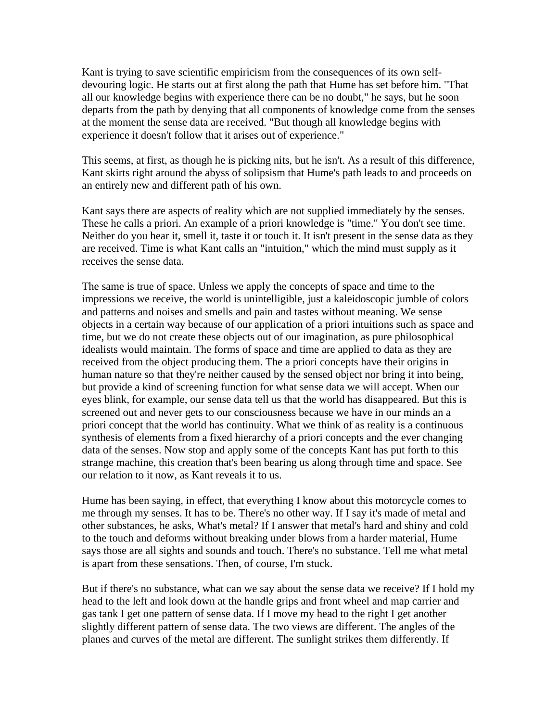Kant is trying to save scientific empiricism from the consequences of its own selfdevouring logic. He starts out at first along the path that Hume has set before him. "That all our knowledge begins with experience there can be no doubt," he says, but he soon departs from the path by denying that all components of knowledge come from the senses at the moment the sense data are received. "But though all knowledge begins with experience it doesn't follow that it arises out of experience."

This seems, at first, as though he is picking nits, but he isn't. As a result of this difference, Kant skirts right around the abyss of solipsism that Hume's path leads to and proceeds on an entirely new and different path of his own.

Kant says there are aspects of reality which are not supplied immediately by the senses. These he calls a priori. An example of a priori knowledge is "time." You don't see time. Neither do you hear it, smell it, taste it or touch it. It isn't present in the sense data as they are received. Time is what Kant calls an "intuition," which the mind must supply as it receives the sense data.

The same is true of space. Unless we apply the concepts of space and time to the impressions we receive, the world is unintelligible, just a kaleidoscopic jumble of colors and patterns and noises and smells and pain and tastes without meaning. We sense objects in a certain way because of our application of a priori intuitions such as space and time, but we do not create these objects out of our imagination, as pure philosophical idealists would maintain. The forms of space and time are applied to data as they are received from the object producing them. The a priori concepts have their origins in human nature so that they're neither caused by the sensed object nor bring it into being, but provide a kind of screening function for what sense data we will accept. When our eyes blink, for example, our sense data tell us that the world has disappeared. But this is screened out and never gets to our consciousness because we have in our minds an a priori concept that the world has continuity. What we think of as reality is a continuous synthesis of elements from a fixed hierarchy of a priori concepts and the ever changing data of the senses. Now stop and apply some of the concepts Kant has put forth to this strange machine, this creation that's been bearing us along through time and space. See our relation to it now, as Kant reveals it to us.

Hume has been saying, in effect, that everything I know about this motorcycle comes to me through my senses. It has to be. There's no other way. If I say it's made of metal and other substances, he asks, What's metal? If I answer that metal's hard and shiny and cold to the touch and deforms without breaking under blows from a harder material, Hume says those are all sights and sounds and touch. There's no substance. Tell me what metal is apart from these sensations. Then, of course, I'm stuck.

But if there's no substance, what can we say about the sense data we receive? If I hold my head to the left and look down at the handle grips and front wheel and map carrier and gas tank I get one pattern of sense data. If I move my head to the right I get another slightly different pattern of sense data. The two views are different. The angles of the planes and curves of the metal are different. The sunlight strikes them differently. If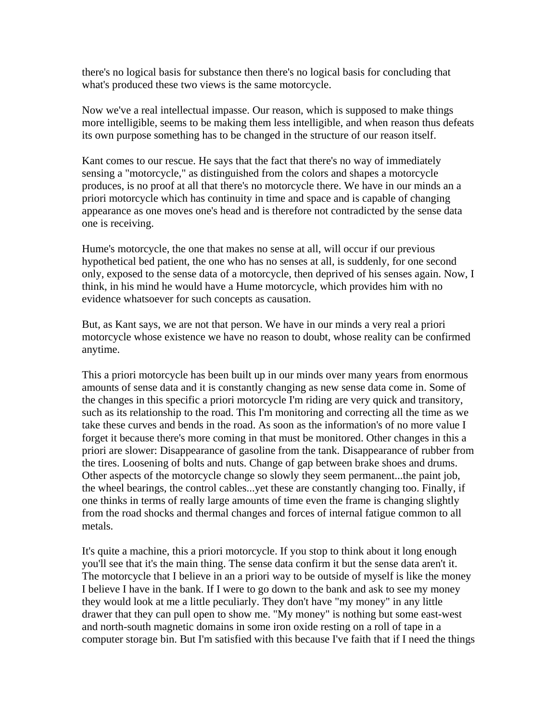there's no logical basis for substance then there's no logical basis for concluding that what's produced these two views is the same motorcycle.

Now we've a real intellectual impasse. Our reason, which is supposed to make things more intelligible, seems to be making them less intelligible, and when reason thus defeats its own purpose something has to be changed in the structure of our reason itself.

Kant comes to our rescue. He says that the fact that there's no way of immediately sensing a "motorcycle," as distinguished from the colors and shapes a motorcycle produces, is no proof at all that there's no motorcycle there. We have in our minds an a priori motorcycle which has continuity in time and space and is capable of changing appearance as one moves one's head and is therefore not contradicted by the sense data one is receiving.

Hume's motorcycle, the one that makes no sense at all, will occur if our previous hypothetical bed patient, the one who has no senses at all, is suddenly, for one second only, exposed to the sense data of a motorcycle, then deprived of his senses again. Now, I think, in his mind he would have a Hume motorcycle, which provides him with no evidence whatsoever for such concepts as causation.

But, as Kant says, we are not that person. We have in our minds a very real a priori motorcycle whose existence we have no reason to doubt, whose reality can be confirmed anytime.

This a priori motorcycle has been built up in our minds over many years from enormous amounts of sense data and it is constantly changing as new sense data come in. Some of the changes in this specific a priori motorcycle I'm riding are very quick and transitory, such as its relationship to the road. This I'm monitoring and correcting all the time as we take these curves and bends in the road. As soon as the information's of no more value I forget it because there's more coming in that must be monitored. Other changes in this a priori are slower: Disappearance of gasoline from the tank. Disappearance of rubber from the tires. Loosening of bolts and nuts. Change of gap between brake shoes and drums. Other aspects of the motorcycle change so slowly they seem permanent...the paint job, the wheel bearings, the control cables...yet these are constantly changing too. Finally, if one thinks in terms of really large amounts of time even the frame is changing slightly from the road shocks and thermal changes and forces of internal fatigue common to all metals.

It's quite a machine, this a priori motorcycle. If you stop to think about it long enough you'll see that it's the main thing. The sense data confirm it but the sense data aren't it. The motorcycle that I believe in an a priori way to be outside of myself is like the money I believe I have in the bank. If I were to go down to the bank and ask to see my money they would look at me a little peculiarly. They don't have "my money" in any little drawer that they can pull open to show me. "My money" is nothing but some east-west and north-south magnetic domains in some iron oxide resting on a roll of tape in a computer storage bin. But I'm satisfied with this because I've faith that if I need the things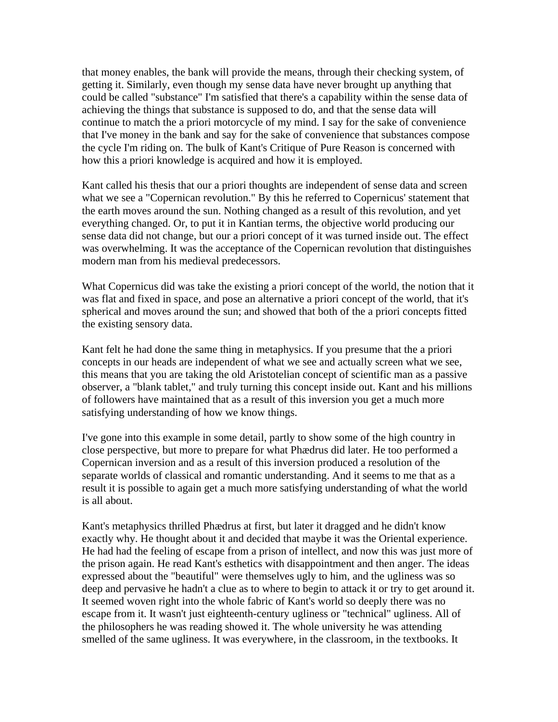that money enables, the bank will provide the means, through their checking system, of getting it. Similarly, even though my sense data have never brought up anything that could be called "substance" I'm satisfied that there's a capability within the sense data of achieving the things that substance is supposed to do, and that the sense data will continue to match the a priori motorcycle of my mind. I say for the sake of convenience that I've money in the bank and say for the sake of convenience that substances compose the cycle I'm riding on. The bulk of Kant's Critique of Pure Reason is concerned with how this a priori knowledge is acquired and how it is employed.

Kant called his thesis that our a priori thoughts are independent of sense data and screen what we see a "Copernican revolution." By this he referred to Copernicus' statement that the earth moves around the sun. Nothing changed as a result of this revolution, and yet everything changed. Or, to put it in Kantian terms, the objective world producing our sense data did not change, but our a priori concept of it was turned inside out. The effect was overwhelming. It was the acceptance of the Copernican revolution that distinguishes modern man from his medieval predecessors.

What Copernicus did was take the existing a priori concept of the world, the notion that it was flat and fixed in space, and pose an alternative a priori concept of the world, that it's spherical and moves around the sun; and showed that both of the a priori concepts fitted the existing sensory data.

Kant felt he had done the same thing in metaphysics. If you presume that the a priori concepts in our heads are independent of what we see and actually screen what we see, this means that you are taking the old Aristotelian concept of scientific man as a passive observer, a "blank tablet," and truly turning this concept inside out. Kant and his millions of followers have maintained that as a result of this inversion you get a much more satisfying understanding of how we know things.

I've gone into this example in some detail, partly to show some of the high country in close perspective, but more to prepare for what Phædrus did later. He too performed a Copernican inversion and as a result of this inversion produced a resolution of the separate worlds of classical and romantic understanding. And it seems to me that as a result it is possible to again get a much more satisfying understanding of what the world is all about.

Kant's metaphysics thrilled Phædrus at first, but later it dragged and he didn't know exactly why. He thought about it and decided that maybe it was the Oriental experience. He had had the feeling of escape from a prison of intellect, and now this was just more of the prison again. He read Kant's esthetics with disappointment and then anger. The ideas expressed about the "beautiful" were themselves ugly to him, and the ugliness was so deep and pervasive he hadn't a clue as to where to begin to attack it or try to get around it. It seemed woven right into the whole fabric of Kant's world so deeply there was no escape from it. It wasn't just eighteenth-century ugliness or "technical" ugliness. All of the philosophers he was reading showed it. The whole university he was attending smelled of the same ugliness. It was everywhere, in the classroom, in the textbooks. It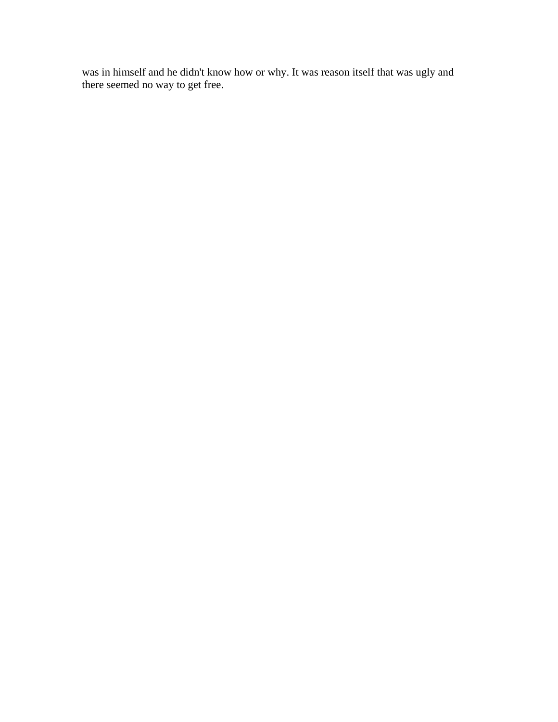was in himself and he didn't know how or why. It was reason itself that was ugly and there seemed no way to get free.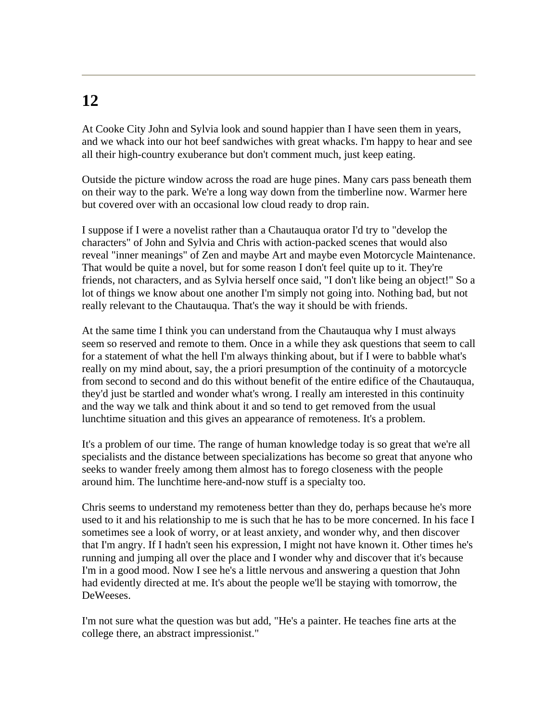## **12**

At Cooke City John and Sylvia look and sound happier than I have seen them in years, and we whack into our hot beef sandwiches with great whacks. I'm happy to hear and see all their high-country exuberance but don't comment much, just keep eating.

Outside the picture window across the road are huge pines. Many cars pass beneath them on their way to the park. We're a long way down from the timberline now. Warmer here but covered over with an occasional low cloud ready to drop rain.

I suppose if I were a novelist rather than a Chautauqua orator I'd try to "develop the characters" of John and Sylvia and Chris with action-packed scenes that would also reveal "inner meanings" of Zen and maybe Art and maybe even Motorcycle Maintenance. That would be quite a novel, but for some reason I don't feel quite up to it. They're friends, not characters, and as Sylvia herself once said, "I don't like being an object!" So a lot of things we know about one another I'm simply not going into. Nothing bad, but not really relevant to the Chautauqua. That's the way it should be with friends.

At the same time I think you can understand from the Chautauqua why I must always seem so reserved and remote to them. Once in a while they ask questions that seem to call for a statement of what the hell I'm always thinking about, but if I were to babble what's really on my mind about, say, the a priori presumption of the continuity of a motorcycle from second to second and do this without benefit of the entire edifice of the Chautauqua, they'd just be startled and wonder what's wrong. I really am interested in this continuity and the way we talk and think about it and so tend to get removed from the usual lunchtime situation and this gives an appearance of remoteness. It's a problem.

It's a problem of our time. The range of human knowledge today is so great that we're all specialists and the distance between specializations has become so great that anyone who seeks to wander freely among them almost has to forego closeness with the people around him. The lunchtime here-and-now stuff is a specialty too.

Chris seems to understand my remoteness better than they do, perhaps because he's more used to it and his relationship to me is such that he has to be more concerned. In his face I sometimes see a look of worry, or at least anxiety, and wonder why, and then discover that I'm angry. If I hadn't seen his expression, I might not have known it. Other times he's running and jumping all over the place and I wonder why and discover that it's because I'm in a good mood. Now I see he's a little nervous and answering a question that John had evidently directed at me. It's about the people we'll be staying with tomorrow, the DeWeeses.

I'm not sure what the question was but add, "He's a painter. He teaches fine arts at the college there, an abstract impressionist."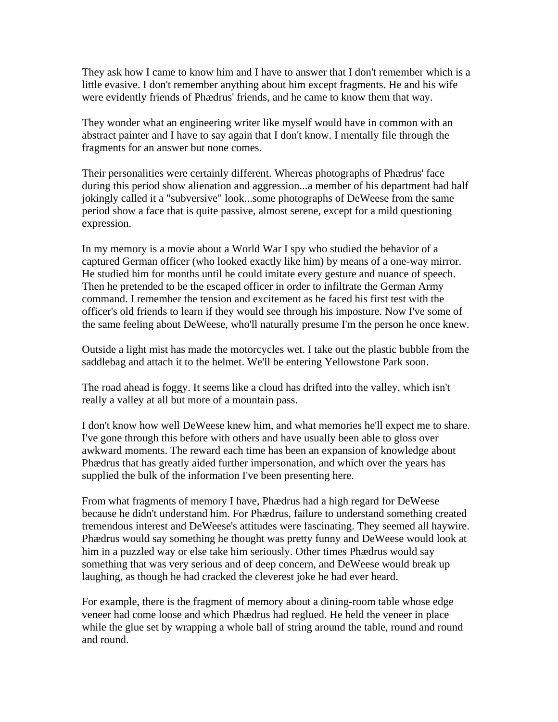They ask how I came to know him and I have to answer that I don't remember which is a little evasive. I don't remember anything about him except fragments. He and his wife were evidently friends of Phædrus' friends, and he came to know them that way.

They wonder what an engineering writer like myself would have in common with an abstract painter and I have to say again that I don't know. I mentally file through the fragments for an answer but none comes.

Their personalities were certainly different. Whereas photographs of Phædrus' face during this period show alienation and aggression...a member of his department had half jokingly called it a "subversive" look...some photographs of DeWeese from the same period show a face that is quite passive, almost serene, except for a mild questioning expression.

In my memory is a movie about a World War I spy who studied the behavior of a captured German officer (who looked exactly like him) by means of a one-way mirror. He studied him for months until he could imitate every gesture and nuance of speech. Then he pretended to be the escaped officer in order to infiltrate the German Army command. I remember the tension and excitement as he faced his first test with the officer's old friends to learn if they would see through his imposture. Now I've some of the same feeling about DeWeese, who'll naturally presume I'm the person he once knew.

Outside a light mist has made the motorcycles wet. I take out the plastic bubble from the saddlebag and attach it to the helmet. We'll be entering Yellowstone Park soon.

The road ahead is foggy. It seems like a cloud has drifted into the valley, which isn't really a valley at all but more of a mountain pass.

I don't know how well DeWeese knew him, and what memories he'll expect me to share. I've gone through this before with others and have usually been able to gloss over awkward moments. The reward each time has been an expansion of knowledge about Phædrus that has greatly aided further impersonation, and which over the years has supplied the bulk of the information I've been presenting here.

From what fragments of memory I have, Phædrus had a high regard for DeWeese because he didn't understand him. For Phædrus, failure to understand something created tremendous interest and DeWeese's attitudes were fascinating. They seemed all haywire. Phædrus would say something he thought was pretty funny and DeWeese would look at him in a puzzled way or else take him seriously. Other times Phædrus would say something that was very serious and of deep concern, and DeWeese would break up laughing, as though he had cracked the cleverest joke he had ever heard.

For example, there is the fragment of memory about a dining-room table whose edge veneer had come loose and which Phædrus had reglued. He held the veneer in place while the glue set by wrapping a whole ball of string around the table, round and round and round.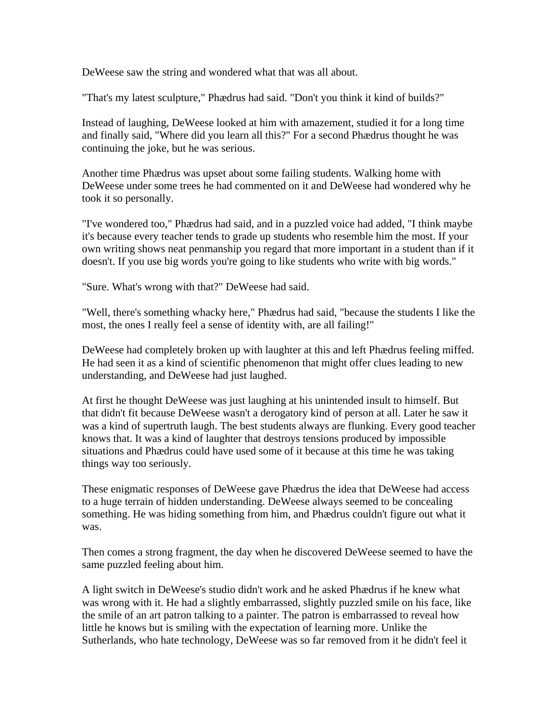DeWeese saw the string and wondered what that was all about.

"That's my latest sculpture," Phædrus had said. "Don't you think it kind of builds?"

Instead of laughing, DeWeese looked at him with amazement, studied it for a long time and finally said, "Where did you learn all this?" For a second Phædrus thought he was continuing the joke, but he was serious.

Another time Phædrus was upset about some failing students. Walking home with DeWeese under some trees he had commented on it and DeWeese had wondered why he took it so personally.

"I've wondered too," Phædrus had said, and in a puzzled voice had added, "I think maybe it's because every teacher tends to grade up students who resemble him the most. If your own writing shows neat penmanship you regard that more important in a student than if it doesn't. If you use big words you're going to like students who write with big words."

"Sure. What's wrong with that?" DeWeese had said.

"Well, there's something whacky here," Phædrus had said, "because the students I like the most, the ones I really feel a sense of identity with, are all failing!"

DeWeese had completely broken up with laughter at this and left Phædrus feeling miffed. He had seen it as a kind of scientific phenomenon that might offer clues leading to new understanding, and DeWeese had just laughed.

At first he thought DeWeese was just laughing at his unintended insult to himself. But that didn't fit because DeWeese wasn't a derogatory kind of person at all. Later he saw it was a kind of supertruth laugh. The best students always are flunking. Every good teacher knows that. It was a kind of laughter that destroys tensions produced by impossible situations and Phædrus could have used some of it because at this time he was taking things way too seriously.

These enigmatic responses of DeWeese gave Phædrus the idea that DeWeese had access to a huge terrain of hidden understanding. DeWeese always seemed to be concealing something. He was hiding something from him, and Phædrus couldn't figure out what it was.

Then comes a strong fragment, the day when he discovered DeWeese seemed to have the same puzzled feeling about him.

A light switch in DeWeese's studio didn't work and he asked Phædrus if he knew what was wrong with it. He had a slightly embarrassed, slightly puzzled smile on his face, like the smile of an art patron talking to a painter. The patron is embarrassed to reveal how little he knows but is smiling with the expectation of learning more. Unlike the Sutherlands, who hate technology, DeWeese was so far removed from it he didn't feel it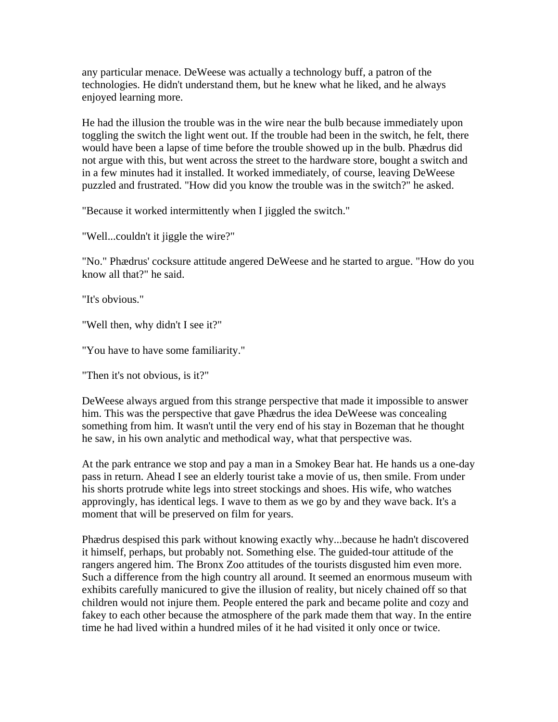any particular menace. DeWeese was actually a technology buff, a patron of the technologies. He didn't understand them, but he knew what he liked, and he always enjoyed learning more.

He had the illusion the trouble was in the wire near the bulb because immediately upon toggling the switch the light went out. If the trouble had been in the switch, he felt, there would have been a lapse of time before the trouble showed up in the bulb. Phædrus did not argue with this, but went across the street to the hardware store, bought a switch and in a few minutes had it installed. It worked immediately, of course, leaving DeWeese puzzled and frustrated. "How did you know the trouble was in the switch?" he asked.

"Because it worked intermittently when I jiggled the switch."

"Well...couldn't it jiggle the wire?"

"No." Phædrus' cocksure attitude angered DeWeese and he started to argue. "How do you know all that?" he said.

"It's obvious."

"Well then, why didn't I see it?"

"You have to have some familiarity."

"Then it's not obvious, is it?"

DeWeese always argued from this strange perspective that made it impossible to answer him. This was the perspective that gave Phædrus the idea DeWeese was concealing something from him. It wasn't until the very end of his stay in Bozeman that he thought he saw, in his own analytic and methodical way, what that perspective was.

At the park entrance we stop and pay a man in a Smokey Bear hat. He hands us a one-day pass in return. Ahead I see an elderly tourist take a movie of us, then smile. From under his shorts protrude white legs into street stockings and shoes. His wife, who watches approvingly, has identical legs. I wave to them as we go by and they wave back. It's a moment that will be preserved on film for years.

Phædrus despised this park without knowing exactly why...because he hadn't discovered it himself, perhaps, but probably not. Something else. The guided-tour attitude of the rangers angered him. The Bronx Zoo attitudes of the tourists disgusted him even more. Such a difference from the high country all around. It seemed an enormous museum with exhibits carefully manicured to give the illusion of reality, but nicely chained off so that children would not injure them. People entered the park and became polite and cozy and fakey to each other because the atmosphere of the park made them that way. In the entire time he had lived within a hundred miles of it he had visited it only once or twice.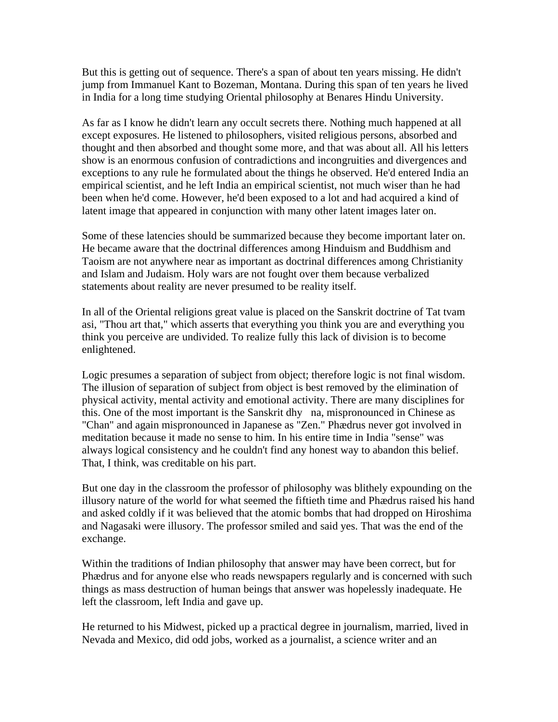But this is getting out of sequence. There's a span of about ten years missing. He didn't jump from Immanuel Kant to Bozeman, Montana. During this span of ten years he lived in India for a long time studying Oriental philosophy at Benares Hindu University.

As far as I know he didn't learn any occult secrets there. Nothing much happened at all except exposures. He listened to philosophers, visited religious persons, absorbed and thought and then absorbed and thought some more, and that was about all. All his letters show is an enormous confusion of contradictions and incongruities and divergences and exceptions to any rule he formulated about the things he observed. He'd entered India an empirical scientist, and he left India an empirical scientist, not much wiser than he had been when he'd come. However, he'd been exposed to a lot and had acquired a kind of latent image that appeared in conjunction with many other latent images later on.

Some of these latencies should be summarized because they become important later on. He became aware that the doctrinal differences among Hinduism and Buddhism and Taoism are not anywhere near as important as doctrinal differences among Christianity and Islam and Judaism. Holy wars are not fought over them because verbalized statements about reality are never presumed to be reality itself.

In all of the Oriental religions great value is placed on the Sanskrit doctrine of Tat tvam asi, "Thou art that," which asserts that everything you think you are and everything you think you perceive are undivided. To realize fully this lack of division is to become enlightened.

Logic presumes a separation of subject from object; therefore logic is not final wisdom. The illusion of separation of subject from object is best removed by the elimination of physical activity, mental activity and emotional activity. There are many disciplines for this. One of the most important is the Sanskrit dhyna, mispronounced in Chinese as "Chan" and again mispronounced in Japanese as "Zen." Phædrus never got involved in meditation because it made no sense to him. In his entire time in India "sense" was always logical consistency and he couldn't find any honest way to abandon this belief. That, I think, was creditable on his part.

But one day in the classroom the professor of philosophy was blithely expounding on the illusory nature of the world for what seemed the fiftieth time and Phædrus raised his hand and asked coldly if it was believed that the atomic bombs that had dropped on Hiroshima and Nagasaki were illusory. The professor smiled and said yes. That was the end of the exchange.

Within the traditions of Indian philosophy that answer may have been correct, but for Phædrus and for anyone else who reads newspapers regularly and is concerned with such things as mass destruction of human beings that answer was hopelessly inadequate. He left the classroom, left India and gave up.

He returned to his Midwest, picked up a practical degree in journalism, married, lived in Nevada and Mexico, did odd jobs, worked as a journalist, a science writer and an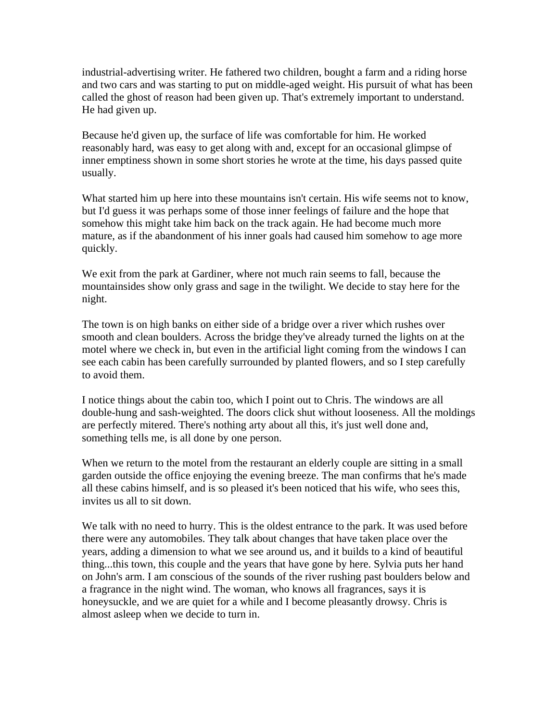industrial-advertising writer. He fathered two children, bought a farm and a riding horse and two cars and was starting to put on middle-aged weight. His pursuit of what has been called the ghost of reason had been given up. That's extremely important to understand. He had given up.

Because he'd given up, the surface of life was comfortable for him. He worked reasonably hard, was easy to get along with and, except for an occasional glimpse of inner emptiness shown in some short stories he wrote at the time, his days passed quite usually.

What started him up here into these mountains isn't certain. His wife seems not to know, but I'd guess it was perhaps some of those inner feelings of failure and the hope that somehow this might take him back on the track again. He had become much more mature, as if the abandonment of his inner goals had caused him somehow to age more quickly.

We exit from the park at Gardiner, where not much rain seems to fall, because the mountainsides show only grass and sage in the twilight. We decide to stay here for the night.

The town is on high banks on either side of a bridge over a river which rushes over smooth and clean boulders. Across the bridge they've already turned the lights on at the motel where we check in, but even in the artificial light coming from the windows I can see each cabin has been carefully surrounded by planted flowers, and so I step carefully to avoid them.

I notice things about the cabin too, which I point out to Chris. The windows are all double-hung and sash-weighted. The doors click shut without looseness. All the moldings are perfectly mitered. There's nothing arty about all this, it's just well done and, something tells me, is all done by one person.

When we return to the motel from the restaurant an elderly couple are sitting in a small garden outside the office enjoying the evening breeze. The man confirms that he's made all these cabins himself, and is so pleased it's been noticed that his wife, who sees this, invites us all to sit down.

We talk with no need to hurry. This is the oldest entrance to the park. It was used before there were any automobiles. They talk about changes that have taken place over the years, adding a dimension to what we see around us, and it builds to a kind of beautiful thing...this town, this couple and the years that have gone by here. Sylvia puts her hand on John's arm. I am conscious of the sounds of the river rushing past boulders below and a fragrance in the night wind. The woman, who knows all fragrances, says it is honeysuckle, and we are quiet for a while and I become pleasantly drowsy. Chris is almost asleep when we decide to turn in.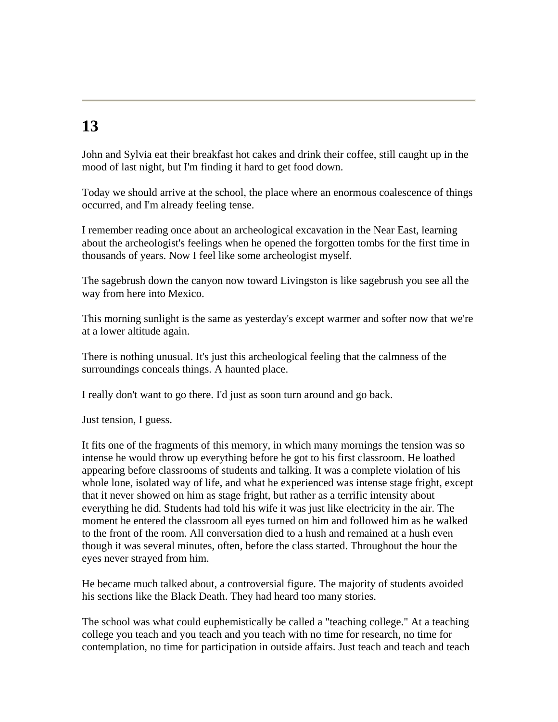## **13**

John and Sylvia eat their breakfast hot cakes and drink their coffee, still caught up in the mood of last night, but I'm finding it hard to get food down.

Today we should arrive at the school, the place where an enormous coalescence of things occurred, and I'm already feeling tense.

I remember reading once about an archeological excavation in the Near East, learning about the archeologist's feelings when he opened the forgotten tombs for the first time in thousands of years. Now I feel like some archeologist myself.

The sagebrush down the canyon now toward Livingston is like sagebrush you see all the way from here into Mexico.

This morning sunlight is the same as yesterday's except warmer and softer now that we're at a lower altitude again.

There is nothing unusual. It's just this archeological feeling that the calmness of the surroundings conceals things. A haunted place.

I really don't want to go there. I'd just as soon turn around and go back.

Just tension, I guess.

It fits one of the fragments of this memory, in which many mornings the tension was so intense he would throw up everything before he got to his first classroom. He loathed appearing before classrooms of students and talking. It was a complete violation of his whole lone, isolated way of life, and what he experienced was intense stage fright, except that it never showed on him as stage fright, but rather as a terrific intensity about everything he did. Students had told his wife it was just like electricity in the air. The moment he entered the classroom all eyes turned on him and followed him as he walked to the front of the room. All conversation died to a hush and remained at a hush even though it was several minutes, often, before the class started. Throughout the hour the eyes never strayed from him.

He became much talked about, a controversial figure. The majority of students avoided his sections like the Black Death. They had heard too many stories.

The school was what could euphemistically be called a "teaching college." At a teaching college you teach and you teach and you teach with no time for research, no time for contemplation, no time for participation in outside affairs. Just teach and teach and teach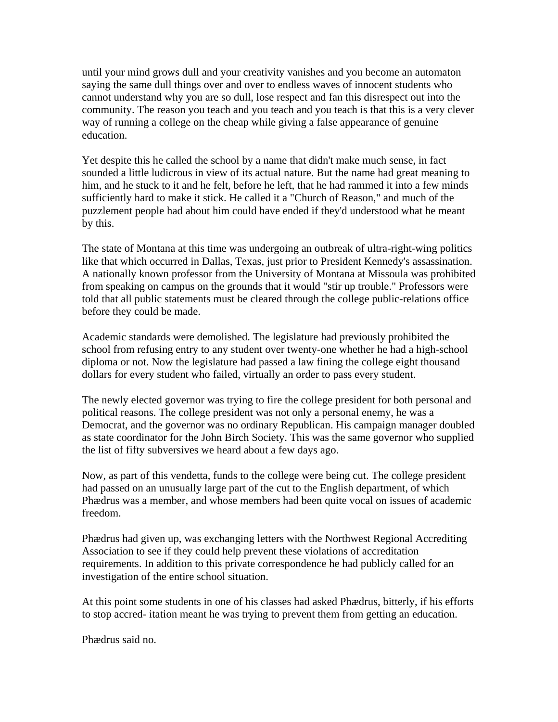until your mind grows dull and your creativity vanishes and you become an automaton saying the same dull things over and over to endless waves of innocent students who cannot understand why you are so dull, lose respect and fan this disrespect out into the community. The reason you teach and you teach and you teach is that this is a very clever way of running a college on the cheap while giving a false appearance of genuine education.

Yet despite this he called the school by a name that didn't make much sense, in fact sounded a little ludicrous in view of its actual nature. But the name had great meaning to him, and he stuck to it and he felt, before he left, that he had rammed it into a few minds sufficiently hard to make it stick. He called it a "Church of Reason," and much of the puzzlement people had about him could have ended if they'd understood what he meant by this.

The state of Montana at this time was undergoing an outbreak of ultra-right-wing politics like that which occurred in Dallas, Texas, just prior to President Kennedy's assassination. A nationally known professor from the University of Montana at Missoula was prohibited from speaking on campus on the grounds that it would "stir up trouble." Professors were told that all public statements must be cleared through the college public-relations office before they could be made.

Academic standards were demolished. The legislature had previously prohibited the school from refusing entry to any student over twenty-one whether he had a high-school diploma or not. Now the legislature had passed a law fining the college eight thousand dollars for every student who failed, virtually an order to pass every student.

The newly elected governor was trying to fire the college president for both personal and political reasons. The college president was not only a personal enemy, he was a Democrat, and the governor was no ordinary Republican. His campaign manager doubled as state coordinator for the John Birch Society. This was the same governor who supplied the list of fifty subversives we heard about a few days ago.

Now, as part of this vendetta, funds to the college were being cut. The college president had passed on an unusually large part of the cut to the English department, of which Phædrus was a member, and whose members had been quite vocal on issues of academic freedom.

Phædrus had given up, was exchanging letters with the Northwest Regional Accrediting Association to see if they could help prevent these violations of accreditation requirements. In addition to this private correspondence he had publicly called for an investigation of the entire school situation.

At this point some students in one of his classes had asked Phædrus, bitterly, if his efforts to stop accred- itation meant he was trying to prevent them from getting an education.

Phædrus said no.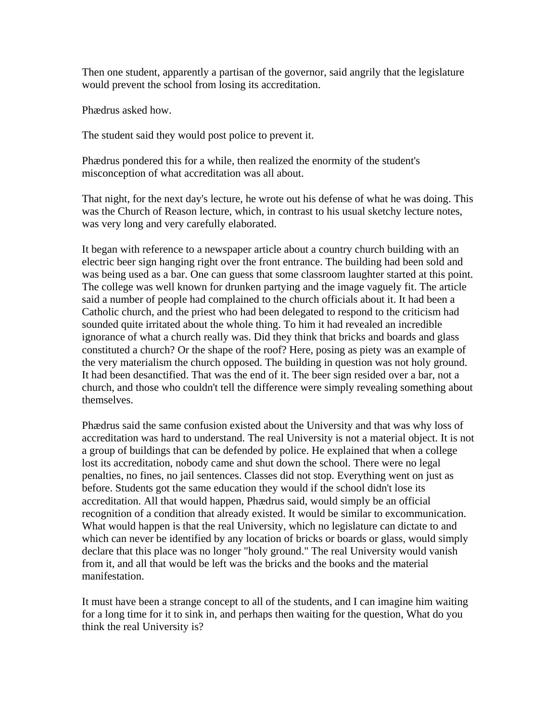Then one student, apparently a partisan of the governor, said angrily that the legislature would prevent the school from losing its accreditation.

Phædrus asked how.

The student said they would post police to prevent it.

Phædrus pondered this for a while, then realized the enormity of the student's misconception of what accreditation was all about.

That night, for the next day's lecture, he wrote out his defense of what he was doing. This was the Church of Reason lecture, which, in contrast to his usual sketchy lecture notes, was very long and very carefully elaborated.

It began with reference to a newspaper article about a country church building with an electric beer sign hanging right over the front entrance. The building had been sold and was being used as a bar. One can guess that some classroom laughter started at this point. The college was well known for drunken partying and the image vaguely fit. The article said a number of people had complained to the church officials about it. It had been a Catholic church, and the priest who had been delegated to respond to the criticism had sounded quite irritated about the whole thing. To him it had revealed an incredible ignorance of what a church really was. Did they think that bricks and boards and glass constituted a church? Or the shape of the roof? Here, posing as piety was an example of the very materialism the church opposed. The building in question was not holy ground. It had been desanctified. That was the end of it. The beer sign resided over a bar, not a church, and those who couldn't tell the difference were simply revealing something about themselves.

Phædrus said the same confusion existed about the University and that was why loss of accreditation was hard to understand. The real University is not a material object. It is not a group of buildings that can be defended by police. He explained that when a college lost its accreditation, nobody came and shut down the school. There were no legal penalties, no fines, no jail sentences. Classes did not stop. Everything went on just as before. Students got the same education they would if the school didn't lose its accreditation. All that would happen, Phædrus said, would simply be an official recognition of a condition that already existed. It would be similar to excommunication. What would happen is that the real University, which no legislature can dictate to and which can never be identified by any location of bricks or boards or glass, would simply declare that this place was no longer "holy ground." The real University would vanish from it, and all that would be left was the bricks and the books and the material manifestation.

It must have been a strange concept to all of the students, and I can imagine him waiting for a long time for it to sink in, and perhaps then waiting for the question, What do you think the real University is?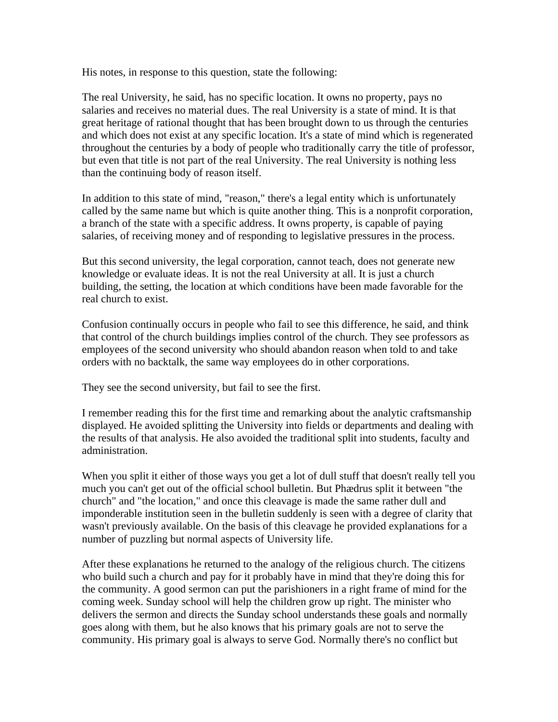His notes, in response to this question, state the following:

The real University, he said, has no specific location. It owns no property, pays no salaries and receives no material dues. The real University is a state of mind. It is that great heritage of rational thought that has been brought down to us through the centuries and which does not exist at any specific location. It's a state of mind which is regenerated throughout the centuries by a body of people who traditionally carry the title of professor, but even that title is not part of the real University. The real University is nothing less than the continuing body of reason itself.

In addition to this state of mind, "reason," there's a legal entity which is unfortunately called by the same name but which is quite another thing. This is a nonprofit corporation, a branch of the state with a specific address. It owns property, is capable of paying salaries, of receiving money and of responding to legislative pressures in the process.

But this second university, the legal corporation, cannot teach, does not generate new knowledge or evaluate ideas. It is not the real University at all. It is just a church building, the setting, the location at which conditions have been made favorable for the real church to exist.

Confusion continually occurs in people who fail to see this difference, he said, and think that control of the church buildings implies control of the church. They see professors as employees of the second university who should abandon reason when told to and take orders with no backtalk, the same way employees do in other corporations.

They see the second university, but fail to see the first.

I remember reading this for the first time and remarking about the analytic craftsmanship displayed. He avoided splitting the University into fields or departments and dealing with the results of that analysis. He also avoided the traditional split into students, faculty and administration.

When you split it either of those ways you get a lot of dull stuff that doesn't really tell you much you can't get out of the official school bulletin. But Phædrus split it between "the church" and "the location," and once this cleavage is made the same rather dull and imponderable institution seen in the bulletin suddenly is seen with a degree of clarity that wasn't previously available. On the basis of this cleavage he provided explanations for a number of puzzling but normal aspects of University life.

After these explanations he returned to the analogy of the religious church. The citizens who build such a church and pay for it probably have in mind that they're doing this for the community. A good sermon can put the parishioners in a right frame of mind for the coming week. Sunday school will help the children grow up right. The minister who delivers the sermon and directs the Sunday school understands these goals and normally goes along with them, but he also knows that his primary goals are not to serve the community. His primary goal is always to serve God. Normally there's no conflict but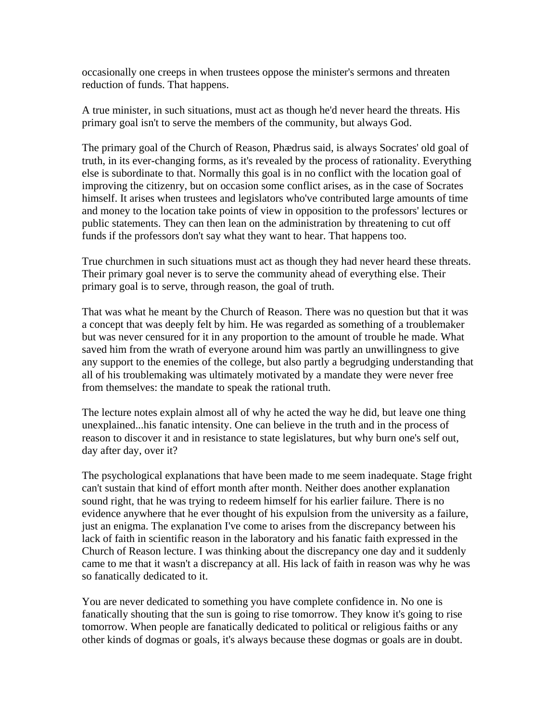occasionally one creeps in when trustees oppose the minister's sermons and threaten reduction of funds. That happens.

A true minister, in such situations, must act as though he'd never heard the threats. His primary goal isn't to serve the members of the community, but always God.

The primary goal of the Church of Reason, Phædrus said, is always Socrates' old goal of truth, in its ever-changing forms, as it's revealed by the process of rationality. Everything else is subordinate to that. Normally this goal is in no conflict with the location goal of improving the citizenry, but on occasion some conflict arises, as in the case of Socrates himself. It arises when trustees and legislators who've contributed large amounts of time and money to the location take points of view in opposition to the professors' lectures or public statements. They can then lean on the administration by threatening to cut off funds if the professors don't say what they want to hear. That happens too.

True churchmen in such situations must act as though they had never heard these threats. Their primary goal never is to serve the community ahead of everything else. Their primary goal is to serve, through reason, the goal of truth.

That was what he meant by the Church of Reason. There was no question but that it was a concept that was deeply felt by him. He was regarded as something of a troublemaker but was never censured for it in any proportion to the amount of trouble he made. What saved him from the wrath of everyone around him was partly an unwillingness to give any support to the enemies of the college, but also partly a begrudging understanding that all of his troublemaking was ultimately motivated by a mandate they were never free from themselves: the mandate to speak the rational truth.

The lecture notes explain almost all of why he acted the way he did, but leave one thing unexplained...his fanatic intensity. One can believe in the truth and in the process of reason to discover it and in resistance to state legislatures, but why burn one's self out, day after day, over it?

The psychological explanations that have been made to me seem inadequate. Stage fright can't sustain that kind of effort month after month. Neither does another explanation sound right, that he was trying to redeem himself for his earlier failure. There is no evidence anywhere that he ever thought of his expulsion from the university as a failure, just an enigma. The explanation I've come to arises from the discrepancy between his lack of faith in scientific reason in the laboratory and his fanatic faith expressed in the Church of Reason lecture. I was thinking about the discrepancy one day and it suddenly came to me that it wasn't a discrepancy at all. His lack of faith in reason was why he was so fanatically dedicated to it.

You are never dedicated to something you have complete confidence in. No one is fanatically shouting that the sun is going to rise tomorrow. They know it's going to rise tomorrow. When people are fanatically dedicated to political or religious faiths or any other kinds of dogmas or goals, it's always because these dogmas or goals are in doubt.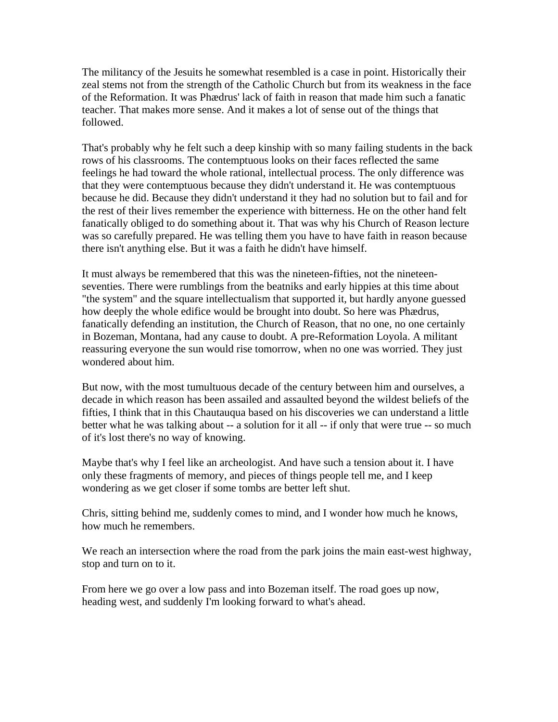The militancy of the Jesuits he somewhat resembled is a case in point. Historically their zeal stems not from the strength of the Catholic Church but from its weakness in the face of the Reformation. It was Phædrus' lack of faith in reason that made him such a fanatic teacher. That makes more sense. And it makes a lot of sense out of the things that followed.

That's probably why he felt such a deep kinship with so many failing students in the back rows of his classrooms. The contemptuous looks on their faces reflected the same feelings he had toward the whole rational, intellectual process. The only difference was that they were contemptuous because they didn't understand it. He was contemptuous because he did. Because they didn't understand it they had no solution but to fail and for the rest of their lives remember the experience with bitterness. He on the other hand felt fanatically obliged to do something about it. That was why his Church of Reason lecture was so carefully prepared. He was telling them you have to have faith in reason because there isn't anything else. But it was a faith he didn't have himself.

It must always be remembered that this was the nineteen-fifties, not the nineteenseventies. There were rumblings from the beatniks and early hippies at this time about "the system" and the square intellectualism that supported it, but hardly anyone guessed how deeply the whole edifice would be brought into doubt. So here was Phædrus, fanatically defending an institution, the Church of Reason, that no one, no one certainly in Bozeman, Montana, had any cause to doubt. A pre-Reformation Loyola. A militant reassuring everyone the sun would rise tomorrow, when no one was worried. They just wondered about him.

But now, with the most tumultuous decade of the century between him and ourselves, a decade in which reason has been assailed and assaulted beyond the wildest beliefs of the fifties, I think that in this Chautauqua based on his discoveries we can understand a little better what he was talking about -- a solution for it all -- if only that were true -- so much of it's lost there's no way of knowing.

Maybe that's why I feel like an archeologist. And have such a tension about it. I have only these fragments of memory, and pieces of things people tell me, and I keep wondering as we get closer if some tombs are better left shut.

Chris, sitting behind me, suddenly comes to mind, and I wonder how much he knows, how much he remembers.

We reach an intersection where the road from the park joins the main east-west highway, stop and turn on to it.

From here we go over a low pass and into Bozeman itself. The road goes up now, heading west, and suddenly I'm looking forward to what's ahead.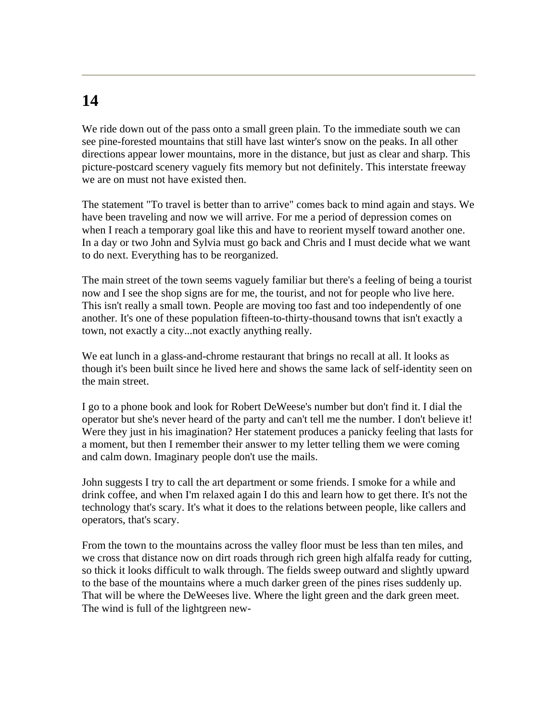## **14**

We ride down out of the pass onto a small green plain. To the immediate south we can see pine-forested mountains that still have last winter's snow on the peaks. In all other directions appear lower mountains, more in the distance, but just as clear and sharp. This picture-postcard scenery vaguely fits memory but not definitely. This interstate freeway we are on must not have existed then.

The statement "To travel is better than to arrive" comes back to mind again and stays. We have been traveling and now we will arrive. For me a period of depression comes on when I reach a temporary goal like this and have to reorient myself toward another one. In a day or two John and Sylvia must go back and Chris and I must decide what we want to do next. Everything has to be reorganized.

The main street of the town seems vaguely familiar but there's a feeling of being a tourist now and I see the shop signs are for me, the tourist, and not for people who live here. This isn't really a small town. People are moving too fast and too independently of one another. It's one of these population fifteen-to-thirty-thousand towns that isn't exactly a town, not exactly a city...not exactly anything really.

We eat lunch in a glass-and-chrome restaurant that brings no recall at all. It looks as though it's been built since he lived here and shows the same lack of self-identity seen on the main street.

I go to a phone book and look for Robert DeWeese's number but don't find it. I dial the operator but she's never heard of the party and can't tell me the number. I don't believe it! Were they just in his imagination? Her statement produces a panicky feeling that lasts for a moment, but then I remember their answer to my letter telling them we were coming and calm down. Imaginary people don't use the mails.

John suggests I try to call the art department or some friends. I smoke for a while and drink coffee, and when I'm relaxed again I do this and learn how to get there. It's not the technology that's scary. It's what it does to the relations between people, like callers and operators, that's scary.

From the town to the mountains across the valley floor must be less than ten miles, and we cross that distance now on dirt roads through rich green high alfalfa ready for cutting, so thick it looks difficult to walk through. The fields sweep outward and slightly upward to the base of the mountains where a much darker green of the pines rises suddenly up. That will be where the DeWeeses live. Where the light green and the dark green meet. The wind is full of the lightgreen new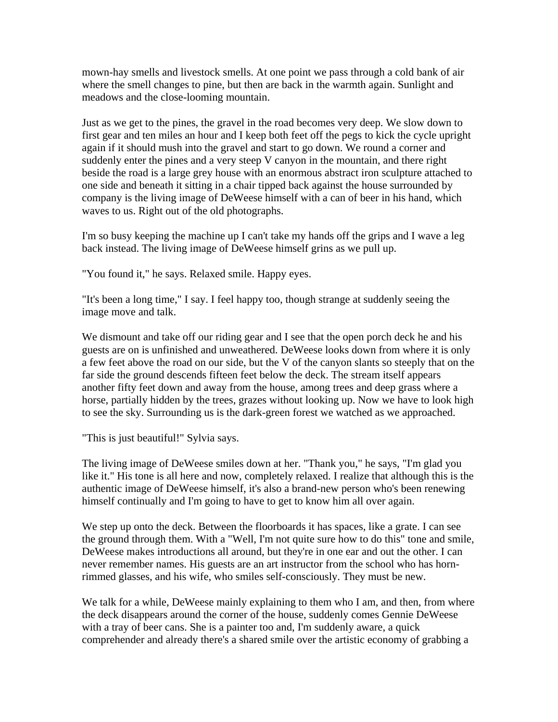mown-hay smells and livestock smells. At one point we pass through a cold bank of air where the smell changes to pine, but then are back in the warmth again. Sunlight and meadows and the close-looming mountain.

Just as we get to the pines, the gravel in the road becomes very deep. We slow down to first gear and ten miles an hour and I keep both feet off the pegs to kick the cycle upright again if it should mush into the gravel and start to go down. We round a corner and suddenly enter the pines and a very steep V canyon in the mountain, and there right beside the road is a large grey house with an enormous abstract iron sculpture attached to one side and beneath it sitting in a chair tipped back against the house surrounded by company is the living image of DeWeese himself with a can of beer in his hand, which waves to us. Right out of the old photographs.

I'm so busy keeping the machine up I can't take my hands off the grips and I wave a leg back instead. The living image of DeWeese himself grins as we pull up.

"You found it," he says. Relaxed smile. Happy eyes.

"It's been a long time," I say. I feel happy too, though strange at suddenly seeing the image move and talk.

We dismount and take off our riding gear and I see that the open porch deck he and his guests are on is unfinished and unweathered. DeWeese looks down from where it is only a few feet above the road on our side, but the V of the canyon slants so steeply that on the far side the ground descends fifteen feet below the deck. The stream itself appears another fifty feet down and away from the house, among trees and deep grass where a horse, partially hidden by the trees, grazes without looking up. Now we have to look high to see the sky. Surrounding us is the dark-green forest we watched as we approached.

"This is just beautiful!" Sylvia says.

The living image of DeWeese smiles down at her. "Thank you," he says, "I'm glad you like it." His tone is all here and now, completely relaxed. I realize that although this is the authentic image of DeWeese himself, it's also a brand-new person who's been renewing himself continually and I'm going to have to get to know him all over again.

We step up onto the deck. Between the floorboards it has spaces, like a grate. I can see the ground through them. With a "Well, I'm not quite sure how to do this" tone and smile, DeWeese makes introductions all around, but they're in one ear and out the other. I can never remember names. His guests are an art instructor from the school who has hornrimmed glasses, and his wife, who smiles self-consciously. They must be new.

We talk for a while, DeWeese mainly explaining to them who I am, and then, from where the deck disappears around the corner of the house, suddenly comes Gennie DeWeese with a tray of beer cans. She is a painter too and, I'm suddenly aware, a quick comprehender and already there's a shared smile over the artistic economy of grabbing a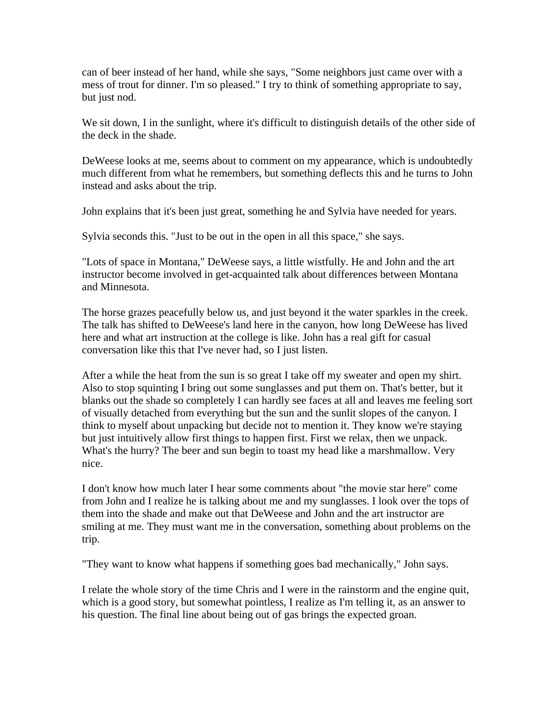can of beer instead of her hand, while she says, "Some neighbors just came over with a mess of trout for dinner. I'm so pleased." I try to think of something appropriate to say, but just nod.

We sit down, I in the sunlight, where it's difficult to distinguish details of the other side of the deck in the shade.

DeWeese looks at me, seems about to comment on my appearance, which is undoubtedly much different from what he remembers, but something deflects this and he turns to John instead and asks about the trip.

John explains that it's been just great, something he and Sylvia have needed for years.

Sylvia seconds this. "Just to be out in the open in all this space," she says.

"Lots of space in Montana," DeWeese says, a little wistfully. He and John and the art instructor become involved in get-acquainted talk about differences between Montana and Minnesota.

The horse grazes peacefully below us, and just beyond it the water sparkles in the creek. The talk has shifted to DeWeese's land here in the canyon, how long DeWeese has lived here and what art instruction at the college is like. John has a real gift for casual conversation like this that I've never had, so I just listen.

After a while the heat from the sun is so great I take off my sweater and open my shirt. Also to stop squinting I bring out some sunglasses and put them on. That's better, but it blanks out the shade so completely I can hardly see faces at all and leaves me feeling sort of visually detached from everything but the sun and the sunlit slopes of the canyon. I think to myself about unpacking but decide not to mention it. They know we're staying but just intuitively allow first things to happen first. First we relax, then we unpack. What's the hurry? The beer and sun begin to toast my head like a marshmallow. Very nice.

I don't know how much later I hear some comments about "the movie star here" come from John and I realize he is talking about me and my sunglasses. I look over the tops of them into the shade and make out that DeWeese and John and the art instructor are smiling at me. They must want me in the conversation, something about problems on the trip.

"They want to know what happens if something goes bad mechanically," John says.

I relate the whole story of the time Chris and I were in the rainstorm and the engine quit, which is a good story, but somewhat pointless, I realize as I'm telling it, as an answer to his question. The final line about being out of gas brings the expected groan.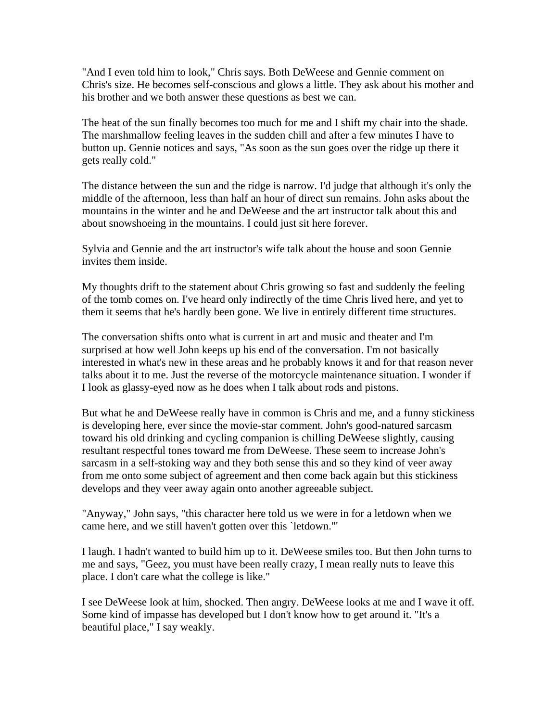"And I even told him to look," Chris says. Both DeWeese and Gennie comment on Chris's size. He becomes self-conscious and glows a little. They ask about his mother and his brother and we both answer these questions as best we can.

The heat of the sun finally becomes too much for me and I shift my chair into the shade. The marshmallow feeling leaves in the sudden chill and after a few minutes I have to button up. Gennie notices and says, "As soon as the sun goes over the ridge up there it gets really cold."

The distance between the sun and the ridge is narrow. I'd judge that although it's only the middle of the afternoon, less than half an hour of direct sun remains. John asks about the mountains in the winter and he and DeWeese and the art instructor talk about this and about snowshoeing in the mountains. I could just sit here forever.

Sylvia and Gennie and the art instructor's wife talk about the house and soon Gennie invites them inside.

My thoughts drift to the statement about Chris growing so fast and suddenly the feeling of the tomb comes on. I've heard only indirectly of the time Chris lived here, and yet to them it seems that he's hardly been gone. We live in entirely different time structures.

The conversation shifts onto what is current in art and music and theater and I'm surprised at how well John keeps up his end of the conversation. I'm not basically interested in what's new in these areas and he probably knows it and for that reason never talks about it to me. Just the reverse of the motorcycle maintenance situation. I wonder if I look as glassy-eyed now as he does when I talk about rods and pistons.

But what he and DeWeese really have in common is Chris and me, and a funny stickiness is developing here, ever since the movie-star comment. John's good-natured sarcasm toward his old drinking and cycling companion is chilling DeWeese slightly, causing resultant respectful tones toward me from DeWeese. These seem to increase John's sarcasm in a self-stoking way and they both sense this and so they kind of veer away from me onto some subject of agreement and then come back again but this stickiness develops and they veer away again onto another agreeable subject.

"Anyway," John says, "this character here told us we were in for a letdown when we came here, and we still haven't gotten over this `letdown."'

I laugh. I hadn't wanted to build him up to it. DeWeese smiles too. But then John turns to me and says, "Geez, you must have been really crazy, I mean really nuts to leave this place. I don't care what the college is like."

I see DeWeese look at him, shocked. Then angry. DeWeese looks at me and I wave it off. Some kind of impasse has developed but I don't know how to get around it. "It's a beautiful place," I say weakly.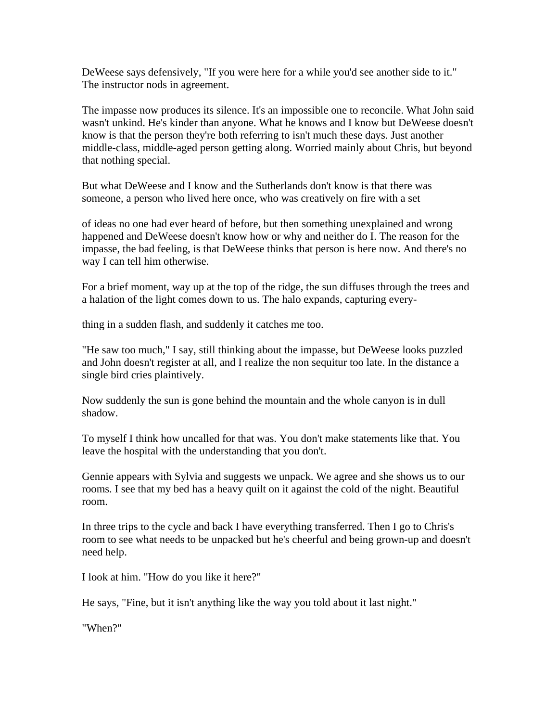DeWeese says defensively, "If you were here for a while you'd see another side to it." The instructor nods in agreement.

The impasse now produces its silence. It's an impossible one to reconcile. What John said wasn't unkind. He's kinder than anyone. What he knows and I know but DeWeese doesn't know is that the person they're both referring to isn't much these days. Just another middle-class, middle-aged person getting along. Worried mainly about Chris, but beyond that nothing special.

But what DeWeese and I know and the Sutherlands don't know is that there was someone, a person who lived here once, who was creatively on fire with a set

of ideas no one had ever heard of before, but then something unexplained and wrong happened and DeWeese doesn't know how or why and neither do I. The reason for the impasse, the bad feeling, is that DeWeese thinks that person is here now. And there's no way I can tell him otherwise.

For a brief moment, way up at the top of the ridge, the sun diffuses through the trees and a halation of the light comes down to us. The halo expands, capturing every-

thing in a sudden flash, and suddenly it catches me too.

"He saw too much," I say, still thinking about the impasse, but DeWeese looks puzzled and John doesn't register at all, and I realize the non sequitur too late. In the distance a single bird cries plaintively.

Now suddenly the sun is gone behind the mountain and the whole canyon is in dull shadow.

To myself I think how uncalled for that was. You don't make statements like that. You leave the hospital with the understanding that you don't.

Gennie appears with Sylvia and suggests we unpack. We agree and she shows us to our rooms. I see that my bed has a heavy quilt on it against the cold of the night. Beautiful room.

In three trips to the cycle and back I have everything transferred. Then I go to Chris's room to see what needs to be unpacked but he's cheerful and being grown-up and doesn't need help.

I look at him. "How do you like it here?"

He says, "Fine, but it isn't anything like the way you told about it last night."

"When?"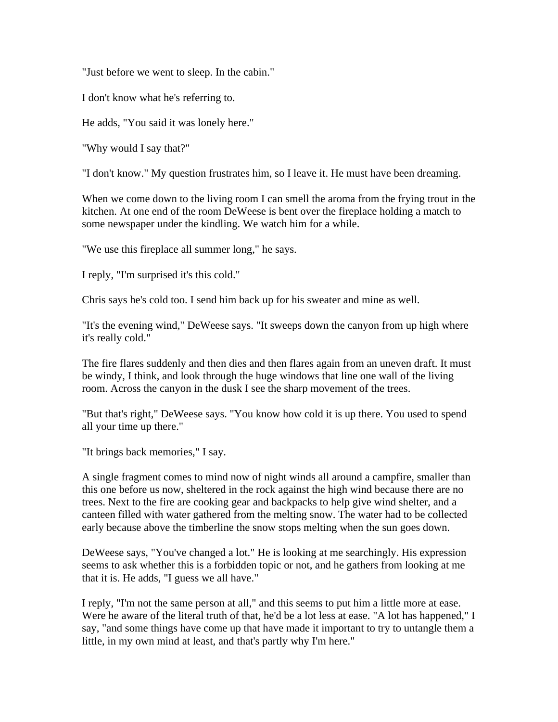"Just before we went to sleep. In the cabin."

I don't know what he's referring to.

He adds, "You said it was lonely here."

"Why would I say that?"

"I don't know." My question frustrates him, so I leave it. He must have been dreaming.

When we come down to the living room I can smell the aroma from the frying trout in the kitchen. At one end of the room DeWeese is bent over the fireplace holding a match to some newspaper under the kindling. We watch him for a while.

"We use this fireplace all summer long," he says.

I reply, "I'm surprised it's this cold."

Chris says he's cold too. I send him back up for his sweater and mine as well.

"It's the evening wind," DeWeese says. "It sweeps down the canyon from up high where it's really cold."

The fire flares suddenly and then dies and then flares again from an uneven draft. It must be windy, I think, and look through the huge windows that line one wall of the living room. Across the canyon in the dusk I see the sharp movement of the trees.

"But that's right," DeWeese says. "You know how cold it is up there. You used to spend all your time up there."

"It brings back memories," I say.

A single fragment comes to mind now of night winds all around a campfire, smaller than this one before us now, sheltered in the rock against the high wind because there are no trees. Next to the fire are cooking gear and backpacks to help give wind shelter, and a canteen filled with water gathered from the melting snow. The water had to be collected early because above the timberline the snow stops melting when the sun goes down.

DeWeese says, "You've changed a lot." He is looking at me searchingly. His expression seems to ask whether this is a forbidden topic or not, and he gathers from looking at me that it is. He adds, "I guess we all have."

I reply, "I'm not the same person at all," and this seems to put him a little more at ease. Were he aware of the literal truth of that, he'd be a lot less at ease. "A lot has happened," I say, "and some things have come up that have made it important to try to untangle them a little, in my own mind at least, and that's partly why I'm here."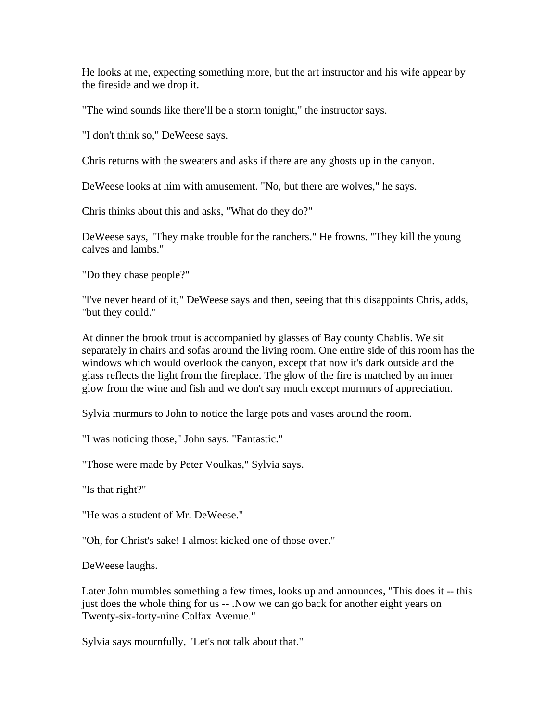He looks at me, expecting something more, but the art instructor and his wife appear by the fireside and we drop it.

"The wind sounds like there'll be a storm tonight," the instructor says.

"I don't think so," DeWeese says.

Chris returns with the sweaters and asks if there are any ghosts up in the canyon.

DeWeese looks at him with amusement. "No, but there are wolves," he says.

Chris thinks about this and asks, "What do they do?"

DeWeese says, "They make trouble for the ranchers." He frowns. "They kill the young calves and lambs."

"Do they chase people?"

"l've never heard of it," DeWeese says and then, seeing that this disappoints Chris, adds, "but they could."

At dinner the brook trout is accompanied by glasses of Bay county Chablis. We sit separately in chairs and sofas around the living room. One entire side of this room has the windows which would overlook the canyon, except that now it's dark outside and the glass reflects the light from the fireplace. The glow of the fire is matched by an inner glow from the wine and fish and we don't say much except murmurs of appreciation.

Sylvia murmurs to John to notice the large pots and vases around the room.

"I was noticing those," John says. "Fantastic."

"Those were made by Peter Voulkas," Sylvia says.

"Is that right?"

"He was a student of Mr. DeWeese."

"Oh, for Christ's sake! I almost kicked one of those over."

DeWeese laughs.

Later John mumbles something a few times, looks up and announces, "This does it -- this just does the whole thing for us -- .Now we can go back for another eight years on Twenty-six-forty-nine Colfax Avenue."

Sylvia says mournfully, "Let's not talk about that."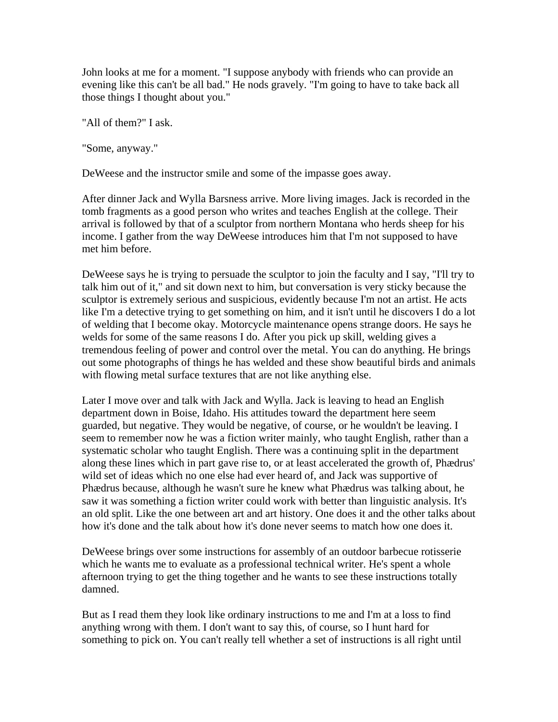John looks at me for a moment. "I suppose anybody with friends who can provide an evening like this can't be all bad." He nods gravely. "I'm going to have to take back all those things I thought about you."

"All of them?" I ask.

"Some, anyway."

DeWeese and the instructor smile and some of the impasse goes away.

After dinner Jack and Wylla Barsness arrive. More living images. Jack is recorded in the tomb fragments as a good person who writes and teaches English at the college. Their arrival is followed by that of a sculptor from northern Montana who herds sheep for his income. I gather from the way DeWeese introduces him that I'm not supposed to have met him before.

DeWeese says he is trying to persuade the sculptor to join the faculty and I say, "I'll try to talk him out of it," and sit down next to him, but conversation is very sticky because the sculptor is extremely serious and suspicious, evidently because I'm not an artist. He acts like I'm a detective trying to get something on him, and it isn't until he discovers I do a lot of welding that I become okay. Motorcycle maintenance opens strange doors. He says he welds for some of the same reasons I do. After you pick up skill, welding gives a tremendous feeling of power and control over the metal. You can do anything. He brings out some photographs of things he has welded and these show beautiful birds and animals with flowing metal surface textures that are not like anything else.

Later I move over and talk with Jack and Wylla. Jack is leaving to head an English department down in Boise, Idaho. His attitudes toward the department here seem guarded, but negative. They would be negative, of course, or he wouldn't be leaving. I seem to remember now he was a fiction writer mainly, who taught English, rather than a systematic scholar who taught English. There was a continuing split in the department along these lines which in part gave rise to, or at least accelerated the growth of, Phædrus' wild set of ideas which no one else had ever heard of, and Jack was supportive of Phædrus because, although he wasn't sure he knew what Phædrus was talking about, he saw it was something a fiction writer could work with better than linguistic analysis. It's an old split. Like the one between art and art history. One does it and the other talks about how it's done and the talk about how it's done never seems to match how one does it.

DeWeese brings over some instructions for assembly of an outdoor barbecue rotisserie which he wants me to evaluate as a professional technical writer. He's spent a whole afternoon trying to get the thing together and he wants to see these instructions totally damned.

But as I read them they look like ordinary instructions to me and I'm at a loss to find anything wrong with them. I don't want to say this, of course, so I hunt hard for something to pick on. You can't really tell whether a set of instructions is all right until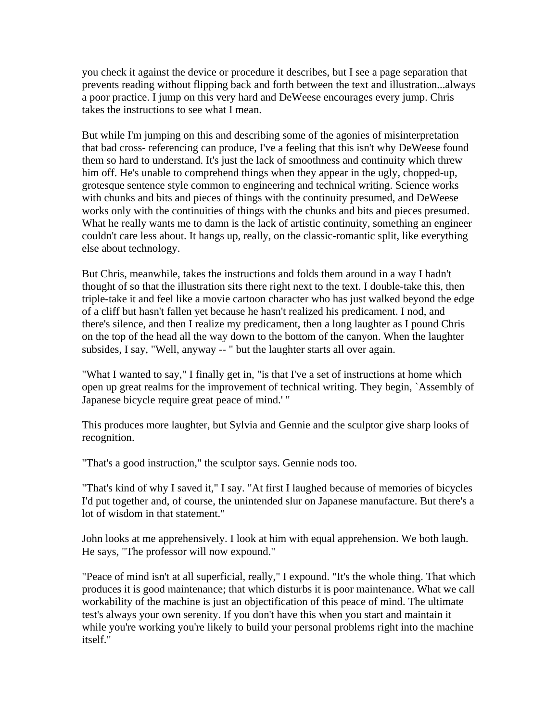you check it against the device or procedure it describes, but I see a page separation that prevents reading without flipping back and forth between the text and illustration...always a poor practice. I jump on this very hard and DeWeese encourages every jump. Chris takes the instructions to see what I mean.

But while I'm jumping on this and describing some of the agonies of misinterpretation that bad cross- referencing can produce, I've a feeling that this isn't why DeWeese found them so hard to understand. It's just the lack of smoothness and continuity which threw him off. He's unable to comprehend things when they appear in the ugly, chopped-up, grotesque sentence style common to engineering and technical writing. Science works with chunks and bits and pieces of things with the continuity presumed, and DeWeese works only with the continuities of things with the chunks and bits and pieces presumed. What he really wants me to damn is the lack of artistic continuity, something an engineer couldn't care less about. It hangs up, really, on the classic-romantic split, like everything else about technology.

But Chris, meanwhile, takes the instructions and folds them around in a way I hadn't thought of so that the illustration sits there right next to the text. I double-take this, then triple-take it and feel like a movie cartoon character who has just walked beyond the edge of a cliff but hasn't fallen yet because he hasn't realized his predicament. I nod, and there's silence, and then I realize my predicament, then a long laughter as I pound Chris on the top of the head all the way down to the bottom of the canyon. When the laughter subsides, I say, "Well, anyway -- " but the laughter starts all over again.

"What I wanted to say," I finally get in, "is that I've a set of instructions at home which open up great realms for the improvement of technical writing. They begin, `Assembly of Japanese bicycle require great peace of mind.' "

This produces more laughter, but Sylvia and Gennie and the sculptor give sharp looks of recognition.

"That's a good instruction," the sculptor says. Gennie nods too.

"That's kind of why I saved it," I say. "At first I laughed because of memories of bicycles I'd put together and, of course, the unintended slur on Japanese manufacture. But there's a lot of wisdom in that statement."

John looks at me apprehensively. I look at him with equal apprehension. We both laugh. He says, "The professor will now expound."

"Peace of mind isn't at all superficial, really," I expound. "It's the whole thing. That which produces it is good maintenance; that which disturbs it is poor maintenance. What we call workability of the machine is just an objectification of this peace of mind. The ultimate test's always your own serenity. If you don't have this when you start and maintain it while you're working you're likely to build your personal problems right into the machine itself."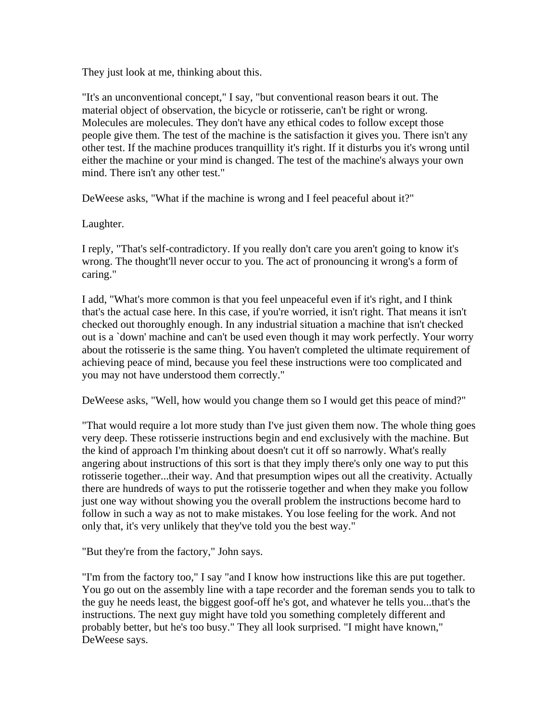They just look at me, thinking about this.

"It's an unconventional concept," I say, "but conventional reason bears it out. The material object of observation, the bicycle or rotisserie, can't be right or wrong. Molecules are molecules. They don't have any ethical codes to follow except those people give them. The test of the machine is the satisfaction it gives you. There isn't any other test. If the machine produces tranquillity it's right. If it disturbs you it's wrong until either the machine or your mind is changed. The test of the machine's always your own mind. There isn't any other test."

DeWeese asks, "What if the machine is wrong and I feel peaceful about it?"

Laughter.

I reply, "That's self-contradictory. If you really don't care you aren't going to know it's wrong. The thought'll never occur to you. The act of pronouncing it wrong's a form of caring."

I add, "What's more common is that you feel unpeaceful even if it's right, and I think that's the actual case here. In this case, if you're worried, it isn't right. That means it isn't checked out thoroughly enough. In any industrial situation a machine that isn't checked out is a `down' machine and can't be used even though it may work perfectly. Your worry about the rotisserie is the same thing. You haven't completed the ultimate requirement of achieving peace of mind, because you feel these instructions were too complicated and you may not have understood them correctly."

DeWeese asks, "Well, how would you change them so I would get this peace of mind?"

"That would require a lot more study than I've just given them now. The whole thing goes very deep. These rotisserie instructions begin and end exclusively with the machine. But the kind of approach I'm thinking about doesn't cut it off so narrowly. What's really angering about instructions of this sort is that they imply there's only one way to put this rotisserie together...their way. And that presumption wipes out all the creativity. Actually there are hundreds of ways to put the rotisserie together and when they make you follow just one way without showing you the overall problem the instructions become hard to follow in such a way as not to make mistakes. You lose feeling for the work. And not only that, it's very unlikely that they've told you the best way."

"But they're from the factory," John says.

"I'm from the factory too," I say "and I know how instructions like this are put together. You go out on the assembly line with a tape recorder and the foreman sends you to talk to the guy he needs least, the biggest goof-off he's got, and whatever he tells you...that's the instructions. The next guy might have told you something completely different and probably better, but he's too busy." They all look surprised. "I might have known," DeWeese says.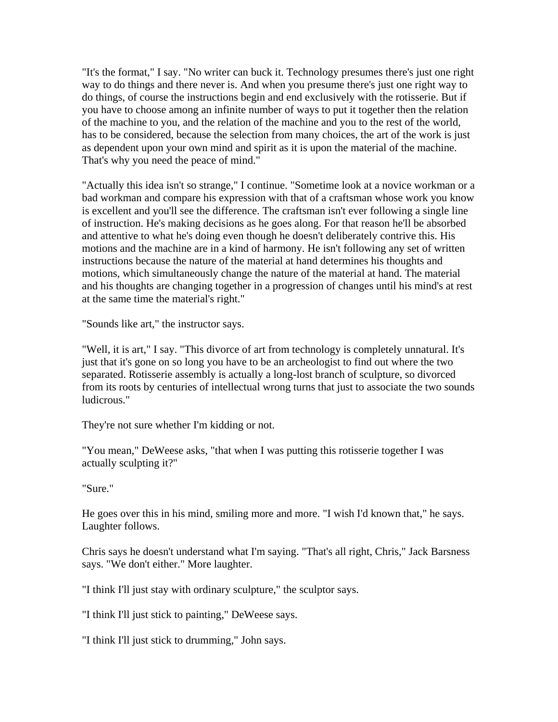"It's the format," I say. "No writer can buck it. Technology presumes there's just one right way to do things and there never is. And when you presume there's just one right way to do things, of course the instructions begin and end exclusively with the rotisserie. But if you have to choose among an infinite number of ways to put it together then the relation of the machine to you, and the relation of the machine and you to the rest of the world, has to be considered, because the selection from many choices, the art of the work is just as dependent upon your own mind and spirit as it is upon the material of the machine. That's why you need the peace of mind."

"Actually this idea isn't so strange," I continue. "Sometime look at a novice workman or a bad workman and compare his expression with that of a craftsman whose work you know is excellent and you'll see the difference. The craftsman isn't ever following a single line of instruction. He's making decisions as he goes along. For that reason he'll be absorbed and attentive to what he's doing even though he doesn't deliberately contrive this. His motions and the machine are in a kind of harmony. He isn't following any set of written instructions because the nature of the material at hand determines his thoughts and motions, which simultaneously change the nature of the material at hand. The material and his thoughts are changing together in a progression of changes until his mind's at rest at the same time the material's right."

"Sounds like art," the instructor says.

"Well, it is art," I say. "This divorce of art from technology is completely unnatural. It's just that it's gone on so long you have to be an archeologist to find out where the two separated. Rotisserie assembly is actually a long-lost branch of sculpture, so divorced from its roots by centuries of intellectual wrong turns that just to associate the two sounds ludicrous."

They're not sure whether I'm kidding or not.

"You mean," DeWeese asks, "that when I was putting this rotisserie together I was actually sculpting it?"

"Sure."

He goes over this in his mind, smiling more and more. "I wish I'd known that," he says. Laughter follows.

Chris says he doesn't understand what I'm saying. "That's all right, Chris," Jack Barsness says. "We don't either." More laughter.

"I think I'll just stay with ordinary sculpture," the sculptor says.

"I think I'll just stick to painting," DeWeese says.

"I think I'll just stick to drumming," John says.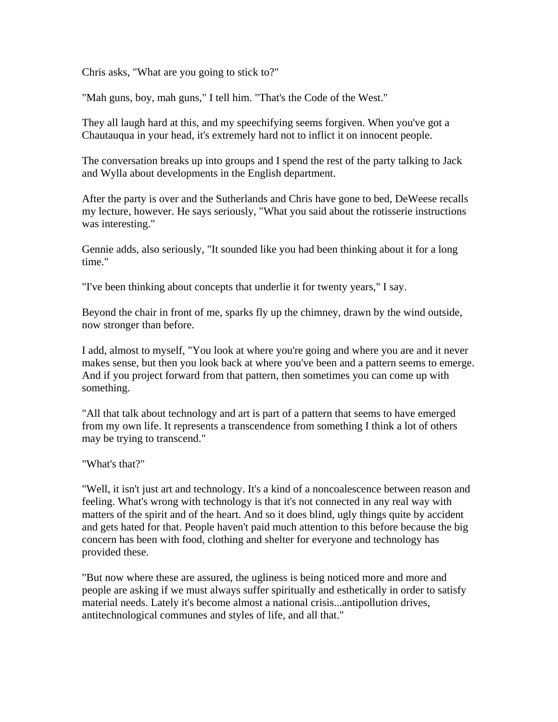Chris asks, "What are you going to stick to?"

"Mah guns, boy, mah guns," I tell him. "That's the Code of the West."

They all laugh hard at this, and my speechifying seems forgiven. When you've got a Chautauqua in your head, it's extremely hard not to inflict it on innocent people.

The conversation breaks up into groups and I spend the rest of the party talking to Jack and Wylla about developments in the English department.

After the party is over and the Sutherlands and Chris have gone to bed, DeWeese recalls my lecture, however. He says seriously, "What you said about the rotisserie instructions was interesting."

Gennie adds, also seriously, "It sounded like you had been thinking about it for a long time."

"I've been thinking about concepts that underlie it for twenty years," I say.

Beyond the chair in front of me, sparks fly up the chimney, drawn by the wind outside, now stronger than before.

I add, almost to myself, "You look at where you're going and where you are and it never makes sense, but then you look back at where you've been and a pattern seems to emerge. And if you project forward from that pattern, then sometimes you can come up with something.

"All that talk about technology and art is part of a pattern that seems to have emerged from my own life. It represents a transcendence from something I think a lot of others may be trying to transcend."

"What's that?"

"Well, it isn't just art and technology. It's a kind of a noncoalescence between reason and feeling. What's wrong with technology is that it's not connected in any real way with matters of the spirit and of the heart. And so it does blind, ugly things quite by accident and gets hated for that. People haven't paid much attention to this before because the big concern has been with food, clothing and shelter for everyone and technology has provided these.

"But now where these are assured, the ugliness is being noticed more and more and people are asking if we must always suffer spiritually and esthetically in order to satisfy material needs. Lately it's become almost a national crisis...antipollution drives, antitechnological communes and styles of life, and all that."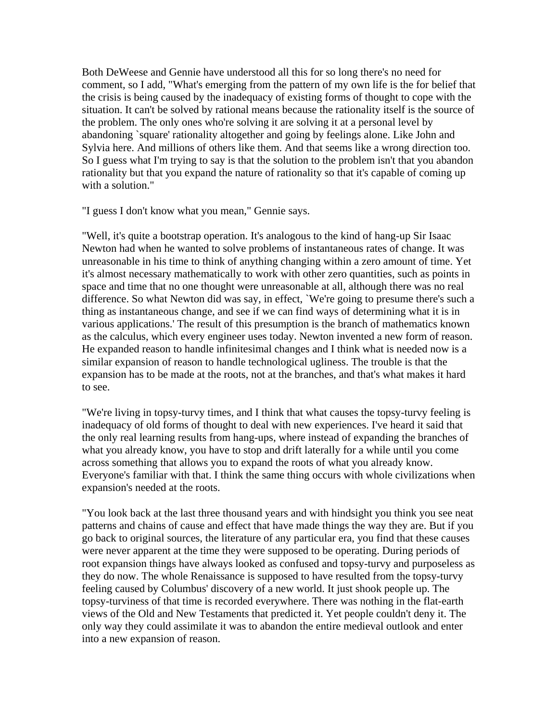Both DeWeese and Gennie have understood all this for so long there's no need for comment, so I add, "What's emerging from the pattern of my own life is the for belief that the crisis is being caused by the inadequacy of existing forms of thought to cope with the situation. It can't be solved by rational means because the rationality itself is the source of the problem. The only ones who're solving it are solving it at a personal level by abandoning `square' rationality altogether and going by feelings alone. Like John and Sylvia here. And millions of others like them. And that seems like a wrong direction too. So I guess what I'm trying to say is that the solution to the problem isn't that you abandon rationality but that you expand the nature of rationality so that it's capable of coming up with a solution."

"I guess I don't know what you mean," Gennie says.

"Well, it's quite a bootstrap operation. It's analogous to the kind of hang-up Sir Isaac Newton had when he wanted to solve problems of instantaneous rates of change. It was unreasonable in his time to think of anything changing within a zero amount of time. Yet it's almost necessary mathematically to work with other zero quantities, such as points in space and time that no one thought were unreasonable at all, although there was no real difference. So what Newton did was say, in effect, `We're going to presume there's such a thing as instantaneous change, and see if we can find ways of determining what it is in various applications.' The result of this presumption is the branch of mathematics known as the calculus, which every engineer uses today. Newton invented a new form of reason. He expanded reason to handle infinitesimal changes and I think what is needed now is a similar expansion of reason to handle technological ugliness. The trouble is that the expansion has to be made at the roots, not at the branches, and that's what makes it hard to see.

"We're living in topsy-turvy times, and I think that what causes the topsy-turvy feeling is inadequacy of old forms of thought to deal with new experiences. I've heard it said that the only real learning results from hang-ups, where instead of expanding the branches of what you already know, you have to stop and drift laterally for a while until you come across something that allows you to expand the roots of what you already know. Everyone's familiar with that. I think the same thing occurs with whole civilizations when expansion's needed at the roots.

"You look back at the last three thousand years and with hindsight you think you see neat patterns and chains of cause and effect that have made things the way they are. But if you go back to original sources, the literature of any particular era, you find that these causes were never apparent at the time they were supposed to be operating. During periods of root expansion things have always looked as confused and topsy-turvy and purposeless as they do now. The whole Renaissance is supposed to have resulted from the topsy-turvy feeling caused by Columbus' discovery of a new world. It just shook people up. The topsy-turviness of that time is recorded everywhere. There was nothing in the flat-earth views of the Old and New Testaments that predicted it. Yet people couldn't deny it. The only way they could assimilate it was to abandon the entire medieval outlook and enter into a new expansion of reason.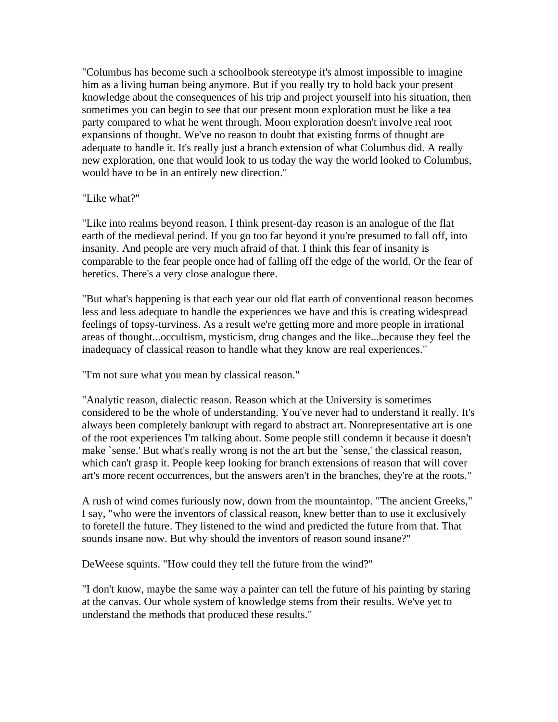"Columbus has become such a schoolbook stereotype it's almost impossible to imagine him as a living human being anymore. But if you really try to hold back your present knowledge about the consequences of his trip and project yourself into his situation, then sometimes you can begin to see that our present moon exploration must be like a tea party compared to what he went through. Moon exploration doesn't involve real root expansions of thought. We've no reason to doubt that existing forms of thought are adequate to handle it. It's really just a branch extension of what Columbus did. A really new exploration, one that would look to us today the way the world looked to Columbus, would have to be in an entirely new direction."

#### "Like what?"

"Like into realms beyond reason. I think present-day reason is an analogue of the flat earth of the medieval period. If you go too far beyond it you're presumed to fall off, into insanity. And people are very much afraid of that. I think this fear of insanity is comparable to the fear people once had of falling off the edge of the world. Or the fear of heretics. There's a very close analogue there.

"But what's happening is that each year our old flat earth of conventional reason becomes less and less adequate to handle the experiences we have and this is creating widespread feelings of topsy-turviness. As a result we're getting more and more people in irrational areas of thought...occultism, mysticism, drug changes and the like...because they feel the inadequacy of classical reason to handle what they know are real experiences."

"I'm not sure what you mean by classical reason."

"Analytic reason, dialectic reason. Reason which at the University is sometimes considered to be the whole of understanding. You've never had to understand it really. It's always been completely bankrupt with regard to abstract art. Nonrepresentative art is one of the root experiences I'm talking about. Some people still condemn it because it doesn't make `sense.' But what's really wrong is not the art but the `sense,' the classical reason, which can't grasp it. People keep looking for branch extensions of reason that will cover art's more recent occurrences, but the answers aren't in the branches, they're at the roots."

A rush of wind comes furiously now, down from the mountaintop. "The ancient Greeks," I say, "who were the inventors of classical reason, knew better than to use it exclusively to foretell the future. They listened to the wind and predicted the future from that. That sounds insane now. But why should the inventors of reason sound insane?"

DeWeese squints. "How could they tell the future from the wind?"

"I don't know, maybe the same way a painter can tell the future of his painting by staring at the canvas. Our whole system of knowledge stems from their results. We've yet to understand the methods that produced these results."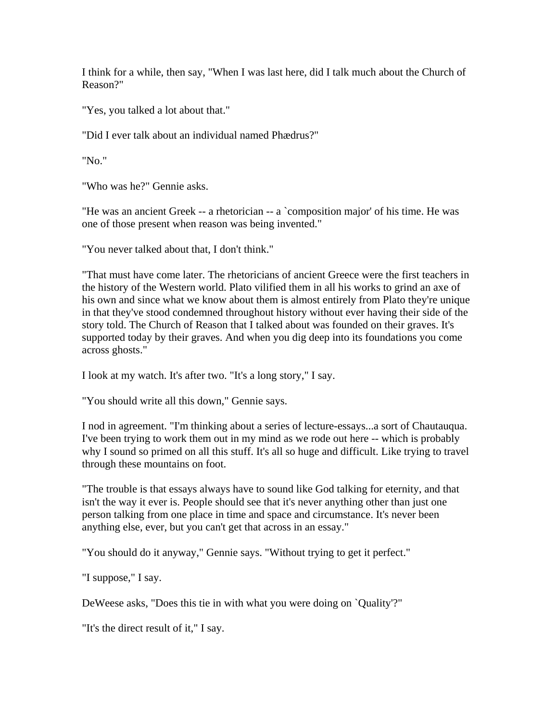I think for a while, then say, "When I was last here, did I talk much about the Church of Reason?"

"Yes, you talked a lot about that."

"Did I ever talk about an individual named Phædrus?"

"No."

"Who was he?" Gennie asks.

"He was an ancient Greek -- a rhetorician -- a `composition major' of his time. He was one of those present when reason was being invented."

"You never talked about that, I don't think."

"That must have come later. The rhetoricians of ancient Greece were the first teachers in the history of the Western world. Plato vilified them in all his works to grind an axe of his own and since what we know about them is almost entirely from Plato they're unique in that they've stood condemned throughout history without ever having their side of the story told. The Church of Reason that I talked about was founded on their graves. It's supported today by their graves. And when you dig deep into its foundations you come across ghosts."

I look at my watch. It's after two. "It's a long story," I say.

"You should write all this down," Gennie says.

I nod in agreement. "I'm thinking about a series of lecture-essays...a sort of Chautauqua. I've been trying to work them out in my mind as we rode out here -- which is probably why I sound so primed on all this stuff. It's all so huge and difficult. Like trying to travel through these mountains on foot.

"The trouble is that essays always have to sound like God talking for eternity, and that isn't the way it ever is. People should see that it's never anything other than just one person talking from one place in time and space and circumstance. It's never been anything else, ever, but you can't get that across in an essay."

"You should do it anyway," Gennie says. "Without trying to get it perfect."

"I suppose," I say.

DeWeese asks, "Does this tie in with what you were doing on `Quality'?"

"It's the direct result of it," I say.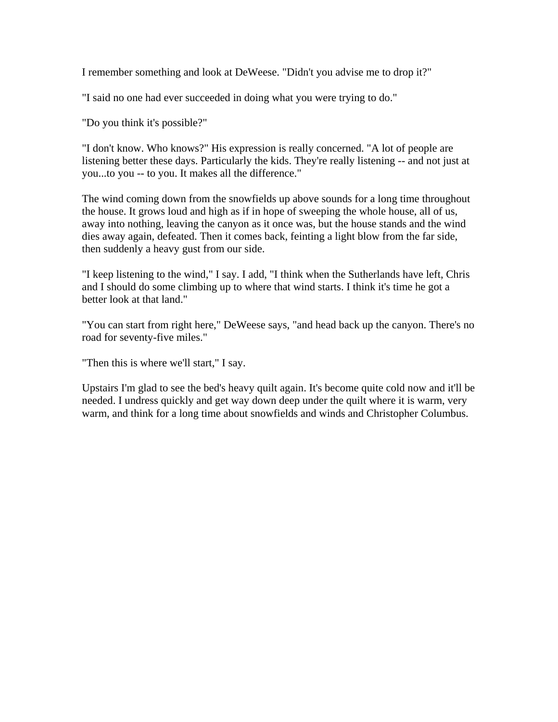I remember something and look at DeWeese. "Didn't you advise me to drop it?"

"I said no one had ever succeeded in doing what you were trying to do."

"Do you think it's possible?"

"I don't know. Who knows?" His expression is really concerned. "A lot of people are listening better these days. Particularly the kids. They're really listening -- and not just at you...to you -- to you. It makes all the difference."

The wind coming down from the snowfields up above sounds for a long time throughout the house. It grows loud and high as if in hope of sweeping the whole house, all of us, away into nothing, leaving the canyon as it once was, but the house stands and the wind dies away again, defeated. Then it comes back, feinting a light blow from the far side, then suddenly a heavy gust from our side.

"I keep listening to the wind," I say. I add, "I think when the Sutherlands have left, Chris and I should do some climbing up to where that wind starts. I think it's time he got a better look at that land."

"You can start from right here," DeWeese says, "and head back up the canyon. There's no road for seventy-five miles."

"Then this is where we'll start," I say.

Upstairs I'm glad to see the bed's heavy quilt again. It's become quite cold now and it'll be needed. I undress quickly and get way down deep under the quilt where it is warm, very warm, and think for a long time about snowfields and winds and Christopher Columbus.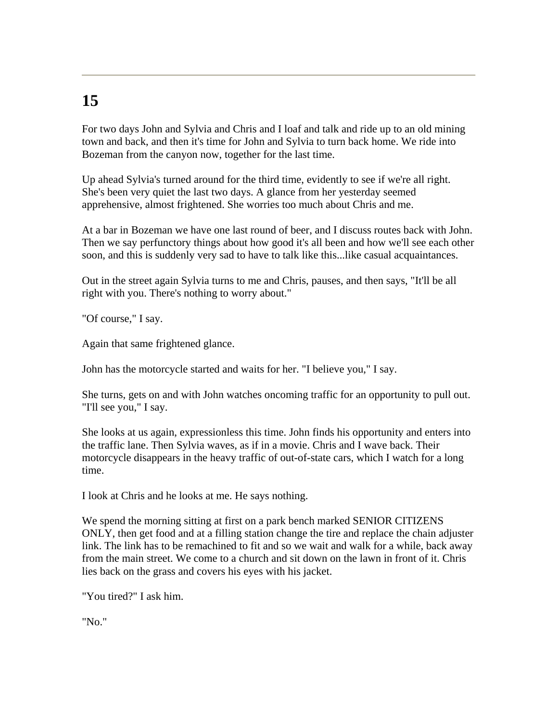# **15**

For two days John and Sylvia and Chris and I loaf and talk and ride up to an old mining town and back, and then it's time for John and Sylvia to turn back home. We ride into Bozeman from the canyon now, together for the last time.

Up ahead Sylvia's turned around for the third time, evidently to see if we're all right. She's been very quiet the last two days. A glance from her yesterday seemed apprehensive, almost frightened. She worries too much about Chris and me.

At a bar in Bozeman we have one last round of beer, and I discuss routes back with John. Then we say perfunctory things about how good it's all been and how we'll see each other soon, and this is suddenly very sad to have to talk like this...like casual acquaintances.

Out in the street again Sylvia turns to me and Chris, pauses, and then says, "It'll be all right with you. There's nothing to worry about."

"Of course," I say.

Again that same frightened glance.

John has the motorcycle started and waits for her. "I believe you," I say.

She turns, gets on and with John watches oncoming traffic for an opportunity to pull out. "I'll see you," I say.

She looks at us again, expressionless this time. John finds his opportunity and enters into the traffic lane. Then Sylvia waves, as if in a movie. Chris and I wave back. Their motorcycle disappears in the heavy traffic of out-of-state cars, which I watch for a long time.

I look at Chris and he looks at me. He says nothing.

We spend the morning sitting at first on a park bench marked SENIOR CITIZENS ONLY, then get food and at a filling station change the tire and replace the chain adjuster link. The link has to be remachined to fit and so we wait and walk for a while, back away from the main street. We come to a church and sit down on the lawn in front of it. Chris lies back on the grass and covers his eyes with his jacket.

"You tired?" I ask him.

"No."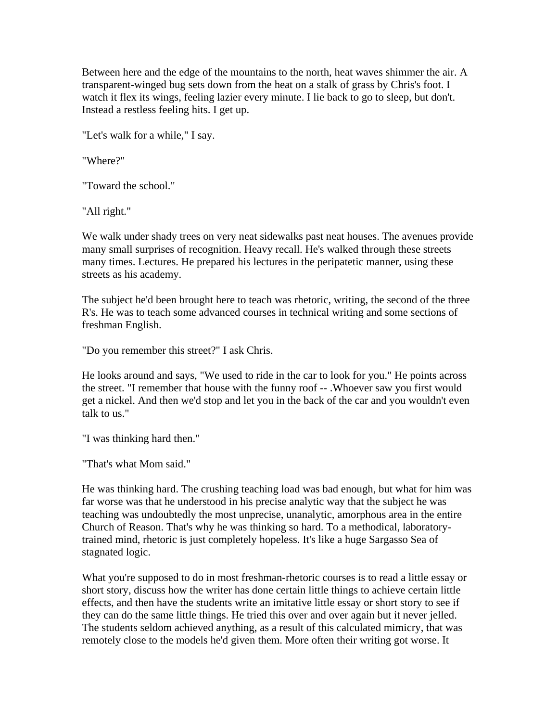Between here and the edge of the mountains to the north, heat waves shimmer the air. A transparent-winged bug sets down from the heat on a stalk of grass by Chris's foot. I watch it flex its wings, feeling lazier every minute. I lie back to go to sleep, but don't. Instead a restless feeling hits. I get up.

"Let's walk for a while," I say.

"Where?"

"Toward the school."

"All right."

We walk under shady trees on very neat sidewalks past neat houses. The avenues provide many small surprises of recognition. Heavy recall. He's walked through these streets many times. Lectures. He prepared his lectures in the peripatetic manner, using these streets as his academy.

The subject he'd been brought here to teach was rhetoric, writing, the second of the three R's. He was to teach some advanced courses in technical writing and some sections of freshman English.

"Do you remember this street?" I ask Chris.

He looks around and says, "We used to ride in the car to look for you." He points across the street. "I remember that house with the funny roof -- .Whoever saw you first would get a nickel. And then we'd stop and let you in the back of the car and you wouldn't even talk to us."

"I was thinking hard then."

"That's what Mom said."

He was thinking hard. The crushing teaching load was bad enough, but what for him was far worse was that he understood in his precise analytic way that the subject he was teaching was undoubtedly the most unprecise, unanalytic, amorphous area in the entire Church of Reason. That's why he was thinking so hard. To a methodical, laboratorytrained mind, rhetoric is just completely hopeless. It's like a huge Sargasso Sea of stagnated logic.

What you're supposed to do in most freshman-rhetoric courses is to read a little essay or short story, discuss how the writer has done certain little things to achieve certain little effects, and then have the students write an imitative little essay or short story to see if they can do the same little things. He tried this over and over again but it never jelled. The students seldom achieved anything, as a result of this calculated mimicry, that was remotely close to the models he'd given them. More often their writing got worse. It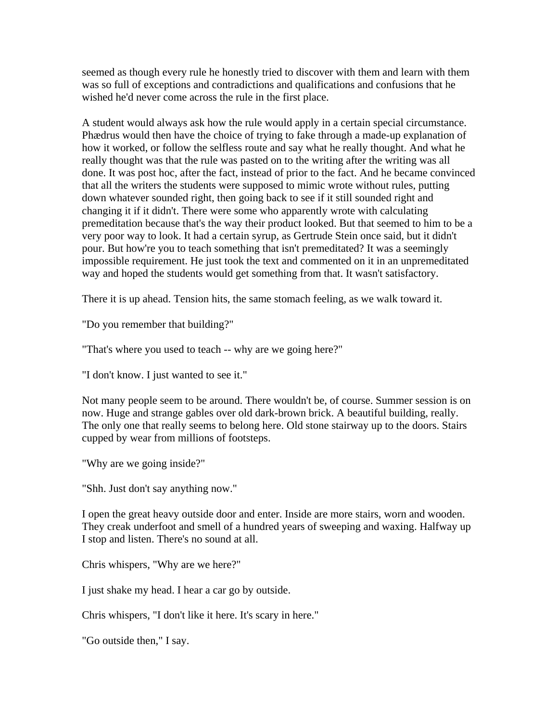seemed as though every rule he honestly tried to discover with them and learn with them was so full of exceptions and contradictions and qualifications and confusions that he wished he'd never come across the rule in the first place.

A student would always ask how the rule would apply in a certain special circumstance. Phædrus would then have the choice of trying to fake through a made-up explanation of how it worked, or follow the selfless route and say what he really thought. And what he really thought was that the rule was pasted on to the writing after the writing was all done. It was post hoc, after the fact, instead of prior to the fact. And he became convinced that all the writers the students were supposed to mimic wrote without rules, putting down whatever sounded right, then going back to see if it still sounded right and changing it if it didn't. There were some who apparently wrote with calculating premeditation because that's the way their product looked. But that seemed to him to be a very poor way to look. It had a certain syrup, as Gertrude Stein once said, but it didn't pour. But how're you to teach something that isn't premeditated? It was a seemingly impossible requirement. He just took the text and commented on it in an unpremeditated way and hoped the students would get something from that. It wasn't satisfactory.

There it is up ahead. Tension hits, the same stomach feeling, as we walk toward it.

"Do you remember that building?"

"That's where you used to teach -- why are we going here?"

"I don't know. I just wanted to see it."

Not many people seem to be around. There wouldn't be, of course. Summer session is on now. Huge and strange gables over old dark-brown brick. A beautiful building, really. The only one that really seems to belong here. Old stone stairway up to the doors. Stairs cupped by wear from millions of footsteps.

"Why are we going inside?"

"Shh. Just don't say anything now."

I open the great heavy outside door and enter. Inside are more stairs, worn and wooden. They creak underfoot and smell of a hundred years of sweeping and waxing. Halfway up I stop and listen. There's no sound at all.

Chris whispers, "Why are we here?"

I just shake my head. I hear a car go by outside.

Chris whispers, "I don't like it here. It's scary in here."

"Go outside then," I say.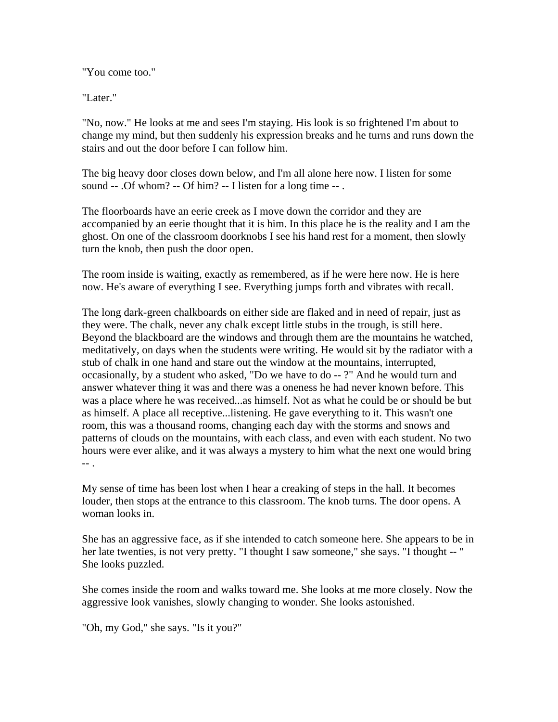"You come too."

"Later."

"No, now." He looks at me and sees I'm staying. His look is so frightened I'm about to change my mind, but then suddenly his expression breaks and he turns and runs down the stairs and out the door before I can follow him.

The big heavy door closes down below, and I'm all alone here now. I listen for some sound -- .Of whom? -- Of him? -- I listen for a long time -- .

The floorboards have an eerie creek as I move down the corridor and they are accompanied by an eerie thought that it is him. In this place he is the reality and I am the ghost. On one of the classroom doorknobs I see his hand rest for a moment, then slowly turn the knob, then push the door open.

The room inside is waiting, exactly as remembered, as if he were here now. He is here now. He's aware of everything I see. Everything jumps forth and vibrates with recall.

The long dark-green chalkboards on either side are flaked and in need of repair, just as they were. The chalk, never any chalk except little stubs in the trough, is still here. Beyond the blackboard are the windows and through them are the mountains he watched, meditatively, on days when the students were writing. He would sit by the radiator with a stub of chalk in one hand and stare out the window at the mountains, interrupted, occasionally, by a student who asked, "Do we have to do -- ?" And he would turn and answer whatever thing it was and there was a oneness he had never known before. This was a place where he was received...as himself. Not as what he could be or should be but as himself. A place all receptive...listening. He gave everything to it. This wasn't one room, this was a thousand rooms, changing each day with the storms and snows and patterns of clouds on the mountains, with each class, and even with each student. No two hours were ever alike, and it was always a mystery to him what the next one would bring -- .

My sense of time has been lost when I hear a creaking of steps in the hall. It becomes louder, then stops at the entrance to this classroom. The knob turns. The door opens. A woman looks in.

She has an aggressive face, as if she intended to catch someone here. She appears to be in her late twenties, is not very pretty. "I thought I saw someone," she says. "I thought -- " She looks puzzled.

She comes inside the room and walks toward me. She looks at me more closely. Now the aggressive look vanishes, slowly changing to wonder. She looks astonished.

"Oh, my God," she says. "Is it you?"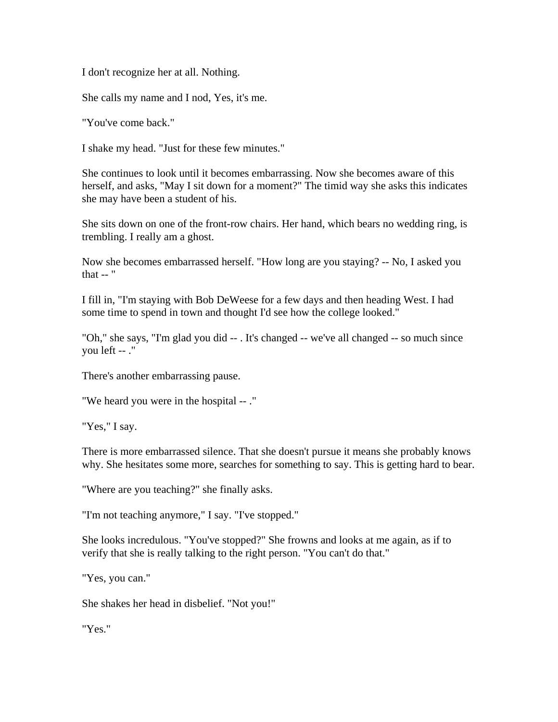I don't recognize her at all. Nothing.

She calls my name and I nod, Yes, it's me.

"You've come back."

I shake my head. "Just for these few minutes."

She continues to look until it becomes embarrassing. Now she becomes aware of this herself, and asks, "May I sit down for a moment?" The timid way she asks this indicates she may have been a student of his.

She sits down on one of the front-row chairs. Her hand, which bears no wedding ring, is trembling. I really am a ghost.

Now she becomes embarrassed herself. "How long are you staying? -- No, I asked you that -- "

I fill in, "I'm staying with Bob DeWeese for a few days and then heading West. I had some time to spend in town and thought I'd see how the college looked."

"Oh," she says, "I'm glad you did -- . It's changed -- we've all changed -- so much since you left -- ."

There's another embarrassing pause.

"We heard you were in the hospital -- ."

"Yes," I say.

There is more embarrassed silence. That she doesn't pursue it means she probably knows why. She hesitates some more, searches for something to say. This is getting hard to bear.

"Where are you teaching?" she finally asks.

"I'm not teaching anymore," I say. "I've stopped."

She looks incredulous. "You've stopped?" She frowns and looks at me again, as if to verify that she is really talking to the right person. "You can't do that."

"Yes, you can."

She shakes her head in disbelief. "Not you!"

"Yes."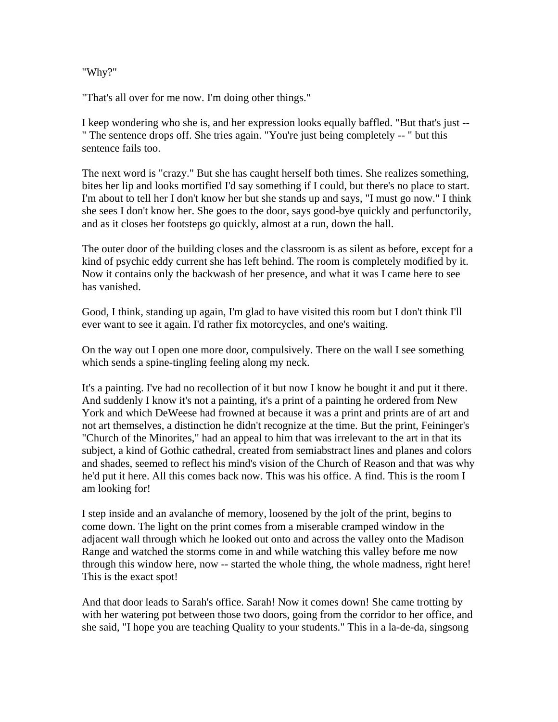"Why?"

"That's all over for me now. I'm doing other things."

I keep wondering who she is, and her expression looks equally baffled. "But that's just -- " The sentence drops off. She tries again. "You're just being completely -- " but this sentence fails too.

The next word is "crazy." But she has caught herself both times. She realizes something, bites her lip and looks mortified I'd say something if I could, but there's no place to start. I'm about to tell her I don't know her but she stands up and says, "I must go now." I think she sees I don't know her. She goes to the door, says good-bye quickly and perfunctorily, and as it closes her footsteps go quickly, almost at a run, down the hall.

The outer door of the building closes and the classroom is as silent as before, except for a kind of psychic eddy current she has left behind. The room is completely modified by it. Now it contains only the backwash of her presence, and what it was I came here to see has vanished.

Good, I think, standing up again, I'm glad to have visited this room but I don't think I'll ever want to see it again. I'd rather fix motorcycles, and one's waiting.

On the way out I open one more door, compulsively. There on the wall I see something which sends a spine-tingling feeling along my neck.

It's a painting. I've had no recollection of it but now I know he bought it and put it there. And suddenly I know it's not a painting, it's a print of a painting he ordered from New York and which DeWeese had frowned at because it was a print and prints are of art and not art themselves, a distinction he didn't recognize at the time. But the print, Feininger's "Church of the Minorites," had an appeal to him that was irrelevant to the art in that its subject, a kind of Gothic cathedral, created from semiabstract lines and planes and colors and shades, seemed to reflect his mind's vision of the Church of Reason and that was why he'd put it here. All this comes back now. This was his office. A find. This is the room I am looking for!

I step inside and an avalanche of memory, loosened by the jolt of the print, begins to come down. The light on the print comes from a miserable cramped window in the adjacent wall through which he looked out onto and across the valley onto the Madison Range and watched the storms come in and while watching this valley before me now through this window here, now -- started the whole thing, the whole madness, right here! This is the exact spot!

And that door leads to Sarah's office. Sarah! Now it comes down! She came trotting by with her watering pot between those two doors, going from the corridor to her office, and she said, "I hope you are teaching Quality to your students." This in a la-de-da, singsong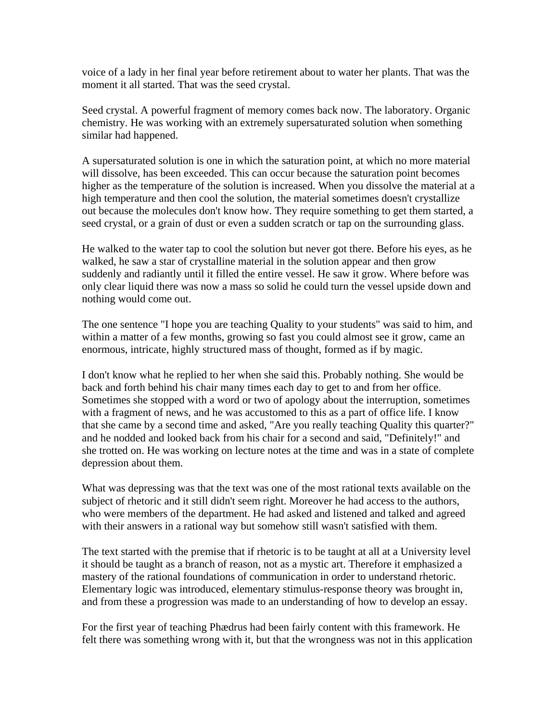voice of a lady in her final year before retirement about to water her plants. That was the moment it all started. That was the seed crystal.

Seed crystal. A powerful fragment of memory comes back now. The laboratory. Organic chemistry. He was working with an extremely supersaturated solution when something similar had happened.

A supersaturated solution is one in which the saturation point, at which no more material will dissolve, has been exceeded. This can occur because the saturation point becomes higher as the temperature of the solution is increased. When you dissolve the material at a high temperature and then cool the solution, the material sometimes doesn't crystallize out because the molecules don't know how. They require something to get them started, a seed crystal, or a grain of dust or even a sudden scratch or tap on the surrounding glass.

He walked to the water tap to cool the solution but never got there. Before his eyes, as he walked, he saw a star of crystalline material in the solution appear and then grow suddenly and radiantly until it filled the entire vessel. He saw it grow. Where before was only clear liquid there was now a mass so solid he could turn the vessel upside down and nothing would come out.

The one sentence "I hope you are teaching Quality to your students" was said to him, and within a matter of a few months, growing so fast you could almost see it grow, came an enormous, intricate, highly structured mass of thought, formed as if by magic.

I don't know what he replied to her when she said this. Probably nothing. She would be back and forth behind his chair many times each day to get to and from her office. Sometimes she stopped with a word or two of apology about the interruption, sometimes with a fragment of news, and he was accustomed to this as a part of office life. I know that she came by a second time and asked, "Are you really teaching Quality this quarter?" and he nodded and looked back from his chair for a second and said, "Definitely!" and she trotted on. He was working on lecture notes at the time and was in a state of complete depression about them.

What was depressing was that the text was one of the most rational texts available on the subject of rhetoric and it still didn't seem right. Moreover he had access to the authors, who were members of the department. He had asked and listened and talked and agreed with their answers in a rational way but somehow still wasn't satisfied with them.

The text started with the premise that if rhetoric is to be taught at all at a University level it should be taught as a branch of reason, not as a mystic art. Therefore it emphasized a mastery of the rational foundations of communication in order to understand rhetoric. Elementary logic was introduced, elementary stimulus-response theory was brought in, and from these a progression was made to an understanding of how to develop an essay.

For the first year of teaching Phædrus had been fairly content with this framework. He felt there was something wrong with it, but that the wrongness was not in this application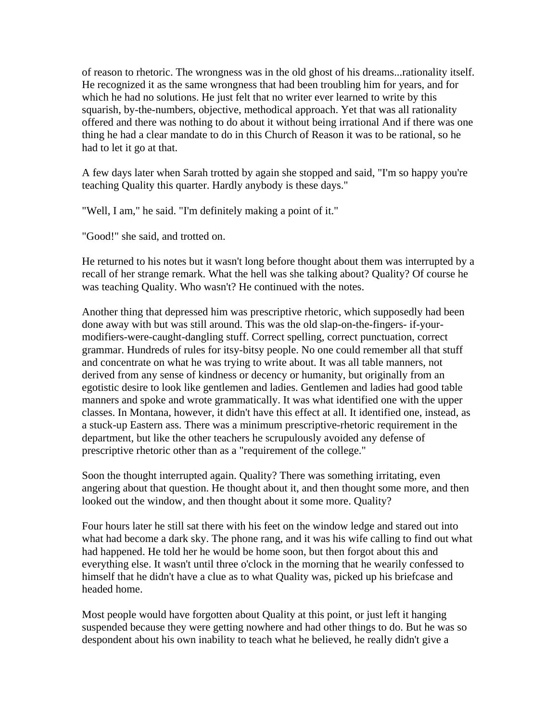of reason to rhetoric. The wrongness was in the old ghost of his dreams...rationality itself. He recognized it as the same wrongness that had been troubling him for years, and for which he had no solutions. He just felt that no writer ever learned to write by this squarish, by-the-numbers, objective, methodical approach. Yet that was all rationality offered and there was nothing to do about it without being irrational And if there was one thing he had a clear mandate to do in this Church of Reason it was to be rational, so he had to let it go at that.

A few days later when Sarah trotted by again she stopped and said, "I'm so happy you're teaching Quality this quarter. Hardly anybody is these days."

"Well, I am," he said. "I'm definitely making a point of it."

"Good!" she said, and trotted on.

He returned to his notes but it wasn't long before thought about them was interrupted by a recall of her strange remark. What the hell was she talking about? Quality? Of course he was teaching Quality. Who wasn't? He continued with the notes.

Another thing that depressed him was prescriptive rhetoric, which supposedly had been done away with but was still around. This was the old slap-on-the-fingers- if-yourmodifiers-were-caught-dangling stuff. Correct spelling, correct punctuation, correct grammar. Hundreds of rules for itsy-bitsy people. No one could remember all that stuff and concentrate on what he was trying to write about. It was all table manners, not derived from any sense of kindness or decency or humanity, but originally from an egotistic desire to look like gentlemen and ladies. Gentlemen and ladies had good table manners and spoke and wrote grammatically. It was what identified one with the upper classes. In Montana, however, it didn't have this effect at all. It identified one, instead, as a stuck-up Eastern ass. There was a minimum prescriptive-rhetoric requirement in the department, but like the other teachers he scrupulously avoided any defense of prescriptive rhetoric other than as a "requirement of the college."

Soon the thought interrupted again. Quality? There was something irritating, even angering about that question. He thought about it, and then thought some more, and then looked out the window, and then thought about it some more. Quality?

Four hours later he still sat there with his feet on the window ledge and stared out into what had become a dark sky. The phone rang, and it was his wife calling to find out what had happened. He told her he would be home soon, but then forgot about this and everything else. It wasn't until three o'clock in the morning that he wearily confessed to himself that he didn't have a clue as to what Quality was, picked up his briefcase and headed home.

Most people would have forgotten about Quality at this point, or just left it hanging suspended because they were getting nowhere and had other things to do. But he was so despondent about his own inability to teach what he believed, he really didn't give a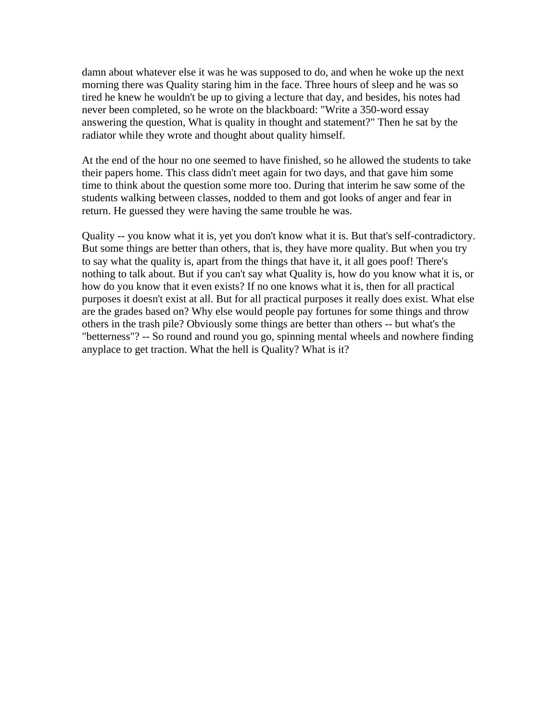damn about whatever else it was he was supposed to do, and when he woke up the next morning there was Quality staring him in the face. Three hours of sleep and he was so tired he knew he wouldn't be up to giving a lecture that day, and besides, his notes had never been completed, so he wrote on the blackboard: "Write a 350-word essay answering the question, What is quality in thought and statement?" Then he sat by the radiator while they wrote and thought about quality himself.

At the end of the hour no one seemed to have finished, so he allowed the students to take their papers home. This class didn't meet again for two days, and that gave him some time to think about the question some more too. During that interim he saw some of the students walking between classes, nodded to them and got looks of anger and fear in return. He guessed they were having the same trouble he was.

Quality -- you know what it is, yet you don't know what it is. But that's self-contradictory. But some things are better than others, that is, they have more quality. But when you try to say what the quality is, apart from the things that have it, it all goes poof! There's nothing to talk about. But if you can't say what Quality is, how do you know what it is, or how do you know that it even exists? If no one knows what it is, then for all practical purposes it doesn't exist at all. But for all practical purposes it really does exist. What else are the grades based on? Why else would people pay fortunes for some things and throw others in the trash pile? Obviously some things are better than others -- but what's the "betterness"? -- So round and round you go, spinning mental wheels and nowhere finding anyplace to get traction. What the hell is Quality? What is it?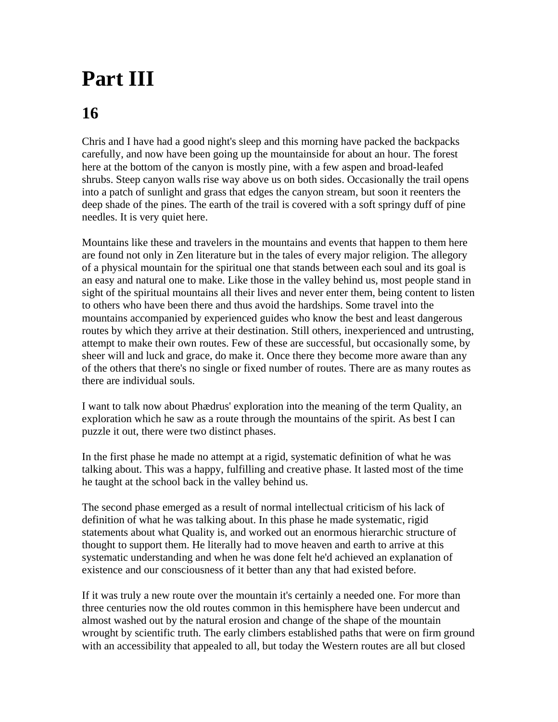# **Part III**

## **16**

Chris and I have had a good night's sleep and this morning have packed the backpacks carefully, and now have been going up the mountainside for about an hour. The forest here at the bottom of the canyon is mostly pine, with a few aspen and broad-leafed shrubs. Steep canyon walls rise way above us on both sides. Occasionally the trail opens into a patch of sunlight and grass that edges the canyon stream, but soon it reenters the deep shade of the pines. The earth of the trail is covered with a soft springy duff of pine needles. It is very quiet here.

Mountains like these and travelers in the mountains and events that happen to them here are found not only in Zen literature but in the tales of every major religion. The allegory of a physical mountain for the spiritual one that stands between each soul and its goal is an easy and natural one to make. Like those in the valley behind us, most people stand in sight of the spiritual mountains all their lives and never enter them, being content to listen to others who have been there and thus avoid the hardships. Some travel into the mountains accompanied by experienced guides who know the best and least dangerous routes by which they arrive at their destination. Still others, inexperienced and untrusting, attempt to make their own routes. Few of these are successful, but occasionally some, by sheer will and luck and grace, do make it. Once there they become more aware than any of the others that there's no single or fixed number of routes. There are as many routes as there are individual souls.

I want to talk now about Phædrus' exploration into the meaning of the term Quality, an exploration which he saw as a route through the mountains of the spirit. As best I can puzzle it out, there were two distinct phases.

In the first phase he made no attempt at a rigid, systematic definition of what he was talking about. This was a happy, fulfilling and creative phase. It lasted most of the time he taught at the school back in the valley behind us.

The second phase emerged as a result of normal intellectual criticism of his lack of definition of what he was talking about. In this phase he made systematic, rigid statements about what Quality is, and worked out an enormous hierarchic structure of thought to support them. He literally had to move heaven and earth to arrive at this systematic understanding and when he was done felt he'd achieved an explanation of existence and our consciousness of it better than any that had existed before.

If it was truly a new route over the mountain it's certainly a needed one. For more than three centuries now the old routes common in this hemisphere have been undercut and almost washed out by the natural erosion and change of the shape of the mountain wrought by scientific truth. The early climbers established paths that were on firm ground with an accessibility that appealed to all, but today the Western routes are all but closed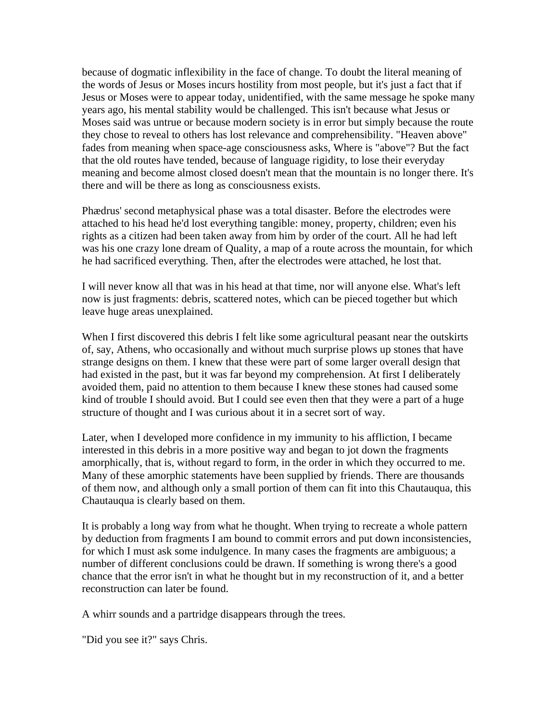because of dogmatic inflexibility in the face of change. To doubt the literal meaning of the words of Jesus or Moses incurs hostility from most people, but it's just a fact that if Jesus or Moses were to appear today, unidentified, with the same message he spoke many years ago, his mental stability would be challenged. This isn't because what Jesus or Moses said was untrue or because modern society is in error but simply because the route they chose to reveal to others has lost relevance and comprehensibility. "Heaven above" fades from meaning when space-age consciousness asks, Where is "above"? But the fact that the old routes have tended, because of language rigidity, to lose their everyday meaning and become almost closed doesn't mean that the mountain is no longer there. It's there and will be there as long as consciousness exists.

Phædrus' second metaphysical phase was a total disaster. Before the electrodes were attached to his head he'd lost everything tangible: money, property, children; even his rights as a citizen had been taken away from him by order of the court. All he had left was his one crazy lone dream of Quality, a map of a route across the mountain, for which he had sacrificed everything. Then, after the electrodes were attached, he lost that.

I will never know all that was in his head at that time, nor will anyone else. What's left now is just fragments: debris, scattered notes, which can be pieced together but which leave huge areas unexplained.

When I first discovered this debris I felt like some agricultural peasant near the outskirts of, say, Athens, who occasionally and without much surprise plows up stones that have strange designs on them. I knew that these were part of some larger overall design that had existed in the past, but it was far beyond my comprehension. At first I deliberately avoided them, paid no attention to them because I knew these stones had caused some kind of trouble I should avoid. But I could see even then that they were a part of a huge structure of thought and I was curious about it in a secret sort of way.

Later, when I developed more confidence in my immunity to his affliction, I became interested in this debris in a more positive way and began to jot down the fragments amorphically, that is, without regard to form, in the order in which they occurred to me. Many of these amorphic statements have been supplied by friends. There are thousands of them now, and although only a small portion of them can fit into this Chautauqua, this Chautauqua is clearly based on them.

It is probably a long way from what he thought. When trying to recreate a whole pattern by deduction from fragments I am bound to commit errors and put down inconsistencies, for which I must ask some indulgence. In many cases the fragments are ambiguous; a number of different conclusions could be drawn. If something is wrong there's a good chance that the error isn't in what he thought but in my reconstruction of it, and a better reconstruction can later be found.

A whirr sounds and a partridge disappears through the trees.

"Did you see it?" says Chris.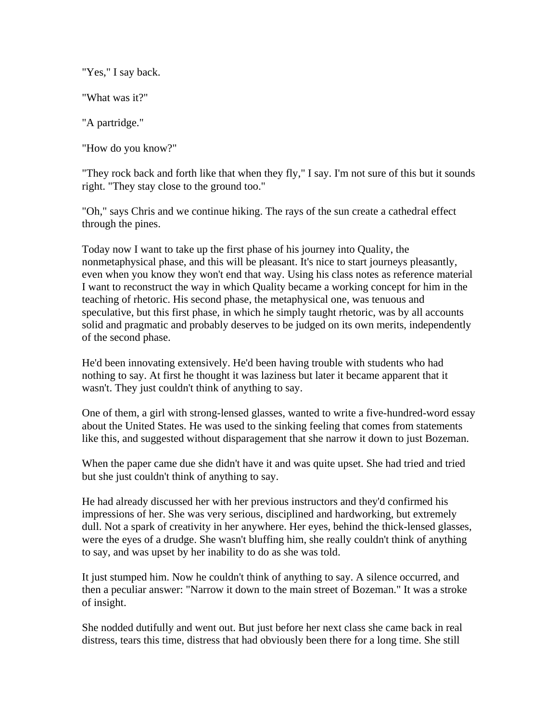"Yes," I say back.

"What was it?"

"A partridge."

"How do you know?"

"They rock back and forth like that when they fly," I say. I'm not sure of this but it sounds right. "They stay close to the ground too."

"Oh," says Chris and we continue hiking. The rays of the sun create a cathedral effect through the pines.

Today now I want to take up the first phase of his journey into Quality, the nonmetaphysical phase, and this will be pleasant. It's nice to start journeys pleasantly, even when you know they won't end that way. Using his class notes as reference material I want to reconstruct the way in which Quality became a working concept for him in the teaching of rhetoric. His second phase, the metaphysical one, was tenuous and speculative, but this first phase, in which he simply taught rhetoric, was by all accounts solid and pragmatic and probably deserves to be judged on its own merits, independently of the second phase.

He'd been innovating extensively. He'd been having trouble with students who had nothing to say. At first he thought it was laziness but later it became apparent that it wasn't. They just couldn't think of anything to say.

One of them, a girl with strong-lensed glasses, wanted to write a five-hundred-word essay about the United States. He was used to the sinking feeling that comes from statements like this, and suggested without disparagement that she narrow it down to just Bozeman.

When the paper came due she didn't have it and was quite upset. She had tried and tried but she just couldn't think of anything to say.

He had already discussed her with her previous instructors and they'd confirmed his impressions of her. She was very serious, disciplined and hardworking, but extremely dull. Not a spark of creativity in her anywhere. Her eyes, behind the thick-lensed glasses, were the eyes of a drudge. She wasn't bluffing him, she really couldn't think of anything to say, and was upset by her inability to do as she was told.

It just stumped him. Now he couldn't think of anything to say. A silence occurred, and then a peculiar answer: "Narrow it down to the main street of Bozeman." It was a stroke of insight.

She nodded dutifully and went out. But just before her next class she came back in real distress, tears this time, distress that had obviously been there for a long time. She still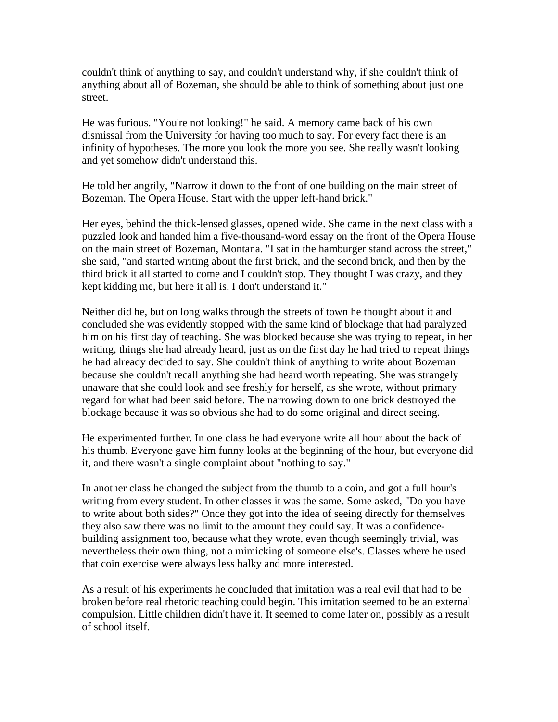couldn't think of anything to say, and couldn't understand why, if she couldn't think of anything about all of Bozeman, she should be able to think of something about just one street.

He was furious. "You're not looking!" he said. A memory came back of his own dismissal from the University for having too much to say. For every fact there is an infinity of hypotheses. The more you look the more you see. She really wasn't looking and yet somehow didn't understand this.

He told her angrily, "Narrow it down to the front of one building on the main street of Bozeman. The Opera House. Start with the upper left-hand brick."

Her eyes, behind the thick-lensed glasses, opened wide. She came in the next class with a puzzled look and handed him a five-thousand-word essay on the front of the Opera House on the main street of Bozeman, Montana. "I sat in the hamburger stand across the street," she said, "and started writing about the first brick, and the second brick, and then by the third brick it all started to come and I couldn't stop. They thought I was crazy, and they kept kidding me, but here it all is. I don't understand it."

Neither did he, but on long walks through the streets of town he thought about it and concluded she was evidently stopped with the same kind of blockage that had paralyzed him on his first day of teaching. She was blocked because she was trying to repeat, in her writing, things she had already heard, just as on the first day he had tried to repeat things he had already decided to say. She couldn't think of anything to write about Bozeman because she couldn't recall anything she had heard worth repeating. She was strangely unaware that she could look and see freshly for herself, as she wrote, without primary regard for what had been said before. The narrowing down to one brick destroyed the blockage because it was so obvious she had to do some original and direct seeing.

He experimented further. In one class he had everyone write all hour about the back of his thumb. Everyone gave him funny looks at the beginning of the hour, but everyone did it, and there wasn't a single complaint about "nothing to say."

In another class he changed the subject from the thumb to a coin, and got a full hour's writing from every student. In other classes it was the same. Some asked, "Do you have to write about both sides?" Once they got into the idea of seeing directly for themselves they also saw there was no limit to the amount they could say. It was a confidencebuilding assignment too, because what they wrote, even though seemingly trivial, was nevertheless their own thing, not a mimicking of someone else's. Classes where he used that coin exercise were always less balky and more interested.

As a result of his experiments he concluded that imitation was a real evil that had to be broken before real rhetoric teaching could begin. This imitation seemed to be an external compulsion. Little children didn't have it. It seemed to come later on, possibly as a result of school itself.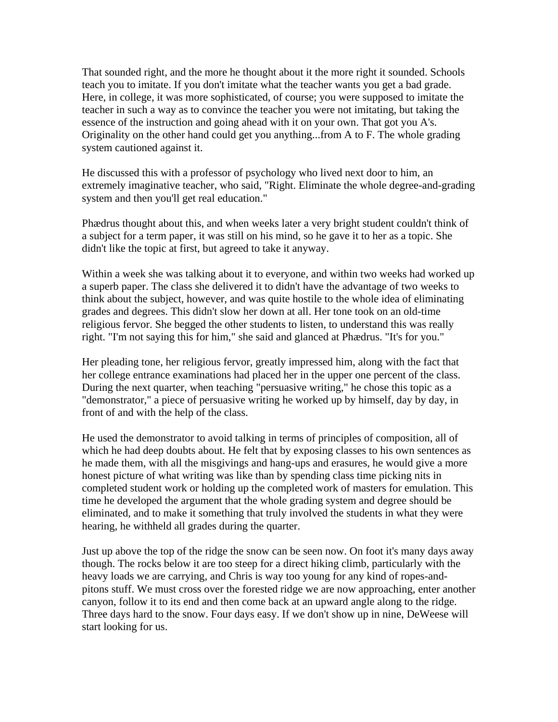That sounded right, and the more he thought about it the more right it sounded. Schools teach you to imitate. If you don't imitate what the teacher wants you get a bad grade. Here, in college, it was more sophisticated, of course; you were supposed to imitate the teacher in such a way as to convince the teacher you were not imitating, but taking the essence of the instruction and going ahead with it on your own. That got you A's. Originality on the other hand could get you anything...from A to F. The whole grading system cautioned against it.

He discussed this with a professor of psychology who lived next door to him, an extremely imaginative teacher, who said, "Right. Eliminate the whole degree-and-grading system and then you'll get real education."

Phædrus thought about this, and when weeks later a very bright student couldn't think of a subject for a term paper, it was still on his mind, so he gave it to her as a topic. She didn't like the topic at first, but agreed to take it anyway.

Within a week she was talking about it to everyone, and within two weeks had worked up a superb paper. The class she delivered it to didn't have the advantage of two weeks to think about the subject, however, and was quite hostile to the whole idea of eliminating grades and degrees. This didn't slow her down at all. Her tone took on an old-time religious fervor. She begged the other students to listen, to understand this was really right. "I'm not saying this for him," she said and glanced at Phædrus. "It's for you."

Her pleading tone, her religious fervor, greatly impressed him, along with the fact that her college entrance examinations had placed her in the upper one percent of the class. During the next quarter, when teaching "persuasive writing," he chose this topic as a "demonstrator," a piece of persuasive writing he worked up by himself, day by day, in front of and with the help of the class.

He used the demonstrator to avoid talking in terms of principles of composition, all of which he had deep doubts about. He felt that by exposing classes to his own sentences as he made them, with all the misgivings and hang-ups and erasures, he would give a more honest picture of what writing was like than by spending class time picking nits in completed student work or holding up the completed work of masters for emulation. This time he developed the argument that the whole grading system and degree should be eliminated, and to make it something that truly involved the students in what they were hearing, he withheld all grades during the quarter.

Just up above the top of the ridge the snow can be seen now. On foot it's many days away though. The rocks below it are too steep for a direct hiking climb, particularly with the heavy loads we are carrying, and Chris is way too young for any kind of ropes-andpitons stuff. We must cross over the forested ridge we are now approaching, enter another canyon, follow it to its end and then come back at an upward angle along to the ridge. Three days hard to the snow. Four days easy. If we don't show up in nine, DeWeese will start looking for us.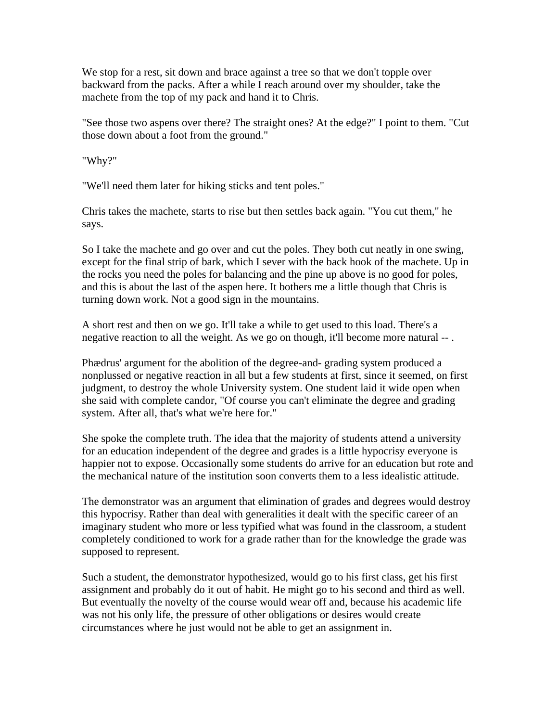We stop for a rest, sit down and brace against a tree so that we don't topple over backward from the packs. After a while I reach around over my shoulder, take the machete from the top of my pack and hand it to Chris.

"See those two aspens over there? The straight ones? At the edge?" I point to them. "Cut those down about a foot from the ground."

"Why?"

"We'll need them later for hiking sticks and tent poles."

Chris takes the machete, starts to rise but then settles back again. "You cut them," he says.

So I take the machete and go over and cut the poles. They both cut neatly in one swing, except for the final strip of bark, which I sever with the back hook of the machete. Up in the rocks you need the poles for balancing and the pine up above is no good for poles, and this is about the last of the aspen here. It bothers me a little though that Chris is turning down work. Not a good sign in the mountains.

A short rest and then on we go. It'll take a while to get used to this load. There's a negative reaction to all the weight. As we go on though, it'll become more natural -- .

Phædrus' argument for the abolition of the degree-and- grading system produced a nonplussed or negative reaction in all but a few students at first, since it seemed, on first judgment, to destroy the whole University system. One student laid it wide open when she said with complete candor, "Of course you can't eliminate the degree and grading system. After all, that's what we're here for."

She spoke the complete truth. The idea that the majority of students attend a university for an education independent of the degree and grades is a little hypocrisy everyone is happier not to expose. Occasionally some students do arrive for an education but rote and the mechanical nature of the institution soon converts them to a less idealistic attitude.

The demonstrator was an argument that elimination of grades and degrees would destroy this hypocrisy. Rather than deal with generalities it dealt with the specific career of an imaginary student who more or less typified what was found in the classroom, a student completely conditioned to work for a grade rather than for the knowledge the grade was supposed to represent.

Such a student, the demonstrator hypothesized, would go to his first class, get his first assignment and probably do it out of habit. He might go to his second and third as well. But eventually the novelty of the course would wear off and, because his academic life was not his only life, the pressure of other obligations or desires would create circumstances where he just would not be able to get an assignment in.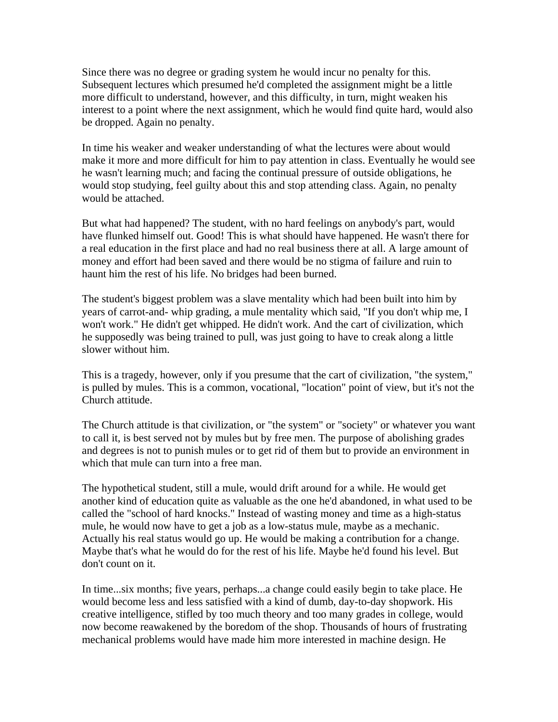Since there was no degree or grading system he would incur no penalty for this. Subsequent lectures which presumed he'd completed the assignment might be a little more difficult to understand, however, and this difficulty, in turn, might weaken his interest to a point where the next assignment, which he would find quite hard, would also be dropped. Again no penalty.

In time his weaker and weaker understanding of what the lectures were about would make it more and more difficult for him to pay attention in class. Eventually he would see he wasn't learning much; and facing the continual pressure of outside obligations, he would stop studying, feel guilty about this and stop attending class. Again, no penalty would be attached.

But what had happened? The student, with no hard feelings on anybody's part, would have flunked himself out. Good! This is what should have happened. He wasn't there for a real education in the first place and had no real business there at all. A large amount of money and effort had been saved and there would be no stigma of failure and ruin to haunt him the rest of his life. No bridges had been burned.

The student's biggest problem was a slave mentality which had been built into him by years of carrot-and- whip grading, a mule mentality which said, "If you don't whip me, I won't work." He didn't get whipped. He didn't work. And the cart of civilization, which he supposedly was being trained to pull, was just going to have to creak along a little slower without him.

This is a tragedy, however, only if you presume that the cart of civilization, "the system," is pulled by mules. This is a common, vocational, "location" point of view, but it's not the Church attitude.

The Church attitude is that civilization, or "the system" or "society" or whatever you want to call it, is best served not by mules but by free men. The purpose of abolishing grades and degrees is not to punish mules or to get rid of them but to provide an environment in which that mule can turn into a free man.

The hypothetical student, still a mule, would drift around for a while. He would get another kind of education quite as valuable as the one he'd abandoned, in what used to be called the "school of hard knocks." Instead of wasting money and time as a high-status mule, he would now have to get a job as a low-status mule, maybe as a mechanic. Actually his real status would go up. He would be making a contribution for a change. Maybe that's what he would do for the rest of his life. Maybe he'd found his level. But don't count on it.

In time...six months; five years, perhaps...a change could easily begin to take place. He would become less and less satisfied with a kind of dumb, day-to-day shopwork. His creative intelligence, stifled by too much theory and too many grades in college, would now become reawakened by the boredom of the shop. Thousands of hours of frustrating mechanical problems would have made him more interested in machine design. He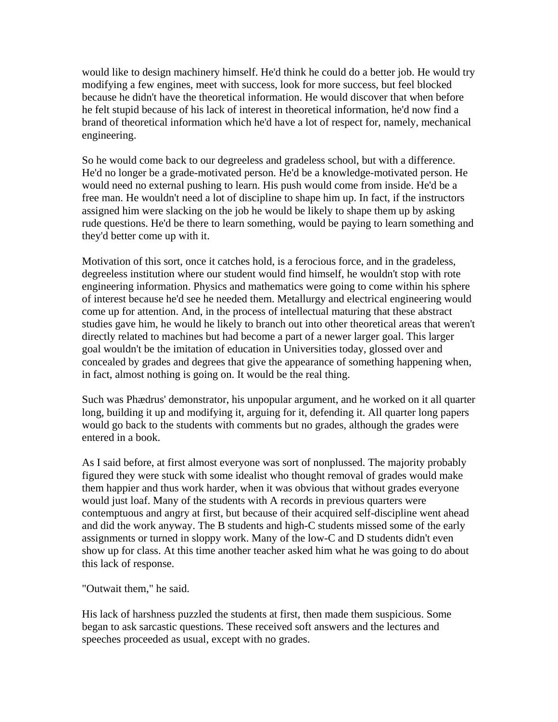would like to design machinery himself. He'd think he could do a better job. He would try modifying a few engines, meet with success, look for more success, but feel blocked because he didn't have the theoretical information. He would discover that when before he felt stupid because of his lack of interest in theoretical information, he'd now find a brand of theoretical information which he'd have a lot of respect for, namely, mechanical engineering.

So he would come back to our degreeless and gradeless school, but with a difference. He'd no longer be a grade-motivated person. He'd be a knowledge-motivated person. He would need no external pushing to learn. His push would come from inside. He'd be a free man. He wouldn't need a lot of discipline to shape him up. In fact, if the instructors assigned him were slacking on the job he would be likely to shape them up by asking rude questions. He'd be there to learn something, would be paying to learn something and they'd better come up with it.

Motivation of this sort, once it catches hold, is a ferocious force, and in the gradeless, degreeless institution where our student would find himself, he wouldn't stop with rote engineering information. Physics and mathematics were going to come within his sphere of interest because he'd see he needed them. Metallurgy and electrical engineering would come up for attention. And, in the process of intellectual maturing that these abstract studies gave him, he would he likely to branch out into other theoretical areas that weren't directly related to machines but had become a part of a newer larger goal. This larger goal wouldn't be the imitation of education in Universities today, glossed over and concealed by grades and degrees that give the appearance of something happening when, in fact, almost nothing is going on. It would be the real thing.

Such was Phædrus' demonstrator, his unpopular argument, and he worked on it all quarter long, building it up and modifying it, arguing for it, defending it. All quarter long papers would go back to the students with comments but no grades, although the grades were entered in a book.

As I said before, at first almost everyone was sort of nonplussed. The majority probably figured they were stuck with some idealist who thought removal of grades would make them happier and thus work harder, when it was obvious that without grades everyone would just loaf. Many of the students with A records in previous quarters were contemptuous and angry at first, but because of their acquired self-discipline went ahead and did the work anyway. The B students and high-C students missed some of the early assignments or turned in sloppy work. Many of the low-C and D students didn't even show up for class. At this time another teacher asked him what he was going to do about this lack of response.

"Outwait them," he said.

His lack of harshness puzzled the students at first, then made them suspicious. Some began to ask sarcastic questions. These received soft answers and the lectures and speeches proceeded as usual, except with no grades.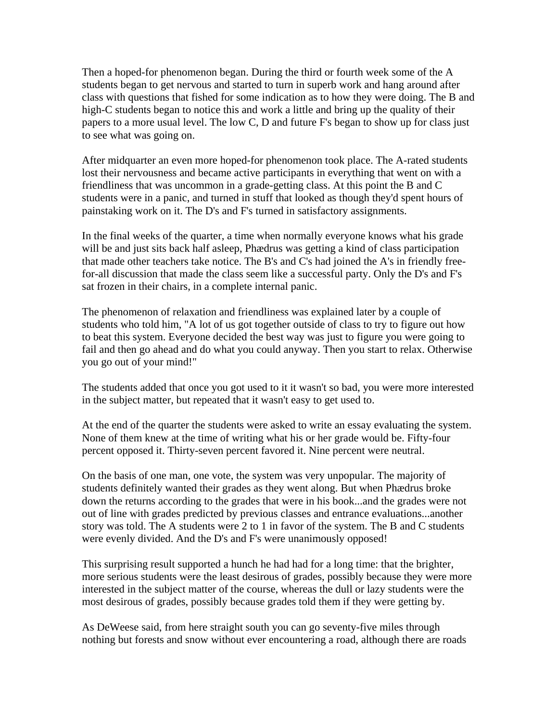Then a hoped-for phenomenon began. During the third or fourth week some of the A students began to get nervous and started to turn in superb work and hang around after class with questions that fished for some indication as to how they were doing. The B and high-C students began to notice this and work a little and bring up the quality of their papers to a more usual level. The low C, D and future F's began to show up for class just to see what was going on.

After midquarter an even more hoped-for phenomenon took place. The A-rated students lost their nervousness and became active participants in everything that went on with a friendliness that was uncommon in a grade-getting class. At this point the B and C students were in a panic, and turned in stuff that looked as though they'd spent hours of painstaking work on it. The D's and F's turned in satisfactory assignments.

In the final weeks of the quarter, a time when normally everyone knows what his grade will be and just sits back half asleep, Phædrus was getting a kind of class participation that made other teachers take notice. The B's and C's had joined the A's in friendly freefor-all discussion that made the class seem like a successful party. Only the D's and F's sat frozen in their chairs, in a complete internal panic.

The phenomenon of relaxation and friendliness was explained later by a couple of students who told him, "A lot of us got together outside of class to try to figure out how to beat this system. Everyone decided the best way was just to figure you were going to fail and then go ahead and do what you could anyway. Then you start to relax. Otherwise you go out of your mind!"

The students added that once you got used to it it wasn't so bad, you were more interested in the subject matter, but repeated that it wasn't easy to get used to.

At the end of the quarter the students were asked to write an essay evaluating the system. None of them knew at the time of writing what his or her grade would be. Fifty-four percent opposed it. Thirty-seven percent favored it. Nine percent were neutral.

On the basis of one man, one vote, the system was very unpopular. The majority of students definitely wanted their grades as they went along. But when Phædrus broke down the returns according to the grades that were in his book...and the grades were not out of line with grades predicted by previous classes and entrance evaluations...another story was told. The A students were 2 to 1 in favor of the system. The B and C students were evenly divided. And the D's and F's were unanimously opposed!

This surprising result supported a hunch he had had for a long time: that the brighter, more serious students were the least desirous of grades, possibly because they were more interested in the subject matter of the course, whereas the dull or lazy students were the most desirous of grades, possibly because grades told them if they were getting by.

As DeWeese said, from here straight south you can go seventy-five miles through nothing but forests and snow without ever encountering a road, although there are roads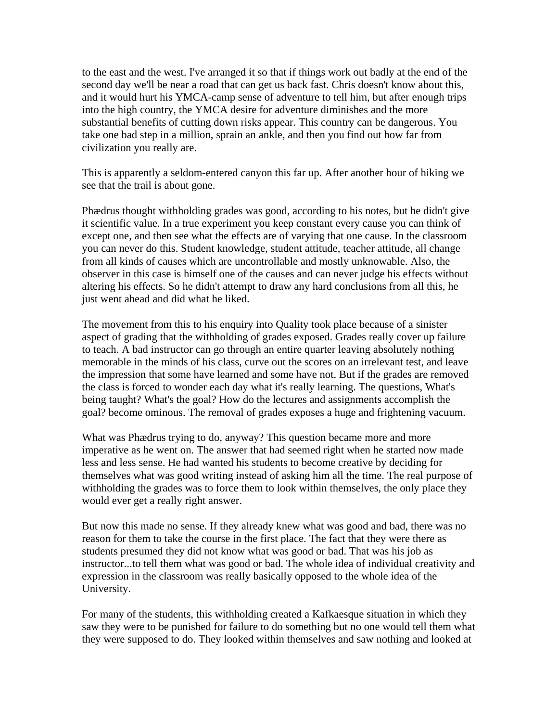to the east and the west. I've arranged it so that if things work out badly at the end of the second day we'll be near a road that can get us back fast. Chris doesn't know about this, and it would hurt his YMCA-camp sense of adventure to tell him, but after enough trips into the high country, the YMCA desire for adventure diminishes and the more substantial benefits of cutting down risks appear. This country can be dangerous. You take one bad step in a million, sprain an ankle, and then you find out how far from civilization you really are.

This is apparently a seldom-entered canyon this far up. After another hour of hiking we see that the trail is about gone.

Phædrus thought withholding grades was good, according to his notes, but he didn't give it scientific value. In a true experiment you keep constant every cause you can think of except one, and then see what the effects are of varying that one cause. In the classroom you can never do this. Student knowledge, student attitude, teacher attitude, all change from all kinds of causes which are uncontrollable and mostly unknowable. Also, the observer in this case is himself one of the causes and can never judge his effects without altering his effects. So he didn't attempt to draw any hard conclusions from all this, he just went ahead and did what he liked.

The movement from this to his enquiry into Quality took place because of a sinister aspect of grading that the withholding of grades exposed. Grades really cover up failure to teach. A bad instructor can go through an entire quarter leaving absolutely nothing memorable in the minds of his class, curve out the scores on an irrelevant test, and leave the impression that some have learned and some have not. But if the grades are removed the class is forced to wonder each day what it's really learning. The questions, What's being taught? What's the goal? How do the lectures and assignments accomplish the goal? become ominous. The removal of grades exposes a huge and frightening vacuum.

What was Phædrus trying to do, anyway? This question became more and more imperative as he went on. The answer that had seemed right when he started now made less and less sense. He had wanted his students to become creative by deciding for themselves what was good writing instead of asking him all the time. The real purpose of withholding the grades was to force them to look within themselves, the only place they would ever get a really right answer.

But now this made no sense. If they already knew what was good and bad, there was no reason for them to take the course in the first place. The fact that they were there as students presumed they did not know what was good or bad. That was his job as instructor...to tell them what was good or bad. The whole idea of individual creativity and expression in the classroom was really basically opposed to the whole idea of the University.

For many of the students, this withholding created a Kafkaesque situation in which they saw they were to be punished for failure to do something but no one would tell them what they were supposed to do. They looked within themselves and saw nothing and looked at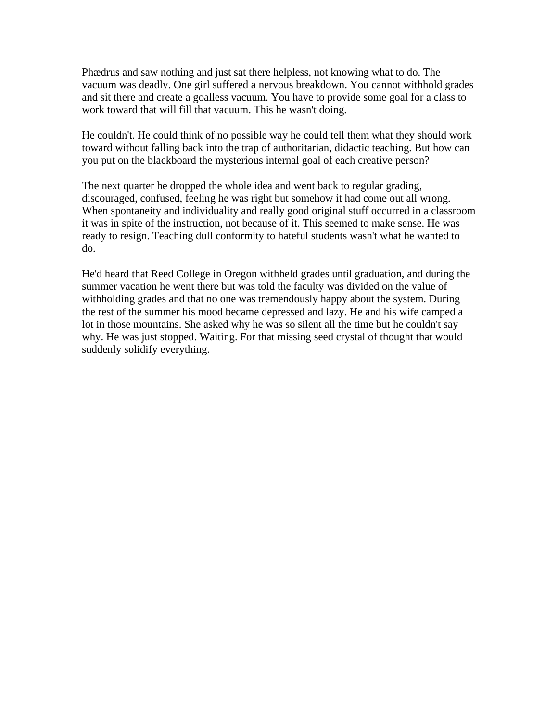Phædrus and saw nothing and just sat there helpless, not knowing what to do. The vacuum was deadly. One girl suffered a nervous breakdown. You cannot withhold grades and sit there and create a goalless vacuum. You have to provide some goal for a class to work toward that will fill that vacuum. This he wasn't doing.

He couldn't. He could think of no possible way he could tell them what they should work toward without falling back into the trap of authoritarian, didactic teaching. But how can you put on the blackboard the mysterious internal goal of each creative person?

The next quarter he dropped the whole idea and went back to regular grading, discouraged, confused, feeling he was right but somehow it had come out all wrong. When spontaneity and individuality and really good original stuff occurred in a classroom it was in spite of the instruction, not because of it. This seemed to make sense. He was ready to resign. Teaching dull conformity to hateful students wasn't what he wanted to do.

He'd heard that Reed College in Oregon withheld grades until graduation, and during the summer vacation he went there but was told the faculty was divided on the value of withholding grades and that no one was tremendously happy about the system. During the rest of the summer his mood became depressed and lazy. He and his wife camped a lot in those mountains. She asked why he was so silent all the time but he couldn't say why. He was just stopped. Waiting. For that missing seed crystal of thought that would suddenly solidify everything.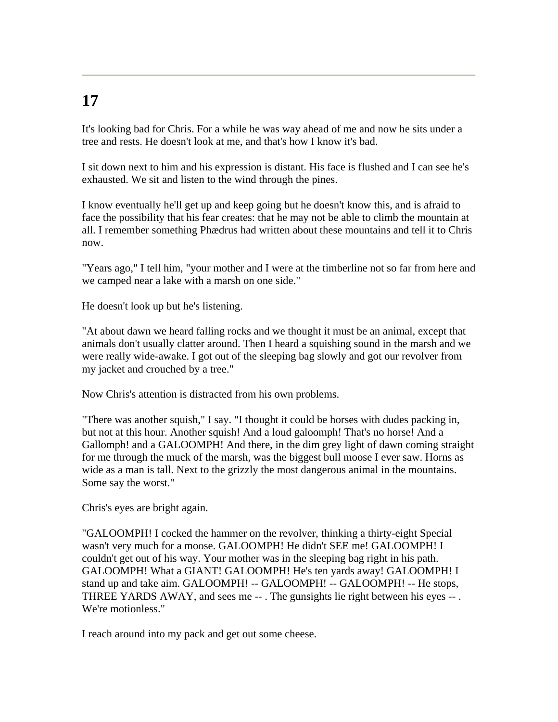# **17**

It's looking bad for Chris. For a while he was way ahead of me and now he sits under a tree and rests. He doesn't look at me, and that's how I know it's bad.

I sit down next to him and his expression is distant. His face is flushed and I can see he's exhausted. We sit and listen to the wind through the pines.

I know eventually he'll get up and keep going but he doesn't know this, and is afraid to face the possibility that his fear creates: that he may not be able to climb the mountain at all. I remember something Phædrus had written about these mountains and tell it to Chris now.

"Years ago," I tell him, "your mother and I were at the timberline not so far from here and we camped near a lake with a marsh on one side."

He doesn't look up but he's listening.

"At about dawn we heard falling rocks and we thought it must be an animal, except that animals don't usually clatter around. Then I heard a squishing sound in the marsh and we were really wide-awake. I got out of the sleeping bag slowly and got our revolver from my jacket and crouched by a tree."

Now Chris's attention is distracted from his own problems.

"There was another squish," I say. "I thought it could be horses with dudes packing in, but not at this hour. Another squish! And a loud galoomph! That's no horse! And a Gallomph! and a GALOOMPH! And there, in the dim grey light of dawn coming straight for me through the muck of the marsh, was the biggest bull moose I ever saw. Horns as wide as a man is tall. Next to the grizzly the most dangerous animal in the mountains. Some say the worst."

Chris's eyes are bright again.

"GALOOMPH! I cocked the hammer on the revolver, thinking a thirty-eight Special wasn't very much for a moose. GALOOMPH! He didn't SEE me! GALOOMPH! I couldn't get out of his way. Your mother was in the sleeping bag right in his path. GALOOMPH! What a GIANT! GALOOMPH! He's ten yards away! GALOOMPH! I stand up and take aim. GALOOMPH! -- GALOOMPH! -- GALOOMPH! -- He stops, THREE YARDS AWAY, and sees me -- . The gunsights lie right between his eyes -- . We're motionless."

I reach around into my pack and get out some cheese.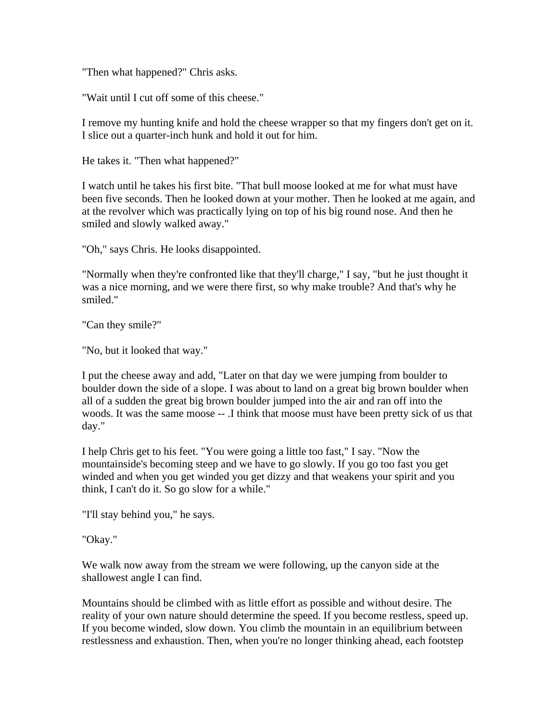"Then what happened?" Chris asks.

"Wait until I cut off some of this cheese."

I remove my hunting knife and hold the cheese wrapper so that my fingers don't get on it. I slice out a quarter-inch hunk and hold it out for him.

He takes it. "Then what happened?"

I watch until he takes his first bite. "That bull moose looked at me for what must have been five seconds. Then he looked down at your mother. Then he looked at me again, and at the revolver which was practically lying on top of his big round nose. And then he smiled and slowly walked away."

"Oh," says Chris. He looks disappointed.

"Normally when they're confronted like that they'll charge," I say, "but he just thought it was a nice morning, and we were there first, so why make trouble? And that's why he smiled."

"Can they smile?"

"No, but it looked that way."

I put the cheese away and add, "Later on that day we were jumping from boulder to boulder down the side of a slope. I was about to land on a great big brown boulder when all of a sudden the great big brown boulder jumped into the air and ran off into the woods. It was the same moose -- .I think that moose must have been pretty sick of us that day."

I help Chris get to his feet. "You were going a little too fast," I say. "Now the mountainside's becoming steep and we have to go slowly. If you go too fast you get winded and when you get winded you get dizzy and that weakens your spirit and you think, I can't do it. So go slow for a while."

"I'll stay behind you," he says.

"Okay."

We walk now away from the stream we were following, up the canyon side at the shallowest angle I can find.

Mountains should be climbed with as little effort as possible and without desire. The reality of your own nature should determine the speed. If you become restless, speed up. If you become winded, slow down. You climb the mountain in an equilibrium between restlessness and exhaustion. Then, when you're no longer thinking ahead, each footstep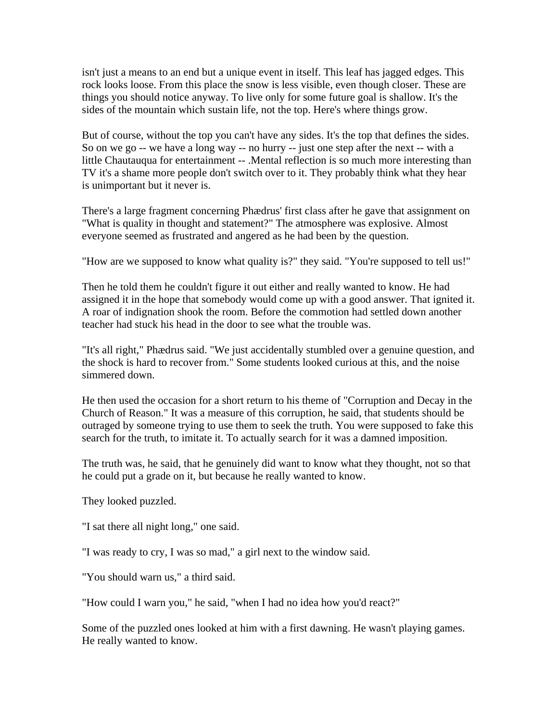isn't just a means to an end but a unique event in itself. This leaf has jagged edges. This rock looks loose. From this place the snow is less visible, even though closer. These are things you should notice anyway. To live only for some future goal is shallow. It's the sides of the mountain which sustain life, not the top. Here's where things grow.

But of course, without the top you can't have any sides. It's the top that defines the sides. So on we go -- we have a long way -- no hurry -- just one step after the next -- with a little Chautauqua for entertainment -- .Mental reflection is so much more interesting than TV it's a shame more people don't switch over to it. They probably think what they hear is unimportant but it never is.

There's a large fragment concerning Phædrus' first class after he gave that assignment on "What is quality in thought and statement?" The atmosphere was explosive. Almost everyone seemed as frustrated and angered as he had been by the question.

"How are we supposed to know what quality is?" they said. "You're supposed to tell us!"

Then he told them he couldn't figure it out either and really wanted to know. He had assigned it in the hope that somebody would come up with a good answer. That ignited it. A roar of indignation shook the room. Before the commotion had settled down another teacher had stuck his head in the door to see what the trouble was.

"It's all right," Phædrus said. "We just accidentally stumbled over a genuine question, and the shock is hard to recover from." Some students looked curious at this, and the noise simmered down.

He then used the occasion for a short return to his theme of "Corruption and Decay in the Church of Reason." It was a measure of this corruption, he said, that students should be outraged by someone trying to use them to seek the truth. You were supposed to fake this search for the truth, to imitate it. To actually search for it was a damned imposition.

The truth was, he said, that he genuinely did want to know what they thought, not so that he could put a grade on it, but because he really wanted to know.

They looked puzzled.

"I sat there all night long," one said.

"I was ready to cry, I was so mad," a girl next to the window said.

"You should warn us," a third said.

"How could I warn you," he said, "when I had no idea how you'd react?"

Some of the puzzled ones looked at him with a first dawning. He wasn't playing games. He really wanted to know.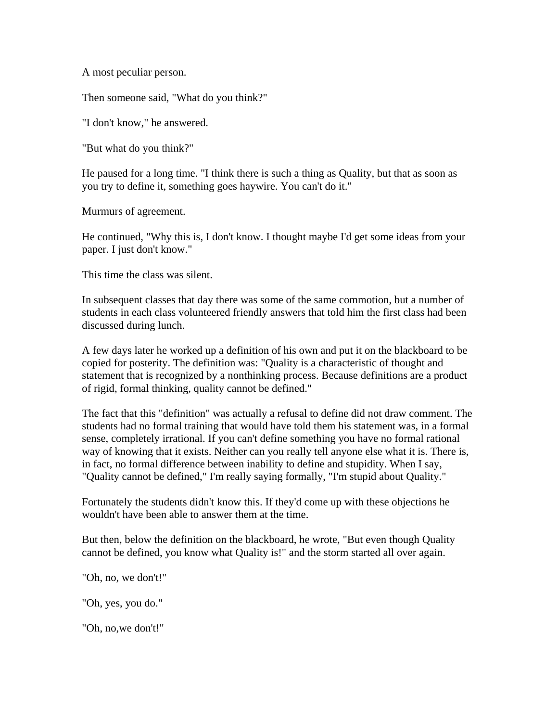A most peculiar person.

Then someone said, "What do you think?"

"I don't know," he answered.

"But what do you think?"

He paused for a long time. "I think there is such a thing as Quality, but that as soon as you try to define it, something goes haywire. You can't do it."

Murmurs of agreement.

He continued, "Why this is, I don't know. I thought maybe I'd get some ideas from your paper. I just don't know."

This time the class was silent.

In subsequent classes that day there was some of the same commotion, but a number of students in each class volunteered friendly answers that told him the first class had been discussed during lunch.

A few days later he worked up a definition of his own and put it on the blackboard to be copied for posterity. The definition was: "Quality is a characteristic of thought and statement that is recognized by a nonthinking process. Because definitions are a product of rigid, formal thinking, quality cannot be defined."

The fact that this "definition" was actually a refusal to define did not draw comment. The students had no formal training that would have told them his statement was, in a formal sense, completely irrational. If you can't define something you have no formal rational way of knowing that it exists. Neither can you really tell anyone else what it is. There is, in fact, no formal difference between inability to define and stupidity. When I say, "Quality cannot be defined," I'm really saying formally, "I'm stupid about Quality."

Fortunately the students didn't know this. If they'd come up with these objections he wouldn't have been able to answer them at the time.

But then, below the definition on the blackboard, he wrote, "But even though Quality cannot be defined, you know what Quality is!" and the storm started all over again.

"Oh, no, we don't!"

"Oh, yes, you do."

"Oh, no,we don't!"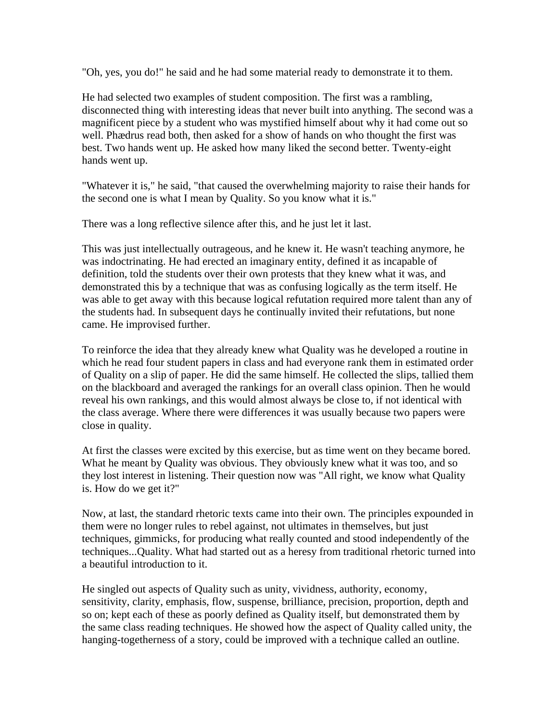"Oh, yes, you do!" he said and he had some material ready to demonstrate it to them.

He had selected two examples of student composition. The first was a rambling, disconnected thing with interesting ideas that never built into anything. The second was a magnificent piece by a student who was mystified himself about why it had come out so well. Phædrus read both, then asked for a show of hands on who thought the first was best. Two hands went up. He asked how many liked the second better. Twenty-eight hands went up.

"Whatever it is," he said, "that caused the overwhelming majority to raise their hands for the second one is what I mean by Quality. So you know what it is."

There was a long reflective silence after this, and he just let it last.

This was just intellectually outrageous, and he knew it. He wasn't teaching anymore, he was indoctrinating. He had erected an imaginary entity, defined it as incapable of definition, told the students over their own protests that they knew what it was, and demonstrated this by a technique that was as confusing logically as the term itself. He was able to get away with this because logical refutation required more talent than any of the students had. In subsequent days he continually invited their refutations, but none came. He improvised further.

To reinforce the idea that they already knew what Quality was he developed a routine in which he read four student papers in class and had everyone rank them in estimated order of Quality on a slip of paper. He did the same himself. He collected the slips, tallied them on the blackboard and averaged the rankings for an overall class opinion. Then he would reveal his own rankings, and this would almost always be close to, if not identical with the class average. Where there were differences it was usually because two papers were close in quality.

At first the classes were excited by this exercise, but as time went on they became bored. What he meant by Quality was obvious. They obviously knew what it was too, and so they lost interest in listening. Their question now was "All right, we know what Quality is. How do we get it?"

Now, at last, the standard rhetoric texts came into their own. The principles expounded in them were no longer rules to rebel against, not ultimates in themselves, but just techniques, gimmicks, for producing what really counted and stood independently of the techniques...Quality. What had started out as a heresy from traditional rhetoric turned into a beautiful introduction to it.

He singled out aspects of Quality such as unity, vividness, authority, economy, sensitivity, clarity, emphasis, flow, suspense, brilliance, precision, proportion, depth and so on; kept each of these as poorly defined as Quality itself, but demonstrated them by the same class reading techniques. He showed how the aspect of Quality called unity, the hanging-togetherness of a story, could be improved with a technique called an outline.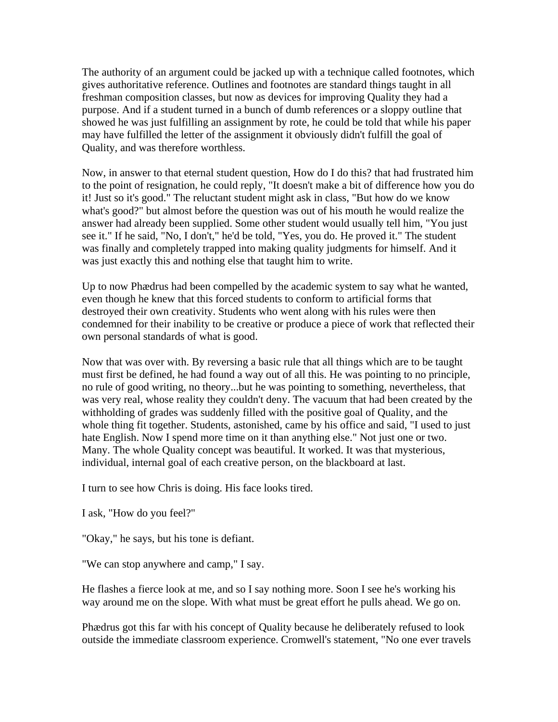The authority of an argument could be jacked up with a technique called footnotes, which gives authoritative reference. Outlines and footnotes are standard things taught in all freshman composition classes, but now as devices for improving Quality they had a purpose. And if a student turned in a bunch of dumb references or a sloppy outline that showed he was just fulfilling an assignment by rote, he could be told that while his paper may have fulfilled the letter of the assignment it obviously didn't fulfill the goal of Quality, and was therefore worthless.

Now, in answer to that eternal student question, How do I do this? that had frustrated him to the point of resignation, he could reply, "It doesn't make a bit of difference how you do it! Just so it's good." The reluctant student might ask in class, "But how do we know what's good?" but almost before the question was out of his mouth he would realize the answer had already been supplied. Some other student would usually tell him, "You just see it." If he said, "No, I don't," he'd be told, "Yes, you do. He proved it." The student was finally and completely trapped into making quality judgments for himself. And it was just exactly this and nothing else that taught him to write.

Up to now Phædrus had been compelled by the academic system to say what he wanted, even though he knew that this forced students to conform to artificial forms that destroyed their own creativity. Students who went along with his rules were then condemned for their inability to be creative or produce a piece of work that reflected their own personal standards of what is good.

Now that was over with. By reversing a basic rule that all things which are to be taught must first be defined, he had found a way out of all this. He was pointing to no principle, no rule of good writing, no theory...but he was pointing to something, nevertheless, that was very real, whose reality they couldn't deny. The vacuum that had been created by the withholding of grades was suddenly filled with the positive goal of Quality, and the whole thing fit together. Students, astonished, came by his office and said, "I used to just hate English. Now I spend more time on it than anything else." Not just one or two. Many. The whole Quality concept was beautiful. It worked. It was that mysterious, individual, internal goal of each creative person, on the blackboard at last.

I turn to see how Chris is doing. His face looks tired.

I ask, "How do you feel?"

"Okay," he says, but his tone is defiant.

"We can stop anywhere and camp," I say.

He flashes a fierce look at me, and so I say nothing more. Soon I see he's working his way around me on the slope. With what must be great effort he pulls ahead. We go on.

Phædrus got this far with his concept of Quality because he deliberately refused to look outside the immediate classroom experience. Cromwell's statement, "No one ever travels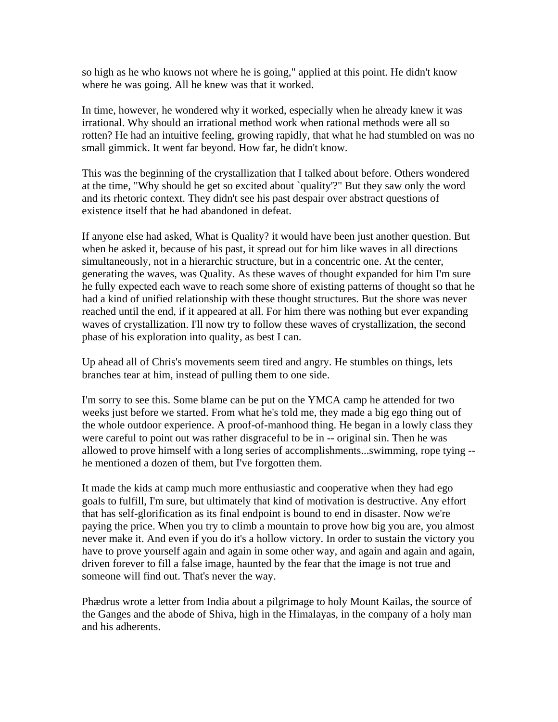so high as he who knows not where he is going," applied at this point. He didn't know where he was going. All he knew was that it worked.

In time, however, he wondered why it worked, especially when he already knew it was irrational. Why should an irrational method work when rational methods were all so rotten? He had an intuitive feeling, growing rapidly, that what he had stumbled on was no small gimmick. It went far beyond. How far, he didn't know.

This was the beginning of the crystallization that I talked about before. Others wondered at the time, "Why should he get so excited about `quality'?" But they saw only the word and its rhetoric context. They didn't see his past despair over abstract questions of existence itself that he had abandoned in defeat.

If anyone else had asked, What is Quality? it would have been just another question. But when he asked it, because of his past, it spread out for him like waves in all directions simultaneously, not in a hierarchic structure, but in a concentric one. At the center, generating the waves, was Quality. As these waves of thought expanded for him I'm sure he fully expected each wave to reach some shore of existing patterns of thought so that he had a kind of unified relationship with these thought structures. But the shore was never reached until the end, if it appeared at all. For him there was nothing but ever expanding waves of crystallization. I'll now try to follow these waves of crystallization, the second phase of his exploration into quality, as best I can.

Up ahead all of Chris's movements seem tired and angry. He stumbles on things, lets branches tear at him, instead of pulling them to one side.

I'm sorry to see this. Some blame can be put on the YMCA camp he attended for two weeks just before we started. From what he's told me, they made a big ego thing out of the whole outdoor experience. A proof-of-manhood thing. He began in a lowly class they were careful to point out was rather disgraceful to be in -- original sin. Then he was allowed to prove himself with a long series of accomplishments...swimming, rope tying - he mentioned a dozen of them, but I've forgotten them.

It made the kids at camp much more enthusiastic and cooperative when they had ego goals to fulfill, I'm sure, but ultimately that kind of motivation is destructive. Any effort that has self-glorification as its final endpoint is bound to end in disaster. Now we're paying the price. When you try to climb a mountain to prove how big you are, you almost never make it. And even if you do it's a hollow victory. In order to sustain the victory you have to prove yourself again and again in some other way, and again and again and again, driven forever to fill a false image, haunted by the fear that the image is not true and someone will find out. That's never the way.

Phædrus wrote a letter from India about a pilgrimage to holy Mount Kailas, the source of the Ganges and the abode of Shiva, high in the Himalayas, in the company of a holy man and his adherents.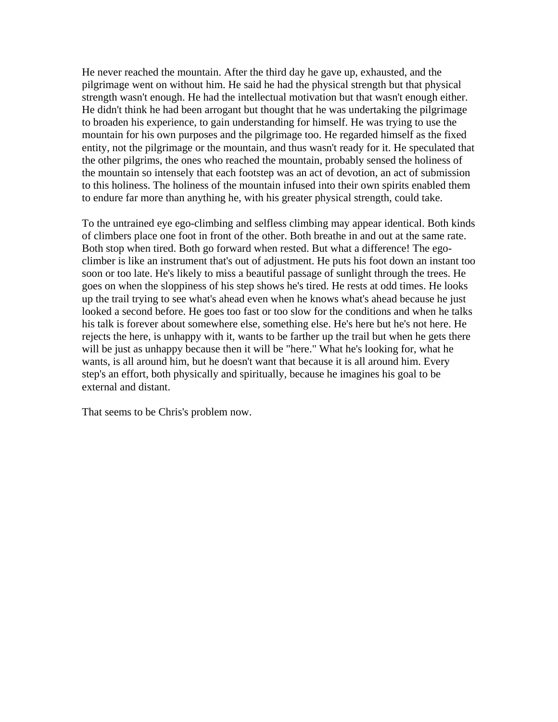He never reached the mountain. After the third day he gave up, exhausted, and the pilgrimage went on without him. He said he had the physical strength but that physical strength wasn't enough. He had the intellectual motivation but that wasn't enough either. He didn't think he had been arrogant but thought that he was undertaking the pilgrimage to broaden his experience, to gain understanding for himself. He was trying to use the mountain for his own purposes and the pilgrimage too. He regarded himself as the fixed entity, not the pilgrimage or the mountain, and thus wasn't ready for it. He speculated that the other pilgrims, the ones who reached the mountain, probably sensed the holiness of the mountain so intensely that each footstep was an act of devotion, an act of submission to this holiness. The holiness of the mountain infused into their own spirits enabled them to endure far more than anything he, with his greater physical strength, could take.

To the untrained eye ego-climbing and selfless climbing may appear identical. Both kinds of climbers place one foot in front of the other. Both breathe in and out at the same rate. Both stop when tired. Both go forward when rested. But what a difference! The egoclimber is like an instrument that's out of adjustment. He puts his foot down an instant too soon or too late. He's likely to miss a beautiful passage of sunlight through the trees. He goes on when the sloppiness of his step shows he's tired. He rests at odd times. He looks up the trail trying to see what's ahead even when he knows what's ahead because he just looked a second before. He goes too fast or too slow for the conditions and when he talks his talk is forever about somewhere else, something else. He's here but he's not here. He rejects the here, is unhappy with it, wants to be farther up the trail but when he gets there will be just as unhappy because then it will be "here." What he's looking for, what he wants, is all around him, but he doesn't want that because it is all around him. Every step's an effort, both physically and spiritually, because he imagines his goal to be external and distant.

That seems to be Chris's problem now.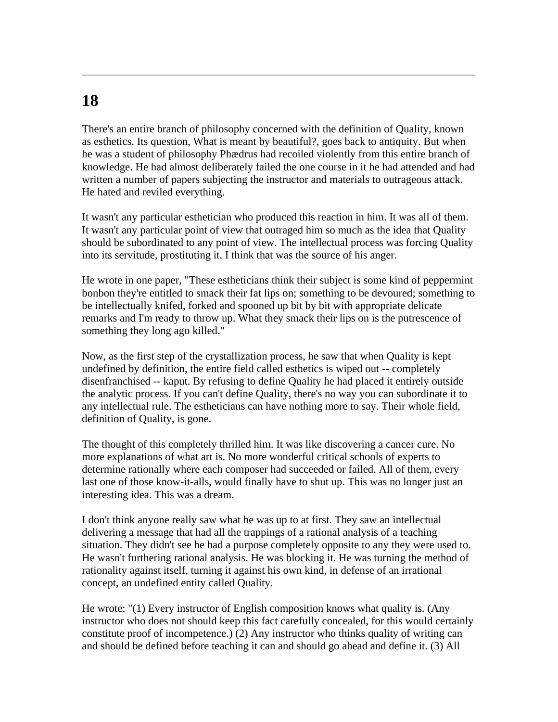## **18**

There's an entire branch of philosophy concerned with the definition of Quality, known as esthetics. Its question, What is meant by beautiful?, goes back to antiquity. But when he was a student of philosophy Phædrus had recoiled violently from this entire branch of knowledge. He had almost deliberately failed the one course in it he had attended and had written a number of papers subjecting the instructor and materials to outrageous attack. He hated and reviled everything.

It wasn't any particular esthetician who produced this reaction in him. It was all of them. It wasn't any particular point of view that outraged him so much as the idea that Quality should be subordinated to any point of view. The intellectual process was forcing Quality into its servitude, prostituting it. I think that was the source of his anger.

He wrote in one paper, "These estheticians think their subject is some kind of peppermint bonbon they're entitled to smack their fat lips on; something to be devoured; something to be intellectually knifed, forked and spooned up bit by bit with appropriate delicate remarks and I'm ready to throw up. What they smack their lips on is the putrescence of something they long ago killed."

Now, as the first step of the crystallization process, he saw that when Quality is kept undefined by definition, the entire field called esthetics is wiped out -- completely disenfranchised -- kaput. By refusing to define Quality he had placed it entirely outside the analytic process. If you can't define Quality, there's no way you can subordinate it to any intellectual rule. The estheticians can have nothing more to say. Their whole field, definition of Quality, is gone.

The thought of this completely thrilled him. It was like discovering a cancer cure. No more explanations of what art is. No more wonderful critical schools of experts to determine rationally where each composer had succeeded or failed. All of them, every last one of those know-it-alls, would finally have to shut up. This was no longer just an interesting idea. This was a dream.

I don't think anyone really saw what he was up to at first. They saw an intellectual delivering a message that had all the trappings of a rational analysis of a teaching situation. They didn't see he had a purpose completely opposite to any they were used to. He wasn't furthering rational analysis. He was blocking it. He was turning the method of rationality against itself, turning it against his own kind, in defense of an irrational concept, an undefined entity called Quality.

He wrote: "(1) Every instructor of English composition knows what quality is. (Any instructor who does not should keep this fact carefully concealed, for this would certainly constitute proof of incompetence.) (2) Any instructor who thinks quality of writing can and should be defined before teaching it can and should go ahead and define it. (3) All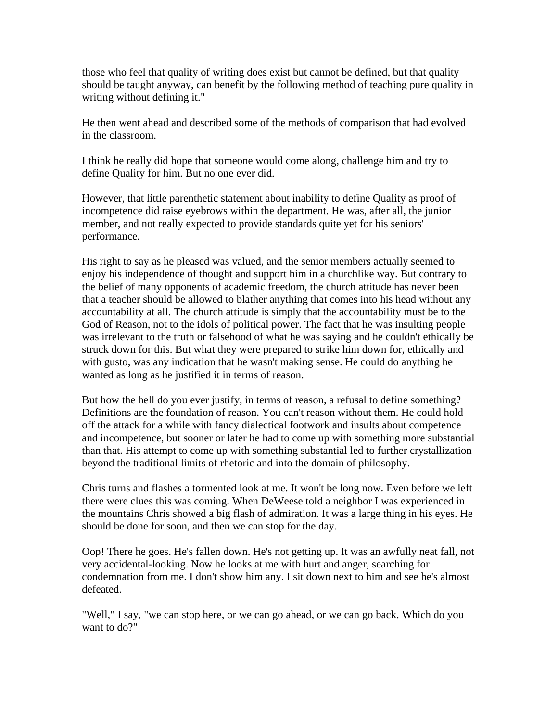those who feel that quality of writing does exist but cannot be defined, but that quality should be taught anyway, can benefit by the following method of teaching pure quality in writing without defining it."

He then went ahead and described some of the methods of comparison that had evolved in the classroom.

I think he really did hope that someone would come along, challenge him and try to define Quality for him. But no one ever did.

However, that little parenthetic statement about inability to define Quality as proof of incompetence did raise eyebrows within the department. He was, after all, the junior member, and not really expected to provide standards quite yet for his seniors' performance.

His right to say as he pleased was valued, and the senior members actually seemed to enjoy his independence of thought and support him in a churchlike way. But contrary to the belief of many opponents of academic freedom, the church attitude has never been that a teacher should be allowed to blather anything that comes into his head without any accountability at all. The church attitude is simply that the accountability must be to the God of Reason, not to the idols of political power. The fact that he was insulting people was irrelevant to the truth or falsehood of what he was saying and he couldn't ethically be struck down for this. But what they were prepared to strike him down for, ethically and with gusto, was any indication that he wasn't making sense. He could do anything he wanted as long as he justified it in terms of reason.

But how the hell do you ever justify, in terms of reason, a refusal to define something? Definitions are the foundation of reason. You can't reason without them. He could hold off the attack for a while with fancy dialectical footwork and insults about competence and incompetence, but sooner or later he had to come up with something more substantial than that. His attempt to come up with something substantial led to further crystallization beyond the traditional limits of rhetoric and into the domain of philosophy.

Chris turns and flashes a tormented look at me. It won't be long now. Even before we left there were clues this was coming. When DeWeese told a neighbor I was experienced in the mountains Chris showed a big flash of admiration. It was a large thing in his eyes. He should be done for soon, and then we can stop for the day.

Oop! There he goes. He's fallen down. He's not getting up. It was an awfully neat fall, not very accidental-looking. Now he looks at me with hurt and anger, searching for condemnation from me. I don't show him any. I sit down next to him and see he's almost defeated.

"Well," I say, "we can stop here, or we can go ahead, or we can go back. Which do you want to do?"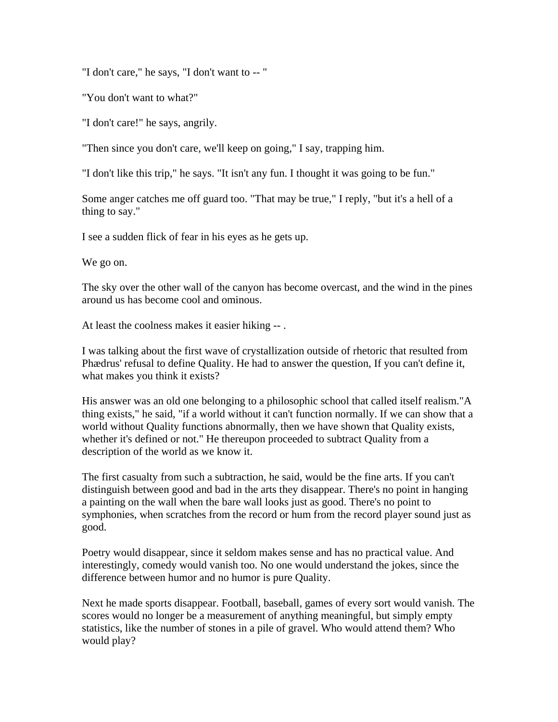"I don't care," he says, "I don't want to -- "

"You don't want to what?"

"I don't care!" he says, angrily.

"Then since you don't care, we'll keep on going," I say, trapping him.

"I don't like this trip," he says. "It isn't any fun. I thought it was going to be fun."

Some anger catches me off guard too. "That may be true," I reply, "but it's a hell of a thing to say."

I see a sudden flick of fear in his eyes as he gets up.

We go on.

The sky over the other wall of the canyon has become overcast, and the wind in the pines around us has become cool and ominous.

At least the coolness makes it easier hiking -- .

I was talking about the first wave of crystallization outside of rhetoric that resulted from Phædrus' refusal to define Quality. He had to answer the question, If you can't define it, what makes you think it exists?

His answer was an old one belonging to a philosophic school that called itself realism."A thing exists," he said, "if a world without it can't function normally. If we can show that a world without Quality functions abnormally, then we have shown that Quality exists, whether it's defined or not." He thereupon proceeded to subtract Quality from a description of the world as we know it.

The first casualty from such a subtraction, he said, would be the fine arts. If you can't distinguish between good and bad in the arts they disappear. There's no point in hanging a painting on the wall when the bare wall looks just as good. There's no point to symphonies, when scratches from the record or hum from the record player sound just as good.

Poetry would disappear, since it seldom makes sense and has no practical value. And interestingly, comedy would vanish too. No one would understand the jokes, since the difference between humor and no humor is pure Quality.

Next he made sports disappear. Football, baseball, games of every sort would vanish. The scores would no longer be a measurement of anything meaningful, but simply empty statistics, like the number of stones in a pile of gravel. Who would attend them? Who would play?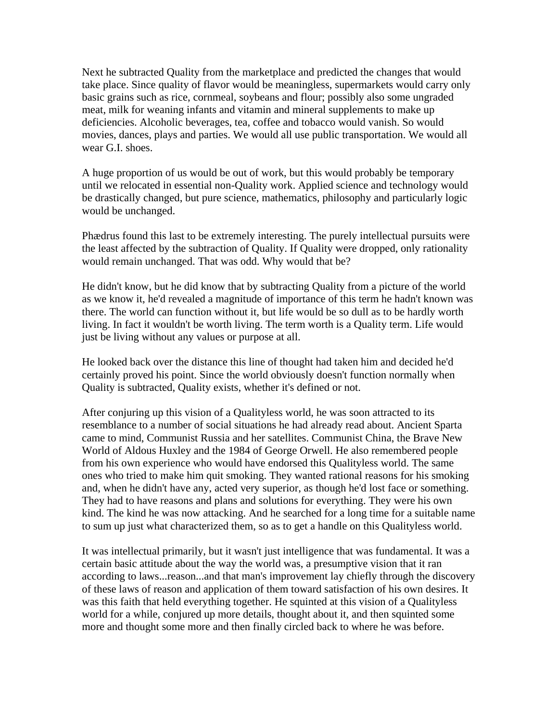Next he subtracted Quality from the marketplace and predicted the changes that would take place. Since quality of flavor would be meaningless, supermarkets would carry only basic grains such as rice, cornmeal, soybeans and flour; possibly also some ungraded meat, milk for weaning infants and vitamin and mineral supplements to make up deficiencies. Alcoholic beverages, tea, coffee and tobacco would vanish. So would movies, dances, plays and parties. We would all use public transportation. We would all wear G.I. shoes.

A huge proportion of us would be out of work, but this would probably be temporary until we relocated in essential non-Quality work. Applied science and technology would be drastically changed, but pure science, mathematics, philosophy and particularly logic would be unchanged.

Phædrus found this last to be extremely interesting. The purely intellectual pursuits were the least affected by the subtraction of Quality. If Quality were dropped, only rationality would remain unchanged. That was odd. Why would that be?

He didn't know, but he did know that by subtracting Quality from a picture of the world as we know it, he'd revealed a magnitude of importance of this term he hadn't known was there. The world can function without it, but life would be so dull as to be hardly worth living. In fact it wouldn't be worth living. The term worth is a Quality term. Life would just be living without any values or purpose at all.

He looked back over the distance this line of thought had taken him and decided he'd certainly proved his point. Since the world obviously doesn't function normally when Quality is subtracted, Quality exists, whether it's defined or not.

After conjuring up this vision of a Qualityless world, he was soon attracted to its resemblance to a number of social situations he had already read about. Ancient Sparta came to mind, Communist Russia and her satellites. Communist China, the Brave New World of Aldous Huxley and the 1984 of George Orwell. He also remembered people from his own experience who would have endorsed this Qualityless world. The same ones who tried to make him quit smoking. They wanted rational reasons for his smoking and, when he didn't have any, acted very superior, as though he'd lost face or something. They had to have reasons and plans and solutions for everything. They were his own kind. The kind he was now attacking. And he searched for a long time for a suitable name to sum up just what characterized them, so as to get a handle on this Qualityless world.

It was intellectual primarily, but it wasn't just intelligence that was fundamental. It was a certain basic attitude about the way the world was, a presumptive vision that it ran according to laws...reason...and that man's improvement lay chiefly through the discovery of these laws of reason and application of them toward satisfaction of his own desires. It was this faith that held everything together. He squinted at this vision of a Qualityless world for a while, conjured up more details, thought about it, and then squinted some more and thought some more and then finally circled back to where he was before.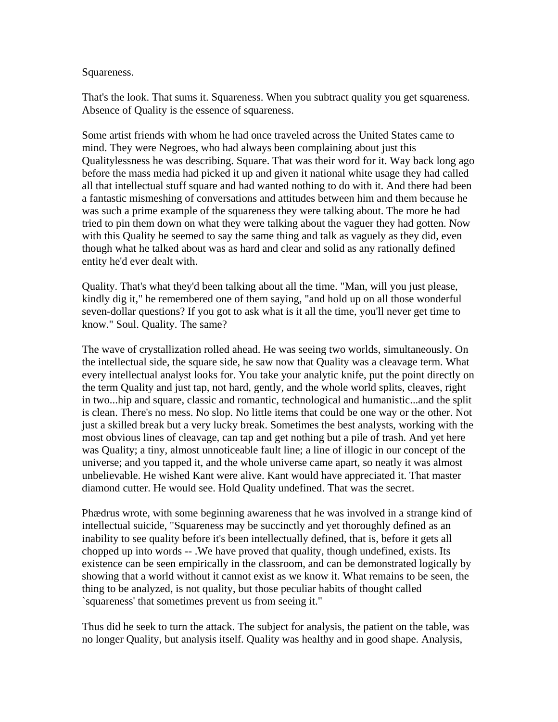#### Squareness.

That's the look. That sums it. Squareness. When you subtract quality you get squareness. Absence of Quality is the essence of squareness.

Some artist friends with whom he had once traveled across the United States came to mind. They were Negroes, who had always been complaining about just this Qualitylessness he was describing. Square. That was their word for it. Way back long ago before the mass media had picked it up and given it national white usage they had called all that intellectual stuff square and had wanted nothing to do with it. And there had been a fantastic mismeshing of conversations and attitudes between him and them because he was such a prime example of the squareness they were talking about. The more he had tried to pin them down on what they were talking about the vaguer they had gotten. Now with this Quality he seemed to say the same thing and talk as vaguely as they did, even though what he talked about was as hard and clear and solid as any rationally defined entity he'd ever dealt with.

Quality. That's what they'd been talking about all the time. "Man, will you just please, kindly dig it," he remembered one of them saying, "and hold up on all those wonderful seven-dollar questions? If you got to ask what is it all the time, you'll never get time to know." Soul. Quality. The same?

The wave of crystallization rolled ahead. He was seeing two worlds, simultaneously. On the intellectual side, the square side, he saw now that Quality was a cleavage term. What every intellectual analyst looks for. You take your analytic knife, put the point directly on the term Quality and just tap, not hard, gently, and the whole world splits, cleaves, right in two...hip and square, classic and romantic, technological and humanistic...and the split is clean. There's no mess. No slop. No little items that could be one way or the other. Not just a skilled break but a very lucky break. Sometimes the best analysts, working with the most obvious lines of cleavage, can tap and get nothing but a pile of trash. And yet here was Quality; a tiny, almost unnoticeable fault line; a line of illogic in our concept of the universe; and you tapped it, and the whole universe came apart, so neatly it was almost unbelievable. He wished Kant were alive. Kant would have appreciated it. That master diamond cutter. He would see. Hold Quality undefined. That was the secret.

Phædrus wrote, with some beginning awareness that he was involved in a strange kind of intellectual suicide, "Squareness may be succinctly and yet thoroughly defined as an inability to see quality before it's been intellectually defined, that is, before it gets all chopped up into words -- .We have proved that quality, though undefined, exists. Its existence can be seen empirically in the classroom, and can be demonstrated logically by showing that a world without it cannot exist as we know it. What remains to be seen, the thing to be analyzed, is not quality, but those peculiar habits of thought called `squareness' that sometimes prevent us from seeing it."

Thus did he seek to turn the attack. The subject for analysis, the patient on the table, was no longer Quality, but analysis itself. Quality was healthy and in good shape. Analysis,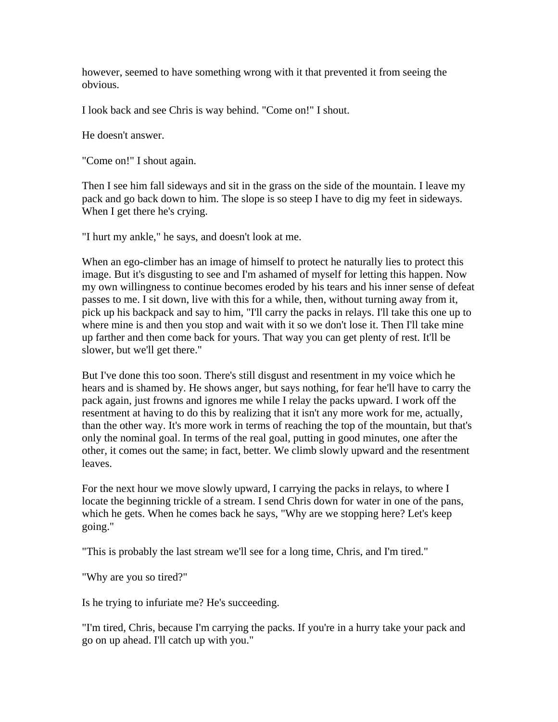however, seemed to have something wrong with it that prevented it from seeing the obvious.

I look back and see Chris is way behind. "Come on!" I shout.

He doesn't answer.

"Come on!" I shout again.

Then I see him fall sideways and sit in the grass on the side of the mountain. I leave my pack and go back down to him. The slope is so steep I have to dig my feet in sideways. When I get there he's crying.

"I hurt my ankle," he says, and doesn't look at me.

When an ego-climber has an image of himself to protect he naturally lies to protect this image. But it's disgusting to see and I'm ashamed of myself for letting this happen. Now my own willingness to continue becomes eroded by his tears and his inner sense of defeat passes to me. I sit down, live with this for a while, then, without turning away from it, pick up his backpack and say to him, "I'll carry the packs in relays. I'll take this one up to where mine is and then you stop and wait with it so we don't lose it. Then I'll take mine up farther and then come back for yours. That way you can get plenty of rest. It'll be slower, but we'll get there."

But I've done this too soon. There's still disgust and resentment in my voice which he hears and is shamed by. He shows anger, but says nothing, for fear he'll have to carry the pack again, just frowns and ignores me while I relay the packs upward. I work off the resentment at having to do this by realizing that it isn't any more work for me, actually, than the other way. It's more work in terms of reaching the top of the mountain, but that's only the nominal goal. In terms of the real goal, putting in good minutes, one after the other, it comes out the same; in fact, better. We climb slowly upward and the resentment leaves.

For the next hour we move slowly upward, I carrying the packs in relays, to where I locate the beginning trickle of a stream. I send Chris down for water in one of the pans, which he gets. When he comes back he says, "Why are we stopping here? Let's keep going."

"This is probably the last stream we'll see for a long time, Chris, and I'm tired."

"Why are you so tired?"

Is he trying to infuriate me? He's succeeding.

"I'm tired, Chris, because I'm carrying the packs. If you're in a hurry take your pack and go on up ahead. I'll catch up with you."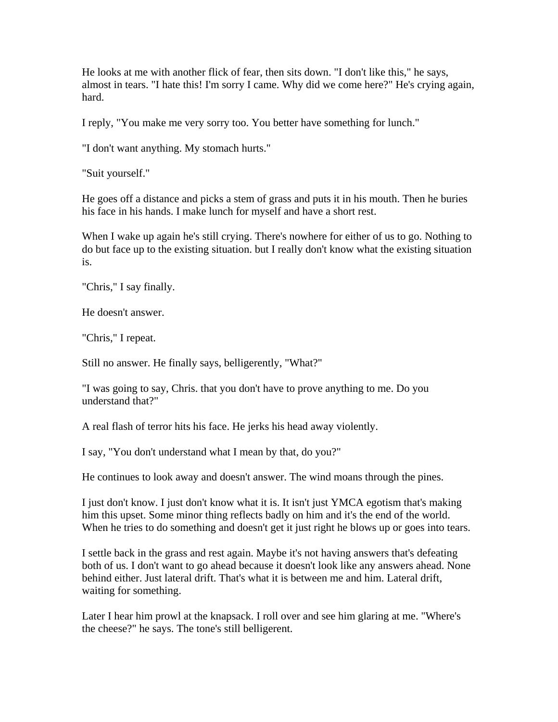He looks at me with another flick of fear, then sits down. "I don't like this," he says, almost in tears. "I hate this! I'm sorry I came. Why did we come here?" He's crying again, hard.

I reply, "You make me very sorry too. You better have something for lunch."

"I don't want anything. My stomach hurts."

"Suit yourself."

He goes off a distance and picks a stem of grass and puts it in his mouth. Then he buries his face in his hands. I make lunch for myself and have a short rest.

When I wake up again he's still crying. There's nowhere for either of us to go. Nothing to do but face up to the existing situation. but I really don't know what the existing situation is.

"Chris," I say finally.

He doesn't answer.

"Chris," I repeat.

Still no answer. He finally says, belligerently, "What?"

"I was going to say, Chris. that you don't have to prove anything to me. Do you understand that?"

A real flash of terror hits his face. He jerks his head away violently.

I say, "You don't understand what I mean by that, do you?"

He continues to look away and doesn't answer. The wind moans through the pines.

I just don't know. I just don't know what it is. It isn't just YMCA egotism that's making him this upset. Some minor thing reflects badly on him and it's the end of the world. When he tries to do something and doesn't get it just right he blows up or goes into tears.

I settle back in the grass and rest again. Maybe it's not having answers that's defeating both of us. I don't want to go ahead because it doesn't look like any answers ahead. None behind either. Just lateral drift. That's what it is between me and him. Lateral drift, waiting for something.

Later I hear him prowl at the knapsack. I roll over and see him glaring at me. "Where's the cheese?" he says. The tone's still belligerent.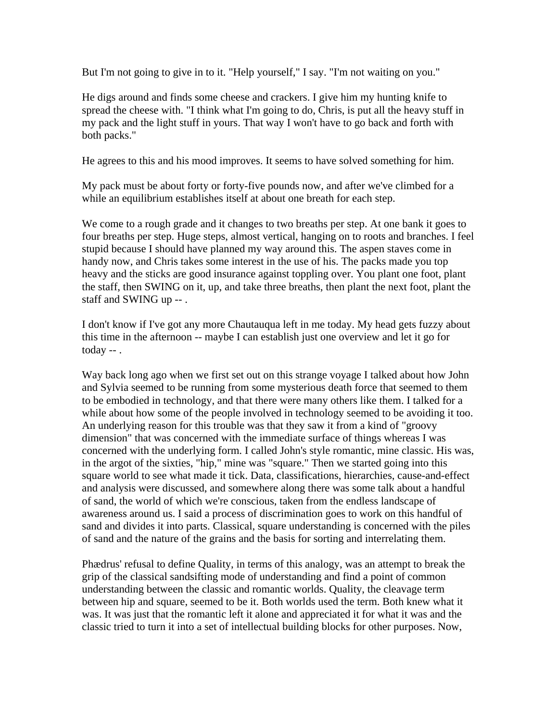But I'm not going to give in to it. "Help yourself," I say. "I'm not waiting on you."

He digs around and finds some cheese and crackers. I give him my hunting knife to spread the cheese with. "I think what I'm going to do, Chris, is put all the heavy stuff in my pack and the light stuff in yours. That way I won't have to go back and forth with both packs."

He agrees to this and his mood improves. It seems to have solved something for him.

My pack must be about forty or forty-five pounds now, and after we've climbed for a while an equilibrium establishes itself at about one breath for each step.

We come to a rough grade and it changes to two breaths per step. At one bank it goes to four breaths per step. Huge steps, almost vertical, hanging on to roots and branches. I feel stupid because I should have planned my way around this. The aspen staves come in handy now, and Chris takes some interest in the use of his. The packs made you top heavy and the sticks are good insurance against toppling over. You plant one foot, plant the staff, then SWING on it, up, and take three breaths, then plant the next foot, plant the staff and SWING up -- .

I don't know if I've got any more Chautauqua left in me today. My head gets fuzzy about this time in the afternoon -- maybe I can establish just one overview and let it go for today -- .

Way back long ago when we first set out on this strange voyage I talked about how John and Sylvia seemed to be running from some mysterious death force that seemed to them to be embodied in technology, and that there were many others like them. I talked for a while about how some of the people involved in technology seemed to be avoiding it too. An underlying reason for this trouble was that they saw it from a kind of "groovy dimension" that was concerned with the immediate surface of things whereas I was concerned with the underlying form. I called John's style romantic, mine classic. His was, in the argot of the sixties, "hip," mine was "square." Then we started going into this square world to see what made it tick. Data, classifications, hierarchies, cause-and-effect and analysis were discussed, and somewhere along there was some talk about a handful of sand, the world of which we're conscious, taken from the endless landscape of awareness around us. I said a process of discrimination goes to work on this handful of sand and divides it into parts. Classical, square understanding is concerned with the piles of sand and the nature of the grains and the basis for sorting and interrelating them.

Phædrus' refusal to define Quality, in terms of this analogy, was an attempt to break the grip of the classical sandsifting mode of understanding and find a point of common understanding between the classic and romantic worlds. Quality, the cleavage term between hip and square, seemed to be it. Both worlds used the term. Both knew what it was. It was just that the romantic left it alone and appreciated it for what it was and the classic tried to turn it into a set of intellectual building blocks for other purposes. Now,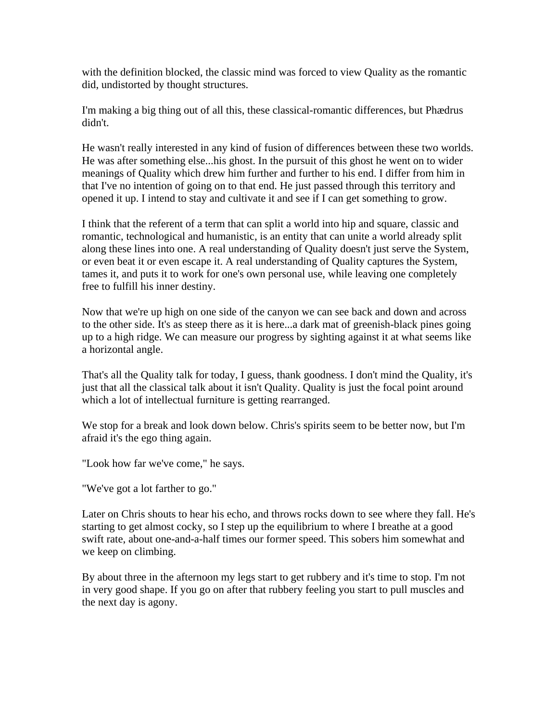with the definition blocked, the classic mind was forced to view Quality as the romantic did, undistorted by thought structures.

I'm making a big thing out of all this, these classical-romantic differences, but Phædrus didn't.

He wasn't really interested in any kind of fusion of differences between these two worlds. He was after something else...his ghost. In the pursuit of this ghost he went on to wider meanings of Quality which drew him further and further to his end. I differ from him in that I've no intention of going on to that end. He just passed through this territory and opened it up. I intend to stay and cultivate it and see if I can get something to grow.

I think that the referent of a term that can split a world into hip and square, classic and romantic, technological and humanistic, is an entity that can unite a world already split along these lines into one. A real understanding of Quality doesn't just serve the System, or even beat it or even escape it. A real understanding of Quality captures the System, tames it, and puts it to work for one's own personal use, while leaving one completely free to fulfill his inner destiny.

Now that we're up high on one side of the canyon we can see back and down and across to the other side. It's as steep there as it is here...a dark mat of greenish-black pines going up to a high ridge. We can measure our progress by sighting against it at what seems like a horizontal angle.

That's all the Quality talk for today, I guess, thank goodness. I don't mind the Quality, it's just that all the classical talk about it isn't Quality. Quality is just the focal point around which a lot of intellectual furniture is getting rearranged.

We stop for a break and look down below. Chris's spirits seem to be better now, but I'm afraid it's the ego thing again.

"Look how far we've come," he says.

"We've got a lot farther to go."

Later on Chris shouts to hear his echo, and throws rocks down to see where they fall. He's starting to get almost cocky, so I step up the equilibrium to where I breathe at a good swift rate, about one-and-a-half times our former speed. This sobers him somewhat and we keep on climbing.

By about three in the afternoon my legs start to get rubbery and it's time to stop. I'm not in very good shape. If you go on after that rubbery feeling you start to pull muscles and the next day is agony.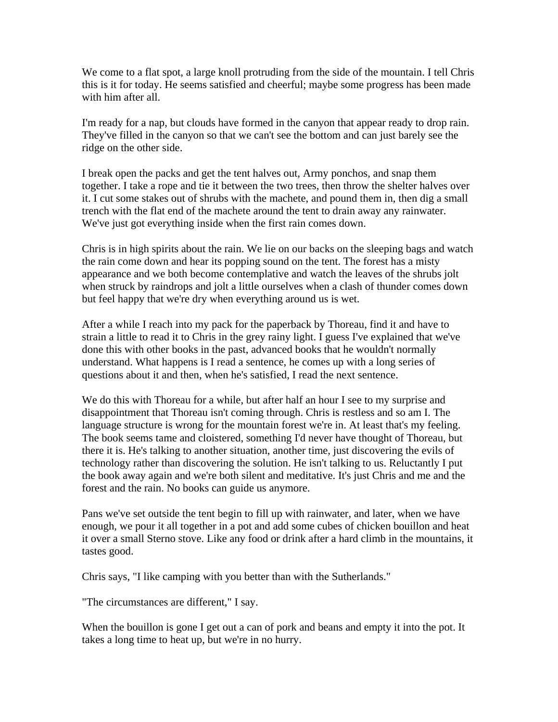We come to a flat spot, a large knoll protruding from the side of the mountain. I tell Chris this is it for today. He seems satisfied and cheerful; maybe some progress has been made with him after all.

I'm ready for a nap, but clouds have formed in the canyon that appear ready to drop rain. They've filled in the canyon so that we can't see the bottom and can just barely see the ridge on the other side.

I break open the packs and get the tent halves out, Army ponchos, and snap them together. I take a rope and tie it between the two trees, then throw the shelter halves over it. I cut some stakes out of shrubs with the machete, and pound them in, then dig a small trench with the flat end of the machete around the tent to drain away any rainwater. We've just got everything inside when the first rain comes down.

Chris is in high spirits about the rain. We lie on our backs on the sleeping bags and watch the rain come down and hear its popping sound on the tent. The forest has a misty appearance and we both become contemplative and watch the leaves of the shrubs jolt when struck by raindrops and jolt a little ourselves when a clash of thunder comes down but feel happy that we're dry when everything around us is wet.

After a while I reach into my pack for the paperback by Thoreau, find it and have to strain a little to read it to Chris in the grey rainy light. I guess I've explained that we've done this with other books in the past, advanced books that he wouldn't normally understand. What happens is I read a sentence, he comes up with a long series of questions about it and then, when he's satisfied, I read the next sentence.

We do this with Thoreau for a while, but after half an hour I see to my surprise and disappointment that Thoreau isn't coming through. Chris is restless and so am I. The language structure is wrong for the mountain forest we're in. At least that's my feeling. The book seems tame and cloistered, something I'd never have thought of Thoreau, but there it is. He's talking to another situation, another time, just discovering the evils of technology rather than discovering the solution. He isn't talking to us. Reluctantly I put the book away again and we're both silent and meditative. It's just Chris and me and the forest and the rain. No books can guide us anymore.

Pans we've set outside the tent begin to fill up with rainwater, and later, when we have enough, we pour it all together in a pot and add some cubes of chicken bouillon and heat it over a small Sterno stove. Like any food or drink after a hard climb in the mountains, it tastes good.

Chris says, "I like camping with you better than with the Sutherlands."

"The circumstances are different," I say.

When the bouillon is gone I get out a can of pork and beans and empty it into the pot. It takes a long time to heat up, but we're in no hurry.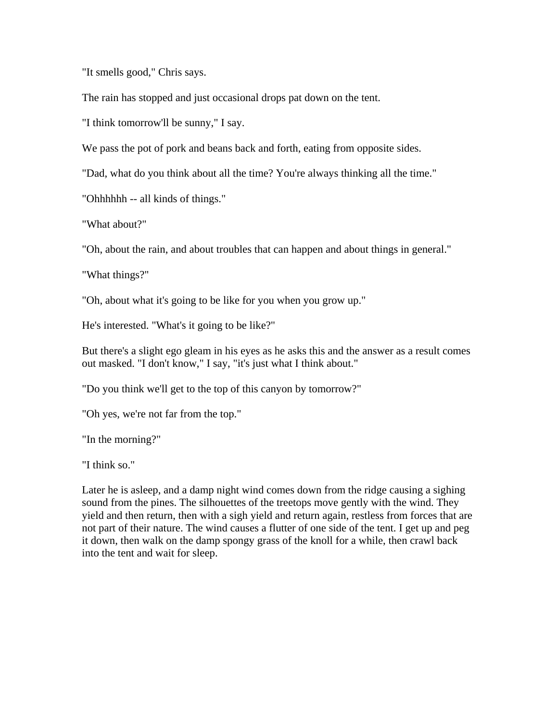"It smells good," Chris says.

The rain has stopped and just occasional drops pat down on the tent.

"I think tomorrow'll be sunny," I say.

We pass the pot of pork and beans back and forth, eating from opposite sides.

"Dad, what do you think about all the time? You're always thinking all the time."

"Ohhhhhh -- all kinds of things."

"What about?"

"Oh, about the rain, and about troubles that can happen and about things in general."

"What things?"

"Oh, about what it's going to be like for you when you grow up."

He's interested. "What's it going to be like?"

But there's a slight ego gleam in his eyes as he asks this and the answer as a result comes out masked. "I don't know," I say, "it's just what I think about."

"Do you think we'll get to the top of this canyon by tomorrow?"

"Oh yes, we're not far from the top."

"In the morning?"

"I think so."

Later he is asleep, and a damp night wind comes down from the ridge causing a sighing sound from the pines. The silhouettes of the treetops move gently with the wind. They yield and then return, then with a sigh yield and return again, restless from forces that are not part of their nature. The wind causes a flutter of one side of the tent. I get up and peg it down, then walk on the damp spongy grass of the knoll for a while, then crawl back into the tent and wait for sleep.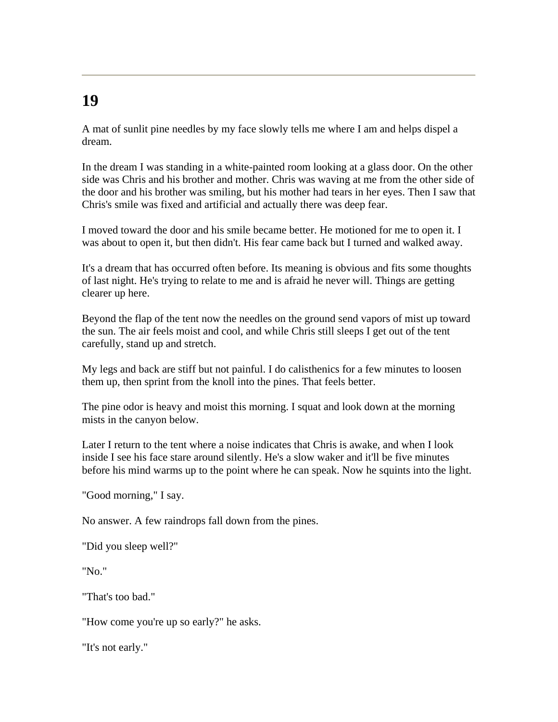## **19**

A mat of sunlit pine needles by my face slowly tells me where I am and helps dispel a dream.

In the dream I was standing in a white-painted room looking at a glass door. On the other side was Chris and his brother and mother. Chris was waving at me from the other side of the door and his brother was smiling, but his mother had tears in her eyes. Then I saw that Chris's smile was fixed and artificial and actually there was deep fear.

I moved toward the door and his smile became better. He motioned for me to open it. I was about to open it, but then didn't. His fear came back but I turned and walked away.

It's a dream that has occurred often before. Its meaning is obvious and fits some thoughts of last night. He's trying to relate to me and is afraid he never will. Things are getting clearer up here.

Beyond the flap of the tent now the needles on the ground send vapors of mist up toward the sun. The air feels moist and cool, and while Chris still sleeps I get out of the tent carefully, stand up and stretch.

My legs and back are stiff but not painful. I do calisthenics for a few minutes to loosen them up, then sprint from the knoll into the pines. That feels better.

The pine odor is heavy and moist this morning. I squat and look down at the morning mists in the canyon below.

Later I return to the tent where a noise indicates that Chris is awake, and when I look inside I see his face stare around silently. He's a slow waker and it'll be five minutes before his mind warms up to the point where he can speak. Now he squints into the light.

"Good morning," I say.

No answer. A few raindrops fall down from the pines.

"Did you sleep well?"

"No."

"That's too bad."

"How come you're up so early?" he asks.

"It's not early."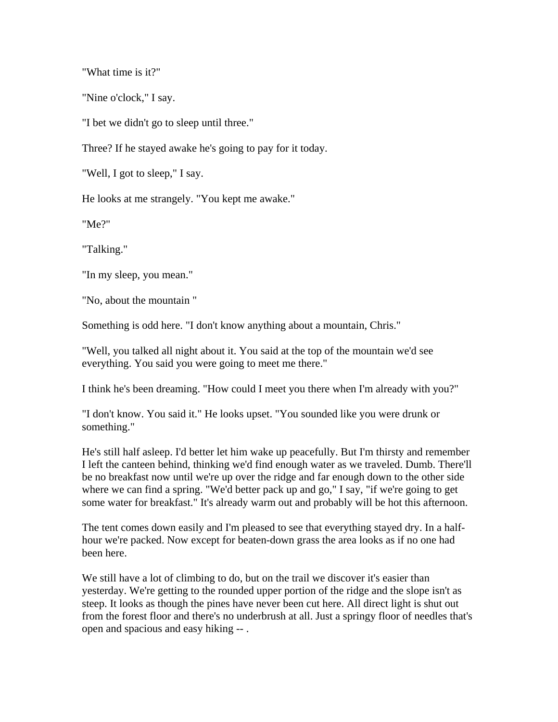"What time is it?"

"Nine o'clock," I say.

"I bet we didn't go to sleep until three."

Three? If he stayed awake he's going to pay for it today.

"Well, I got to sleep," I say.

He looks at me strangely. "You kept me awake."

"Me?"

"Talking."

"In my sleep, you mean."

"No, about the mountain "

Something is odd here. "I don't know anything about a mountain, Chris."

"Well, you talked all night about it. You said at the top of the mountain we'd see everything. You said you were going to meet me there."

I think he's been dreaming. "How could I meet you there when I'm already with you?"

"I don't know. You said it." He looks upset. "You sounded like you were drunk or something."

He's still half asleep. I'd better let him wake up peacefully. But I'm thirsty and remember I left the canteen behind, thinking we'd find enough water as we traveled. Dumb. There'll be no breakfast now until we're up over the ridge and far enough down to the other side where we can find a spring. "We'd better pack up and go," I say, "if we're going to get some water for breakfast." It's already warm out and probably will be hot this afternoon.

The tent comes down easily and I'm pleased to see that everything stayed dry. In a halfhour we're packed. Now except for beaten-down grass the area looks as if no one had been here.

We still have a lot of climbing to do, but on the trail we discover it's easier than yesterday. We're getting to the rounded upper portion of the ridge and the slope isn't as steep. It looks as though the pines have never been cut here. All direct light is shut out from the forest floor and there's no underbrush at all. Just a springy floor of needles that's open and spacious and easy hiking -- .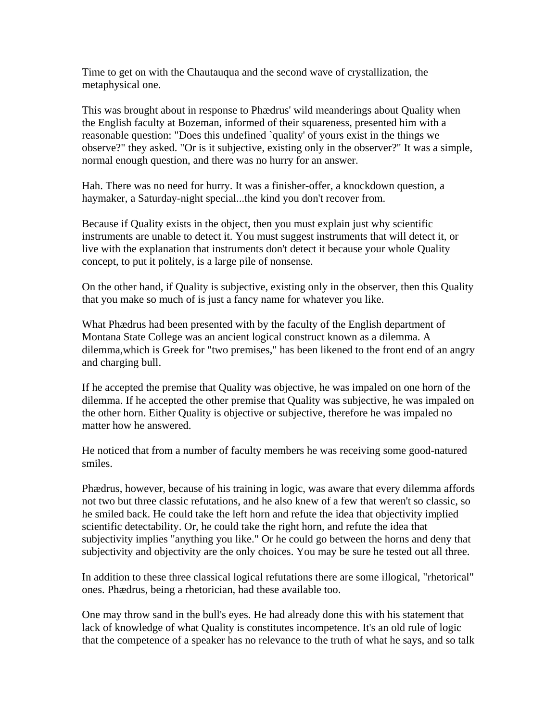Time to get on with the Chautauqua and the second wave of crystallization, the metaphysical one.

This was brought about in response to Phædrus' wild meanderings about Quality when the English faculty at Bozeman, informed of their squareness, presented him with a reasonable question: "Does this undefined `quality' of yours exist in the things we observe?" they asked. "Or is it subjective, existing only in the observer?" It was a simple, normal enough question, and there was no hurry for an answer.

Hah. There was no need for hurry. It was a finisher-offer, a knockdown question, a haymaker, a Saturday-night special...the kind you don't recover from.

Because if Quality exists in the object, then you must explain just why scientific instruments are unable to detect it. You must suggest instruments that will detect it, or live with the explanation that instruments don't detect it because your whole Quality concept, to put it politely, is a large pile of nonsense.

On the other hand, if Quality is subjective, existing only in the observer, then this Quality that you make so much of is just a fancy name for whatever you like.

What Phædrus had been presented with by the faculty of the English department of Montana State College was an ancient logical construct known as a dilemma. A dilemma,which is Greek for "two premises," has been likened to the front end of an angry and charging bull.

If he accepted the premise that Quality was objective, he was impaled on one horn of the dilemma. If he accepted the other premise that Quality was subjective, he was impaled on the other horn. Either Quality is objective or subjective, therefore he was impaled no matter how he answered.

He noticed that from a number of faculty members he was receiving some good-natured smiles.

Phædrus, however, because of his training in logic, was aware that every dilemma affords not two but three classic refutations, and he also knew of a few that weren't so classic, so he smiled back. He could take the left horn and refute the idea that objectivity implied scientific detectability. Or, he could take the right horn, and refute the idea that subjectivity implies "anything you like." Or he could go between the horns and deny that subjectivity and objectivity are the only choices. You may be sure he tested out all three.

In addition to these three classical logical refutations there are some illogical, "rhetorical" ones. Phædrus, being a rhetorician, had these available too.

One may throw sand in the bull's eyes. He had already done this with his statement that lack of knowledge of what Quality is constitutes incompetence. It's an old rule of logic that the competence of a speaker has no relevance to the truth of what he says, and so talk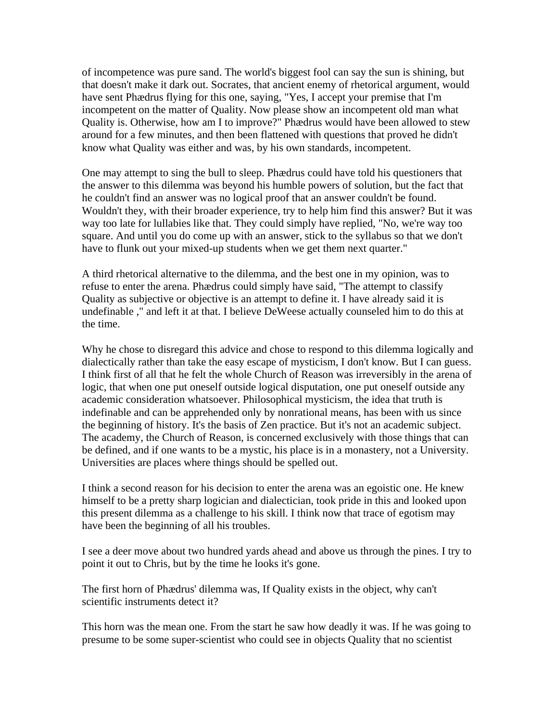of incompetence was pure sand. The world's biggest fool can say the sun is shining, but that doesn't make it dark out. Socrates, that ancient enemy of rhetorical argument, would have sent Phædrus flying for this one, saying, "Yes, I accept your premise that I'm incompetent on the matter of Quality. Now please show an incompetent old man what Quality is. Otherwise, how am I to improve?" Phædrus would have been allowed to stew around for a few minutes, and then been flattened with questions that proved he didn't know what Quality was either and was, by his own standards, incompetent.

One may attempt to sing the bull to sleep. Phædrus could have told his questioners that the answer to this dilemma was beyond his humble powers of solution, but the fact that he couldn't find an answer was no logical proof that an answer couldn't be found. Wouldn't they, with their broader experience, try to help him find this answer? But it was way too late for lullabies like that. They could simply have replied, "No, we're way too square. And until you do come up with an answer, stick to the syllabus so that we don't have to flunk out your mixed-up students when we get them next quarter."

A third rhetorical alternative to the dilemma, and the best one in my opinion, was to refuse to enter the arena. Phædrus could simply have said, "The attempt to classify Quality as subjective or objective is an attempt to define it. I have already said it is undefinable ," and left it at that. I believe DeWeese actually counseled him to do this at the time.

Why he chose to disregard this advice and chose to respond to this dilemma logically and dialectically rather than take the easy escape of mysticism, I don't know. But I can guess. I think first of all that he felt the whole Church of Reason was irreversibly in the arena of logic, that when one put oneself outside logical disputation, one put oneself outside any academic consideration whatsoever. Philosophical mysticism, the idea that truth is indefinable and can be apprehended only by nonrational means, has been with us since the beginning of history. It's the basis of Zen practice. But it's not an academic subject. The academy, the Church of Reason, is concerned exclusively with those things that can be defined, and if one wants to be a mystic, his place is in a monastery, not a University. Universities are places where things should be spelled out.

I think a second reason for his decision to enter the arena was an egoistic one. He knew himself to be a pretty sharp logician and dialectician, took pride in this and looked upon this present dilemma as a challenge to his skill. I think now that trace of egotism may have been the beginning of all his troubles.

I see a deer move about two hundred yards ahead and above us through the pines. I try to point it out to Chris, but by the time he looks it's gone.

The first horn of Phædrus' dilemma was, If Quality exists in the object, why can't scientific instruments detect it?

This horn was the mean one. From the start he saw how deadly it was. If he was going to presume to be some super-scientist who could see in objects Quality that no scientist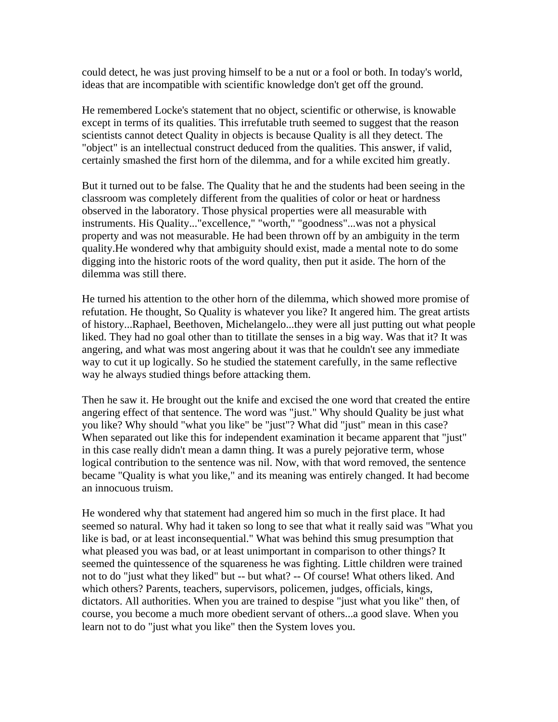could detect, he was just proving himself to be a nut or a fool or both. In today's world, ideas that are incompatible with scientific knowledge don't get off the ground.

He remembered Locke's statement that no object, scientific or otherwise, is knowable except in terms of its qualities. This irrefutable truth seemed to suggest that the reason scientists cannot detect Quality in objects is because Quality is all they detect. The "object" is an intellectual construct deduced from the qualities. This answer, if valid, certainly smashed the first horn of the dilemma, and for a while excited him greatly.

But it turned out to be false. The Quality that he and the students had been seeing in the classroom was completely different from the qualities of color or heat or hardness observed in the laboratory. Those physical properties were all measurable with instruments. His Quality..."excellence," "worth," "goodness"...was not a physical property and was not measurable. He had been thrown off by an ambiguity in the term quality.He wondered why that ambiguity should exist, made a mental note to do some digging into the historic roots of the word quality, then put it aside. The horn of the dilemma was still there.

He turned his attention to the other horn of the dilemma, which showed more promise of refutation. He thought, So Quality is whatever you like? It angered him. The great artists of history...Raphael, Beethoven, Michelangelo...they were all just putting out what people liked. They had no goal other than to titillate the senses in a big way. Was that it? It was angering, and what was most angering about it was that he couldn't see any immediate way to cut it up logically. So he studied the statement carefully, in the same reflective way he always studied things before attacking them.

Then he saw it. He brought out the knife and excised the one word that created the entire angering effect of that sentence. The word was "just." Why should Quality be just what you like? Why should "what you like" be "just"? What did "just" mean in this case? When separated out like this for independent examination it became apparent that "just" in this case really didn't mean a damn thing. It was a purely pejorative term, whose logical contribution to the sentence was nil. Now, with that word removed, the sentence became "Quality is what you like," and its meaning was entirely changed. It had become an innocuous truism.

He wondered why that statement had angered him so much in the first place. It had seemed so natural. Why had it taken so long to see that what it really said was "What you like is bad, or at least inconsequential." What was behind this smug presumption that what pleased you was bad, or at least unimportant in comparison to other things? It seemed the quintessence of the squareness he was fighting. Little children were trained not to do "just what they liked" but -- but what? -- Of course! What others liked. And which others? Parents, teachers, supervisors, policemen, judges, officials, kings, dictators. All authorities. When you are trained to despise "just what you like" then, of course, you become a much more obedient servant of others...a good slave. When you learn not to do "just what you like" then the System loves you.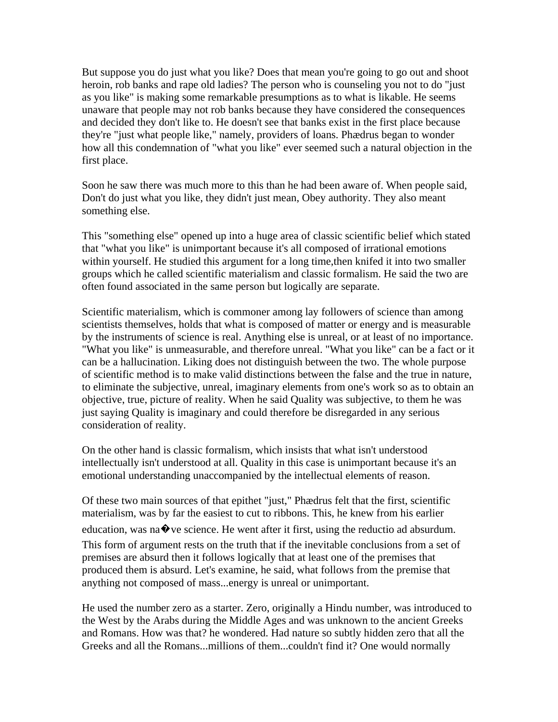But suppose you do just what you like? Does that mean you're going to go out and shoot heroin, rob banks and rape old ladies? The person who is counseling you not to do "just as you like" is making some remarkable presumptions as to what is likable. He seems unaware that people may not rob banks because they have considered the consequences and decided they don't like to. He doesn't see that banks exist in the first place because they're "just what people like," namely, providers of loans. Phædrus began to wonder how all this condemnation of "what you like" ever seemed such a natural objection in the first place.

Soon he saw there was much more to this than he had been aware of. When people said, Don't do just what you like, they didn't just mean, Obey authority. They also meant something else.

This "something else" opened up into a huge area of classic scientific belief which stated that "what you like" is unimportant because it's all composed of irrational emotions within yourself. He studied this argument for a long time,then knifed it into two smaller groups which he called scientific materialism and classic formalism. He said the two are often found associated in the same person but logically are separate.

Scientific materialism, which is commoner among lay followers of science than among scientists themselves, holds that what is composed of matter or energy and is measurable by the instruments of science is real. Anything else is unreal, or at least of no importance. "What you like" is unmeasurable, and therefore unreal. "What you like" can be a fact or it can be a hallucination. Liking does not distinguish between the two. The whole purpose of scientific method is to make valid distinctions between the false and the true in nature, to eliminate the subjective, unreal, imaginary elements from one's work so as to obtain an objective, true, picture of reality. When he said Quality was subjective, to them he was just saying Quality is imaginary and could therefore be disregarded in any serious consideration of reality.

On the other hand is classic formalism, which insists that what isn't understood intellectually isn't understood at all. Quality in this case is unimportant because it's an emotional understanding unaccompanied by the intellectual elements of reason.

Of these two main sources of that epithet "just," Phædrus felt that the first, scientific materialism, was by far the easiest to cut to ribbons. This, he knew from his earlier education, was na  $\mathbf{\hat{\Phi}}$  ve science. He went after it first, using the reductio ad absurdum. This form of argument rests on the truth that if the inevitable conclusions from a set of premises are absurd then it follows logically that at least one of the premises that produced them is absurd. Let's examine, he said, what follows from the premise that anything not composed of mass...energy is unreal or unimportant.

He used the number zero as a starter. Zero, originally a Hindu number, was introduced to the West by the Arabs during the Middle Ages and was unknown to the ancient Greeks and Romans. How was that? he wondered. Had nature so subtly hidden zero that all the Greeks and all the Romans...millions of them...couldn't find it? One would normally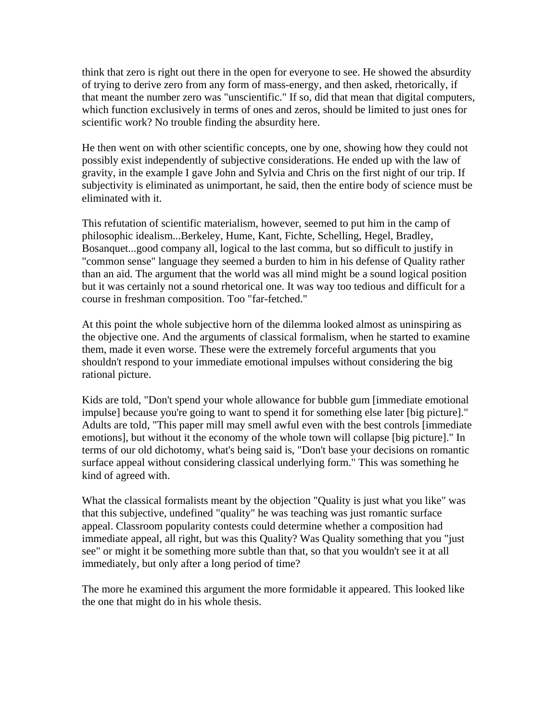think that zero is right out there in the open for everyone to see. He showed the absurdity of trying to derive zero from any form of mass-energy, and then asked, rhetorically, if that meant the number zero was "unscientific." If so, did that mean that digital computers, which function exclusively in terms of ones and zeros, should be limited to just ones for scientific work? No trouble finding the absurdity here.

He then went on with other scientific concepts, one by one, showing how they could not possibly exist independently of subjective considerations. He ended up with the law of gravity, in the example I gave John and Sylvia and Chris on the first night of our trip. If subjectivity is eliminated as unimportant, he said, then the entire body of science must be eliminated with it.

This refutation of scientific materialism, however, seemed to put him in the camp of philosophic idealism...Berkeley, Hume, Kant, Fichte, Schelling, Hegel, Bradley, Bosanquet...good company all, logical to the last comma, but so difficult to justify in "common sense" language they seemed a burden to him in his defense of Quality rather than an aid. The argument that the world was all mind might be a sound logical position but it was certainly not a sound rhetorical one. It was way too tedious and difficult for a course in freshman composition. Too "far-fetched."

At this point the whole subjective horn of the dilemma looked almost as uninspiring as the objective one. And the arguments of classical formalism, when he started to examine them, made it even worse. These were the extremely forceful arguments that you shouldn't respond to your immediate emotional impulses without considering the big rational picture.

Kids are told, "Don't spend your whole allowance for bubble gum [immediate emotional impulse] because you're going to want to spend it for something else later [big picture]." Adults are told, "This paper mill may smell awful even with the best controls [immediate emotions], but without it the economy of the whole town will collapse [big picture]." In terms of our old dichotomy, what's being said is, "Don't base your decisions on romantic surface appeal without considering classical underlying form." This was something he kind of agreed with.

What the classical formalists meant by the objection "Quality is just what you like" was that this subjective, undefined "quality" he was teaching was just romantic surface appeal. Classroom popularity contests could determine whether a composition had immediate appeal, all right, but was this Quality? Was Quality something that you "just see" or might it be something more subtle than that, so that you wouldn't see it at all immediately, but only after a long period of time?

The more he examined this argument the more formidable it appeared. This looked like the one that might do in his whole thesis.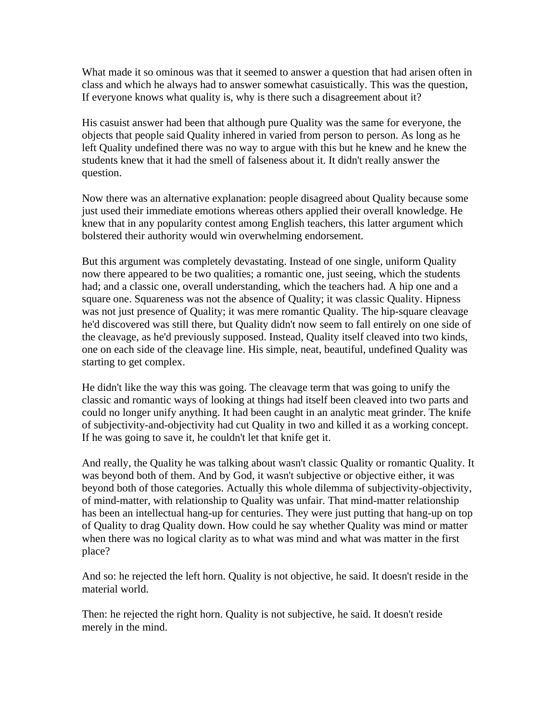What made it so ominous was that it seemed to answer a question that had arisen often in class and which he always had to answer somewhat casuistically. This was the question, If everyone knows what quality is, why is there such a disagreement about it?

His casuist answer had been that although pure Quality was the same for everyone, the objects that people said Quality inhered in varied from person to person. As long as he left Quality undefined there was no way to argue with this but he knew and he knew the students knew that it had the smell of falseness about it. It didn't really answer the question.

Now there was an alternative explanation: people disagreed about Quality because some just used their immediate emotions whereas others applied their overall knowledge. He knew that in any popularity contest among English teachers, this latter argument which bolstered their authority would win overwhelming endorsement.

But this argument was completely devastating. Instead of one single, uniform Quality now there appeared to be two qualities; a romantic one, just seeing, which the students had; and a classic one, overall understanding, which the teachers had. A hip one and a square one. Squareness was not the absence of Quality; it was classic Quality. Hipness was not just presence of Quality; it was mere romantic Quality. The hip-square cleavage he'd discovered was still there, but Quality didn't now seem to fall entirely on one side of the cleavage, as he'd previously supposed. Instead, Quality itself cleaved into two kinds, one on each side of the cleavage line. His simple, neat, beautiful, undefined Quality was starting to get complex.

He didn't like the way this was going. The cleavage term that was going to unify the classic and romantic ways of looking at things had itself been cleaved into two parts and could no longer unify anything. It had been caught in an analytic meat grinder. The knife of subjectivity-and-objectivity had cut Quality in two and killed it as a working concept. If he was going to save it, he couldn't let that knife get it.

And really, the Quality he was talking about wasn't classic Quality or romantic Quality. It was beyond both of them. And by God, it wasn't subjective or objective either, it was beyond both of those categories. Actually this whole dilemma of subjectivity-objectivity, of mind-matter, with relationship to Quality was unfair. That mind-matter relationship has been an intellectual hang-up for centuries. They were just putting that hang-up on top of Quality to drag Quality down. How could he say whether Quality was mind or matter when there was no logical clarity as to what was mind and what was matter in the first place?

And so: he rejected the left horn. Quality is not objective, he said. It doesn't reside in the material world.

Then: he rejected the right horn. Quality is not subjective, he said. It doesn't reside merely in the mind.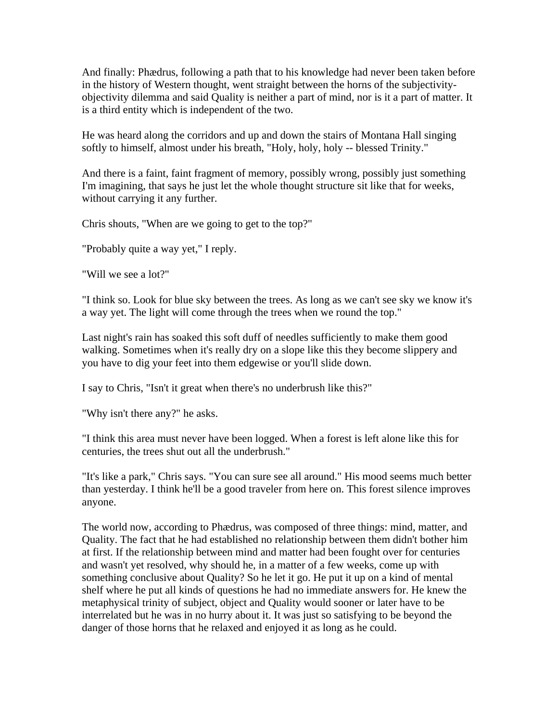And finally: Phædrus, following a path that to his knowledge had never been taken before in the history of Western thought, went straight between the horns of the subjectivityobjectivity dilemma and said Quality is neither a part of mind, nor is it a part of matter. It is a third entity which is independent of the two.

He was heard along the corridors and up and down the stairs of Montana Hall singing softly to himself, almost under his breath, "Holy, holy, holy -- blessed Trinity."

And there is a faint, faint fragment of memory, possibly wrong, possibly just something I'm imagining, that says he just let the whole thought structure sit like that for weeks, without carrying it any further.

Chris shouts, "When are we going to get to the top?"

"Probably quite a way yet," I reply.

"Will we see a lot?"

"I think so. Look for blue sky between the trees. As long as we can't see sky we know it's a way yet. The light will come through the trees when we round the top."

Last night's rain has soaked this soft duff of needles sufficiently to make them good walking. Sometimes when it's really dry on a slope like this they become slippery and you have to dig your feet into them edgewise or you'll slide down.

I say to Chris, "Isn't it great when there's no underbrush like this?"

"Why isn't there any?" he asks.

"I think this area must never have been logged. When a forest is left alone like this for centuries, the trees shut out all the underbrush."

"It's like a park," Chris says. "You can sure see all around." His mood seems much better than yesterday. I think he'll be a good traveler from here on. This forest silence improves anyone.

The world now, according to Phædrus, was composed of three things: mind, matter, and Quality. The fact that he had established no relationship between them didn't bother him at first. If the relationship between mind and matter had been fought over for centuries and wasn't yet resolved, why should he, in a matter of a few weeks, come up with something conclusive about Quality? So he let it go. He put it up on a kind of mental shelf where he put all kinds of questions he had no immediate answers for. He knew the metaphysical trinity of subject, object and Quality would sooner or later have to be interrelated but he was in no hurry about it. It was just so satisfying to be beyond the danger of those horns that he relaxed and enjoyed it as long as he could.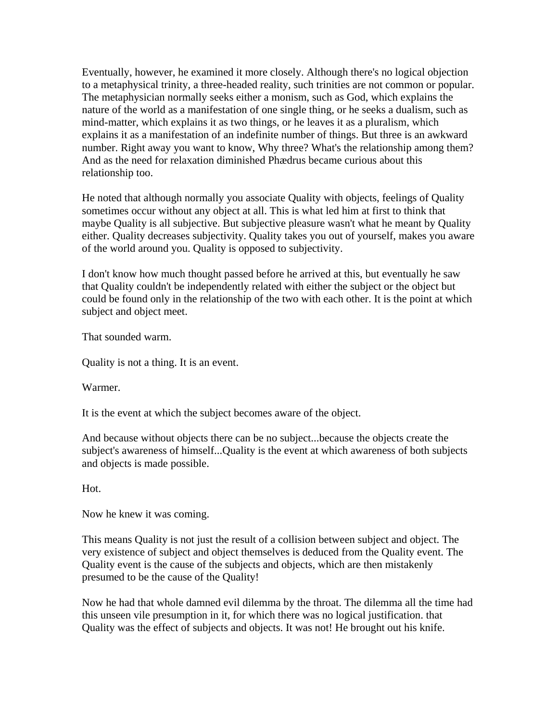Eventually, however, he examined it more closely. Although there's no logical objection to a metaphysical trinity, a three-headed reality, such trinities are not common or popular. The metaphysician normally seeks either a monism, such as God, which explains the nature of the world as a manifestation of one single thing, or he seeks a dualism, such as mind-matter, which explains it as two things, or he leaves it as a pluralism, which explains it as a manifestation of an indefinite number of things. But three is an awkward number. Right away you want to know, Why three? What's the relationship among them? And as the need for relaxation diminished Phædrus became curious about this relationship too.

He noted that although normally you associate Quality with objects, feelings of Quality sometimes occur without any object at all. This is what led him at first to think that maybe Quality is all subjective. But subjective pleasure wasn't what he meant by Quality either. Quality decreases subjectivity. Quality takes you out of yourself, makes you aware of the world around you. Quality is opposed to subjectivity.

I don't know how much thought passed before he arrived at this, but eventually he saw that Quality couldn't be independently related with either the subject or the object but could be found only in the relationship of the two with each other. It is the point at which subject and object meet.

That sounded warm.

Quality is not a thing. It is an event.

Warmer.

It is the event at which the subject becomes aware of the object.

And because without objects there can be no subject...because the objects create the subject's awareness of himself...Quality is the event at which awareness of both subjects and objects is made possible.

Hot.

Now he knew it was coming.

This means Quality is not just the result of a collision between subject and object. The very existence of subject and object themselves is deduced from the Quality event. The Quality event is the cause of the subjects and objects, which are then mistakenly presumed to be the cause of the Quality!

Now he had that whole damned evil dilemma by the throat. The dilemma all the time had this unseen vile presumption in it, for which there was no logical justification. that Quality was the effect of subjects and objects. It was not! He brought out his knife.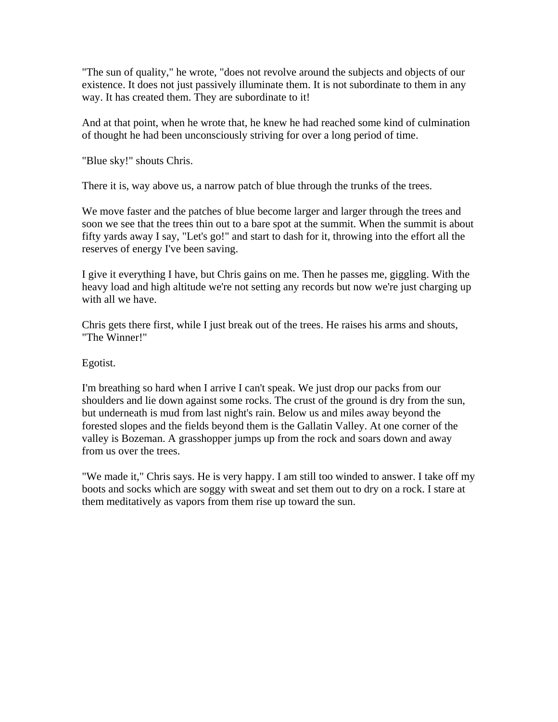"The sun of quality," he wrote, "does not revolve around the subjects and objects of our existence. It does not just passively illuminate them. It is not subordinate to them in any way. It has created them. They are subordinate to it!

And at that point, when he wrote that, he knew he had reached some kind of culmination of thought he had been unconsciously striving for over a long period of time.

"Blue sky!" shouts Chris.

There it is, way above us, a narrow patch of blue through the trunks of the trees.

We move faster and the patches of blue become larger and larger through the trees and soon we see that the trees thin out to a bare spot at the summit. When the summit is about fifty yards away I say, "Let's go!" and start to dash for it, throwing into the effort all the reserves of energy I've been saving.

I give it everything I have, but Chris gains on me. Then he passes me, giggling. With the heavy load and high altitude we're not setting any records but now we're just charging up with all we have.

Chris gets there first, while I just break out of the trees. He raises his arms and shouts, "The Winner!"

Egotist.

I'm breathing so hard when I arrive I can't speak. We just drop our packs from our shoulders and lie down against some rocks. The crust of the ground is dry from the sun, but underneath is mud from last night's rain. Below us and miles away beyond the forested slopes and the fields beyond them is the Gallatin Valley. At one corner of the valley is Bozeman. A grasshopper jumps up from the rock and soars down and away from us over the trees.

"We made it," Chris says. He is very happy. I am still too winded to answer. I take off my boots and socks which are soggy with sweat and set them out to dry on a rock. I stare at them meditatively as vapors from them rise up toward the sun.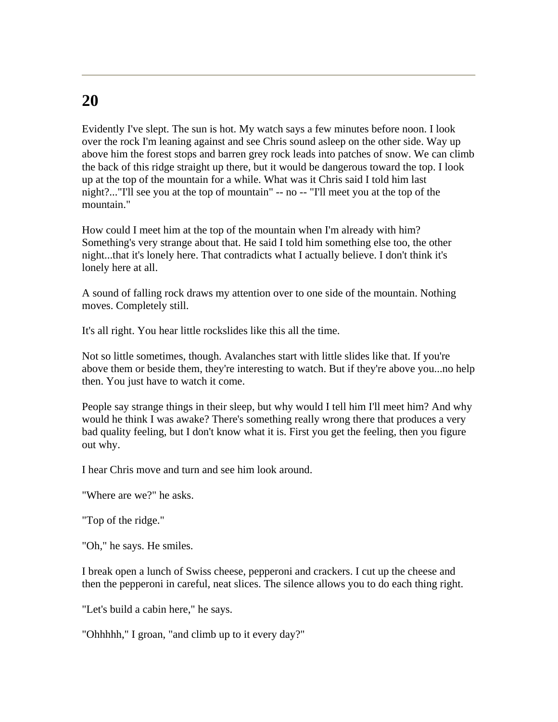### **20**

Evidently I've slept. The sun is hot. My watch says a few minutes before noon. I look over the rock I'm leaning against and see Chris sound asleep on the other side. Way up above him the forest stops and barren grey rock leads into patches of snow. We can climb the back of this ridge straight up there, but it would be dangerous toward the top. I look up at the top of the mountain for a while. What was it Chris said I told him last night?..."I'll see you at the top of mountain" -- no -- "I'll meet you at the top of the mountain."

How could I meet him at the top of the mountain when I'm already with him? Something's very strange about that. He said I told him something else too, the other night...that it's lonely here. That contradicts what I actually believe. I don't think it's lonely here at all.

A sound of falling rock draws my attention over to one side of the mountain. Nothing moves. Completely still.

It's all right. You hear little rockslides like this all the time.

Not so little sometimes, though. Avalanches start with little slides like that. If you're above them or beside them, they're interesting to watch. But if they're above you...no help then. You just have to watch it come.

People say strange things in their sleep, but why would I tell him I'll meet him? And why would he think I was awake? There's something really wrong there that produces a very bad quality feeling, but I don't know what it is. First you get the feeling, then you figure out why.

I hear Chris move and turn and see him look around.

"Where are we?" he asks.

"Top of the ridge."

"Oh," he says. He smiles.

I break open a lunch of Swiss cheese, pepperoni and crackers. I cut up the cheese and then the pepperoni in careful, neat slices. The silence allows you to do each thing right.

"Let's build a cabin here," he says.

"Ohhhhh," I groan, "and climb up to it every day?"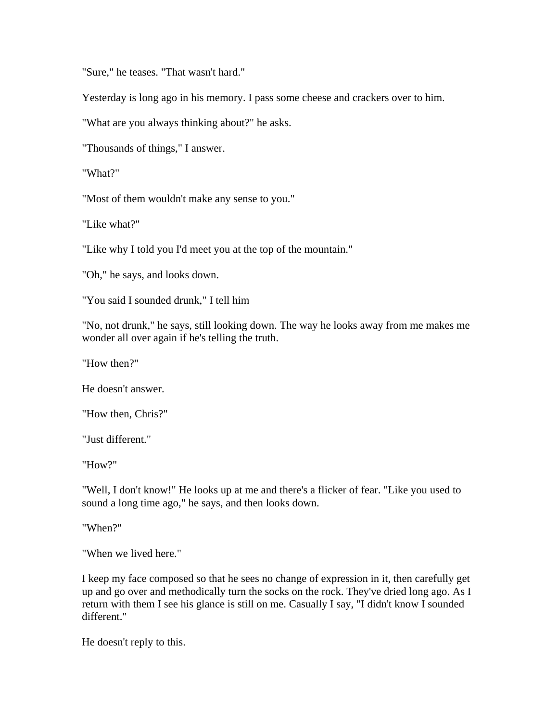"Sure," he teases. "That wasn't hard."

Yesterday is long ago in his memory. I pass some cheese and crackers over to him.

"What are you always thinking about?" he asks.

"Thousands of things," I answer.

"What?"

"Most of them wouldn't make any sense to you."

"Like what?"

"Like why I told you I'd meet you at the top of the mountain."

"Oh," he says, and looks down.

"You said I sounded drunk," I tell him

"No, not drunk," he says, still looking down. The way he looks away from me makes me wonder all over again if he's telling the truth.

"How then?"

He doesn't answer.

"How then, Chris?"

"Just different."

"How?"

"Well, I don't know!" He looks up at me and there's a flicker of fear. "Like you used to sound a long time ago," he says, and then looks down.

"When?"

"When we lived here."

I keep my face composed so that he sees no change of expression in it, then carefully get up and go over and methodically turn the socks on the rock. They've dried long ago. As I return with them I see his glance is still on me. Casually I say, "I didn't know I sounded different."

He doesn't reply to this.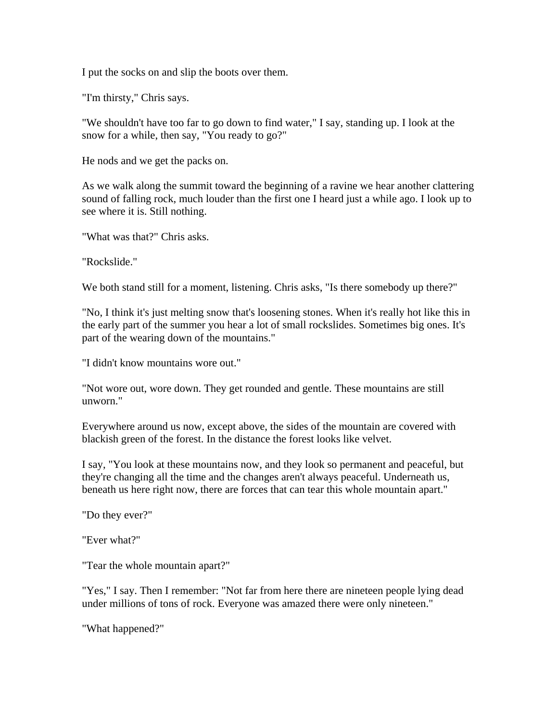I put the socks on and slip the boots over them.

"I'm thirsty," Chris says.

"We shouldn't have too far to go down to find water," I say, standing up. I look at the snow for a while, then say, "You ready to go?"

He nods and we get the packs on.

As we walk along the summit toward the beginning of a ravine we hear another clattering sound of falling rock, much louder than the first one I heard just a while ago. I look up to see where it is. Still nothing.

"What was that?" Chris asks.

"Rockslide."

We both stand still for a moment, listening. Chris asks, "Is there somebody up there?"

"No, I think it's just melting snow that's loosening stones. When it's really hot like this in the early part of the summer you hear a lot of small rockslides. Sometimes big ones. It's part of the wearing down of the mountains."

"I didn't know mountains wore out."

"Not wore out, wore down. They get rounded and gentle. These mountains are still unworn."

Everywhere around us now, except above, the sides of the mountain are covered with blackish green of the forest. In the distance the forest looks like velvet.

I say, "You look at these mountains now, and they look so permanent and peaceful, but they're changing all the time and the changes aren't always peaceful. Underneath us, beneath us here right now, there are forces that can tear this whole mountain apart."

"Do they ever?"

"Ever what?"

"Tear the whole mountain apart?"

"Yes," I say. Then I remember: "Not far from here there are nineteen people lying dead under millions of tons of rock. Everyone was amazed there were only nineteen."

"What happened?"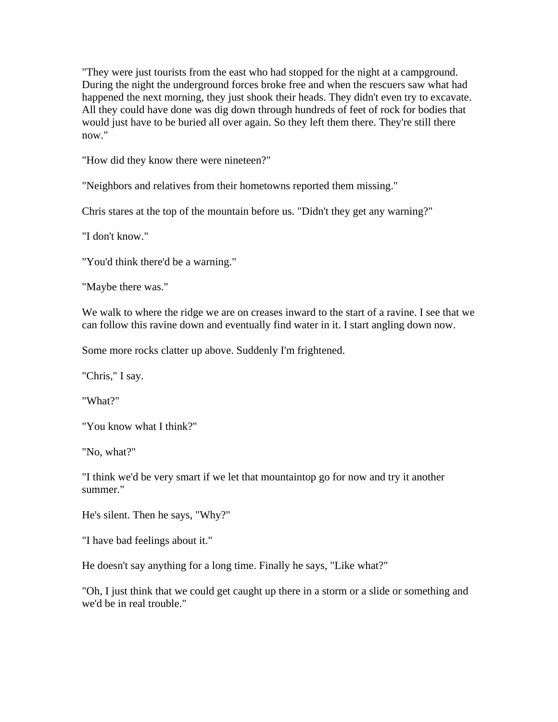"They were just tourists from the east who had stopped for the night at a campground. During the night the underground forces broke free and when the rescuers saw what had happened the next morning, they just shook their heads. They didn't even try to excavate. All they could have done was dig down through hundreds of feet of rock for bodies that would just have to be buried all over again. So they left them there. They're still there now."

"How did they know there were nineteen?"

"Neighbors and relatives from their hometowns reported them missing."

Chris stares at the top of the mountain before us. "Didn't they get any warning?"

"I don't know."

"You'd think there'd be a warning."

"Maybe there was."

We walk to where the ridge we are on creases inward to the start of a ravine. I see that we can follow this ravine down and eventually find water in it. I start angling down now.

Some more rocks clatter up above. Suddenly I'm frightened.

"Chris," I say.

"What?"

"You know what I think?"

"No, what?"

"I think we'd be very smart if we let that mountaintop go for now and try it another summer."

He's silent. Then he says, "Why?"

"I have bad feelings about it."

He doesn't say anything for a long time. Finally he says, "Like what?"

"Oh, I just think that we could get caught up there in a storm or a slide or something and we'd be in real trouble."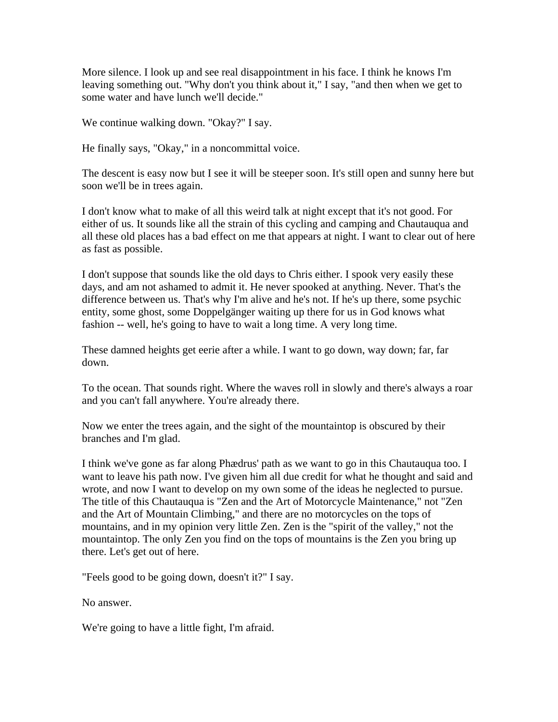More silence. I look up and see real disappointment in his face. I think he knows I'm leaving something out. "Why don't you think about it," I say, "and then when we get to some water and have lunch we'll decide."

We continue walking down. "Okay?" I say.

He finally says, "Okay," in a noncommittal voice.

The descent is easy now but I see it will be steeper soon. It's still open and sunny here but soon we'll be in trees again.

I don't know what to make of all this weird talk at night except that it's not good. For either of us. It sounds like all the strain of this cycling and camping and Chautauqua and all these old places has a bad effect on me that appears at night. I want to clear out of here as fast as possible.

I don't suppose that sounds like the old days to Chris either. I spook very easily these days, and am not ashamed to admit it. He never spooked at anything. Never. That's the difference between us. That's why I'm alive and he's not. If he's up there, some psychic entity, some ghost, some Doppelgänger waiting up there for us in God knows what fashion -- well, he's going to have to wait a long time. A very long time.

These damned heights get eerie after a while. I want to go down, way down; far, far down.

To the ocean. That sounds right. Where the waves roll in slowly and there's always a roar and you can't fall anywhere. You're already there.

Now we enter the trees again, and the sight of the mountaintop is obscured by their branches and I'm glad.

I think we've gone as far along Phædrus' path as we want to go in this Chautauqua too. I want to leave his path now. I've given him all due credit for what he thought and said and wrote, and now I want to develop on my own some of the ideas he neglected to pursue. The title of this Chautauqua is "Zen and the Art of Motorcycle Maintenance," not "Zen and the Art of Mountain Climbing," and there are no motorcycles on the tops of mountains, and in my opinion very little Zen. Zen is the "spirit of the valley," not the mountaintop. The only Zen you find on the tops of mountains is the Zen you bring up there. Let's get out of here.

"Feels good to be going down, doesn't it?" I say.

No answer.

We're going to have a little fight, I'm afraid.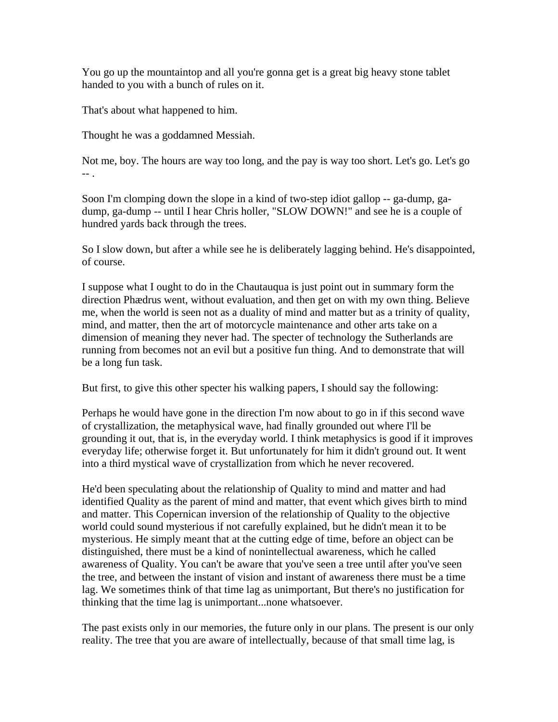You go up the mountaintop and all you're gonna get is a great big heavy stone tablet handed to you with a bunch of rules on it.

That's about what happened to him.

Thought he was a goddamned Messiah.

Not me, boy. The hours are way too long, and the pay is way too short. Let's go. Let's go -- .

Soon I'm clomping down the slope in a kind of two-step idiot gallop -- ga-dump, gadump, ga-dump -- until I hear Chris holler, "SLOW DOWN!" and see he is a couple of hundred yards back through the trees.

So I slow down, but after a while see he is deliberately lagging behind. He's disappointed, of course.

I suppose what I ought to do in the Chautauqua is just point out in summary form the direction Phædrus went, without evaluation, and then get on with my own thing. Believe me, when the world is seen not as a duality of mind and matter but as a trinity of quality, mind, and matter, then the art of motorcycle maintenance and other arts take on a dimension of meaning they never had. The specter of technology the Sutherlands are running from becomes not an evil but a positive fun thing. And to demonstrate that will be a long fun task.

But first, to give this other specter his walking papers, I should say the following:

Perhaps he would have gone in the direction I'm now about to go in if this second wave of crystallization, the metaphysical wave, had finally grounded out where I'll be grounding it out, that is, in the everyday world. I think metaphysics is good if it improves everyday life; otherwise forget it. But unfortunately for him it didn't ground out. It went into a third mystical wave of crystallization from which he never recovered.

He'd been speculating about the relationship of Quality to mind and matter and had identified Quality as the parent of mind and matter, that event which gives birth to mind and matter. This Copernican inversion of the relationship of Quality to the objective world could sound mysterious if not carefully explained, but he didn't mean it to be mysterious. He simply meant that at the cutting edge of time, before an object can be distinguished, there must be a kind of nonintellectual awareness, which he called awareness of Quality. You can't be aware that you've seen a tree until after you've seen the tree, and between the instant of vision and instant of awareness there must be a time lag. We sometimes think of that time lag as unimportant, But there's no justification for thinking that the time lag is unimportant...none whatsoever.

The past exists only in our memories, the future only in our plans. The present is our only reality. The tree that you are aware of intellectually, because of that small time lag, is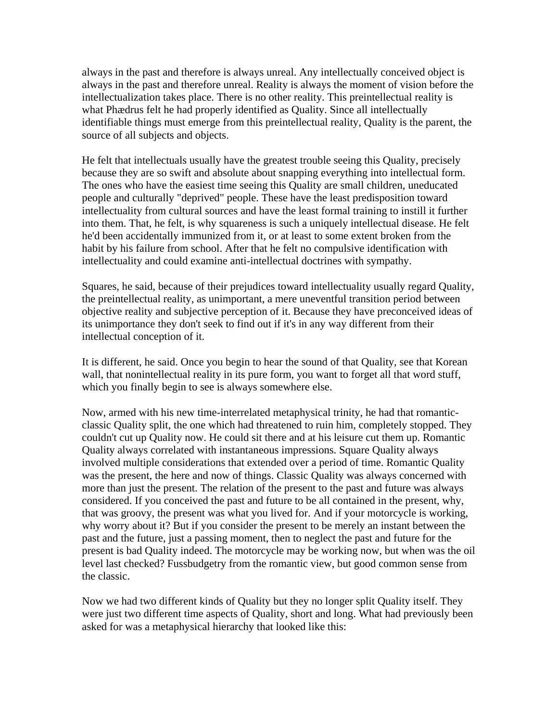always in the past and therefore is always unreal. Any intellectually conceived object is always in the past and therefore unreal. Reality is always the moment of vision before the intellectualization takes place. There is no other reality. This preintellectual reality is what Phædrus felt he had properly identified as Quality. Since all intellectually identifiable things must emerge from this preintellectual reality, Quality is the parent, the source of all subjects and objects.

He felt that intellectuals usually have the greatest trouble seeing this Quality, precisely because they are so swift and absolute about snapping everything into intellectual form. The ones who have the easiest time seeing this Quality are small children, uneducated people and culturally "deprived" people. These have the least predisposition toward intellectuality from cultural sources and have the least formal training to instill it further into them. That, he felt, is why squareness is such a uniquely intellectual disease. He felt he'd been accidentally immunized from it, or at least to some extent broken from the habit by his failure from school. After that he felt no compulsive identification with intellectuality and could examine anti-intellectual doctrines with sympathy.

Squares, he said, because of their prejudices toward intellectuality usually regard Quality, the preintellectual reality, as unimportant, a mere uneventful transition period between objective reality and subjective perception of it. Because they have preconceived ideas of its unimportance they don't seek to find out if it's in any way different from their intellectual conception of it.

It is different, he said. Once you begin to hear the sound of that Quality, see that Korean wall, that nonintellectual reality in its pure form, you want to forget all that word stuff, which you finally begin to see is always somewhere else.

Now, armed with his new time-interrelated metaphysical trinity, he had that romanticclassic Quality split, the one which had threatened to ruin him, completely stopped. They couldn't cut up Quality now. He could sit there and at his leisure cut them up. Romantic Quality always correlated with instantaneous impressions. Square Quality always involved multiple considerations that extended over a period of time. Romantic Quality was the present, the here and now of things. Classic Quality was always concerned with more than just the present. The relation of the present to the past and future was always considered. If you conceived the past and future to be all contained in the present, why, that was groovy, the present was what you lived for. And if your motorcycle is working, why worry about it? But if you consider the present to be merely an instant between the past and the future, just a passing moment, then to neglect the past and future for the present is bad Quality indeed. The motorcycle may be working now, but when was the oil level last checked? Fussbudgetry from the romantic view, but good common sense from the classic.

Now we had two different kinds of Quality but they no longer split Quality itself. They were just two different time aspects of Quality, short and long. What had previously been asked for was a metaphysical hierarchy that looked like this: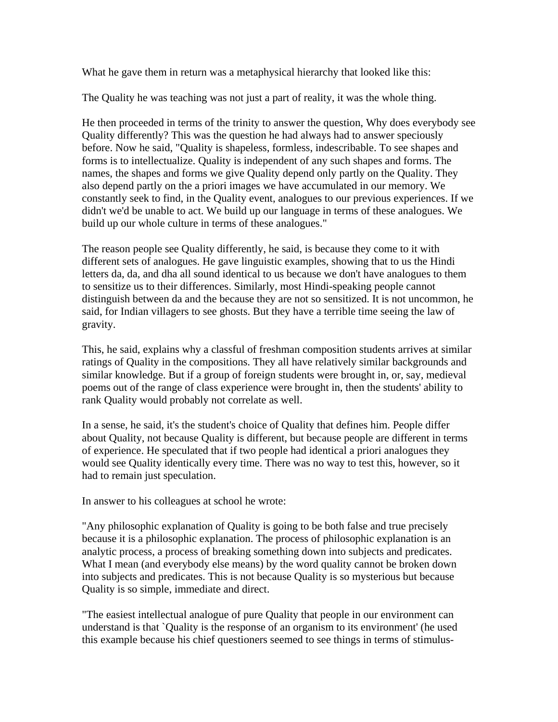What he gave them in return was a metaphysical hierarchy that looked like this:

The Quality he was teaching was not just a part of reality, it was the whole thing.

He then proceeded in terms of the trinity to answer the question, Why does everybody see Quality differently? This was the question he had always had to answer speciously before. Now he said, "Quality is shapeless, formless, indescribable. To see shapes and forms is to intellectualize. Quality is independent of any such shapes and forms. The names, the shapes and forms we give Quality depend only partly on the Quality. They also depend partly on the a priori images we have accumulated in our memory. We constantly seek to find, in the Quality event, analogues to our previous experiences. If we didn't we'd be unable to act. We build up our language in terms of these analogues. We build up our whole culture in terms of these analogues."

The reason people see Quality differently, he said, is because they come to it with different sets of analogues. He gave linguistic examples, showing that to us the Hindi letters da, da, and dha all sound identical to us because we don't have analogues to them to sensitize us to their differences. Similarly, most Hindi-speaking people cannot distinguish between da and the because they are not so sensitized. It is not uncommon, he said, for Indian villagers to see ghosts. But they have a terrible time seeing the law of gravity.

This, he said, explains why a classful of freshman composition students arrives at similar ratings of Quality in the compositions. They all have relatively similar backgrounds and similar knowledge. But if a group of foreign students were brought in, or, say, medieval poems out of the range of class experience were brought in, then the students' ability to rank Quality would probably not correlate as well.

In a sense, he said, it's the student's choice of Quality that defines him. People differ about Quality, not because Quality is different, but because people are different in terms of experience. He speculated that if two people had identical a priori analogues they would see Quality identically every time. There was no way to test this, however, so it had to remain just speculation.

In answer to his colleagues at school he wrote:

"Any philosophic explanation of Quality is going to be both false and true precisely because it is a philosophic explanation. The process of philosophic explanation is an analytic process, a process of breaking something down into subjects and predicates. What I mean (and everybody else means) by the word quality cannot be broken down into subjects and predicates. This is not because Quality is so mysterious but because Quality is so simple, immediate and direct.

"The easiest intellectual analogue of pure Quality that people in our environment can understand is that `Quality is the response of an organism to its environment' (he used this example because his chief questioners seemed to see things in terms of stimulus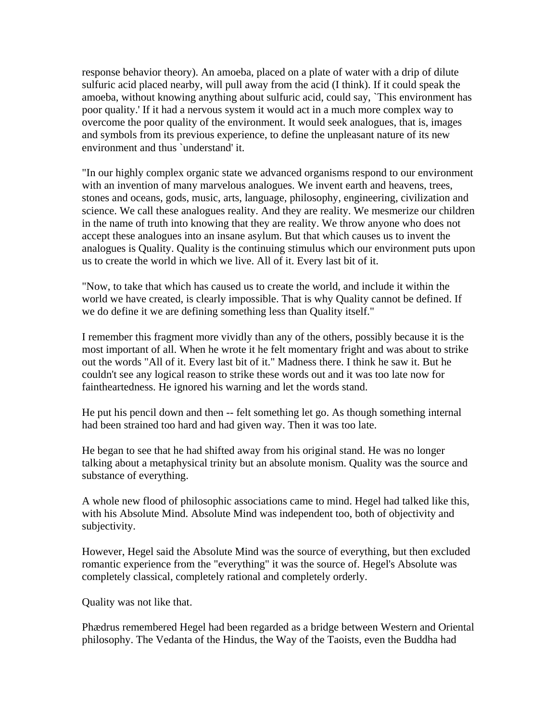response behavior theory). An amoeba, placed on a plate of water with a drip of dilute sulfuric acid placed nearby, will pull away from the acid (I think). If it could speak the amoeba, without knowing anything about sulfuric acid, could say, `This environment has poor quality.' If it had a nervous system it would act in a much more complex way to overcome the poor quality of the environment. It would seek analogues, that is, images and symbols from its previous experience, to define the unpleasant nature of its new environment and thus `understand' it.

"In our highly complex organic state we advanced organisms respond to our environment with an invention of many marvelous analogues. We invent earth and heavens, trees, stones and oceans, gods, music, arts, language, philosophy, engineering, civilization and science. We call these analogues reality. And they are reality. We mesmerize our children in the name of truth into knowing that they are reality. We throw anyone who does not accept these analogues into an insane asylum. But that which causes us to invent the analogues is Quality. Quality is the continuing stimulus which our environment puts upon us to create the world in which we live. All of it. Every last bit of it.

"Now, to take that which has caused us to create the world, and include it within the world we have created, is clearly impossible. That is why Quality cannot be defined. If we do define it we are defining something less than Quality itself."

I remember this fragment more vividly than any of the others, possibly because it is the most important of all. When he wrote it he felt momentary fright and was about to strike out the words "All of it. Every last bit of it." Madness there. I think he saw it. But he couldn't see any logical reason to strike these words out and it was too late now for faintheartedness. He ignored his warning and let the words stand.

He put his pencil down and then -- felt something let go. As though something internal had been strained too hard and had given way. Then it was too late.

He began to see that he had shifted away from his original stand. He was no longer talking about a metaphysical trinity but an absolute monism. Quality was the source and substance of everything.

A whole new flood of philosophic associations came to mind. Hegel had talked like this, with his Absolute Mind. Absolute Mind was independent too, both of objectivity and subjectivity.

However, Hegel said the Absolute Mind was the source of everything, but then excluded romantic experience from the "everything" it was the source of. Hegel's Absolute was completely classical, completely rational and completely orderly.

Quality was not like that.

Phædrus remembered Hegel had been regarded as a bridge between Western and Oriental philosophy. The Vedanta of the Hindus, the Way of the Taoists, even the Buddha had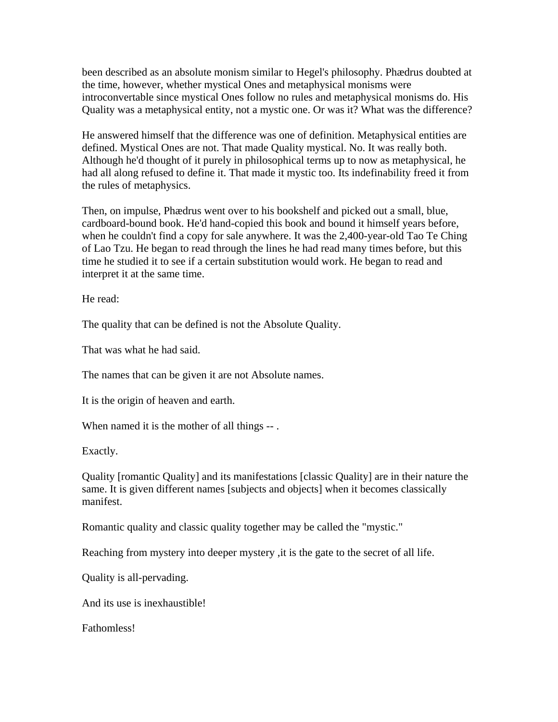been described as an absolute monism similar to Hegel's philosophy. Phædrus doubted at the time, however, whether mystical Ones and metaphysical monisms were introconvertable since mystical Ones follow no rules and metaphysical monisms do. His Quality was a metaphysical entity, not a mystic one. Or was it? What was the difference?

He answered himself that the difference was one of definition. Metaphysical entities are defined. Mystical Ones are not. That made Quality mystical. No. It was really both. Although he'd thought of it purely in philosophical terms up to now as metaphysical, he had all along refused to define it. That made it mystic too. Its indefinability freed it from the rules of metaphysics.

Then, on impulse, Phædrus went over to his bookshelf and picked out a small, blue, cardboard-bound book. He'd hand-copied this book and bound it himself years before, when he couldn't find a copy for sale anywhere. It was the 2,400-year-old Tao Te Ching of Lao Tzu. He began to read through the lines he had read many times before, but this time he studied it to see if a certain substitution would work. He began to read and interpret it at the same time.

He read:

The quality that can be defined is not the Absolute Quality.

That was what he had said.

The names that can be given it are not Absolute names.

It is the origin of heaven and earth.

When named it is the mother of all things --.

Exactly.

Quality [romantic Quality] and its manifestations [classic Quality] are in their nature the same. It is given different names [subjects and objects] when it becomes classically manifest.

Romantic quality and classic quality together may be called the "mystic."

Reaching from mystery into deeper mystery ,it is the gate to the secret of all life.

Quality is all-pervading.

And its use is inexhaustible!

Fathomless!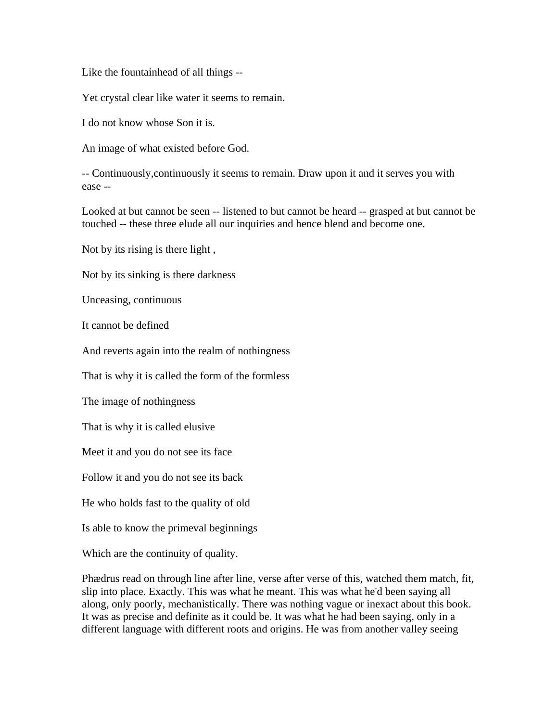Like the fountainhead of all things --

Yet crystal clear like water it seems to remain.

I do not know whose Son it is.

An image of what existed before God.

-- Continuously,continuously it seems to remain. Draw upon it and it serves you with ease --

Looked at but cannot be seen -- listened to but cannot be heard -- grasped at but cannot be touched -- these three elude all our inquiries and hence blend and become one.

Not by its rising is there light ,

Not by its sinking is there darkness

Unceasing, continuous

It cannot be defined

And reverts again into the realm of nothingness

That is why it is called the form of the formless

The image of nothingness

That is why it is called elusive

Meet it and you do not see its face

Follow it and you do not see its back

He who holds fast to the quality of old

Is able to know the primeval beginnings

Which are the continuity of quality.

Phædrus read on through line after line, verse after verse of this, watched them match, fit, slip into place. Exactly. This was what he meant. This was what he'd been saying all along, only poorly, mechanistically. There was nothing vague or inexact about this book. It was as precise and definite as it could be. It was what he had been saying, only in a different language with different roots and origins. He was from another valley seeing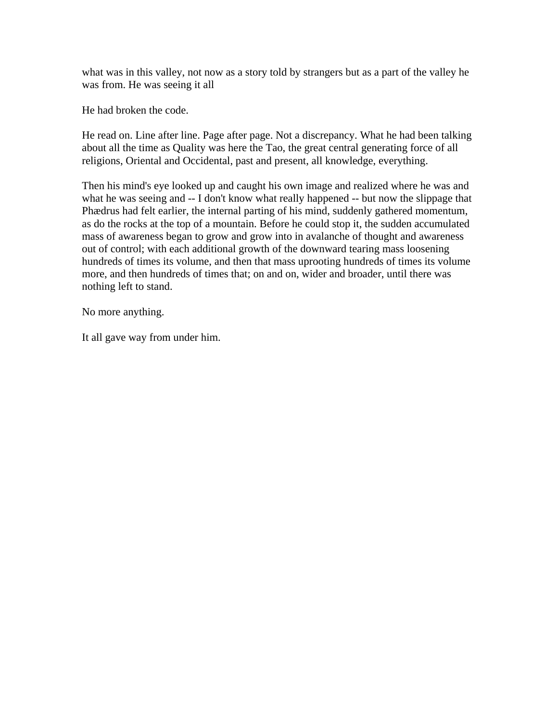what was in this valley, not now as a story told by strangers but as a part of the valley he was from. He was seeing it all

He had broken the code.

He read on. Line after line. Page after page. Not a discrepancy. What he had been talking about all the time as Quality was here the Tao, the great central generating force of all religions, Oriental and Occidental, past and present, all knowledge, everything.

Then his mind's eye looked up and caught his own image and realized where he was and what he was seeing and -- I don't know what really happened -- but now the slippage that Phædrus had felt earlier, the internal parting of his mind, suddenly gathered momentum, as do the rocks at the top of a mountain. Before he could stop it, the sudden accumulated mass of awareness began to grow and grow into in avalanche of thought and awareness out of control; with each additional growth of the downward tearing mass loosening hundreds of times its volume, and then that mass uprooting hundreds of times its volume more, and then hundreds of times that; on and on, wider and broader, until there was nothing left to stand.

No more anything.

It all gave way from under him.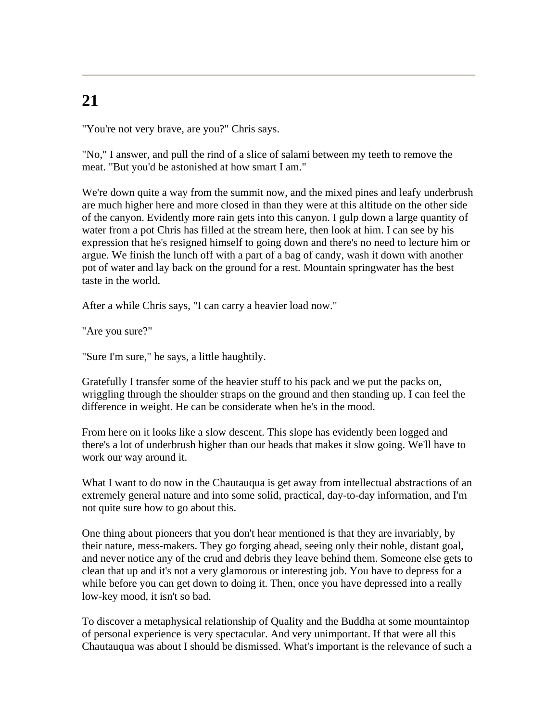## **21**

"You're not very brave, are you?" Chris says.

"No," I answer, and pull the rind of a slice of salami between my teeth to remove the meat. "But you'd be astonished at how smart I am."

We're down quite a way from the summit now, and the mixed pines and leafy underbrush are much higher here and more closed in than they were at this altitude on the other side of the canyon. Evidently more rain gets into this canyon. I gulp down a large quantity of water from a pot Chris has filled at the stream here, then look at him. I can see by his expression that he's resigned himself to going down and there's no need to lecture him or argue. We finish the lunch off with a part of a bag of candy, wash it down with another pot of water and lay back on the ground for a rest. Mountain springwater has the best taste in the world.

After a while Chris says, "I can carry a heavier load now."

"Are you sure?"

"Sure I'm sure," he says, a little haughtily.

Gratefully I transfer some of the heavier stuff to his pack and we put the packs on, wriggling through the shoulder straps on the ground and then standing up. I can feel the difference in weight. He can be considerate when he's in the mood.

From here on it looks like a slow descent. This slope has evidently been logged and there's a lot of underbrush higher than our heads that makes it slow going. We'll have to work our way around it.

What I want to do now in the Chautauqua is get away from intellectual abstractions of an extremely general nature and into some solid, practical, day-to-day information, and I'm not quite sure how to go about this.

One thing about pioneers that you don't hear mentioned is that they are invariably, by their nature, mess-makers. They go forging ahead, seeing only their noble, distant goal, and never notice any of the crud and debris they leave behind them. Someone else gets to clean that up and it's not a very glamorous or interesting job. You have to depress for a while before you can get down to doing it. Then, once you have depressed into a really low-key mood, it isn't so bad.

To discover a metaphysical relationship of Quality and the Buddha at some mountaintop of personal experience is very spectacular. And very unimportant. If that were all this Chautauqua was about I should be dismissed. What's important is the relevance of such a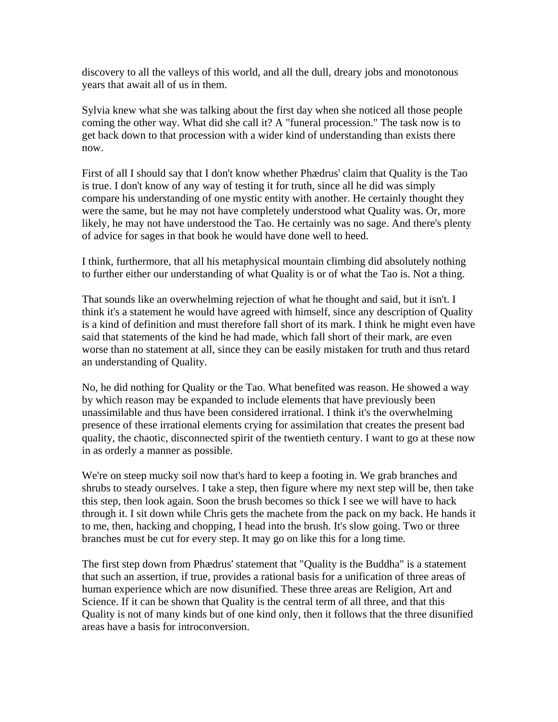discovery to all the valleys of this world, and all the dull, dreary jobs and monotonous years that await all of us in them.

Sylvia knew what she was talking about the first day when she noticed all those people coming the other way. What did she call it? A "funeral procession." The task now is to get back down to that procession with a wider kind of understanding than exists there now.

First of all I should say that I don't know whether Phædrus' claim that Quality is the Tao is true. I don't know of any way of testing it for truth, since all he did was simply compare his understanding of one mystic entity with another. He certainly thought they were the same, but he may not have completely understood what Quality was. Or, more likely, he may not have understood the Tao. He certainly was no sage. And there's plenty of advice for sages in that book he would have done well to heed.

I think, furthermore, that all his metaphysical mountain climbing did absolutely nothing to further either our understanding of what Quality is or of what the Tao is. Not a thing.

That sounds like an overwhelming rejection of what he thought and said, but it isn't. I think it's a statement he would have agreed with himself, since any description of Quality is a kind of definition and must therefore fall short of its mark. I think he might even have said that statements of the kind he had made, which fall short of their mark, are even worse than no statement at all, since they can be easily mistaken for truth and thus retard an understanding of Quality.

No, he did nothing for Quality or the Tao. What benefited was reason. He showed a way by which reason may be expanded to include elements that have previously been unassimilable and thus have been considered irrational. I think it's the overwhelming presence of these irrational elements crying for assimilation that creates the present bad quality, the chaotic, disconnected spirit of the twentieth century. I want to go at these now in as orderly a manner as possible.

We're on steep mucky soil now that's hard to keep a footing in. We grab branches and shrubs to steady ourselves. I take a step, then figure where my next step will be, then take this step, then look again. Soon the brush becomes so thick I see we will have to hack through it. I sit down while Chris gets the machete from the pack on my back. He hands it to me, then, hacking and chopping, I head into the brush. It's slow going. Two or three branches must be cut for every step. It may go on like this for a long time.

The first step down from Phædrus' statement that "Quality is the Buddha" is a statement that such an assertion, if true, provides a rational basis for a unification of three areas of human experience which are now disunified. These three areas are Religion, Art and Science. If it can be shown that Quality is the central term of all three, and that this Quality is not of many kinds but of one kind only, then it follows that the three disunified areas have a basis for introconversion.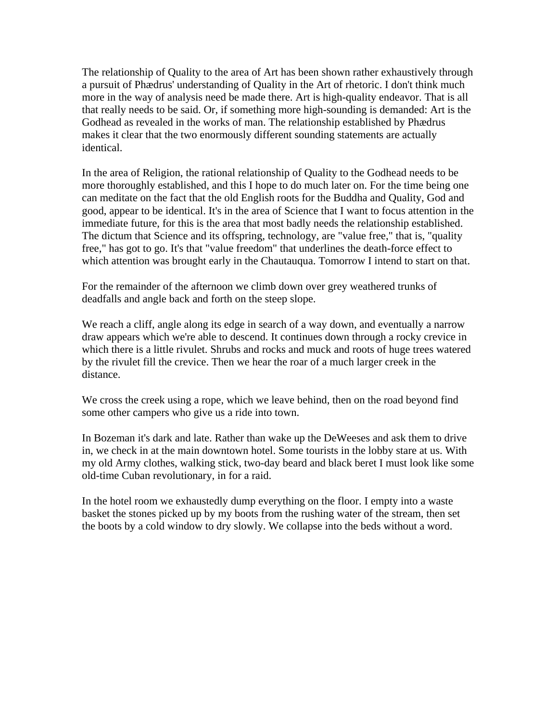The relationship of Quality to the area of Art has been shown rather exhaustively through a pursuit of Phædrus' understanding of Quality in the Art of rhetoric. I don't think much more in the way of analysis need be made there. Art is high-quality endeavor. That is all that really needs to be said. Or, if something more high-sounding is demanded: Art is the Godhead as revealed in the works of man. The relationship established by Phædrus makes it clear that the two enormously different sounding statements are actually identical.

In the area of Religion, the rational relationship of Quality to the Godhead needs to be more thoroughly established, and this I hope to do much later on. For the time being one can meditate on the fact that the old English roots for the Buddha and Quality, God and good, appear to be identical. It's in the area of Science that I want to focus attention in the immediate future, for this is the area that most badly needs the relationship established. The dictum that Science and its offspring, technology, are "value free," that is, "quality free," has got to go. It's that "value freedom" that underlines the death-force effect to which attention was brought early in the Chautauqua. Tomorrow I intend to start on that.

For the remainder of the afternoon we climb down over grey weathered trunks of deadfalls and angle back and forth on the steep slope.

We reach a cliff, angle along its edge in search of a way down, and eventually a narrow draw appears which we're able to descend. It continues down through a rocky crevice in which there is a little rivulet. Shrubs and rocks and muck and roots of huge trees watered by the rivulet fill the crevice. Then we hear the roar of a much larger creek in the distance.

We cross the creek using a rope, which we leave behind, then on the road beyond find some other campers who give us a ride into town.

In Bozeman it's dark and late. Rather than wake up the DeWeeses and ask them to drive in, we check in at the main downtown hotel. Some tourists in the lobby stare at us. With my old Army clothes, walking stick, two-day beard and black beret I must look like some old-time Cuban revolutionary, in for a raid.

In the hotel room we exhaustedly dump everything on the floor. I empty into a waste basket the stones picked up by my boots from the rushing water of the stream, then set the boots by a cold window to dry slowly. We collapse into the beds without a word.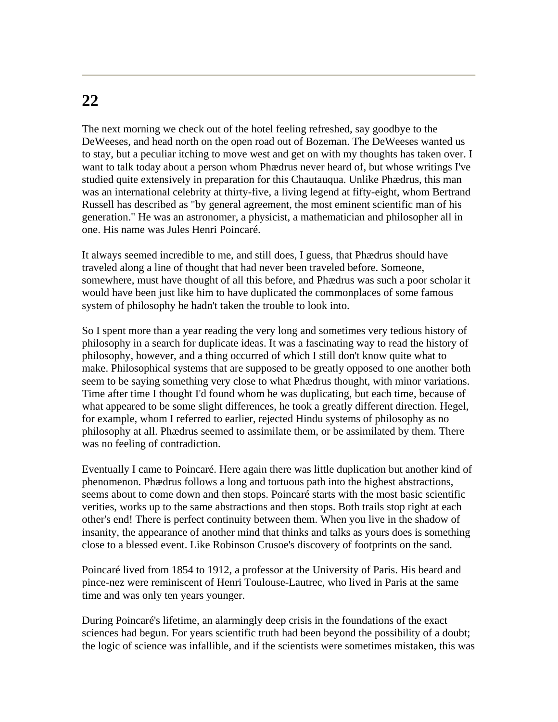#### **22**

The next morning we check out of the hotel feeling refreshed, say goodbye to the DeWeeses, and head north on the open road out of Bozeman. The DeWeeses wanted us to stay, but a peculiar itching to move west and get on with my thoughts has taken over. I want to talk today about a person whom Phædrus never heard of, but whose writings I've studied quite extensively in preparation for this Chautauqua. Unlike Phædrus, this man was an international celebrity at thirty-five, a living legend at fifty-eight, whom Bertrand Russell has described as "by general agreement, the most eminent scientific man of his generation." He was an astronomer, a physicist, a mathematician and philosopher all in one. His name was Jules Henri Poincaré.

It always seemed incredible to me, and still does, I guess, that Phædrus should have traveled along a line of thought that had never been traveled before. Someone, somewhere, must have thought of all this before, and Phædrus was such a poor scholar it would have been just like him to have duplicated the commonplaces of some famous system of philosophy he hadn't taken the trouble to look into.

So I spent more than a year reading the very long and sometimes very tedious history of philosophy in a search for duplicate ideas. It was a fascinating way to read the history of philosophy, however, and a thing occurred of which I still don't know quite what to make. Philosophical systems that are supposed to be greatly opposed to one another both seem to be saying something very close to what Phædrus thought, with minor variations. Time after time I thought I'd found whom he was duplicating, but each time, because of what appeared to be some slight differences, he took a greatly different direction. Hegel, for example, whom I referred to earlier, rejected Hindu systems of philosophy as no philosophy at all. Phædrus seemed to assimilate them, or be assimilated by them. There was no feeling of contradiction.

Eventually I came to Poincaré. Here again there was little duplication but another kind of phenomenon. Phædrus follows a long and tortuous path into the highest abstractions, seems about to come down and then stops. Poincaré starts with the most basic scientific verities, works up to the same abstractions and then stops. Both trails stop right at each other's end! There is perfect continuity between them. When you live in the shadow of insanity, the appearance of another mind that thinks and talks as yours does is something close to a blessed event. Like Robinson Crusoe's discovery of footprints on the sand.

Poincaré lived from 1854 to 1912, a professor at the University of Paris. His beard and pince-nez were reminiscent of Henri Toulouse-Lautrec, who lived in Paris at the same time and was only ten years younger.

During Poincaré's lifetime, an alarmingly deep crisis in the foundations of the exact sciences had begun. For years scientific truth had been beyond the possibility of a doubt; the logic of science was infallible, and if the scientists were sometimes mistaken, this was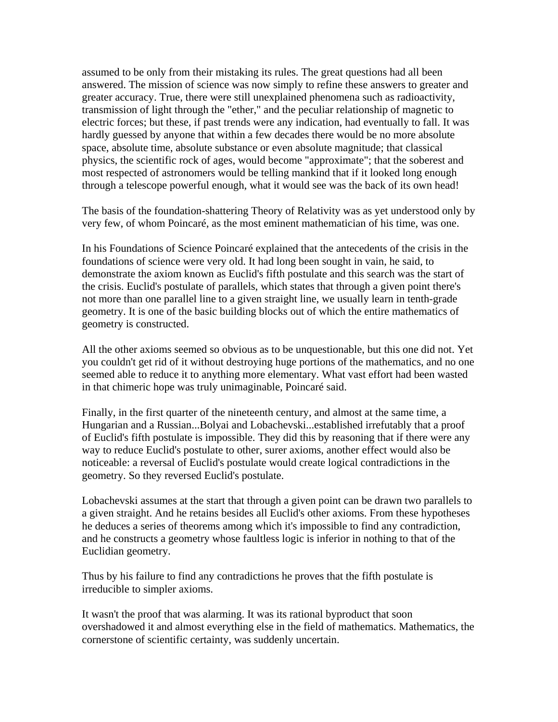assumed to be only from their mistaking its rules. The great questions had all been answered. The mission of science was now simply to refine these answers to greater and greater accuracy. True, there were still unexplained phenomena such as radioactivity, transmission of light through the "ether," and the peculiar relationship of magnetic to electric forces; but these, if past trends were any indication, had eventually to fall. It was hardly guessed by anyone that within a few decades there would be no more absolute space, absolute time, absolute substance or even absolute magnitude; that classical physics, the scientific rock of ages, would become "approximate"; that the soberest and most respected of astronomers would be telling mankind that if it looked long enough through a telescope powerful enough, what it would see was the back of its own head!

The basis of the foundation-shattering Theory of Relativity was as yet understood only by very few, of whom Poincaré, as the most eminent mathematician of his time, was one.

In his Foundations of Science Poincaré explained that the antecedents of the crisis in the foundations of science were very old. It had long been sought in vain, he said, to demonstrate the axiom known as Euclid's fifth postulate and this search was the start of the crisis. Euclid's postulate of parallels, which states that through a given point there's not more than one parallel line to a given straight line, we usually learn in tenth-grade geometry. It is one of the basic building blocks out of which the entire mathematics of geometry is constructed.

All the other axioms seemed so obvious as to be unquestionable, but this one did not. Yet you couldn't get rid of it without destroying huge portions of the mathematics, and no one seemed able to reduce it to anything more elementary. What vast effort had been wasted in that chimeric hope was truly unimaginable, Poincaré said.

Finally, in the first quarter of the nineteenth century, and almost at the same time, a Hungarian and a Russian...Bolyai and Lobachevski...established irrefutably that a proof of Euclid's fifth postulate is impossible. They did this by reasoning that if there were any way to reduce Euclid's postulate to other, surer axioms, another effect would also be noticeable: a reversal of Euclid's postulate would create logical contradictions in the geometry. So they reversed Euclid's postulate.

Lobachevski assumes at the start that through a given point can be drawn two parallels to a given straight. And he retains besides all Euclid's other axioms. From these hypotheses he deduces a series of theorems among which it's impossible to find any contradiction, and he constructs a geometry whose faultless logic is inferior in nothing to that of the Euclidian geometry.

Thus by his failure to find any contradictions he proves that the fifth postulate is irreducible to simpler axioms.

It wasn't the proof that was alarming. It was its rational byproduct that soon overshadowed it and almost everything else in the field of mathematics. Mathematics, the cornerstone of scientific certainty, was suddenly uncertain.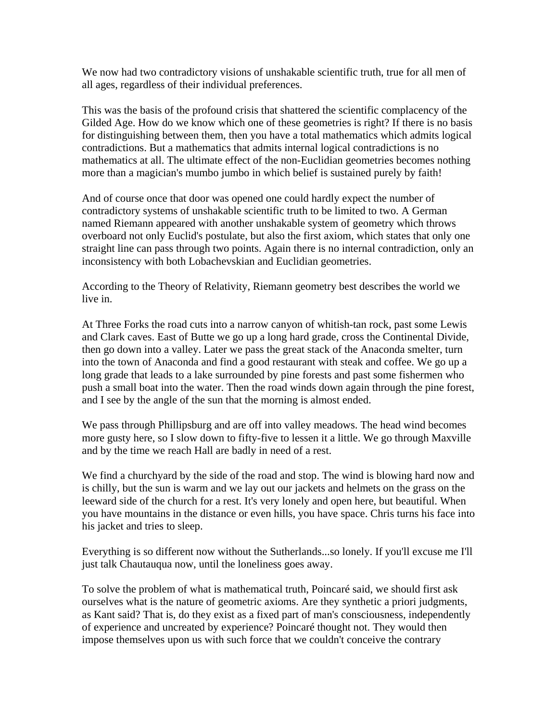We now had two contradictory visions of unshakable scientific truth, true for all men of all ages, regardless of their individual preferences.

This was the basis of the profound crisis that shattered the scientific complacency of the Gilded Age. How do we know which one of these geometries is right? If there is no basis for distinguishing between them, then you have a total mathematics which admits logical contradictions. But a mathematics that admits internal logical contradictions is no mathematics at all. The ultimate effect of the non-Euclidian geometries becomes nothing more than a magician's mumbo jumbo in which belief is sustained purely by faith!

And of course once that door was opened one could hardly expect the number of contradictory systems of unshakable scientific truth to be limited to two. A German named Riemann appeared with another unshakable system of geometry which throws overboard not only Euclid's postulate, but also the first axiom, which states that only one straight line can pass through two points. Again there is no internal contradiction, only an inconsistency with both Lobachevskian and Euclidian geometries.

According to the Theory of Relativity, Riemann geometry best describes the world we live in.

At Three Forks the road cuts into a narrow canyon of whitish-tan rock, past some Lewis and Clark caves. East of Butte we go up a long hard grade, cross the Continental Divide, then go down into a valley. Later we pass the great stack of the Anaconda smelter, turn into the town of Anaconda and find a good restaurant with steak and coffee. We go up a long grade that leads to a lake surrounded by pine forests and past some fishermen who push a small boat into the water. Then the road winds down again through the pine forest, and I see by the angle of the sun that the morning is almost ended.

We pass through Phillipsburg and are off into valley meadows. The head wind becomes more gusty here, so I slow down to fifty-five to lessen it a little. We go through Maxville and by the time we reach Hall are badly in need of a rest.

We find a churchyard by the side of the road and stop. The wind is blowing hard now and is chilly, but the sun is warm and we lay out our jackets and helmets on the grass on the leeward side of the church for a rest. It's very lonely and open here, but beautiful. When you have mountains in the distance or even hills, you have space. Chris turns his face into his jacket and tries to sleep.

Everything is so different now without the Sutherlands...so lonely. If you'll excuse me I'll just talk Chautauqua now, until the loneliness goes away.

To solve the problem of what is mathematical truth, Poincaré said, we should first ask ourselves what is the nature of geometric axioms. Are they synthetic a priori judgments, as Kant said? That is, do they exist as a fixed part of man's consciousness, independently of experience and uncreated by experience? Poincaré thought not. They would then impose themselves upon us with such force that we couldn't conceive the contrary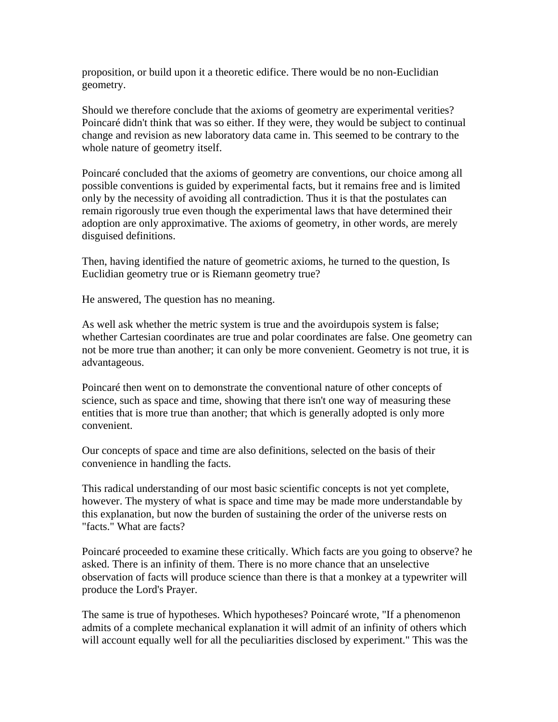proposition, or build upon it a theoretic edifice. There would be no non-Euclidian geometry.

Should we therefore conclude that the axioms of geometry are experimental verities? Poincaré didn't think that was so either. If they were, they would be subject to continual change and revision as new laboratory data came in. This seemed to be contrary to the whole nature of geometry itself.

Poincaré concluded that the axioms of geometry are conventions, our choice among all possible conventions is guided by experimental facts, but it remains free and is limited only by the necessity of avoiding all contradiction. Thus it is that the postulates can remain rigorously true even though the experimental laws that have determined their adoption are only approximative. The axioms of geometry, in other words, are merely disguised definitions.

Then, having identified the nature of geometric axioms, he turned to the question, Is Euclidian geometry true or is Riemann geometry true?

He answered, The question has no meaning.

As well ask whether the metric system is true and the avoirdupois system is false; whether Cartesian coordinates are true and polar coordinates are false. One geometry can not be more true than another; it can only be more convenient. Geometry is not true, it is advantageous.

Poincaré then went on to demonstrate the conventional nature of other concepts of science, such as space and time, showing that there isn't one way of measuring these entities that is more true than another; that which is generally adopted is only more convenient.

Our concepts of space and time are also definitions, selected on the basis of their convenience in handling the facts.

This radical understanding of our most basic scientific concepts is not yet complete, however. The mystery of what is space and time may be made more understandable by this explanation, but now the burden of sustaining the order of the universe rests on "facts." What are facts?

Poincaré proceeded to examine these critically. Which facts are you going to observe? he asked. There is an infinity of them. There is no more chance that an unselective observation of facts will produce science than there is that a monkey at a typewriter will produce the Lord's Prayer.

The same is true of hypotheses. Which hypotheses? Poincaré wrote, "If a phenomenon admits of a complete mechanical explanation it will admit of an infinity of others which will account equally well for all the peculiarities disclosed by experiment." This was the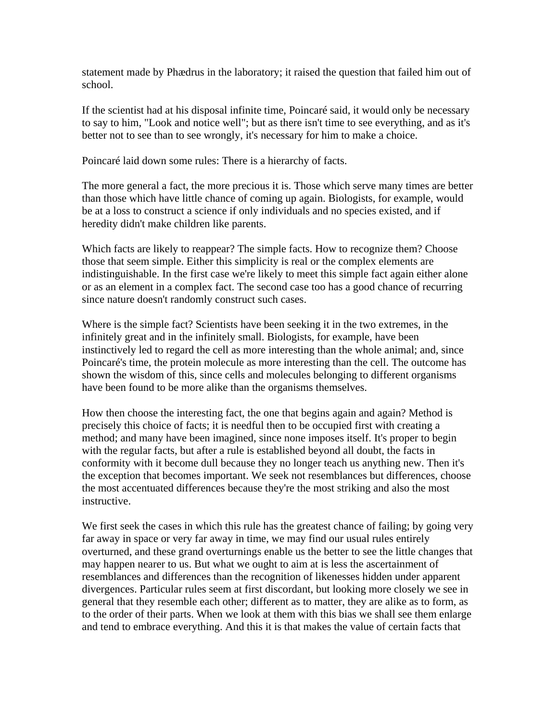statement made by Phædrus in the laboratory; it raised the question that failed him out of school.

If the scientist had at his disposal infinite time, Poincaré said, it would only be necessary to say to him, "Look and notice well"; but as there isn't time to see everything, and as it's better not to see than to see wrongly, it's necessary for him to make a choice.

Poincaré laid down some rules: There is a hierarchy of facts.

The more general a fact, the more precious it is. Those which serve many times are better than those which have little chance of coming up again. Biologists, for example, would be at a loss to construct a science if only individuals and no species existed, and if heredity didn't make children like parents.

Which facts are likely to reappear? The simple facts. How to recognize them? Choose those that seem simple. Either this simplicity is real or the complex elements are indistinguishable. In the first case we're likely to meet this simple fact again either alone or as an element in a complex fact. The second case too has a good chance of recurring since nature doesn't randomly construct such cases.

Where is the simple fact? Scientists have been seeking it in the two extremes, in the infinitely great and in the infinitely small. Biologists, for example, have been instinctively led to regard the cell as more interesting than the whole animal; and, since Poincaré's time, the protein molecule as more interesting than the cell. The outcome has shown the wisdom of this, since cells and molecules belonging to different organisms have been found to be more alike than the organisms themselves.

How then choose the interesting fact, the one that begins again and again? Method is precisely this choice of facts; it is needful then to be occupied first with creating a method; and many have been imagined, since none imposes itself. It's proper to begin with the regular facts, but after a rule is established beyond all doubt, the facts in conformity with it become dull because they no longer teach us anything new. Then it's the exception that becomes important. We seek not resemblances but differences, choose the most accentuated differences because they're the most striking and also the most instructive.

We first seek the cases in which this rule has the greatest chance of failing; by going very far away in space or very far away in time, we may find our usual rules entirely overturned, and these grand overturnings enable us the better to see the little changes that may happen nearer to us. But what we ought to aim at is less the ascertainment of resemblances and differences than the recognition of likenesses hidden under apparent divergences. Particular rules seem at first discordant, but looking more closely we see in general that they resemble each other; different as to matter, they are alike as to form, as to the order of their parts. When we look at them with this bias we shall see them enlarge and tend to embrace everything. And this it is that makes the value of certain facts that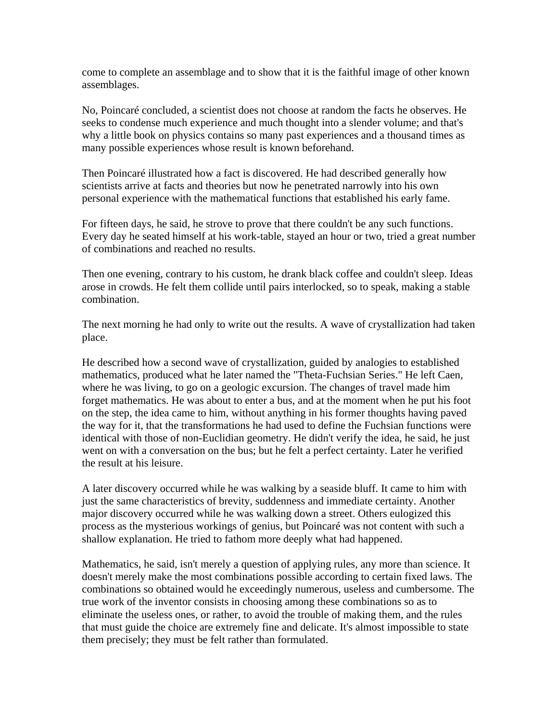come to complete an assemblage and to show that it is the faithful image of other known assemblages.

No, Poincaré concluded, a scientist does not choose at random the facts he observes. He seeks to condense much experience and much thought into a slender volume; and that's why a little book on physics contains so many past experiences and a thousand times as many possible experiences whose result is known beforehand.

Then Poincaré illustrated how a fact is discovered. He had described generally how scientists arrive at facts and theories but now he penetrated narrowly into his own personal experience with the mathematical functions that established his early fame.

For fifteen days, he said, he strove to prove that there couldn't be any such functions. Every day he seated himself at his work-table, stayed an hour or two, tried a great number of combinations and reached no results.

Then one evening, contrary to his custom, he drank black coffee and couldn't sleep. Ideas arose in crowds. He felt them collide until pairs interlocked, so to speak, making a stable combination.

The next morning he had only to write out the results. A wave of crystallization had taken place.

He described how a second wave of crystallization, guided by analogies to established mathematics, produced what he later named the "Theta-Fuchsian Series." He left Caen, where he was living, to go on a geologic excursion. The changes of travel made him forget mathematics. He was about to enter a bus, and at the moment when he put his foot on the step, the idea came to him, without anything in his former thoughts having paved the way for it, that the transformations he had used to define the Fuchsian functions were identical with those of non-Euclidian geometry. He didn't verify the idea, he said, he just went on with a conversation on the bus; but he felt a perfect certainty. Later he verified the result at his leisure.

A later discovery occurred while he was walking by a seaside bluff. It came to him with just the same characteristics of brevity, suddenness and immediate certainty. Another major discovery occurred while he was walking down a street. Others eulogized this process as the mysterious workings of genius, but Poincaré was not content with such a shallow explanation. He tried to fathom more deeply what had happened.

Mathematics, he said, isn't merely a question of applying rules, any more than science. It doesn't merely make the most combinations possible according to certain fixed laws. The combinations so obtained would he exceedingly numerous, useless and cumbersome. The true work of the inventor consists in choosing among these combinations so as to eliminate the useless ones, or rather, to avoid the trouble of making them, and the rules that must guide the choice are extremely fine and delicate. It's almost impossible to state them precisely; they must be felt rather than formulated.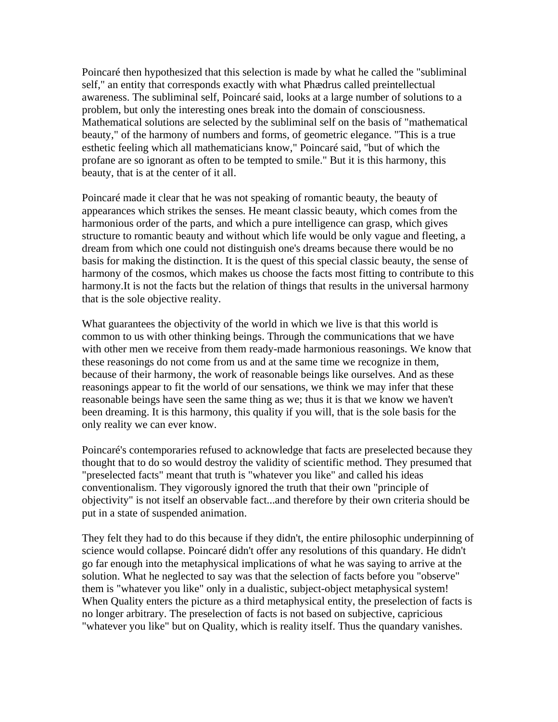Poincaré then hypothesized that this selection is made by what he called the "subliminal self," an entity that corresponds exactly with what Phædrus called preintellectual awareness. The subliminal self, Poincaré said, looks at a large number of solutions to a problem, but only the interesting ones break into the domain of consciousness. Mathematical solutions are selected by the subliminal self on the basis of "mathematical beauty," of the harmony of numbers and forms, of geometric elegance. "This is a true esthetic feeling which all mathematicians know," Poincaré said, "but of which the profane are so ignorant as often to be tempted to smile." But it is this harmony, this beauty, that is at the center of it all.

Poincaré made it clear that he was not speaking of romantic beauty, the beauty of appearances which strikes the senses. He meant classic beauty, which comes from the harmonious order of the parts, and which a pure intelligence can grasp, which gives structure to romantic beauty and without which life would be only vague and fleeting, a dream from which one could not distinguish one's dreams because there would be no basis for making the distinction. It is the quest of this special classic beauty, the sense of harmony of the cosmos, which makes us choose the facts most fitting to contribute to this harmony.It is not the facts but the relation of things that results in the universal harmony that is the sole objective reality.

What guarantees the objectivity of the world in which we live is that this world is common to us with other thinking beings. Through the communications that we have with other men we receive from them ready-made harmonious reasonings. We know that these reasonings do not come from us and at the same time we recognize in them, because of their harmony, the work of reasonable beings like ourselves. And as these reasonings appear to fit the world of our sensations, we think we may infer that these reasonable beings have seen the same thing as we; thus it is that we know we haven't been dreaming. It is this harmony, this quality if you will, that is the sole basis for the only reality we can ever know.

Poincaré's contemporaries refused to acknowledge that facts are preselected because they thought that to do so would destroy the validity of scientific method. They presumed that "preselected facts" meant that truth is "whatever you like" and called his ideas conventionalism. They vigorously ignored the truth that their own "principle of objectivity" is not itself an observable fact...and therefore by their own criteria should be put in a state of suspended animation.

They felt they had to do this because if they didn't, the entire philosophic underpinning of science would collapse. Poincaré didn't offer any resolutions of this quandary. He didn't go far enough into the metaphysical implications of what he was saying to arrive at the solution. What he neglected to say was that the selection of facts before you "observe" them is "whatever you like" only in a dualistic, subject-object metaphysical system! When Quality enters the picture as a third metaphysical entity, the preselection of facts is no longer arbitrary. The preselection of facts is not based on subjective, capricious "whatever you like" but on Quality, which is reality itself. Thus the quandary vanishes.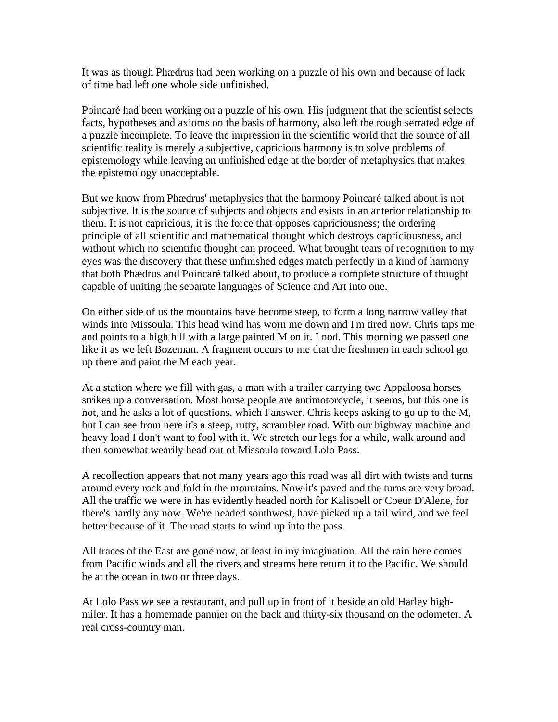It was as though Phædrus had been working on a puzzle of his own and because of lack of time had left one whole side unfinished.

Poincaré had been working on a puzzle of his own. His judgment that the scientist selects facts, hypotheses and axioms on the basis of harmony, also left the rough serrated edge of a puzzle incomplete. To leave the impression in the scientific world that the source of all scientific reality is merely a subjective, capricious harmony is to solve problems of epistemology while leaving an unfinished edge at the border of metaphysics that makes the epistemology unacceptable.

But we know from Phædrus' metaphysics that the harmony Poincaré talked about is not subjective. It is the source of subjects and objects and exists in an anterior relationship to them. It is not capricious, it is the force that opposes capriciousness; the ordering principle of all scientific and mathematical thought which destroys capriciousness, and without which no scientific thought can proceed. What brought tears of recognition to my eyes was the discovery that these unfinished edges match perfectly in a kind of harmony that both Phædrus and Poincaré talked about, to produce a complete structure of thought capable of uniting the separate languages of Science and Art into one.

On either side of us the mountains have become steep, to form a long narrow valley that winds into Missoula. This head wind has worn me down and I'm tired now. Chris taps me and points to a high hill with a large painted M on it. I nod. This morning we passed one like it as we left Bozeman. A fragment occurs to me that the freshmen in each school go up there and paint the M each year.

At a station where we fill with gas, a man with a trailer carrying two Appaloosa horses strikes up a conversation. Most horse people are antimotorcycle, it seems, but this one is not, and he asks a lot of questions, which I answer. Chris keeps asking to go up to the M, but I can see from here it's a steep, rutty, scrambler road. With our highway machine and heavy load I don't want to fool with it. We stretch our legs for a while, walk around and then somewhat wearily head out of Missoula toward Lolo Pass.

A recollection appears that not many years ago this road was all dirt with twists and turns around every rock and fold in the mountains. Now it's paved and the turns are very broad. All the traffic we were in has evidently headed north for Kalispell or Coeur D'Alene, for there's hardly any now. We're headed southwest, have picked up a tail wind, and we feel better because of it. The road starts to wind up into the pass.

All traces of the East are gone now, at least in my imagination. All the rain here comes from Pacific winds and all the rivers and streams here return it to the Pacific. We should be at the ocean in two or three days.

At Lolo Pass we see a restaurant, and pull up in front of it beside an old Harley highmiler. It has a homemade pannier on the back and thirty-six thousand on the odometer. A real cross-country man.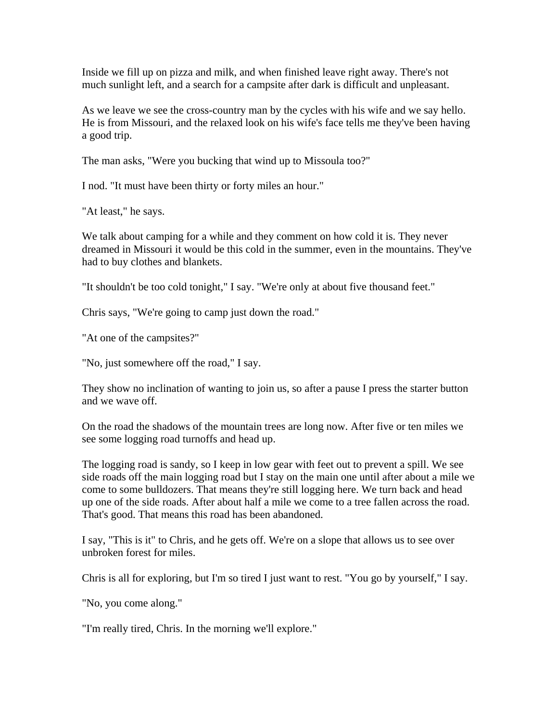Inside we fill up on pizza and milk, and when finished leave right away. There's not much sunlight left, and a search for a campsite after dark is difficult and unpleasant.

As we leave we see the cross-country man by the cycles with his wife and we say hello. He is from Missouri, and the relaxed look on his wife's face tells me they've been having a good trip.

The man asks, "Were you bucking that wind up to Missoula too?"

I nod. "It must have been thirty or forty miles an hour."

"At least," he says.

We talk about camping for a while and they comment on how cold it is. They never dreamed in Missouri it would be this cold in the summer, even in the mountains. They've had to buy clothes and blankets.

"It shouldn't be too cold tonight," I say. "We're only at about five thousand feet."

Chris says, "We're going to camp just down the road."

"At one of the campsites?"

"No, just somewhere off the road," I say.

They show no inclination of wanting to join us, so after a pause I press the starter button and we wave off.

On the road the shadows of the mountain trees are long now. After five or ten miles we see some logging road turnoffs and head up.

The logging road is sandy, so I keep in low gear with feet out to prevent a spill. We see side roads off the main logging road but I stay on the main one until after about a mile we come to some bulldozers. That means they're still logging here. We turn back and head up one of the side roads. After about half a mile we come to a tree fallen across the road. That's good. That means this road has been abandoned.

I say, "This is it" to Chris, and he gets off. We're on a slope that allows us to see over unbroken forest for miles.

Chris is all for exploring, but I'm so tired I just want to rest. "You go by yourself," I say.

"No, you come along."

"I'm really tired, Chris. In the morning we'll explore."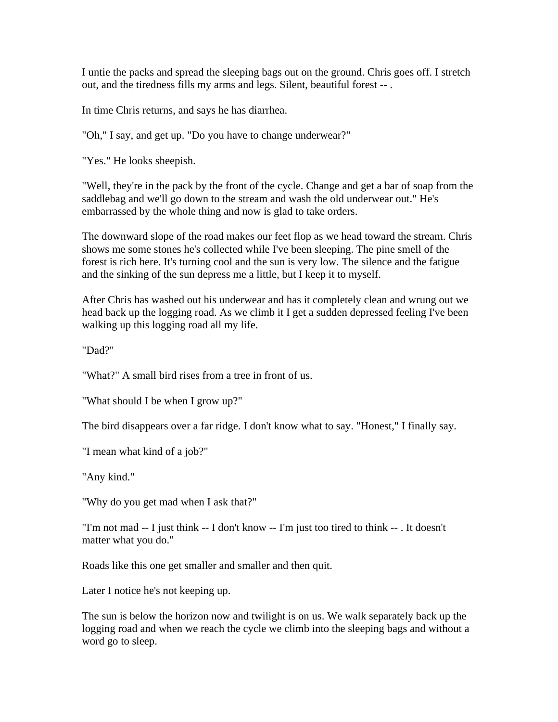I untie the packs and spread the sleeping bags out on the ground. Chris goes off. I stretch out, and the tiredness fills my arms and legs. Silent, beautiful forest -- .

In time Chris returns, and says he has diarrhea.

"Oh," I say, and get up. "Do you have to change underwear?"

"Yes." He looks sheepish.

"Well, they're in the pack by the front of the cycle. Change and get a bar of soap from the saddlebag and we'll go down to the stream and wash the old underwear out." He's embarrassed by the whole thing and now is glad to take orders.

The downward slope of the road makes our feet flop as we head toward the stream. Chris shows me some stones he's collected while I've been sleeping. The pine smell of the forest is rich here. It's turning cool and the sun is very low. The silence and the fatigue and the sinking of the sun depress me a little, but I keep it to myself.

After Chris has washed out his underwear and has it completely clean and wrung out we head back up the logging road. As we climb it I get a sudden depressed feeling I've been walking up this logging road all my life.

"Dad?"

"What?" A small bird rises from a tree in front of us.

"What should I be when I grow up?"

The bird disappears over a far ridge. I don't know what to say. "Honest," I finally say.

"I mean what kind of a job?"

"Any kind."

"Why do you get mad when I ask that?"

"I'm not mad -- I just think -- I don't know -- I'm just too tired to think -- . It doesn't matter what you do."

Roads like this one get smaller and smaller and then quit.

Later I notice he's not keeping up.

The sun is below the horizon now and twilight is on us. We walk separately back up the logging road and when we reach the cycle we climb into the sleeping bags and without a word go to sleep.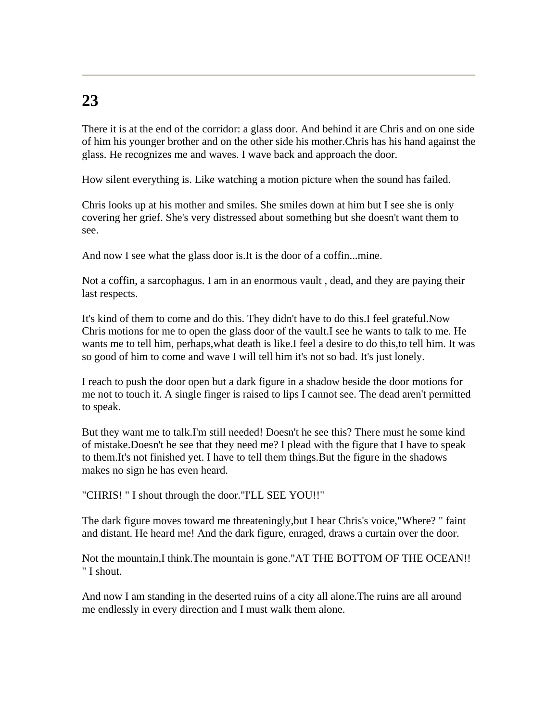#### **23**

There it is at the end of the corridor: a glass door. And behind it are Chris and on one side of him his younger brother and on the other side his mother.Chris has his hand against the glass. He recognizes me and waves. I wave back and approach the door.

How silent everything is. Like watching a motion picture when the sound has failed.

Chris looks up at his mother and smiles. She smiles down at him but I see she is only covering her grief. She's very distressed about something but she doesn't want them to see.

And now I see what the glass door is.It is the door of a coffin...mine.

Not a coffin, a sarcophagus. I am in an enormous vault , dead, and they are paying their last respects.

It's kind of them to come and do this. They didn't have to do this.I feel grateful.Now Chris motions for me to open the glass door of the vault.I see he wants to talk to me. He wants me to tell him, perhaps,what death is like.I feel a desire to do this,to tell him. It was so good of him to come and wave I will tell him it's not so bad. It's just lonely.

I reach to push the door open but a dark figure in a shadow beside the door motions for me not to touch it. A single finger is raised to lips I cannot see. The dead aren't permitted to speak.

But they want me to talk.I'm still needed! Doesn't he see this? There must he some kind of mistake.Doesn't he see that they need me? I plead with the figure that I have to speak to them.It's not finished yet. I have to tell them things.But the figure in the shadows makes no sign he has even heard.

"CHRIS! " I shout through the door."I'LL SEE YOU!!"

The dark figure moves toward me threateningly,but I hear Chris's voice,"Where? " faint and distant. He heard me! And the dark figure, enraged, draws a curtain over the door.

Not the mountain,I think.The mountain is gone."AT THE BOTTOM OF THE OCEAN!! " I shout.

And now I am standing in the deserted ruins of a city all alone.The ruins are all around me endlessly in every direction and I must walk them alone.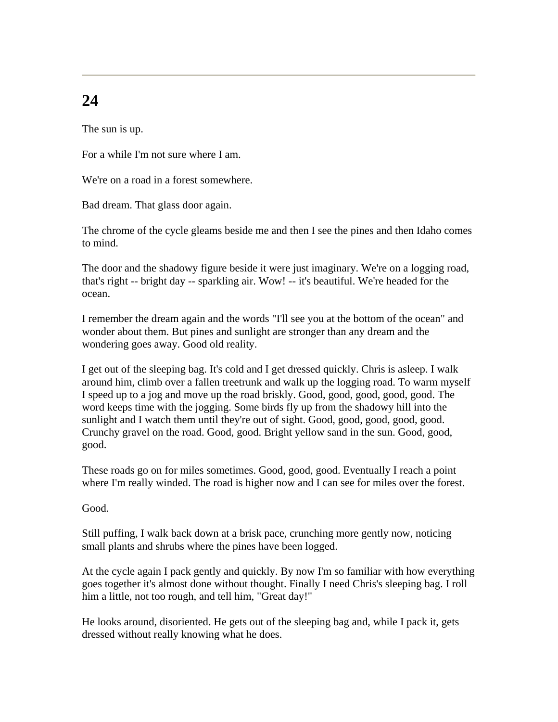# **24**

The sun is up.

For a while I'm not sure where I am.

We're on a road in a forest somewhere.

Bad dream. That glass door again.

The chrome of the cycle gleams beside me and then I see the pines and then Idaho comes to mind.

The door and the shadowy figure beside it were just imaginary. We're on a logging road, that's right -- bright day -- sparkling air. Wow! -- it's beautiful. We're headed for the ocean.

I remember the dream again and the words "I'll see you at the bottom of the ocean" and wonder about them. But pines and sunlight are stronger than any dream and the wondering goes away. Good old reality.

I get out of the sleeping bag. It's cold and I get dressed quickly. Chris is asleep. I walk around him, climb over a fallen treetrunk and walk up the logging road. To warm myself I speed up to a jog and move up the road briskly. Good, good, good, good, good. The word keeps time with the jogging. Some birds fly up from the shadowy hill into the sunlight and I watch them until they're out of sight. Good, good, good, good, good. Crunchy gravel on the road. Good, good. Bright yellow sand in the sun. Good, good, good.

These roads go on for miles sometimes. Good, good, good. Eventually I reach a point where I'm really winded. The road is higher now and I can see for miles over the forest.

Good.

Still puffing, I walk back down at a brisk pace, crunching more gently now, noticing small plants and shrubs where the pines have been logged.

At the cycle again I pack gently and quickly. By now I'm so familiar with how everything goes together it's almost done without thought. Finally I need Chris's sleeping bag. I roll him a little, not too rough, and tell him, "Great day!"

He looks around, disoriented. He gets out of the sleeping bag and, while I pack it, gets dressed without really knowing what he does.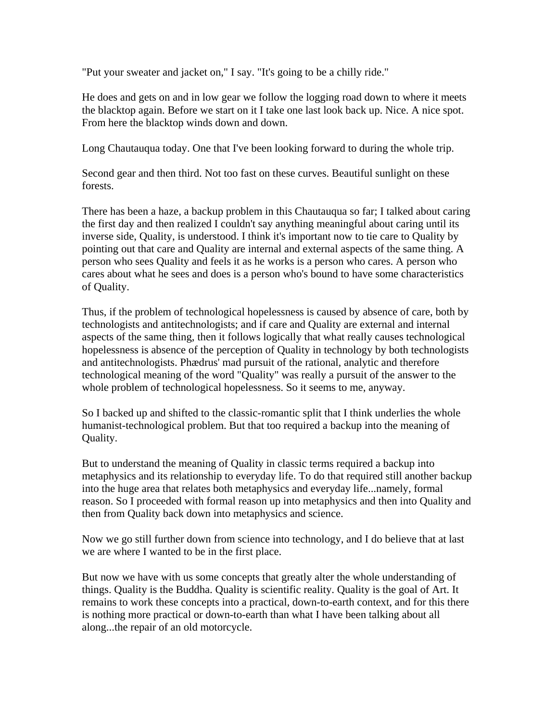"Put your sweater and jacket on," I say. "It's going to be a chilly ride."

He does and gets on and in low gear we follow the logging road down to where it meets the blacktop again. Before we start on it I take one last look back up. Nice. A nice spot. From here the blacktop winds down and down.

Long Chautauqua today. One that I've been looking forward to during the whole trip.

Second gear and then third. Not too fast on these curves. Beautiful sunlight on these forests.

There has been a haze, a backup problem in this Chautauqua so far; I talked about caring the first day and then realized I couldn't say anything meaningful about caring until its inverse side, Quality, is understood. I think it's important now to tie care to Quality by pointing out that care and Quality are internal and external aspects of the same thing. A person who sees Quality and feels it as he works is a person who cares. A person who cares about what he sees and does is a person who's bound to have some characteristics of Quality.

Thus, if the problem of technological hopelessness is caused by absence of care, both by technologists and antitechnologists; and if care and Quality are external and internal aspects of the same thing, then it follows logically that what really causes technological hopelessness is absence of the perception of Quality in technology by both technologists and antitechnologists. Phædrus' mad pursuit of the rational, analytic and therefore technological meaning of the word "Quality" was really a pursuit of the answer to the whole problem of technological hopelessness. So it seems to me, anyway.

So I backed up and shifted to the classic-romantic split that I think underlies the whole humanist-technological problem. But that too required a backup into the meaning of Quality.

But to understand the meaning of Quality in classic terms required a backup into metaphysics and its relationship to everyday life. To do that required still another backup into the huge area that relates both metaphysics and everyday life...namely, formal reason. So I proceeded with formal reason up into metaphysics and then into Quality and then from Quality back down into metaphysics and science.

Now we go still further down from science into technology, and I do believe that at last we are where I wanted to be in the first place.

But now we have with us some concepts that greatly alter the whole understanding of things. Quality is the Buddha. Quality is scientific reality. Quality is the goal of Art. It remains to work these concepts into a practical, down-to-earth context, and for this there is nothing more practical or down-to-earth than what I have been talking about all along...the repair of an old motorcycle.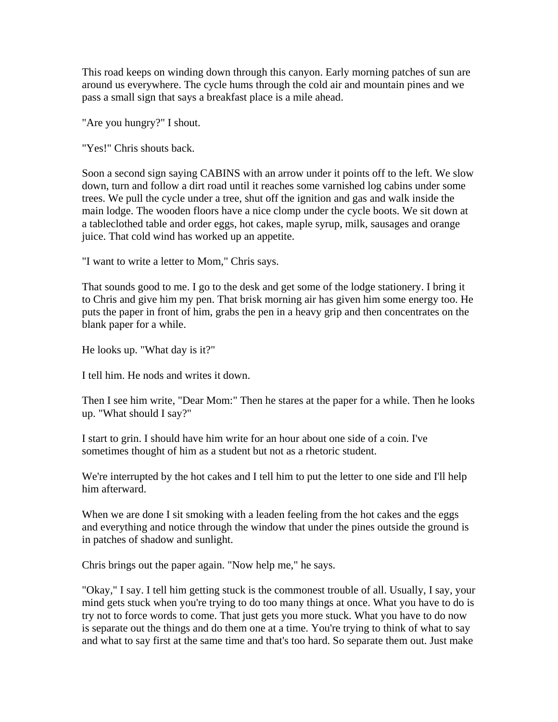This road keeps on winding down through this canyon. Early morning patches of sun are around us everywhere. The cycle hums through the cold air and mountain pines and we pass a small sign that says a breakfast place is a mile ahead.

"Are you hungry?" I shout.

"Yes!" Chris shouts back.

Soon a second sign saying CABINS with an arrow under it points off to the left. We slow down, turn and follow a dirt road until it reaches some varnished log cabins under some trees. We pull the cycle under a tree, shut off the ignition and gas and walk inside the main lodge. The wooden floors have a nice clomp under the cycle boots. We sit down at a tableclothed table and order eggs, hot cakes, maple syrup, milk, sausages and orange juice. That cold wind has worked up an appetite.

"I want to write a letter to Mom," Chris says.

That sounds good to me. I go to the desk and get some of the lodge stationery. I bring it to Chris and give him my pen. That brisk morning air has given him some energy too. He puts the paper in front of him, grabs the pen in a heavy grip and then concentrates on the blank paper for a while.

He looks up. "What day is it?"

I tell him. He nods and writes it down.

Then I see him write, "Dear Mom:" Then he stares at the paper for a while. Then he looks up. "What should I say?"

I start to grin. I should have him write for an hour about one side of a coin. I've sometimes thought of him as a student but not as a rhetoric student.

We're interrupted by the hot cakes and I tell him to put the letter to one side and I'll help him afterward.

When we are done I sit smoking with a leaden feeling from the hot cakes and the eggs and everything and notice through the window that under the pines outside the ground is in patches of shadow and sunlight.

Chris brings out the paper again. "Now help me," he says.

"Okay," I say. I tell him getting stuck is the commonest trouble of all. Usually, I say, your mind gets stuck when you're trying to do too many things at once. What you have to do is try not to force words to come. That just gets you more stuck. What you have to do now is separate out the things and do them one at a time. You're trying to think of what to say and what to say first at the same time and that's too hard. So separate them out. Just make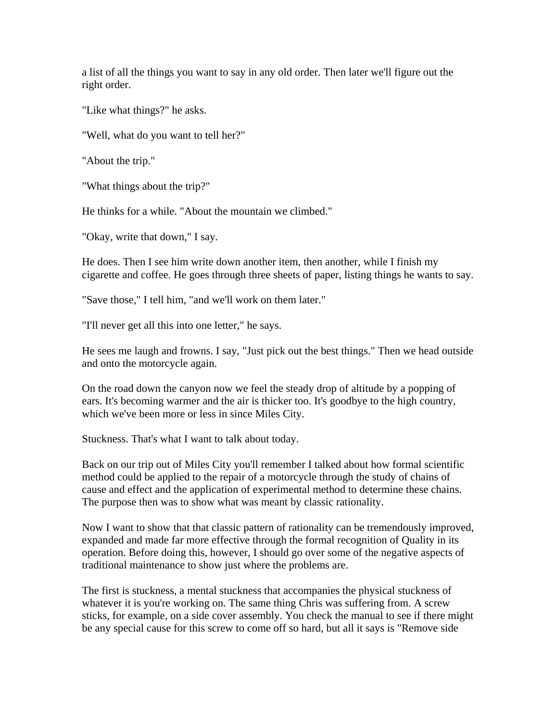a list of all the things you want to say in any old order. Then later we'll figure out the right order.

"Like what things?" he asks.

"Well, what do you want to tell her?"

"About the trip."

"What things about the trip?"

He thinks for a while. "About the mountain we climbed."

"Okay, write that down," I say.

He does. Then I see him write down another item, then another, while I finish my cigarette and coffee. He goes through three sheets of paper, listing things he wants to say.

"Save those," I tell him, "and we'll work on them later."

"I'll never get all this into one letter," he says.

He sees me laugh and frowns. I say, "Just pick out the best things." Then we head outside and onto the motorcycle again.

On the road down the canyon now we feel the steady drop of altitude by a popping of ears. It's becoming warmer and the air is thicker too. It's goodbye to the high country, which we've been more or less in since Miles City.

Stuckness. That's what I want to talk about today.

Back on our trip out of Miles City you'll remember I talked about how formal scientific method could be applied to the repair of a motorcycle through the study of chains of cause and effect and the application of experimental method to determine these chains. The purpose then was to show what was meant by classic rationality.

Now I want to show that that classic pattern of rationality can be tremendously improved, expanded and made far more effective through the formal recognition of Quality in its operation. Before doing this, however, I should go over some of the negative aspects of traditional maintenance to show just where the problems are.

The first is stuckness, a mental stuckness that accompanies the physical stuckness of whatever it is you're working on. The same thing Chris was suffering from. A screw sticks, for example, on a side cover assembly. You check the manual to see if there might be any special cause for this screw to come off so hard, but all it says is "Remove side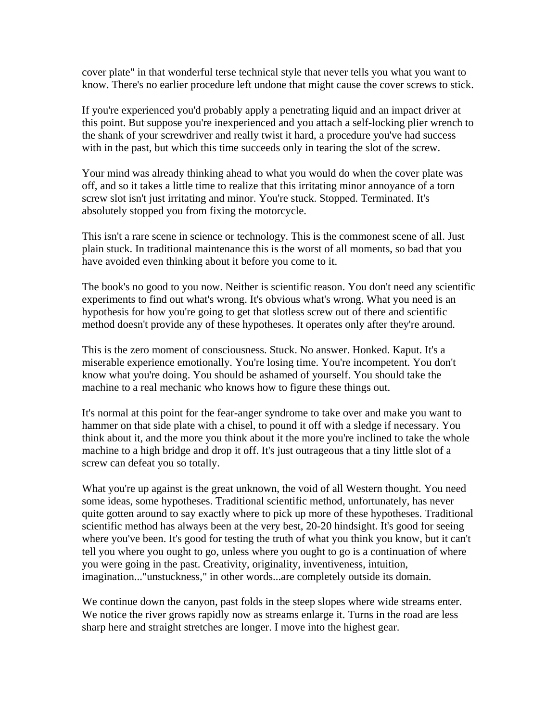cover plate" in that wonderful terse technical style that never tells you what you want to know. There's no earlier procedure left undone that might cause the cover screws to stick.

If you're experienced you'd probably apply a penetrating liquid and an impact driver at this point. But suppose you're inexperienced and you attach a self-locking plier wrench to the shank of your screwdriver and really twist it hard, a procedure you've had success with in the past, but which this time succeeds only in tearing the slot of the screw.

Your mind was already thinking ahead to what you would do when the cover plate was off, and so it takes a little time to realize that this irritating minor annoyance of a torn screw slot isn't just irritating and minor. You're stuck. Stopped. Terminated. It's absolutely stopped you from fixing the motorcycle.

This isn't a rare scene in science or technology. This is the commonest scene of all. Just plain stuck. In traditional maintenance this is the worst of all moments, so bad that you have avoided even thinking about it before you come to it.

The book's no good to you now. Neither is scientific reason. You don't need any scientific experiments to find out what's wrong. It's obvious what's wrong. What you need is an hypothesis for how you're going to get that slotless screw out of there and scientific method doesn't provide any of these hypotheses. It operates only after they're around.

This is the zero moment of consciousness. Stuck. No answer. Honked. Kaput. It's a miserable experience emotionally. You're losing time. You're incompetent. You don't know what you're doing. You should be ashamed of yourself. You should take the machine to a real mechanic who knows how to figure these things out.

It's normal at this point for the fear-anger syndrome to take over and make you want to hammer on that side plate with a chisel, to pound it off with a sledge if necessary. You think about it, and the more you think about it the more you're inclined to take the whole machine to a high bridge and drop it off. It's just outrageous that a tiny little slot of a screw can defeat you so totally.

What you're up against is the great unknown, the void of all Western thought. You need some ideas, some hypotheses. Traditional scientific method, unfortunately, has never quite gotten around to say exactly where to pick up more of these hypotheses. Traditional scientific method has always been at the very best, 20-20 hindsight. It's good for seeing where you've been. It's good for testing the truth of what you think you know, but it can't tell you where you ought to go, unless where you ought to go is a continuation of where you were going in the past. Creativity, originality, inventiveness, intuition, imagination..."unstuckness," in other words...are completely outside its domain.

We continue down the canyon, past folds in the steep slopes where wide streams enter. We notice the river grows rapidly now as streams enlarge it. Turns in the road are less sharp here and straight stretches are longer. I move into the highest gear.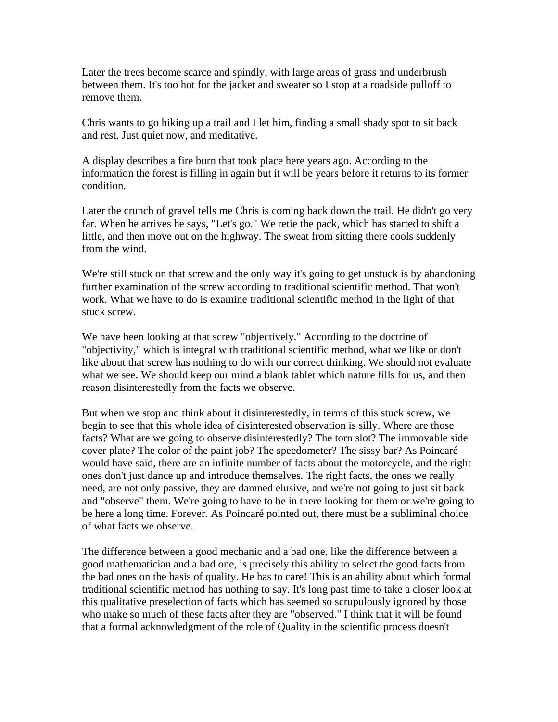Later the trees become scarce and spindly, with large areas of grass and underbrush between them. It's too hot for the jacket and sweater so I stop at a roadside pulloff to remove them.

Chris wants to go hiking up a trail and I let him, finding a small shady spot to sit back and rest. Just quiet now, and meditative.

A display describes a fire burn that took place here years ago. According to the information the forest is filling in again but it will be years before it returns to its former condition.

Later the crunch of gravel tells me Chris is coming back down the trail. He didn't go very far. When he arrives he says, "Let's go." We retie the pack, which has started to shift a little, and then move out on the highway. The sweat from sitting there cools suddenly from the wind.

We're still stuck on that screw and the only way it's going to get unstuck is by abandoning further examination of the screw according to traditional scientific method. That won't work. What we have to do is examine traditional scientific method in the light of that stuck screw.

We have been looking at that screw "objectively." According to the doctrine of "objectivity," which is integral with traditional scientific method, what we like or don't like about that screw has nothing to do with our correct thinking. We should not evaluate what we see. We should keep our mind a blank tablet which nature fills for us, and then reason disinterestedly from the facts we observe.

But when we stop and think about it disinterestedly, in terms of this stuck screw, we begin to see that this whole idea of disinterested observation is silly. Where are those facts? What are we going to observe disinterestedly? The torn slot? The immovable side cover plate? The color of the paint job? The speedometer? The sissy bar? As Poincaré would have said, there are an infinite number of facts about the motorcycle, and the right ones don't just dance up and introduce themselves. The right facts, the ones we really need, are not only passive, they are damned elusive, and we're not going to just sit back and "observe" them. We're going to have to be in there looking for them or we're going to be here a long time. Forever. As Poincaré pointed out, there must be a subliminal choice of what facts we observe.

The difference between a good mechanic and a bad one, like the difference between a good mathematician and a bad one, is precisely this ability to select the good facts from the bad ones on the basis of quality. He has to care! This is an ability about which formal traditional scientific method has nothing to say. It's long past time to take a closer look at this qualitative preselection of facts which has seemed so scrupulously ignored by those who make so much of these facts after they are "observed." I think that it will be found that a formal acknowledgment of the role of Quality in the scientific process doesn't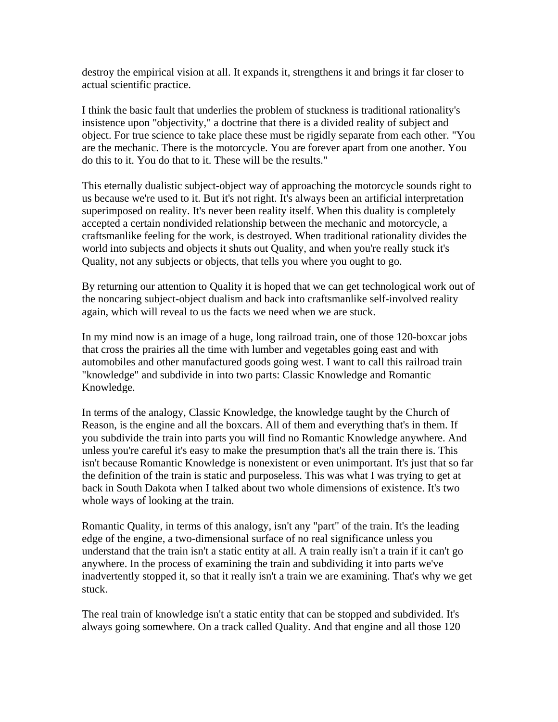destroy the empirical vision at all. It expands it, strengthens it and brings it far closer to actual scientific practice.

I think the basic fault that underlies the problem of stuckness is traditional rationality's insistence upon "objectivity," a doctrine that there is a divided reality of subject and object. For true science to take place these must be rigidly separate from each other. "You are the mechanic. There is the motorcycle. You are forever apart from one another. You do this to it. You do that to it. These will be the results."

This eternally dualistic subject-object way of approaching the motorcycle sounds right to us because we're used to it. But it's not right. It's always been an artificial interpretation superimposed on reality. It's never been reality itself. When this duality is completely accepted a certain nondivided relationship between the mechanic and motorcycle, a craftsmanlike feeling for the work, is destroyed. When traditional rationality divides the world into subjects and objects it shuts out Quality, and when you're really stuck it's Quality, not any subjects or objects, that tells you where you ought to go.

By returning our attention to Quality it is hoped that we can get technological work out of the noncaring subject-object dualism and back into craftsmanlike self-involved reality again, which will reveal to us the facts we need when we are stuck.

In my mind now is an image of a huge, long railroad train, one of those 120-boxcar jobs that cross the prairies all the time with lumber and vegetables going east and with automobiles and other manufactured goods going west. I want to call this railroad train "knowledge" and subdivide in into two parts: Classic Knowledge and Romantic Knowledge.

In terms of the analogy, Classic Knowledge, the knowledge taught by the Church of Reason, is the engine and all the boxcars. All of them and everything that's in them. If you subdivide the train into parts you will find no Romantic Knowledge anywhere. And unless you're careful it's easy to make the presumption that's all the train there is. This isn't because Romantic Knowledge is nonexistent or even unimportant. It's just that so far the definition of the train is static and purposeless. This was what I was trying to get at back in South Dakota when I talked about two whole dimensions of existence. It's two whole ways of looking at the train.

Romantic Quality, in terms of this analogy, isn't any "part" of the train. It's the leading edge of the engine, a two-dimensional surface of no real significance unless you understand that the train isn't a static entity at all. A train really isn't a train if it can't go anywhere. In the process of examining the train and subdividing it into parts we've inadvertently stopped it, so that it really isn't a train we are examining. That's why we get stuck.

The real train of knowledge isn't a static entity that can be stopped and subdivided. It's always going somewhere. On a track called Quality. And that engine and all those 120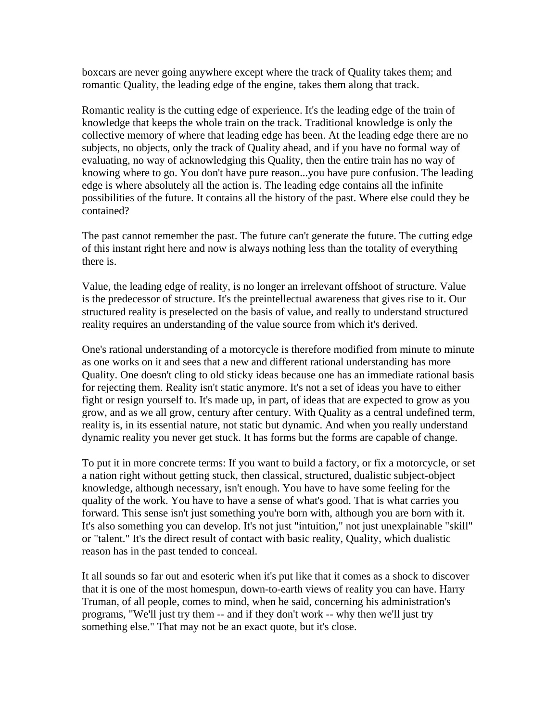boxcars are never going anywhere except where the track of Quality takes them; and romantic Quality, the leading edge of the engine, takes them along that track.

Romantic reality is the cutting edge of experience. It's the leading edge of the train of knowledge that keeps the whole train on the track. Traditional knowledge is only the collective memory of where that leading edge has been. At the leading edge there are no subjects, no objects, only the track of Quality ahead, and if you have no formal way of evaluating, no way of acknowledging this Quality, then the entire train has no way of knowing where to go. You don't have pure reason...you have pure confusion. The leading edge is where absolutely all the action is. The leading edge contains all the infinite possibilities of the future. It contains all the history of the past. Where else could they be contained?

The past cannot remember the past. The future can't generate the future. The cutting edge of this instant right here and now is always nothing less than the totality of everything there is.

Value, the leading edge of reality, is no longer an irrelevant offshoot of structure. Value is the predecessor of structure. It's the preintellectual awareness that gives rise to it. Our structured reality is preselected on the basis of value, and really to understand structured reality requires an understanding of the value source from which it's derived.

One's rational understanding of a motorcycle is therefore modified from minute to minute as one works on it and sees that a new and different rational understanding has more Quality. One doesn't cling to old sticky ideas because one has an immediate rational basis for rejecting them. Reality isn't static anymore. It's not a set of ideas you have to either fight or resign yourself to. It's made up, in part, of ideas that are expected to grow as you grow, and as we all grow, century after century. With Quality as a central undefined term, reality is, in its essential nature, not static but dynamic. And when you really understand dynamic reality you never get stuck. It has forms but the forms are capable of change.

To put it in more concrete terms: If you want to build a factory, or fix a motorcycle, or set a nation right without getting stuck, then classical, structured, dualistic subject-object knowledge, although necessary, isn't enough. You have to have some feeling for the quality of the work. You have to have a sense of what's good. That is what carries you forward. This sense isn't just something you're born with, although you are born with it. It's also something you can develop. It's not just "intuition," not just unexplainable "skill" or "talent." It's the direct result of contact with basic reality, Quality, which dualistic reason has in the past tended to conceal.

It all sounds so far out and esoteric when it's put like that it comes as a shock to discover that it is one of the most homespun, down-to-earth views of reality you can have. Harry Truman, of all people, comes to mind, when he said, concerning his administration's programs, "We'll just try them -- and if they don't work -- why then we'll just try something else." That may not be an exact quote, but it's close.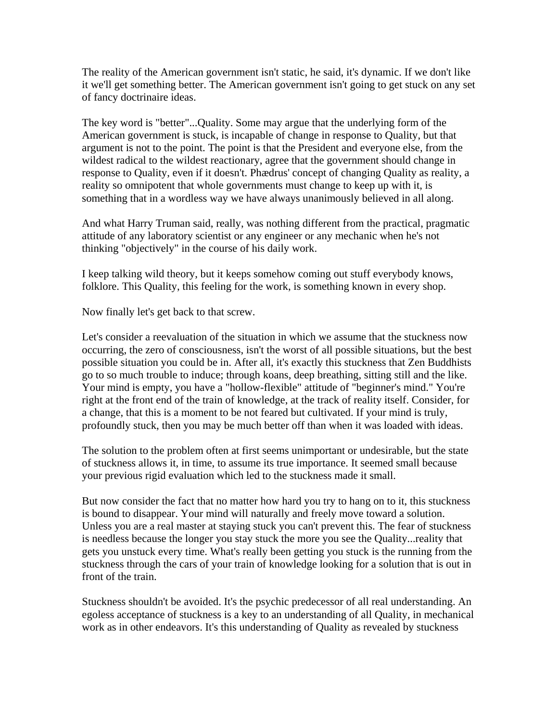The reality of the American government isn't static, he said, it's dynamic. If we don't like it we'll get something better. The American government isn't going to get stuck on any set of fancy doctrinaire ideas.

The key word is "better"...Quality. Some may argue that the underlying form of the American government is stuck, is incapable of change in response to Quality, but that argument is not to the point. The point is that the President and everyone else, from the wildest radical to the wildest reactionary, agree that the government should change in response to Quality, even if it doesn't. Phædrus' concept of changing Quality as reality, a reality so omnipotent that whole governments must change to keep up with it, is something that in a wordless way we have always unanimously believed in all along.

And what Harry Truman said, really, was nothing different from the practical, pragmatic attitude of any laboratory scientist or any engineer or any mechanic when he's not thinking "objectively" in the course of his daily work.

I keep talking wild theory, but it keeps somehow coming out stuff everybody knows, folklore. This Quality, this feeling for the work, is something known in every shop.

Now finally let's get back to that screw.

Let's consider a reevaluation of the situation in which we assume that the stuckness now occurring, the zero of consciousness, isn't the worst of all possible situations, but the best possible situation you could be in. After all, it's exactly this stuckness that Zen Buddhists go to so much trouble to induce; through koans, deep breathing, sitting still and the like. Your mind is empty, you have a "hollow-flexible" attitude of "beginner's mind." You're right at the front end of the train of knowledge, at the track of reality itself. Consider, for a change, that this is a moment to be not feared but cultivated. If your mind is truly, profoundly stuck, then you may be much better off than when it was loaded with ideas.

The solution to the problem often at first seems unimportant or undesirable, but the state of stuckness allows it, in time, to assume its true importance. It seemed small because your previous rigid evaluation which led to the stuckness made it small.

But now consider the fact that no matter how hard you try to hang on to it, this stuckness is bound to disappear. Your mind will naturally and freely move toward a solution. Unless you are a real master at staying stuck you can't prevent this. The fear of stuckness is needless because the longer you stay stuck the more you see the Quality...reality that gets you unstuck every time. What's really been getting you stuck is the running from the stuckness through the cars of your train of knowledge looking for a solution that is out in front of the train.

Stuckness shouldn't be avoided. It's the psychic predecessor of all real understanding. An egoless acceptance of stuckness is a key to an understanding of all Quality, in mechanical work as in other endeavors. It's this understanding of Quality as revealed by stuckness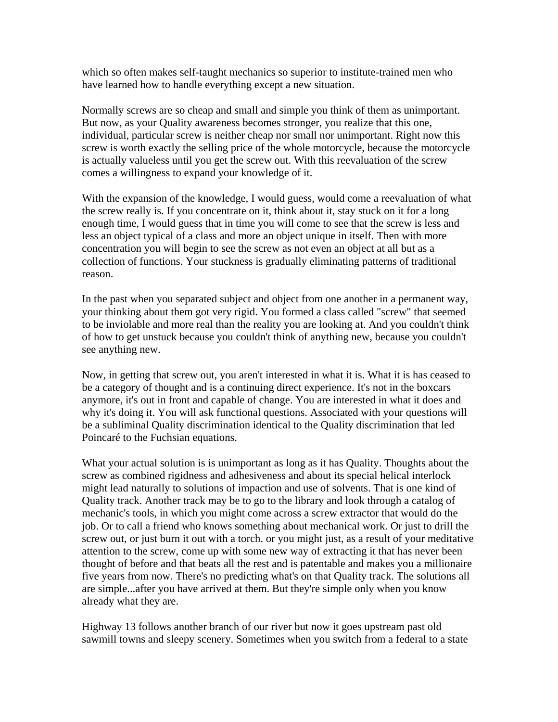which so often makes self-taught mechanics so superior to institute-trained men who have learned how to handle everything except a new situation.

Normally screws are so cheap and small and simple you think of them as unimportant. But now, as your Quality awareness becomes stronger, you realize that this one, individual, particular screw is neither cheap nor small nor unimportant. Right now this screw is worth exactly the selling price of the whole motorcycle, because the motorcycle is actually valueless until you get the screw out. With this reevaluation of the screw comes a willingness to expand your knowledge of it.

With the expansion of the knowledge, I would guess, would come a reevaluation of what the screw really is. If you concentrate on it, think about it, stay stuck on it for a long enough time, I would guess that in time you will come to see that the screw is less and less an object typical of a class and more an object unique in itself. Then with more concentration you will begin to see the screw as not even an object at all but as a collection of functions. Your stuckness is gradually eliminating patterns of traditional reason.

In the past when you separated subject and object from one another in a permanent way, your thinking about them got very rigid. You formed a class called "screw" that seemed to be inviolable and more real than the reality you are looking at. And you couldn't think of how to get unstuck because you couldn't think of anything new, because you couldn't see anything new.

Now, in getting that screw out, you aren't interested in what it is. What it is has ceased to be a category of thought and is a continuing direct experience. It's not in the boxcars anymore, it's out in front and capable of change. You are interested in what it does and why it's doing it. You will ask functional questions. Associated with your questions will be a subliminal Quality discrimination identical to the Quality discrimination that led Poincaré to the Fuchsian equations.

What your actual solution is is unimportant as long as it has Quality. Thoughts about the screw as combined rigidness and adhesiveness and about its special helical interlock might lead naturally to solutions of impaction and use of solvents. That is one kind of Quality track. Another track may be to go to the library and look through a catalog of mechanic's tools, in which you might come across a screw extractor that would do the job. Or to call a friend who knows something about mechanical work. Or just to drill the screw out, or just burn it out with a torch. or you might just, as a result of your meditative attention to the screw, come up with some new way of extracting it that has never been thought of before and that beats all the rest and is patentable and makes you a millionaire five years from now. There's no predicting what's on that Quality track. The solutions all are simple...after you have arrived at them. But they're simple only when you know already what they are.

Highway 13 follows another branch of our river but now it goes upstream past old sawmill towns and sleepy scenery. Sometimes when you switch from a federal to a state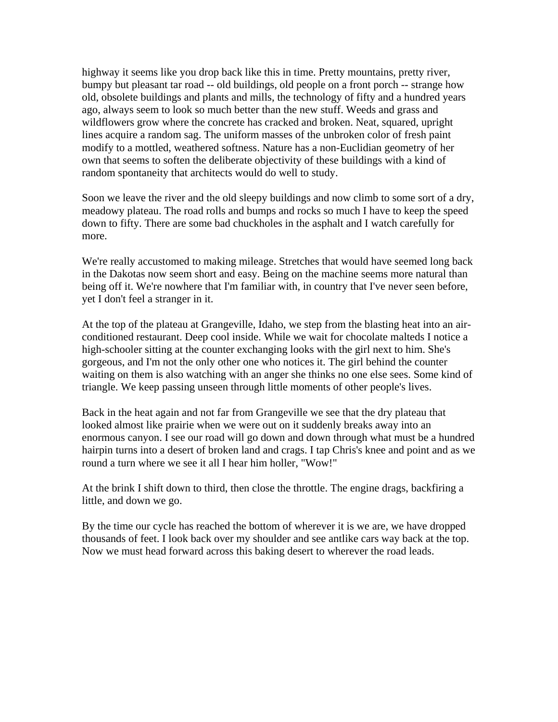highway it seems like you drop back like this in time. Pretty mountains, pretty river, bumpy but pleasant tar road -- old buildings, old people on a front porch -- strange how old, obsolete buildings and plants and mills, the technology of fifty and a hundred years ago, always seem to look so much better than the new stuff. Weeds and grass and wildflowers grow where the concrete has cracked and broken. Neat, squared, upright lines acquire a random sag. The uniform masses of the unbroken color of fresh paint modify to a mottled, weathered softness. Nature has a non-Euclidian geometry of her own that seems to soften the deliberate objectivity of these buildings with a kind of random spontaneity that architects would do well to study.

Soon we leave the river and the old sleepy buildings and now climb to some sort of a dry, meadowy plateau. The road rolls and bumps and rocks so much I have to keep the speed down to fifty. There are some bad chuckholes in the asphalt and I watch carefully for more.

We're really accustomed to making mileage. Stretches that would have seemed long back in the Dakotas now seem short and easy. Being on the machine seems more natural than being off it. We're nowhere that I'm familiar with, in country that I've never seen before, yet I don't feel a stranger in it.

At the top of the plateau at Grangeville, Idaho, we step from the blasting heat into an airconditioned restaurant. Deep cool inside. While we wait for chocolate malteds I notice a high-schooler sitting at the counter exchanging looks with the girl next to him. She's gorgeous, and I'm not the only other one who notices it. The girl behind the counter waiting on them is also watching with an anger she thinks no one else sees. Some kind of triangle. We keep passing unseen through little moments of other people's lives.

Back in the heat again and not far from Grangeville we see that the dry plateau that looked almost like prairie when we were out on it suddenly breaks away into an enormous canyon. I see our road will go down and down through what must be a hundred hairpin turns into a desert of broken land and crags. I tap Chris's knee and point and as we round a turn where we see it all I hear him holler, "Wow!"

At the brink I shift down to third, then close the throttle. The engine drags, backfiring a little, and down we go.

By the time our cycle has reached the bottom of wherever it is we are, we have dropped thousands of feet. I look back over my shoulder and see antlike cars way back at the top. Now we must head forward across this baking desert to wherever the road leads.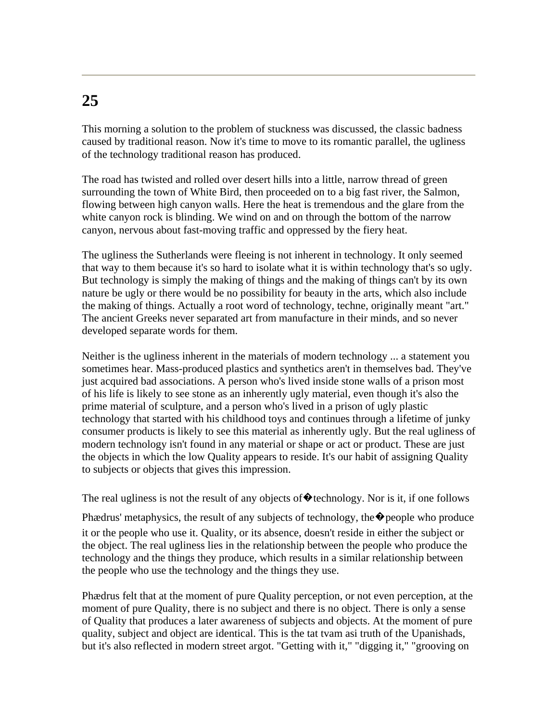#### **25**

This morning a solution to the problem of stuckness was discussed, the classic badness caused by traditional reason. Now it's time to move to its romantic parallel, the ugliness of the technology traditional reason has produced.

The road has twisted and rolled over desert hills into a little, narrow thread of green surrounding the town of White Bird, then proceeded on to a big fast river, the Salmon, flowing between high canyon walls. Here the heat is tremendous and the glare from the white canyon rock is blinding. We wind on and on through the bottom of the narrow canyon, nervous about fast-moving traffic and oppressed by the fiery heat.

The ugliness the Sutherlands were fleeing is not inherent in technology. It only seemed that way to them because it's so hard to isolate what it is within technology that's so ugly. But technology is simply the making of things and the making of things can't by its own nature be ugly or there would be no possibility for beauty in the arts, which also include the making of things. Actually a root word of technology, techne, originally meant "art." The ancient Greeks never separated art from manufacture in their minds, and so never developed separate words for them.

Neither is the ugliness inherent in the materials of modern technology ... a statement you sometimes hear. Mass-produced plastics and synthetics aren't in themselves bad. They've just acquired bad associations. A person who's lived inside stone walls of a prison most of his life is likely to see stone as an inherently ugly material, even though it's also the prime material of sculpture, and a person who's lived in a prison of ugly plastic technology that started with his childhood toys and continues through a lifetime of junky consumer products is likely to see this material as inherently ugly. But the real ugliness of modern technology isn't found in any material or shape or act or product. These are just the objects in which the low Quality appears to reside. It's our habit of assigning Quality to subjects or objects that gives this impression.

The real ugliness is not the result of any objects of  $\hat{\blacklozenge}$  technology. Nor is it, if one follows

Phædrus' metaphysics, the result of any subjects of technology, the  $\bullet$  people who produce it or the people who use it. Quality, or its absence, doesn't reside in either the subject or the object. The real ugliness lies in the relationship between the people who produce the technology and the things they produce, which results in a similar relationship between the people who use the technology and the things they use.

Phædrus felt that at the moment of pure Quality perception, or not even perception, at the moment of pure Quality, there is no subject and there is no object. There is only a sense of Quality that produces a later awareness of subjects and objects. At the moment of pure quality, subject and object are identical. This is the tat tvam asi truth of the Upanishads, but it's also reflected in modern street argot. "Getting with it," "digging it," "grooving on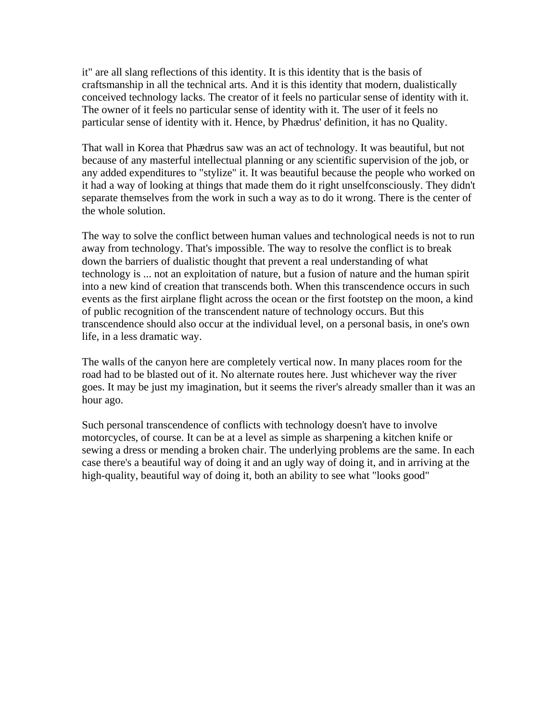it" are all slang reflections of this identity. It is this identity that is the basis of craftsmanship in all the technical arts. And it is this identity that modern, dualistically conceived technology lacks. The creator of it feels no particular sense of identity with it. The owner of it feels no particular sense of identity with it. The user of it feels no particular sense of identity with it. Hence, by Phædrus' definition, it has no Quality.

That wall in Korea that Phædrus saw was an act of technology. It was beautiful, but not because of any masterful intellectual planning or any scientific supervision of the job, or any added expenditures to "stylize" it. It was beautiful because the people who worked on it had a way of looking at things that made them do it right unselfconsciously. They didn't separate themselves from the work in such a way as to do it wrong. There is the center of the whole solution.

The way to solve the conflict between human values and technological needs is not to run away from technology. That's impossible. The way to resolve the conflict is to break down the barriers of dualistic thought that prevent a real understanding of what technology is ... not an exploitation of nature, but a fusion of nature and the human spirit into a new kind of creation that transcends both. When this transcendence occurs in such events as the first airplane flight across the ocean or the first footstep on the moon, a kind of public recognition of the transcendent nature of technology occurs. But this transcendence should also occur at the individual level, on a personal basis, in one's own life, in a less dramatic way.

The walls of the canyon here are completely vertical now. In many places room for the road had to be blasted out of it. No alternate routes here. Just whichever way the river goes. It may be just my imagination, but it seems the river's already smaller than it was an hour ago.

Such personal transcendence of conflicts with technology doesn't have to involve motorcycles, of course. It can be at a level as simple as sharpening a kitchen knife or sewing a dress or mending a broken chair. The underlying problems are the same. In each case there's a beautiful way of doing it and an ugly way of doing it, and in arriving at the high-quality, beautiful way of doing it, both an ability to see what "looks good"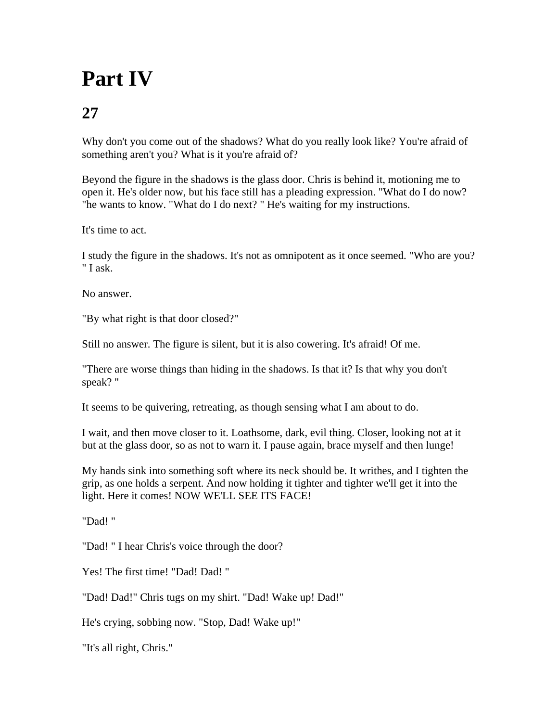# **Part IV**

## **27**

Why don't you come out of the shadows? What do you really look like? You're afraid of something aren't you? What is it you're afraid of?

Beyond the figure in the shadows is the glass door. Chris is behind it, motioning me to open it. He's older now, but his face still has a pleading expression. "What do I do now? "he wants to know. "What do I do next? " He's waiting for my instructions.

It's time to act.

I study the figure in the shadows. It's not as omnipotent as it once seemed. "Who are you? " I ask.

No answer.

"By what right is that door closed?"

Still no answer. The figure is silent, but it is also cowering. It's afraid! Of me.

"There are worse things than hiding in the shadows. Is that it? Is that why you don't speak? "

It seems to be quivering, retreating, as though sensing what I am about to do.

I wait, and then move closer to it. Loathsome, dark, evil thing. Closer, looking not at it but at the glass door, so as not to warn it. I pause again, brace myself and then lunge!

My hands sink into something soft where its neck should be. It writhes, and I tighten the grip, as one holds a serpent. And now holding it tighter and tighter we'll get it into the light. Here it comes! NOW WE'LL SEE ITS FACE!

"Dad! "

"Dad! " I hear Chris's voice through the door?

Yes! The first time! "Dad! Dad! "

"Dad! Dad!" Chris tugs on my shirt. "Dad! Wake up! Dad!"

He's crying, sobbing now. "Stop, Dad! Wake up!"

"It's all right, Chris."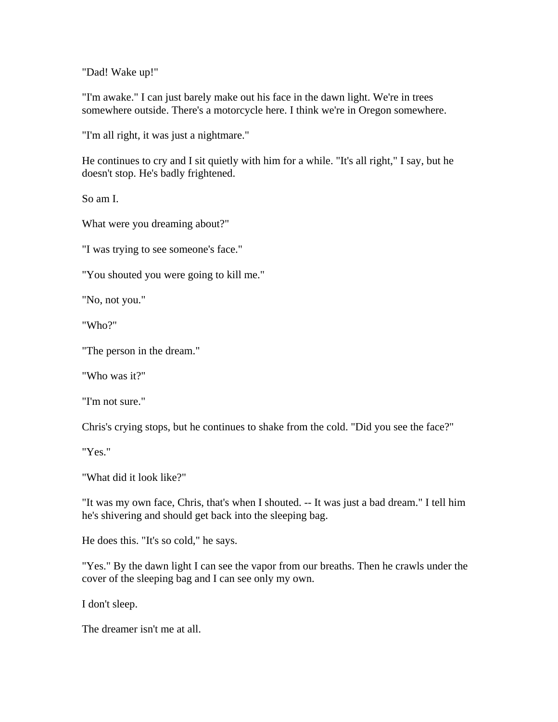"Dad! Wake up!"

"I'm awake." I can just barely make out his face in the dawn light. We're in trees somewhere outside. There's a motorcycle here. I think we're in Oregon somewhere.

"I'm all right, it was just a nightmare."

He continues to cry and I sit quietly with him for a while. "It's all right," I say, but he doesn't stop. He's badly frightened.

So am I.

What were you dreaming about?"

"I was trying to see someone's face."

"You shouted you were going to kill me."

"No, not you."

"Who?"

"The person in the dream."

"Who was it?"

"I'm not sure."

Chris's crying stops, but he continues to shake from the cold. "Did you see the face?"

"Yes."

"What did it look like?"

"It was my own face, Chris, that's when I shouted. -- It was just a bad dream." I tell him he's shivering and should get back into the sleeping bag.

He does this. "It's so cold," he says.

"Yes." By the dawn light I can see the vapor from our breaths. Then he crawls under the cover of the sleeping bag and I can see only my own.

I don't sleep.

The dreamer isn't me at all.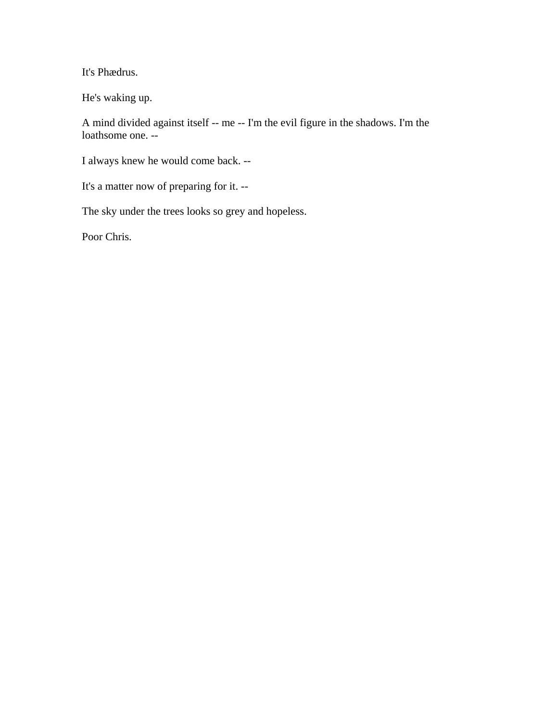It's Phædrus.

He's waking up.

A mind divided against itself -- me -- I'm the evil figure in the shadows. I'm the loathsome one. --

I always knew he would come back. --

It's a matter now of preparing for it. --

The sky under the trees looks so grey and hopeless.

Poor Chris.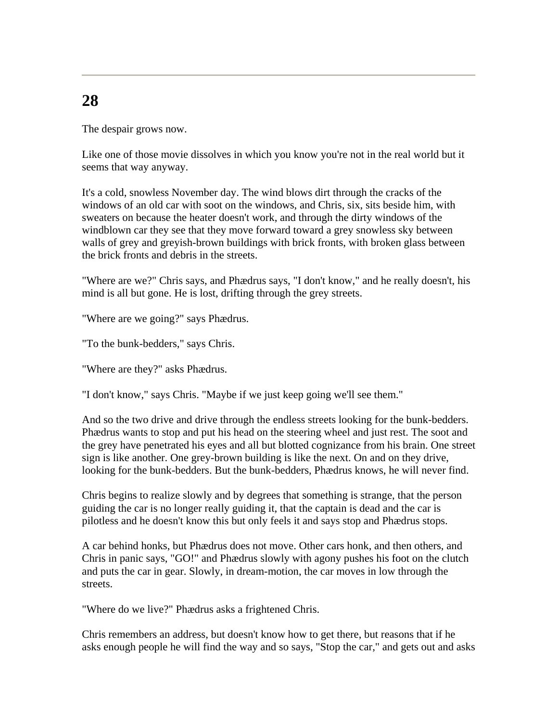# **28**

The despair grows now.

Like one of those movie dissolves in which you know you're not in the real world but it seems that way anyway.

It's a cold, snowless November day. The wind blows dirt through the cracks of the windows of an old car with soot on the windows, and Chris, six, sits beside him, with sweaters on because the heater doesn't work, and through the dirty windows of the windblown car they see that they move forward toward a grey snowless sky between walls of grey and greyish-brown buildings with brick fronts, with broken glass between the brick fronts and debris in the streets.

"Where are we?" Chris says, and Phædrus says, "I don't know," and he really doesn't, his mind is all but gone. He is lost, drifting through the grey streets.

"Where are we going?" says Phædrus.

"To the bunk-bedders," says Chris.

"Where are they?" asks Phædrus.

"I don't know," says Chris. "Maybe if we just keep going we'll see them."

And so the two drive and drive through the endless streets looking for the bunk-bedders. Phædrus wants to stop and put his head on the steering wheel and just rest. The soot and the grey have penetrated his eyes and all but blotted cognizance from his brain. One street sign is like another. One grey-brown building is like the next. On and on they drive, looking for the bunk-bedders. But the bunk-bedders, Phædrus knows, he will never find.

Chris begins to realize slowly and by degrees that something is strange, that the person guiding the car is no longer really guiding it, that the captain is dead and the car is pilotless and he doesn't know this but only feels it and says stop and Phædrus stops.

A car behind honks, but Phædrus does not move. Other cars honk, and then others, and Chris in panic says, "GO!" and Phædrus slowly with agony pushes his foot on the clutch and puts the car in gear. Slowly, in dream-motion, the car moves in low through the streets.

"Where do we live?" Phædrus asks a frightened Chris.

Chris remembers an address, but doesn't know how to get there, but reasons that if he asks enough people he will find the way and so says, "Stop the car," and gets out and asks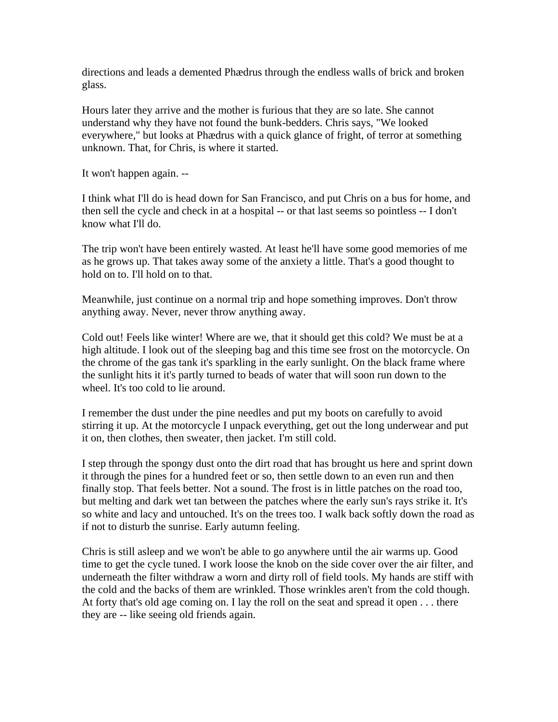directions and leads a demented Phædrus through the endless walls of brick and broken glass.

Hours later they arrive and the mother is furious that they are so late. She cannot understand why they have not found the bunk-bedders. Chris says, "We looked everywhere," but looks at Phædrus with a quick glance of fright, of terror at something unknown. That, for Chris, is where it started.

It won't happen again. --

I think what I'll do is head down for San Francisco, and put Chris on a bus for home, and then sell the cycle and check in at a hospital -- or that last seems so pointless -- I don't know what I'll do.

The trip won't have been entirely wasted. At least he'll have some good memories of me as he grows up. That takes away some of the anxiety a little. That's a good thought to hold on to. I'll hold on to that.

Meanwhile, just continue on a normal trip and hope something improves. Don't throw anything away. Never, never throw anything away.

Cold out! Feels like winter! Where are we, that it should get this cold? We must be at a high altitude. I look out of the sleeping bag and this time see frost on the motorcycle. On the chrome of the gas tank it's sparkling in the early sunlight. On the black frame where the sunlight hits it it's partly turned to beads of water that will soon run down to the wheel. It's too cold to lie around.

I remember the dust under the pine needles and put my boots on carefully to avoid stirring it up. At the motorcycle I unpack everything, get out the long underwear and put it on, then clothes, then sweater, then jacket. I'm still cold.

I step through the spongy dust onto the dirt road that has brought us here and sprint down it through the pines for a hundred feet or so, then settle down to an even run and then finally stop. That feels better. Not a sound. The frost is in little patches on the road too, but melting and dark wet tan between the patches where the early sun's rays strike it. It's so white and lacy and untouched. It's on the trees too. I walk back softly down the road as if not to disturb the sunrise. Early autumn feeling.

Chris is still asleep and we won't be able to go anywhere until the air warms up. Good time to get the cycle tuned. I work loose the knob on the side cover over the air filter, and underneath the filter withdraw a worn and dirty roll of field tools. My hands are stiff with the cold and the backs of them are wrinkled. Those wrinkles aren't from the cold though. At forty that's old age coming on. I lay the roll on the seat and spread it open . . . there they are -- like seeing old friends again.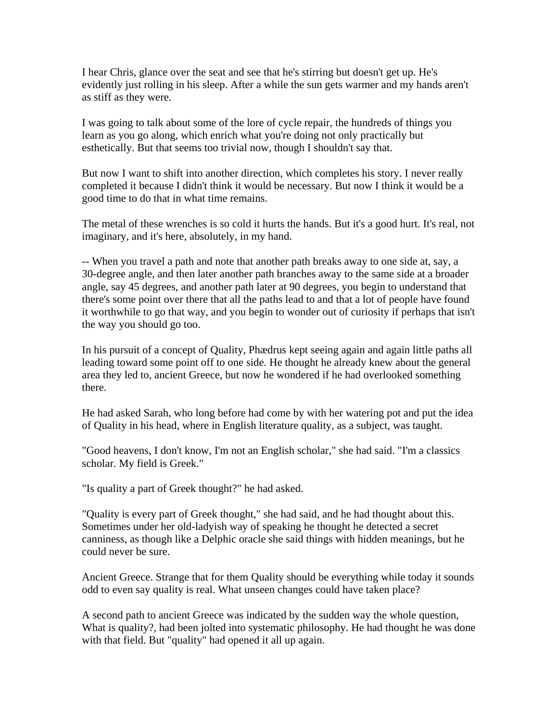I hear Chris, glance over the seat and see that he's stirring but doesn't get up. He's evidently just rolling in his sleep. After a while the sun gets warmer and my hands aren't as stiff as they were.

I was going to talk about some of the lore of cycle repair, the hundreds of things you learn as you go along, which enrich what you're doing not only practically but esthetically. But that seems too trivial now, though I shouldn't say that.

But now I want to shift into another direction, which completes his story. I never really completed it because I didn't think it would be necessary. But now I think it would be a good time to do that in what time remains.

The metal of these wrenches is so cold it hurts the hands. But it's a good hurt. It's real, not imaginary, and it's here, absolutely, in my hand.

-- When you travel a path and note that another path breaks away to one side at, say, a 30-degree angle, and then later another path branches away to the same side at a broader angle, say 45 degrees, and another path later at 90 degrees, you begin to understand that there's some point over there that all the paths lead to and that a lot of people have found it worthwhile to go that way, and you begin to wonder out of curiosity if perhaps that isn't the way you should go too.

In his pursuit of a concept of Quality, Phædrus kept seeing again and again little paths all leading toward some point off to one side. He thought he already knew about the general area they led to, ancient Greece, but now he wondered if he had overlooked something there.

He had asked Sarah, who long before had come by with her watering pot and put the idea of Quality in his head, where in English literature quality, as a subject, was taught.

"Good heavens, I don't know, I'm not an English scholar," she had said. "I'm a classics scholar. My field is Greek."

"Is quality a part of Greek thought?" he had asked.

"Quality is every part of Greek thought," she had said, and he had thought about this. Sometimes under her old-ladyish way of speaking he thought he detected a secret canniness, as though like a Delphic oracle she said things with hidden meanings, but he could never be sure.

Ancient Greece. Strange that for them Quality should be everything while today it sounds odd to even say quality is real. What unseen changes could have taken place?

A second path to ancient Greece was indicated by the sudden way the whole question, What is quality?, had been jolted into systematic philosophy. He had thought he was done with that field. But "quality" had opened it all up again.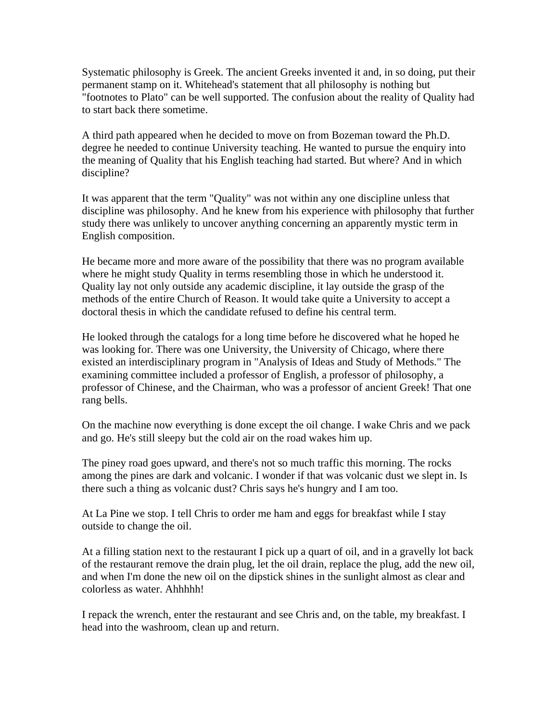Systematic philosophy is Greek. The ancient Greeks invented it and, in so doing, put their permanent stamp on it. Whitehead's statement that all philosophy is nothing but "footnotes to Plato" can be well supported. The confusion about the reality of Quality had to start back there sometime.

A third path appeared when he decided to move on from Bozeman toward the Ph.D. degree he needed to continue University teaching. He wanted to pursue the enquiry into the meaning of Quality that his English teaching had started. But where? And in which discipline?

It was apparent that the term "Quality" was not within any one discipline unless that discipline was philosophy. And he knew from his experience with philosophy that further study there was unlikely to uncover anything concerning an apparently mystic term in English composition.

He became more and more aware of the possibility that there was no program available where he might study Quality in terms resembling those in which he understood it. Quality lay not only outside any academic discipline, it lay outside the grasp of the methods of the entire Church of Reason. It would take quite a University to accept a doctoral thesis in which the candidate refused to define his central term.

He looked through the catalogs for a long time before he discovered what he hoped he was looking for. There was one University, the University of Chicago, where there existed an interdisciplinary program in "Analysis of Ideas and Study of Methods." The examining committee included a professor of English, a professor of philosophy, a professor of Chinese, and the Chairman, who was a professor of ancient Greek! That one rang bells.

On the machine now everything is done except the oil change. I wake Chris and we pack and go. He's still sleepy but the cold air on the road wakes him up.

The piney road goes upward, and there's not so much traffic this morning. The rocks among the pines are dark and volcanic. I wonder if that was volcanic dust we slept in. Is there such a thing as volcanic dust? Chris says he's hungry and I am too.

At La Pine we stop. I tell Chris to order me ham and eggs for breakfast while I stay outside to change the oil.

At a filling station next to the restaurant I pick up a quart of oil, and in a gravelly lot back of the restaurant remove the drain plug, let the oil drain, replace the plug, add the new oil, and when I'm done the new oil on the dipstick shines in the sunlight almost as clear and colorless as water. Ahhhhh!

I repack the wrench, enter the restaurant and see Chris and, on the table, my breakfast. I head into the washroom, clean up and return.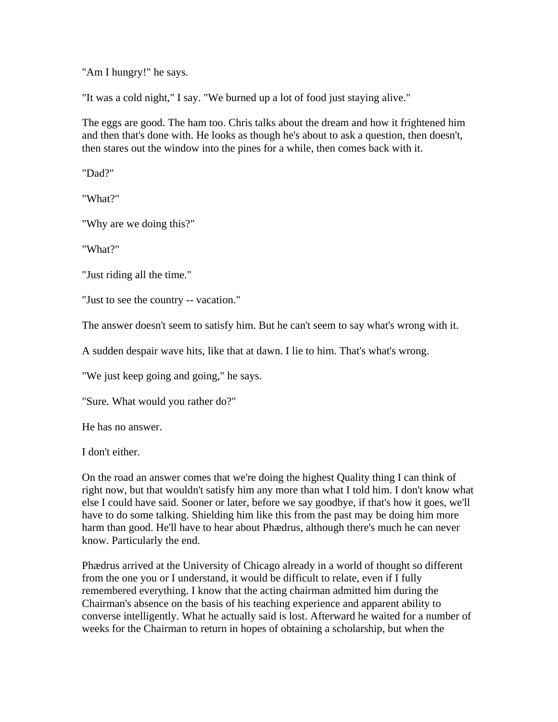"Am I hungry!" he says.

"It was a cold night," I say. "We burned up a lot of food just staying alive."

The eggs are good. The ham too. Chris talks about the dream and how it frightened him and then that's done with. He looks as though he's about to ask a question, then doesn't, then stares out the window into the pines for a while, then comes back with it.

"Dad?"

"What?"

"Why are we doing this?"

"What?"

"Just riding all the time."

"Just to see the country -- vacation."

The answer doesn't seem to satisfy him. But he can't seem to say what's wrong with it.

A sudden despair wave hits, like that at dawn. I lie to him. That's what's wrong.

"We just keep going and going," he says.

"Sure. What would you rather do?"

He has no answer.

I don't either.

On the road an answer comes that we're doing the highest Quality thing I can think of right now, but that wouldn't satisfy him any more than what I told him. I don't know what else I could have said. Sooner or later, before we say goodbye, if that's how it goes, we'll have to do some talking. Shielding him like this from the past may be doing him more harm than good. He'll have to hear about Phædrus, although there's much he can never know. Particularly the end.

Phædrus arrived at the University of Chicago already in a world of thought so different from the one you or I understand, it would be difficult to relate, even if I fully remembered everything. I know that the acting chairman admitted him during the Chairman's absence on the basis of his teaching experience and apparent ability to converse intelligently. What he actually said is lost. Afterward he waited for a number of weeks for the Chairman to return in hopes of obtaining a scholarship, but when the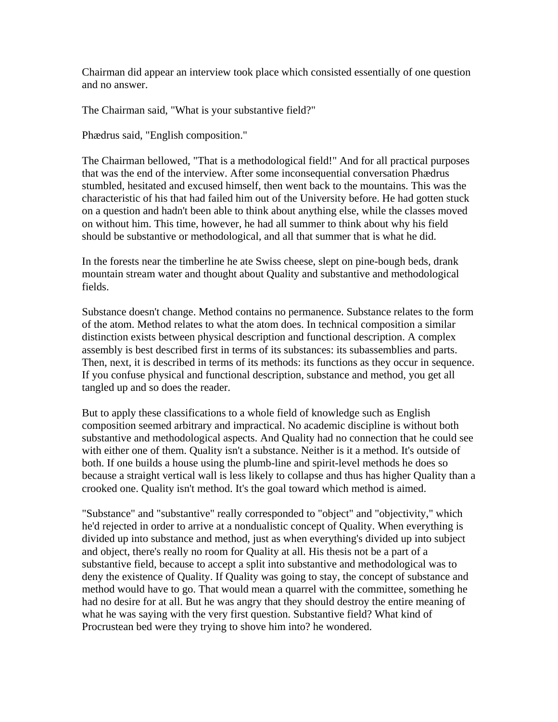Chairman did appear an interview took place which consisted essentially of one question and no answer.

The Chairman said, "What is your substantive field?"

Phædrus said, "English composition."

The Chairman bellowed, "That is a methodological field!" And for all practical purposes that was the end of the interview. After some inconsequential conversation Phædrus stumbled, hesitated and excused himself, then went back to the mountains. This was the characteristic of his that had failed him out of the University before. He had gotten stuck on a question and hadn't been able to think about anything else, while the classes moved on without him. This time, however, he had all summer to think about why his field should be substantive or methodological, and all that summer that is what he did.

In the forests near the timberline he ate Swiss cheese, slept on pine-bough beds, drank mountain stream water and thought about Quality and substantive and methodological fields.

Substance doesn't change. Method contains no permanence. Substance relates to the form of the atom. Method relates to what the atom does. In technical composition a similar distinction exists between physical description and functional description. A complex assembly is best described first in terms of its substances: its subassemblies and parts. Then, next, it is described in terms of its methods: its functions as they occur in sequence. If you confuse physical and functional description, substance and method, you get all tangled up and so does the reader.

But to apply these classifications to a whole field of knowledge such as English composition seemed arbitrary and impractical. No academic discipline is without both substantive and methodological aspects. And Quality had no connection that he could see with either one of them. Quality isn't a substance. Neither is it a method. It's outside of both. If one builds a house using the plumb-line and spirit-level methods he does so because a straight vertical wall is less likely to collapse and thus has higher Quality than a crooked one. Quality isn't method. It's the goal toward which method is aimed.

"Substance" and "substantive" really corresponded to "object" and "objectivity," which he'd rejected in order to arrive at a nondualistic concept of Quality. When everything is divided up into substance and method, just as when everything's divided up into subject and object, there's really no room for Quality at all. His thesis not be a part of a substantive field, because to accept a split into substantive and methodological was to deny the existence of Quality. If Quality was going to stay, the concept of substance and method would have to go. That would mean a quarrel with the committee, something he had no desire for at all. But he was angry that they should destroy the entire meaning of what he was saying with the very first question. Substantive field? What kind of Procrustean bed were they trying to shove him into? he wondered.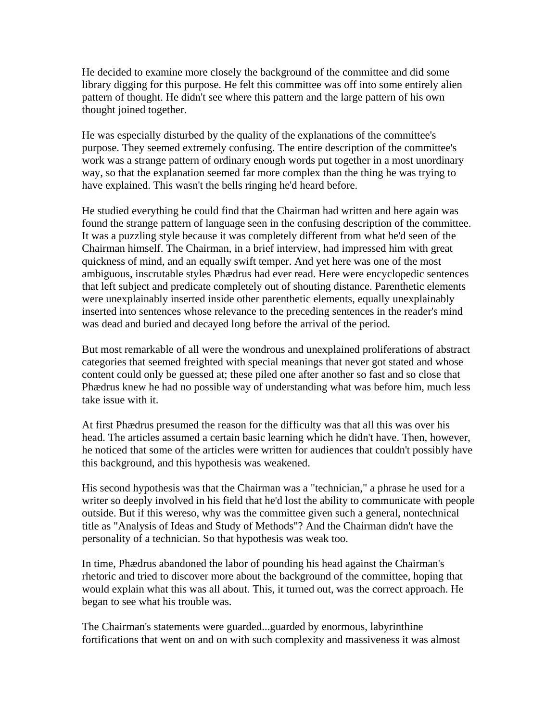He decided to examine more closely the background of the committee and did some library digging for this purpose. He felt this committee was off into some entirely alien pattern of thought. He didn't see where this pattern and the large pattern of his own thought joined together.

He was especially disturbed by the quality of the explanations of the committee's purpose. They seemed extremely confusing. The entire description of the committee's work was a strange pattern of ordinary enough words put together in a most unordinary way, so that the explanation seemed far more complex than the thing he was trying to have explained. This wasn't the bells ringing he'd heard before.

He studied everything he could find that the Chairman had written and here again was found the strange pattern of language seen in the confusing description of the committee. It was a puzzling style because it was completely different from what he'd seen of the Chairman himself. The Chairman, in a brief interview, had impressed him with great quickness of mind, and an equally swift temper. And yet here was one of the most ambiguous, inscrutable styles Phædrus had ever read. Here were encyclopedic sentences that left subject and predicate completely out of shouting distance. Parenthetic elements were unexplainably inserted inside other parenthetic elements, equally unexplainably inserted into sentences whose relevance to the preceding sentences in the reader's mind was dead and buried and decayed long before the arrival of the period.

But most remarkable of all were the wondrous and unexplained proliferations of abstract categories that seemed freighted with special meanings that never got stated and whose content could only be guessed at; these piled one after another so fast and so close that Phædrus knew he had no possible way of understanding what was before him, much less take issue with it.

At first Phædrus presumed the reason for the difficulty was that all this was over his head. The articles assumed a certain basic learning which he didn't have. Then, however, he noticed that some of the articles were written for audiences that couldn't possibly have this background, and this hypothesis was weakened.

His second hypothesis was that the Chairman was a "technician," a phrase he used for a writer so deeply involved in his field that he'd lost the ability to communicate with people outside. But if this wereso, why was the committee given such a general, nontechnical title as "Analysis of Ideas and Study of Methods"? And the Chairman didn't have the personality of a technician. So that hypothesis was weak too.

In time, Phædrus abandoned the labor of pounding his head against the Chairman's rhetoric and tried to discover more about the background of the committee, hoping that would explain what this was all about. This, it turned out, was the correct approach. He began to see what his trouble was.

The Chairman's statements were guarded...guarded by enormous, labyrinthine fortifications that went on and on with such complexity and massiveness it was almost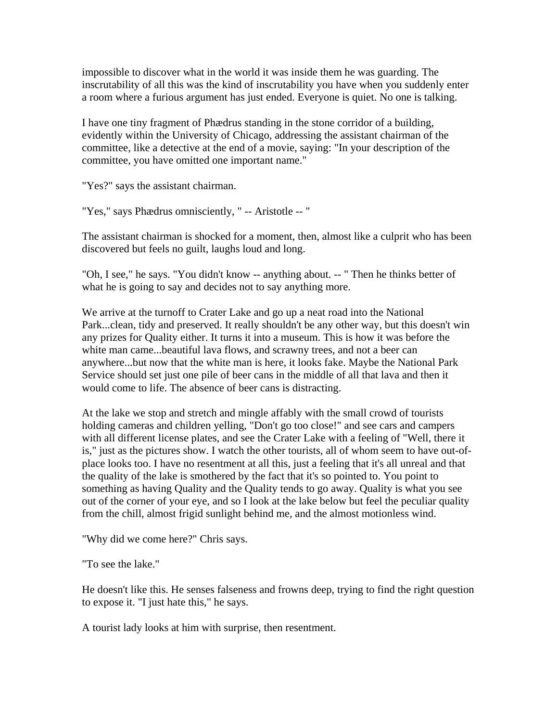impossible to discover what in the world it was inside them he was guarding. The inscrutability of all this was the kind of inscrutability you have when you suddenly enter a room where a furious argument has just ended. Everyone is quiet. No one is talking.

I have one tiny fragment of Phædrus standing in the stone corridor of a building, evidently within the University of Chicago, addressing the assistant chairman of the committee, like a detective at the end of a movie, saying: "In your description of the committee, you have omitted one important name."

"Yes?" says the assistant chairman.

"Yes," says Phædrus omnisciently, " -- Aristotle -- "

The assistant chairman is shocked for a moment, then, almost like a culprit who has been discovered but feels no guilt, laughs loud and long.

"Oh, I see," he says. "You didn't know -- anything about. -- " Then he thinks better of what he is going to say and decides not to say anything more.

We arrive at the turnoff to Crater Lake and go up a neat road into the National Park...clean, tidy and preserved. It really shouldn't be any other way, but this doesn't win any prizes for Quality either. It turns it into a museum. This is how it was before the white man came...beautiful lava flows, and scrawny trees, and not a beer can anywhere...but now that the white man is here, it looks fake. Maybe the National Park Service should set just one pile of beer cans in the middle of all that lava and then it would come to life. The absence of beer cans is distracting.

At the lake we stop and stretch and mingle affably with the small crowd of tourists holding cameras and children yelling, "Don't go too close!" and see cars and campers with all different license plates, and see the Crater Lake with a feeling of "Well, there it is," just as the pictures show. I watch the other tourists, all of whom seem to have out-ofplace looks too. I have no resentment at all this, just a feeling that it's all unreal and that the quality of the lake is smothered by the fact that it's so pointed to. You point to something as having Quality and the Quality tends to go away. Quality is what you see out of the corner of your eye, and so I look at the lake below but feel the peculiar quality from the chill, almost frigid sunlight behind me, and the almost motionless wind.

"Why did we come here?" Chris says.

"To see the lake."

He doesn't like this. He senses falseness and frowns deep, trying to find the right question to expose it. "I just hate this," he says.

A tourist lady looks at him with surprise, then resentment.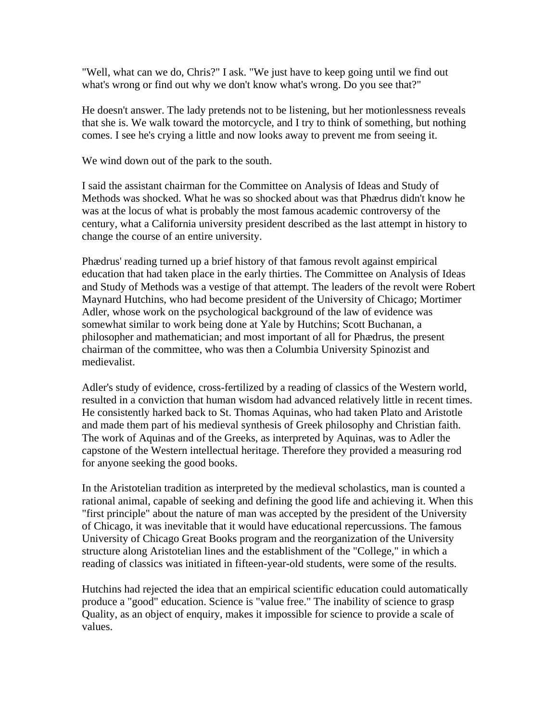"Well, what can we do, Chris?" I ask. "We just have to keep going until we find out what's wrong or find out why we don't know what's wrong. Do you see that?"

He doesn't answer. The lady pretends not to be listening, but her motionlessness reveals that she is. We walk toward the motorcycle, and I try to think of something, but nothing comes. I see he's crying a little and now looks away to prevent me from seeing it.

We wind down out of the park to the south.

I said the assistant chairman for the Committee on Analysis of Ideas and Study of Methods was shocked. What he was so shocked about was that Phædrus didn't know he was at the locus of what is probably the most famous academic controversy of the century, what a California university president described as the last attempt in history to change the course of an entire university.

Phædrus' reading turned up a brief history of that famous revolt against empirical education that had taken place in the early thirties. The Committee on Analysis of Ideas and Study of Methods was a vestige of that attempt. The leaders of the revolt were Robert Maynard Hutchins, who had become president of the University of Chicago; Mortimer Adler, whose work on the psychological background of the law of evidence was somewhat similar to work being done at Yale by Hutchins; Scott Buchanan, a philosopher and mathematician; and most important of all for Phædrus, the present chairman of the committee, who was then a Columbia University Spinozist and medievalist.

Adler's study of evidence, cross-fertilized by a reading of classics of the Western world, resulted in a conviction that human wisdom had advanced relatively little in recent times. He consistently harked back to St. Thomas Aquinas, who had taken Plato and Aristotle and made them part of his medieval synthesis of Greek philosophy and Christian faith. The work of Aquinas and of the Greeks, as interpreted by Aquinas, was to Adler the capstone of the Western intellectual heritage. Therefore they provided a measuring rod for anyone seeking the good books.

In the Aristotelian tradition as interpreted by the medieval scholastics, man is counted a rational animal, capable of seeking and defining the good life and achieving it. When this "first principle" about the nature of man was accepted by the president of the University of Chicago, it was inevitable that it would have educational repercussions. The famous University of Chicago Great Books program and the reorganization of the University structure along Aristotelian lines and the establishment of the "College," in which a reading of classics was initiated in fifteen-year-old students, were some of the results.

Hutchins had rejected the idea that an empirical scientific education could automatically produce a "good" education. Science is "value free." The inability of science to grasp Quality, as an object of enquiry, makes it impossible for science to provide a scale of values.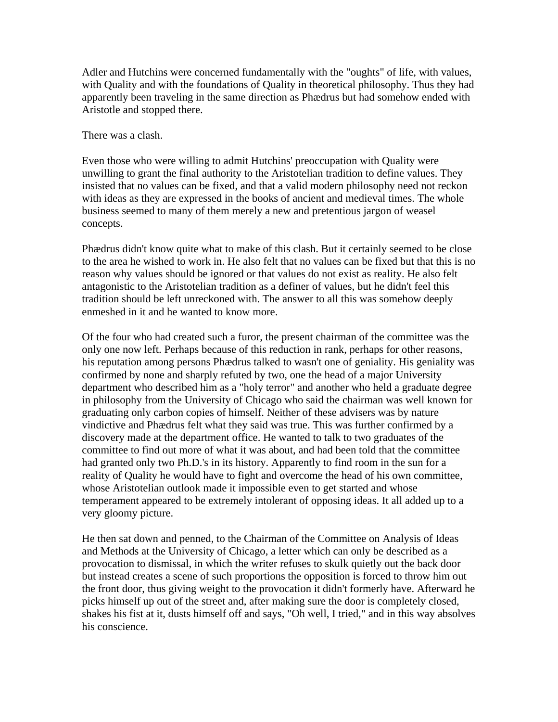Adler and Hutchins were concerned fundamentally with the "oughts" of life, with values, with Quality and with the foundations of Quality in theoretical philosophy. Thus they had apparently been traveling in the same direction as Phædrus but had somehow ended with Aristotle and stopped there.

There was a clash.

Even those who were willing to admit Hutchins' preoccupation with Quality were unwilling to grant the final authority to the Aristotelian tradition to define values. They insisted that no values can be fixed, and that a valid modern philosophy need not reckon with ideas as they are expressed in the books of ancient and medieval times. The whole business seemed to many of them merely a new and pretentious jargon of weasel concepts.

Phædrus didn't know quite what to make of this clash. But it certainly seemed to be close to the area he wished to work in. He also felt that no values can be fixed but that this is no reason why values should be ignored or that values do not exist as reality. He also felt antagonistic to the Aristotelian tradition as a definer of values, but he didn't feel this tradition should be left unreckoned with. The answer to all this was somehow deeply enmeshed in it and he wanted to know more.

Of the four who had created such a furor, the present chairman of the committee was the only one now left. Perhaps because of this reduction in rank, perhaps for other reasons, his reputation among persons Phædrus talked to wasn't one of geniality. His geniality was confirmed by none and sharply refuted by two, one the head of a major University department who described him as a "holy terror" and another who held a graduate degree in philosophy from the University of Chicago who said the chairman was well known for graduating only carbon copies of himself. Neither of these advisers was by nature vindictive and Phædrus felt what they said was true. This was further confirmed by a discovery made at the department office. He wanted to talk to two graduates of the committee to find out more of what it was about, and had been told that the committee had granted only two Ph.D.'s in its history. Apparently to find room in the sun for a reality of Quality he would have to fight and overcome the head of his own committee, whose Aristotelian outlook made it impossible even to get started and whose temperament appeared to be extremely intolerant of opposing ideas. It all added up to a very gloomy picture.

He then sat down and penned, to the Chairman of the Committee on Analysis of Ideas and Methods at the University of Chicago, a letter which can only be described as a provocation to dismissal, in which the writer refuses to skulk quietly out the back door but instead creates a scene of such proportions the opposition is forced to throw him out the front door, thus giving weight to the provocation it didn't formerly have. Afterward he picks himself up out of the street and, after making sure the door is completely closed, shakes his fist at it, dusts himself off and says, "Oh well, I tried," and in this way absolves his conscience.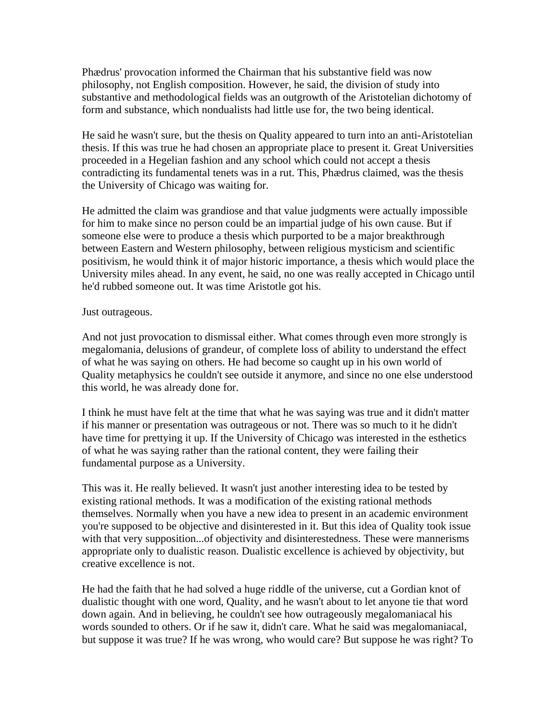Phædrus' provocation informed the Chairman that his substantive field was now philosophy, not English composition. However, he said, the division of study into substantive and methodological fields was an outgrowth of the Aristotelian dichotomy of form and substance, which nondualists had little use for, the two being identical.

He said he wasn't sure, but the thesis on Quality appeared to turn into an anti-Aristotelian thesis. If this was true he had chosen an appropriate place to present it. Great Universities proceeded in a Hegelian fashion and any school which could not accept a thesis contradicting its fundamental tenets was in a rut. This, Phædrus claimed, was the thesis the University of Chicago was waiting for.

He admitted the claim was grandiose and that value judgments were actually impossible for him to make since no person could be an impartial judge of his own cause. But if someone else were to produce a thesis which purported to be a major breakthrough between Eastern and Western philosophy, between religious mysticism and scientific positivism, he would think it of major historic importance, a thesis which would place the University miles ahead. In any event, he said, no one was really accepted in Chicago until he'd rubbed someone out. It was time Aristotle got his.

# Just outrageous.

And not just provocation to dismissal either. What comes through even more strongly is megalomania, delusions of grandeur, of complete loss of ability to understand the effect of what he was saying on others. He had become so caught up in his own world of Quality metaphysics he couldn't see outside it anymore, and since no one else understood this world, he was already done for.

I think he must have felt at the time that what he was saying was true and it didn't matter if his manner or presentation was outrageous or not. There was so much to it he didn't have time for prettying it up. If the University of Chicago was interested in the esthetics of what he was saying rather than the rational content, they were failing their fundamental purpose as a University.

This was it. He really believed. It wasn't just another interesting idea to be tested by existing rational methods. It was a modification of the existing rational methods themselves. Normally when you have a new idea to present in an academic environment you're supposed to be objective and disinterested in it. But this idea of Quality took issue with that very supposition...of objectivity and disinterestedness. These were mannerisms appropriate only to dualistic reason. Dualistic excellence is achieved by objectivity, but creative excellence is not.

He had the faith that he had solved a huge riddle of the universe, cut a Gordian knot of dualistic thought with one word, Quality, and he wasn't about to let anyone tie that word down again. And in believing, he couldn't see how outrageously megalomaniacal his words sounded to others. Or if he saw it, didn't care. What he said was megalomaniacal, but suppose it was true? If he was wrong, who would care? But suppose he was right? To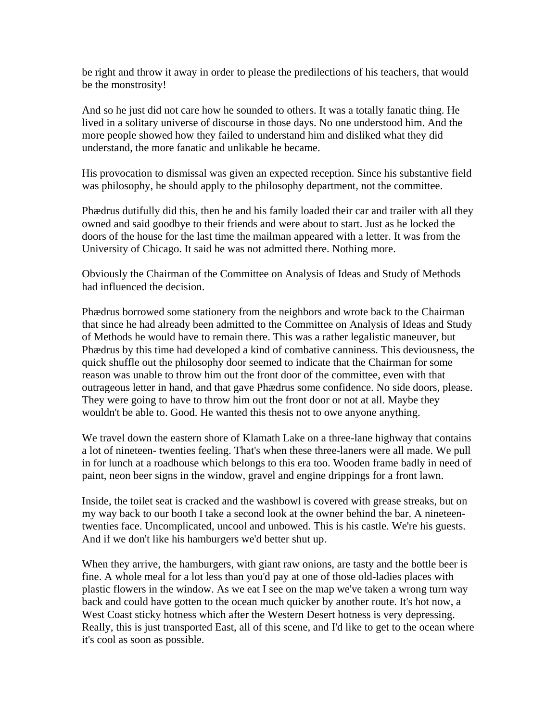be right and throw it away in order to please the predilections of his teachers, that would be the monstrosity!

And so he just did not care how he sounded to others. It was a totally fanatic thing. He lived in a solitary universe of discourse in those days. No one understood him. And the more people showed how they failed to understand him and disliked what they did understand, the more fanatic and unlikable he became.

His provocation to dismissal was given an expected reception. Since his substantive field was philosophy, he should apply to the philosophy department, not the committee.

Phædrus dutifully did this, then he and his family loaded their car and trailer with all they owned and said goodbye to their friends and were about to start. Just as he locked the doors of the house for the last time the mailman appeared with a letter. It was from the University of Chicago. It said he was not admitted there. Nothing more.

Obviously the Chairman of the Committee on Analysis of Ideas and Study of Methods had influenced the decision.

Phædrus borrowed some stationery from the neighbors and wrote back to the Chairman that since he had already been admitted to the Committee on Analysis of Ideas and Study of Methods he would have to remain there. This was a rather legalistic maneuver, but Phædrus by this time had developed a kind of combative canniness. This deviousness, the quick shuffle out the philosophy door seemed to indicate that the Chairman for some reason was unable to throw him out the front door of the committee, even with that outrageous letter in hand, and that gave Phædrus some confidence. No side doors, please. They were going to have to throw him out the front door or not at all. Maybe they wouldn't be able to. Good. He wanted this thesis not to owe anyone anything.

We travel down the eastern shore of Klamath Lake on a three-lane highway that contains a lot of nineteen- twenties feeling. That's when these three-laners were all made. We pull in for lunch at a roadhouse which belongs to this era too. Wooden frame badly in need of paint, neon beer signs in the window, gravel and engine drippings for a front lawn.

Inside, the toilet seat is cracked and the washbowl is covered with grease streaks, but on my way back to our booth I take a second look at the owner behind the bar. A nineteentwenties face. Uncomplicated, uncool and unbowed. This is his castle. We're his guests. And if we don't like his hamburgers we'd better shut up.

When they arrive, the hamburgers, with giant raw onions, are tasty and the bottle beer is fine. A whole meal for a lot less than you'd pay at one of those old-ladies places with plastic flowers in the window. As we eat I see on the map we've taken a wrong turn way back and could have gotten to the ocean much quicker by another route. It's hot now, a West Coast sticky hotness which after the Western Desert hotness is very depressing. Really, this is just transported East, all of this scene, and I'd like to get to the ocean where it's cool as soon as possible.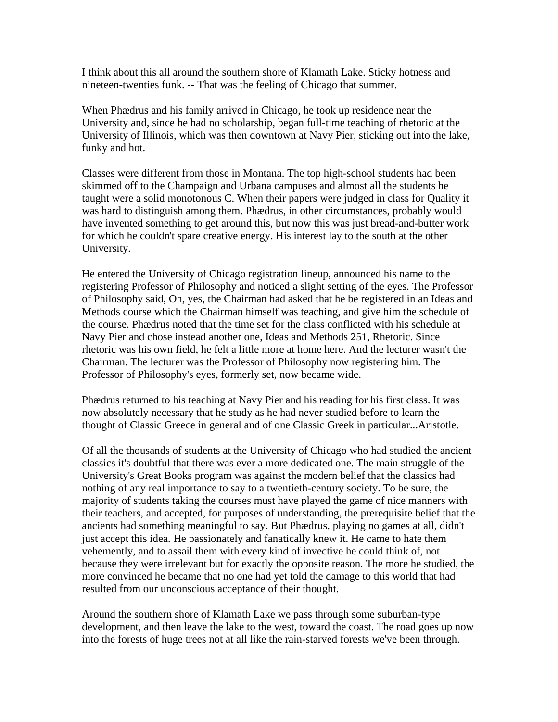I think about this all around the southern shore of Klamath Lake. Sticky hotness and nineteen-twenties funk. -- That was the feeling of Chicago that summer.

When Phædrus and his family arrived in Chicago, he took up residence near the University and, since he had no scholarship, began full-time teaching of rhetoric at the University of Illinois, which was then downtown at Navy Pier, sticking out into the lake, funky and hot.

Classes were different from those in Montana. The top high-school students had been skimmed off to the Champaign and Urbana campuses and almost all the students he taught were a solid monotonous C. When their papers were judged in class for Quality it was hard to distinguish among them. Phædrus, in other circumstances, probably would have invented something to get around this, but now this was just bread-and-butter work for which he couldn't spare creative energy. His interest lay to the south at the other University.

He entered the University of Chicago registration lineup, announced his name to the registering Professor of Philosophy and noticed a slight setting of the eyes. The Professor of Philosophy said, Oh, yes, the Chairman had asked that he be registered in an Ideas and Methods course which the Chairman himself was teaching, and give him the schedule of the course. Phædrus noted that the time set for the class conflicted with his schedule at Navy Pier and chose instead another one, Ideas and Methods 251, Rhetoric. Since rhetoric was his own field, he felt a little more at home here. And the lecturer wasn't the Chairman. The lecturer was the Professor of Philosophy now registering him. The Professor of Philosophy's eyes, formerly set, now became wide.

Phædrus returned to his teaching at Navy Pier and his reading for his first class. It was now absolutely necessary that he study as he had never studied before to learn the thought of Classic Greece in general and of one Classic Greek in particular...Aristotle.

Of all the thousands of students at the University of Chicago who had studied the ancient classics it's doubtful that there was ever a more dedicated one. The main struggle of the University's Great Books program was against the modern belief that the classics had nothing of any real importance to say to a twentieth-century society. To be sure, the majority of students taking the courses must have played the game of nice manners with their teachers, and accepted, for purposes of understanding, the prerequisite belief that the ancients had something meaningful to say. But Phædrus, playing no games at all, didn't just accept this idea. He passionately and fanatically knew it. He came to hate them vehemently, and to assail them with every kind of invective he could think of, not because they were irrelevant but for exactly the opposite reason. The more he studied, the more convinced he became that no one had yet told the damage to this world that had resulted from our unconscious acceptance of their thought.

Around the southern shore of Klamath Lake we pass through some suburban-type development, and then leave the lake to the west, toward the coast. The road goes up now into the forests of huge trees not at all like the rain-starved forests we've been through.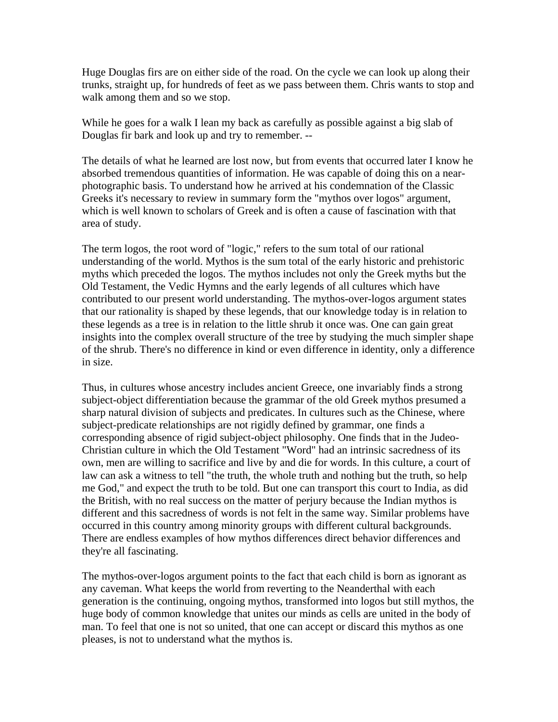Huge Douglas firs are on either side of the road. On the cycle we can look up along their trunks, straight up, for hundreds of feet as we pass between them. Chris wants to stop and walk among them and so we stop.

While he goes for a walk I lean my back as carefully as possible against a big slab of Douglas fir bark and look up and try to remember. --

The details of what he learned are lost now, but from events that occurred later I know he absorbed tremendous quantities of information. He was capable of doing this on a nearphotographic basis. To understand how he arrived at his condemnation of the Classic Greeks it's necessary to review in summary form the "mythos over logos" argument, which is well known to scholars of Greek and is often a cause of fascination with that area of study.

The term logos, the root word of "logic," refers to the sum total of our rational understanding of the world. Mythos is the sum total of the early historic and prehistoric myths which preceded the logos. The mythos includes not only the Greek myths but the Old Testament, the Vedic Hymns and the early legends of all cultures which have contributed to our present world understanding. The mythos-over-logos argument states that our rationality is shaped by these legends, that our knowledge today is in relation to these legends as a tree is in relation to the little shrub it once was. One can gain great insights into the complex overall structure of the tree by studying the much simpler shape of the shrub. There's no difference in kind or even difference in identity, only a difference in size.

Thus, in cultures whose ancestry includes ancient Greece, one invariably finds a strong subject-object differentiation because the grammar of the old Greek mythos presumed a sharp natural division of subjects and predicates. In cultures such as the Chinese, where subject-predicate relationships are not rigidly defined by grammar, one finds a corresponding absence of rigid subject-object philosophy. One finds that in the Judeo-Christian culture in which the Old Testament "Word" had an intrinsic sacredness of its own, men are willing to sacrifice and live by and die for words. In this culture, a court of law can ask a witness to tell "the truth, the whole truth and nothing but the truth, so help me God," and expect the truth to be told. But one can transport this court to India, as did the British, with no real success on the matter of perjury because the Indian mythos is different and this sacredness of words is not felt in the same way. Similar problems have occurred in this country among minority groups with different cultural backgrounds. There are endless examples of how mythos differences direct behavior differences and they're all fascinating.

The mythos-over-logos argument points to the fact that each child is born as ignorant as any caveman. What keeps the world from reverting to the Neanderthal with each generation is the continuing, ongoing mythos, transformed into logos but still mythos, the huge body of common knowledge that unites our minds as cells are united in the body of man. To feel that one is not so united, that one can accept or discard this mythos as one pleases, is not to understand what the mythos is.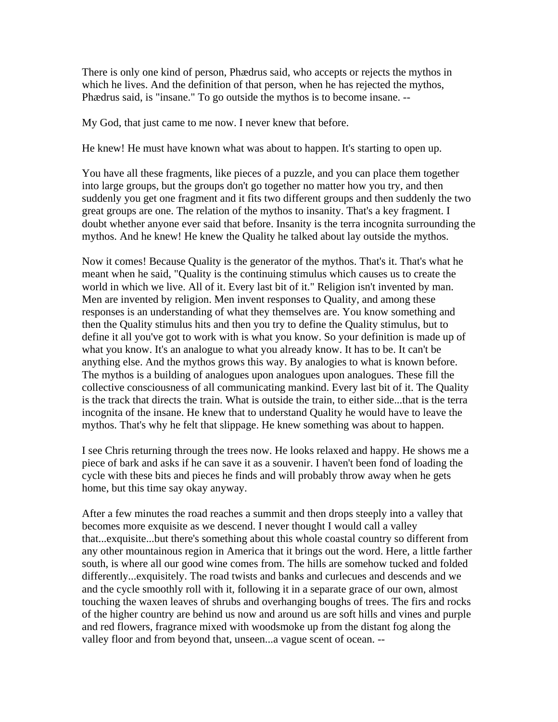There is only one kind of person, Phædrus said, who accepts or rejects the mythos in which he lives. And the definition of that person, when he has rejected the mythos, Phædrus said, is "insane." To go outside the mythos is to become insane. --

My God, that just came to me now. I never knew that before.

He knew! He must have known what was about to happen. It's starting to open up.

You have all these fragments, like pieces of a puzzle, and you can place them together into large groups, but the groups don't go together no matter how you try, and then suddenly you get one fragment and it fits two different groups and then suddenly the two great groups are one. The relation of the mythos to insanity. That's a key fragment. I doubt whether anyone ever said that before. Insanity is the terra incognita surrounding the mythos. And he knew! He knew the Quality he talked about lay outside the mythos.

Now it comes! Because Quality is the generator of the mythos. That's it. That's what he meant when he said, "Quality is the continuing stimulus which causes us to create the world in which we live. All of it. Every last bit of it." Religion isn't invented by man. Men are invented by religion. Men invent responses to Quality, and among these responses is an understanding of what they themselves are. You know something and then the Quality stimulus hits and then you try to define the Quality stimulus, but to define it all you've got to work with is what you know. So your definition is made up of what you know. It's an analogue to what you already know. It has to be. It can't be anything else. And the mythos grows this way. By analogies to what is known before. The mythos is a building of analogues upon analogues upon analogues. These fill the collective consciousness of all communicating mankind. Every last bit of it. The Quality is the track that directs the train. What is outside the train, to either side...that is the terra incognita of the insane. He knew that to understand Quality he would have to leave the mythos. That's why he felt that slippage. He knew something was about to happen.

I see Chris returning through the trees now. He looks relaxed and happy. He shows me a piece of bark and asks if he can save it as a souvenir. I haven't been fond of loading the cycle with these bits and pieces he finds and will probably throw away when he gets home, but this time say okay anyway.

After a few minutes the road reaches a summit and then drops steeply into a valley that becomes more exquisite as we descend. I never thought I would call a valley that...exquisite...but there's something about this whole coastal country so different from any other mountainous region in America that it brings out the word. Here, a little farther south, is where all our good wine comes from. The hills are somehow tucked and folded differently...exquisitely. The road twists and banks and curlecues and descends and we and the cycle smoothly roll with it, following it in a separate grace of our own, almost touching the waxen leaves of shrubs and overhanging boughs of trees. The firs and rocks of the higher country are behind us now and around us are soft hills and vines and purple and red flowers, fragrance mixed with woodsmoke up from the distant fog along the valley floor and from beyond that, unseen...a vague scent of ocean. --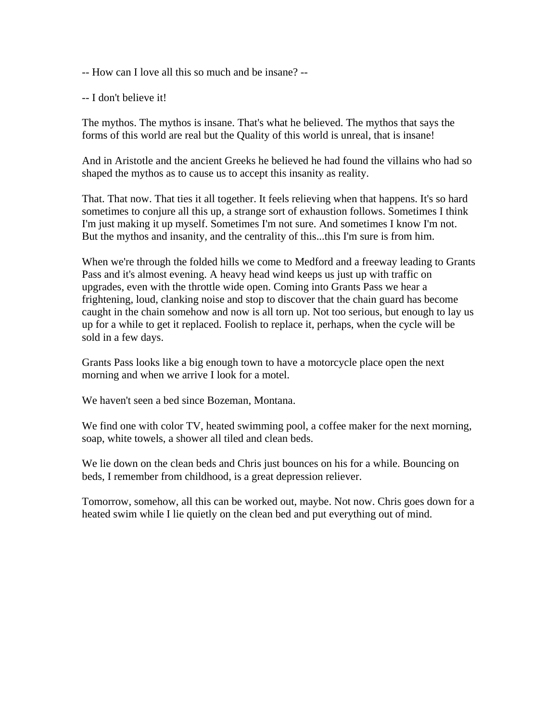-- How can I love all this so much and be insane? --

-- I don't believe it!

The mythos. The mythos is insane. That's what he believed. The mythos that says the forms of this world are real but the Quality of this world is unreal, that is insane!

And in Aristotle and the ancient Greeks he believed he had found the villains who had so shaped the mythos as to cause us to accept this insanity as reality.

That. That now. That ties it all together. It feels relieving when that happens. It's so hard sometimes to conjure all this up, a strange sort of exhaustion follows. Sometimes I think I'm just making it up myself. Sometimes I'm not sure. And sometimes I know I'm not. But the mythos and insanity, and the centrality of this...this I'm sure is from him.

When we're through the folded hills we come to Medford and a freeway leading to Grants Pass and it's almost evening. A heavy head wind keeps us just up with traffic on upgrades, even with the throttle wide open. Coming into Grants Pass we hear a frightening, loud, clanking noise and stop to discover that the chain guard has become caught in the chain somehow and now is all torn up. Not too serious, but enough to lay us up for a while to get it replaced. Foolish to replace it, perhaps, when the cycle will be sold in a few days.

Grants Pass looks like a big enough town to have a motorcycle place open the next morning and when we arrive I look for a motel.

We haven't seen a bed since Bozeman, Montana.

We find one with color TV, heated swimming pool, a coffee maker for the next morning, soap, white towels, a shower all tiled and clean beds.

We lie down on the clean beds and Chris just bounces on his for a while. Bouncing on beds, I remember from childhood, is a great depression reliever.

Tomorrow, somehow, all this can be worked out, maybe. Not now. Chris goes down for a heated swim while I lie quietly on the clean bed and put everything out of mind.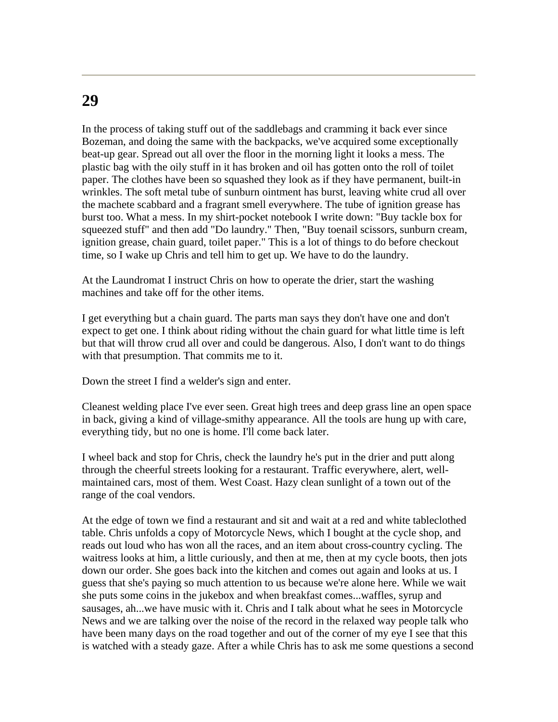# **29**

In the process of taking stuff out of the saddlebags and cramming it back ever since Bozeman, and doing the same with the backpacks, we've acquired some exceptionally beat-up gear. Spread out all over the floor in the morning light it looks a mess. The plastic bag with the oily stuff in it has broken and oil has gotten onto the roll of toilet paper. The clothes have been so squashed they look as if they have permanent, built-in wrinkles. The soft metal tube of sunburn ointment has burst, leaving white crud all over the machete scabbard and a fragrant smell everywhere. The tube of ignition grease has burst too. What a mess. In my shirt-pocket notebook I write down: "Buy tackle box for squeezed stuff" and then add "Do laundry." Then, "Buy toenail scissors, sunburn cream, ignition grease, chain guard, toilet paper." This is a lot of things to do before checkout time, so I wake up Chris and tell him to get up. We have to do the laundry.

At the Laundromat I instruct Chris on how to operate the drier, start the washing machines and take off for the other items.

I get everything but a chain guard. The parts man says they don't have one and don't expect to get one. I think about riding without the chain guard for what little time is left but that will throw crud all over and could be dangerous. Also, I don't want to do things with that presumption. That commits me to it.

Down the street I find a welder's sign and enter.

Cleanest welding place I've ever seen. Great high trees and deep grass line an open space in back, giving a kind of village-smithy appearance. All the tools are hung up with care, everything tidy, but no one is home. I'll come back later.

I wheel back and stop for Chris, check the laundry he's put in the drier and putt along through the cheerful streets looking for a restaurant. Traffic everywhere, alert, wellmaintained cars, most of them. West Coast. Hazy clean sunlight of a town out of the range of the coal vendors.

At the edge of town we find a restaurant and sit and wait at a red and white tableclothed table. Chris unfolds a copy of Motorcycle News, which I bought at the cycle shop, and reads out loud who has won all the races, and an item about cross-country cycling. The waitress looks at him, a little curiously, and then at me, then at my cycle boots, then jots down our order. She goes back into the kitchen and comes out again and looks at us. I guess that she's paying so much attention to us because we're alone here. While we wait she puts some coins in the jukebox and when breakfast comes...waffles, syrup and sausages, ah...we have music with it. Chris and I talk about what he sees in Motorcycle News and we are talking over the noise of the record in the relaxed way people talk who have been many days on the road together and out of the corner of my eye I see that this is watched with a steady gaze. After a while Chris has to ask me some questions a second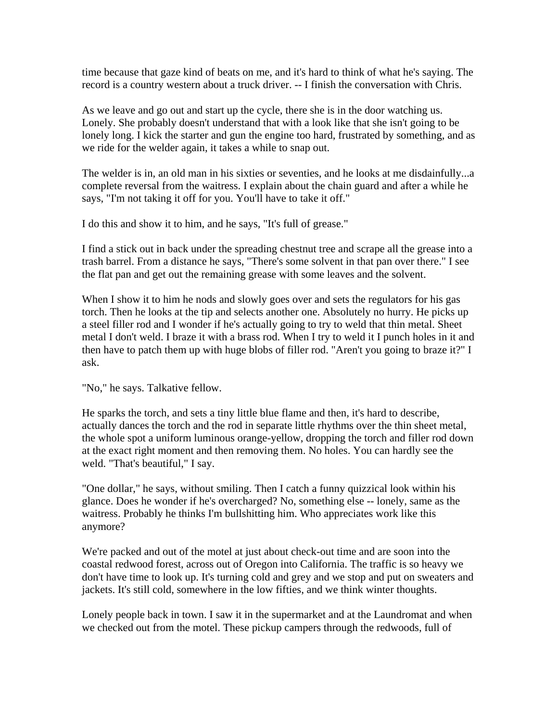time because that gaze kind of beats on me, and it's hard to think of what he's saying. The record is a country western about a truck driver. -- I finish the conversation with Chris.

As we leave and go out and start up the cycle, there she is in the door watching us. Lonely. She probably doesn't understand that with a look like that she isn't going to be lonely long. I kick the starter and gun the engine too hard, frustrated by something, and as we ride for the welder again, it takes a while to snap out.

The welder is in, an old man in his sixties or seventies, and he looks at me disdainfully...a complete reversal from the waitress. I explain about the chain guard and after a while he says, "I'm not taking it off for you. You'll have to take it off."

I do this and show it to him, and he says, "It's full of grease."

I find a stick out in back under the spreading chestnut tree and scrape all the grease into a trash barrel. From a distance he says, "There's some solvent in that pan over there." I see the flat pan and get out the remaining grease with some leaves and the solvent.

When I show it to him he nods and slowly goes over and sets the regulators for his gas torch. Then he looks at the tip and selects another one. Absolutely no hurry. He picks up a steel filler rod and I wonder if he's actually going to try to weld that thin metal. Sheet metal I don't weld. I braze it with a brass rod. When I try to weld it I punch holes in it and then have to patch them up with huge blobs of filler rod. "Aren't you going to braze it?" I ask.

"No," he says. Talkative fellow.

He sparks the torch, and sets a tiny little blue flame and then, it's hard to describe, actually dances the torch and the rod in separate little rhythms over the thin sheet metal, the whole spot a uniform luminous orange-yellow, dropping the torch and filler rod down at the exact right moment and then removing them. No holes. You can hardly see the weld. "That's beautiful," I say.

"One dollar," he says, without smiling. Then I catch a funny quizzical look within his glance. Does he wonder if he's overcharged? No, something else -- lonely, same as the waitress. Probably he thinks I'm bullshitting him. Who appreciates work like this anymore?

We're packed and out of the motel at just about check-out time and are soon into the coastal redwood forest, across out of Oregon into California. The traffic is so heavy we don't have time to look up. It's turning cold and grey and we stop and put on sweaters and jackets. It's still cold, somewhere in the low fifties, and we think winter thoughts.

Lonely people back in town. I saw it in the supermarket and at the Laundromat and when we checked out from the motel. These pickup campers through the redwoods, full of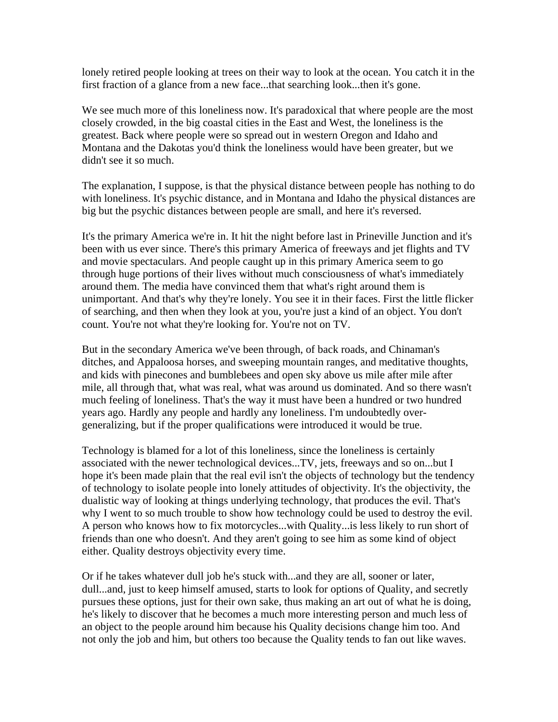lonely retired people looking at trees on their way to look at the ocean. You catch it in the first fraction of a glance from a new face...that searching look...then it's gone.

We see much more of this loneliness now. It's paradoxical that where people are the most closely crowded, in the big coastal cities in the East and West, the loneliness is the greatest. Back where people were so spread out in western Oregon and Idaho and Montana and the Dakotas you'd think the loneliness would have been greater, but we didn't see it so much.

The explanation, I suppose, is that the physical distance between people has nothing to do with loneliness. It's psychic distance, and in Montana and Idaho the physical distances are big but the psychic distances between people are small, and here it's reversed.

It's the primary America we're in. It hit the night before last in Prineville Junction and it's been with us ever since. There's this primary America of freeways and jet flights and TV and movie spectaculars. And people caught up in this primary America seem to go through huge portions of their lives without much consciousness of what's immediately around them. The media have convinced them that what's right around them is unimportant. And that's why they're lonely. You see it in their faces. First the little flicker of searching, and then when they look at you, you're just a kind of an object. You don't count. You're not what they're looking for. You're not on TV.

But in the secondary America we've been through, of back roads, and Chinaman's ditches, and Appaloosa horses, and sweeping mountain ranges, and meditative thoughts, and kids with pinecones and bumblebees and open sky above us mile after mile after mile, all through that, what was real, what was around us dominated. And so there wasn't much feeling of loneliness. That's the way it must have been a hundred or two hundred years ago. Hardly any people and hardly any loneliness. I'm undoubtedly overgeneralizing, but if the proper qualifications were introduced it would be true.

Technology is blamed for a lot of this loneliness, since the loneliness is certainly associated with the newer technological devices...TV, jets, freeways and so on...but I hope it's been made plain that the real evil isn't the objects of technology but the tendency of technology to isolate people into lonely attitudes of objectivity. It's the objectivity, the dualistic way of looking at things underlying technology, that produces the evil. That's why I went to so much trouble to show how technology could be used to destroy the evil. A person who knows how to fix motorcycles...with Quality...is less likely to run short of friends than one who doesn't. And they aren't going to see him as some kind of object either. Quality destroys objectivity every time.

Or if he takes whatever dull job he's stuck with...and they are all, sooner or later, dull...and, just to keep himself amused, starts to look for options of Quality, and secretly pursues these options, just for their own sake, thus making an art out of what he is doing, he's likely to discover that he becomes a much more interesting person and much less of an object to the people around him because his Quality decisions change him too. And not only the job and him, but others too because the Quality tends to fan out like waves.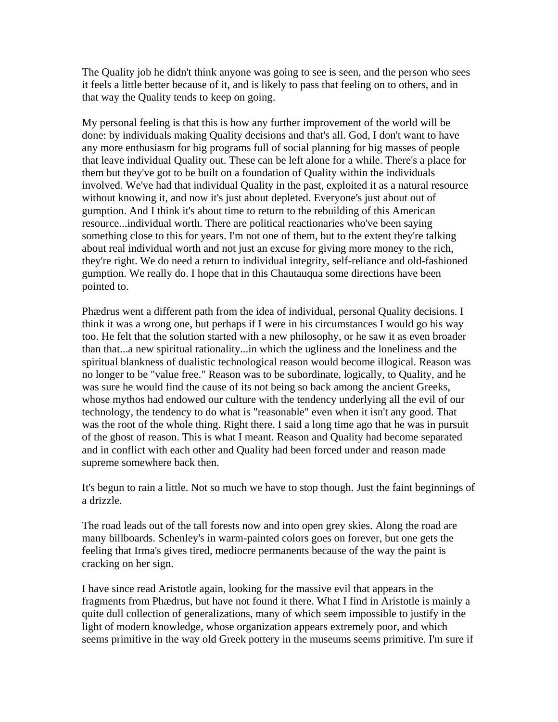The Quality job he didn't think anyone was going to see is seen, and the person who sees it feels a little better because of it, and is likely to pass that feeling on to others, and in that way the Quality tends to keep on going.

My personal feeling is that this is how any further improvement of the world will be done: by individuals making Quality decisions and that's all. God, I don't want to have any more enthusiasm for big programs full of social planning for big masses of people that leave individual Quality out. These can be left alone for a while. There's a place for them but they've got to be built on a foundation of Quality within the individuals involved. We've had that individual Quality in the past, exploited it as a natural resource without knowing it, and now it's just about depleted. Everyone's just about out of gumption. And I think it's about time to return to the rebuilding of this American resource...individual worth. There are political reactionaries who've been saying something close to this for years. I'm not one of them, but to the extent they're talking about real individual worth and not just an excuse for giving more money to the rich, they're right. We do need a return to individual integrity, self-reliance and old-fashioned gumption. We really do. I hope that in this Chautauqua some directions have been pointed to.

Phædrus went a different path from the idea of individual, personal Quality decisions. I think it was a wrong one, but perhaps if I were in his circumstances I would go his way too. He felt that the solution started with a new philosophy, or he saw it as even broader than that...a new spiritual rationality...in which the ugliness and the loneliness and the spiritual blankness of dualistic technological reason would become illogical. Reason was no longer to be "value free." Reason was to be subordinate, logically, to Quality, and he was sure he would find the cause of its not being so back among the ancient Greeks, whose mythos had endowed our culture with the tendency underlying all the evil of our technology, the tendency to do what is "reasonable" even when it isn't any good. That was the root of the whole thing. Right there. I said a long time ago that he was in pursuit of the ghost of reason. This is what I meant. Reason and Quality had become separated and in conflict with each other and Quality had been forced under and reason made supreme somewhere back then.

It's begun to rain a little. Not so much we have to stop though. Just the faint beginnings of a drizzle.

The road leads out of the tall forests now and into open grey skies. Along the road are many billboards. Schenley's in warm-painted colors goes on forever, but one gets the feeling that Irma's gives tired, mediocre permanents because of the way the paint is cracking on her sign.

I have since read Aristotle again, looking for the massive evil that appears in the fragments from Phædrus, but have not found it there. What I find in Aristotle is mainly a quite dull collection of generalizations, many of which seem impossible to justify in the light of modern knowledge, whose organization appears extremely poor, and which seems primitive in the way old Greek pottery in the museums seems primitive. I'm sure if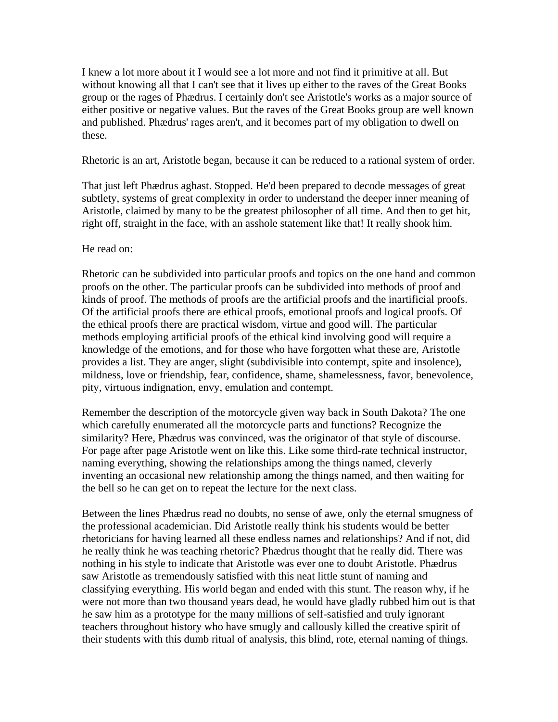I knew a lot more about it I would see a lot more and not find it primitive at all. But without knowing all that I can't see that it lives up either to the raves of the Great Books group or the rages of Phædrus. I certainly don't see Aristotle's works as a major source of either positive or negative values. But the raves of the Great Books group are well known and published. Phædrus' rages aren't, and it becomes part of my obligation to dwell on these.

Rhetoric is an art, Aristotle began, because it can be reduced to a rational system of order.

That just left Phædrus aghast. Stopped. He'd been prepared to decode messages of great subtlety, systems of great complexity in order to understand the deeper inner meaning of Aristotle, claimed by many to be the greatest philosopher of all time. And then to get hit, right off, straight in the face, with an asshole statement like that! It really shook him.

#### He read on:

Rhetoric can be subdivided into particular proofs and topics on the one hand and common proofs on the other. The particular proofs can be subdivided into methods of proof and kinds of proof. The methods of proofs are the artificial proofs and the inartificial proofs. Of the artificial proofs there are ethical proofs, emotional proofs and logical proofs. Of the ethical proofs there are practical wisdom, virtue and good will. The particular methods employing artificial proofs of the ethical kind involving good will require a knowledge of the emotions, and for those who have forgotten what these are, Aristotle provides a list. They are anger, slight (subdivisible into contempt, spite and insolence), mildness, love or friendship, fear, confidence, shame, shamelessness, favor, benevolence, pity, virtuous indignation, envy, emulation and contempt.

Remember the description of the motorcycle given way back in South Dakota? The one which carefully enumerated all the motorcycle parts and functions? Recognize the similarity? Here, Phædrus was convinced, was the originator of that style of discourse. For page after page Aristotle went on like this. Like some third-rate technical instructor, naming everything, showing the relationships among the things named, cleverly inventing an occasional new relationship among the things named, and then waiting for the bell so he can get on to repeat the lecture for the next class.

Between the lines Phædrus read no doubts, no sense of awe, only the eternal smugness of the professional academician. Did Aristotle really think his students would be better rhetoricians for having learned all these endless names and relationships? And if not, did he really think he was teaching rhetoric? Phædrus thought that he really did. There was nothing in his style to indicate that Aristotle was ever one to doubt Aristotle. Phædrus saw Aristotle as tremendously satisfied with this neat little stunt of naming and classifying everything. His world began and ended with this stunt. The reason why, if he were not more than two thousand years dead, he would have gladly rubbed him out is that he saw him as a prototype for the many millions of self-satisfied and truly ignorant teachers throughout history who have smugly and callously killed the creative spirit of their students with this dumb ritual of analysis, this blind, rote, eternal naming of things.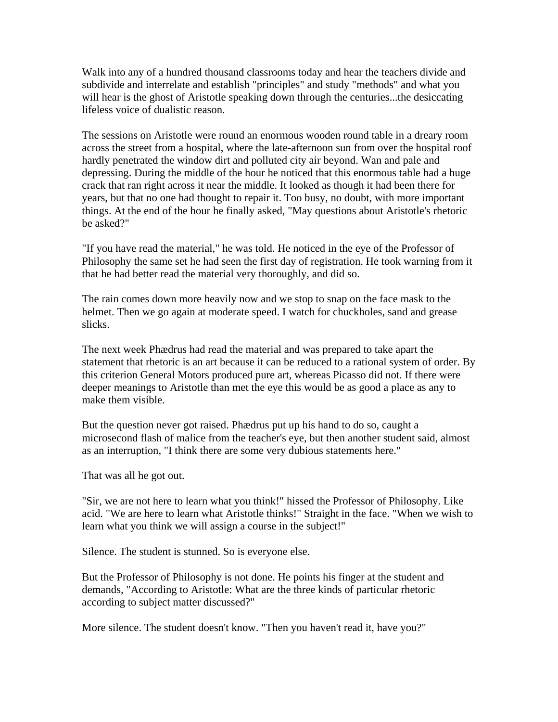Walk into any of a hundred thousand classrooms today and hear the teachers divide and subdivide and interrelate and establish "principles" and study "methods" and what you will hear is the ghost of Aristotle speaking down through the centuries...the desiccating lifeless voice of dualistic reason.

The sessions on Aristotle were round an enormous wooden round table in a dreary room across the street from a hospital, where the late-afternoon sun from over the hospital roof hardly penetrated the window dirt and polluted city air beyond. Wan and pale and depressing. During the middle of the hour he noticed that this enormous table had a huge crack that ran right across it near the middle. It looked as though it had been there for years, but that no one had thought to repair it. Too busy, no doubt, with more important things. At the end of the hour he finally asked, "May questions about Aristotle's rhetoric be asked?"

"If you have read the material," he was told. He noticed in the eye of the Professor of Philosophy the same set he had seen the first day of registration. He took warning from it that he had better read the material very thoroughly, and did so.

The rain comes down more heavily now and we stop to snap on the face mask to the helmet. Then we go again at moderate speed. I watch for chuckholes, sand and grease slicks.

The next week Phædrus had read the material and was prepared to take apart the statement that rhetoric is an art because it can be reduced to a rational system of order. By this criterion General Motors produced pure art, whereas Picasso did not. If there were deeper meanings to Aristotle than met the eye this would be as good a place as any to make them visible.

But the question never got raised. Phædrus put up his hand to do so, caught a microsecond flash of malice from the teacher's eye, but then another student said, almost as an interruption, "I think there are some very dubious statements here."

That was all he got out.

"Sir, we are not here to learn what you think!" hissed the Professor of Philosophy. Like acid. "We are here to learn what Aristotle thinks!" Straight in the face. "When we wish to learn what you think we will assign a course in the subject!"

Silence. The student is stunned. So is everyone else.

But the Professor of Philosophy is not done. He points his finger at the student and demands, "According to Aristotle: What are the three kinds of particular rhetoric according to subject matter discussed?"

More silence. The student doesn't know. "Then you haven't read it, have you?"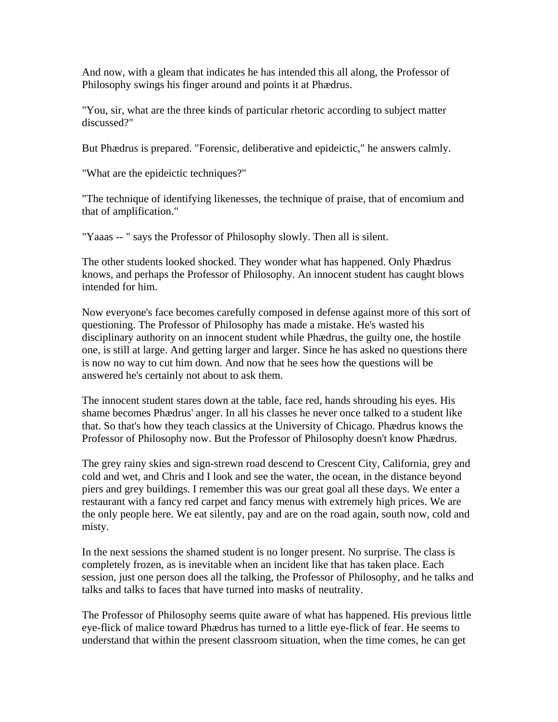And now, with a gleam that indicates he has intended this all along, the Professor of Philosophy swings his finger around and points it at Phædrus.

"You, sir, what are the three kinds of particular rhetoric according to subject matter discussed?"

But Phædrus is prepared. "Forensic, deliberative and epideictic," he answers calmly.

"What are the epideictic techniques?"

"The technique of identifying likenesses, the technique of praise, that of encomium and that of amplification."

"Yaaas -- " says the Professor of Philosophy slowly. Then all is silent.

The other students looked shocked. They wonder what has happened. Only Phædrus knows, and perhaps the Professor of Philosophy. An innocent student has caught blows intended for him.

Now everyone's face becomes carefully composed in defense against more of this sort of questioning. The Professor of Philosophy has made a mistake. He's wasted his disciplinary authority on an innocent student while Phædrus, the guilty one, the hostile one, is still at large. And getting larger and larger. Since he has asked no questions there is now no way to cut him down. And now that he sees how the questions will be answered he's certainly not about to ask them.

The innocent student stares down at the table, face red, hands shrouding his eyes. His shame becomes Phædrus' anger. In all his classes he never once talked to a student like that. So that's how they teach classics at the University of Chicago. Phædrus knows the Professor of Philosophy now. But the Professor of Philosophy doesn't know Phædrus.

The grey rainy skies and sign-strewn road descend to Crescent City, California, grey and cold and wet, and Chris and I look and see the water, the ocean, in the distance beyond piers and grey buildings. I remember this was our great goal all these days. We enter a restaurant with a fancy red carpet and fancy menus with extremely high prices. We are the only people here. We eat silently, pay and are on the road again, south now, cold and misty.

In the next sessions the shamed student is no longer present. No surprise. The class is completely frozen, as is inevitable when an incident like that has taken place. Each session, just one person does all the talking, the Professor of Philosophy, and he talks and talks and talks to faces that have turned into masks of neutrality.

The Professor of Philosophy seems quite aware of what has happened. His previous little eye-flick of malice toward Phædrus has turned to a little eye-flick of fear. He seems to understand that within the present classroom situation, when the time comes, he can get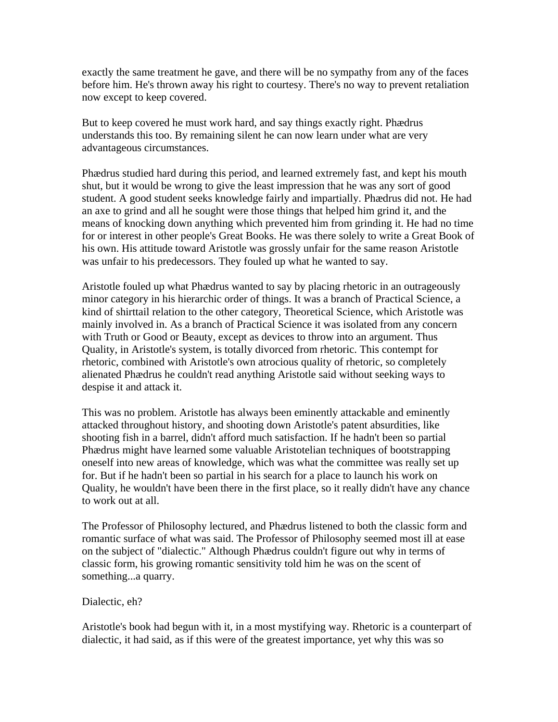exactly the same treatment he gave, and there will be no sympathy from any of the faces before him. He's thrown away his right to courtesy. There's no way to prevent retaliation now except to keep covered.

But to keep covered he must work hard, and say things exactly right. Phædrus understands this too. By remaining silent he can now learn under what are very advantageous circumstances.

Phædrus studied hard during this period, and learned extremely fast, and kept his mouth shut, but it would be wrong to give the least impression that he was any sort of good student. A good student seeks knowledge fairly and impartially. Phædrus did not. He had an axe to grind and all he sought were those things that helped him grind it, and the means of knocking down anything which prevented him from grinding it. He had no time for or interest in other people's Great Books. He was there solely to write a Great Book of his own. His attitude toward Aristotle was grossly unfair for the same reason Aristotle was unfair to his predecessors. They fouled up what he wanted to say.

Aristotle fouled up what Phædrus wanted to say by placing rhetoric in an outrageously minor category in his hierarchic order of things. It was a branch of Practical Science, a kind of shirttail relation to the other category, Theoretical Science, which Aristotle was mainly involved in. As a branch of Practical Science it was isolated from any concern with Truth or Good or Beauty, except as devices to throw into an argument. Thus Quality, in Aristotle's system, is totally divorced from rhetoric. This contempt for rhetoric, combined with Aristotle's own atrocious quality of rhetoric, so completely alienated Phædrus he couldn't read anything Aristotle said without seeking ways to despise it and attack it.

This was no problem. Aristotle has always been eminently attackable and eminently attacked throughout history, and shooting down Aristotle's patent absurdities, like shooting fish in a barrel, didn't afford much satisfaction. If he hadn't been so partial Phædrus might have learned some valuable Aristotelian techniques of bootstrapping oneself into new areas of knowledge, which was what the committee was really set up for. But if he hadn't been so partial in his search for a place to launch his work on Quality, he wouldn't have been there in the first place, so it really didn't have any chance to work out at all.

The Professor of Philosophy lectured, and Phædrus listened to both the classic form and romantic surface of what was said. The Professor of Philosophy seemed most ill at ease on the subject of "dialectic." Although Phædrus couldn't figure out why in terms of classic form, his growing romantic sensitivity told him he was on the scent of something...a quarry.

# Dialectic, eh?

Aristotle's book had begun with it, in a most mystifying way. Rhetoric is a counterpart of dialectic, it had said, as if this were of the greatest importance, yet why this was so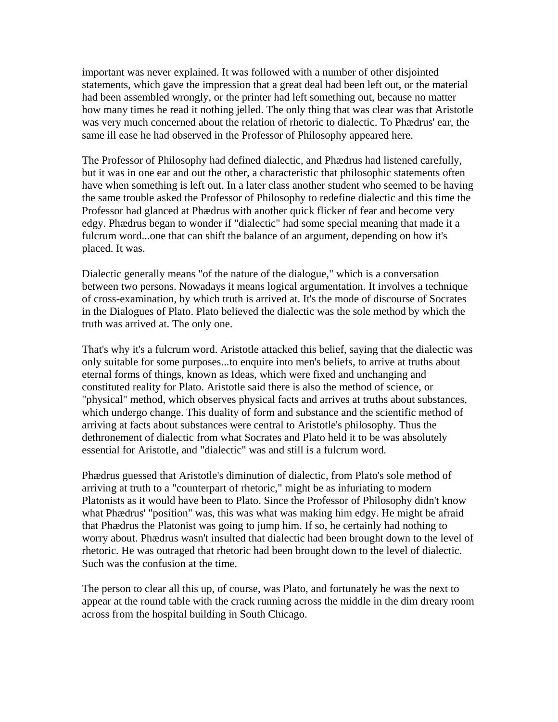important was never explained. It was followed with a number of other disjointed statements, which gave the impression that a great deal had been left out, or the material had been assembled wrongly, or the printer had left something out, because no matter how many times he read it nothing jelled. The only thing that was clear was that Aristotle was very much concerned about the relation of rhetoric to dialectic. To Phædrus' ear, the same ill ease he had observed in the Professor of Philosophy appeared here.

The Professor of Philosophy had defined dialectic, and Phædrus had listened carefully, but it was in one ear and out the other, a characteristic that philosophic statements often have when something is left out. In a later class another student who seemed to be having the same trouble asked the Professor of Philosophy to redefine dialectic and this time the Professor had glanced at Phædrus with another quick flicker of fear and become very edgy. Phædrus began to wonder if "dialectic" had some special meaning that made it a fulcrum word...one that can shift the balance of an argument, depending on how it's placed. It was.

Dialectic generally means "of the nature of the dialogue," which is a conversation between two persons. Nowadays it means logical argumentation. It involves a technique of cross-examination, by which truth is arrived at. It's the mode of discourse of Socrates in the Dialogues of Plato. Plato believed the dialectic was the sole method by which the truth was arrived at. The only one.

That's why it's a fulcrum word. Aristotle attacked this belief, saying that the dialectic was only suitable for some purposes...to enquire into men's beliefs, to arrive at truths about eternal forms of things, known as Ideas, which were fixed and unchanging and constituted reality for Plato. Aristotle said there is also the method of science, or "physical" method, which observes physical facts and arrives at truths about substances, which undergo change. This duality of form and substance and the scientific method of arriving at facts about substances were central to Aristotle's philosophy. Thus the dethronement of dialectic from what Socrates and Plato held it to be was absolutely essential for Aristotle, and "dialectic" was and still is a fulcrum word.

Phædrus guessed that Aristotle's diminution of dialectic, from Plato's sole method of arriving at truth to a "counterpart of rhetoric," might be as infuriating to modern Platonists as it would have been to Plato. Since the Professor of Philosophy didn't know what Phædrus' "position" was, this was what was making him edgy. He might be afraid that Phædrus the Platonist was going to jump him. If so, he certainly had nothing to worry about. Phædrus wasn't insulted that dialectic had been brought down to the level of rhetoric. He was outraged that rhetoric had been brought down to the level of dialectic. Such was the confusion at the time.

The person to clear all this up, of course, was Plato, and fortunately he was the next to appear at the round table with the crack running across the middle in the dim dreary room across from the hospital building in South Chicago.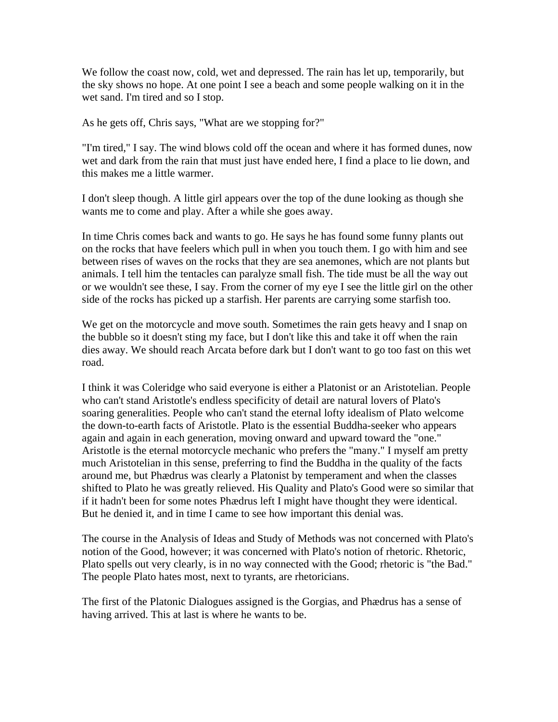We follow the coast now, cold, wet and depressed. The rain has let up, temporarily, but the sky shows no hope. At one point I see a beach and some people walking on it in the wet sand. I'm tired and so I stop.

As he gets off, Chris says, "What are we stopping for?"

"I'm tired," I say. The wind blows cold off the ocean and where it has formed dunes, now wet and dark from the rain that must just have ended here, I find a place to lie down, and this makes me a little warmer.

I don't sleep though. A little girl appears over the top of the dune looking as though she wants me to come and play. After a while she goes away.

In time Chris comes back and wants to go. He says he has found some funny plants out on the rocks that have feelers which pull in when you touch them. I go with him and see between rises of waves on the rocks that they are sea anemones, which are not plants but animals. I tell him the tentacles can paralyze small fish. The tide must be all the way out or we wouldn't see these, I say. From the corner of my eye I see the little girl on the other side of the rocks has picked up a starfish. Her parents are carrying some starfish too.

We get on the motorcycle and move south. Sometimes the rain gets heavy and I snap on the bubble so it doesn't sting my face, but I don't like this and take it off when the rain dies away. We should reach Arcata before dark but I don't want to go too fast on this wet road.

I think it was Coleridge who said everyone is either a Platonist or an Aristotelian. People who can't stand Aristotle's endless specificity of detail are natural lovers of Plato's soaring generalities. People who can't stand the eternal lofty idealism of Plato welcome the down-to-earth facts of Aristotle. Plato is the essential Buddha-seeker who appears again and again in each generation, moving onward and upward toward the "one." Aristotle is the eternal motorcycle mechanic who prefers the "many." I myself am pretty much Aristotelian in this sense, preferring to find the Buddha in the quality of the facts around me, but Phædrus was clearly a Platonist by temperament and when the classes shifted to Plato he was greatly relieved. His Quality and Plato's Good were so similar that if it hadn't been for some notes Phædrus left I might have thought they were identical. But he denied it, and in time I came to see how important this denial was.

The course in the Analysis of Ideas and Study of Methods was not concerned with Plato's notion of the Good, however; it was concerned with Plato's notion of rhetoric. Rhetoric, Plato spells out very clearly, is in no way connected with the Good; rhetoric is "the Bad." The people Plato hates most, next to tyrants, are rhetoricians.

The first of the Platonic Dialogues assigned is the Gorgias, and Phædrus has a sense of having arrived. This at last is where he wants to be.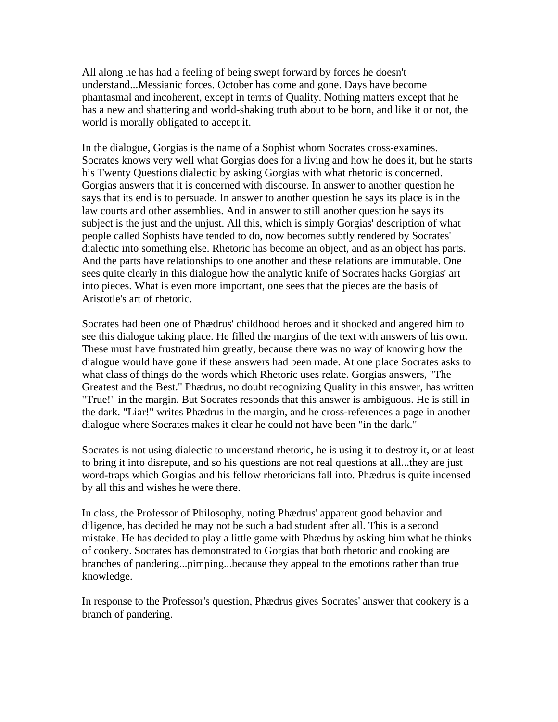All along he has had a feeling of being swept forward by forces he doesn't understand...Messianic forces. October has come and gone. Days have become phantasmal and incoherent, except in terms of Quality. Nothing matters except that he has a new and shattering and world-shaking truth about to be born, and like it or not, the world is morally obligated to accept it.

In the dialogue, Gorgias is the name of a Sophist whom Socrates cross-examines. Socrates knows very well what Gorgias does for a living and how he does it, but he starts his Twenty Questions dialectic by asking Gorgias with what rhetoric is concerned. Gorgias answers that it is concerned with discourse. In answer to another question he says that its end is to persuade. In answer to another question he says its place is in the law courts and other assemblies. And in answer to still another question he says its subject is the just and the unjust. All this, which is simply Gorgias' description of what people called Sophists have tended to do, now becomes subtly rendered by Socrates' dialectic into something else. Rhetoric has become an object, and as an object has parts. And the parts have relationships to one another and these relations are immutable. One sees quite clearly in this dialogue how the analytic knife of Socrates hacks Gorgias' art into pieces. What is even more important, one sees that the pieces are the basis of Aristotle's art of rhetoric.

Socrates had been one of Phædrus' childhood heroes and it shocked and angered him to see this dialogue taking place. He filled the margins of the text with answers of his own. These must have frustrated him greatly, because there was no way of knowing how the dialogue would have gone if these answers had been made. At one place Socrates asks to what class of things do the words which Rhetoric uses relate. Gorgias answers, "The Greatest and the Best." Phædrus, no doubt recognizing Quality in this answer, has written "True!" in the margin. But Socrates responds that this answer is ambiguous. He is still in the dark. "Liar!" writes Phædrus in the margin, and he cross-references a page in another dialogue where Socrates makes it clear he could not have been "in the dark."

Socrates is not using dialectic to understand rhetoric, he is using it to destroy it, or at least to bring it into disrepute, and so his questions are not real questions at all...they are just word-traps which Gorgias and his fellow rhetoricians fall into. Phædrus is quite incensed by all this and wishes he were there.

In class, the Professor of Philosophy, noting Phædrus' apparent good behavior and diligence, has decided he may not be such a bad student after all. This is a second mistake. He has decided to play a little game with Phædrus by asking him what he thinks of cookery. Socrates has demonstrated to Gorgias that both rhetoric and cooking are branches of pandering...pimping...because they appeal to the emotions rather than true knowledge.

In response to the Professor's question, Phædrus gives Socrates' answer that cookery is a branch of pandering.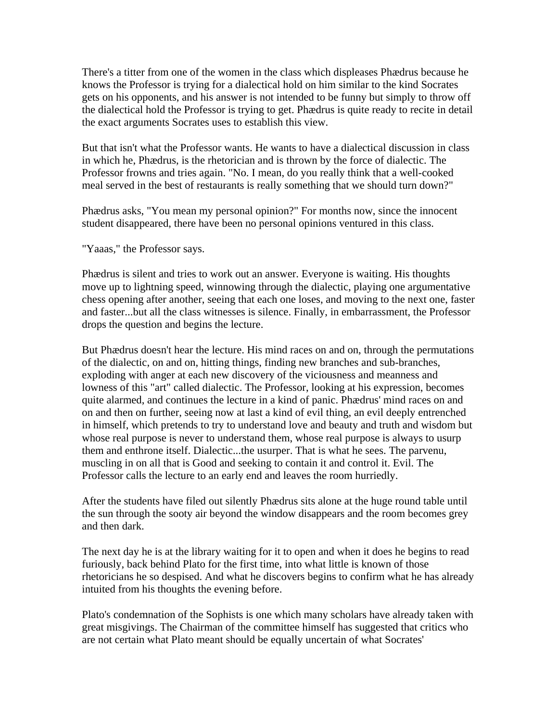There's a titter from one of the women in the class which displeases Phædrus because he knows the Professor is trying for a dialectical hold on him similar to the kind Socrates gets on his opponents, and his answer is not intended to be funny but simply to throw off the dialectical hold the Professor is trying to get. Phædrus is quite ready to recite in detail the exact arguments Socrates uses to establish this view.

But that isn't what the Professor wants. He wants to have a dialectical discussion in class in which he, Phædrus, is the rhetorician and is thrown by the force of dialectic. The Professor frowns and tries again. "No. I mean, do you really think that a well-cooked meal served in the best of restaurants is really something that we should turn down?"

Phædrus asks, "You mean my personal opinion?" For months now, since the innocent student disappeared, there have been no personal opinions ventured in this class.

"Yaaas," the Professor says.

Phædrus is silent and tries to work out an answer. Everyone is waiting. His thoughts move up to lightning speed, winnowing through the dialectic, playing one argumentative chess opening after another, seeing that each one loses, and moving to the next one, faster and faster...but all the class witnesses is silence. Finally, in embarrassment, the Professor drops the question and begins the lecture.

But Phædrus doesn't hear the lecture. His mind races on and on, through the permutations of the dialectic, on and on, hitting things, finding new branches and sub-branches, exploding with anger at each new discovery of the viciousness and meanness and lowness of this "art" called dialectic. The Professor, looking at his expression, becomes quite alarmed, and continues the lecture in a kind of panic. Phædrus' mind races on and on and then on further, seeing now at last a kind of evil thing, an evil deeply entrenched in himself, which pretends to try to understand love and beauty and truth and wisdom but whose real purpose is never to understand them, whose real purpose is always to usurp them and enthrone itself. Dialectic...the usurper. That is what he sees. The parvenu, muscling in on all that is Good and seeking to contain it and control it. Evil. The Professor calls the lecture to an early end and leaves the room hurriedly.

After the students have filed out silently Phædrus sits alone at the huge round table until the sun through the sooty air beyond the window disappears and the room becomes grey and then dark.

The next day he is at the library waiting for it to open and when it does he begins to read furiously, back behind Plato for the first time, into what little is known of those rhetoricians he so despised. And what he discovers begins to confirm what he has already intuited from his thoughts the evening before.

Plato's condemnation of the Sophists is one which many scholars have already taken with great misgivings. The Chairman of the committee himself has suggested that critics who are not certain what Plato meant should be equally uncertain of what Socrates'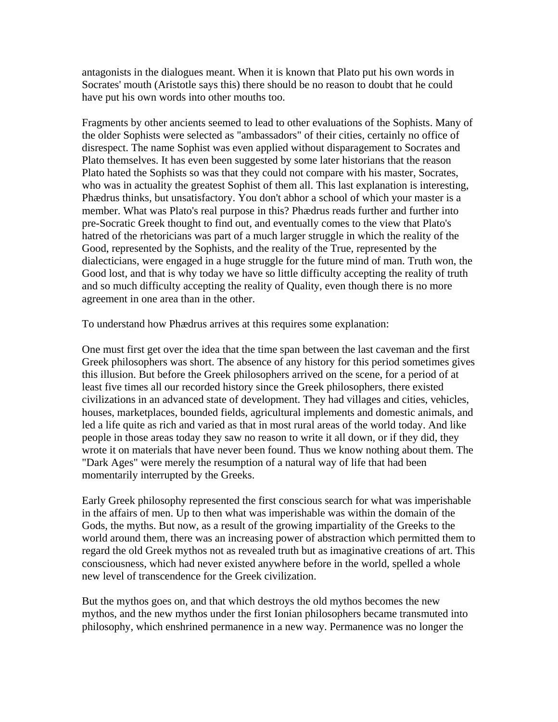antagonists in the dialogues meant. When it is known that Plato put his own words in Socrates' mouth (Aristotle says this) there should be no reason to doubt that he could have put his own words into other mouths too.

Fragments by other ancients seemed to lead to other evaluations of the Sophists. Many of the older Sophists were selected as "ambassadors" of their cities, certainly no office of disrespect. The name Sophist was even applied without disparagement to Socrates and Plato themselves. It has even been suggested by some later historians that the reason Plato hated the Sophists so was that they could not compare with his master, Socrates, who was in actuality the greatest Sophist of them all. This last explanation is interesting, Phædrus thinks, but unsatisfactory. You don't abhor a school of which your master is a member. What was Plato's real purpose in this? Phædrus reads further and further into pre-Socratic Greek thought to find out, and eventually comes to the view that Plato's hatred of the rhetoricians was part of a much larger struggle in which the reality of the Good, represented by the Sophists, and the reality of the True, represented by the dialecticians, were engaged in a huge struggle for the future mind of man. Truth won, the Good lost, and that is why today we have so little difficulty accepting the reality of truth and so much difficulty accepting the reality of Quality, even though there is no more agreement in one area than in the other.

To understand how Phædrus arrives at this requires some explanation:

One must first get over the idea that the time span between the last caveman and the first Greek philosophers was short. The absence of any history for this period sometimes gives this illusion. But before the Greek philosophers arrived on the scene, for a period of at least five times all our recorded history since the Greek philosophers, there existed civilizations in an advanced state of development. They had villages and cities, vehicles, houses, marketplaces, bounded fields, agricultural implements and domestic animals, and led a life quite as rich and varied as that in most rural areas of the world today. And like people in those areas today they saw no reason to write it all down, or if they did, they wrote it on materials that have never been found. Thus we know nothing about them. The "Dark Ages" were merely the resumption of a natural way of life that had been momentarily interrupted by the Greeks.

Early Greek philosophy represented the first conscious search for what was imperishable in the affairs of men. Up to then what was imperishable was within the domain of the Gods, the myths. But now, as a result of the growing impartiality of the Greeks to the world around them, there was an increasing power of abstraction which permitted them to regard the old Greek mythos not as revealed truth but as imaginative creations of art. This consciousness, which had never existed anywhere before in the world, spelled a whole new level of transcendence for the Greek civilization.

But the mythos goes on, and that which destroys the old mythos becomes the new mythos, and the new mythos under the first Ionian philosophers became transmuted into philosophy, which enshrined permanence in a new way. Permanence was no longer the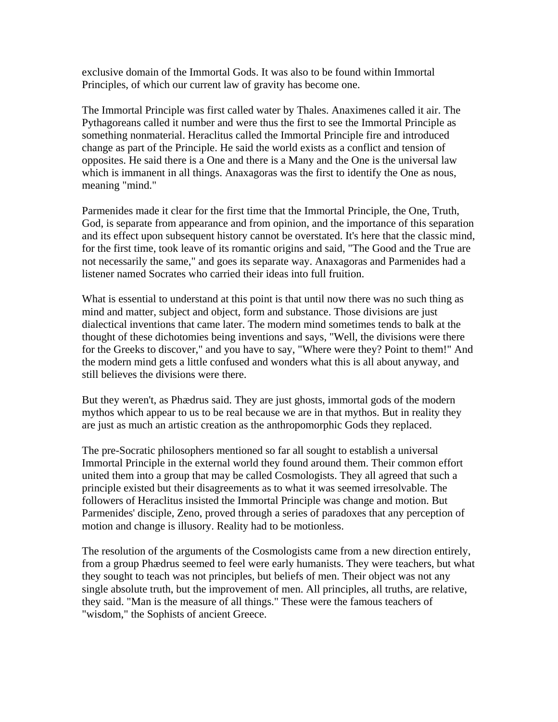exclusive domain of the Immortal Gods. It was also to be found within Immortal Principles, of which our current law of gravity has become one.

The Immortal Principle was first called water by Thales. Anaximenes called it air. The Pythagoreans called it number and were thus the first to see the Immortal Principle as something nonmaterial. Heraclitus called the Immortal Principle fire and introduced change as part of the Principle. He said the world exists as a conflict and tension of opposites. He said there is a One and there is a Many and the One is the universal law which is immanent in all things. Anaxagoras was the first to identify the One as nous, meaning "mind."

Parmenides made it clear for the first time that the Immortal Principle, the One, Truth, God, is separate from appearance and from opinion, and the importance of this separation and its effect upon subsequent history cannot be overstated. It's here that the classic mind, for the first time, took leave of its romantic origins and said, "The Good and the True are not necessarily the same," and goes its separate way. Anaxagoras and Parmenides had a listener named Socrates who carried their ideas into full fruition.

What is essential to understand at this point is that until now there was no such thing as mind and matter, subject and object, form and substance. Those divisions are just dialectical inventions that came later. The modern mind sometimes tends to balk at the thought of these dichotomies being inventions and says, "Well, the divisions were there for the Greeks to discover," and you have to say, "Where were they? Point to them!" And the modern mind gets a little confused and wonders what this is all about anyway, and still believes the divisions were there.

But they weren't, as Phædrus said. They are just ghosts, immortal gods of the modern mythos which appear to us to be real because we are in that mythos. But in reality they are just as much an artistic creation as the anthropomorphic Gods they replaced.

The pre-Socratic philosophers mentioned so far all sought to establish a universal Immortal Principle in the external world they found around them. Their common effort united them into a group that may be called Cosmologists. They all agreed that such a principle existed but their disagreements as to what it was seemed irresolvable. The followers of Heraclitus insisted the Immortal Principle was change and motion. But Parmenides' disciple, Zeno, proved through a series of paradoxes that any perception of motion and change is illusory. Reality had to be motionless.

The resolution of the arguments of the Cosmologists came from a new direction entirely, from a group Phædrus seemed to feel were early humanists. They were teachers, but what they sought to teach was not principles, but beliefs of men. Their object was not any single absolute truth, but the improvement of men. All principles, all truths, are relative, they said. "Man is the measure of all things." These were the famous teachers of "wisdom," the Sophists of ancient Greece.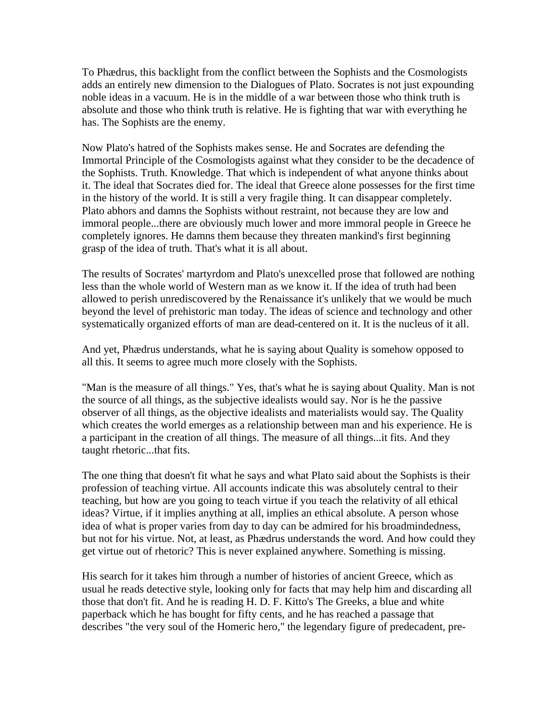To Phædrus, this backlight from the conflict between the Sophists and the Cosmologists adds an entirely new dimension to the Dialogues of Plato. Socrates is not just expounding noble ideas in a vacuum. He is in the middle of a war between those who think truth is absolute and those who think truth is relative. He is fighting that war with everything he has. The Sophists are the enemy.

Now Plato's hatred of the Sophists makes sense. He and Socrates are defending the Immortal Principle of the Cosmologists against what they consider to be the decadence of the Sophists. Truth. Knowledge. That which is independent of what anyone thinks about it. The ideal that Socrates died for. The ideal that Greece alone possesses for the first time in the history of the world. It is still a very fragile thing. It can disappear completely. Plato abhors and damns the Sophists without restraint, not because they are low and immoral people...there are obviously much lower and more immoral people in Greece he completely ignores. He damns them because they threaten mankind's first beginning grasp of the idea of truth. That's what it is all about.

The results of Socrates' martyrdom and Plato's unexcelled prose that followed are nothing less than the whole world of Western man as we know it. If the idea of truth had been allowed to perish unrediscovered by the Renaissance it's unlikely that we would be much beyond the level of prehistoric man today. The ideas of science and technology and other systematically organized efforts of man are dead-centered on it. It is the nucleus of it all.

And yet, Phædrus understands, what he is saying about Quality is somehow opposed to all this. It seems to agree much more closely with the Sophists.

"Man is the measure of all things." Yes, that's what he is saying about Quality. Man is not the source of all things, as the subjective idealists would say. Nor is he the passive observer of all things, as the objective idealists and materialists would say. The Quality which creates the world emerges as a relationship between man and his experience. He is a participant in the creation of all things. The measure of all things...it fits. And they taught rhetoric...that fits.

The one thing that doesn't fit what he says and what Plato said about the Sophists is their profession of teaching virtue. All accounts indicate this was absolutely central to their teaching, but how are you going to teach virtue if you teach the relativity of all ethical ideas? Virtue, if it implies anything at all, implies an ethical absolute. A person whose idea of what is proper varies from day to day can be admired for his broadmindedness, but not for his virtue. Not, at least, as Phædrus understands the word. And how could they get virtue out of rhetoric? This is never explained anywhere. Something is missing.

His search for it takes him through a number of histories of ancient Greece, which as usual he reads detective style, looking only for facts that may help him and discarding all those that don't fit. And he is reading H. D. F. Kitto's The Greeks, a blue and white paperback which he has bought for fifty cents, and he has reached a passage that describes "the very soul of the Homeric hero," the legendary figure of predecadent, pre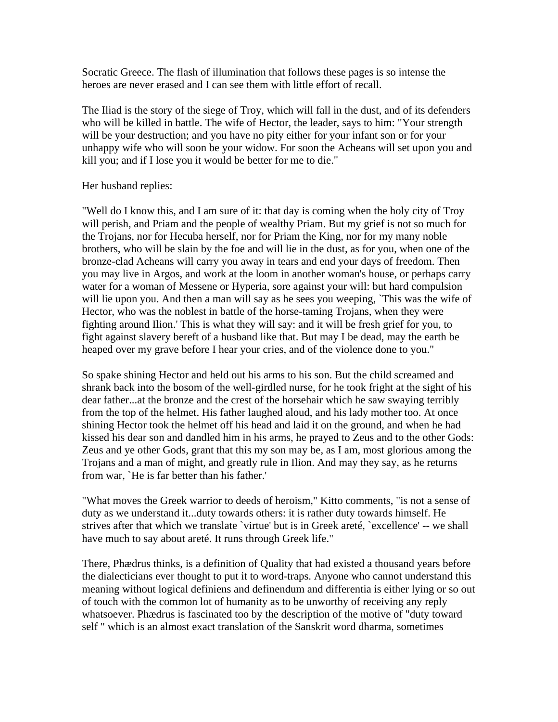Socratic Greece. The flash of illumination that follows these pages is so intense the heroes are never erased and I can see them with little effort of recall.

The Iliad is the story of the siege of Troy, which will fall in the dust, and of its defenders who will be killed in battle. The wife of Hector, the leader, says to him: "Your strength will be your destruction; and you have no pity either for your infant son or for your unhappy wife who will soon be your widow. For soon the Acheans will set upon you and kill you; and if I lose you it would be better for me to die."

# Her husband replies:

"Well do I know this, and I am sure of it: that day is coming when the holy city of Troy will perish, and Priam and the people of wealthy Priam. But my grief is not so much for the Trojans, nor for Hecuba herself, nor for Priam the King, nor for my many noble brothers, who will be slain by the foe and will lie in the dust, as for you, when one of the bronze-clad Acheans will carry you away in tears and end your days of freedom. Then you may live in Argos, and work at the loom in another woman's house, or perhaps carry water for a woman of Messene or Hyperia, sore against your will: but hard compulsion will lie upon you. And then a man will say as he sees you weeping, 'This was the wife of Hector, who was the noblest in battle of the horse-taming Trojans, when they were fighting around Ilion.' This is what they will say: and it will be fresh grief for you, to fight against slavery bereft of a husband like that. But may I be dead, may the earth be heaped over my grave before I hear your cries, and of the violence done to you."

So spake shining Hector and held out his arms to his son. But the child screamed and shrank back into the bosom of the well-girdled nurse, for he took fright at the sight of his dear father...at the bronze and the crest of the horsehair which he saw swaying terribly from the top of the helmet. His father laughed aloud, and his lady mother too. At once shining Hector took the helmet off his head and laid it on the ground, and when he had kissed his dear son and dandled him in his arms, he prayed to Zeus and to the other Gods: Zeus and ye other Gods, grant that this my son may be, as I am, most glorious among the Trojans and a man of might, and greatly rule in Ilion. And may they say, as he returns from war, `He is far better than his father.'

"What moves the Greek warrior to deeds of heroism," Kitto comments, "is not a sense of duty as we understand it...duty towards others: it is rather duty towards himself. He strives after that which we translate `virtue' but is in Greek areté, `excellence' -- we shall have much to say about areté. It runs through Greek life."

There, Phædrus thinks, is a definition of Quality that had existed a thousand years before the dialecticians ever thought to put it to word-traps. Anyone who cannot understand this meaning without logical definiens and definendum and differentia is either lying or so out of touch with the common lot of humanity as to be unworthy of receiving any reply whatsoever. Phædrus is fascinated too by the description of the motive of "duty toward self " which is an almost exact translation of the Sanskrit word dharma, sometimes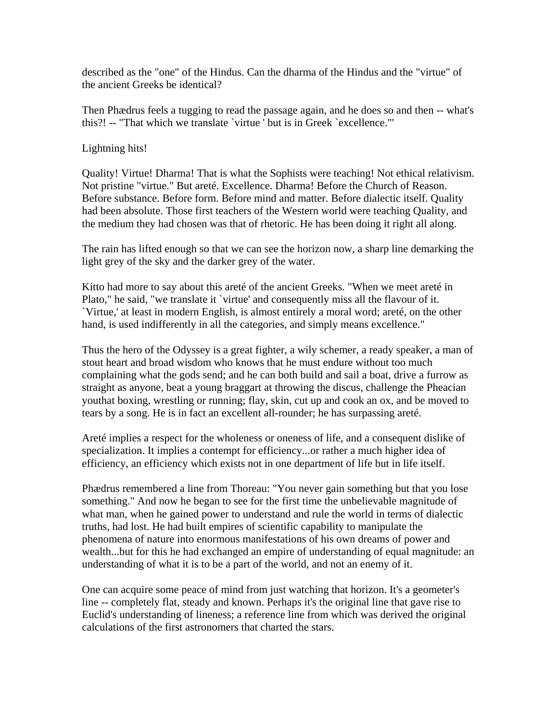described as the "one" of the Hindus. Can the dharma of the Hindus and the "virtue" of the ancient Greeks be identical?

Then Phædrus feels a tugging to read the passage again, and he does so and then -- what's this?! -- "That which we translate `virtue ' but is in Greek `excellence."'

### Lightning hits!

Quality! Virtue! Dharma! That is what the Sophists were teaching! Not ethical relativism. Not pristine "virtue." But areté. Excellence. Dharma! Before the Church of Reason. Before substance. Before form. Before mind and matter. Before dialectic itself. Quality had been absolute. Those first teachers of the Western world were teaching Quality, and the medium they had chosen was that of rhetoric. He has been doing it right all along.

The rain has lifted enough so that we can see the horizon now, a sharp line demarking the light grey of the sky and the darker grey of the water.

Kitto had more to say about this areté of the ancient Greeks. "When we meet areté in Plato," he said, "we translate it `virtue' and consequently miss all the flavour of it. `Virtue,' at least in modern English, is almost entirely a moral word; areté, on the other hand, is used indifferently in all the categories, and simply means excellence."

Thus the hero of the Odyssey is a great fighter, a wily schemer, a ready speaker, a man of stout heart and broad wisdom who knows that he must endure without too much complaining what the gods send; and he can both build and sail a boat, drive a furrow as straight as anyone, beat a young braggart at throwing the discus, challenge the Pheacian youthat boxing, wrestling or running; flay, skin, cut up and cook an ox, and be moved to tears by a song. He is in fact an excellent all-rounder; he has surpassing areté.

Areté implies a respect for the wholeness or oneness of life, and a consequent dislike of specialization. It implies a contempt for efficiency...or rather a much higher idea of efficiency, an efficiency which exists not in one department of life but in life itself.

Phædrus remembered a line from Thoreau: "You never gain something but that you lose something." And now he began to see for the first time the unbelievable magnitude of what man, when he gained power to understand and rule the world in terms of dialectic truths, had lost. He had built empires of scientific capability to manipulate the phenomena of nature into enormous manifestations of his own dreams of power and wealth...but for this he had exchanged an empire of understanding of equal magnitude: an understanding of what it is to be a part of the world, and not an enemy of it.

One can acquire some peace of mind from just watching that horizon. It's a geometer's line -- completely flat, steady and known. Perhaps it's the original line that gave rise to Euclid's understanding of lineness; a reference line from which was derived the original calculations of the first astronomers that charted the stars.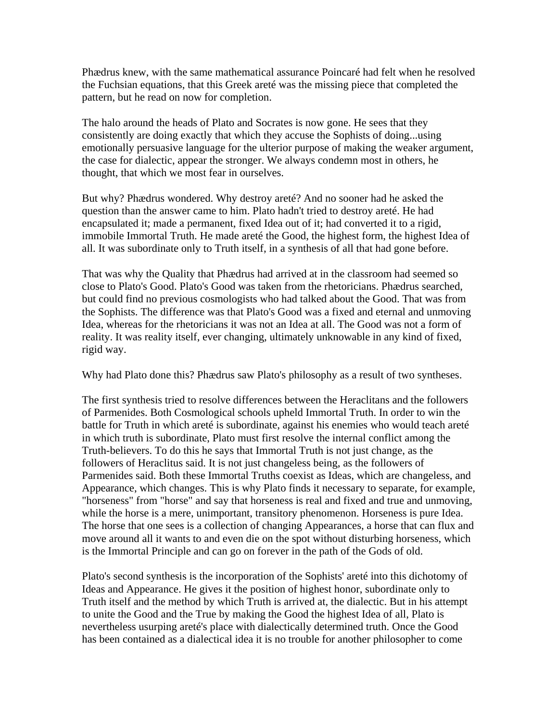Phædrus knew, with the same mathematical assurance Poincaré had felt when he resolved the Fuchsian equations, that this Greek areté was the missing piece that completed the pattern, but he read on now for completion.

The halo around the heads of Plato and Socrates is now gone. He sees that they consistently are doing exactly that which they accuse the Sophists of doing...using emotionally persuasive language for the ulterior purpose of making the weaker argument, the case for dialectic, appear the stronger. We always condemn most in others, he thought, that which we most fear in ourselves.

But why? Phædrus wondered. Why destroy areté? And no sooner had he asked the question than the answer came to him. Plato hadn't tried to destroy areté. He had encapsulated it; made a permanent, fixed Idea out of it; had converted it to a rigid, immobile Immortal Truth. He made areté the Good, the highest form, the highest Idea of all. It was subordinate only to Truth itself, in a synthesis of all that had gone before.

That was why the Quality that Phædrus had arrived at in the classroom had seemed so close to Plato's Good. Plato's Good was taken from the rhetoricians. Phædrus searched, but could find no previous cosmologists who had talked about the Good. That was from the Sophists. The difference was that Plato's Good was a fixed and eternal and unmoving Idea, whereas for the rhetoricians it was not an Idea at all. The Good was not a form of reality. It was reality itself, ever changing, ultimately unknowable in any kind of fixed, rigid way.

Why had Plato done this? Phædrus saw Plato's philosophy as a result of two syntheses.

The first synthesis tried to resolve differences between the Heraclitans and the followers of Parmenides. Both Cosmological schools upheld Immortal Truth. In order to win the battle for Truth in which areté is subordinate, against his enemies who would teach areté in which truth is subordinate, Plato must first resolve the internal conflict among the Truth-believers. To do this he says that Immortal Truth is not just change, as the followers of Heraclitus said. It is not just changeless being, as the followers of Parmenides said. Both these Immortal Truths coexist as Ideas, which are changeless, and Appearance, which changes. This is why Plato finds it necessary to separate, for example, "horseness" from "horse" and say that horseness is real and fixed and true and unmoving, while the horse is a mere, unimportant, transitory phenomenon. Horseness is pure Idea. The horse that one sees is a collection of changing Appearances, a horse that can flux and move around all it wants to and even die on the spot without disturbing horseness, which is the Immortal Principle and can go on forever in the path of the Gods of old.

Plato's second synthesis is the incorporation of the Sophists' areté into this dichotomy of Ideas and Appearance. He gives it the position of highest honor, subordinate only to Truth itself and the method by which Truth is arrived at, the dialectic. But in his attempt to unite the Good and the True by making the Good the highest Idea of all, Plato is nevertheless usurping areté's place with dialectically determined truth. Once the Good has been contained as a dialectical idea it is no trouble for another philosopher to come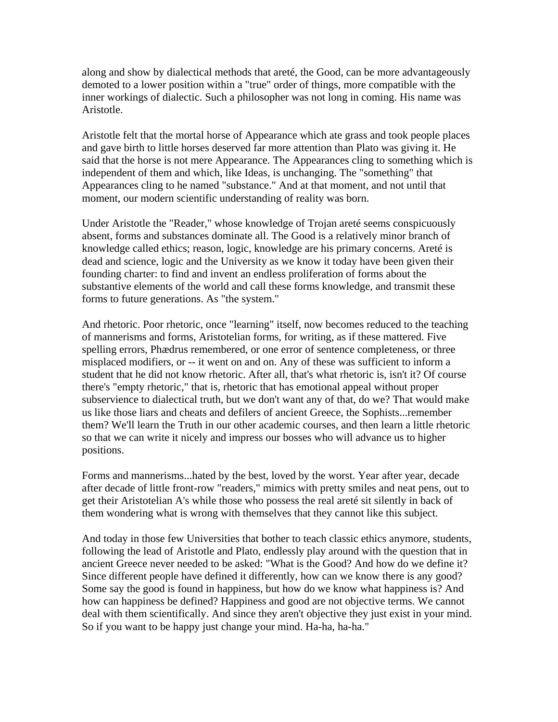along and show by dialectical methods that areté, the Good, can be more advantageously demoted to a lower position within a "true" order of things, more compatible with the inner workings of dialectic. Such a philosopher was not long in coming. His name was Aristotle.

Aristotle felt that the mortal horse of Appearance which ate grass and took people places and gave birth to little horses deserved far more attention than Plato was giving it. He said that the horse is not mere Appearance. The Appearances cling to something which is independent of them and which, like Ideas, is unchanging. The "something" that Appearances cling to he named "substance." And at that moment, and not until that moment, our modern scientific understanding of reality was born.

Under Aristotle the "Reader," whose knowledge of Trojan areté seems conspicuously absent, forms and substances dominate all. The Good is a relatively minor branch of knowledge called ethics; reason, logic, knowledge are his primary concerns. Areté is dead and science, logic and the University as we know it today have been given their founding charter: to find and invent an endless proliferation of forms about the substantive elements of the world and call these forms knowledge, and transmit these forms to future generations. As "the system."

And rhetoric. Poor rhetoric, once "learning" itself, now becomes reduced to the teaching of mannerisms and forms, Aristotelian forms, for writing, as if these mattered. Five spelling errors, Phædrus remembered, or one error of sentence completeness, or three misplaced modifiers, or -- it went on and on. Any of these was sufficient to inform a student that he did not know rhetoric. After all, that's what rhetoric is, isn't it? Of course there's "empty rhetoric," that is, rhetoric that has emotional appeal without proper subservience to dialectical truth, but we don't want any of that, do we? That would make us like those liars and cheats and defilers of ancient Greece, the Sophists...remember them? We'll learn the Truth in our other academic courses, and then learn a little rhetoric so that we can write it nicely and impress our bosses who will advance us to higher positions.

Forms and mannerisms...hated by the best, loved by the worst. Year after year, decade after decade of little front-row "readers," mimics with pretty smiles and neat pens, out to get their Aristotelian A's while those who possess the real areté sit silently in back of them wondering what is wrong with themselves that they cannot like this subject.

And today in those few Universities that bother to teach classic ethics anymore, students, following the lead of Aristotle and Plato, endlessly play around with the question that in ancient Greece never needed to be asked: "What is the Good? And how do we define it? Since different people have defined it differently, how can we know there is any good? Some say the good is found in happiness, but how do we know what happiness is? And how can happiness be defined? Happiness and good are not objective terms. We cannot deal with them scientifically. And since they aren't objective they just exist in your mind. So if you want to be happy just change your mind. Ha-ha, ha-ha."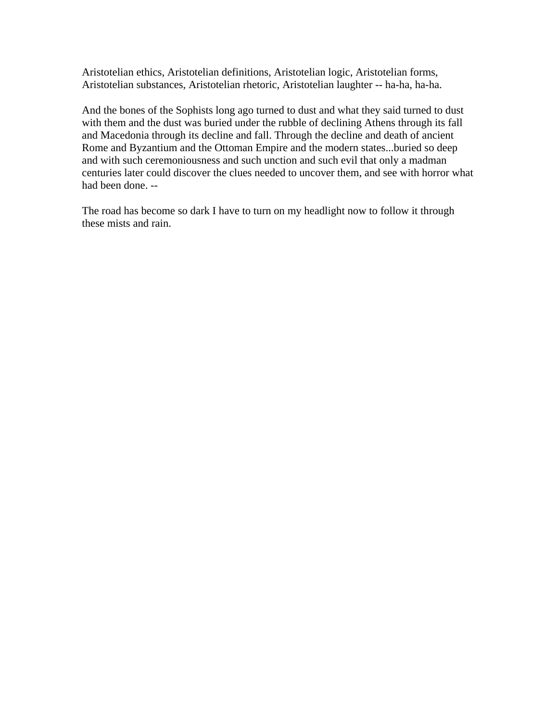Aristotelian ethics, Aristotelian definitions, Aristotelian logic, Aristotelian forms, Aristotelian substances, Aristotelian rhetoric, Aristotelian laughter -- ha-ha, ha-ha.

And the bones of the Sophists long ago turned to dust and what they said turned to dust with them and the dust was buried under the rubble of declining Athens through its fall and Macedonia through its decline and fall. Through the decline and death of ancient Rome and Byzantium and the Ottoman Empire and the modern states...buried so deep and with such ceremoniousness and such unction and such evil that only a madman centuries later could discover the clues needed to uncover them, and see with horror what had been done. --

The road has become so dark I have to turn on my headlight now to follow it through these mists and rain.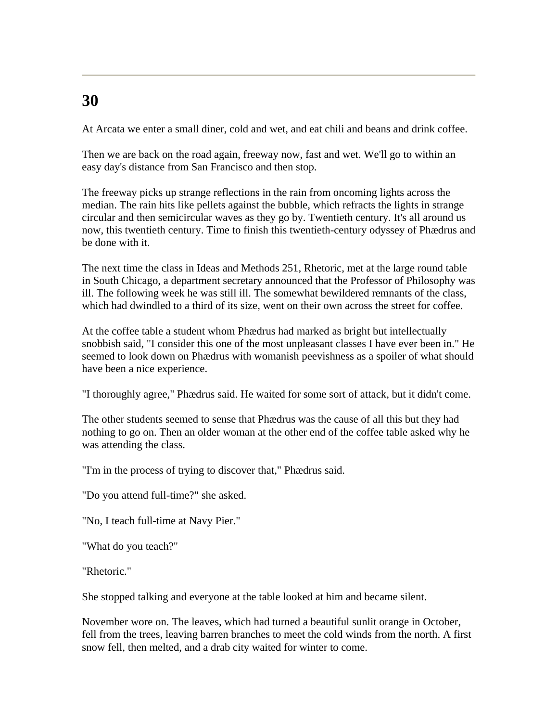## **30**

At Arcata we enter a small diner, cold and wet, and eat chili and beans and drink coffee.

Then we are back on the road again, freeway now, fast and wet. We'll go to within an easy day's distance from San Francisco and then stop.

The freeway picks up strange reflections in the rain from oncoming lights across the median. The rain hits like pellets against the bubble, which refracts the lights in strange circular and then semicircular waves as they go by. Twentieth century. It's all around us now, this twentieth century. Time to finish this twentieth-century odyssey of Phædrus and be done with it.

The next time the class in Ideas and Methods 251, Rhetoric, met at the large round table in South Chicago, a department secretary announced that the Professor of Philosophy was ill. The following week he was still ill. The somewhat bewildered remnants of the class, which had dwindled to a third of its size, went on their own across the street for coffee.

At the coffee table a student whom Phædrus had marked as bright but intellectually snobbish said, "I consider this one of the most unpleasant classes I have ever been in." He seemed to look down on Phædrus with womanish peevishness as a spoiler of what should have been a nice experience.

"I thoroughly agree," Phædrus said. He waited for some sort of attack, but it didn't come.

The other students seemed to sense that Phædrus was the cause of all this but they had nothing to go on. Then an older woman at the other end of the coffee table asked why he was attending the class.

"I'm in the process of trying to discover that," Phædrus said.

"Do you attend full-time?" she asked.

"No, I teach full-time at Navy Pier."

"What do you teach?"

"Rhetoric."

She stopped talking and everyone at the table looked at him and became silent.

November wore on. The leaves, which had turned a beautiful sunlit orange in October, fell from the trees, leaving barren branches to meet the cold winds from the north. A first snow fell, then melted, and a drab city waited for winter to come.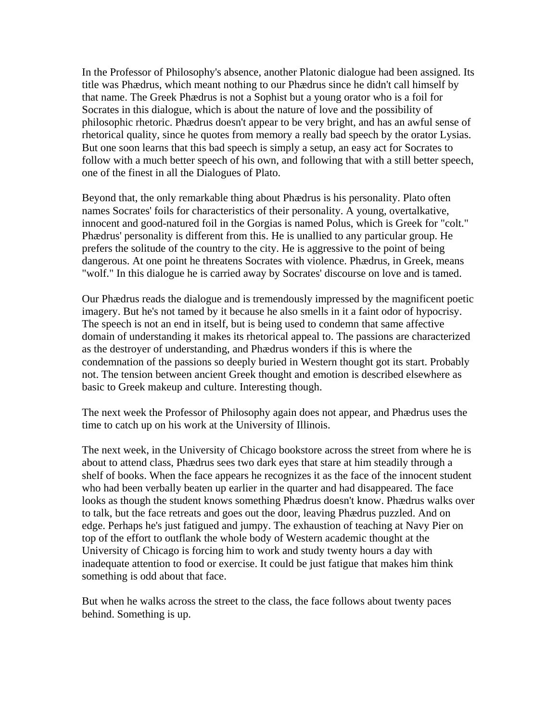In the Professor of Philosophy's absence, another Platonic dialogue had been assigned. Its title was Phædrus, which meant nothing to our Phædrus since he didn't call himself by that name. The Greek Phædrus is not a Sophist but a young orator who is a foil for Socrates in this dialogue, which is about the nature of love and the possibility of philosophic rhetoric. Phædrus doesn't appear to be very bright, and has an awful sense of rhetorical quality, since he quotes from memory a really bad speech by the orator Lysias. But one soon learns that this bad speech is simply a setup, an easy act for Socrates to follow with a much better speech of his own, and following that with a still better speech, one of the finest in all the Dialogues of Plato.

Beyond that, the only remarkable thing about Phædrus is his personality. Plato often names Socrates' foils for characteristics of their personality. A young, overtalkative, innocent and good-natured foil in the Gorgias is named Polus, which is Greek for "colt." Phædrus' personality is different from this. He is unallied to any particular group. He prefers the solitude of the country to the city. He is aggressive to the point of being dangerous. At one point he threatens Socrates with violence. Phædrus, in Greek, means "wolf." In this dialogue he is carried away by Socrates' discourse on love and is tamed.

Our Phædrus reads the dialogue and is tremendously impressed by the magnificent poetic imagery. But he's not tamed by it because he also smells in it a faint odor of hypocrisy. The speech is not an end in itself, but is being used to condemn that same affective domain of understanding it makes its rhetorical appeal to. The passions are characterized as the destroyer of understanding, and Phædrus wonders if this is where the condemnation of the passions so deeply buried in Western thought got its start. Probably not. The tension between ancient Greek thought and emotion is described elsewhere as basic to Greek makeup and culture. Interesting though.

The next week the Professor of Philosophy again does not appear, and Phædrus uses the time to catch up on his work at the University of Illinois.

The next week, in the University of Chicago bookstore across the street from where he is about to attend class, Phædrus sees two dark eyes that stare at him steadily through a shelf of books. When the face appears he recognizes it as the face of the innocent student who had been verbally beaten up earlier in the quarter and had disappeared. The face looks as though the student knows something Phædrus doesn't know. Phædrus walks over to talk, but the face retreats and goes out the door, leaving Phædrus puzzled. And on edge. Perhaps he's just fatigued and jumpy. The exhaustion of teaching at Navy Pier on top of the effort to outflank the whole body of Western academic thought at the University of Chicago is forcing him to work and study twenty hours a day with inadequate attention to food or exercise. It could be just fatigue that makes him think something is odd about that face.

But when he walks across the street to the class, the face follows about twenty paces behind. Something is up.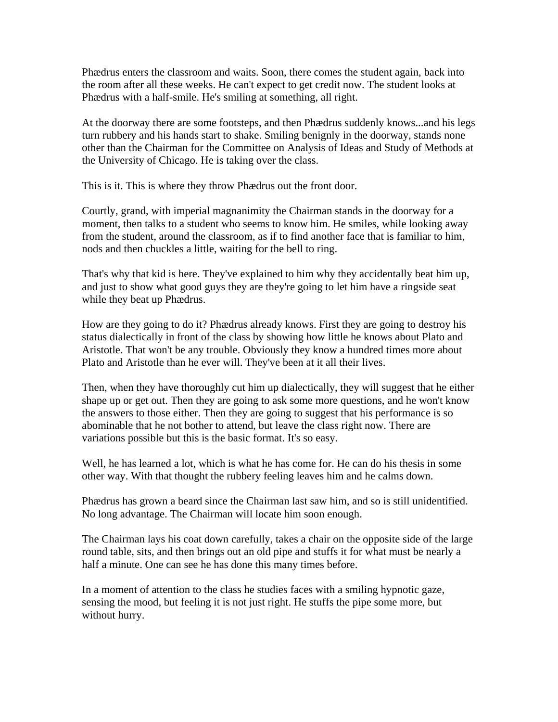Phædrus enters the classroom and waits. Soon, there comes the student again, back into the room after all these weeks. He can't expect to get credit now. The student looks at Phædrus with a half-smile. He's smiling at something, all right.

At the doorway there are some footsteps, and then Phædrus suddenly knows...and his legs turn rubbery and his hands start to shake. Smiling benignly in the doorway, stands none other than the Chairman for the Committee on Analysis of Ideas and Study of Methods at the University of Chicago. He is taking over the class.

This is it. This is where they throw Phædrus out the front door.

Courtly, grand, with imperial magnanimity the Chairman stands in the doorway for a moment, then talks to a student who seems to know him. He smiles, while looking away from the student, around the classroom, as if to find another face that is familiar to him, nods and then chuckles a little, waiting for the bell to ring.

That's why that kid is here. They've explained to him why they accidentally beat him up, and just to show what good guys they are they're going to let him have a ringside seat while they beat up Phædrus.

How are they going to do it? Phædrus already knows. First they are going to destroy his status dialectically in front of the class by showing how little he knows about Plato and Aristotle. That won't be any trouble. Obviously they know a hundred times more about Plato and Aristotle than he ever will. They've been at it all their lives.

Then, when they have thoroughly cut him up dialectically, they will suggest that he either shape up or get out. Then they are going to ask some more questions, and he won't know the answers to those either. Then they are going to suggest that his performance is so abominable that he not bother to attend, but leave the class right now. There are variations possible but this is the basic format. It's so easy.

Well, he has learned a lot, which is what he has come for. He can do his thesis in some other way. With that thought the rubbery feeling leaves him and he calms down.

Phædrus has grown a beard since the Chairman last saw him, and so is still unidentified. No long advantage. The Chairman will locate him soon enough.

The Chairman lays his coat down carefully, takes a chair on the opposite side of the large round table, sits, and then brings out an old pipe and stuffs it for what must be nearly a half a minute. One can see he has done this many times before.

In a moment of attention to the class he studies faces with a smiling hypnotic gaze, sensing the mood, but feeling it is not just right. He stuffs the pipe some more, but without hurry.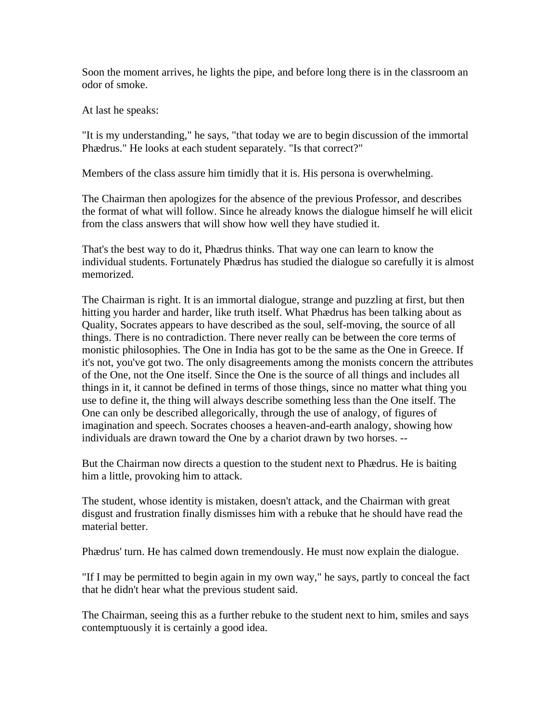Soon the moment arrives, he lights the pipe, and before long there is in the classroom an odor of smoke.

At last he speaks:

"It is my understanding," he says, "that today we are to begin discussion of the immortal Phædrus." He looks at each student separately. "Is that correct?"

Members of the class assure him timidly that it is. His persona is overwhelming.

The Chairman then apologizes for the absence of the previous Professor, and describes the format of what will follow. Since he already knows the dialogue himself he will elicit from the class answers that will show how well they have studied it.

That's the best way to do it, Phædrus thinks. That way one can learn to know the individual students. Fortunately Phædrus has studied the dialogue so carefully it is almost memorized.

The Chairman is right. It is an immortal dialogue, strange and puzzling at first, but then hitting you harder and harder, like truth itself. What Phædrus has been talking about as Quality, Socrates appears to have described as the soul, self-moving, the source of all things. There is no contradiction. There never really can be between the core terms of monistic philosophies. The One in India has got to be the same as the One in Greece. If it's not, you've got two. The only disagreements among the monists concern the attributes of the One, not the One itself. Since the One is the source of all things and includes all things in it, it cannot be defined in terms of those things, since no matter what thing you use to define it, the thing will always describe something less than the One itself. The One can only be described allegorically, through the use of analogy, of figures of imagination and speech. Socrates chooses a heaven-and-earth analogy, showing how individuals are drawn toward the One by a chariot drawn by two horses. --

But the Chairman now directs a question to the student next to Phædrus. He is baiting him a little, provoking him to attack.

The student, whose identity is mistaken, doesn't attack, and the Chairman with great disgust and frustration finally dismisses him with a rebuke that he should have read the material better.

Phædrus' turn. He has calmed down tremendously. He must now explain the dialogue.

"If I may be permitted to begin again in my own way," he says, partly to conceal the fact that he didn't hear what the previous student said.

The Chairman, seeing this as a further rebuke to the student next to him, smiles and says contemptuously it is certainly a good idea.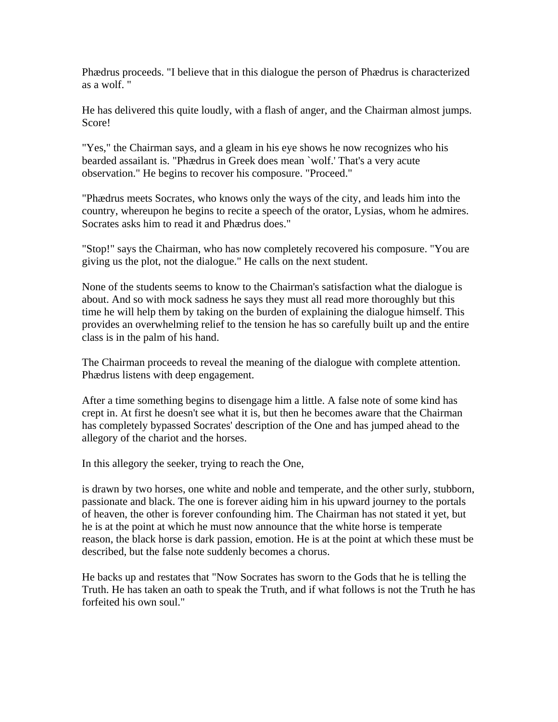Phædrus proceeds. "I believe that in this dialogue the person of Phædrus is characterized as a wolf. "

He has delivered this quite loudly, with a flash of anger, and the Chairman almost jumps. Score!

"Yes," the Chairman says, and a gleam in his eye shows he now recognizes who his bearded assailant is. "Phædrus in Greek does mean `wolf.' That's a very acute observation." He begins to recover his composure. "Proceed."

"Phædrus meets Socrates, who knows only the ways of the city, and leads him into the country, whereupon he begins to recite a speech of the orator, Lysias, whom he admires. Socrates asks him to read it and Phædrus does."

"Stop!" says the Chairman, who has now completely recovered his composure. "You are giving us the plot, not the dialogue." He calls on the next student.

None of the students seems to know to the Chairman's satisfaction what the dialogue is about. And so with mock sadness he says they must all read more thoroughly but this time he will help them by taking on the burden of explaining the dialogue himself. This provides an overwhelming relief to the tension he has so carefully built up and the entire class is in the palm of his hand.

The Chairman proceeds to reveal the meaning of the dialogue with complete attention. Phædrus listens with deep engagement.

After a time something begins to disengage him a little. A false note of some kind has crept in. At first he doesn't see what it is, but then he becomes aware that the Chairman has completely bypassed Socrates' description of the One and has jumped ahead to the allegory of the chariot and the horses.

In this allegory the seeker, trying to reach the One,

is drawn by two horses, one white and noble and temperate, and the other surly, stubborn, passionate and black. The one is forever aiding him in his upward journey to the portals of heaven, the other is forever confounding him. The Chairman has not stated it yet, but he is at the point at which he must now announce that the white horse is temperate reason, the black horse is dark passion, emotion. He is at the point at which these must be described, but the false note suddenly becomes a chorus.

He backs up and restates that "Now Socrates has sworn to the Gods that he is telling the Truth. He has taken an oath to speak the Truth, and if what follows is not the Truth he has forfeited his own soul."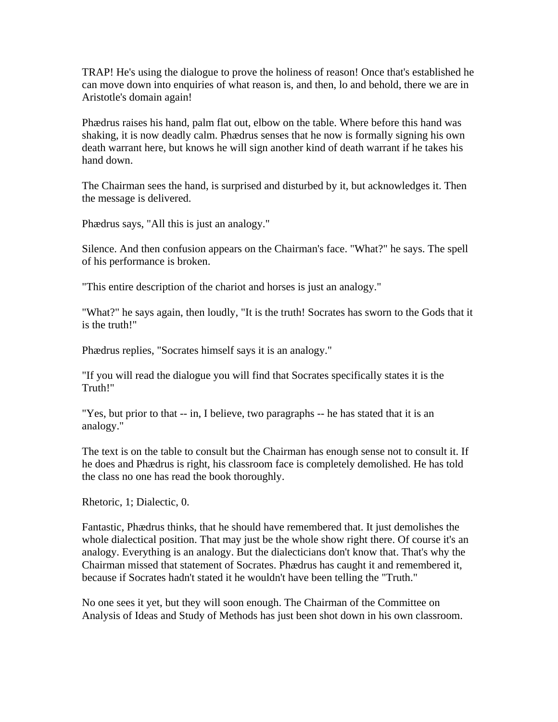TRAP! He's using the dialogue to prove the holiness of reason! Once that's established he can move down into enquiries of what reason is, and then, lo and behold, there we are in Aristotle's domain again!

Phædrus raises his hand, palm flat out, elbow on the table. Where before this hand was shaking, it is now deadly calm. Phædrus senses that he now is formally signing his own death warrant here, but knows he will sign another kind of death warrant if he takes his hand down.

The Chairman sees the hand, is surprised and disturbed by it, but acknowledges it. Then the message is delivered.

Phædrus says, "All this is just an analogy."

Silence. And then confusion appears on the Chairman's face. "What?" he says. The spell of his performance is broken.

"This entire description of the chariot and horses is just an analogy."

"What?" he says again, then loudly, "It is the truth! Socrates has sworn to the Gods that it is the truth!"

Phædrus replies, "Socrates himself says it is an analogy."

"If you will read the dialogue you will find that Socrates specifically states it is the Truth!"

"Yes, but prior to that -- in, I believe, two paragraphs -- he has stated that it is an analogy."

The text is on the table to consult but the Chairman has enough sense not to consult it. If he does and Phædrus is right, his classroom face is completely demolished. He has told the class no one has read the book thoroughly.

Rhetoric, 1; Dialectic, 0.

Fantastic, Phædrus thinks, that he should have remembered that. It just demolishes the whole dialectical position. That may just be the whole show right there. Of course it's an analogy. Everything is an analogy. But the dialecticians don't know that. That's why the Chairman missed that statement of Socrates. Phædrus has caught it and remembered it, because if Socrates hadn't stated it he wouldn't have been telling the "Truth."

No one sees it yet, but they will soon enough. The Chairman of the Committee on Analysis of Ideas and Study of Methods has just been shot down in his own classroom.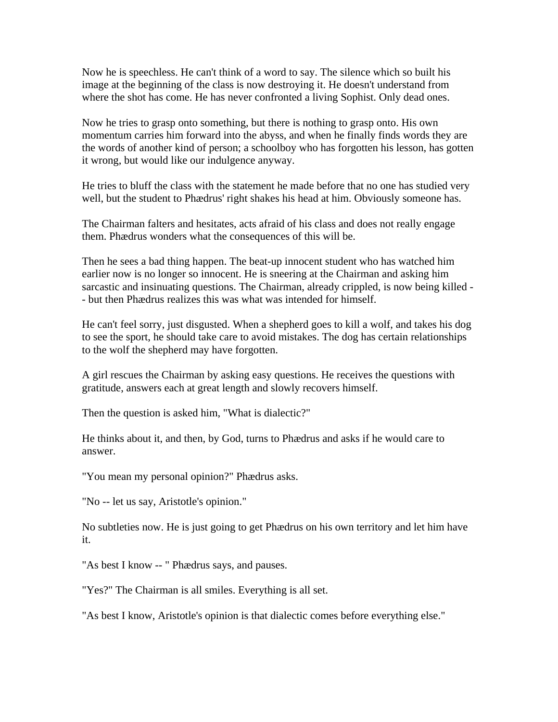Now he is speechless. He can't think of a word to say. The silence which so built his image at the beginning of the class is now destroying it. He doesn't understand from where the shot has come. He has never confronted a living Sophist. Only dead ones.

Now he tries to grasp onto something, but there is nothing to grasp onto. His own momentum carries him forward into the abyss, and when he finally finds words they are the words of another kind of person; a schoolboy who has forgotten his lesson, has gotten it wrong, but would like our indulgence anyway.

He tries to bluff the class with the statement he made before that no one has studied very well, but the student to Phædrus' right shakes his head at him. Obviously someone has.

The Chairman falters and hesitates, acts afraid of his class and does not really engage them. Phædrus wonders what the consequences of this will be.

Then he sees a bad thing happen. The beat-up innocent student who has watched him earlier now is no longer so innocent. He is sneering at the Chairman and asking him sarcastic and insinuating questions. The Chairman, already crippled, is now being killed - - but then Phædrus realizes this was what was intended for himself.

He can't feel sorry, just disgusted. When a shepherd goes to kill a wolf, and takes his dog to see the sport, he should take care to avoid mistakes. The dog has certain relationships to the wolf the shepherd may have forgotten.

A girl rescues the Chairman by asking easy questions. He receives the questions with gratitude, answers each at great length and slowly recovers himself.

Then the question is asked him, "What is dialectic?"

He thinks about it, and then, by God, turns to Phædrus and asks if he would care to answer.

"You mean my personal opinion?" Phædrus asks.

"No -- let us say, Aristotle's opinion."

No subtleties now. He is just going to get Phædrus on his own territory and let him have it.

"As best I know -- " Phædrus says, and pauses.

"Yes?" The Chairman is all smiles. Everything is all set.

"As best I know, Aristotle's opinion is that dialectic comes before everything else."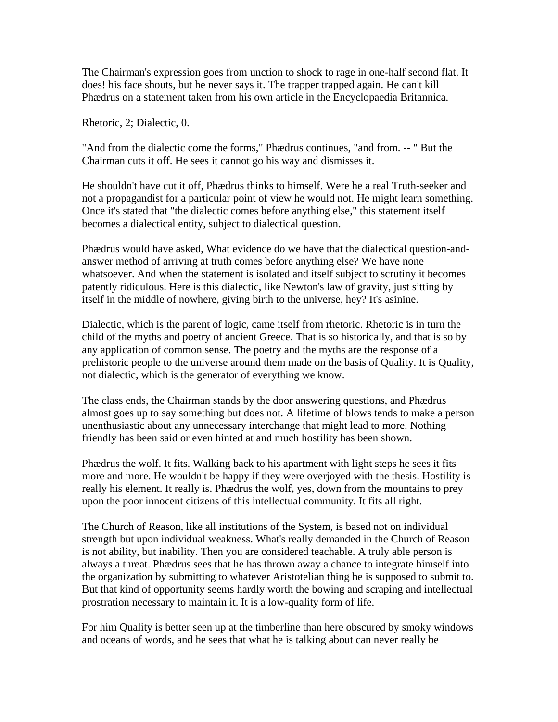The Chairman's expression goes from unction to shock to rage in one-half second flat. It does! his face shouts, but he never says it. The trapper trapped again. He can't kill Phædrus on a statement taken from his own article in the Encyclopaedia Britannica.

Rhetoric, 2; Dialectic, 0.

"And from the dialectic come the forms," Phædrus continues, "and from. -- " But the Chairman cuts it off. He sees it cannot go his way and dismisses it.

He shouldn't have cut it off, Phædrus thinks to himself. Were he a real Truth-seeker and not a propagandist for a particular point of view he would not. He might learn something. Once it's stated that "the dialectic comes before anything else," this statement itself becomes a dialectical entity, subject to dialectical question.

Phædrus would have asked, What evidence do we have that the dialectical question-andanswer method of arriving at truth comes before anything else? We have none whatsoever. And when the statement is isolated and itself subject to scrutiny it becomes patently ridiculous. Here is this dialectic, like Newton's law of gravity, just sitting by itself in the middle of nowhere, giving birth to the universe, hey? It's asinine.

Dialectic, which is the parent of logic, came itself from rhetoric. Rhetoric is in turn the child of the myths and poetry of ancient Greece. That is so historically, and that is so by any application of common sense. The poetry and the myths are the response of a prehistoric people to the universe around them made on the basis of Quality. It is Quality, not dialectic, which is the generator of everything we know.

The class ends, the Chairman stands by the door answering questions, and Phædrus almost goes up to say something but does not. A lifetime of blows tends to make a person unenthusiastic about any unnecessary interchange that might lead to more. Nothing friendly has been said or even hinted at and much hostility has been shown.

Phædrus the wolf. It fits. Walking back to his apartment with light steps he sees it fits more and more. He wouldn't be happy if they were overjoyed with the thesis. Hostility is really his element. It really is. Phædrus the wolf, yes, down from the mountains to prey upon the poor innocent citizens of this intellectual community. It fits all right.

The Church of Reason, like all institutions of the System, is based not on individual strength but upon individual weakness. What's really demanded in the Church of Reason is not ability, but inability. Then you are considered teachable. A truly able person is always a threat. Phædrus sees that he has thrown away a chance to integrate himself into the organization by submitting to whatever Aristotelian thing he is supposed to submit to. But that kind of opportunity seems hardly worth the bowing and scraping and intellectual prostration necessary to maintain it. It is a low-quality form of life.

For him Quality is better seen up at the timberline than here obscured by smoky windows and oceans of words, and he sees that what he is talking about can never really be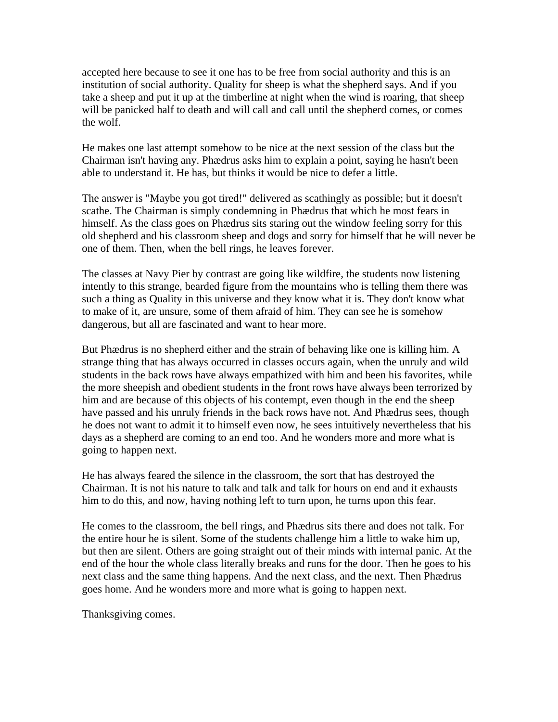accepted here because to see it one has to be free from social authority and this is an institution of social authority. Quality for sheep is what the shepherd says. And if you take a sheep and put it up at the timberline at night when the wind is roaring, that sheep will be panicked half to death and will call and call until the shepherd comes, or comes the wolf.

He makes one last attempt somehow to be nice at the next session of the class but the Chairman isn't having any. Phædrus asks him to explain a point, saying he hasn't been able to understand it. He has, but thinks it would be nice to defer a little.

The answer is "Maybe you got tired!" delivered as scathingly as possible; but it doesn't scathe. The Chairman is simply condemning in Phædrus that which he most fears in himself. As the class goes on Phædrus sits staring out the window feeling sorry for this old shepherd and his classroom sheep and dogs and sorry for himself that he will never be one of them. Then, when the bell rings, he leaves forever.

The classes at Navy Pier by contrast are going like wildfire, the students now listening intently to this strange, bearded figure from the mountains who is telling them there was such a thing as Quality in this universe and they know what it is. They don't know what to make of it, are unsure, some of them afraid of him. They can see he is somehow dangerous, but all are fascinated and want to hear more.

But Phædrus is no shepherd either and the strain of behaving like one is killing him. A strange thing that has always occurred in classes occurs again, when the unruly and wild students in the back rows have always empathized with him and been his favorites, while the more sheepish and obedient students in the front rows have always been terrorized by him and are because of this objects of his contempt, even though in the end the sheep have passed and his unruly friends in the back rows have not. And Phædrus sees, though he does not want to admit it to himself even now, he sees intuitively nevertheless that his days as a shepherd are coming to an end too. And he wonders more and more what is going to happen next.

He has always feared the silence in the classroom, the sort that has destroyed the Chairman. It is not his nature to talk and talk and talk for hours on end and it exhausts him to do this, and now, having nothing left to turn upon, he turns upon this fear.

He comes to the classroom, the bell rings, and Phædrus sits there and does not talk. For the entire hour he is silent. Some of the students challenge him a little to wake him up, but then are silent. Others are going straight out of their minds with internal panic. At the end of the hour the whole class literally breaks and runs for the door. Then he goes to his next class and the same thing happens. And the next class, and the next. Then Phædrus goes home. And he wonders more and more what is going to happen next.

Thanksgiving comes.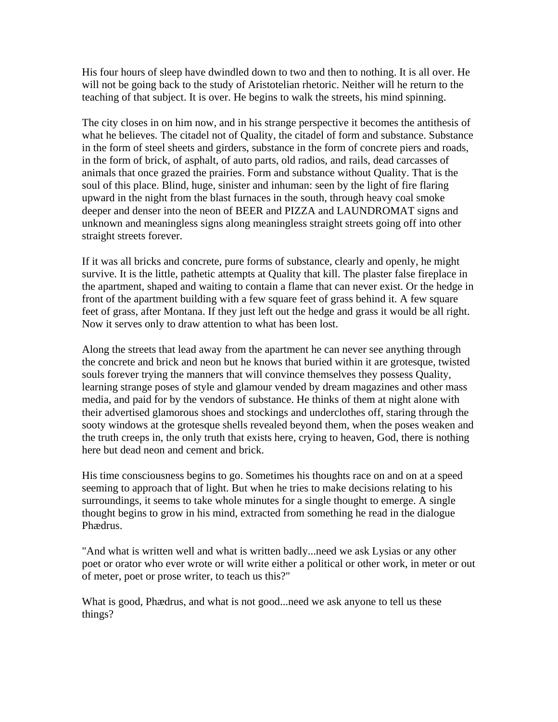His four hours of sleep have dwindled down to two and then to nothing. It is all over. He will not be going back to the study of Aristotelian rhetoric. Neither will he return to the teaching of that subject. It is over. He begins to walk the streets, his mind spinning.

The city closes in on him now, and in his strange perspective it becomes the antithesis of what he believes. The citadel not of Quality, the citadel of form and substance. Substance in the form of steel sheets and girders, substance in the form of concrete piers and roads, in the form of brick, of asphalt, of auto parts, old radios, and rails, dead carcasses of animals that once grazed the prairies. Form and substance without Quality. That is the soul of this place. Blind, huge, sinister and inhuman: seen by the light of fire flaring upward in the night from the blast furnaces in the south, through heavy coal smoke deeper and denser into the neon of BEER and PIZZA and LAUNDROMAT signs and unknown and meaningless signs along meaningless straight streets going off into other straight streets forever.

If it was all bricks and concrete, pure forms of substance, clearly and openly, he might survive. It is the little, pathetic attempts at Quality that kill. The plaster false fireplace in the apartment, shaped and waiting to contain a flame that can never exist. Or the hedge in front of the apartment building with a few square feet of grass behind it. A few square feet of grass, after Montana. If they just left out the hedge and grass it would be all right. Now it serves only to draw attention to what has been lost.

Along the streets that lead away from the apartment he can never see anything through the concrete and brick and neon but he knows that buried within it are grotesque, twisted souls forever trying the manners that will convince themselves they possess Quality, learning strange poses of style and glamour vended by dream magazines and other mass media, and paid for by the vendors of substance. He thinks of them at night alone with their advertised glamorous shoes and stockings and underclothes off, staring through the sooty windows at the grotesque shells revealed beyond them, when the poses weaken and the truth creeps in, the only truth that exists here, crying to heaven, God, there is nothing here but dead neon and cement and brick.

His time consciousness begins to go. Sometimes his thoughts race on and on at a speed seeming to approach that of light. But when he tries to make decisions relating to his surroundings, it seems to take whole minutes for a single thought to emerge. A single thought begins to grow in his mind, extracted from something he read in the dialogue Phædrus.

"And what is written well and what is written badly...need we ask Lysias or any other poet or orator who ever wrote or will write either a political or other work, in meter or out of meter, poet or prose writer, to teach us this?"

What is good, Phædrus, and what is not good...need we ask anyone to tell us these things?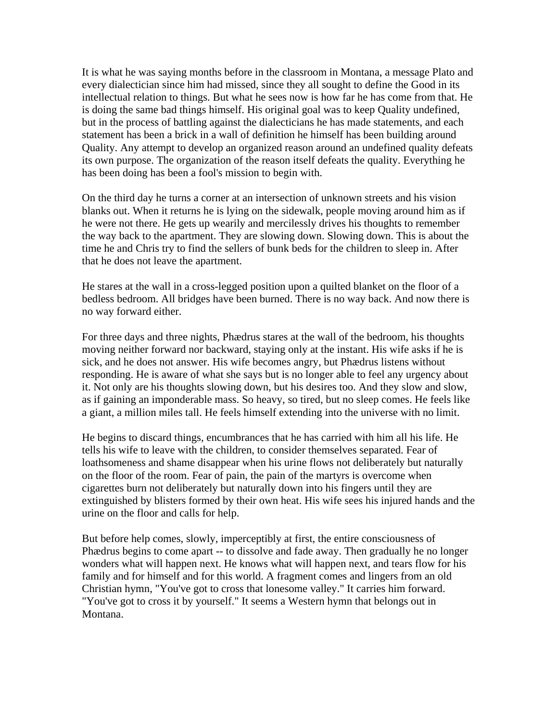It is what he was saying months before in the classroom in Montana, a message Plato and every dialectician since him had missed, since they all sought to define the Good in its intellectual relation to things. But what he sees now is how far he has come from that. He is doing the same bad things himself. His original goal was to keep Quality undefined, but in the process of battling against the dialecticians he has made statements, and each statement has been a brick in a wall of definition he himself has been building around Quality. Any attempt to develop an organized reason around an undefined quality defeats its own purpose. The organization of the reason itself defeats the quality. Everything he has been doing has been a fool's mission to begin with.

On the third day he turns a corner at an intersection of unknown streets and his vision blanks out. When it returns he is lying on the sidewalk, people moving around him as if he were not there. He gets up wearily and mercilessly drives his thoughts to remember the way back to the apartment. They are slowing down. Slowing down. This is about the time he and Chris try to find the sellers of bunk beds for the children to sleep in. After that he does not leave the apartment.

He stares at the wall in a cross-legged position upon a quilted blanket on the floor of a bedless bedroom. All bridges have been burned. There is no way back. And now there is no way forward either.

For three days and three nights, Phædrus stares at the wall of the bedroom, his thoughts moving neither forward nor backward, staying only at the instant. His wife asks if he is sick, and he does not answer. His wife becomes angry, but Phædrus listens without responding. He is aware of what she says but is no longer able to feel any urgency about it. Not only are his thoughts slowing down, but his desires too. And they slow and slow, as if gaining an imponderable mass. So heavy, so tired, but no sleep comes. He feels like a giant, a million miles tall. He feels himself extending into the universe with no limit.

He begins to discard things, encumbrances that he has carried with him all his life. He tells his wife to leave with the children, to consider themselves separated. Fear of loathsomeness and shame disappear when his urine flows not deliberately but naturally on the floor of the room. Fear of pain, the pain of the martyrs is overcome when cigarettes burn not deliberately but naturally down into his fingers until they are extinguished by blisters formed by their own heat. His wife sees his injured hands and the urine on the floor and calls for help.

But before help comes, slowly, imperceptibly at first, the entire consciousness of Phædrus begins to come apart -- to dissolve and fade away. Then gradually he no longer wonders what will happen next. He knows what will happen next, and tears flow for his family and for himself and for this world. A fragment comes and lingers from an old Christian hymn, "You've got to cross that lonesome valley." It carries him forward. "You've got to cross it by yourself." It seems a Western hymn that belongs out in Montana.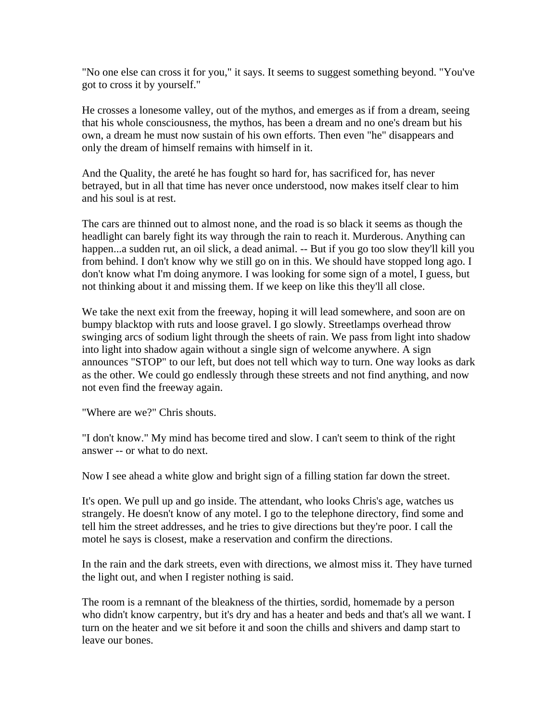"No one else can cross it for you," it says. It seems to suggest something beyond. "You've got to cross it by yourself."

He crosses a lonesome valley, out of the mythos, and emerges as if from a dream, seeing that his whole consciousness, the mythos, has been a dream and no one's dream but his own, a dream he must now sustain of his own efforts. Then even "he" disappears and only the dream of himself remains with himself in it.

And the Quality, the areté he has fought so hard for, has sacrificed for, has never betrayed, but in all that time has never once understood, now makes itself clear to him and his soul is at rest.

The cars are thinned out to almost none, and the road is so black it seems as though the headlight can barely fight its way through the rain to reach it. Murderous. Anything can happen...a sudden rut, an oil slick, a dead animal. -- But if you go too slow they'll kill you from behind. I don't know why we still go on in this. We should have stopped long ago. I don't know what I'm doing anymore. I was looking for some sign of a motel, I guess, but not thinking about it and missing them. If we keep on like this they'll all close.

We take the next exit from the freeway, hoping it will lead somewhere, and soon are on bumpy blacktop with ruts and loose gravel. I go slowly. Streetlamps overhead throw swinging arcs of sodium light through the sheets of rain. We pass from light into shadow into light into shadow again without a single sign of welcome anywhere. A sign announces "STOP" to our left, but does not tell which way to turn. One way looks as dark as the other. We could go endlessly through these streets and not find anything, and now not even find the freeway again.

"Where are we?" Chris shouts.

"I don't know." My mind has become tired and slow. I can't seem to think of the right answer -- or what to do next.

Now I see ahead a white glow and bright sign of a filling station far down the street.

It's open. We pull up and go inside. The attendant, who looks Chris's age, watches us strangely. He doesn't know of any motel. I go to the telephone directory, find some and tell him the street addresses, and he tries to give directions but they're poor. I call the motel he says is closest, make a reservation and confirm the directions.

In the rain and the dark streets, even with directions, we almost miss it. They have turned the light out, and when I register nothing is said.

The room is a remnant of the bleakness of the thirties, sordid, homemade by a person who didn't know carpentry, but it's dry and has a heater and beds and that's all we want. I turn on the heater and we sit before it and soon the chills and shivers and damp start to leave our bones.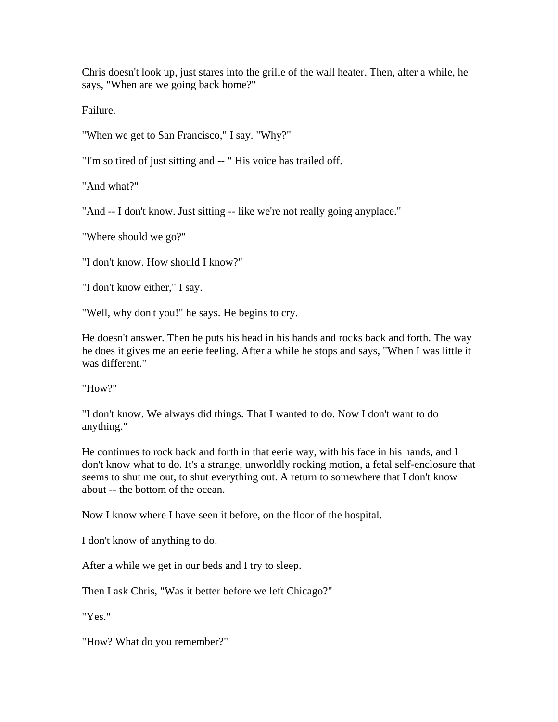Chris doesn't look up, just stares into the grille of the wall heater. Then, after a while, he says, "When are we going back home?"

Failure.

"When we get to San Francisco," I say. "Why?"

"I'm so tired of just sitting and -- " His voice has trailed off.

"And what?"

"And -- I don't know. Just sitting -- like we're not really going anyplace."

"Where should we go?"

"I don't know. How should I know?"

"I don't know either," I say.

"Well, why don't you!" he says. He begins to cry.

He doesn't answer. Then he puts his head in his hands and rocks back and forth. The way he does it gives me an eerie feeling. After a while he stops and says, "When I was little it was different."

"How?"

"I don't know. We always did things. That I wanted to do. Now I don't want to do anything."

He continues to rock back and forth in that eerie way, with his face in his hands, and I don't know what to do. It's a strange, unworldly rocking motion, a fetal self-enclosure that seems to shut me out, to shut everything out. A return to somewhere that I don't know about -- the bottom of the ocean.

Now I know where I have seen it before, on the floor of the hospital.

I don't know of anything to do.

After a while we get in our beds and I try to sleep.

Then I ask Chris, "Was it better before we left Chicago?"

"Yes."

"How? What do you remember?"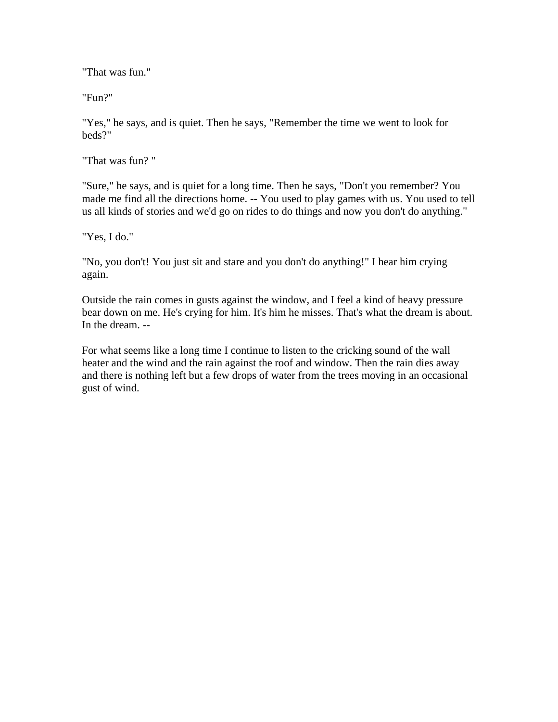"That was fun."

"Fun?"

"Yes," he says, and is quiet. Then he says, "Remember the time we went to look for beds?"

"That was fun? "

"Sure," he says, and is quiet for a long time. Then he says, "Don't you remember? You made me find all the directions home. -- You used to play games with us. You used to tell us all kinds of stories and we'd go on rides to do things and now you don't do anything."

"Yes, I do."

"No, you don't! You just sit and stare and you don't do anything!" I hear him crying again.

Outside the rain comes in gusts against the window, and I feel a kind of heavy pressure bear down on me. He's crying for him. It's him he misses. That's what the dream is about. In the dream. --

For what seems like a long time I continue to listen to the cricking sound of the wall heater and the wind and the rain against the roof and window. Then the rain dies away and there is nothing left but a few drops of water from the trees moving in an occasional gust of wind.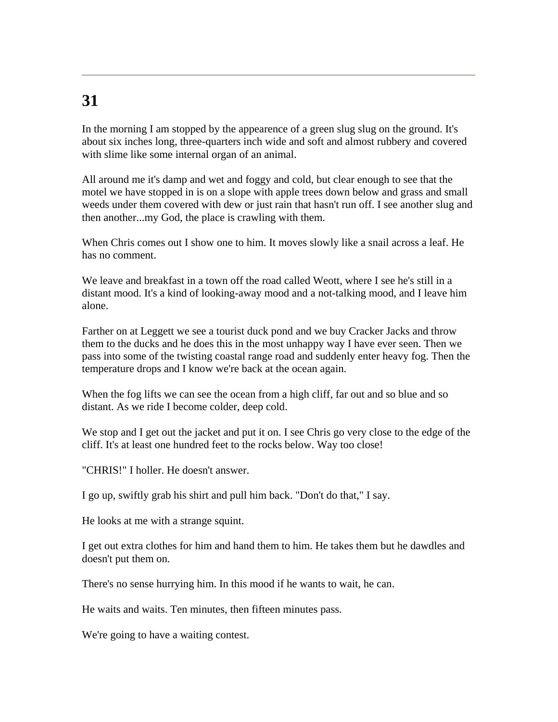## **31**

In the morning I am stopped by the appearence of a green slug slug on the ground. It's about six inches long, three-quarters inch wide and soft and almost rubbery and covered with slime like some internal organ of an animal.

All around me it's damp and wet and foggy and cold, but clear enough to see that the motel we have stopped in is on a slope with apple trees down below and grass and small weeds under them covered with dew or just rain that hasn't run off. I see another slug and then another...my God, the place is crawling with them.

When Chris comes out I show one to him. It moves slowly like a snail across a leaf. He has no comment.

We leave and breakfast in a town off the road called Weott, where I see he's still in a distant mood. It's a kind of looking-away mood and a not-talking mood, and I leave him alone.

Farther on at Leggett we see a tourist duck pond and we buy Cracker Jacks and throw them to the ducks and he does this in the most unhappy way I have ever seen. Then we pass into some of the twisting coastal range road and suddenly enter heavy fog. Then the temperature drops and I know we're back at the ocean again.

When the fog lifts we can see the ocean from a high cliff, far out and so blue and so distant. As we ride I become colder, deep cold.

We stop and I get out the jacket and put it on. I see Chris go very close to the edge of the cliff. It's at least one hundred feet to the rocks below. Way too close!

"CHRIS!" I holler. He doesn't answer.

I go up, swiftly grab his shirt and pull him back. "Don't do that," I say.

He looks at me with a strange squint.

I get out extra clothes for him and hand them to him. He takes them but he dawdles and doesn't put them on.

There's no sense hurrying him. In this mood if he wants to wait, he can.

He waits and waits. Ten minutes, then fifteen minutes pass.

We're going to have a waiting contest.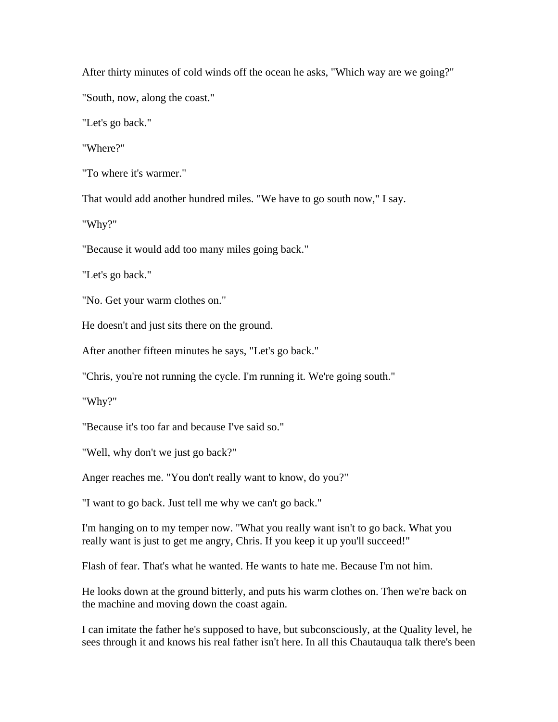After thirty minutes of cold winds off the ocean he asks, "Which way are we going?"

"South, now, along the coast."

"Let's go back."

"Where?"

"To where it's warmer."

That would add another hundred miles. "We have to go south now," I say.

"Why?"

"Because it would add too many miles going back."

"Let's go back."

"No. Get your warm clothes on."

He doesn't and just sits there on the ground.

After another fifteen minutes he says, "Let's go back."

"Chris, you're not running the cycle. I'm running it. We're going south."

"Why?"

"Because it's too far and because I've said so."

"Well, why don't we just go back?"

Anger reaches me. "You don't really want to know, do you?"

"I want to go back. Just tell me why we can't go back."

I'm hanging on to my temper now. "What you really want isn't to go back. What you really want is just to get me angry, Chris. If you keep it up you'll succeed!"

Flash of fear. That's what he wanted. He wants to hate me. Because I'm not him.

He looks down at the ground bitterly, and puts his warm clothes on. Then we're back on the machine and moving down the coast again.

I can imitate the father he's supposed to have, but subconsciously, at the Quality level, he sees through it and knows his real father isn't here. In all this Chautauqua talk there's been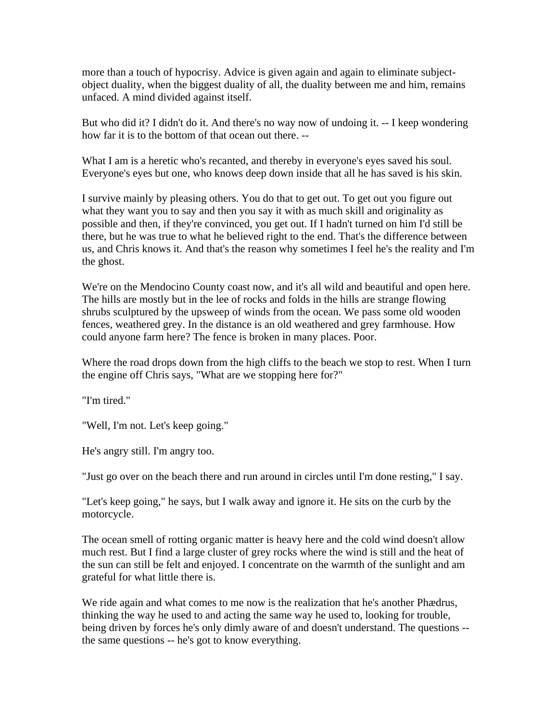more than a touch of hypocrisy. Advice is given again and again to eliminate subjectobject duality, when the biggest duality of all, the duality between me and him, remains unfaced. A mind divided against itself.

But who did it? I didn't do it. And there's no way now of undoing it. -- I keep wondering how far it is to the bottom of that ocean out there. --

What I am is a heretic who's recanted, and thereby in everyone's eyes saved his soul. Everyone's eyes but one, who knows deep down inside that all he has saved is his skin.

I survive mainly by pleasing others. You do that to get out. To get out you figure out what they want you to say and then you say it with as much skill and originality as possible and then, if they're convinced, you get out. If I hadn't turned on him I'd still be there, but he was true to what he believed right to the end. That's the difference between us, and Chris knows it. And that's the reason why sometimes I feel he's the reality and I'm the ghost.

We're on the Mendocino County coast now, and it's all wild and beautiful and open here. The hills are mostly but in the lee of rocks and folds in the hills are strange flowing shrubs sculptured by the upsweep of winds from the ocean. We pass some old wooden fences, weathered grey. In the distance is an old weathered and grey farmhouse. How could anyone farm here? The fence is broken in many places. Poor.

Where the road drops down from the high cliffs to the beach we stop to rest. When I turn the engine off Chris says, "What are we stopping here for?"

"I'm tired."

"Well, I'm not. Let's keep going."

He's angry still. I'm angry too.

"Just go over on the beach there and run around in circles until I'm done resting," I say.

"Let's keep going," he says, but I walk away and ignore it. He sits on the curb by the motorcycle.

The ocean smell of rotting organic matter is heavy here and the cold wind doesn't allow much rest. But I find a large cluster of grey rocks where the wind is still and the heat of the sun can still be felt and enjoyed. I concentrate on the warmth of the sunlight and am grateful for what little there is.

We ride again and what comes to me now is the realization that he's another Phædrus, thinking the way he used to and acting the same way he used to, looking for trouble, being driven by forces he's only dimly aware of and doesn't understand. The questions - the same questions -- he's got to know everything.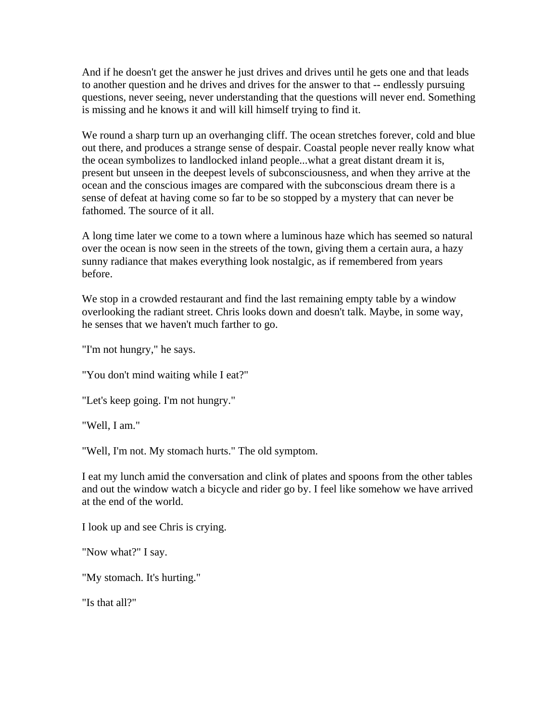And if he doesn't get the answer he just drives and drives until he gets one and that leads to another question and he drives and drives for the answer to that -- endlessly pursuing questions, never seeing, never understanding that the questions will never end. Something is missing and he knows it and will kill himself trying to find it.

We round a sharp turn up an overhanging cliff. The ocean stretches forever, cold and blue out there, and produces a strange sense of despair. Coastal people never really know what the ocean symbolizes to landlocked inland people...what a great distant dream it is, present but unseen in the deepest levels of subconsciousness, and when they arrive at the ocean and the conscious images are compared with the subconscious dream there is a sense of defeat at having come so far to be so stopped by a mystery that can never be fathomed. The source of it all.

A long time later we come to a town where a luminous haze which has seemed so natural over the ocean is now seen in the streets of the town, giving them a certain aura, a hazy sunny radiance that makes everything look nostalgic, as if remembered from years before.

We stop in a crowded restaurant and find the last remaining empty table by a window overlooking the radiant street. Chris looks down and doesn't talk. Maybe, in some way, he senses that we haven't much farther to go.

"I'm not hungry," he says.

"You don't mind waiting while I eat?"

"Let's keep going. I'm not hungry."

"Well, I am."

"Well, I'm not. My stomach hurts." The old symptom.

I eat my lunch amid the conversation and clink of plates and spoons from the other tables and out the window watch a bicycle and rider go by. I feel like somehow we have arrived at the end of the world.

I look up and see Chris is crying.

"Now what?" I say.

"My stomach. It's hurting."

"Is that all?"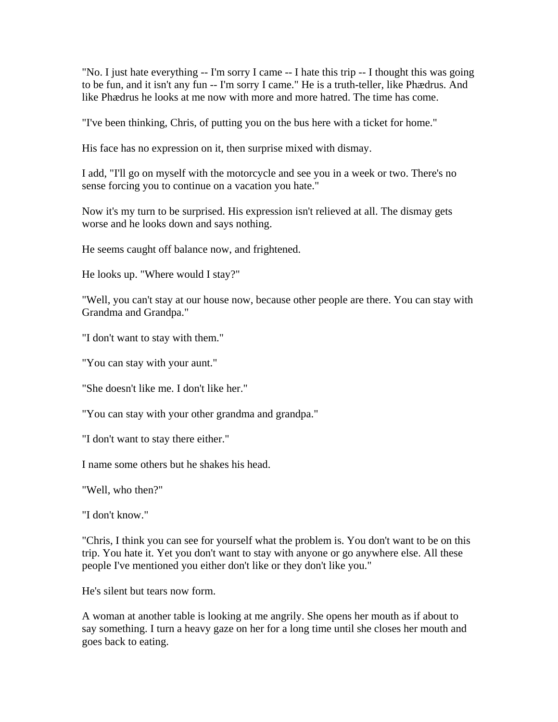"No. I just hate everything -- I'm sorry I came -- I hate this trip -- I thought this was going to be fun, and it isn't any fun -- I'm sorry I came." He is a truth-teller, like Phædrus. And like Phædrus he looks at me now with more and more hatred. The time has come.

"I've been thinking, Chris, of putting you on the bus here with a ticket for home."

His face has no expression on it, then surprise mixed with dismay.

I add, "I'll go on myself with the motorcycle and see you in a week or two. There's no sense forcing you to continue on a vacation you hate."

Now it's my turn to be surprised. His expression isn't relieved at all. The dismay gets worse and he looks down and says nothing.

He seems caught off balance now, and frightened.

He looks up. "Where would I stay?"

"Well, you can't stay at our house now, because other people are there. You can stay with Grandma and Grandpa."

"I don't want to stay with them."

"You can stay with your aunt."

"She doesn't like me. I don't like her."

"You can stay with your other grandma and grandpa."

"I don't want to stay there either."

I name some others but he shakes his head.

"Well, who then?"

"I don't know."

"Chris, I think you can see for yourself what the problem is. You don't want to be on this trip. You hate it. Yet you don't want to stay with anyone or go anywhere else. All these people I've mentioned you either don't like or they don't like you."

He's silent but tears now form.

A woman at another table is looking at me angrily. She opens her mouth as if about to say something. I turn a heavy gaze on her for a long time until she closes her mouth and goes back to eating.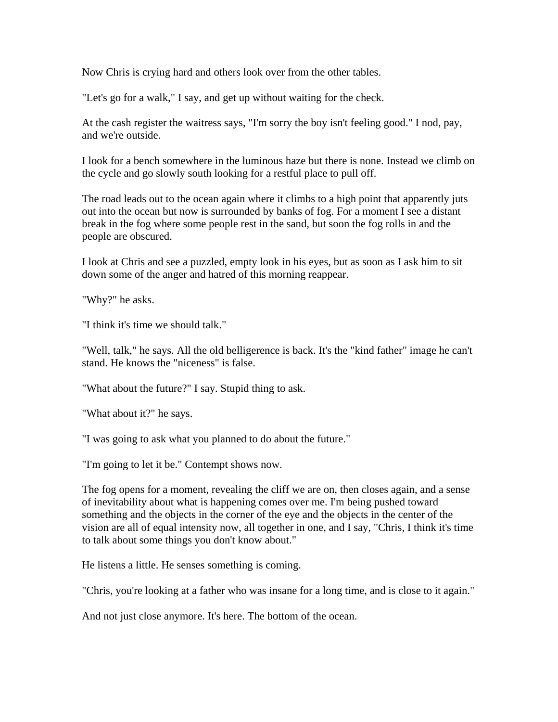Now Chris is crying hard and others look over from the other tables.

"Let's go for a walk," I say, and get up without waiting for the check.

At the cash register the waitress says, "I'm sorry the boy isn't feeling good." I nod, pay, and we're outside.

I look for a bench somewhere in the luminous haze but there is none. Instead we climb on the cycle and go slowly south looking for a restful place to pull off.

The road leads out to the ocean again where it climbs to a high point that apparently juts out into the ocean but now is surrounded by banks of fog. For a moment I see a distant break in the fog where some people rest in the sand, but soon the fog rolls in and the people are obscured.

I look at Chris and see a puzzled, empty look in his eyes, but as soon as I ask him to sit down some of the anger and hatred of this morning reappear.

"Why?" he asks.

"I think it's time we should talk."

"Well, talk," he says. All the old belligerence is back. It's the "kind father" image he can't stand. He knows the "niceness" is false.

"What about the future?" I say. Stupid thing to ask.

"What about it?" he says.

"I was going to ask what you planned to do about the future."

"I'm going to let it be." Contempt shows now.

The fog opens for a moment, revealing the cliff we are on, then closes again, and a sense of inevitability about what is happening comes over me. I'm being pushed toward something and the objects in the corner of the eye and the objects in the center of the vision are all of equal intensity now, all together in one, and I say, "Chris, I think it's time to talk about some things you don't know about."

He listens a little. He senses something is coming.

"Chris, you're looking at a father who was insane for a long time, and is close to it again."

And not just close anymore. It's here. The bottom of the ocean.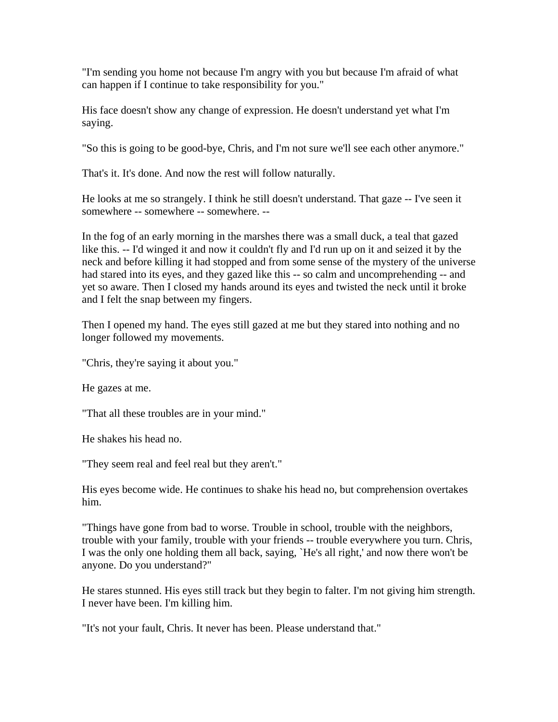"I'm sending you home not because I'm angry with you but because I'm afraid of what can happen if I continue to take responsibility for you."

His face doesn't show any change of expression. He doesn't understand yet what I'm saying.

"So this is going to be good-bye, Chris, and I'm not sure we'll see each other anymore."

That's it. It's done. And now the rest will follow naturally.

He looks at me so strangely. I think he still doesn't understand. That gaze -- I've seen it somewhere -- somewhere -- somewhere. --

In the fog of an early morning in the marshes there was a small duck, a teal that gazed like this. -- I'd winged it and now it couldn't fly and I'd run up on it and seized it by the neck and before killing it had stopped and from some sense of the mystery of the universe had stared into its eyes, and they gazed like this -- so calm and uncomprehending -- and yet so aware. Then I closed my hands around its eyes and twisted the neck until it broke and I felt the snap between my fingers.

Then I opened my hand. The eyes still gazed at me but they stared into nothing and no longer followed my movements.

"Chris, they're saying it about you."

He gazes at me.

"That all these troubles are in your mind."

He shakes his head no.

"They seem real and feel real but they aren't."

His eyes become wide. He continues to shake his head no, but comprehension overtakes him.

"Things have gone from bad to worse. Trouble in school, trouble with the neighbors, trouble with your family, trouble with your friends -- trouble everywhere you turn. Chris, I was the only one holding them all back, saying, `He's all right,' and now there won't be anyone. Do you understand?"

He stares stunned. His eyes still track but they begin to falter. I'm not giving him strength. I never have been. I'm killing him.

"It's not your fault, Chris. It never has been. Please understand that."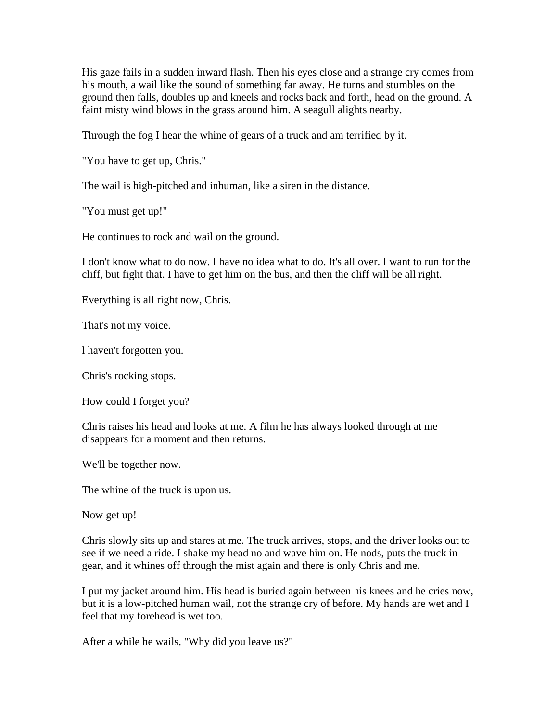His gaze fails in a sudden inward flash. Then his eyes close and a strange cry comes from his mouth, a wail like the sound of something far away. He turns and stumbles on the ground then falls, doubles up and kneels and rocks back and forth, head on the ground. A faint misty wind blows in the grass around him. A seagull alights nearby.

Through the fog I hear the whine of gears of a truck and am terrified by it.

"You have to get up, Chris."

The wail is high-pitched and inhuman, like a siren in the distance.

"You must get up!"

He continues to rock and wail on the ground.

I don't know what to do now. I have no idea what to do. It's all over. I want to run for the cliff, but fight that. I have to get him on the bus, and then the cliff will be all right.

Everything is all right now, Chris.

That's not my voice.

l haven't forgotten you.

Chris's rocking stops.

How could I forget you?

Chris raises his head and looks at me. A film he has always looked through at me disappears for a moment and then returns.

We'll be together now.

The whine of the truck is upon us.

Now get up!

Chris slowly sits up and stares at me. The truck arrives, stops, and the driver looks out to see if we need a ride. I shake my head no and wave him on. He nods, puts the truck in gear, and it whines off through the mist again and there is only Chris and me.

I put my jacket around him. His head is buried again between his knees and he cries now, but it is a low-pitched human wail, not the strange cry of before. My hands are wet and I feel that my forehead is wet too.

After a while he wails, "Why did you leave us?"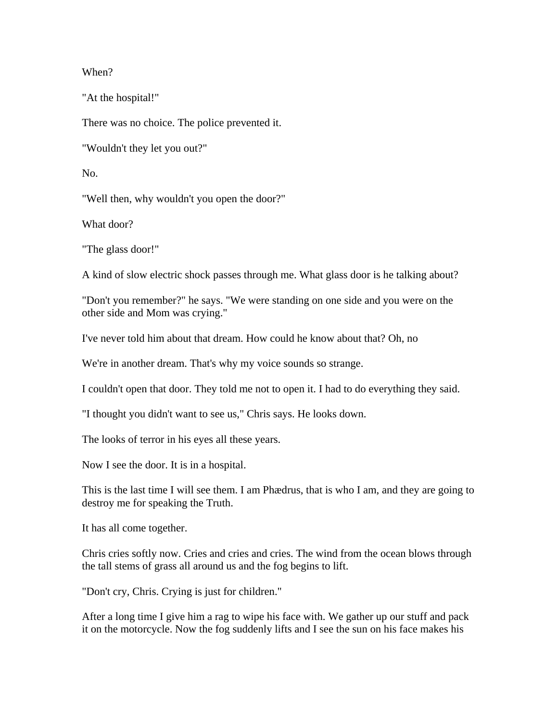When?

"At the hospital!"

There was no choice. The police prevented it.

"Wouldn't they let you out?"

No.

"Well then, why wouldn't you open the door?"

What door?

"The glass door!"

A kind of slow electric shock passes through me. What glass door is he talking about?

"Don't you remember?" he says. "We were standing on one side and you were on the other side and Mom was crying."

I've never told him about that dream. How could he know about that? Oh, no

We're in another dream. That's why my voice sounds so strange.

I couldn't open that door. They told me not to open it. I had to do everything they said.

"I thought you didn't want to see us," Chris says. He looks down.

The looks of terror in his eyes all these years.

Now I see the door. It is in a hospital.

This is the last time I will see them. I am Phædrus, that is who I am, and they are going to destroy me for speaking the Truth.

It has all come together.

Chris cries softly now. Cries and cries and cries. The wind from the ocean blows through the tall stems of grass all around us and the fog begins to lift.

"Don't cry, Chris. Crying is just for children."

After a long time I give him a rag to wipe his face with. We gather up our stuff and pack it on the motorcycle. Now the fog suddenly lifts and I see the sun on his face makes his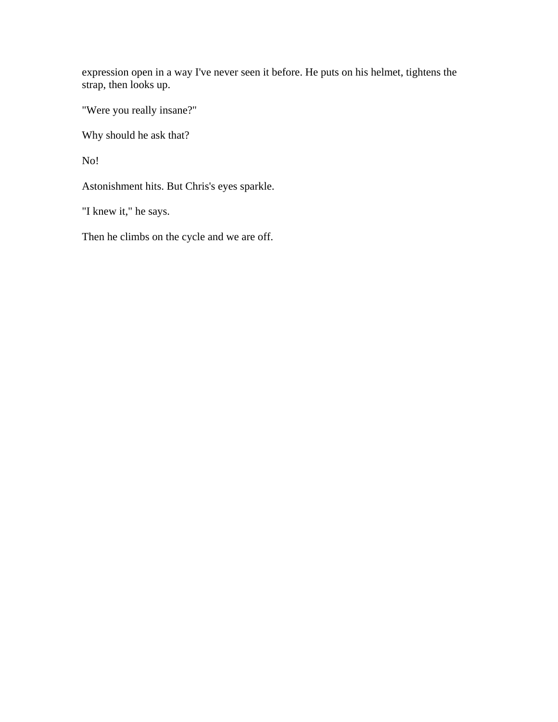expression open in a way I've never seen it before. He puts on his helmet, tightens the strap, then looks up.

"Were you really insane?"

Why should he ask that?

No!

Astonishment hits. But Chris's eyes sparkle.

"I knew it," he says.

Then he climbs on the cycle and we are off.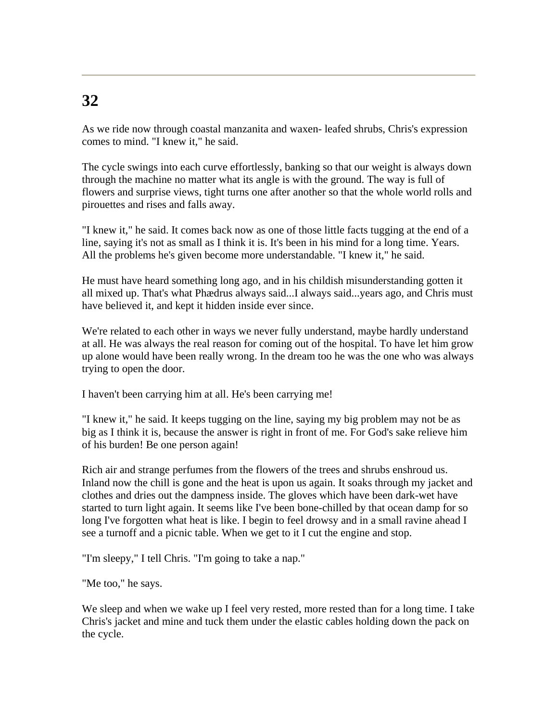## **32**

As we ride now through coastal manzanita and waxen- leafed shrubs, Chris's expression comes to mind. "I knew it," he said.

The cycle swings into each curve effortlessly, banking so that our weight is always down through the machine no matter what its angle is with the ground. The way is full of flowers and surprise views, tight turns one after another so that the whole world rolls and pirouettes and rises and falls away.

"I knew it," he said. It comes back now as one of those little facts tugging at the end of a line, saying it's not as small as I think it is. It's been in his mind for a long time. Years. All the problems he's given become more understandable. "I knew it," he said.

He must have heard something long ago, and in his childish misunderstanding gotten it all mixed up. That's what Phædrus always said...I always said...years ago, and Chris must have believed it, and kept it hidden inside ever since.

We're related to each other in ways we never fully understand, maybe hardly understand at all. He was always the real reason for coming out of the hospital. To have let him grow up alone would have been really wrong. In the dream too he was the one who was always trying to open the door.

I haven't been carrying him at all. He's been carrying me!

"I knew it," he said. It keeps tugging on the line, saying my big problem may not be as big as I think it is, because the answer is right in front of me. For God's sake relieve him of his burden! Be one person again!

Rich air and strange perfumes from the flowers of the trees and shrubs enshroud us. Inland now the chill is gone and the heat is upon us again. It soaks through my jacket and clothes and dries out the dampness inside. The gloves which have been dark-wet have started to turn light again. It seems like I've been bone-chilled by that ocean damp for so long I've forgotten what heat is like. I begin to feel drowsy and in a small ravine ahead I see a turnoff and a picnic table. When we get to it I cut the engine and stop.

"I'm sleepy," I tell Chris. "I'm going to take a nap."

"Me too," he says.

We sleep and when we wake up I feel very rested, more rested than for a long time. I take Chris's jacket and mine and tuck them under the elastic cables holding down the pack on the cycle.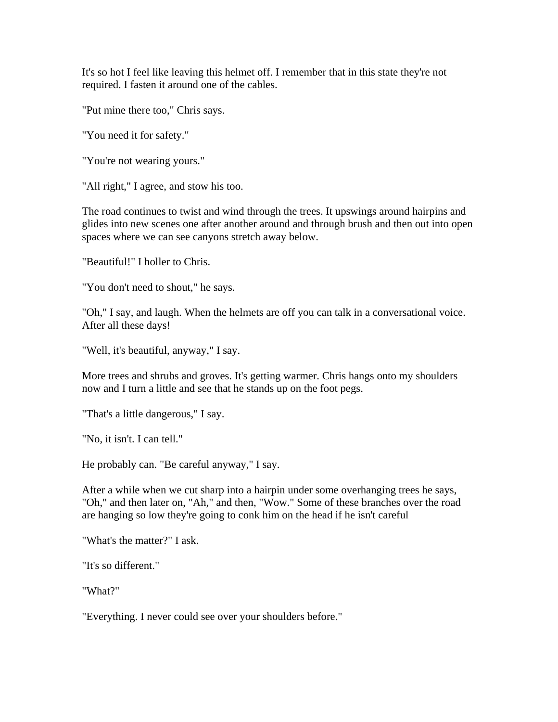It's so hot I feel like leaving this helmet off. I remember that in this state they're not required. I fasten it around one of the cables.

"Put mine there too," Chris says.

"You need it for safety."

"You're not wearing yours."

"All right," I agree, and stow his too.

The road continues to twist and wind through the trees. It upswings around hairpins and glides into new scenes one after another around and through brush and then out into open spaces where we can see canyons stretch away below.

"Beautiful!" I holler to Chris.

"You don't need to shout," he says.

"Oh," I say, and laugh. When the helmets are off you can talk in a conversational voice. After all these days!

"Well, it's beautiful, anyway," I say.

More trees and shrubs and groves. It's getting warmer. Chris hangs onto my shoulders now and I turn a little and see that he stands up on the foot pegs.

"That's a little dangerous," I say.

"No, it isn't. I can tell."

He probably can. "Be careful anyway," I say.

After a while when we cut sharp into a hairpin under some overhanging trees he says, "Oh," and then later on, "Ah," and then, "Wow." Some of these branches over the road are hanging so low they're going to conk him on the head if he isn't careful

"What's the matter?" I ask.

"It's so different."

"What?"

"Everything. I never could see over your shoulders before."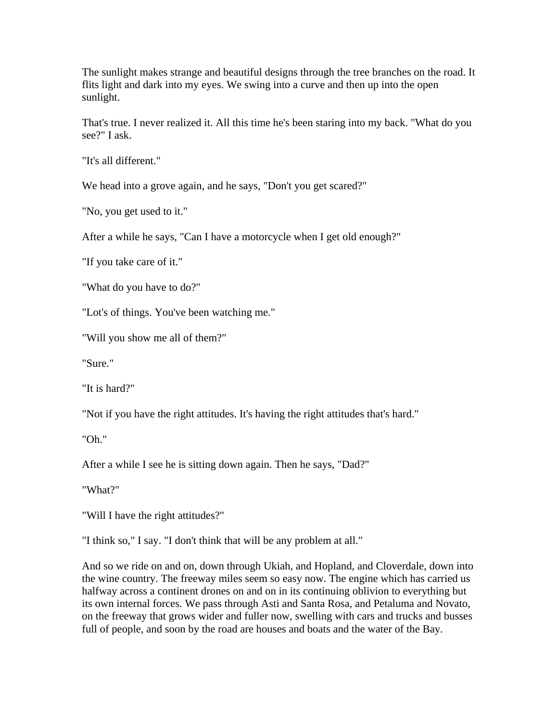The sunlight makes strange and beautiful designs through the tree branches on the road. It flits light and dark into my eyes. We swing into a curve and then up into the open sunlight.

That's true. I never realized it. All this time he's been staring into my back. "What do you see?" I ask.

"It's all different."

We head into a grove again, and he says, "Don't you get scared?"

"No, you get used to it."

After a while he says, "Can I have a motorcycle when I get old enough?"

"If you take care of it."

"What do you have to do?"

"Lot's of things. You've been watching me."

"Will you show me all of them?"

"Sure."

"It is hard?"

"Not if you have the right attitudes. It's having the right attitudes that's hard."

"Oh."

After a while I see he is sitting down again. Then he says, "Dad?"

"What?"

"Will I have the right attitudes?"

"I think so," I say. "I don't think that will be any problem at all."

And so we ride on and on, down through Ukiah, and Hopland, and Cloverdale, down into the wine country. The freeway miles seem so easy now. The engine which has carried us halfway across a continent drones on and on in its continuing oblivion to everything but its own internal forces. We pass through Asti and Santa Rosa, and Petaluma and Novato, on the freeway that grows wider and fuller now, swelling with cars and trucks and busses full of people, and soon by the road are houses and boats and the water of the Bay.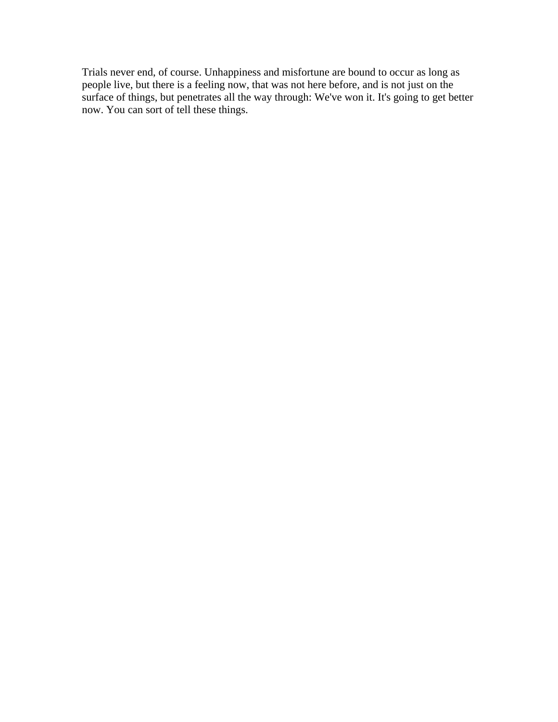Trials never end, of course. Unhappiness and misfortune are bound to occur as long as people live, but there is a feeling now, that was not here before, and is not just on the surface of things, but penetrates all the way through: We've won it. It's going to get better now. You can sort of tell these things.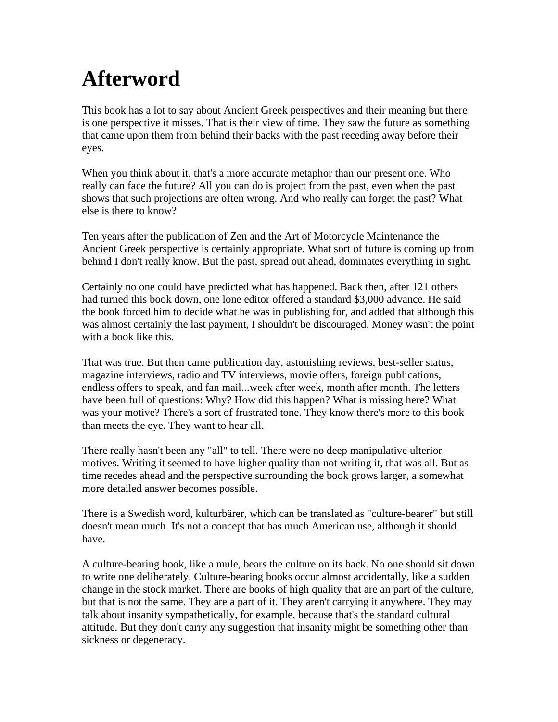## **Afterword**

This book has a lot to say about Ancient Greek perspectives and their meaning but there is one perspective it misses. That is their view of time. They saw the future as something that came upon them from behind their backs with the past receding away before their eyes.

When you think about it, that's a more accurate metaphor than our present one. Who really can face the future? All you can do is project from the past, even when the past shows that such projections are often wrong. And who really can forget the past? What else is there to know?

Ten years after the publication of Zen and the Art of Motorcycle Maintenance the Ancient Greek perspective is certainly appropriate. What sort of future is coming up from behind I don't really know. But the past, spread out ahead, dominates everything in sight.

Certainly no one could have predicted what has happened. Back then, after 121 others had turned this book down, one lone editor offered a standard \$3,000 advance. He said the book forced him to decide what he was in publishing for, and added that although this was almost certainly the last payment, I shouldn't be discouraged. Money wasn't the point with a book like this.

That was true. But then came publication day, astonishing reviews, best-seller status, magazine interviews, radio and TV interviews, movie offers, foreign publications, endless offers to speak, and fan mail...week after week, month after month. The letters have been full of questions: Why? How did this happen? What is missing here? What was your motive? There's a sort of frustrated tone. They know there's more to this book than meets the eye. They want to hear all.

There really hasn't been any "all" to tell. There were no deep manipulative ulterior motives. Writing it seemed to have higher quality than not writing it, that was all. But as time recedes ahead and the perspective surrounding the book grows larger, a somewhat more detailed answer becomes possible.

There is a Swedish word, kulturbärer, which can be translated as "culture-bearer" but still doesn't mean much. It's not a concept that has much American use, although it should have.

A culture-bearing book, like a mule, bears the culture on its back. No one should sit down to write one deliberately. Culture-bearing books occur almost accidentally, like a sudden change in the stock market. There are books of high quality that are an part of the culture, but that is not the same. They are a part of it. They aren't carrying it anywhere. They may talk about insanity sympathetically, for example, because that's the standard cultural attitude. But they don't carry any suggestion that insanity might be something other than sickness or degeneracy.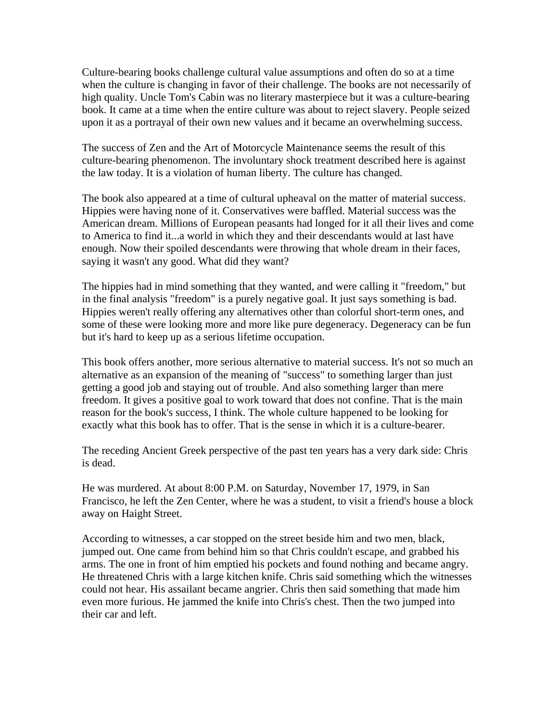Culture-bearing books challenge cultural value assumptions and often do so at a time when the culture is changing in favor of their challenge. The books are not necessarily of high quality. Uncle Tom's Cabin was no literary masterpiece but it was a culture-bearing book. It came at a time when the entire culture was about to reject slavery. People seized upon it as a portrayal of their own new values and it became an overwhelming success.

The success of Zen and the Art of Motorcycle Maintenance seems the result of this culture-bearing phenomenon. The involuntary shock treatment described here is against the law today. It is a violation of human liberty. The culture has changed.

The book also appeared at a time of cultural upheaval on the matter of material success. Hippies were having none of it. Conservatives were baffled. Material success was the American dream. Millions of European peasants had longed for it all their lives and come to America to find it...a world in which they and their descendants would at last have enough. Now their spoiled descendants were throwing that whole dream in their faces, saying it wasn't any good. What did they want?

The hippies had in mind something that they wanted, and were calling it "freedom," but in the final analysis "freedom" is a purely negative goal. It just says something is bad. Hippies weren't really offering any alternatives other than colorful short-term ones, and some of these were looking more and more like pure degeneracy. Degeneracy can be fun but it's hard to keep up as a serious lifetime occupation.

This book offers another, more serious alternative to material success. It's not so much an alternative as an expansion of the meaning of "success" to something larger than just getting a good job and staying out of trouble. And also something larger than mere freedom. It gives a positive goal to work toward that does not confine. That is the main reason for the book's success, I think. The whole culture happened to be looking for exactly what this book has to offer. That is the sense in which it is a culture-bearer.

The receding Ancient Greek perspective of the past ten years has a very dark side: Chris is dead.

He was murdered. At about 8:00 P.M. on Saturday, November 17, 1979, in San Francisco, he left the Zen Center, where he was a student, to visit a friend's house a block away on Haight Street.

According to witnesses, a car stopped on the street beside him and two men, black, jumped out. One came from behind him so that Chris couldn't escape, and grabbed his arms. The one in front of him emptied his pockets and found nothing and became angry. He threatened Chris with a large kitchen knife. Chris said something which the witnesses could not hear. His assailant became angrier. Chris then said something that made him even more furious. He jammed the knife into Chris's chest. Then the two jumped into their car and left.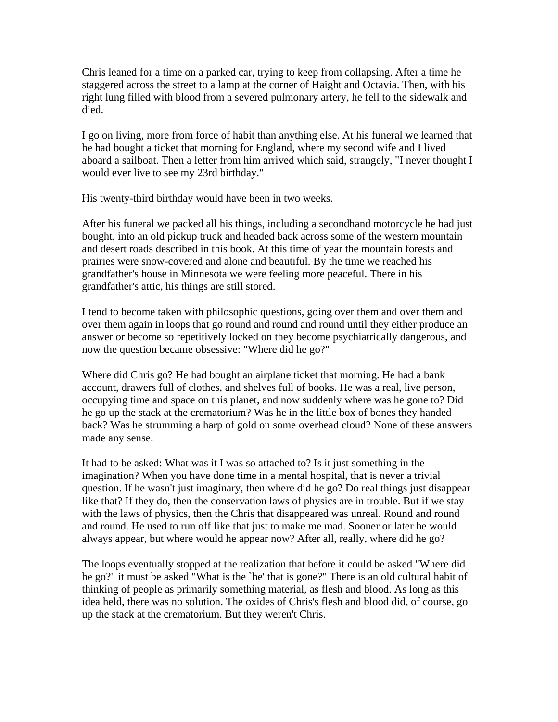Chris leaned for a time on a parked car, trying to keep from collapsing. After a time he staggered across the street to a lamp at the corner of Haight and Octavia. Then, with his right lung filled with blood from a severed pulmonary artery, he fell to the sidewalk and died.

I go on living, more from force of habit than anything else. At his funeral we learned that he had bought a ticket that morning for England, where my second wife and I lived aboard a sailboat. Then a letter from him arrived which said, strangely, "I never thought I would ever live to see my 23rd birthday."

His twenty-third birthday would have been in two weeks.

After his funeral we packed all his things, including a secondhand motorcycle he had just bought, into an old pickup truck and headed back across some of the western mountain and desert roads described in this book. At this time of year the mountain forests and prairies were snow-covered and alone and beautiful. By the time we reached his grandfather's house in Minnesota we were feeling more peaceful. There in his grandfather's attic, his things are still stored.

I tend to become taken with philosophic questions, going over them and over them and over them again in loops that go round and round and round until they either produce an answer or become so repetitively locked on they become psychiatrically dangerous, and now the question became obsessive: "Where did he go?"

Where did Chris go? He had bought an airplane ticket that morning. He had a bank account, drawers full of clothes, and shelves full of books. He was a real, live person, occupying time and space on this planet, and now suddenly where was he gone to? Did he go up the stack at the crematorium? Was he in the little box of bones they handed back? Was he strumming a harp of gold on some overhead cloud? None of these answers made any sense.

It had to be asked: What was it I was so attached to? Is it just something in the imagination? When you have done time in a mental hospital, that is never a trivial question. If he wasn't just imaginary, then where did he go? Do real things just disappear like that? If they do, then the conservation laws of physics are in trouble. But if we stay with the laws of physics, then the Chris that disappeared was unreal. Round and round and round. He used to run off like that just to make me mad. Sooner or later he would always appear, but where would he appear now? After all, really, where did he go?

The loops eventually stopped at the realization that before it could be asked "Where did he go?" it must be asked "What is the `he' that is gone?" There is an old cultural habit of thinking of people as primarily something material, as flesh and blood. As long as this idea held, there was no solution. The oxides of Chris's flesh and blood did, of course, go up the stack at the crematorium. But they weren't Chris.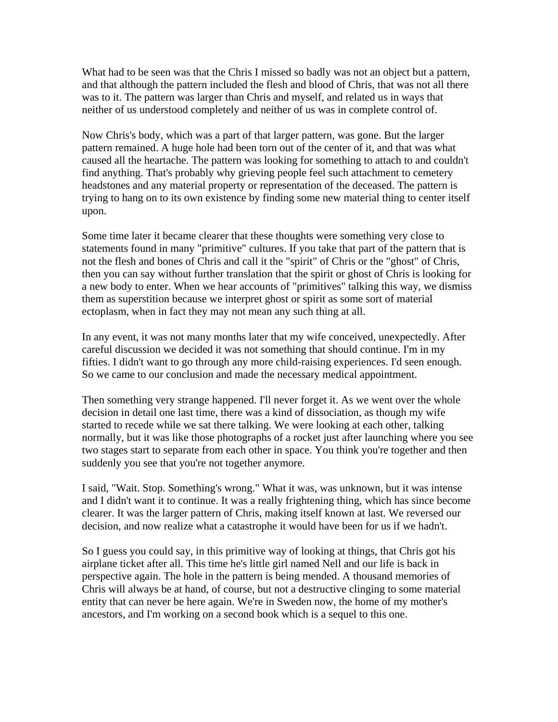What had to be seen was that the Chris I missed so badly was not an object but a pattern, and that although the pattern included the flesh and blood of Chris, that was not all there was to it. The pattern was larger than Chris and myself, and related us in ways that neither of us understood completely and neither of us was in complete control of.

Now Chris's body, which was a part of that larger pattern, was gone. But the larger pattern remained. A huge hole had been torn out of the center of it, and that was what caused all the heartache. The pattern was looking for something to attach to and couldn't find anything. That's probably why grieving people feel such attachment to cemetery headstones and any material property or representation of the deceased. The pattern is trying to hang on to its own existence by finding some new material thing to center itself upon.

Some time later it became clearer that these thoughts were something very close to statements found in many "primitive" cultures. If you take that part of the pattern that is not the flesh and bones of Chris and call it the "spirit" of Chris or the "ghost" of Chris, then you can say without further translation that the spirit or ghost of Chris is looking for a new body to enter. When we hear accounts of "primitives" talking this way, we dismiss them as superstition because we interpret ghost or spirit as some sort of material ectoplasm, when in fact they may not mean any such thing at all.

In any event, it was not many months later that my wife conceived, unexpectedly. After careful discussion we decided it was not something that should continue. I'm in my fifties. I didn't want to go through any more child-raising experiences. I'd seen enough. So we came to our conclusion and made the necessary medical appointment.

Then something very strange happened. I'll never forget it. As we went over the whole decision in detail one last time, there was a kind of dissociation, as though my wife started to recede while we sat there talking. We were looking at each other, talking normally, but it was like those photographs of a rocket just after launching where you see two stages start to separate from each other in space. You think you're together and then suddenly you see that you're not together anymore.

I said, "Wait. Stop. Something's wrong." What it was, was unknown, but it was intense and I didn't want it to continue. It was a really frightening thing, which has since become clearer. It was the larger pattern of Chris, making itself known at last. We reversed our decision, and now realize what a catastrophe it would have been for us if we hadn't.

So I guess you could say, in this primitive way of looking at things, that Chris got his airplane ticket after all. This time he's little girl named Nell and our life is back in perspective again. The hole in the pattern is being mended. A thousand memories of Chris will always be at hand, of course, but not a destructive clinging to some material entity that can never be here again. We're in Sweden now, the home of my mother's ancestors, and I'm working on a second book which is a sequel to this one.